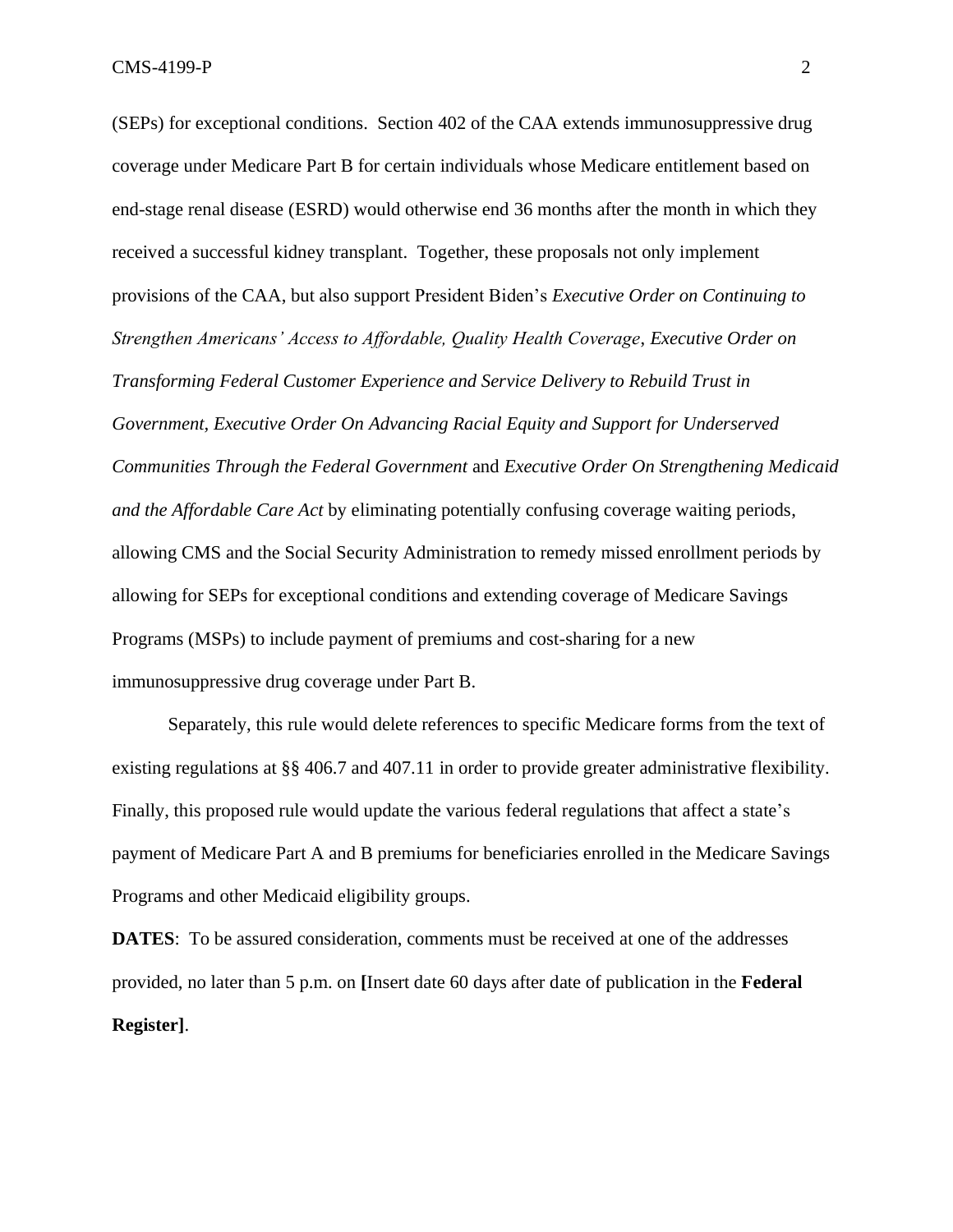(SEPs) for exceptional conditions. Section 402 of the CAA extends immunosuppressive drug coverage under Medicare Part B for certain individuals whose Medicare entitlement based on end-stage renal disease (ESRD) would otherwise end 36 months after the month in which they received a successful kidney transplant. Together, these proposals not only implement provisions of the CAA, but also support President Biden's *Executive Order on Continuing to Strengthen Americans' Access to Affordable, Quality Health Coverage*, *Executive Order on Transforming Federal Customer Experience and Service Delivery to Rebuild Trust in Government, Executive Order On Advancing Racial Equity and Support for Underserved Communities Through the Federal Government* and *Executive Order On Strengthening Medicaid and the Affordable Care Act* by eliminating potentially confusing coverage waiting periods, allowing CMS and the Social Security Administration to remedy missed enrollment periods by allowing for SEPs for exceptional conditions and extending coverage of Medicare Savings Programs (MSPs) to include payment of premiums and cost-sharing for a new immunosuppressive drug coverage under Part B.

Separately, this rule would delete references to specific Medicare forms from the text of existing regulations at §§ 406.7 and 407.11 in order to provide greater administrative flexibility. Finally, this proposed rule would update the various federal regulations that affect a state's payment of Medicare Part A and B premiums for beneficiaries enrolled in the Medicare Savings Programs and other Medicaid eligibility groups.

**DATES**: To be assured consideration, comments must be received at one of the addresses provided, no later than 5 p.m. on **[**Insert date 60 days after date of publication in the **Federal Register]**.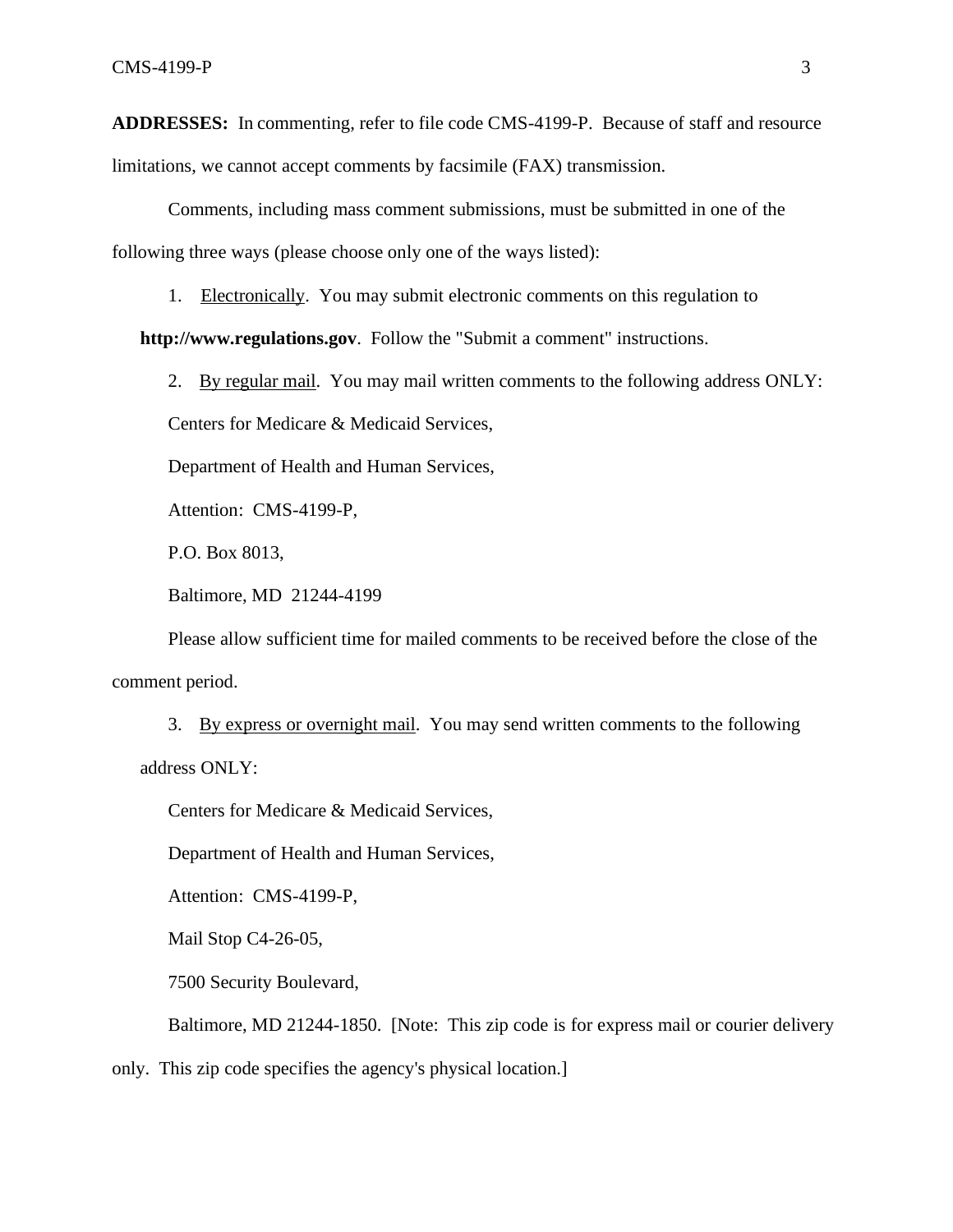**ADDRESSES:** In commenting, refer to file code CMS-4199-P. Because of staff and resource

limitations, we cannot accept comments by facsimile (FAX) transmission.

Comments, including mass comment submissions, must be submitted in one of the following three ways (please choose only one of the ways listed):

1. Electronically. You may submit electronic comments on this regulation to

**[http://www.regulations.gov](http://www.regulations.gov/)**. Follow the "Submit a comment" instructions.

2. By regular mail. You may mail written comments to the following address ONLY:

Centers for Medicare & Medicaid Services,

Department of Health and Human Services,

Attention: CMS-4199-P,

P.O. Box 8013,

Baltimore, MD 21244-4199

Please allow sufficient time for mailed comments to be received before the close of the comment period.

3. By express or overnight mail. You may send written comments to the following address ONLY:

Centers for Medicare & Medicaid Services,

Department of Health and Human Services,

Attention: CMS-4199-P,

Mail Stop C4-26-05,

7500 Security Boulevard,

Baltimore, MD 21244-1850. [Note: This zip code is for express mail or courier delivery

only. This zip code specifies the agency's physical location.]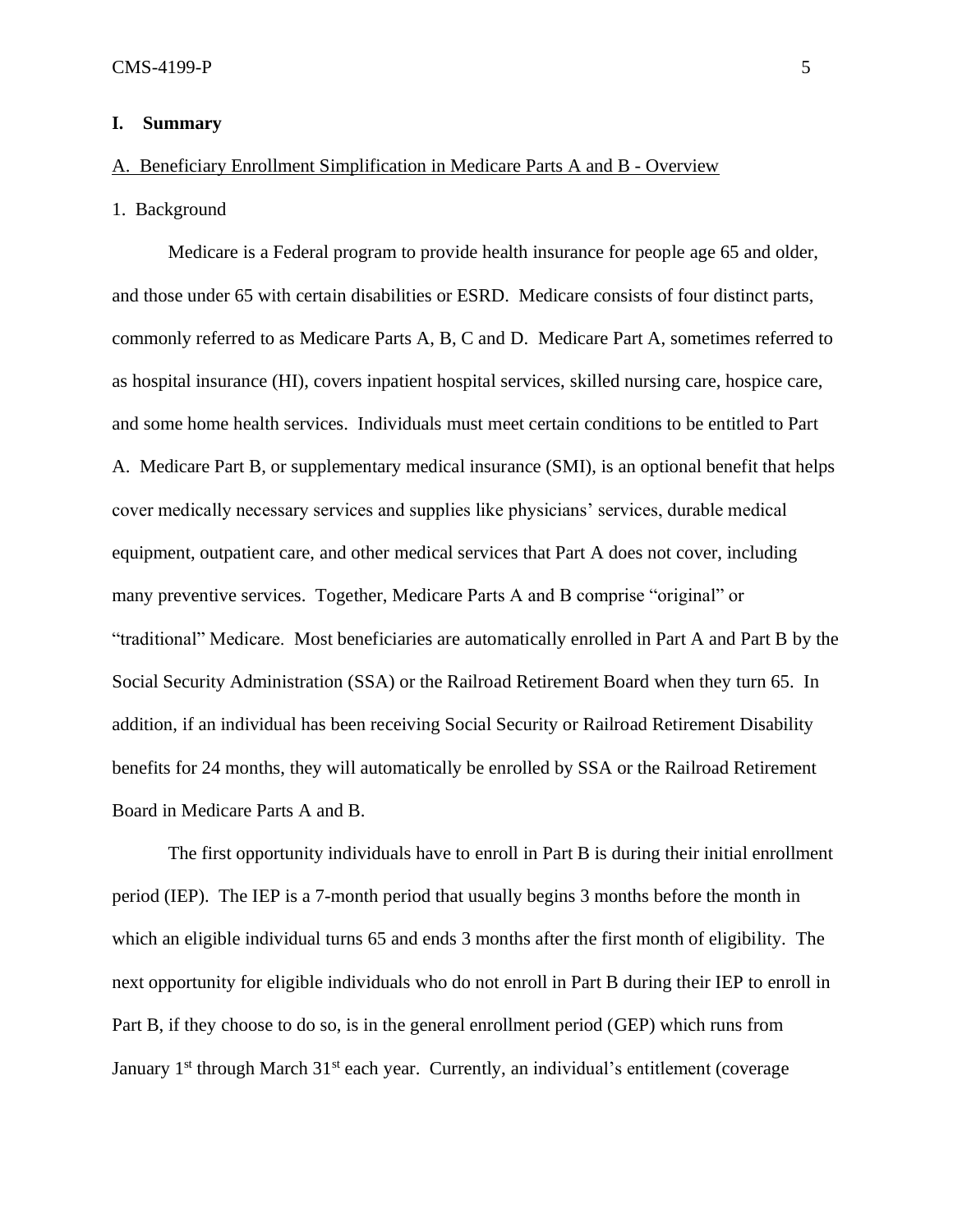## **I. Summary**

# A. Beneficiary Enrollment Simplification in Medicare Parts A and B - Overview

## 1. Background

Medicare is a Federal program to provide health insurance for people age 65 and older, and those under 65 with certain disabilities or ESRD. Medicare consists of four distinct parts, commonly referred to as Medicare Parts A, B, C and D. Medicare Part A, sometimes referred to as hospital insurance (HI), covers inpatient hospital services, skilled nursing care, hospice care, and some home health services. Individuals must meet certain conditions to be entitled to Part A. Medicare Part B, or supplementary medical insurance (SMI), is an optional benefit that helps cover medically necessary services and supplies like physicians' services, durable medical equipment, outpatient care, and other medical services that Part A does not cover, including many preventive services. Together, Medicare Parts A and B comprise "original" or "traditional" Medicare. Most beneficiaries are automatically enrolled in Part A and Part B by the Social Security Administration (SSA) or the Railroad Retirement Board when they turn 65. In addition, if an individual has been receiving Social Security or Railroad Retirement Disability benefits for 24 months, they will automatically be enrolled by SSA or the Railroad Retirement Board in Medicare Parts A and B.

The first opportunity individuals have to enroll in Part B is during their initial enrollment period (IEP). The IEP is a 7-month period that usually begins 3 months before the month in which an eligible individual turns 65 and ends 3 months after the first month of eligibility. The next opportunity for eligible individuals who do not enroll in Part B during their IEP to enroll in Part B, if they choose to do so, is in the general enrollment period (GEP) which runs from January 1<sup>st</sup> through March 31<sup>st</sup> each year. Currently, an individual's entitlement (coverage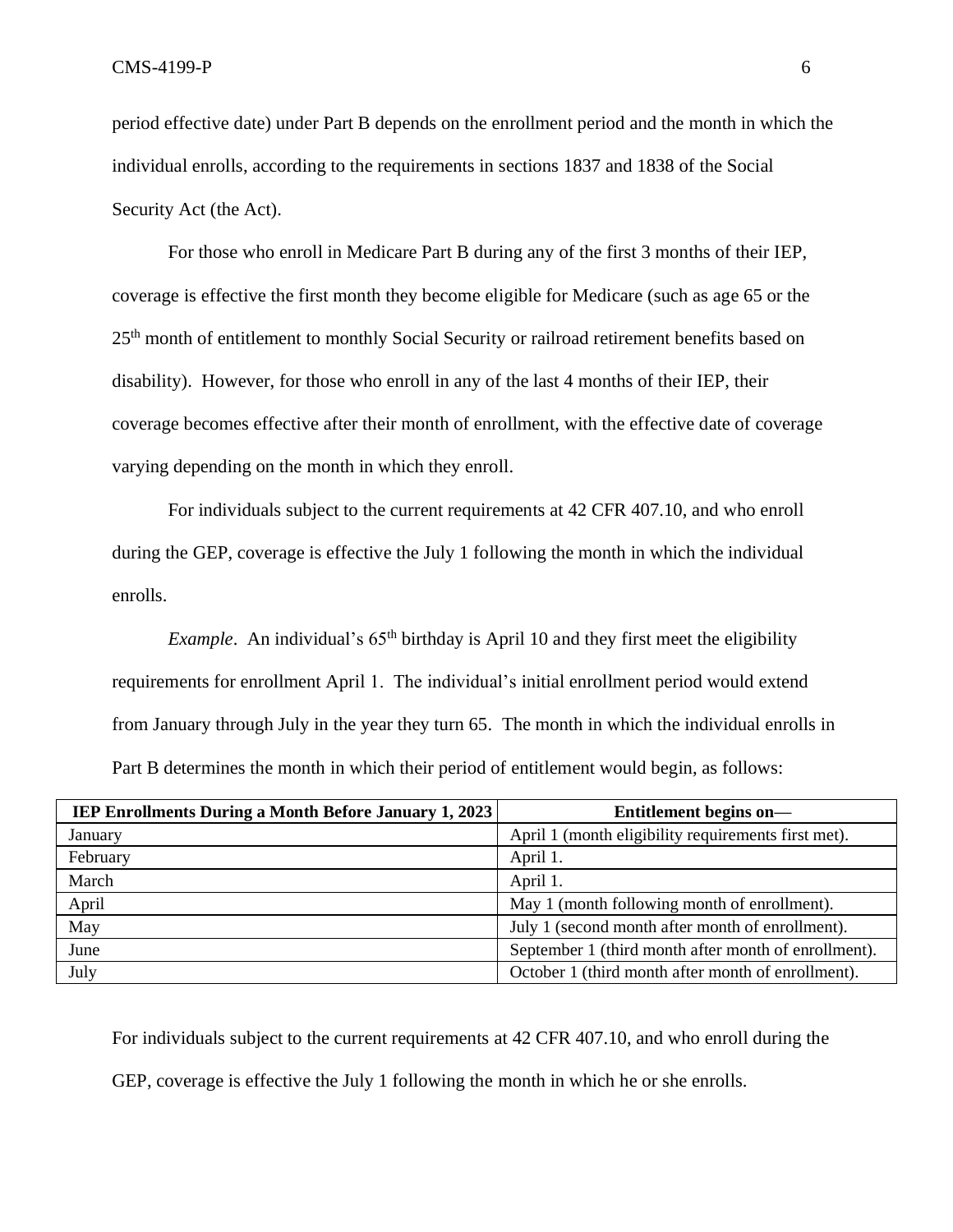period effective date) under Part B depends on the enrollment period and the month in which the individual enrolls, according to the requirements in sections 1837 and 1838 of the Social Security Act (the Act).

For those who enroll in Medicare Part B during any of the first 3 months of their IEP, coverage is effective the first month they become eligible for Medicare (such as age 65 or the 25th month of entitlement to monthly Social Security or railroad retirement benefits based on disability). However, for those who enroll in any of the last 4 months of their IEP, their coverage becomes effective after their month of enrollment, with the effective date of coverage varying depending on the month in which they enroll.

For individuals subject to the current requirements at 42 CFR 407.10, and who enroll during the GEP, coverage is effective the July 1 following the month in which the individual enrolls.

*Example*. An individual's 65<sup>th</sup> birthday is April 10 and they first meet the eligibility requirements for enrollment April 1. The individual's initial enrollment period would extend from January through July in the year they turn 65. The month in which the individual enrolls in Part B determines the month in which their period of entitlement would begin, as follows:

| <b>IEP Enrollments During a Month Before January 1, 2023</b> | Entitlement begins on-                               |
|--------------------------------------------------------------|------------------------------------------------------|
| January                                                      | April 1 (month eligibility requirements first met).  |
| February                                                     | April 1.                                             |
| March                                                        | April 1.                                             |
| April                                                        | May 1 (month following month of enrollment).         |
| May                                                          | July 1 (second month after month of enrollment).     |
| June                                                         | September 1 (third month after month of enrollment). |
| July                                                         | October 1 (third month after month of enrollment).   |

For individuals subject to the current requirements at 42 CFR 407.10, and who enroll during the GEP, coverage is effective the July 1 following the month in which he or she enrolls.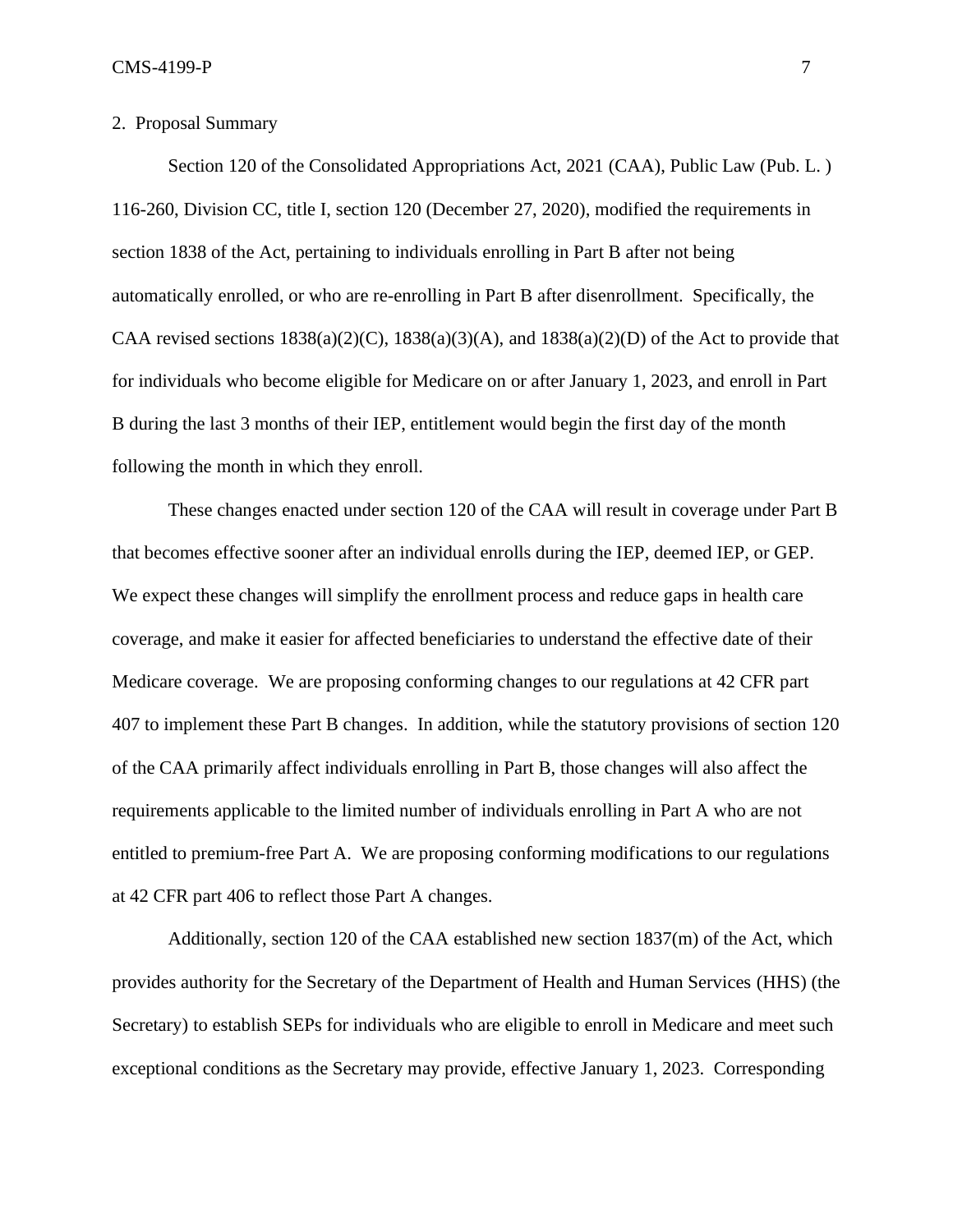# 2. Proposal Summary

Section 120 of the Consolidated Appropriations Act, 2021 (CAA), Public Law (Pub. L. ) 116-260, Division CC, title I, section 120 (December 27, 2020), modified the requirements in section 1838 of the Act, pertaining to individuals enrolling in Part B after not being automatically enrolled, or who are re-enrolling in Part B after disenrollment. Specifically, the CAA revised sections  $1838(a)(2)(C)$ ,  $1838(a)(3)(A)$ , and  $1838(a)(2)(D)$  of the Act to provide that for individuals who become eligible for Medicare on or after January 1, 2023, and enroll in Part B during the last 3 months of their IEP, entitlement would begin the first day of the month following the month in which they enroll.

These changes enacted under section 120 of the CAA will result in coverage under Part B that becomes effective sooner after an individual enrolls during the IEP, deemed IEP, or GEP. We expect these changes will simplify the enrollment process and reduce gaps in health care coverage, and make it easier for affected beneficiaries to understand the effective date of their Medicare coverage. We are proposing conforming changes to our regulations at 42 CFR part 407 to implement these Part B changes. In addition, while the statutory provisions of section 120 of the CAA primarily affect individuals enrolling in Part B, those changes will also affect the requirements applicable to the limited number of individuals enrolling in Part A who are not entitled to premium-free Part A. We are proposing conforming modifications to our regulations at 42 CFR part 406 to reflect those Part A changes.

Additionally, section 120 of the CAA established new section 1837(m) of the Act, which provides authority for the Secretary of the Department of Health and Human Services (HHS) (the Secretary) to establish SEPs for individuals who are eligible to enroll in Medicare and meet such exceptional conditions as the Secretary may provide, effective January 1, 2023. Corresponding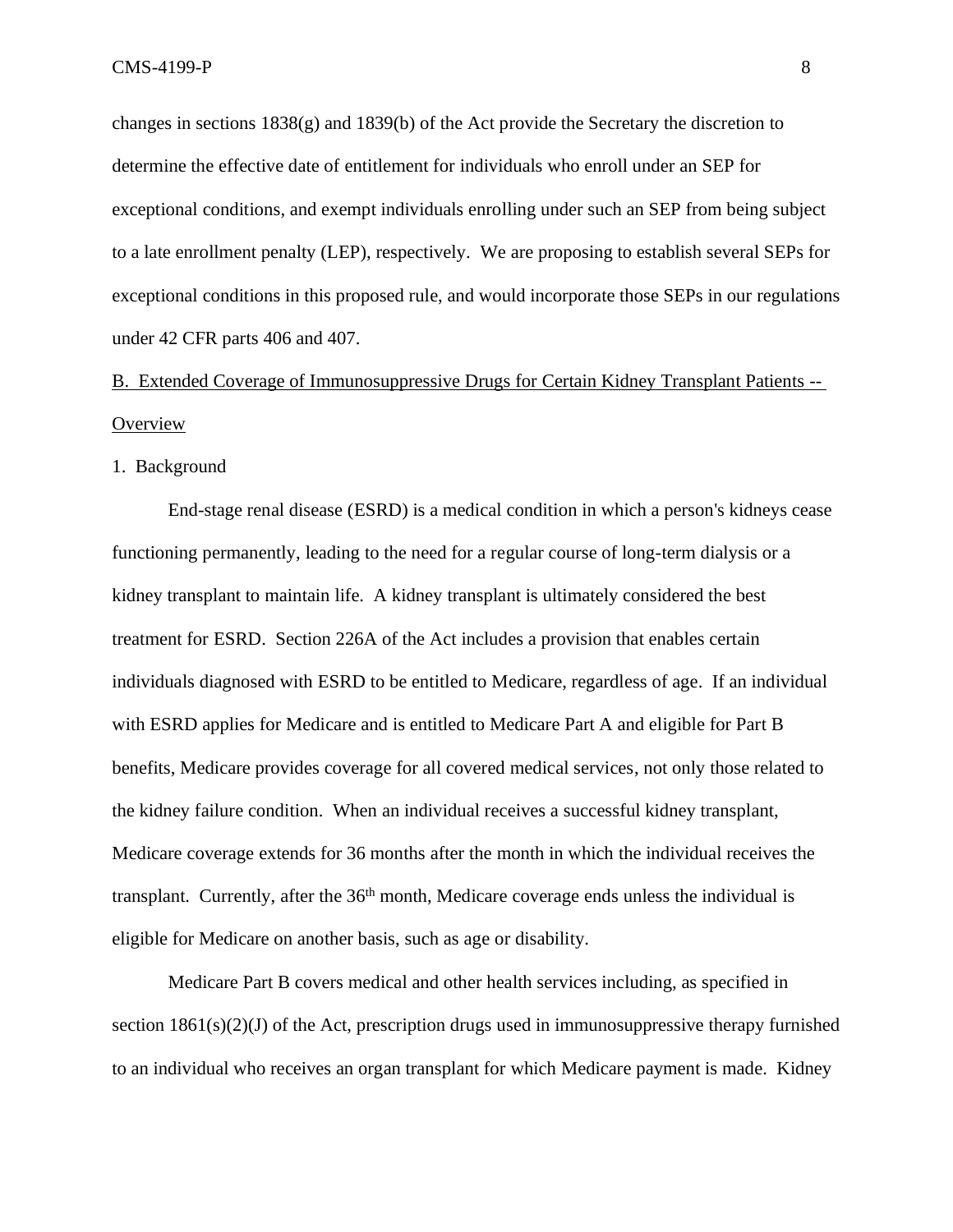changes in sections  $1838(g)$  and  $1839(b)$  of the Act provide the Secretary the discretion to determine the effective date of entitlement for individuals who enroll under an SEP for exceptional conditions, and exempt individuals enrolling under such an SEP from being subject to a late enrollment penalty (LEP), respectively. We are proposing to establish several SEPs for exceptional conditions in this proposed rule, and would incorporate those SEPs in our regulations under 42 CFR parts 406 and 407.

# B. Extended Coverage of Immunosuppressive Drugs for Certain Kidney Transplant Patients -- **Overview**

1. Background

End-stage renal disease (ESRD) is a medical condition in which a person's kidneys cease functioning permanently, leading to the need for a regular course of long-term dialysis or a kidney transplant to maintain life. A kidney transplant is ultimately considered the best treatment for ESRD. Section 226A of the Act includes a provision that enables certain individuals diagnosed with ESRD to be entitled to Medicare, regardless of age. If an individual with ESRD applies for Medicare and is entitled to Medicare Part A and eligible for Part B benefits, Medicare provides coverage for all covered medical services, not only those related to the kidney failure condition. When an individual receives a successful kidney transplant, Medicare coverage extends for 36 months after the month in which the individual receives the transplant. Currently, after the 36<sup>th</sup> month, Medicare coverage ends unless the individual is eligible for Medicare on another basis, such as age or disability.

Medicare Part B covers medical and other health services including, as specified in section 1861(s)(2)(J) of the Act, prescription drugs used in immunosuppressive therapy furnished to an individual who receives an organ transplant for which Medicare payment is made. Kidney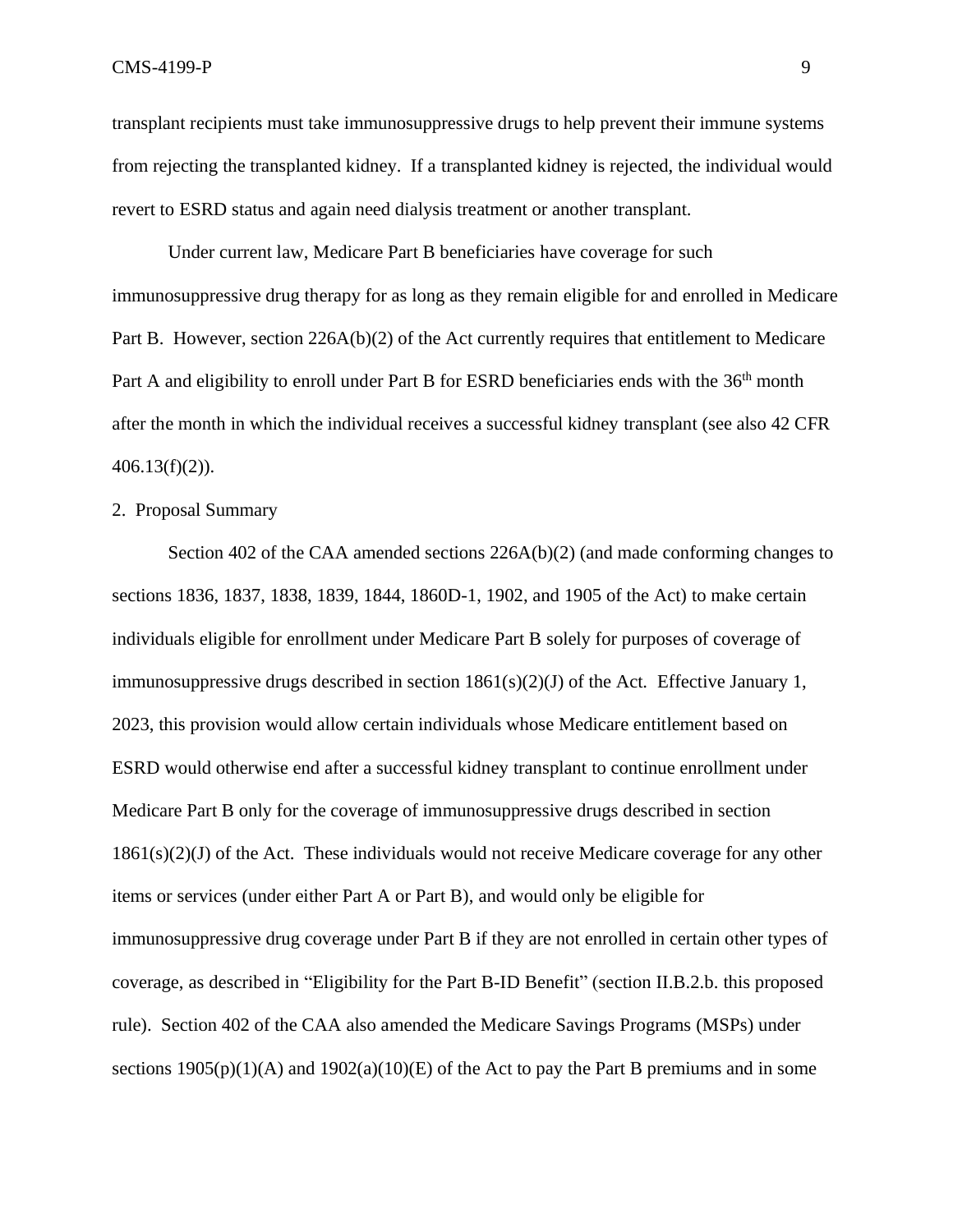transplant recipients must take immunosuppressive drugs to help prevent their immune systems from rejecting the transplanted kidney. If a transplanted kidney is rejected, the individual would revert to ESRD status and again need dialysis treatment or another transplant.

Under current law, Medicare Part B beneficiaries have coverage for such immunosuppressive drug therapy for as long as they remain eligible for and enrolled in Medicare Part B. However, section 226A(b)(2) of the Act currently requires that entitlement to Medicare Part A and eligibility to enroll under Part B for ESRD beneficiaries ends with the 36<sup>th</sup> month after the month in which the individual receives a successful kidney transplant (see also 42 CFR  $406.13(f)(2)$ ).

#### 2. Proposal Summary

Section 402 of the CAA amended sections  $226A(b)(2)$  (and made conforming changes to sections 1836, 1837, 1838, 1839, 1844, 1860D-1, 1902, and 1905 of the Act) to make certain individuals eligible for enrollment under Medicare Part B solely for purposes of coverage of immunosuppressive drugs described in section  $1861(s)(2)(J)$  of the Act. Effective January 1, 2023, this provision would allow certain individuals whose Medicare entitlement based on ESRD would otherwise end after a successful kidney transplant to continue enrollment under Medicare Part B only for the coverage of immunosuppressive drugs described in section  $1861(s)(2)(J)$  of the Act. These individuals would not receive Medicare coverage for any other items or services (under either Part A or Part B), and would only be eligible for immunosuppressive drug coverage under Part B if they are not enrolled in certain other types of coverage, as described in "Eligibility for the Part B-ID Benefit" (section II.B.2.b. this proposed rule). Section 402 of the CAA also amended the Medicare Savings Programs (MSPs) under sections  $1905(p)(1)(A)$  and  $1902(a)(10)(E)$  of the Act to pay the Part B premiums and in some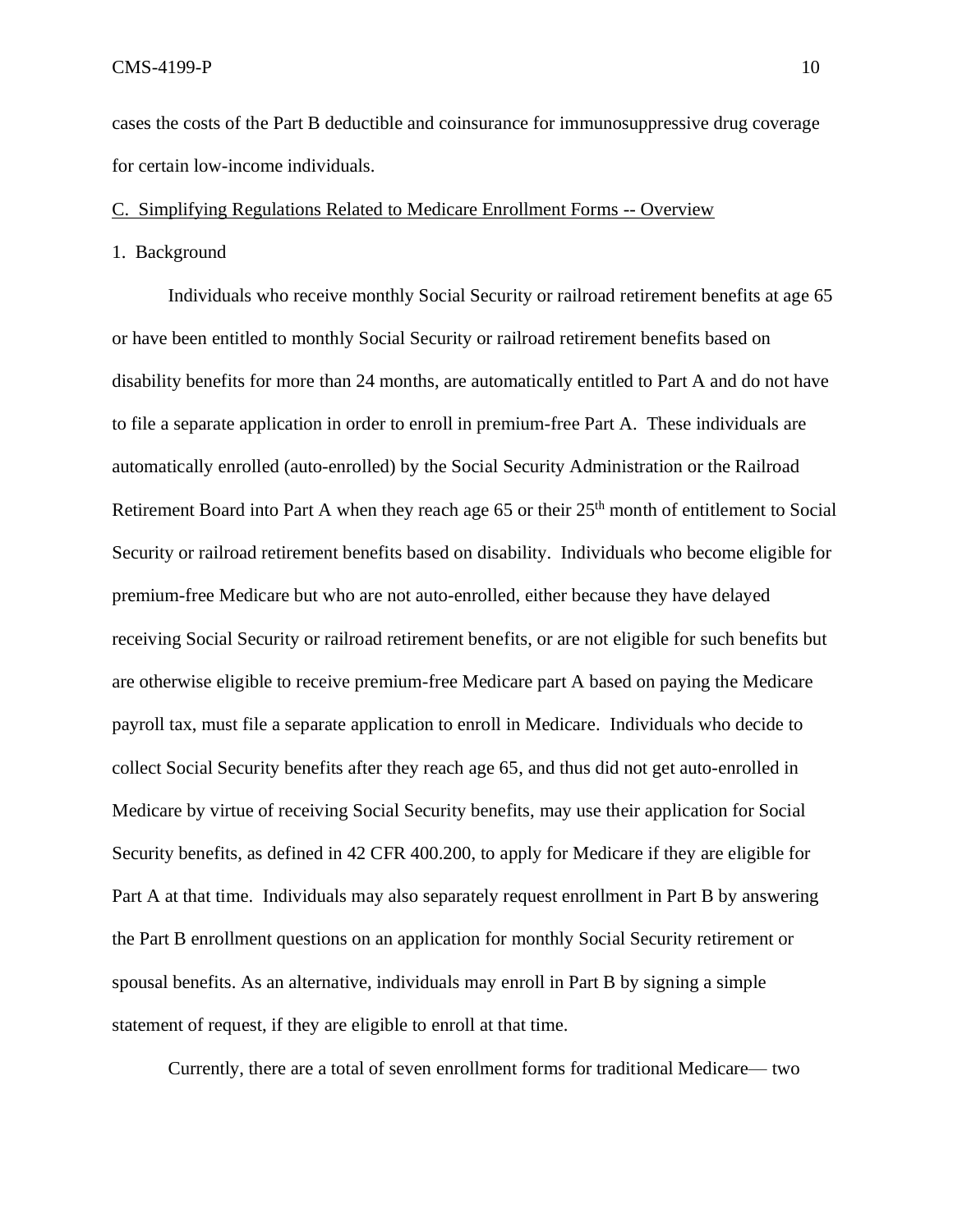cases the costs of the Part B deductible and coinsurance for immunosuppressive drug coverage for certain low-income individuals.

## C. Simplifying Regulations Related to Medicare Enrollment Forms -- Overview

1. Background

Individuals who receive monthly Social Security or railroad retirement benefits at age 65 or have been entitled to monthly Social Security or railroad retirement benefits based on disability benefits for more than 24 months, are automatically entitled to Part A and do not have to file a separate application in order to enroll in premium-free Part A. These individuals are automatically enrolled (auto-enrolled) by the Social Security Administration or the Railroad Retirement Board into Part A when they reach age  $65$  or their  $25<sup>th</sup>$  month of entitlement to Social Security or railroad retirement benefits based on disability. Individuals who become eligible for premium-free Medicare but who are not auto-enrolled, either because they have delayed receiving Social Security or railroad retirement benefits, or are not eligible for such benefits but are otherwise eligible to receive premium-free Medicare part A based on paying the Medicare payroll tax, must file a separate application to enroll in Medicare. Individuals who decide to collect Social Security benefits after they reach age 65, and thus did not get auto-enrolled in Medicare by virtue of receiving Social Security benefits, may use their application for Social Security benefits, as defined in 42 CFR 400.200, to apply for Medicare if they are eligible for Part A at that time. Individuals may also separately request enrollment in Part B by answering the Part B enrollment questions on an application for monthly Social Security retirement or spousal benefits. As an alternative, individuals may enroll in Part B by signing a simple statement of request, if they are eligible to enroll at that time.

Currently, there are a total of seven enrollment forms for traditional Medicare— two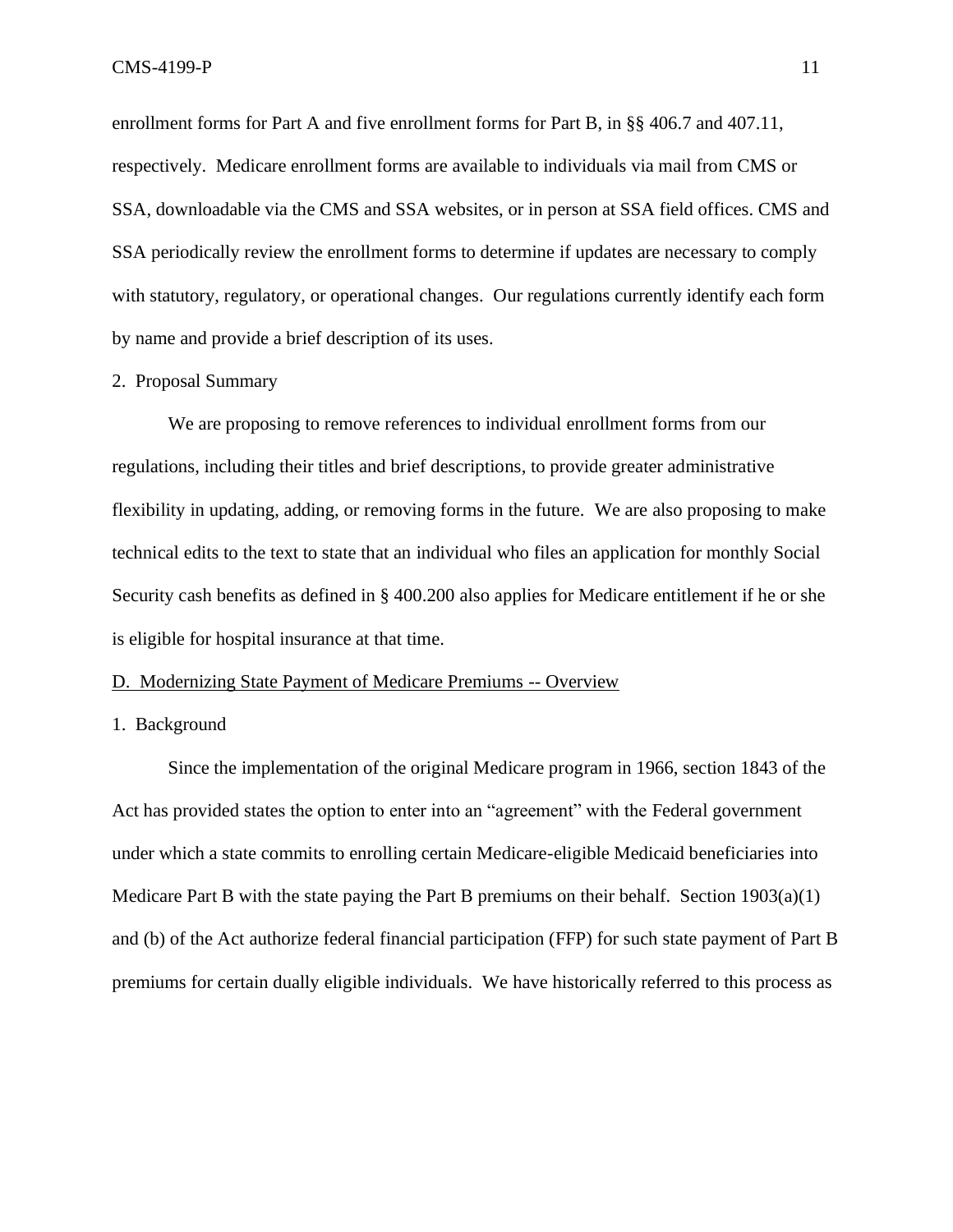enrollment forms for Part A and five enrollment forms for Part B, in §§ 406.7 and 407.11, respectively. Medicare enrollment forms are available to individuals via mail from CMS or SSA, downloadable via the CMS and SSA websites, or in person at SSA field offices. CMS and SSA periodically review the enrollment forms to determine if updates are necessary to comply with statutory, regulatory, or operational changes. Our regulations currently identify each form by name and provide a brief description of its uses.

#### 2. Proposal Summary

We are proposing to remove references to individual enrollment forms from our regulations, including their titles and brief descriptions, to provide greater administrative flexibility in updating, adding, or removing forms in the future. We are also proposing to make technical edits to the text to state that an individual who files an application for monthly Social Security cash benefits as defined in § 400.200 also applies for Medicare entitlement if he or she is eligible for hospital insurance at that time.

#### D. Modernizing State Payment of Medicare Premiums -- Overview

1. Background

Since the implementation of the original Medicare program in 1966, section 1843 of the Act has provided states the option to enter into an "agreement" with the Federal government under which a state commits to enrolling certain Medicare-eligible Medicaid beneficiaries into Medicare Part B with the state paying the Part B premiums on their behalf. Section  $1903(a)(1)$ and (b) of the Act authorize federal financial participation (FFP) for such state payment of Part B premiums for certain dually eligible individuals. We have historically referred to this process as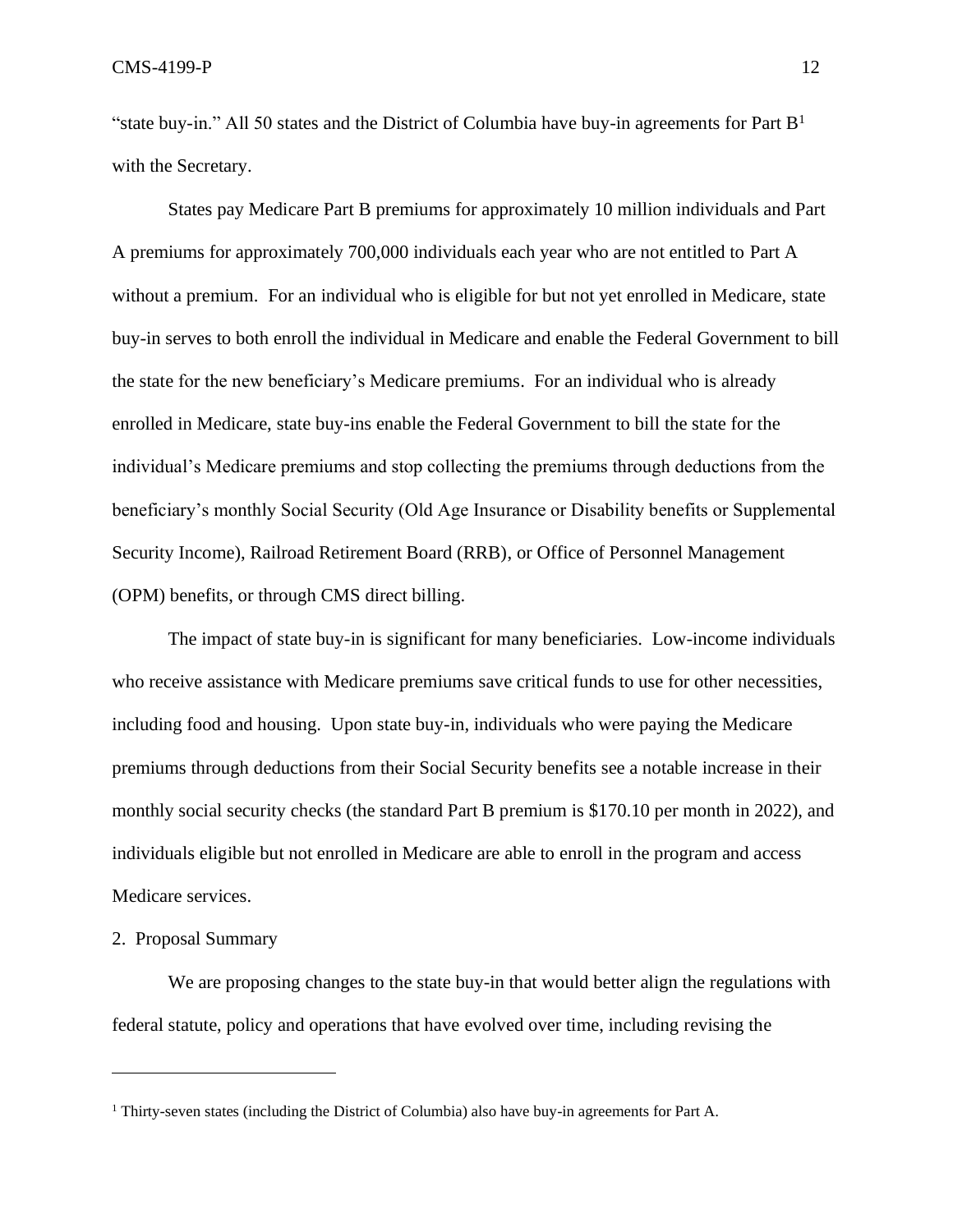"state buy-in." All 50 states and the District of Columbia have buy-in agreements for Part  $B<sup>1</sup>$ with the Secretary.

States pay Medicare Part B premiums for approximately 10 million individuals and Part A premiums for approximately 700,000 individuals each year who are not entitled to Part A without a premium. For an individual who is eligible for but not yet enrolled in Medicare, state buy-in serves to both enroll the individual in Medicare and enable the Federal Government to bill the state for the new beneficiary's Medicare premiums. For an individual who is already enrolled in Medicare, state buy-ins enable the Federal Government to bill the state for the individual's Medicare premiums and stop collecting the premiums through deductions from the beneficiary's monthly Social Security (Old Age Insurance or Disability benefits or Supplemental Security Income), Railroad Retirement Board (RRB), or Office of Personnel Management (OPM) benefits, or through CMS direct billing.

The impact of state buy-in is significant for many beneficiaries. Low-income individuals who receive assistance with Medicare premiums save critical funds to use for other necessities, including food and housing. Upon state buy-in, individuals who were paying the Medicare premiums through deductions from their Social Security benefits see a notable increase in their monthly social security checks (the standard Part B premium is \$170.10 per month in 2022), and individuals eligible but not enrolled in Medicare are able to enroll in the program and access Medicare services.

#### 2. Proposal Summary

We are proposing changes to the state buy-in that would better align the regulations with federal statute, policy and operations that have evolved over time, including revising the

<sup>1</sup> Thirty-seven states (including the District of Columbia) also have buy-in agreements for Part A.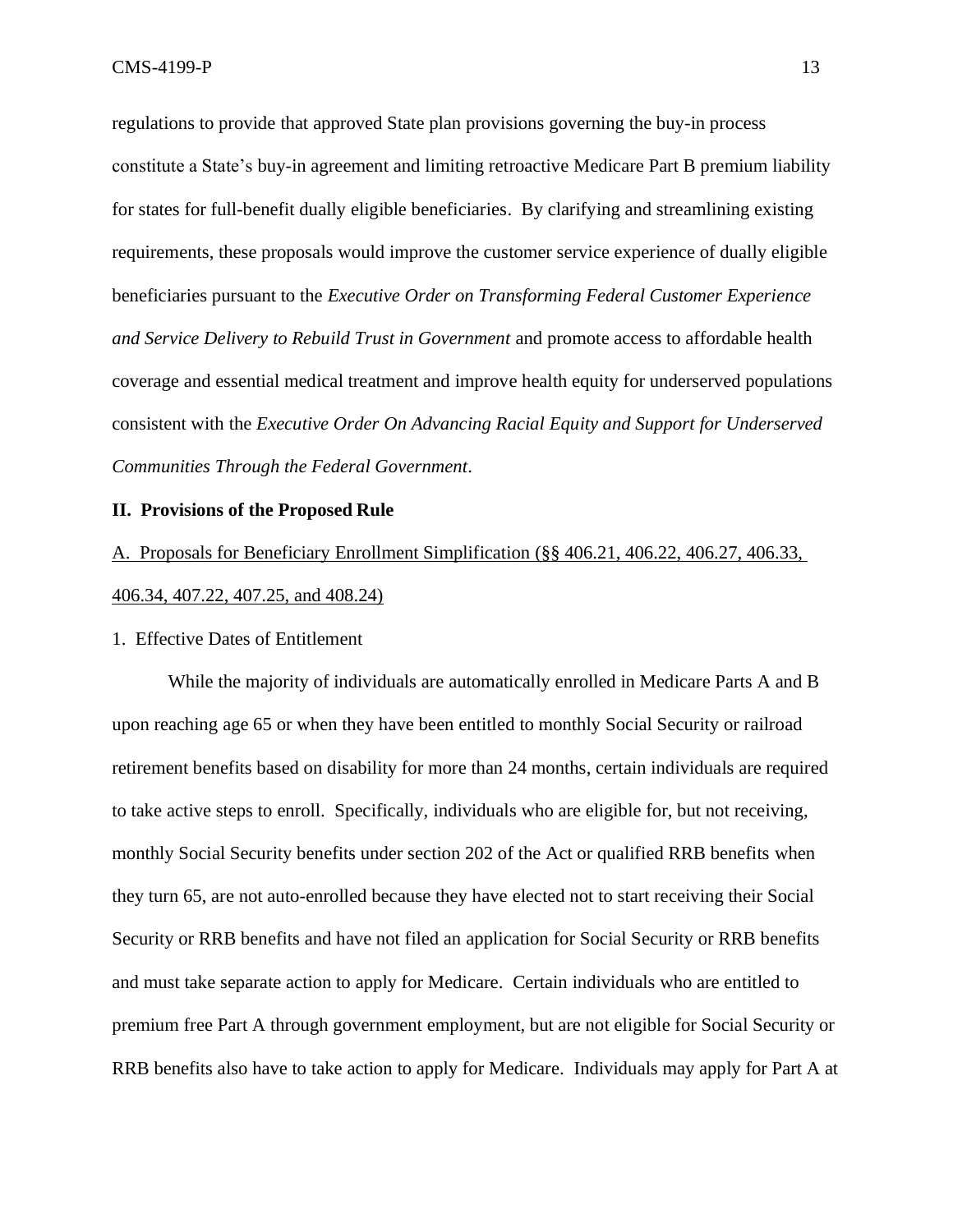regulations to provide that approved State plan provisions governing the buy-in process constitute a State's buy-in agreement and limiting retroactive Medicare Part B premium liability for states for full-benefit dually eligible beneficiaries. By clarifying and streamlining existing requirements, these proposals would improve the customer service experience of dually eligible beneficiaries pursuant to the *Executive Order on Transforming Federal Customer Experience and Service Delivery to Rebuild Trust in Government* and promote access to affordable health coverage and essential medical treatment and improve health equity for underserved populations consistent with the *Executive Order On Advancing Racial Equity and Support for Underserved Communities Through the Federal Government*.

#### **II. Provisions of the Proposed Rule**

A. Proposals for Beneficiary Enrollment Simplification (§§ 406.21, 406.22, 406.27, 406.33, 406.34, 407.22, 407.25, and 408.24)

#### 1. Effective Dates of Entitlement

While the majority of individuals are automatically enrolled in Medicare Parts A and B upon reaching age 65 or when they have been entitled to monthly Social Security or railroad retirement benefits based on disability for more than 24 months, certain individuals are required to take active steps to enroll. Specifically, individuals who are eligible for, but not receiving, monthly Social Security benefits under section 202 of the Act or qualified RRB benefits when they turn 65, are not auto-enrolled because they have elected not to start receiving their Social Security or RRB benefits and have not filed an application for Social Security or RRB benefits and must take separate action to apply for Medicare. Certain individuals who are entitled to premium free Part A through government employment, but are not eligible for Social Security or RRB benefits also have to take action to apply for Medicare. Individuals may apply for Part A at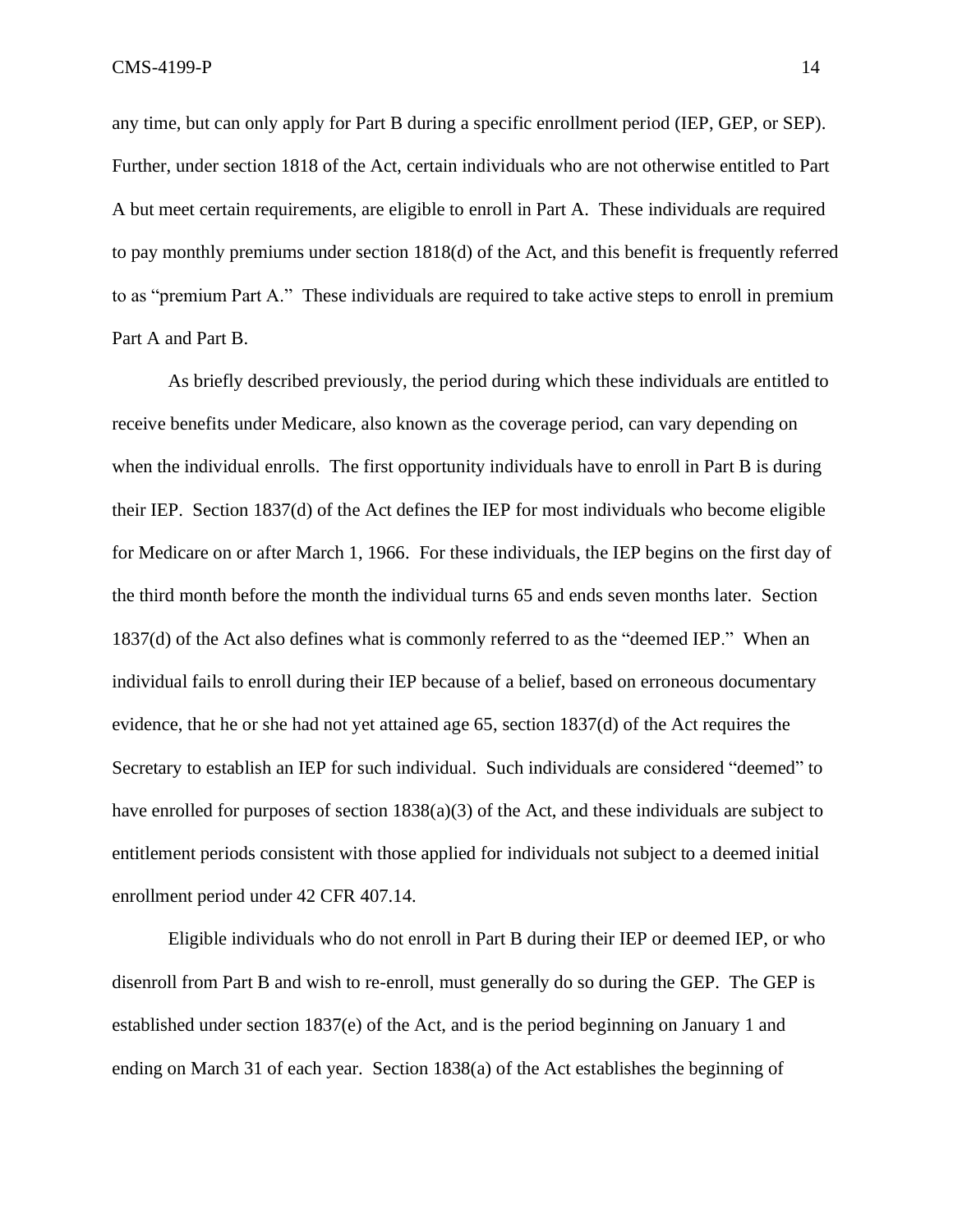any time, but can only apply for Part B during a specific enrollment period (IEP, GEP, or SEP). Further, under section 1818 of the Act, certain individuals who are not otherwise entitled to Part A but meet certain requirements, are eligible to enroll in Part A. These individuals are required to pay monthly premiums under section 1818(d) of the Act, and this benefit is frequently referred to as "premium Part A." These individuals are required to take active steps to enroll in premium Part A and Part B.

As briefly described previously, the period during which these individuals are entitled to receive benefits under Medicare, also known as the coverage period, can vary depending on when the individual enrolls. The first opportunity individuals have to enroll in Part B is during their IEP. Section 1837(d) of the Act defines the IEP for most individuals who become eligible for Medicare on or after March 1, 1966. For these individuals, the IEP begins on the first day of the third month before the month the individual turns 65 and ends seven months later. Section 1837(d) of the Act also defines what is commonly referred to as the "deemed IEP." When an individual fails to enroll during their IEP because of a belief, based on erroneous documentary evidence, that he or she had not yet attained age 65, section 1837(d) of the Act requires the Secretary to establish an IEP for such individual. Such individuals are considered "deemed" to have enrolled for purposes of section  $1838(a)(3)$  of the Act, and these individuals are subject to entitlement periods consistent with those applied for individuals not subject to a deemed initial enrollment period under 42 CFR 407.14.

Eligible individuals who do not enroll in Part B during their IEP or deemed IEP, or who disenroll from Part B and wish to re-enroll, must generally do so during the GEP. The GEP is established under section 1837(e) of the Act, and is the period beginning on January 1 and ending on March 31 of each year. Section 1838(a) of the Act establishes the beginning of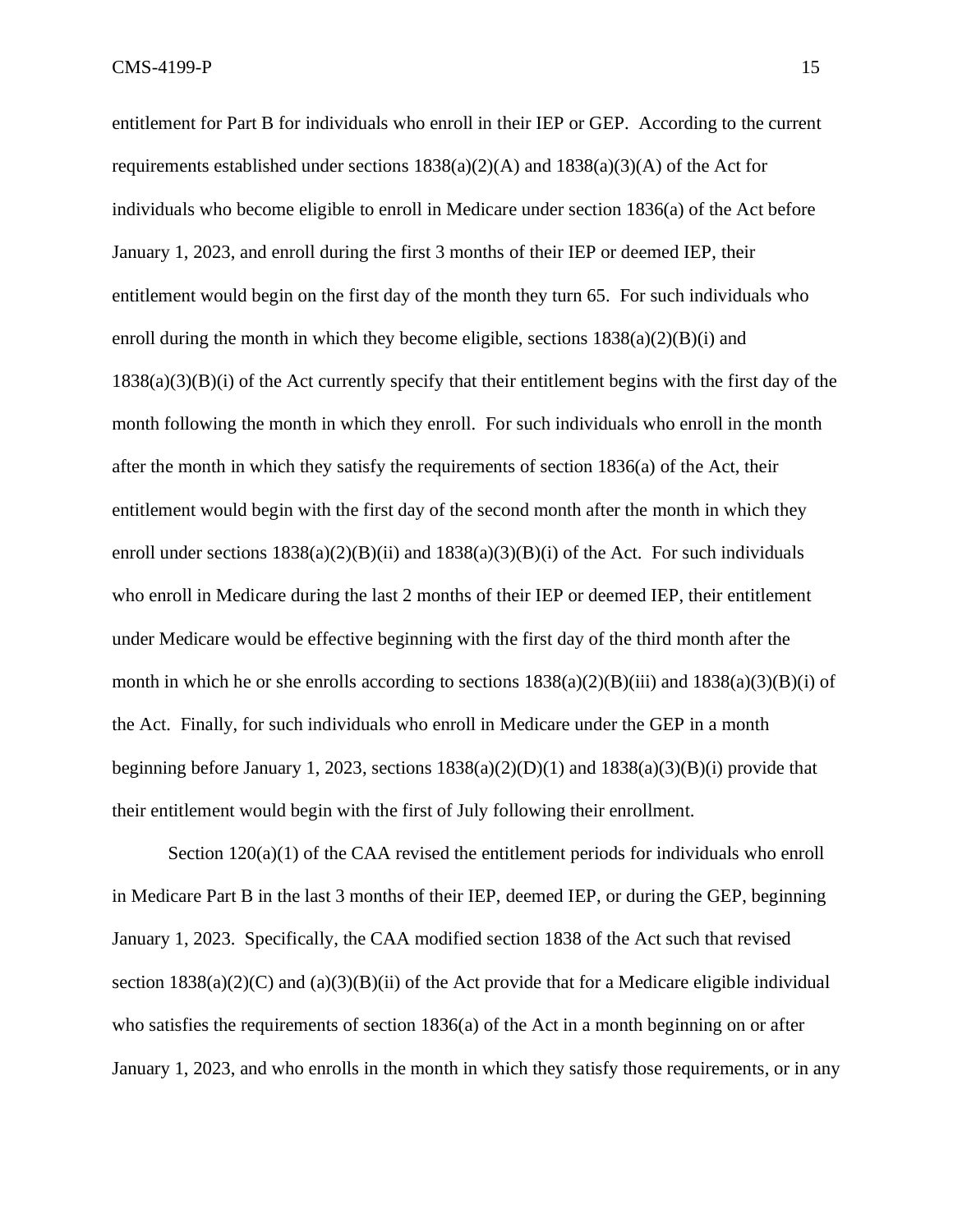entitlement for Part B for individuals who enroll in their IEP or GEP. According to the current requirements established under sections  $1838(a)(2)(A)$  and  $1838(a)(3)(A)$  of the Act for individuals who become eligible to enroll in Medicare under section 1836(a) of the Act before January 1, 2023, and enroll during the first 3 months of their IEP or deemed IEP, their entitlement would begin on the first day of the month they turn 65. For such individuals who enroll during the month in which they become eligible, sections  $1838(a)(2)(B)(i)$  and 1838(a)(3)(B)(i) of the Act currently specify that their entitlement begins with the first day of the month following the month in which they enroll. For such individuals who enroll in the month after the month in which they satisfy the requirements of section 1836(a) of the Act, their entitlement would begin with the first day of the second month after the month in which they enroll under sections  $1838(a)(2)(B)(ii)$  and  $1838(a)(3)(B)(i)$  of the Act. For such individuals who enroll in Medicare during the last 2 months of their IEP or deemed IEP, their entitlement under Medicare would be effective beginning with the first day of the third month after the month in which he or she enrolls according to sections  $1838(a)(2)(B)(iii)$  and  $1838(a)(3)(B)(i)$  of the Act. Finally, for such individuals who enroll in Medicare under the GEP in a month beginning before January 1, 2023, sections  $1838(a)(2)(D)(1)$  and  $1838(a)(3)(B)(i)$  provide that their entitlement would begin with the first of July following their enrollment.

Section  $120(a)(1)$  of the CAA revised the entitlement periods for individuals who enroll in Medicare Part B in the last 3 months of their IEP, deemed IEP, or during the GEP, beginning January 1, 2023. Specifically, the CAA modified section 1838 of the Act such that revised section  $1838(a)(2)(C)$  and  $(a)(3)(B)(ii)$  of the Act provide that for a Medicare eligible individual who satisfies the requirements of section 1836(a) of the Act in a month beginning on or after January 1, 2023, and who enrolls in the month in which they satisfy those requirements, or in any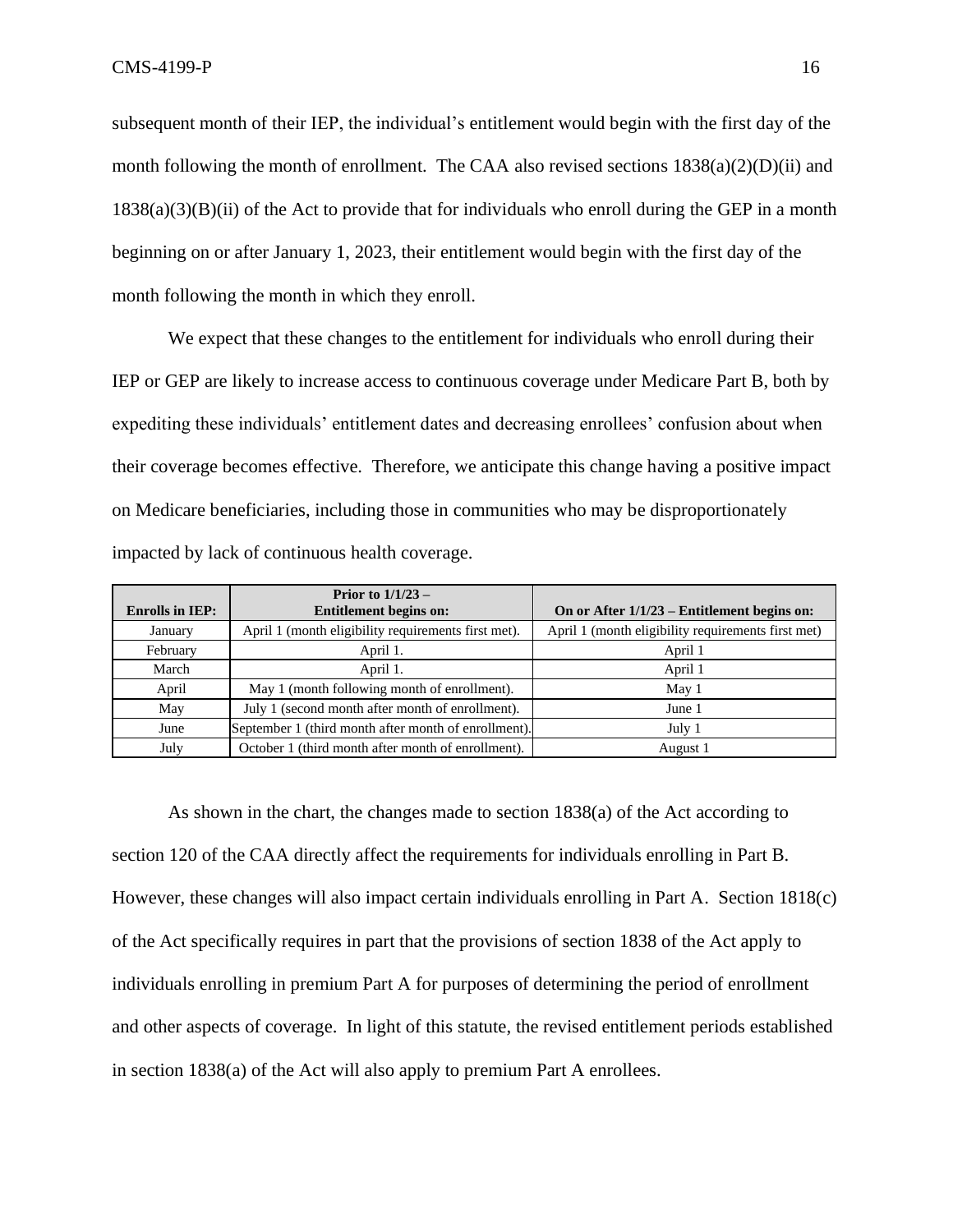subsequent month of their IEP, the individual's entitlement would begin with the first day of the month following the month of enrollment. The CAA also revised sections  $1838(a)(2)(D)(ii)$  and  $1838(a)(3)(B)(ii)$  of the Act to provide that for individuals who enroll during the GEP in a month beginning on or after January 1, 2023, their entitlement would begin with the first day of the month following the month in which they enroll.

We expect that these changes to the entitlement for individuals who enroll during their IEP or GEP are likely to increase access to continuous coverage under Medicare Part B, both by expediting these individuals' entitlement dates and decreasing enrollees' confusion about when their coverage becomes effective. Therefore, we anticipate this change having a positive impact on Medicare beneficiaries, including those in communities who may be disproportionately impacted by lack of continuous health coverage.

|                        | Prior to $1/1/23$ –                                  |                                                    |
|------------------------|------------------------------------------------------|----------------------------------------------------|
| <b>Enrolls in IEP:</b> | <b>Entitlement begins on:</b>                        | On or After $1/1/23$ – Entitlement begins on:      |
| January                | April 1 (month eligibility requirements first met).  | April 1 (month eligibility requirements first met) |
| February               | April 1.                                             | April 1                                            |
| March                  | April 1.                                             | April 1                                            |
| April                  | May 1 (month following month of enrollment).         | May 1                                              |
| May                    | July 1 (second month after month of enrollment).     | June 1                                             |
| June                   | September 1 (third month after month of enrollment). | July 1                                             |
| July                   | October 1 (third month after month of enrollment).   | August 1                                           |

As shown in the chart, the changes made to section 1838(a) of the Act according to section 120 of the CAA directly affect the requirements for individuals enrolling in Part B. However, these changes will also impact certain individuals enrolling in Part A. Section 1818(c) of the Act specifically requires in part that the provisions of section 1838 of the Act apply to individuals enrolling in premium Part A for purposes of determining the period of enrollment and other aspects of coverage. In light of this statute, the revised entitlement periods established in section 1838(a) of the Act will also apply to premium Part A enrollees.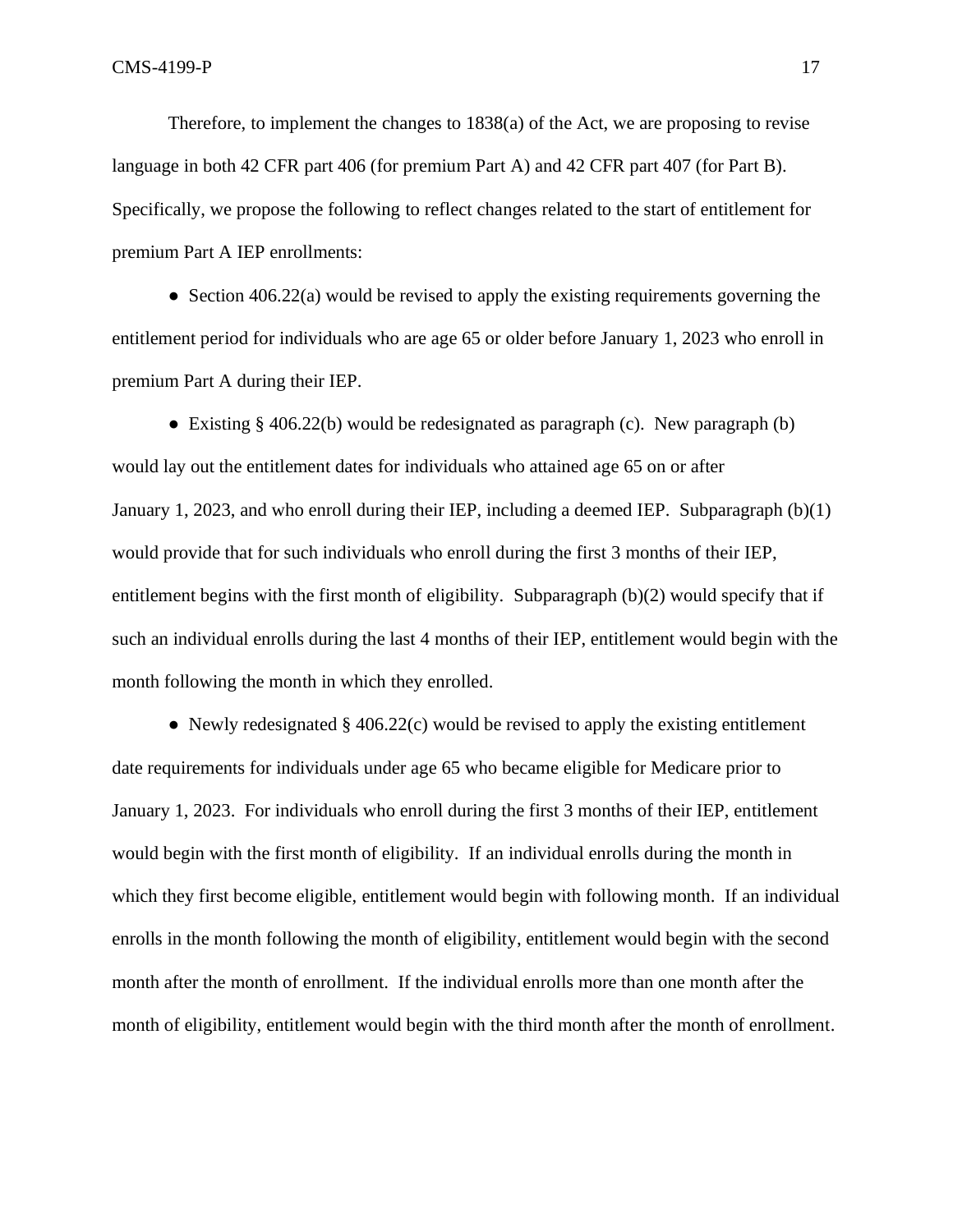Therefore, to implement the changes to 1838(a) of the Act, we are proposing to revise language in both 42 CFR part 406 (for premium Part A) and 42 CFR part 407 (for Part B). Specifically, we propose the following to reflect changes related to the start of entitlement for premium Part A IEP enrollments:

 $\bullet$  Section 406.22(a) would be revised to apply the existing requirements governing the entitlement period for individuals who are age 65 or older before January 1, 2023 who enroll in premium Part A during their IEP.

• Existing  $\S 406.22(b)$  would be redesignated as paragraph (c). New paragraph (b) would lay out the entitlement dates for individuals who attained age 65 on or after January 1, 2023, and who enroll during their IEP, including a deemed IEP. Subparagraph (b)(1) would provide that for such individuals who enroll during the first 3 months of their IEP, entitlement begins with the first month of eligibility. Subparagraph (b)(2) would specify that if such an individual enrolls during the last 4 months of their IEP, entitlement would begin with the month following the month in which they enrolled.

• Newly redesignated  $\S$  406.22(c) would be revised to apply the existing entitlement date requirements for individuals under age 65 who became eligible for Medicare prior to January 1, 2023. For individuals who enroll during the first 3 months of their IEP, entitlement would begin with the first month of eligibility. If an individual enrolls during the month in which they first become eligible, entitlement would begin with following month. If an individual enrolls in the month following the month of eligibility, entitlement would begin with the second month after the month of enrollment. If the individual enrolls more than one month after the month of eligibility, entitlement would begin with the third month after the month of enrollment.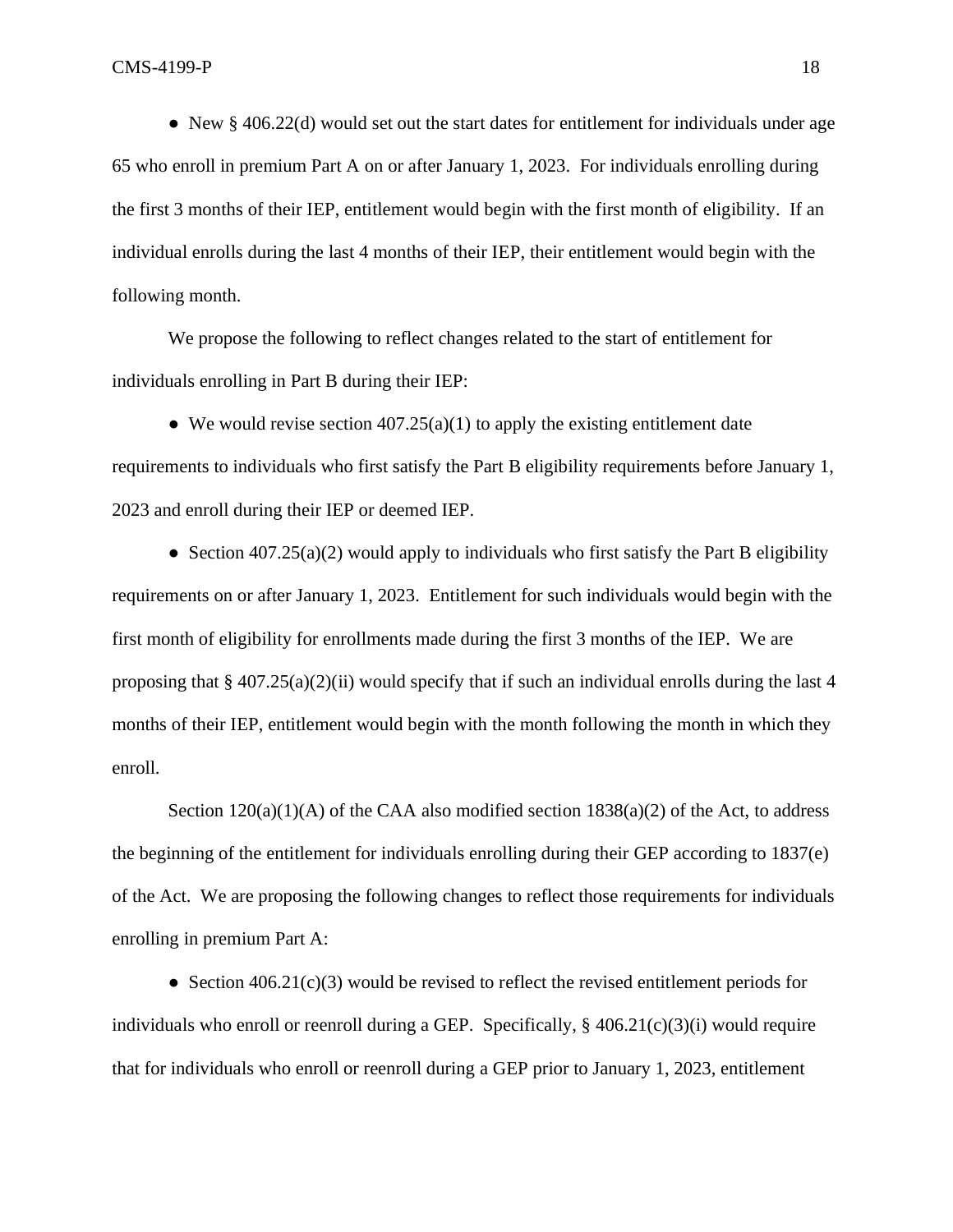• New  $\S$  406.22(d) would set out the start dates for entitlement for individuals under age 65 who enroll in premium Part A on or after January 1, 2023. For individuals enrolling during the first 3 months of their IEP, entitlement would begin with the first month of eligibility. If an individual enrolls during the last 4 months of their IEP, their entitlement would begin with the following month.

We propose the following to reflect changes related to the start of entitlement for individuals enrolling in Part B during their IEP:

• We would revise section  $407.25(a)(1)$  to apply the existing entitlement date requirements to individuals who first satisfy the Part B eligibility requirements before January 1, 2023 and enroll during their IEP or deemed IEP.

• Section  $407.25(a)(2)$  would apply to individuals who first satisfy the Part B eligibility requirements on or after January 1, 2023. Entitlement for such individuals would begin with the first month of eligibility for enrollments made during the first 3 months of the IEP. We are proposing that  $\S 407.25(a)(2)(ii)$  would specify that if such an individual enrolls during the last 4 months of their IEP, entitlement would begin with the month following the month in which they enroll.

Section  $120(a)(1)(A)$  of the CAA also modified section  $1838(a)(2)$  of the Act, to address the beginning of the entitlement for individuals enrolling during their GEP according to 1837(e) of the Act. We are proposing the following changes to reflect those requirements for individuals enrolling in premium Part A:

• Section  $406.21(c)(3)$  would be revised to reflect the revised entitlement periods for individuals who enroll or reenroll during a GEP. Specifically, § 406.21(c)(3)(i) would require that for individuals who enroll or reenroll during a GEP prior to January 1, 2023, entitlement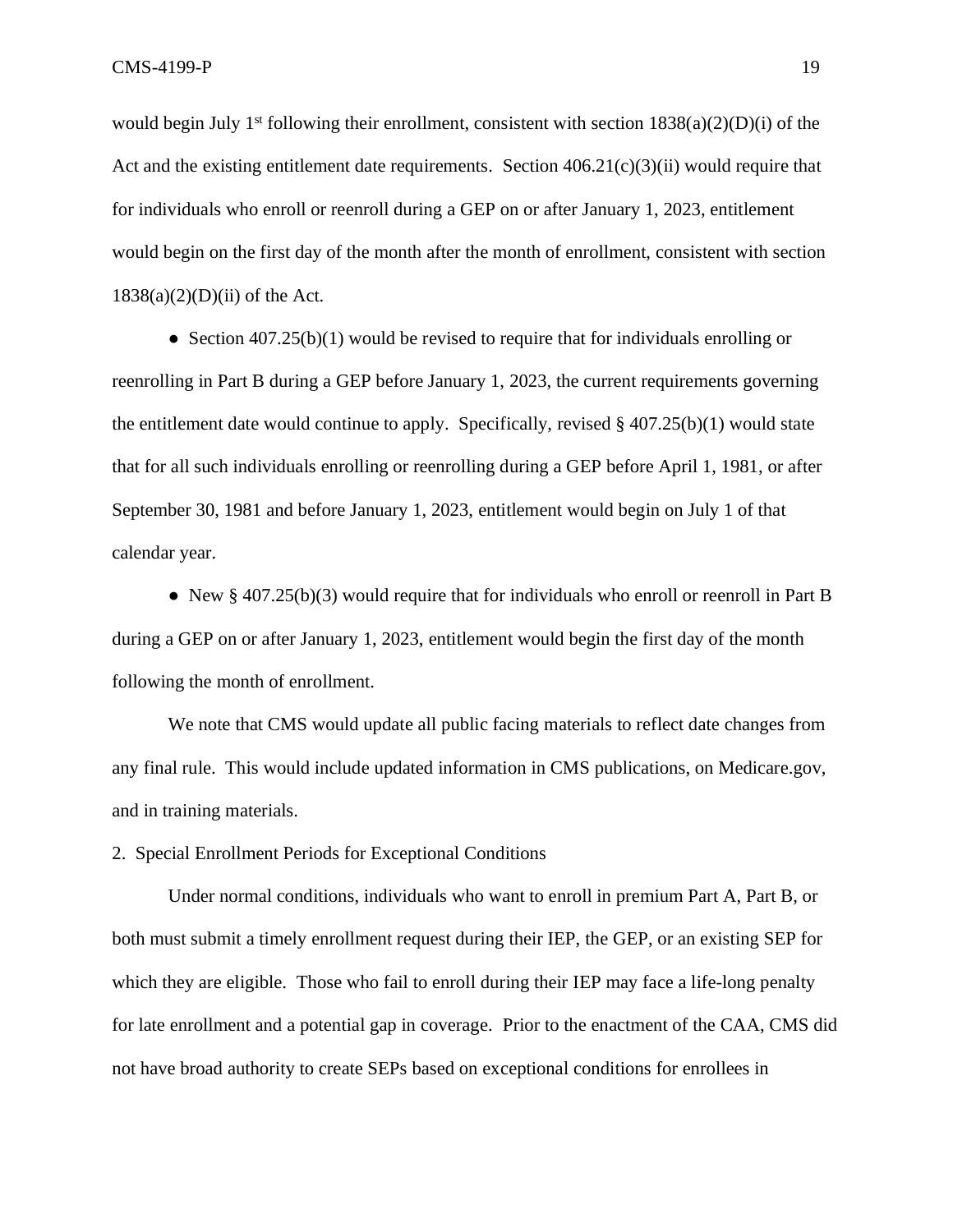would begin July 1<sup>st</sup> following their enrollment, consistent with section  $1838(a)(2)(D)(i)$  of the Act and the existing entitlement date requirements. Section  $406.21(c)(3)(ii)$  would require that for individuals who enroll or reenroll during a GEP on or after January 1, 2023, entitlement would begin on the first day of the month after the month of enrollment, consistent with section  $1838(a)(2)(D)(ii)$  of the Act.

• Section 407.25(b)(1) would be revised to require that for individuals enrolling or reenrolling in Part B during a GEP before January 1, 2023, the current requirements governing the entitlement date would continue to apply. Specifically, revised  $\S$  407.25(b)(1) would state that for all such individuals enrolling or reenrolling during a GEP before April 1, 1981, or after September 30, 1981 and before January 1, 2023, entitlement would begin on July 1 of that calendar year.

• New  $\S$  407.25(b)(3) would require that for individuals who enroll or reenroll in Part B during a GEP on or after January 1, 2023, entitlement would begin the first day of the month following the month of enrollment.

We note that CMS would update all public facing materials to reflect date changes from any final rule. This would include updated information in CMS publications, on Medicare.gov, and in training materials.

2. Special Enrollment Periods for Exceptional Conditions

Under normal conditions, individuals who want to enroll in premium Part A, Part B, or both must submit a timely enrollment request during their IEP, the GEP, or an existing SEP for which they are eligible. Those who fail to enroll during their IEP may face a life-long penalty for late enrollment and a potential gap in coverage. Prior to the enactment of the CAA, CMS did not have broad authority to create SEPs based on exceptional conditions for enrollees in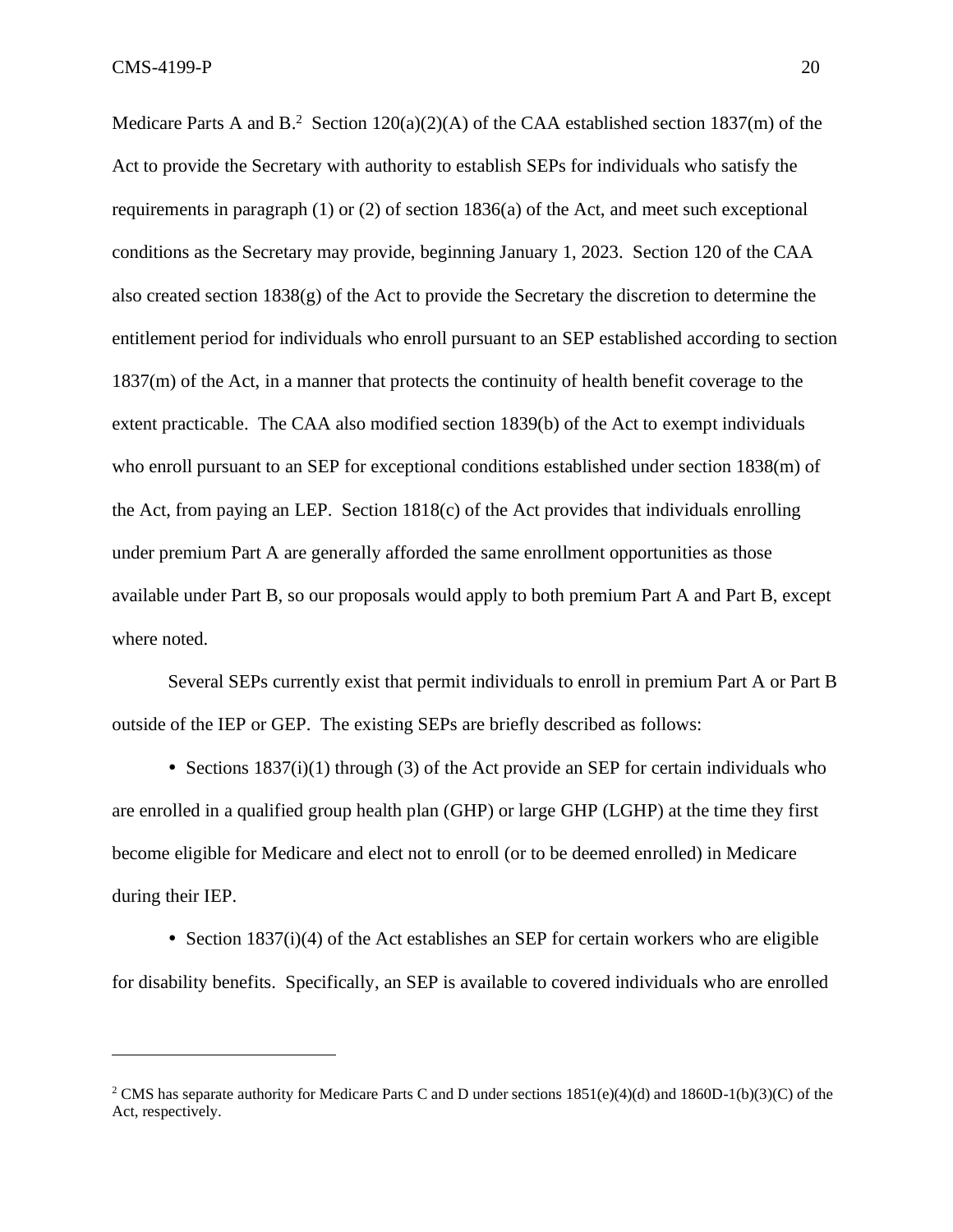Medicare Parts A and B.<sup>2</sup> Section 120(a)(2)(A) of the CAA established section 1837(m) of the Act to provide the Secretary with authority to establish SEPs for individuals who satisfy the requirements in paragraph (1) or (2) of section 1836(a) of the Act, and meet such exceptional conditions as the Secretary may provide, beginning January 1, 2023. Section 120 of the CAA also created section 1838(g) of the Act to provide the Secretary the discretion to determine the entitlement period for individuals who enroll pursuant to an SEP established according to section 1837(m) of the Act, in a manner that protects the continuity of health benefit coverage to the extent practicable. The CAA also modified section 1839(b) of the Act to exempt individuals who enroll pursuant to an SEP for exceptional conditions established under section 1838(m) of the Act, from paying an LEP. Section 1818(c) of the Act provides that individuals enrolling under premium Part A are generally afforded the same enrollment opportunities as those available under Part B, so our proposals would apply to both premium Part A and Part B, except where noted.

Several SEPs currently exist that permit individuals to enroll in premium Part A or Part B outside of the IEP or GEP. The existing SEPs are briefly described as follows:

• Sections  $1837(i)(1)$  through (3) of the Act provide an SEP for certain individuals who are enrolled in a qualified group health plan (GHP) or large GHP (LGHP) at the time they first become eligible for Medicare and elect not to enroll (or to be deemed enrolled) in Medicare during their IEP.

• Section  $1837(i)(4)$  of the Act establishes an SEP for certain workers who are eligible for disability benefits. Specifically, an SEP is available to covered individuals who are enrolled

<sup>&</sup>lt;sup>2</sup> CMS has separate authority for Medicare Parts C and D under sections  $1851(e)(4)(d)$  and  $1860D-1(b)(3)(C)$  of the Act, respectively.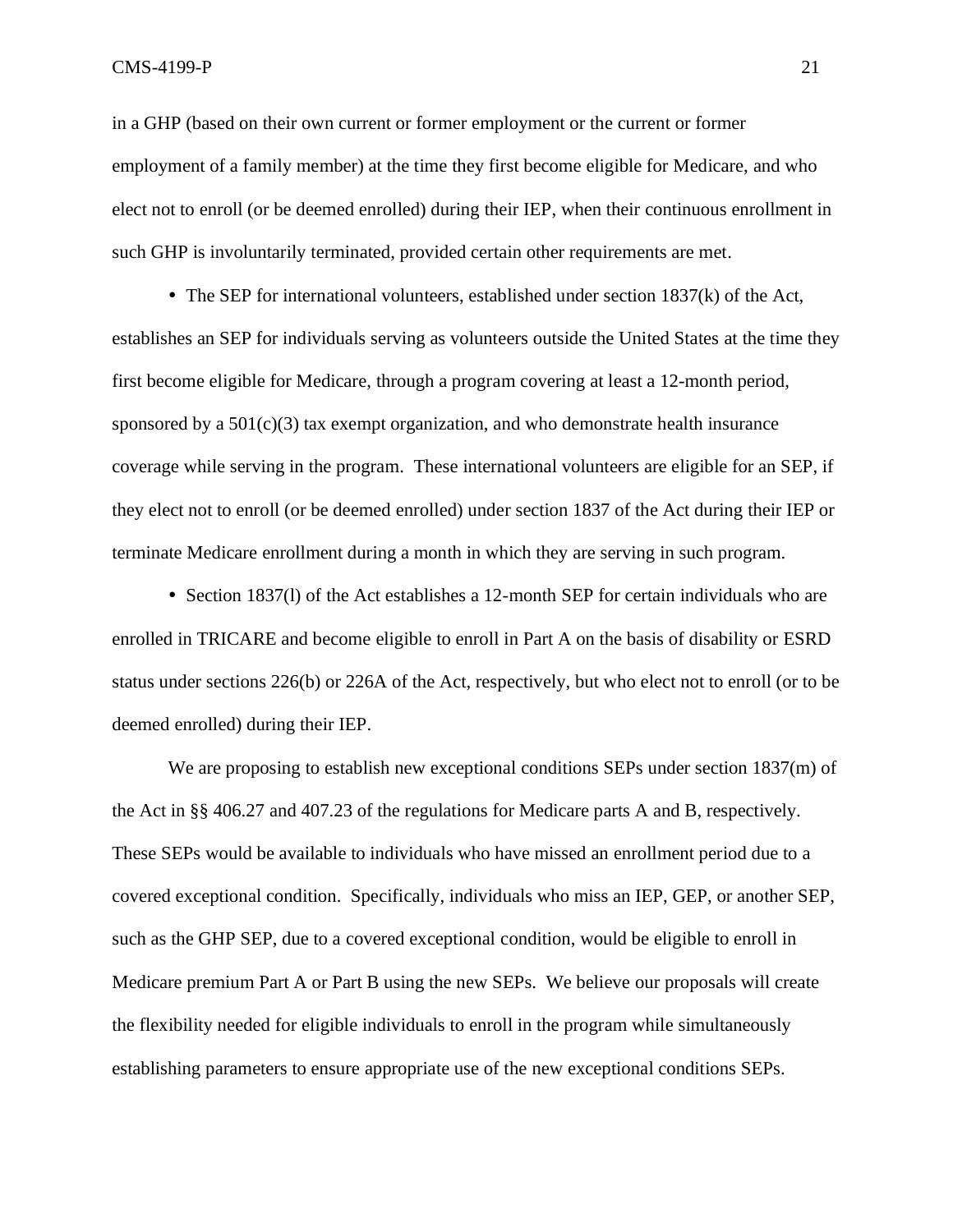in a GHP (based on their own current or former employment or the current or former employment of a family member) at the time they first become eligible for Medicare, and who elect not to enroll (or be deemed enrolled) during their IEP, when their continuous enrollment in such GHP is involuntarily terminated, provided certain other requirements are met.

 $\bullet$  The SEP for international volunteers, established under section 1837(k) of the Act, establishes an SEP for individuals serving as volunteers outside the United States at the time they first become eligible for Medicare, through a program covering at least a 12-month period, sponsored by a  $501(c)(3)$  tax exempt organization, and who demonstrate health insurance coverage while serving in the program. These international volunteers are eligible for an SEP, if they elect not to enroll (or be deemed enrolled) under section 1837 of the Act during their IEP or terminate Medicare enrollment during a month in which they are serving in such program.

• Section 1837(1) of the Act establishes a 12-month SEP for certain individuals who are enrolled in TRICARE and become eligible to enroll in Part A on the basis of disability or ESRD status under sections 226(b) or 226A of the Act, respectively, but who elect not to enroll (or to be deemed enrolled) during their IEP.

We are proposing to establish new exceptional conditions SEPs under section 1837(m) of the Act in §§ 406.27 and 407.23 of the regulations for Medicare parts A and B, respectively. These SEPs would be available to individuals who have missed an enrollment period due to a covered exceptional condition. Specifically, individuals who miss an IEP, GEP, or another SEP, such as the GHP SEP, due to a covered exceptional condition, would be eligible to enroll in Medicare premium Part A or Part B using the new SEPs. We believe our proposals will create the flexibility needed for eligible individuals to enroll in the program while simultaneously establishing parameters to ensure appropriate use of the new exceptional conditions SEPs.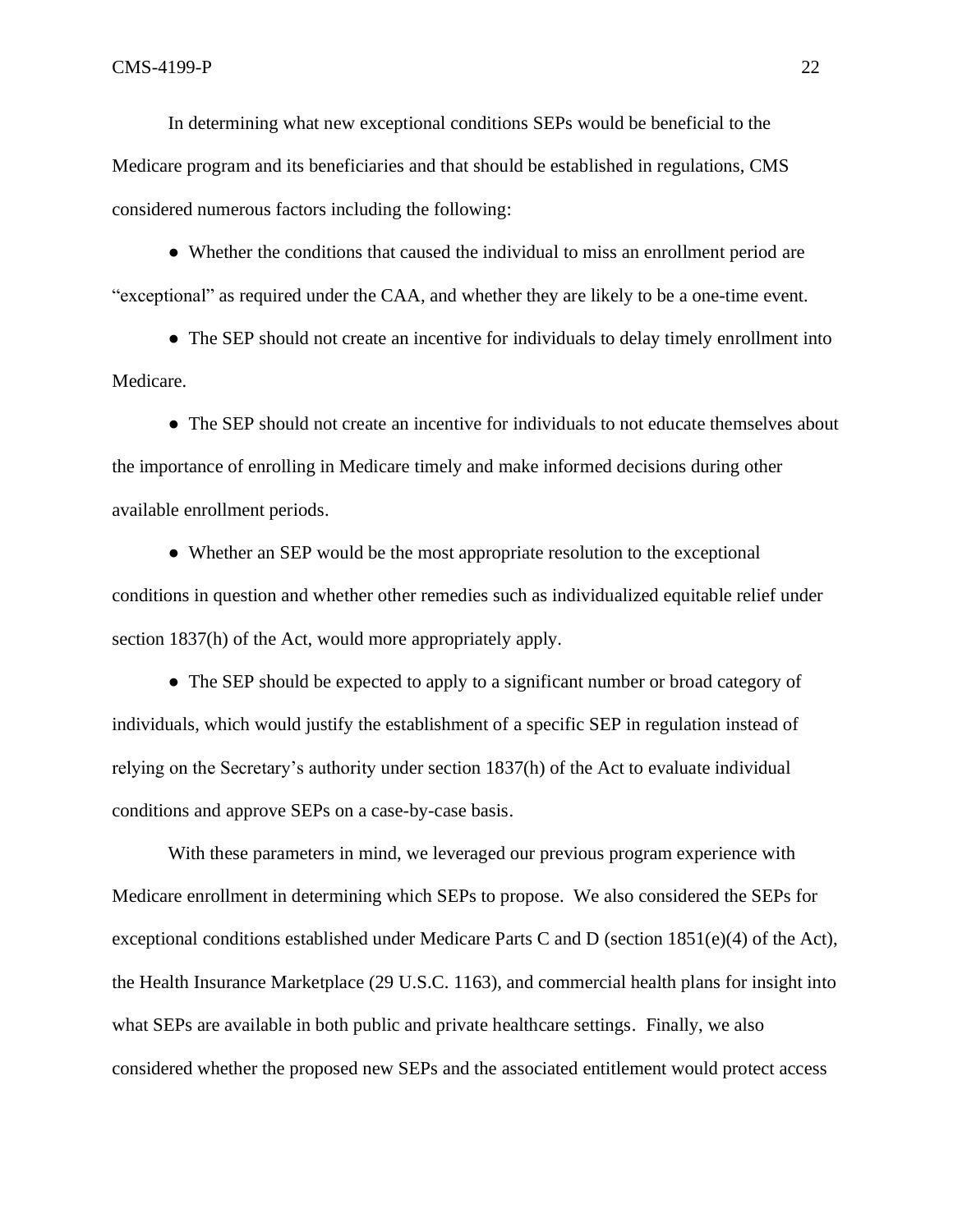In determining what new exceptional conditions SEPs would be beneficial to the Medicare program and its beneficiaries and that should be established in regulations, CMS considered numerous factors including the following:

● Whether the conditions that caused the individual to miss an enrollment period are "exceptional" as required under the CAA, and whether they are likely to be a one-time event.

• The SEP should not create an incentive for individuals to delay timely enrollment into Medicare.

• The SEP should not create an incentive for individuals to not educate themselves about the importance of enrolling in Medicare timely and make informed decisions during other available enrollment periods.

• Whether an SEP would be the most appropriate resolution to the exceptional conditions in question and whether other remedies such as individualized equitable relief under section 1837(h) of the Act, would more appropriately apply.

• The SEP should be expected to apply to a significant number or broad category of individuals, which would justify the establishment of a specific SEP in regulation instead of relying on the Secretary's authority under section 1837(h) of the Act to evaluate individual conditions and approve SEPs on a case-by-case basis.

With these parameters in mind, we leveraged our previous program experience with Medicare enrollment in determining which SEPs to propose. We also considered the SEPs for exceptional conditions established under Medicare Parts C and D (section 1851(e)(4) of the Act), the Health Insurance Marketplace (29 U.S.C. 1163), and commercial health plans for insight into what SEPs are available in both public and private healthcare settings. Finally, we also considered whether the proposed new SEPs and the associated entitlement would protect access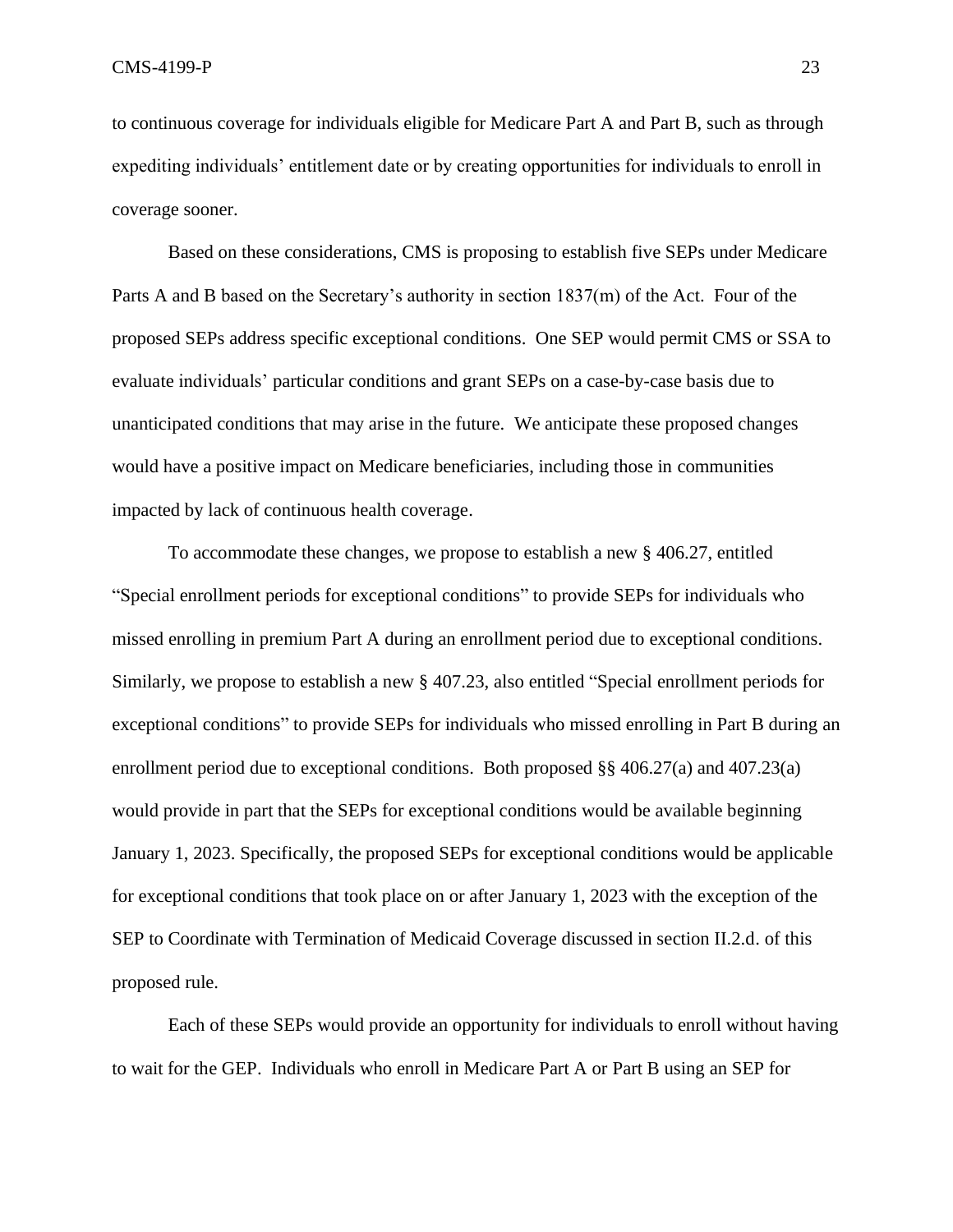to continuous coverage for individuals eligible for Medicare Part A and Part B, such as through expediting individuals' entitlement date or by creating opportunities for individuals to enroll in coverage sooner.

Based on these considerations, CMS is proposing to establish five SEPs under Medicare Parts A and B based on the Secretary's authority in section 1837(m) of the Act. Four of the proposed SEPs address specific exceptional conditions. One SEP would permit CMS or SSA to evaluate individuals' particular conditions and grant SEPs on a case-by-case basis due to unanticipated conditions that may arise in the future. We anticipate these proposed changes would have a positive impact on Medicare beneficiaries, including those in communities impacted by lack of continuous health coverage.

To accommodate these changes, we propose to establish a new § 406.27, entitled "Special enrollment periods for exceptional conditions" to provide SEPs for individuals who missed enrolling in premium Part A during an enrollment period due to exceptional conditions. Similarly, we propose to establish a new § 407.23, also entitled "Special enrollment periods for exceptional conditions" to provide SEPs for individuals who missed enrolling in Part B during an enrollment period due to exceptional conditions. Both proposed §§ 406.27(a) and 407.23(a) would provide in part that the SEPs for exceptional conditions would be available beginning January 1, 2023. Specifically, the proposed SEPs for exceptional conditions would be applicable for exceptional conditions that took place on or after January 1, 2023 with the exception of the SEP to Coordinate with Termination of Medicaid Coverage discussed in section II.2.d. of this proposed rule.

Each of these SEPs would provide an opportunity for individuals to enroll without having to wait for the GEP. Individuals who enroll in Medicare Part A or Part B using an SEP for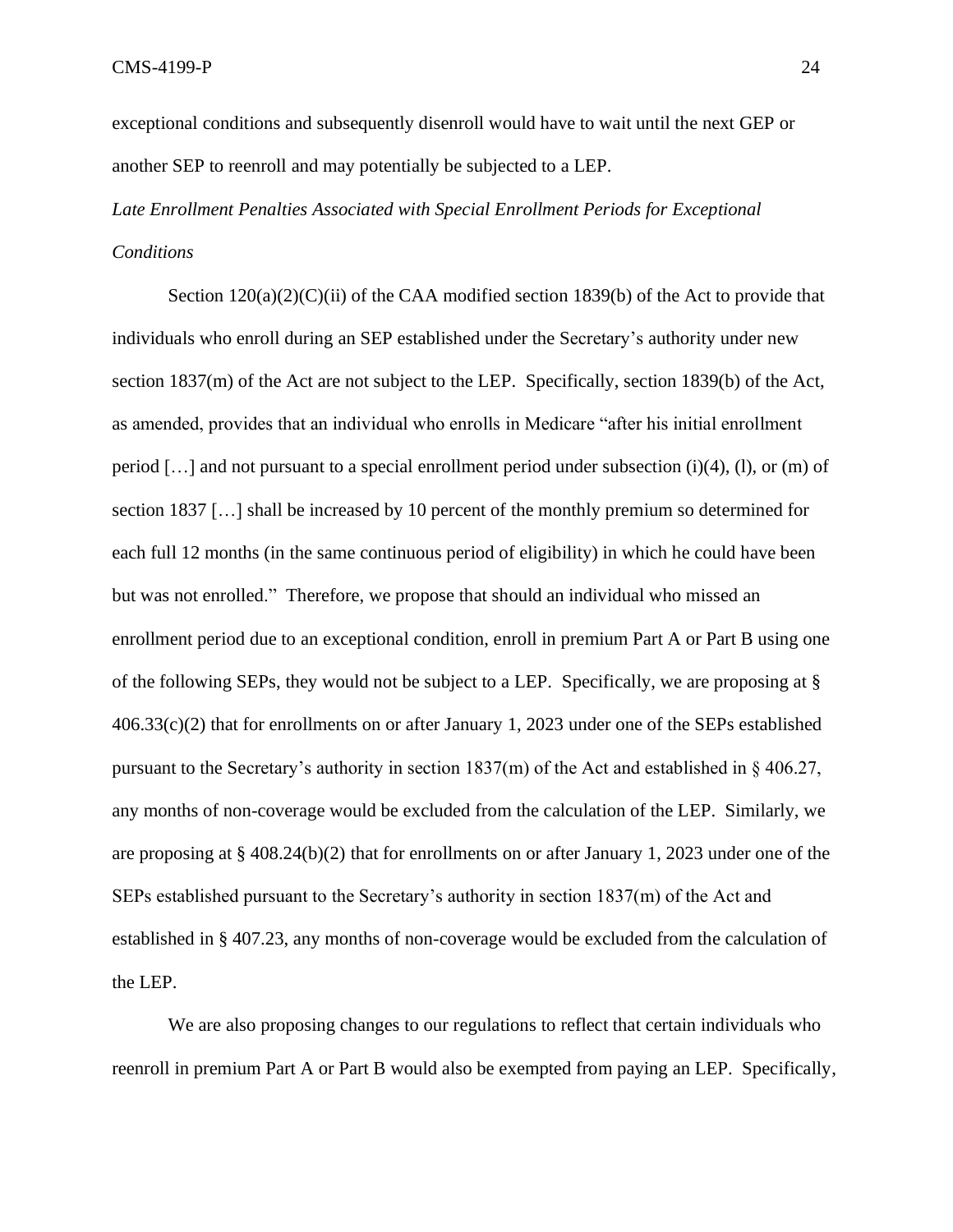exceptional conditions and subsequently disenroll would have to wait until the next GEP or another SEP to reenroll and may potentially be subjected to a LEP.

# *Late Enrollment Penalties Associated with Special Enrollment Periods for Exceptional Conditions*

Section  $120(a)(2)(C)(ii)$  of the CAA modified section 1839(b) of the Act to provide that individuals who enroll during an SEP established under the Secretary's authority under new section 1837(m) of the Act are not subject to the LEP. Specifically, section 1839(b) of the Act, as amended, provides that an individual who enrolls in Medicare "after his initial enrollment period […] and not pursuant to a special enrollment period under subsection (i)(4), (l), or (m) of section 1837 […] shall be increased by 10 percent of the monthly premium so determined for each full 12 months (in the same continuous period of eligibility) in which he could have been but was not enrolled." Therefore, we propose that should an individual who missed an enrollment period due to an exceptional condition, enroll in premium Part A or Part B using one of the following SEPs, they would not be subject to a LEP. Specifically, we are proposing at § 406.33(c)(2) that for enrollments on or after January 1, 2023 under one of the SEPs established pursuant to the Secretary's authority in section  $1837(m)$  of the Act and established in § 406.27, any months of non-coverage would be excluded from the calculation of the LEP. Similarly, we are proposing at § 408.24(b)(2) that for enrollments on or after January 1, 2023 under one of the SEPs established pursuant to the Secretary's authority in section 1837(m) of the Act and established in § 407.23, any months of non-coverage would be excluded from the calculation of the LEP.

We are also proposing changes to our regulations to reflect that certain individuals who reenroll in premium Part A or Part B would also be exempted from paying an LEP. Specifically,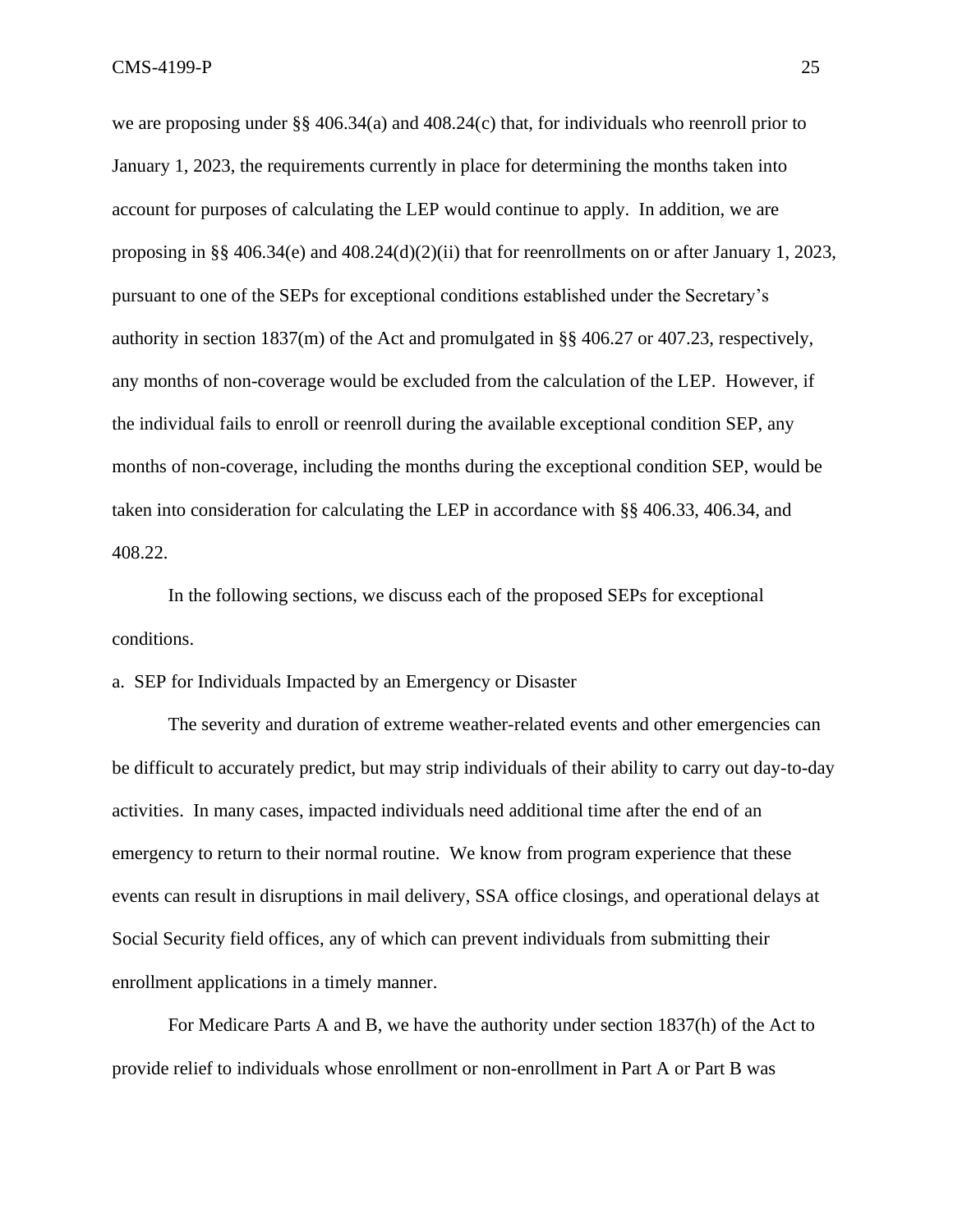we are proposing under §§ 406.34(a) and 408.24(c) that, for individuals who reenroll prior to January 1, 2023, the requirements currently in place for determining the months taken into account for purposes of calculating the LEP would continue to apply. In addition, we are proposing in §§ 406.34(e) and 408.24(d)(2)(ii) that for reenrollments on or after January 1, 2023, pursuant to one of the SEPs for exceptional conditions established under the Secretary's authority in section  $1837$ (m) of the Act and promulgated in §§ 406.27 or 407.23, respectively, any months of non-coverage would be excluded from the calculation of the LEP. However, if the individual fails to enroll or reenroll during the available exceptional condition SEP, any months of non-coverage, including the months during the exceptional condition SEP, would be taken into consideration for calculating the LEP in accordance with §§ 406.33, 406.34, and 408.22.

In the following sections, we discuss each of the proposed SEPs for exceptional conditions.

a. SEP for Individuals Impacted by an Emergency or Disaster

The severity and duration of extreme weather-related events and other emergencies can be difficult to accurately predict, but may strip individuals of their ability to carry out day-to-day activities. In many cases, impacted individuals need additional time after the end of an emergency to return to their normal routine. We know from program experience that these events can result in disruptions in mail delivery, SSA office closings, and operational delays at Social Security field offices, any of which can prevent individuals from submitting their enrollment applications in a timely manner.

For Medicare Parts A and B, we have the authority under section 1837(h) of the Act to provide relief to individuals whose enrollment or non-enrollment in Part A or Part B was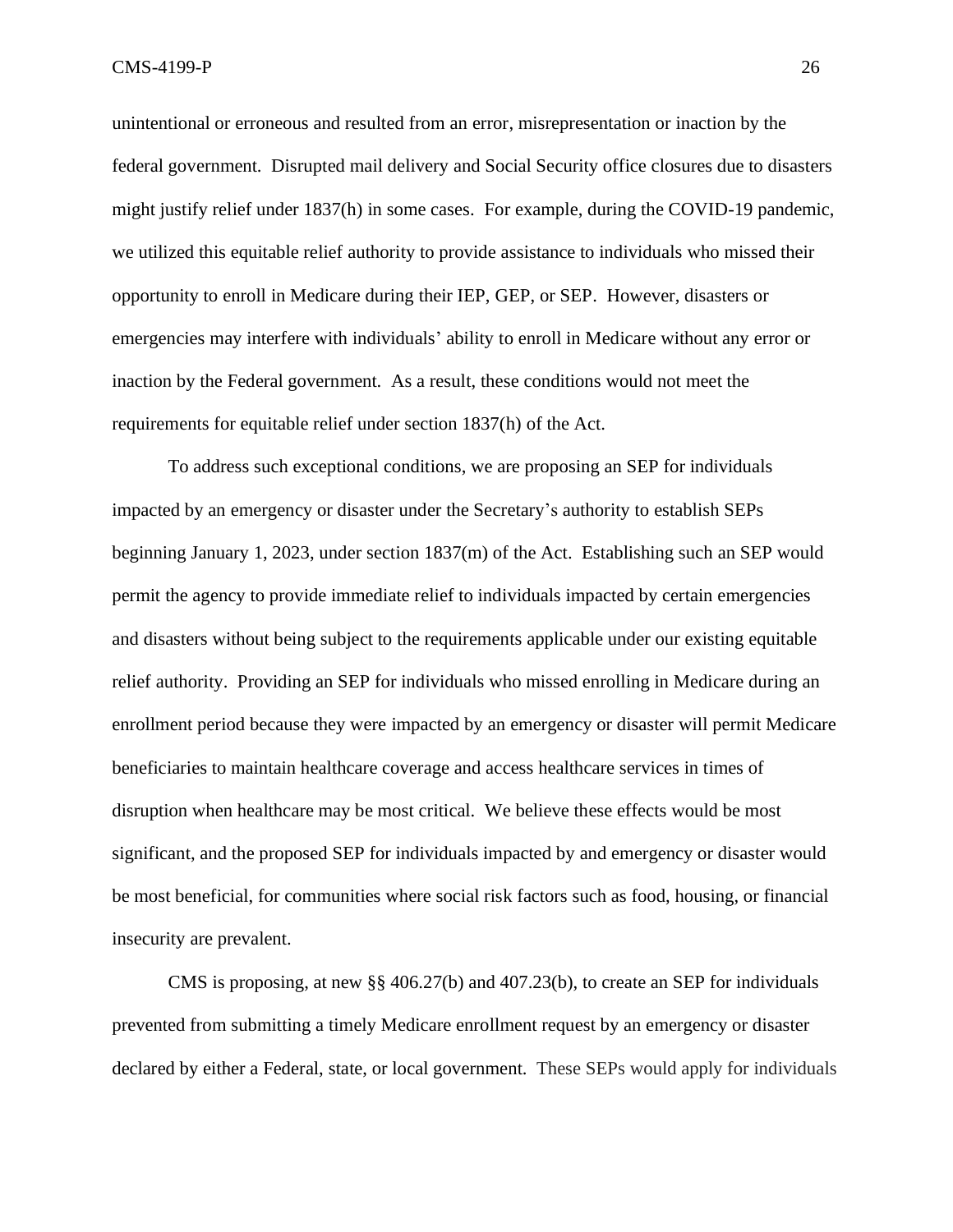unintentional or erroneous and resulted from an error, misrepresentation or inaction by the federal government. Disrupted mail delivery and Social Security office closures due to disasters might justify relief under 1837(h) in some cases. For example, during the COVID-19 pandemic, we utilized this equitable relief authority to provide assistance to individuals who missed their opportunity to enroll in Medicare during their IEP, GEP, or SEP. However, disasters or emergencies may interfere with individuals' ability to enroll in Medicare without any error or inaction by the Federal government. As a result, these conditions would not meet the requirements for equitable relief under section 1837(h) of the Act.

To address such exceptional conditions, we are proposing an SEP for individuals impacted by an emergency or disaster under the Secretary's authority to establish SEPs beginning January 1, 2023, under section 1837(m) of the Act. Establishing such an SEP would permit the agency to provide immediate relief to individuals impacted by certain emergencies and disasters without being subject to the requirements applicable under our existing equitable relief authority. Providing an SEP for individuals who missed enrolling in Medicare during an enrollment period because they were impacted by an emergency or disaster will permit Medicare beneficiaries to maintain healthcare coverage and access healthcare services in times of disruption when healthcare may be most critical. We believe these effects would be most significant, and the proposed SEP for individuals impacted by and emergency or disaster would be most beneficial, for communities where social risk factors such as food, housing, or financial insecurity are prevalent.

CMS is proposing, at new §§ 406.27(b) and 407.23(b), to create an SEP for individuals prevented from submitting a timely Medicare enrollment request by an emergency or disaster declared by either a Federal, state, or local government. These SEPs would apply for individuals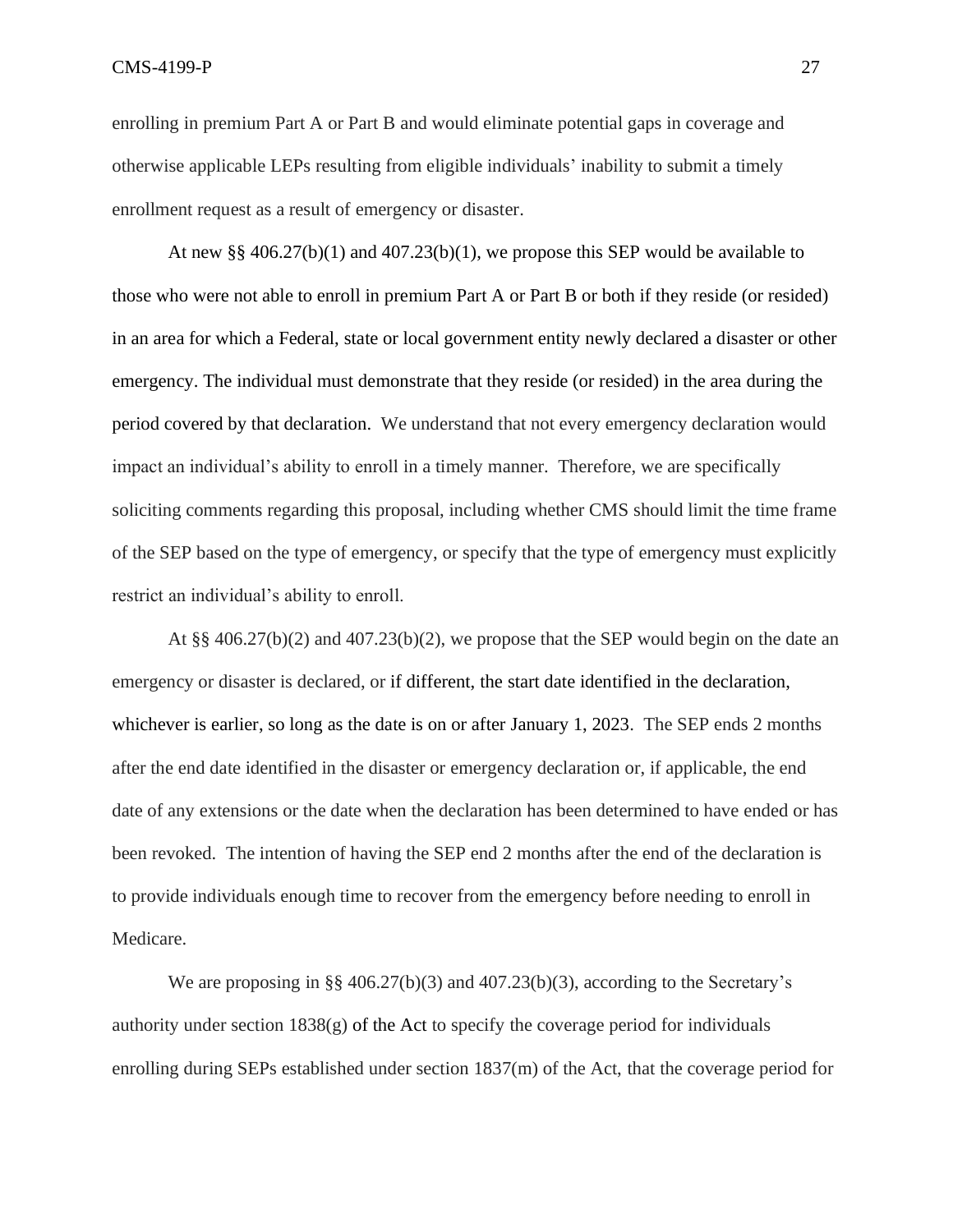enrolling in premium Part A or Part B and would eliminate potential gaps in coverage and otherwise applicable LEPs resulting from eligible individuals' inability to submit a timely enrollment request as a result of emergency or disaster.

At new §§  $406.27(b)(1)$  and  $407.23(b)(1)$ , we propose this SEP would be available to those who were not able to enroll in premium Part A or Part B or both if they reside (or resided) in an area for which a Federal, state or local government entity newly declared a disaster or other emergency. The individual must demonstrate that they reside (or resided) in the area during the period covered by that declaration. We understand that not every emergency declaration would impact an individual's ability to enroll in a timely manner. Therefore, we are specifically soliciting comments regarding this proposal, including whether CMS should limit the time frame of the SEP based on the type of emergency, or specify that the type of emergency must explicitly restrict an individual's ability to enroll.

At  $\S$ § 406.27(b)(2) and 407.23(b)(2), we propose that the SEP would begin on the date an emergency or disaster is declared, or if different, the start date identified in the declaration, whichever is earlier, so long as the date is on or after January 1, 2023. The SEP ends 2 months after the end date identified in the disaster or emergency declaration or, if applicable, the end date of any extensions or the date when the declaration has been determined to have ended or has been revoked. The intention of having the SEP end 2 months after the end of the declaration is to provide individuals enough time to recover from the emergency before needing to enroll in Medicare.

We are proposing in  $\S$  406.27(b)(3) and 407.23(b)(3), according to the Secretary's authority under section 1838(g) of the Act to specify the coverage period for individuals enrolling during SEPs established under section 1837(m) of the Act, that the coverage period for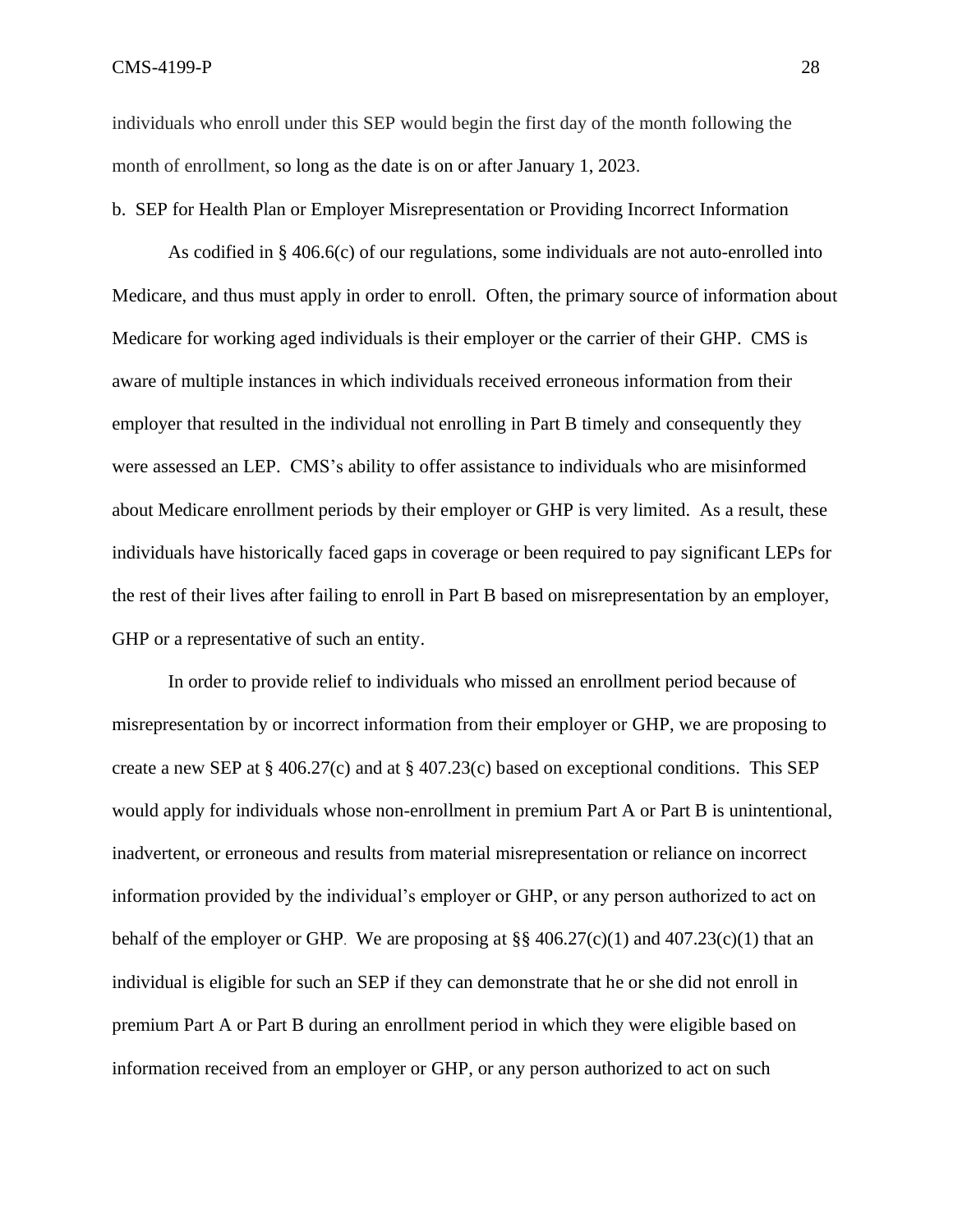individuals who enroll under this SEP would begin the first day of the month following the month of enrollment, so long as the date is on or after January 1, 2023.

b. SEP for Health Plan or Employer Misrepresentation or Providing Incorrect Information

As codified in § 406.6(c) of our regulations, some individuals are not auto-enrolled into Medicare, and thus must apply in order to enroll. Often, the primary source of information about Medicare for working aged individuals is their employer or the carrier of their GHP. CMS is aware of multiple instances in which individuals received erroneous information from their employer that resulted in the individual not enrolling in Part B timely and consequently they were assessed an LEP. CMS's ability to offer assistance to individuals who are misinformed about Medicare enrollment periods by their employer or GHP is very limited. As a result, these individuals have historically faced gaps in coverage or been required to pay significant LEPs for the rest of their lives after failing to enroll in Part B based on misrepresentation by an employer, GHP or a representative of such an entity.

In order to provide relief to individuals who missed an enrollment period because of misrepresentation by or incorrect information from their employer or GHP, we are proposing to create a new SEP at § 406.27(c) and at § 407.23(c) based on exceptional conditions. This SEP would apply for individuals whose non-enrollment in premium Part A or Part B is unintentional, inadvertent, or erroneous and results from material misrepresentation or reliance on incorrect information provided by the individual's employer or GHP, or any person authorized to act on behalf of the employer or GHP. We are proposing at  $\S$  406.27(c)(1) and 407.23(c)(1) that an individual is eligible for such an SEP if they can demonstrate that he or she did not enroll in premium Part A or Part B during an enrollment period in which they were eligible based on information received from an employer or GHP, or any person authorized to act on such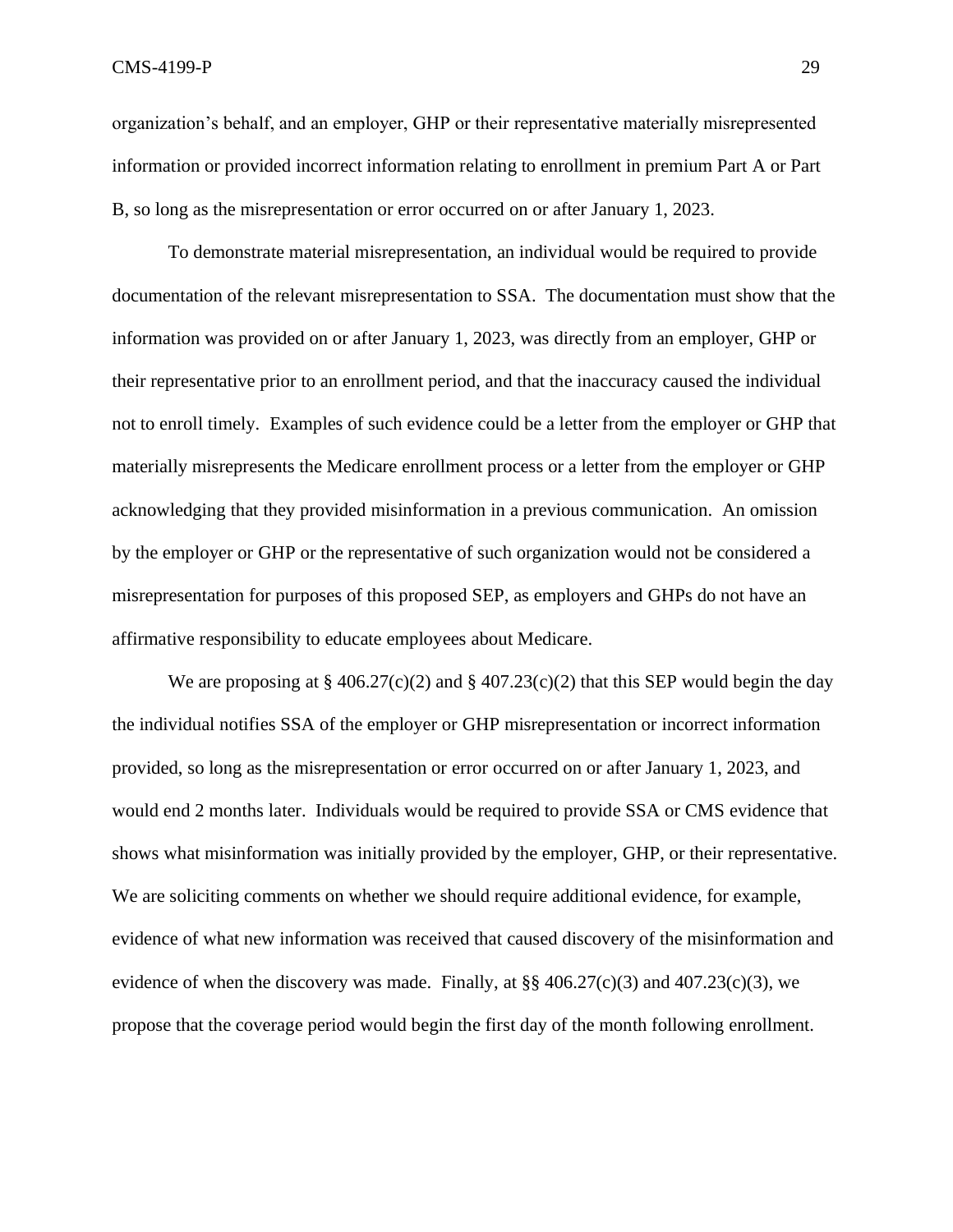organization's behalf, and an employer, GHP or their representative materially misrepresented information or provided incorrect information relating to enrollment in premium Part A or Part B, so long as the misrepresentation or error occurred on or after January 1, 2023.

To demonstrate material misrepresentation, an individual would be required to provide documentation of the relevant misrepresentation to SSA. The documentation must show that the information was provided on or after January 1, 2023, was directly from an employer, GHP or their representative prior to an enrollment period, and that the inaccuracy caused the individual not to enroll timely. Examples of such evidence could be a letter from the employer or GHP that materially misrepresents the Medicare enrollment process or a letter from the employer or GHP acknowledging that they provided misinformation in a previous communication. An omission by the employer or GHP or the representative of such organization would not be considered a misrepresentation for purposes of this proposed SEP, as employers and GHPs do not have an affirmative responsibility to educate employees about Medicare.

We are proposing at  $\S 406.27(c)(2)$  and  $\S 407.23(c)(2)$  that this SEP would begin the day the individual notifies SSA of the employer or GHP misrepresentation or incorrect information provided, so long as the misrepresentation or error occurred on or after January 1, 2023, and would end 2 months later. Individuals would be required to provide SSA or CMS evidence that shows what misinformation was initially provided by the employer, GHP, or their representative. We are soliciting comments on whether we should require additional evidence, for example, evidence of what new information was received that caused discovery of the misinformation and evidence of when the discovery was made. Finally, at  $\S$ § 406.27(c)(3) and 407.23(c)(3), we propose that the coverage period would begin the first day of the month following enrollment.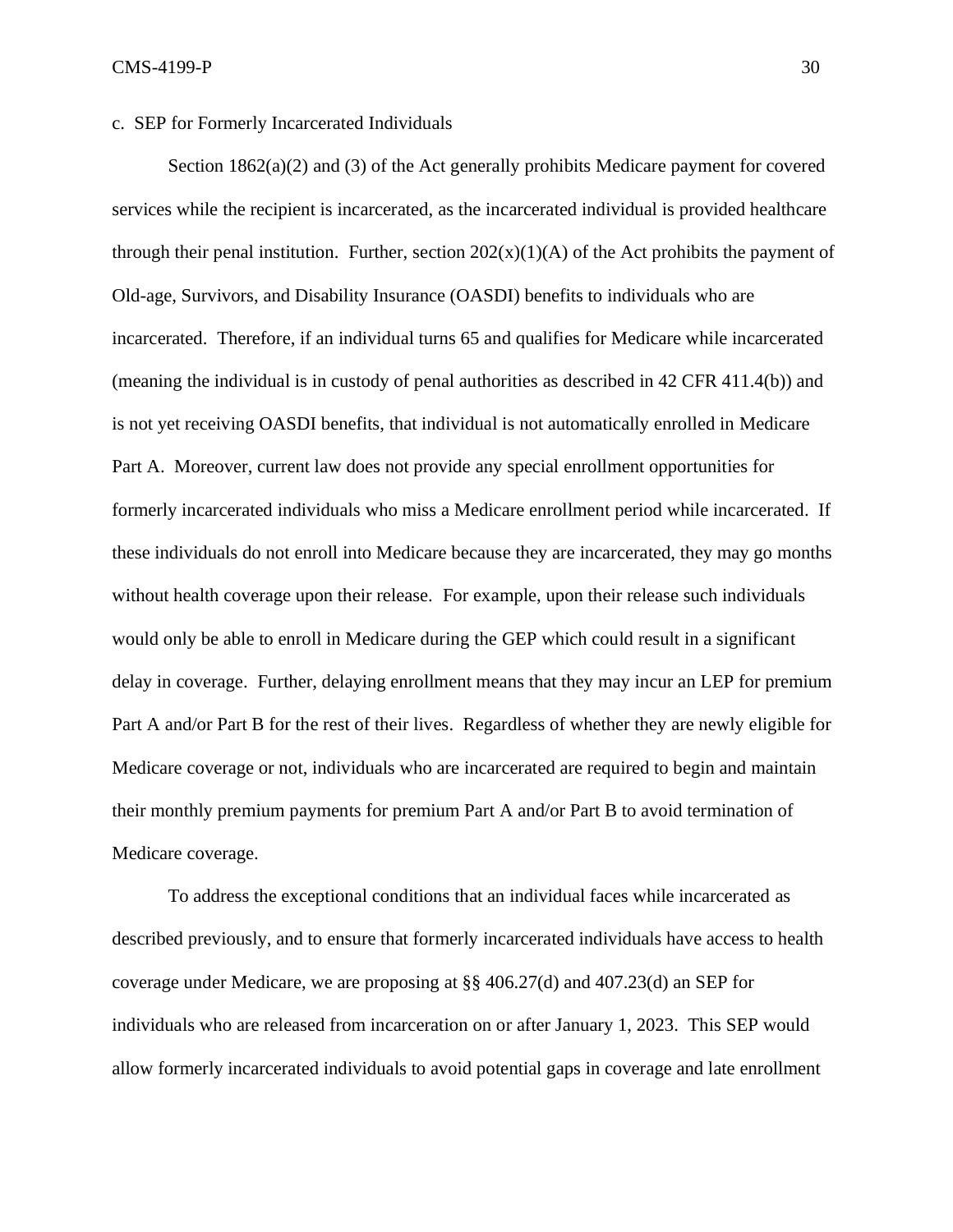#### c. SEP for Formerly Incarcerated Individuals

Section  $1862(a)(2)$  and (3) of the Act generally prohibits Medicare payment for covered services while the recipient is incarcerated, as the incarcerated individual is provided healthcare through their penal institution. Further, section  $202(x)(1)(A)$  of the Act prohibits the payment of Old-age, Survivors, and Disability Insurance (OASDI) benefits to individuals who are incarcerated. Therefore, if an individual turns 65 and qualifies for Medicare while incarcerated (meaning the individual is in custody of penal authorities as described in 42 CFR 411.4(b)) and is not yet receiving OASDI benefits, that individual is not automatically enrolled in Medicare Part A.Moreover, current law does not provide any special enrollment opportunities for formerly incarcerated individuals who miss a Medicare enrollment period while incarcerated. If these individuals do not enroll into Medicare because they are incarcerated, they may go months without health coverage upon their release. For example, upon their release such individuals would only be able to enroll in Medicare during the GEP which could result in a significant delay in coverage. Further, delaying enrollment means that they may incur an LEP for premium Part A and/or Part B for the rest of their lives. Regardless of whether they are newly eligible for Medicare coverage or not, individuals who are incarcerated are required to begin and maintain their monthly premium payments for premium Part A and/or Part B to avoid termination of Medicare coverage.

To address the exceptional conditions that an individual faces while incarcerated as described previously, and to ensure that formerly incarcerated individuals have access to health coverage under Medicare, we are proposing at §§ 406.27(d) and 407.23(d) an SEP for individuals who are released from incarceration on or after January 1, 2023. This SEP would allow formerly incarcerated individuals to avoid potential gaps in coverage and late enrollment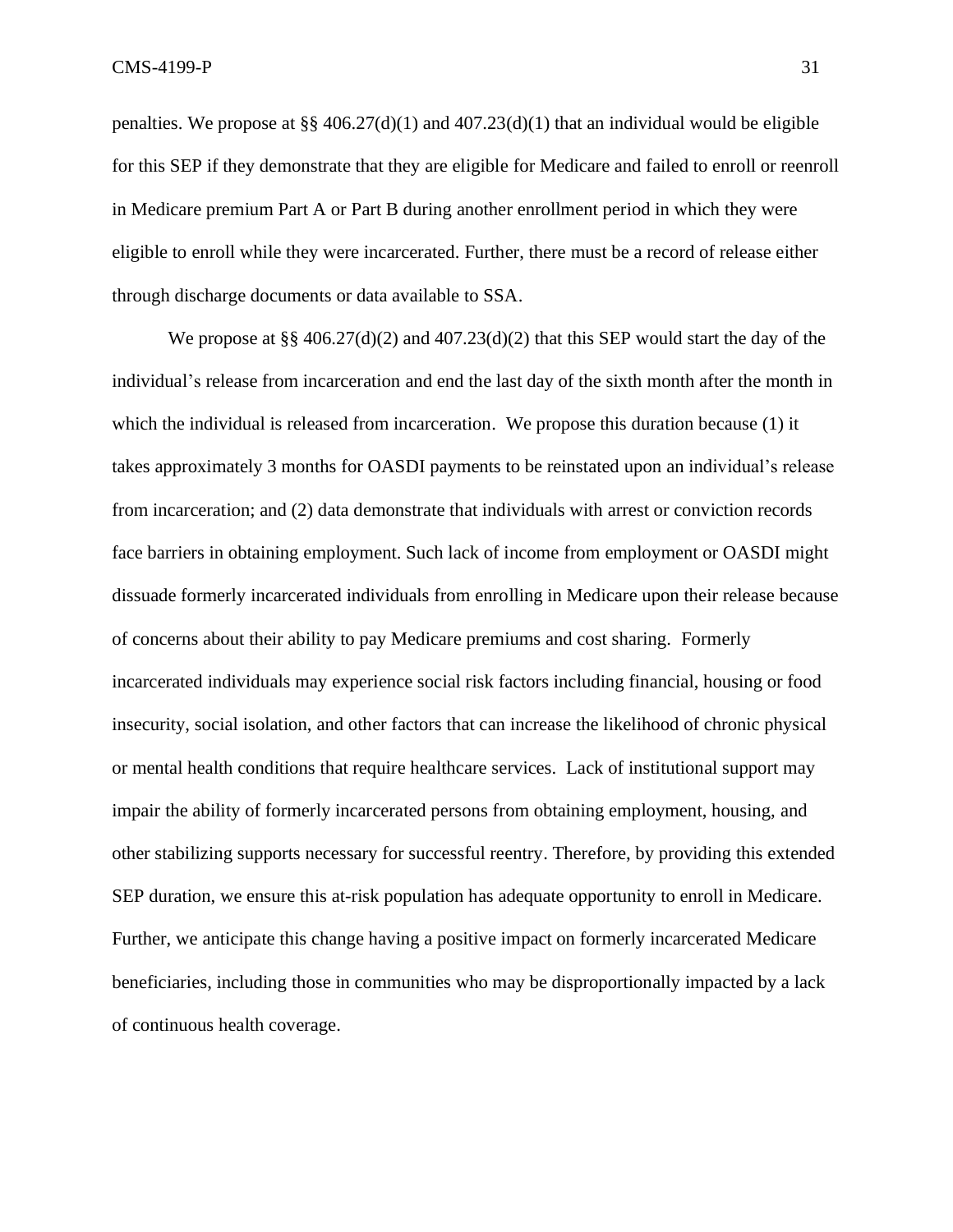penalties. We propose at §§ 406.27(d)(1) and 407.23(d)(1) that an individual would be eligible for this SEP if they demonstrate that they are eligible for Medicare and failed to enroll or reenroll in Medicare premium Part A or Part B during another enrollment period in which they were eligible to enroll while they were incarcerated. Further, there must be a record of release either through discharge documents or data available to SSA.

We propose at §§ 406.27(d)(2) and 407.23(d)(2) that this SEP would start the day of the individual's release from incarceration and end the last day of the sixth month after the month in which the individual is released from incarceration. We propose this duration because (1) it takes approximately 3 months for OASDI payments to be reinstated upon an individual's release from incarceration; and (2) data demonstrate that individuals with arrest or conviction records face barriers in obtaining employment. Such lack of income from employment or OASDI might dissuade formerly incarcerated individuals from enrolling in Medicare upon their release because of concerns about their ability to pay Medicare premiums and cost sharing. Formerly incarcerated individuals may experience social risk factors including financial, housing or food insecurity, social isolation, and other factors that can increase the likelihood of chronic physical or mental health conditions that require healthcare services. Lack of institutional support may impair the ability of formerly incarcerated persons from obtaining employment, housing, and other stabilizing supports necessary for successful reentry. Therefore, by providing this extended SEP duration, we ensure this at-risk population has adequate opportunity to enroll in Medicare. Further, we anticipate this change having a positive impact on formerly incarcerated Medicare beneficiaries, including those in communities who may be disproportionally impacted by a lack of continuous health coverage.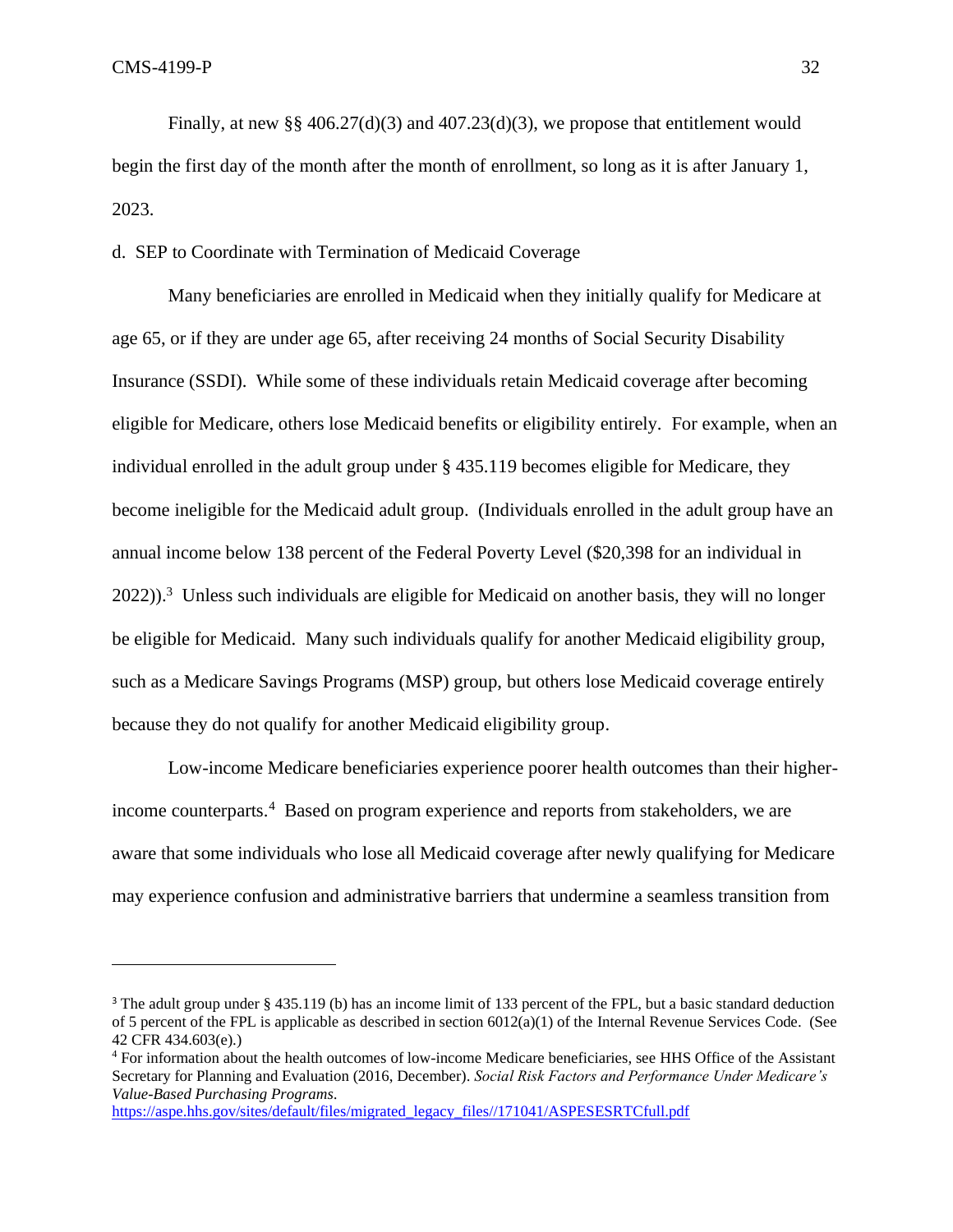Finally, at new §§ 406.27(d)(3) and 407.23(d)(3), we propose that entitlement would begin the first day of the month after the month of enrollment, so long as it is after January 1, 2023.

## d. SEP to Coordinate with Termination of Medicaid Coverage

Many beneficiaries are enrolled in Medicaid when they initially qualify for Medicare at age 65, or if they are under age 65, after receiving 24 months of Social Security Disability Insurance (SSDI). While some of these individuals retain Medicaid coverage after becoming eligible for Medicare, others lose Medicaid benefits or eligibility entirely. For example, when an individual enrolled in the adult group under § 435.119 becomes eligible for Medicare, they become ineligible for the Medicaid adult group. (Individuals enrolled in the adult group have an annual income below 138 percent of the Federal Poverty Level (\$20,398 for an individual in  $2022$ )).<sup>3</sup> Unless such individuals are eligible for Medicaid on another basis, they will no longer be eligible for Medicaid. Many such individuals qualify for another Medicaid eligibility group, such as a Medicare Savings Programs (MSP) group, but others lose Medicaid coverage entirely because they do not qualify for another Medicaid eligibility group.

Low-income Medicare beneficiaries experience poorer health outcomes than their higherincome counterparts.<sup>4</sup> Based on program experience and reports from stakeholders, we are aware that some individuals who lose all Medicaid coverage after newly qualifying for Medicare may experience confusion and administrative barriers that undermine a seamless transition from

[https://aspe.hhs.gov/sites/default/files/migrated\\_legacy\\_files//171041/ASPESESRTCfull.pdf](https://aspe.hhs.gov/sites/default/files/migrated_legacy_files/171041/ASPESESRTCfull.pdf)

<sup>&</sup>lt;sup>3</sup> The adult group under § 435.119 (b) has an income limit of 133 percent of the FPL, but a basic standard deduction of 5 percent of the FPL is applicable as described in section  $6012(a)(1)$  of the Internal Revenue Services [Code.](https://www.law.cornell.edu/definitions/index.php?width=840&height=800&iframe=true&def_id=02798babeecc1bb2376d2dd50e4039ee&term_occur=999&term_src=Title:42:Chapter:IV:Subchapter:C:Part:435:Subpart:G:435.603) (See 42 CFR 434.603(e).)

<sup>4</sup> For information about the health outcomes of low-income Medicare beneficiaries, see HHS Office of the Assistant Secretary for Planning and Evaluation (2016, December). *Social Risk Factors and Performance Under Medicare's Value-Based Purchasing Programs.*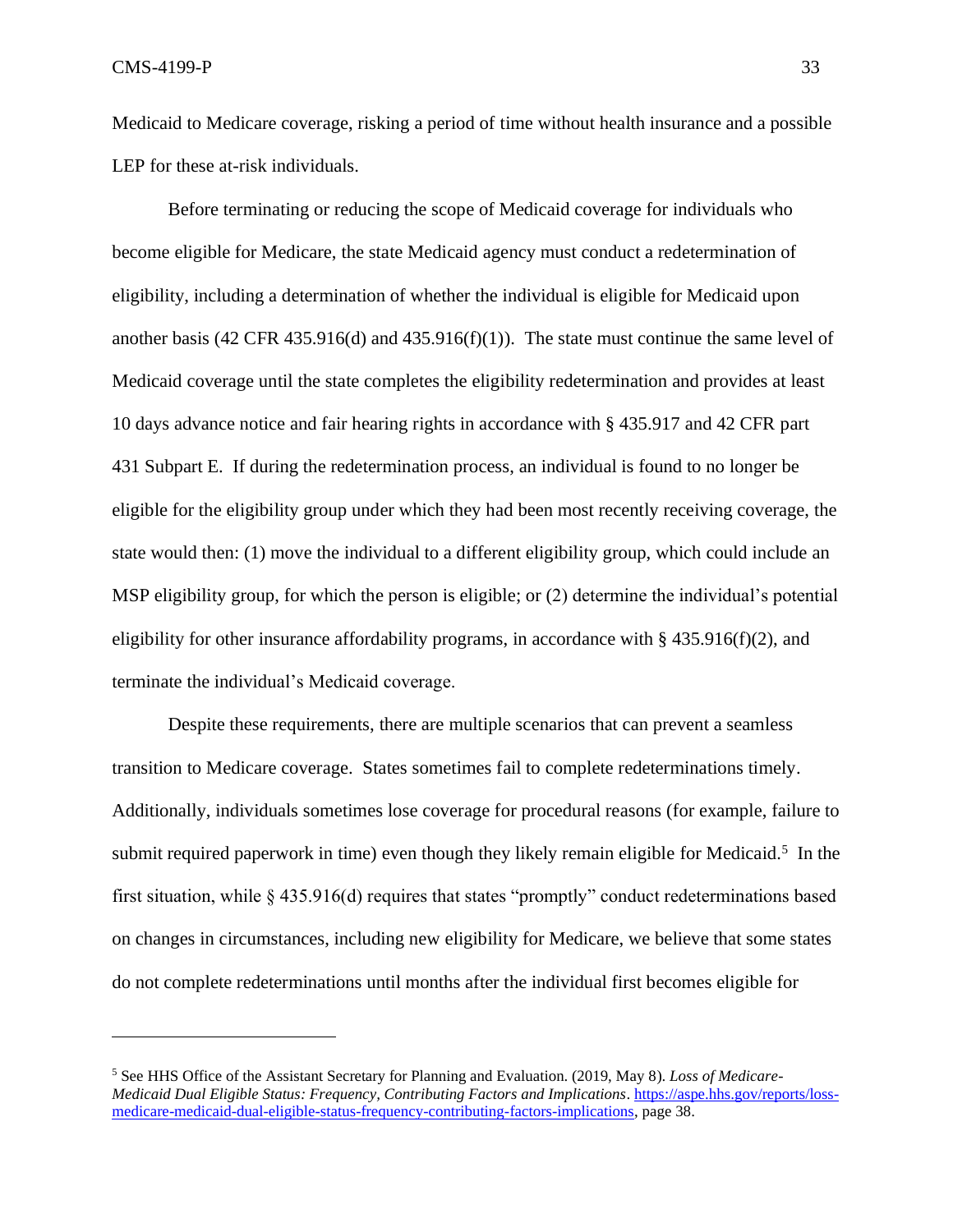Medicaid to Medicare coverage, risking a period of time without health insurance and a possible LEP for these at-risk individuals.

Before terminating or reducing the scope of Medicaid coverage for individuals who become eligible for Medicare, the state Medicaid agency must conduct a redetermination of eligibility, including a determination of whether the individual is eligible for Medicaid upon another basis (42 CFR 435.916(d) and 435.916(f)(1)). The state must continue the same level of Medicaid coverage until the state completes the eligibility redetermination and provides at least 10 days advance notice and fair hearing rights in accordance with § 435.917 and 42 CFR part 431 Subpart E. If during the redetermination process, an individual is found to no longer be eligible for the eligibility group under which they had been most recently receiving coverage, the state would then: (1) move the individual to a different eligibility group, which could include an MSP eligibility group, for which the person is eligible; or (2) determine the individual's potential eligibility for other insurance affordability programs, in accordance with  $\S$  435.916(f)(2), and terminate the individual's Medicaid coverage.

Despite these requirements, there are multiple scenarios that can prevent a seamless transition to Medicare coverage. States sometimes fail to complete redeterminations timely. Additionally, individuals sometimes lose coverage for procedural reasons (for example, failure to submit required paperwork in time) even though they likely remain eligible for Medicaid.<sup>5</sup> In the first situation, while § 435.916(d) requires that states "promptly" conduct redeterminations based on changes in circumstances, including new eligibility for Medicare, we believe that some states do not complete redeterminations until months after the individual first becomes eligible for

<sup>5</sup> See HHS Office of the Assistant Secretary for Planning and Evaluation. (2019, May 8). *Loss of Medicare-Medicaid Dual Eligible Status: Frequency, Contributing Factors and Implications*. [https://aspe.hhs.gov/reports/loss](https://aspe.hhs.gov/reports/loss-medicare-medicaid-dual-eligible-status-frequency-contributing-factors-implications)[medicare-medicaid-dual-eligible-status-frequency-contributing-factors-implications,](https://aspe.hhs.gov/reports/loss-medicare-medicaid-dual-eligible-status-frequency-contributing-factors-implications) page 38.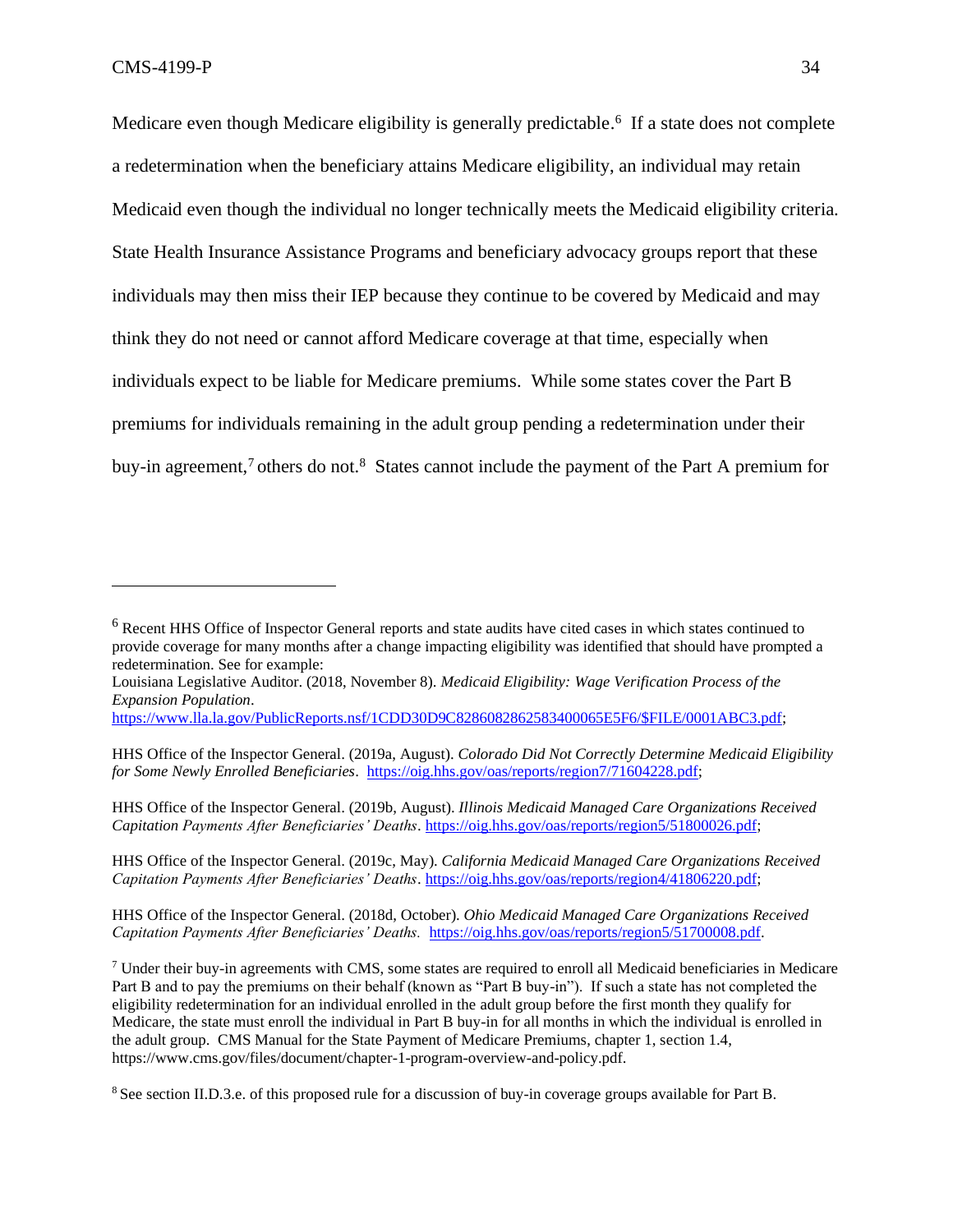Medicare even though Medicare eligibility is generally predictable.<sup>6</sup> If a state does not complete a redetermination when the beneficiary attains Medicare eligibility, an individual may retain Medicaid even though the individual no longer technically meets the Medicaid eligibility criteria. State Health Insurance Assistance Programs and beneficiary advocacy groups report that these individuals may then miss their IEP because they continue to be covered by Medicaid and may think they do not need or cannot afford Medicare coverage at that time, especially when individuals expect to be liable for Medicare premiums. While some states cover the Part B premiums for individuals remaining in the adult group pending a redetermination under their buy-in agreement,<sup>7</sup> others do not.<sup>8</sup> States cannot include the payment of the Part A premium for

HHS Office of the Inspector General. (2019b, August). *Illinois Medicaid Managed Care Organizations Received Capitation Payments After Beneficiaries' Deaths*. [https://oig.hhs.gov/oas/reports/region5/51800026.pdf;](https://oig.hhs.gov/oas/reports/region5/51800026.pdf)

HHS Office of the Inspector General. (2019c, May). *California Medicaid Managed Care Organizations Received Capitation Payments After Beneficiaries' Deaths*. [https://oig.hhs.gov/oas/reports/region4/41806220.pdf;](https://oig.hhs.gov/oas/reports/region4/41806220.pdf)

HHS Office of the Inspector General. (2018d, October). *Ohio Medicaid Managed Care Organizations Received Capitation Payments After Beneficiaries' Deaths.* [https://oig.hhs.gov/oas/reports/region5/51700008.pdf.](https://oig.hhs.gov/oas/reports/region5/51700008.pdf)

<sup>6</sup> Recent HHS Office of Inspector General reports and state audits have cited cases in which states continued to provide coverage for many months after a change impacting eligibility was identified that should have prompted a redetermination. See for example:

Louisiana Legislative Auditor. (2018, November 8). *Medicaid Eligibility: Wage Verification Process of the Expansion Population*.

[https://www.lla.la.gov/PublicReports.nsf/1CDD30D9C8286082862583400065E5F6/\\$FILE/0001ABC3.pdf;](https://www.lla.la.gov/PublicReports.nsf/1CDD30D9C8286082862583400065E5F6/$FILE/0001ABC3.pdf)

HHS Office of the Inspector General. (2019a, August). *Colorado Did Not Correctly Determine Medicaid Eligibility for Some Newly Enrolled Beneficiaries*. [https://oig.hhs.gov/oas/reports/region7/71604228.pdf;](https://oig.hhs.gov/oas/reports/region7/71604228.pdf)

<sup>7</sup> Under their buy-in agreements with CMS, some states are required to enroll all Medicaid beneficiaries in Medicare Part B and to pay the premiums on their behalf (known as "Part B buy-in"). If such a state has not completed the eligibility redetermination for an individual enrolled in the adult group before the first month they qualify for Medicare, the state must enroll the individual in Part B buy-in for all months in which the individual is enrolled in the adult group. CMS Manual for the State Payment of Medicare Premiums, chapter 1, section 1.4, [https://www.cms.gov/files/document/chapter-1-program-overview-and-policy.pdf.](https://www.cms.gov/files/document/chapter-1-program-overview-and-policy.pdf)

<sup>&</sup>lt;sup>8</sup> See section II.D.3.e. of this proposed rule for a discussion of buy-in coverage groups available for Part B.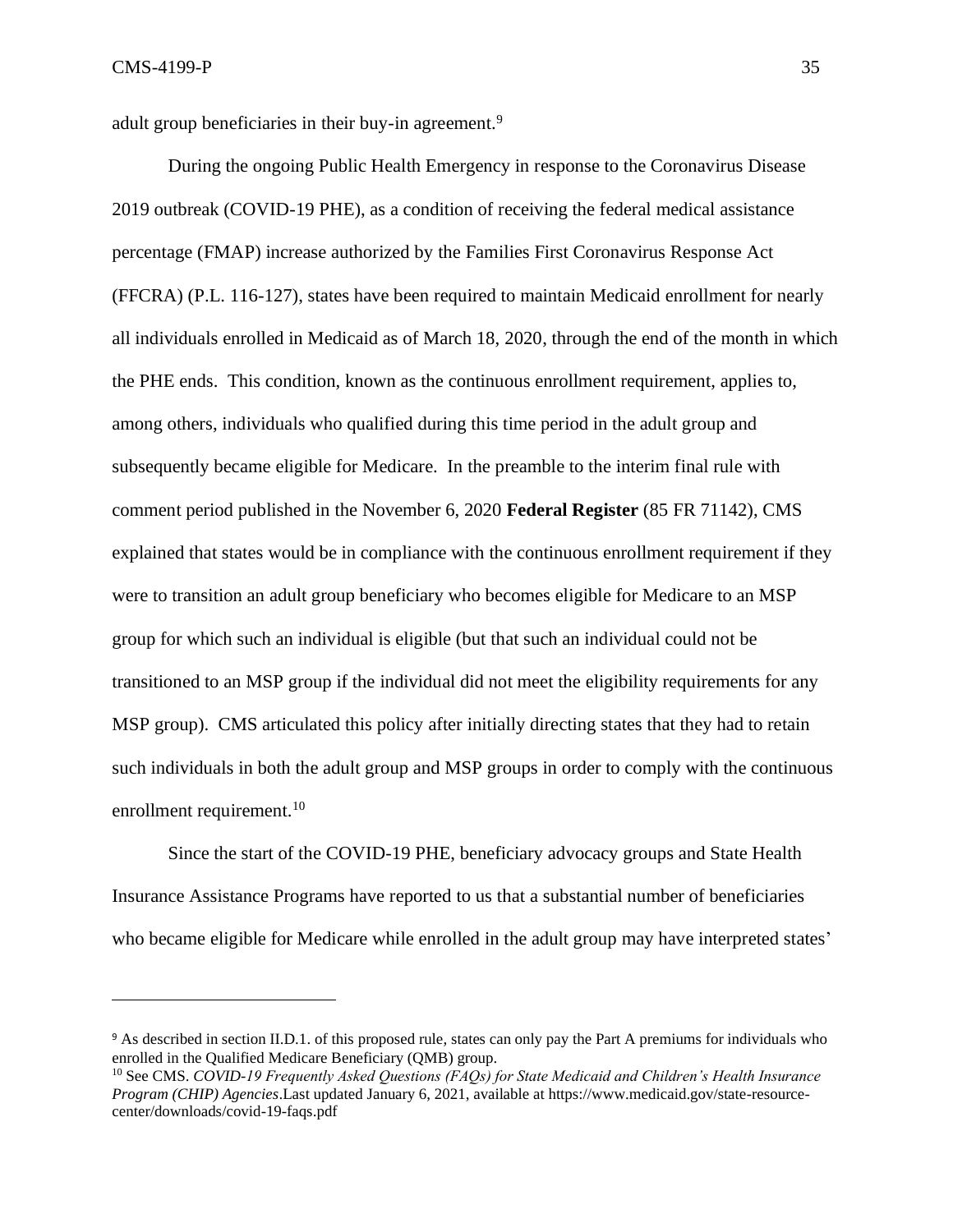adult group beneficiaries in their buy-in agreement.<sup>9</sup>

During the ongoing Public Health Emergency in response to the Coronavirus Disease 2019 outbreak (COVID-19 PHE), as a condition of receiving the federal medical assistance percentage (FMAP) increase authorized by the Families First Coronavirus Response Act (FFCRA) (P.L. 116-127), states have been required to maintain Medicaid enrollment for nearly all individuals enrolled in Medicaid as of March 18, 2020, through the end of the month in which the PHE ends. This condition, known as the continuous enrollment requirement, applies to, among others, individuals who qualified during this time period in the adult group and subsequently became eligible for Medicare. In the preamble to the interim final rule with comment period published in the November 6, 2020 **Federal Register** (85 FR 71142), CMS explained that states would be in compliance with the continuous enrollment requirement if they were to transition an adult group beneficiary who becomes eligible for Medicare to an MSP group for which such an individual is eligible (but that such an individual could not be transitioned to an MSP group if the individual did not meet the eligibility requirements for any MSP group). CMS articulated this policy after initially directing states that they had to retain such individuals in both the adult group and MSP groups in order to comply with the continuous enrollment requirement.<sup>10</sup>

Since the start of the COVID-19 PHE, beneficiary advocacy groups and State Health Insurance Assistance Programs have reported to us that a substantial number of beneficiaries who became eligible for Medicare while enrolled in the adult group may have interpreted states'

<sup>9</sup> As described in section II.D.1. of this proposed rule, states can only pay the Part A premiums for individuals who enrolled in the Qualified Medicare Beneficiary (QMB) group.

<sup>10</sup> See CMS. *COVID-19 Frequently Asked Questions (FAQs) for State Medicaid and Children's Health Insurance Program (CHIP) Agencies*.Last updated January 6, 2021, available at https://www.medicaid.gov/state-resourcecenter/downloads/covid-19-faqs.pdf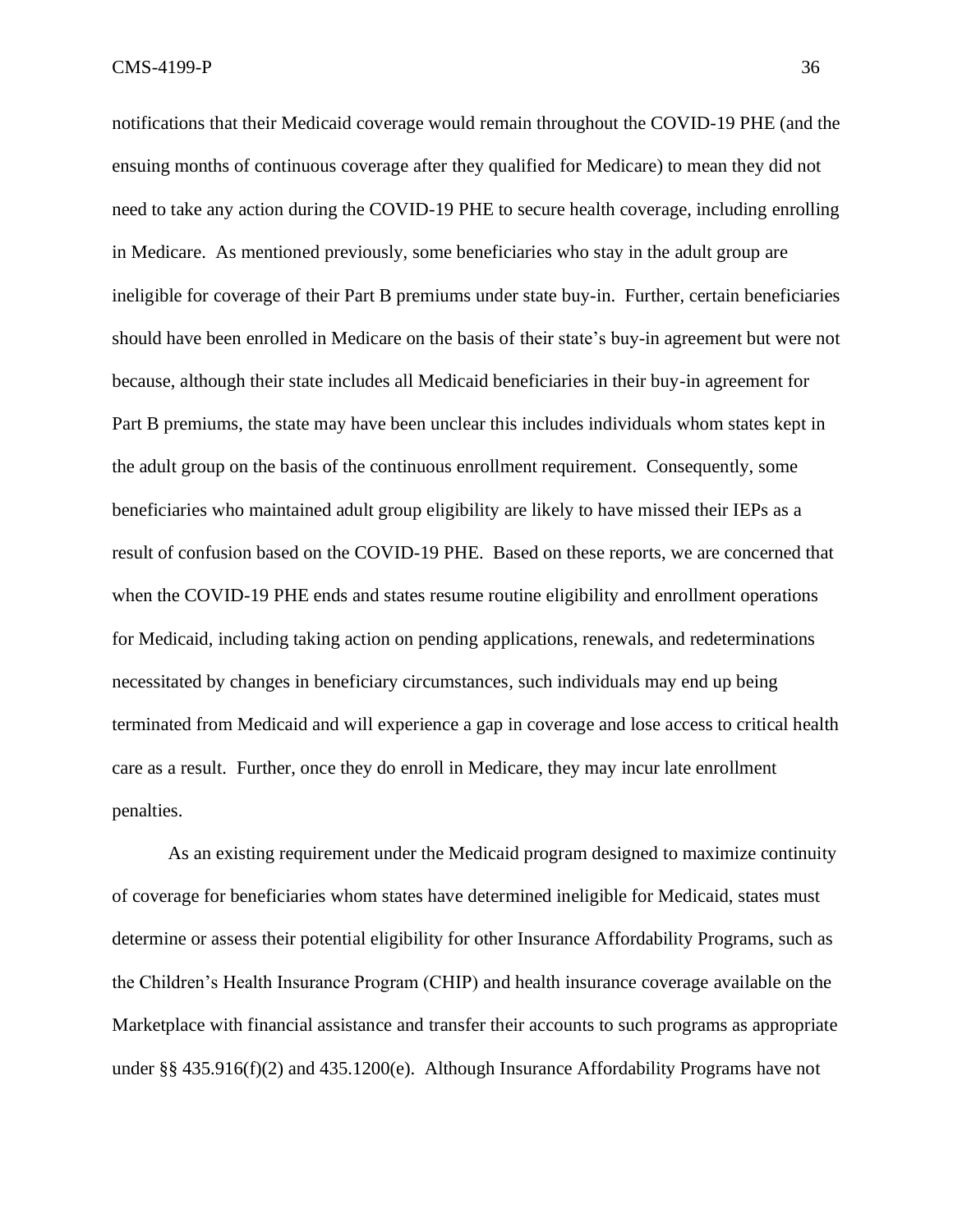notifications that their Medicaid coverage would remain throughout the COVID-19 PHE (and the ensuing months of continuous coverage after they qualified for Medicare) to mean they did not need to take any action during the COVID-19 PHE to secure health coverage, including enrolling in Medicare. As mentioned previously, some beneficiaries who stay in the adult group are ineligible for coverage of their Part B premiums under state buy-in. Further, certain beneficiaries should have been enrolled in Medicare on the basis of their state's buy-in agreement but were not because, although their state includes all Medicaid beneficiaries in their buy-in agreement for Part B premiums, the state may have been unclear this includes individuals whom states kept in the adult group on the basis of the continuous enrollment requirement. Consequently, some beneficiaries who maintained adult group eligibility are likely to have missed their IEPs as a result of confusion based on the COVID-19 PHE. Based on these reports, we are concerned that when the COVID-19 PHE ends and states resume routine eligibility and enrollment operations for Medicaid, including taking action on pending applications, renewals, and redeterminations necessitated by changes in beneficiary circumstances, such individuals may end up being terminated from Medicaid and will experience a gap in coverage and lose access to critical health care as a result. Further, once they do enroll in Medicare, they may incur late enrollment penalties.

As an existing requirement under the Medicaid program designed to maximize continuity of coverage for beneficiaries whom states have determined ineligible for Medicaid, states must determine or assess their potential eligibility for other Insurance Affordability Programs, such as the Children's Health Insurance Program (CHIP) and health insurance coverage available on the Marketplace with financial assistance and transfer their accounts to such programs as appropriate under §§ 435.916(f)(2) and 435.1200(e). Although Insurance Affordability Programs have not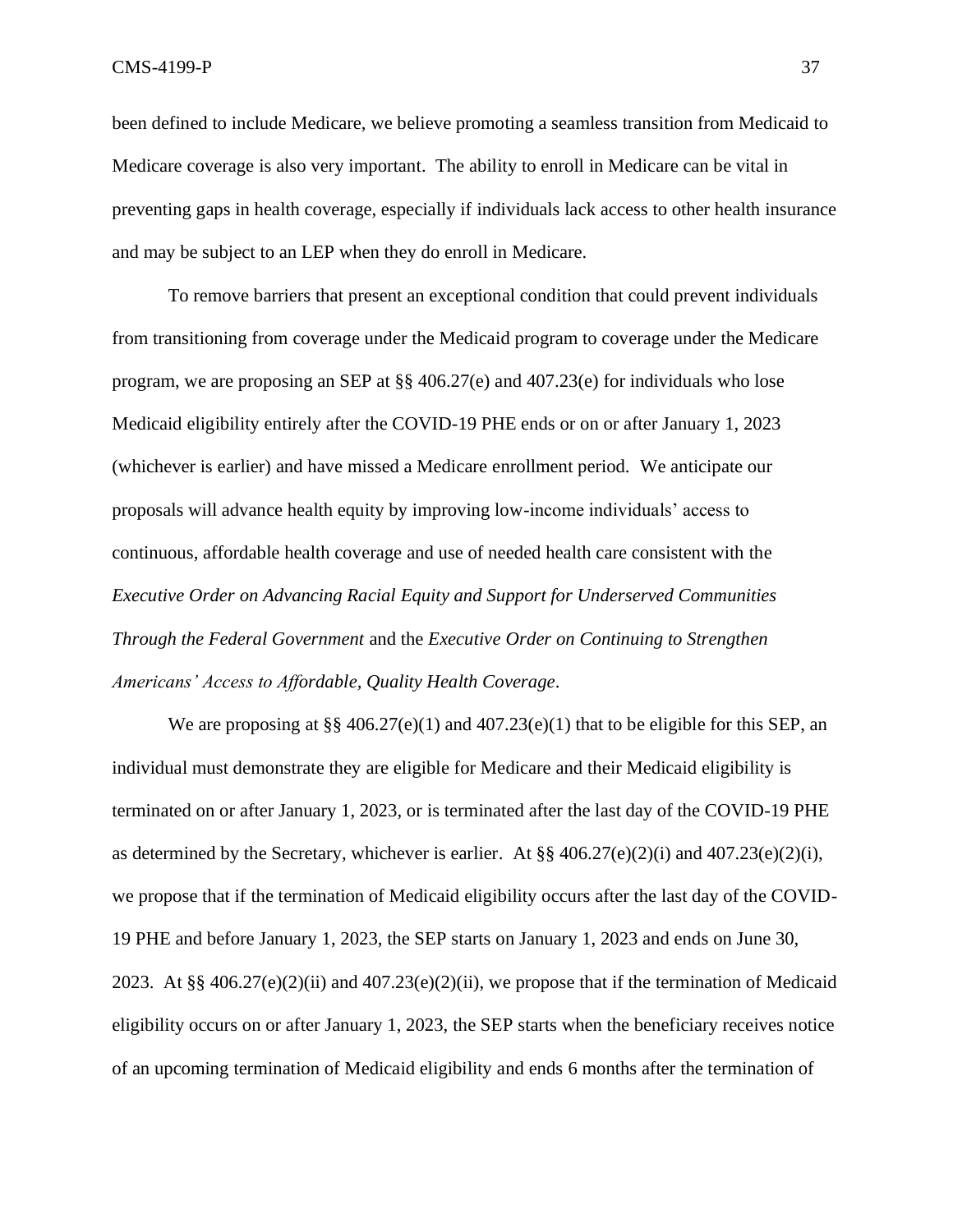been defined to include Medicare, we believe promoting a seamless transition from Medicaid to Medicare coverage is also very important. The ability to enroll in Medicare can be vital in preventing gaps in health coverage, especially if individuals lack access to other health insurance and may be subject to an LEP when they do enroll in Medicare.

To remove barriers that present an exceptional condition that could prevent individuals from transitioning from coverage under the Medicaid program to coverage under the Medicare program, we are proposing an SEP at §§ 406.27(e) and 407.23(e) for individuals who lose Medicaid eligibility entirely after the COVID-19 PHE ends or on or after January 1, 2023 (whichever is earlier) and have missed a Medicare enrollment period. We anticipate our proposals will advance health equity by improving low-income individuals' access to continuous, affordable health coverage and use of needed health care consistent with the *Executive Order on Advancing Racial Equity and Support for Underserved Communities Through the Federal Government* and the *Executive Order on Continuing to Strengthen Americans' Access to Affordable, Quality Health Coverage*.

We are proposing at  $\S$  406.27(e)(1) and 407.23(e)(1) that to be eligible for this SEP, an individual must demonstrate they are eligible for Medicare and their Medicaid eligibility is terminated on or after January 1, 2023, or is terminated after the last day of the COVID-19 PHE as determined by the Secretary, whichever is earlier. At §§  $406.27(e)(2)(i)$  and  $407.23(e)(2)(i)$ , we propose that if the termination of Medicaid eligibility occurs after the last day of the COVID-19 PHE and before January 1, 2023, the SEP starts on January 1, 2023 and ends on June 30, 2023. At §§ 406.27(e)(2)(ii) and 407.23(e)(2)(ii), we propose that if the termination of Medicaid eligibility occurs on or after January 1, 2023, the SEP starts when the beneficiary receives notice of an upcoming termination of Medicaid eligibility and ends 6 months after the termination of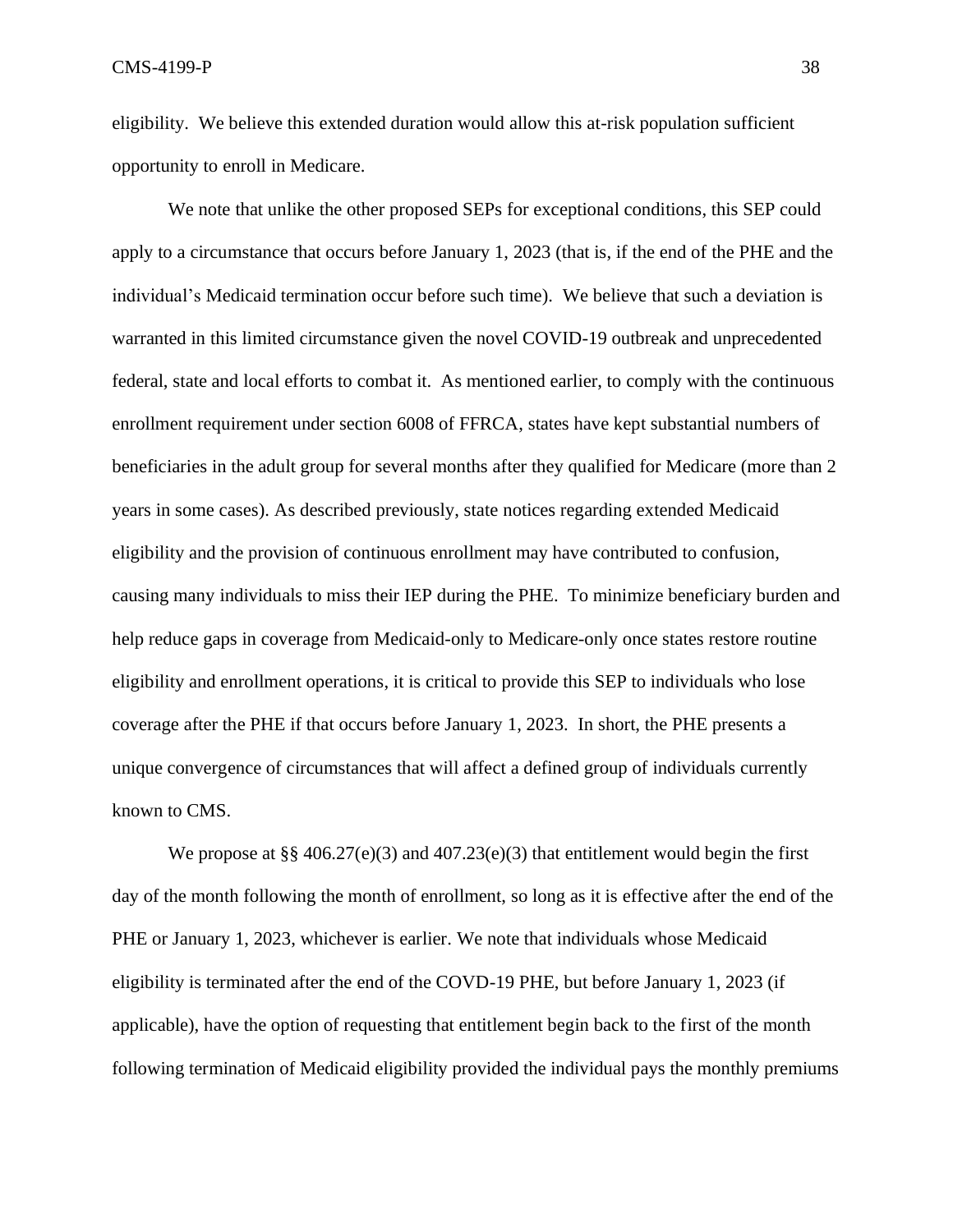eligibility. We believe this extended duration would allow this at-risk population sufficient opportunity to enroll in Medicare.

We note that unlike the other proposed SEPs for exceptional conditions, this SEP could apply to a circumstance that occurs before January 1, 2023 (that is, if the end of the PHE and the individual's Medicaid termination occur before such time). We believe that such a deviation is warranted in this limited circumstance given the novel COVID-19 outbreak and unprecedented federal, state and local efforts to combat it. As mentioned earlier, to comply with the continuous enrollment requirement under section 6008 of FFRCA, states have kept substantial numbers of beneficiaries in the adult group for several months after they qualified for Medicare (more than 2 years in some cases). As described previously, state notices regarding extended Medicaid eligibility and the provision of continuous enrollment may have contributed to confusion, causing many individuals to miss their IEP during the PHE. To minimize beneficiary burden and help reduce gaps in coverage from Medicaid-only to Medicare-only once states restore routine eligibility and enrollment operations, it is critical to provide this SEP to individuals who lose coverage after the PHE if that occurs before January 1, 2023. In short, the PHE presents a unique convergence of circumstances that will affect a defined group of individuals currently known to CMS.

We propose at §§ 406.27(e)(3) and 407.23(e)(3) that entitlement would begin the first day of the month following the month of enrollment, so long as it is effective after the end of the PHE or January 1, 2023, whichever is earlier. We note that individuals whose Medicaid eligibility is terminated after the end of the COVD-19 PHE, but before January 1, 2023 (if applicable), have the option of requesting that entitlement begin back to the first of the month following termination of Medicaid eligibility provided the individual pays the monthly premiums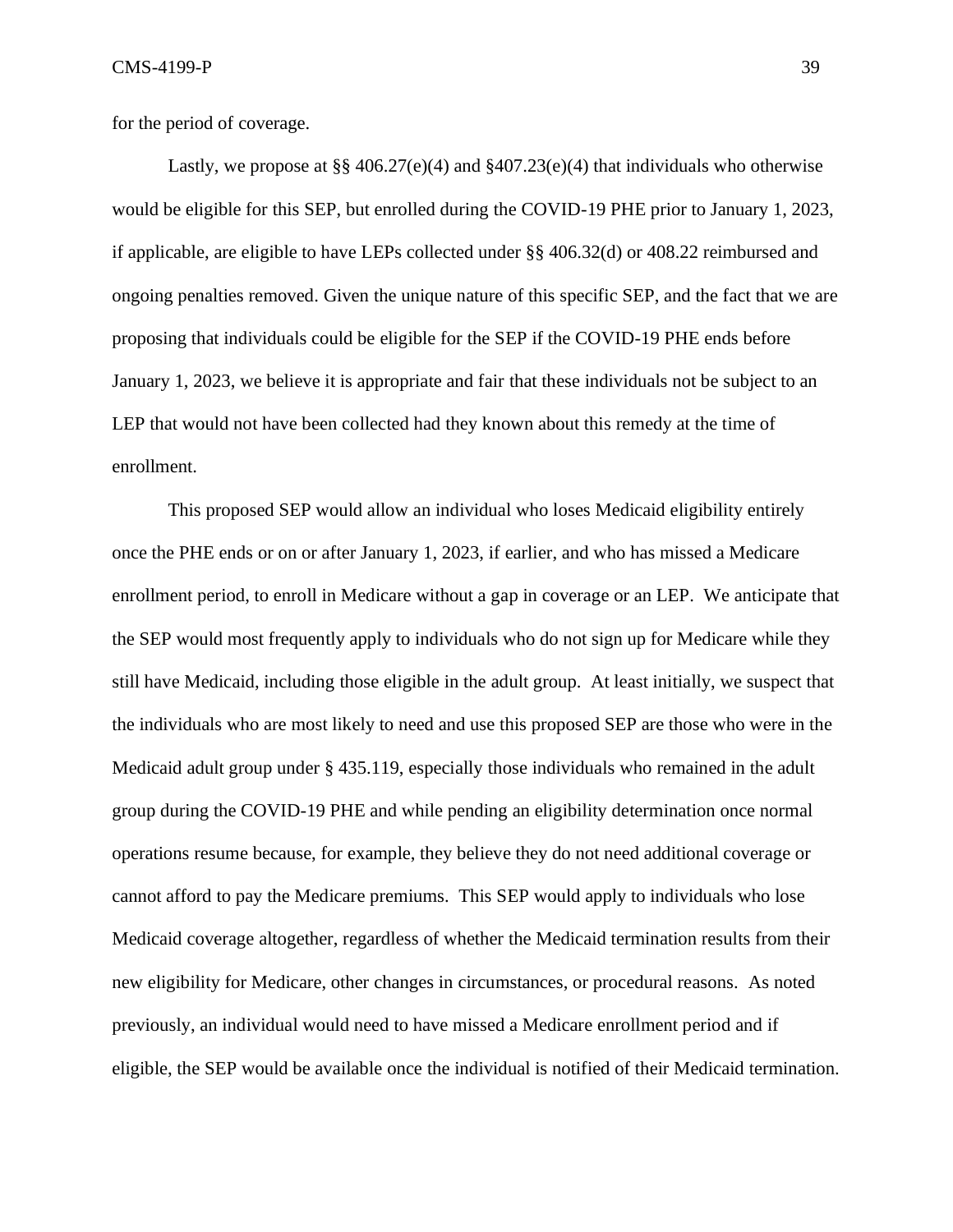for the period of coverage.

Lastly, we propose at  $\S$ § 406.27(e)(4) and §407.23(e)(4) that individuals who otherwise would be eligible for this SEP, but enrolled during the COVID-19 PHE prior to January 1, 2023, if applicable, are eligible to have LEPs collected under §§ 406.32(d) or 408.22 reimbursed and ongoing penalties removed. Given the unique nature of this specific SEP, and the fact that we are proposing that individuals could be eligible for the SEP if the COVID-19 PHE ends before January 1, 2023, we believe it is appropriate and fair that these individuals not be subject to an LEP that would not have been collected had they known about this remedy at the time of enrollment.

This proposed SEP would allow an individual who loses Medicaid eligibility entirely once the PHE ends or on or after January 1, 2023, if earlier, and who has missed a Medicare enrollment period, to enroll in Medicare without a gap in coverage or an LEP. We anticipate that the SEP would most frequently apply to individuals who do not sign up for Medicare while they still have Medicaid, including those eligible in the adult group. At least initially, we suspect that the individuals who are most likely to need and use this proposed SEP are those who were in the Medicaid adult group under § 435.119, especially those individuals who remained in the adult group during the COVID-19 PHE and while pending an eligibility determination once normal operations resume because, for example, they believe they do not need additional coverage or cannot afford to pay the Medicare premiums. This SEP would apply to individuals who lose Medicaid coverage altogether, regardless of whether the Medicaid termination results from their new eligibility for Medicare, other changes in circumstances, or procedural reasons. As noted previously, an individual would need to have missed a Medicare enrollment period and if eligible, the SEP would be available once the individual is notified of their Medicaid termination.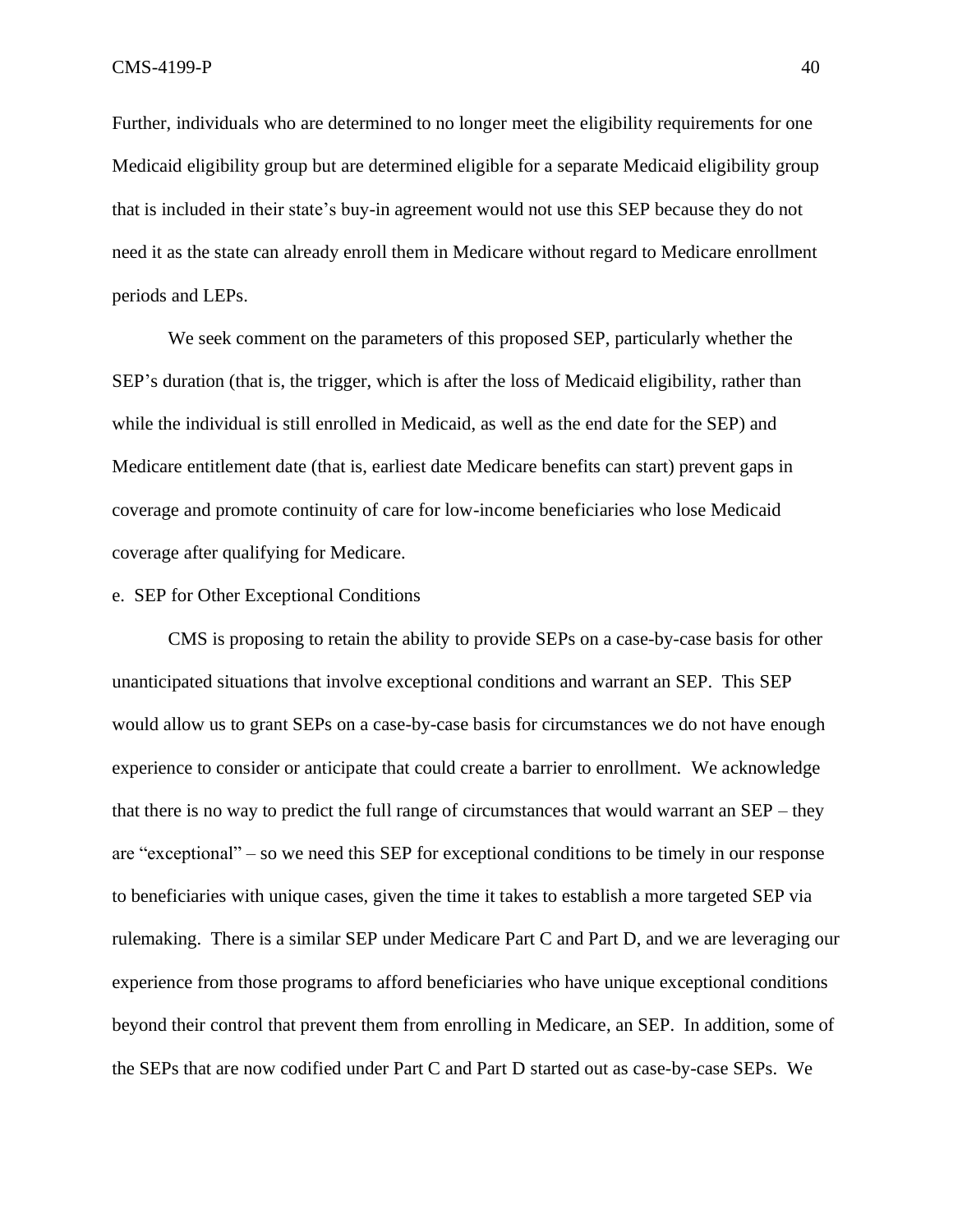Further, individuals who are determined to no longer meet the eligibility requirements for one Medicaid eligibility group but are determined eligible for a separate Medicaid eligibility group that is included in their state's buy-in agreement would not use this SEP because they do not need it as the state can already enroll them in Medicare without regard to Medicare enrollment periods and LEPs.

We seek comment on the parameters of this proposed SEP, particularly whether the SEP's duration (that is, the trigger, which is after the loss of Medicaid eligibility, rather than while the individual is still enrolled in Medicaid, as well as the end date for the SEP) and Medicare entitlement date (that is, earliest date Medicare benefits can start) prevent gaps in coverage and promote continuity of care for low-income beneficiaries who lose Medicaid coverage after qualifying for Medicare.

## e. SEP for Other Exceptional Conditions

CMS is proposing to retain the ability to provide SEPs on a case-by-case basis for other unanticipated situations that involve exceptional conditions and warrant an SEP. This SEP would allow us to grant SEPs on a case-by-case basis for circumstances we do not have enough experience to consider or anticipate that could create a barrier to enrollment. We acknowledge that there is no way to predict the full range of circumstances that would warrant an SEP – they are "exceptional" – so we need this SEP for exceptional conditions to be timely in our response to beneficiaries with unique cases, given the time it takes to establish a more targeted SEP via rulemaking. There is a similar SEP under Medicare Part C and Part D, and we are leveraging our experience from those programs to afford beneficiaries who have unique exceptional conditions beyond their control that prevent them from enrolling in Medicare, an SEP. In addition, some of the SEPs that are now codified under Part C and Part D started out as case-by-case SEPs. We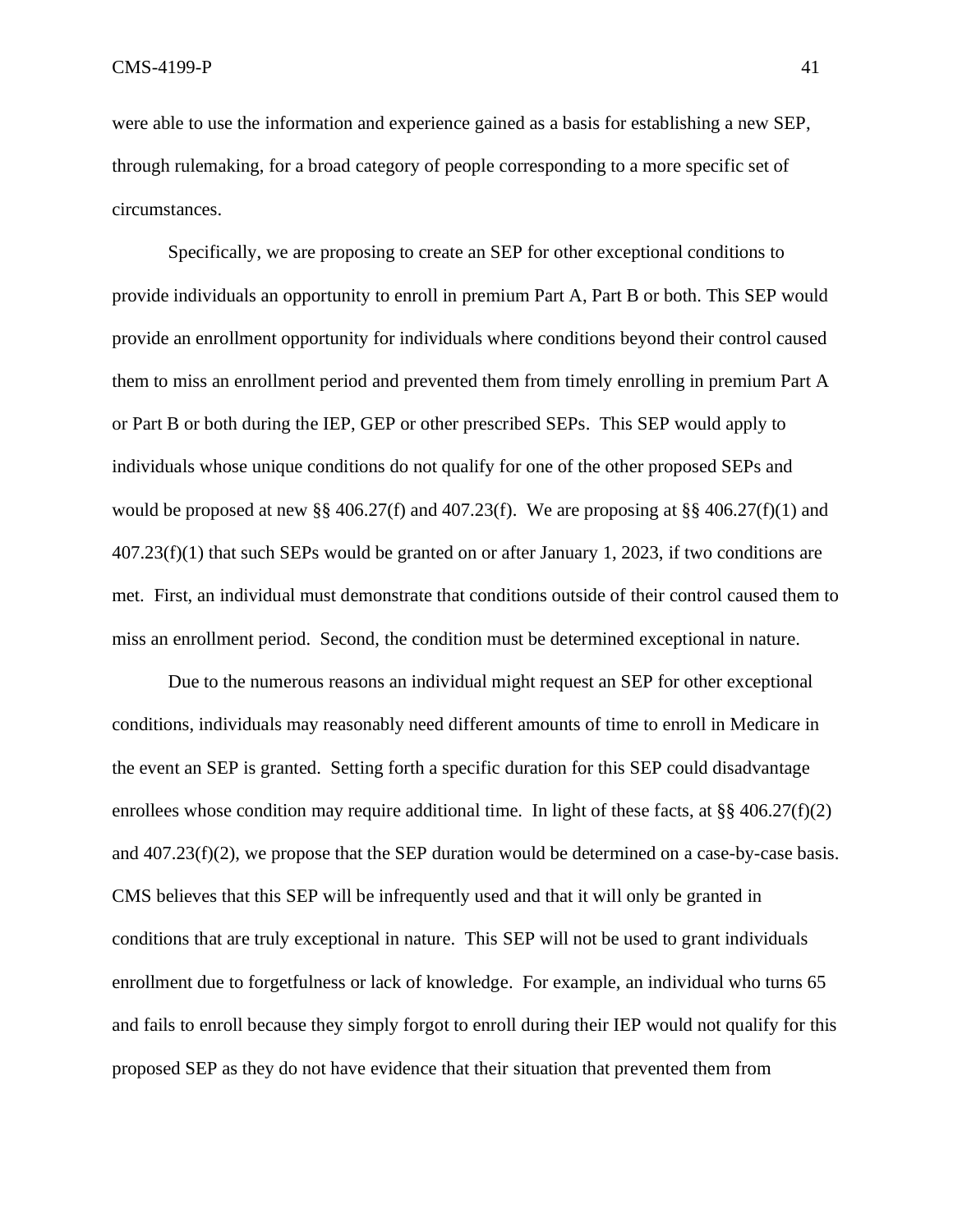were able to use the information and experience gained as a basis for establishing a new SEP, through rulemaking, for a broad category of people corresponding to a more specific set of circumstances.

Specifically, we are proposing to create an SEP for other exceptional conditions to provide individuals an opportunity to enroll in premium Part A, Part B or both. This SEP would provide an enrollment opportunity for individuals where conditions beyond their control caused them to miss an enrollment period and prevented them from timely enrolling in premium Part A or Part B or both during the IEP, GEP or other prescribed SEPs. This SEP would apply to individuals whose unique conditions do not qualify for one of the other proposed SEPs and would be proposed at new §§ 406.27(f) and 407.23(f). We are proposing at §§ 406.27(f)(1) and 407.23(f)(1) that such SEPs would be granted on or after January 1, 2023, if two conditions are met. First, an individual must demonstrate that conditions outside of their control caused them to miss an enrollment period. Second, the condition must be determined exceptional in nature.

 Due to the numerous reasons an individual might request an SEP for other exceptional conditions, individuals may reasonably need different amounts of time to enroll in Medicare in the event an SEP is granted. Setting forth a specific duration for this SEP could disadvantage enrollees whose condition may require additional time. In light of these facts, at §§ 406.27(f)(2) and  $407.23(f)(2)$ , we propose that the SEP duration would be determined on a case-by-case basis. CMS believes that this SEP will be infrequently used and that it will only be granted in conditions that are truly exceptional in nature. This SEP will not be used to grant individuals enrollment due to forgetfulness or lack of knowledge. For example, an individual who turns 65 and fails to enroll because they simply forgot to enroll during their IEP would not qualify for this proposed SEP as they do not have evidence that their situation that prevented them from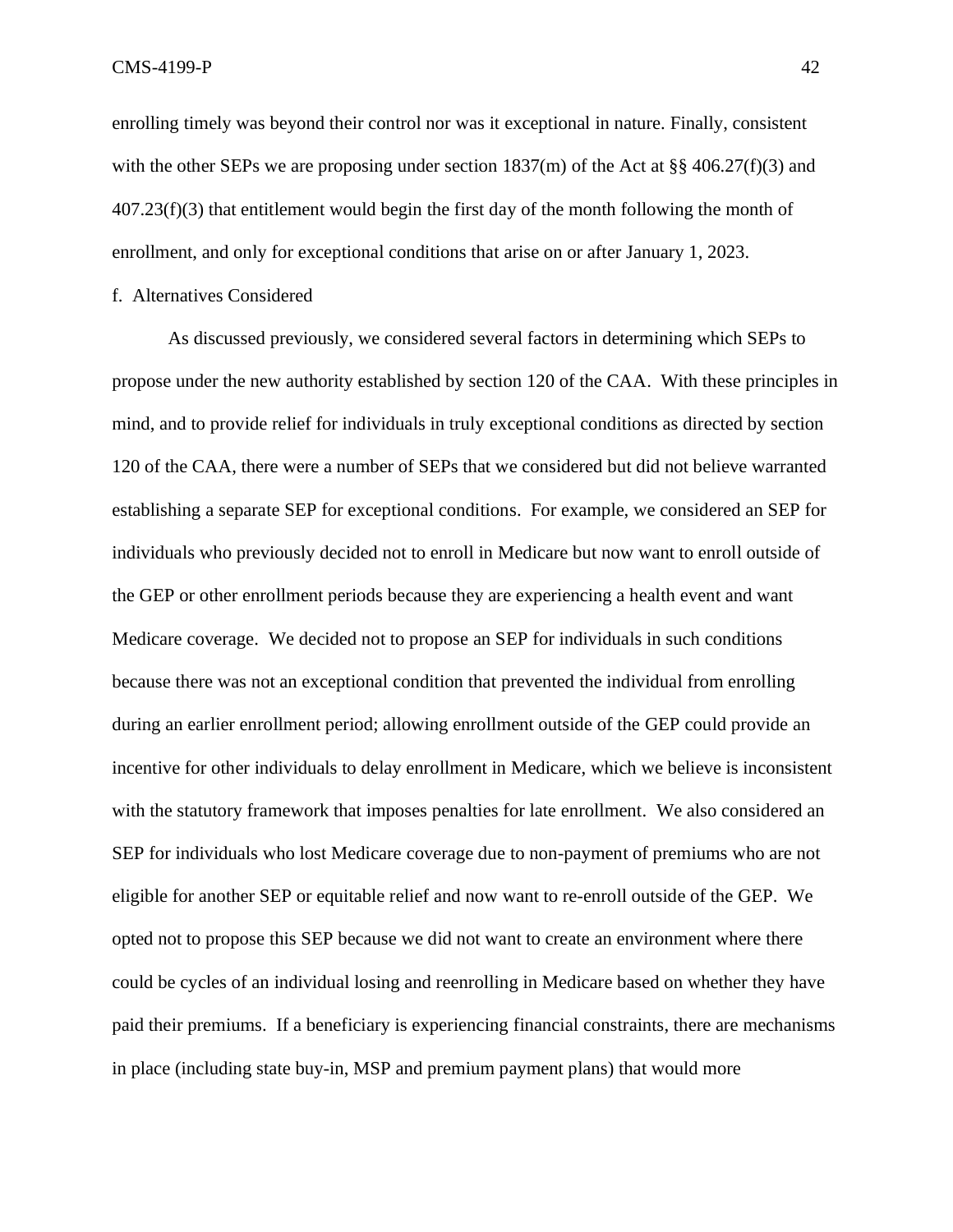enrolling timely was beyond their control nor was it exceptional in nature. Finally, consistent with the other SEPs we are proposing under section  $1837(m)$  of the Act at §§ 406.27(f)(3) and 407.23(f)(3) that entitlement would begin the first day of the month following the month of enrollment, and only for exceptional conditions that arise on or after January 1, 2023.

f. Alternatives Considered

As discussed previously, we considered several factors in determining which SEPs to propose under the new authority established by section 120 of the CAA. With these principles in mind, and to provide relief for individuals in truly exceptional conditions as directed by section 120 of the CAA, there were a number of SEPs that we considered but did not believe warranted establishing a separate SEP for exceptional conditions. For example, we considered an SEP for individuals who previously decided not to enroll in Medicare but now want to enroll outside of the GEP or other enrollment periods because they are experiencing a health event and want Medicare coverage. We decided not to propose an SEP for individuals in such conditions because there was not an exceptional condition that prevented the individual from enrolling during an earlier enrollment period; allowing enrollment outside of the GEP could provide an incentive for other individuals to delay enrollment in Medicare, which we believe is inconsistent with the statutory framework that imposes penalties for late enrollment. We also considered an SEP for individuals who lost Medicare coverage due to non-payment of premiums who are not eligible for another SEP or equitable relief and now want to re-enroll outside of the GEP. We opted not to propose this SEP because we did not want to create an environment where there could be cycles of an individual losing and reenrolling in Medicare based on whether they have paid their premiums. If a beneficiary is experiencing financial constraints, there are mechanisms in place (including state buy-in, MSP and premium payment plans) that would more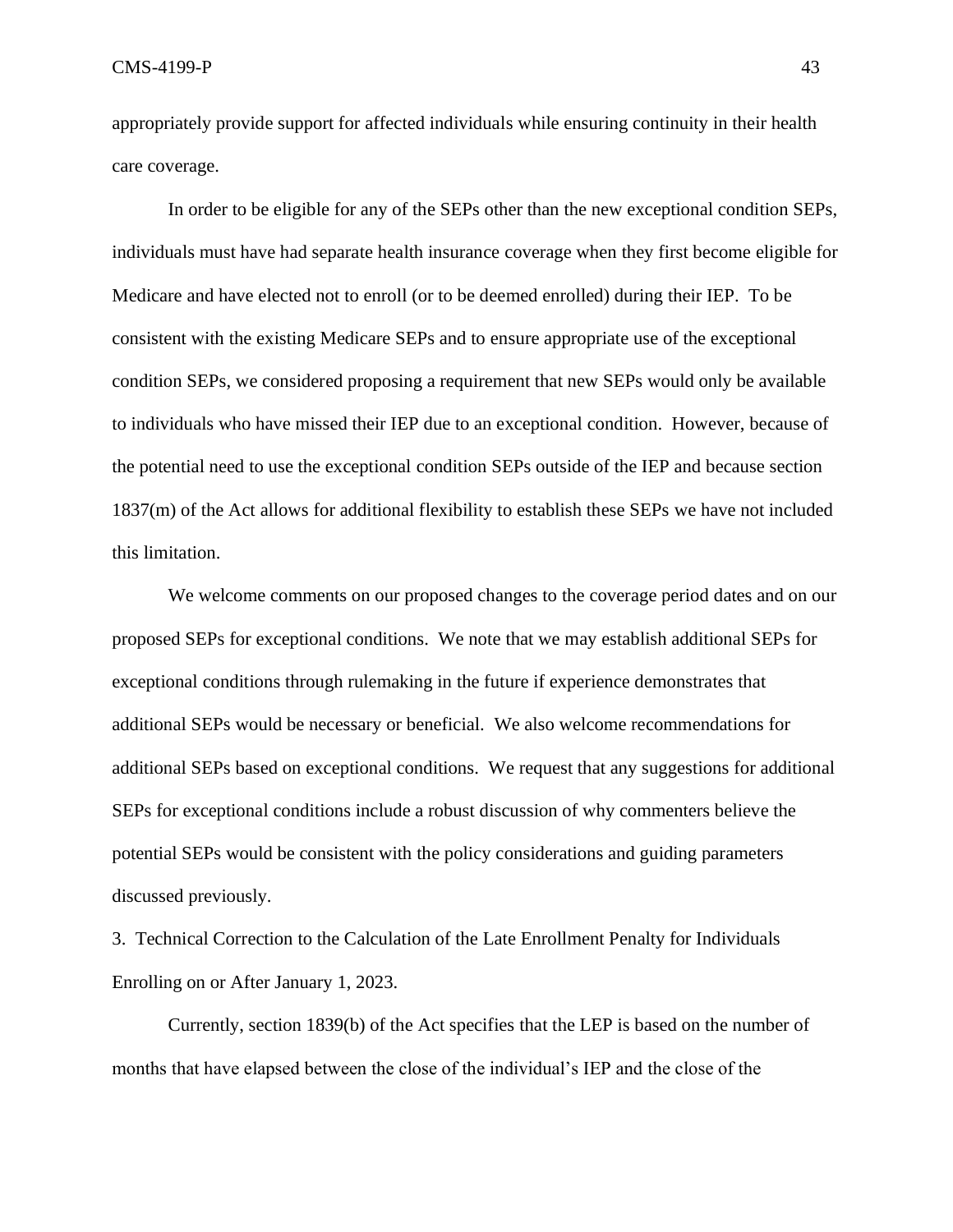appropriately provide support for affected individuals while ensuring continuity in their health care coverage.

In order to be eligible for any of the SEPs other than the new exceptional condition SEPs, individuals must have had separate health insurance coverage when they first become eligible for Medicare and have elected not to enroll (or to be deemed enrolled) during their IEP. To be consistent with the existing Medicare SEPs and to ensure appropriate use of the exceptional condition SEPs, we considered proposing a requirement that new SEPs would only be available to individuals who have missed their IEP due to an exceptional condition. However, because of the potential need to use the exceptional condition SEPs outside of the IEP and because section 1837(m) of the Act allows for additional flexibility to establish these SEPs we have not included this limitation.

We welcome comments on our proposed changes to the coverage period dates and on our proposed SEPs for exceptional conditions. We note that we may establish additional SEPs for exceptional conditions through rulemaking in the future if experience demonstrates that additional SEPs would be necessary or beneficial. We also welcome recommendations for additional SEPs based on exceptional conditions. We request that any suggestions for additional SEPs for exceptional conditions include a robust discussion of why commenters believe the potential SEPs would be consistent with the policy considerations and guiding parameters discussed previously.

3. Technical Correction to the Calculation of the Late Enrollment Penalty for Individuals Enrolling on or After January 1, 2023.

Currently, section 1839(b) of the Act specifies that the LEP is based on the number of months that have elapsed between the close of the individual's IEP and the close of the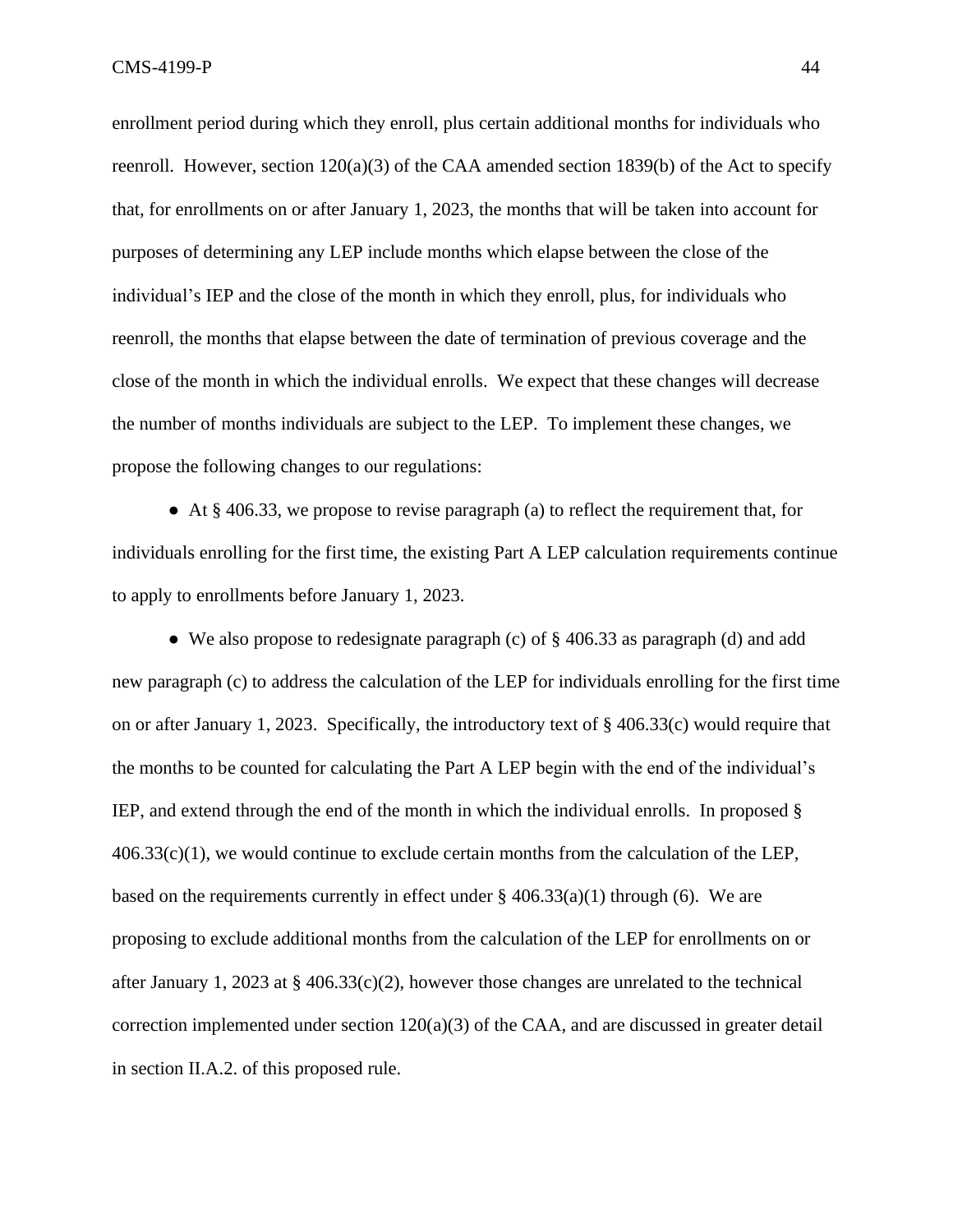enrollment period during which they enroll, plus certain additional months for individuals who reenroll. However, section 120(a)(3) of the CAA amended section 1839(b) of the Act to specify that, for enrollments on or after January 1, 2023, the months that will be taken into account for purposes of determining any LEP include months which elapse between the close of the individual's IEP and the close of the month in which they enroll, plus, for individuals who reenroll, the months that elapse between the date of termination of previous coverage and the close of the month in which the individual enrolls. We expect that these changes will decrease the number of months individuals are subject to the LEP. To implement these changes, we propose the following changes to our regulations:

 $\bullet$  At § 406.33, we propose to revise paragraph (a) to reflect the requirement that, for individuals enrolling for the first time, the existing Part A LEP calculation requirements continue to apply to enrollments before January 1, 2023.

• We also propose to redesignate paragraph (c) of  $\S$  406.33 as paragraph (d) and add new paragraph (c) to address the calculation of the LEP for individuals enrolling for the first time on or after January 1, 2023. Specifically, the introductory text of § 406.33(c) would require that the months to be counted for calculating the Part A LEP begin with the end of the individual's IEP, and extend through the end of the month in which the individual enrolls. In proposed §  $406.33(c)(1)$ , we would continue to exclude certain months from the calculation of the LEP, based on the requirements currently in effect under  $\S$  406.33(a)(1) through (6). We are proposing to exclude additional months from the calculation of the LEP for enrollments on or after January 1, 2023 at § 406.33(c)(2), however those changes are unrelated to the technical correction implemented under section 120(a)(3) of the CAA, and are discussed in greater detail in section II.A.2. of this proposed rule.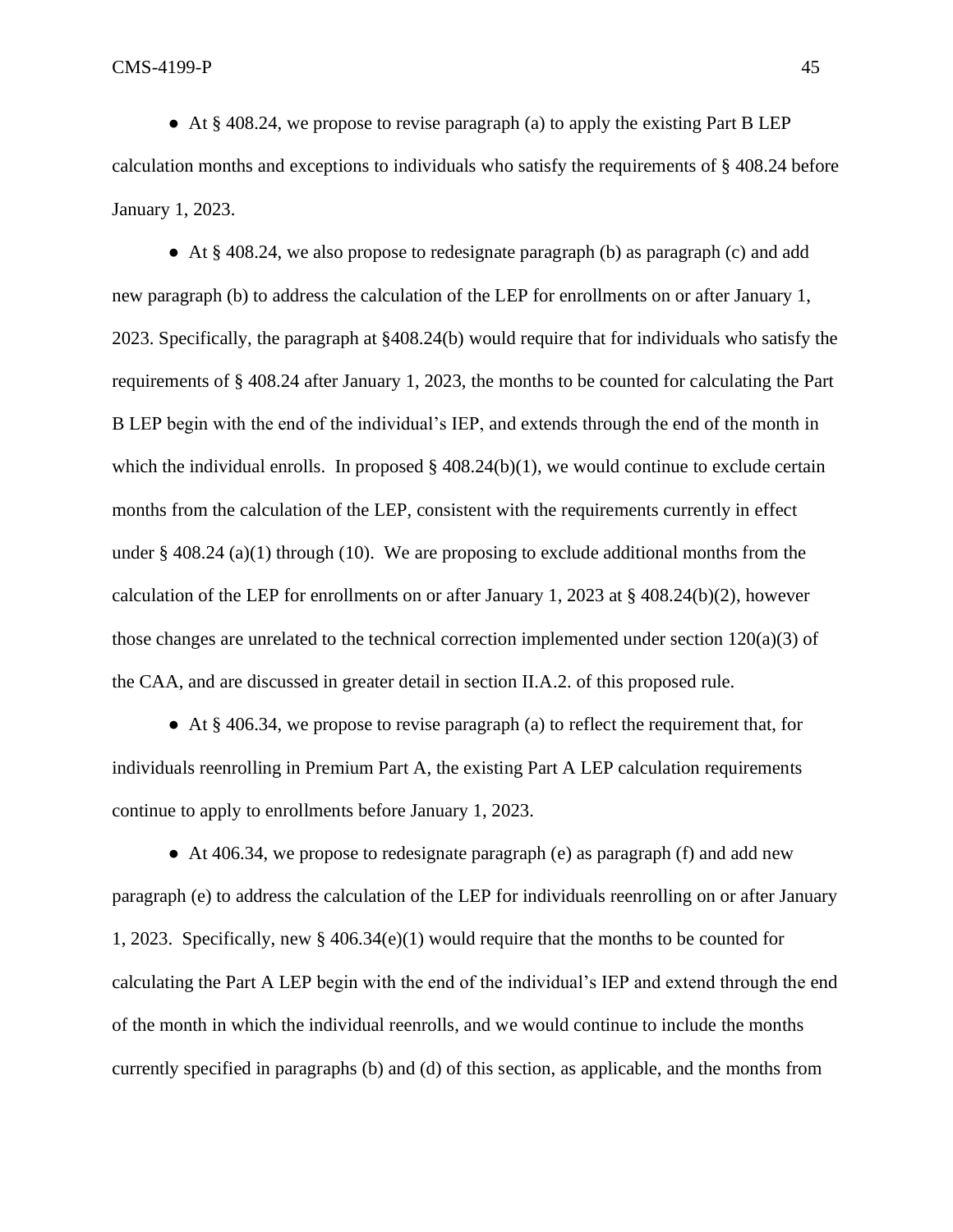● At § 408.24, we propose to revise paragraph (a) to apply the existing Part B LEP calculation months and exceptions to individuals who satisfy the requirements of § 408.24 before January 1, 2023.

● At § 408.24, we also propose to redesignate paragraph (b) as paragraph (c) and add new paragraph (b) to address the calculation of the LEP for enrollments on or after January 1, 2023. Specifically, the paragraph at §408.24(b) would require that for individuals who satisfy the requirements of § 408.24 after January 1, 2023, the months to be counted for calculating the Part B LEP begin with the end of the individual's IEP, and extends through the end of the month in which the individual enrolls. In proposed  $\S$  408.24(b)(1), we would continue to exclude certain months from the calculation of the LEP, consistent with the requirements currently in effect under  $\S$  408.24 (a)(1) through (10). We are proposing to exclude additional months from the calculation of the LEP for enrollments on or after January 1, 2023 at  $\S$  408.24(b)(2), however those changes are unrelated to the technical correction implemented under section  $120(a)(3)$  of the CAA, and are discussed in greater detail in section II.A.2. of this proposed rule.

● At § 406.34, we propose to revise paragraph (a) to reflect the requirement that, for individuals reenrolling in Premium Part A, the existing Part A LEP calculation requirements continue to apply to enrollments before January 1, 2023.

● At 406.34, we propose to redesignate paragraph (e) as paragraph (f) and add new paragraph (e) to address the calculation of the LEP for individuals reenrolling on or after January 1, 2023. Specifically, new § 406.34(e)(1) would require that the months to be counted for calculating the Part A LEP begin with the end of the individual's IEP and extend through the end of the month in which the individual reenrolls, and we would continue to include the months currently specified in paragraphs (b) and (d) of this section, as applicable, and the months from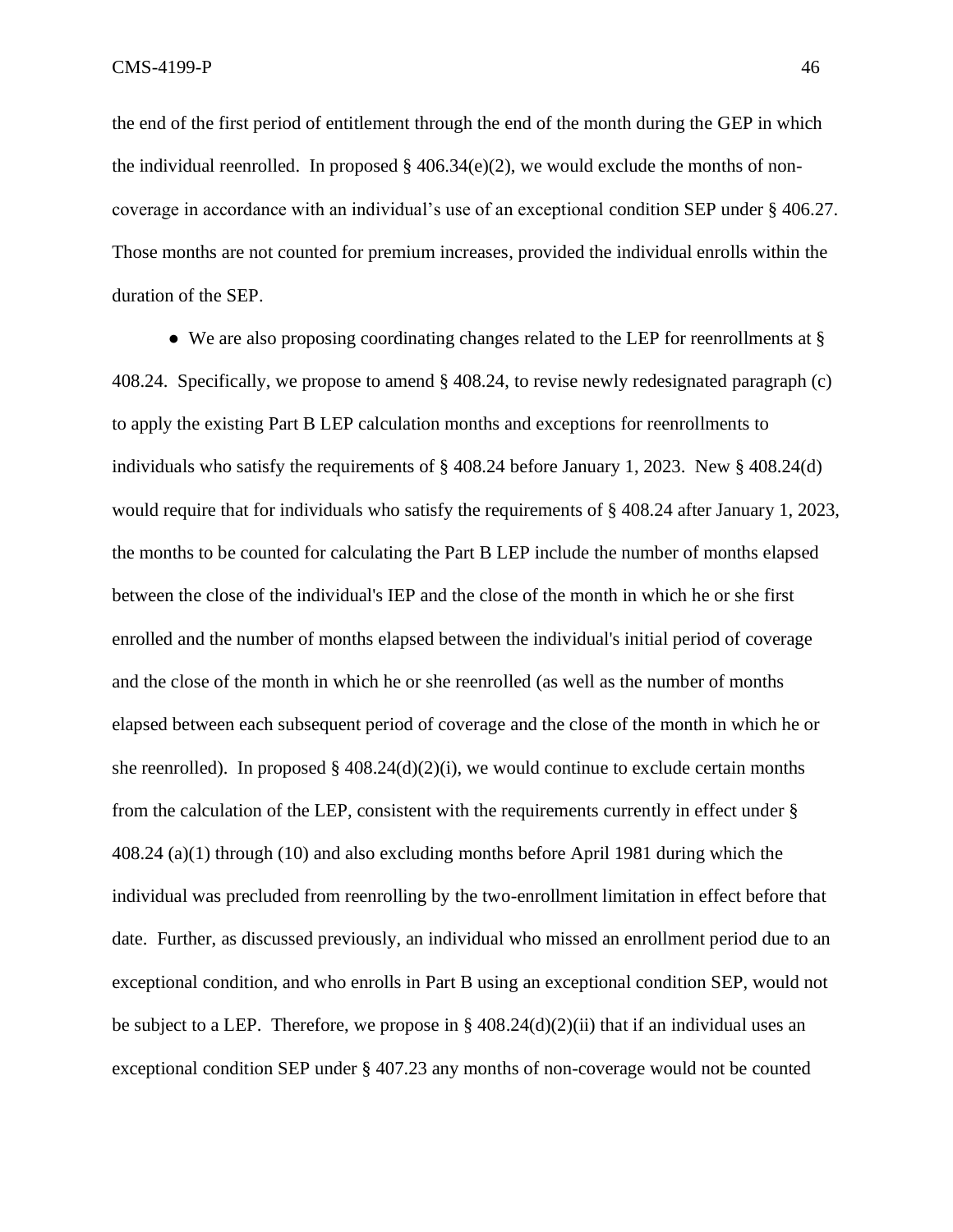the end of the first period of entitlement through the end of the month during the GEP in which the individual reenrolled. In proposed  $\S$  406.34(e)(2), we would exclude the months of noncoverage in accordance with an individual's use of an exceptional condition SEP under § 406.27. Those months are not counted for premium increases, provided the individual enrolls within the duration of the SEP.

• We are also proposing coordinating changes related to the LEP for reenrollments at § 408.24. Specifically, we propose to amend § 408.24, to revise newly redesignated paragraph (c) to apply the existing Part B LEP calculation months and exceptions for reenrollments to individuals who satisfy the requirements of § 408.24 before January 1, 2023. New § 408.24(d) would require that for individuals who satisfy the requirements of § 408.24 after January 1, 2023, the months to be counted for calculating the Part B LEP include the number of months elapsed between the close of the individual's IEP and the close of the month in which he or she first enrolled and the number of months elapsed between the individual's initial period of coverage and the close of the month in which he or she reenrolled (as well as the number of months elapsed between each subsequent period of coverage and the close of the month in which he or she reenrolled). In proposed §  $408.24(d)(2)(i)$ , we would continue to exclude certain months from the calculation of the LEP, consistent with the requirements currently in effect under § 408.24 (a)(1) through (10) and also excluding months before April 1981 during which the individual was precluded from reenrolling by the two-enrollment limitation in effect before that date. Further, as discussed previously, an individual who missed an enrollment period due to an exceptional condition, and who enrolls in Part B using an exceptional condition SEP, would not be subject to a LEP. Therefore, we propose in  $\S 408.24(d)(2)(ii)$  that if an individual uses an exceptional condition SEP under § 407.23 any months of non-coverage would not be counted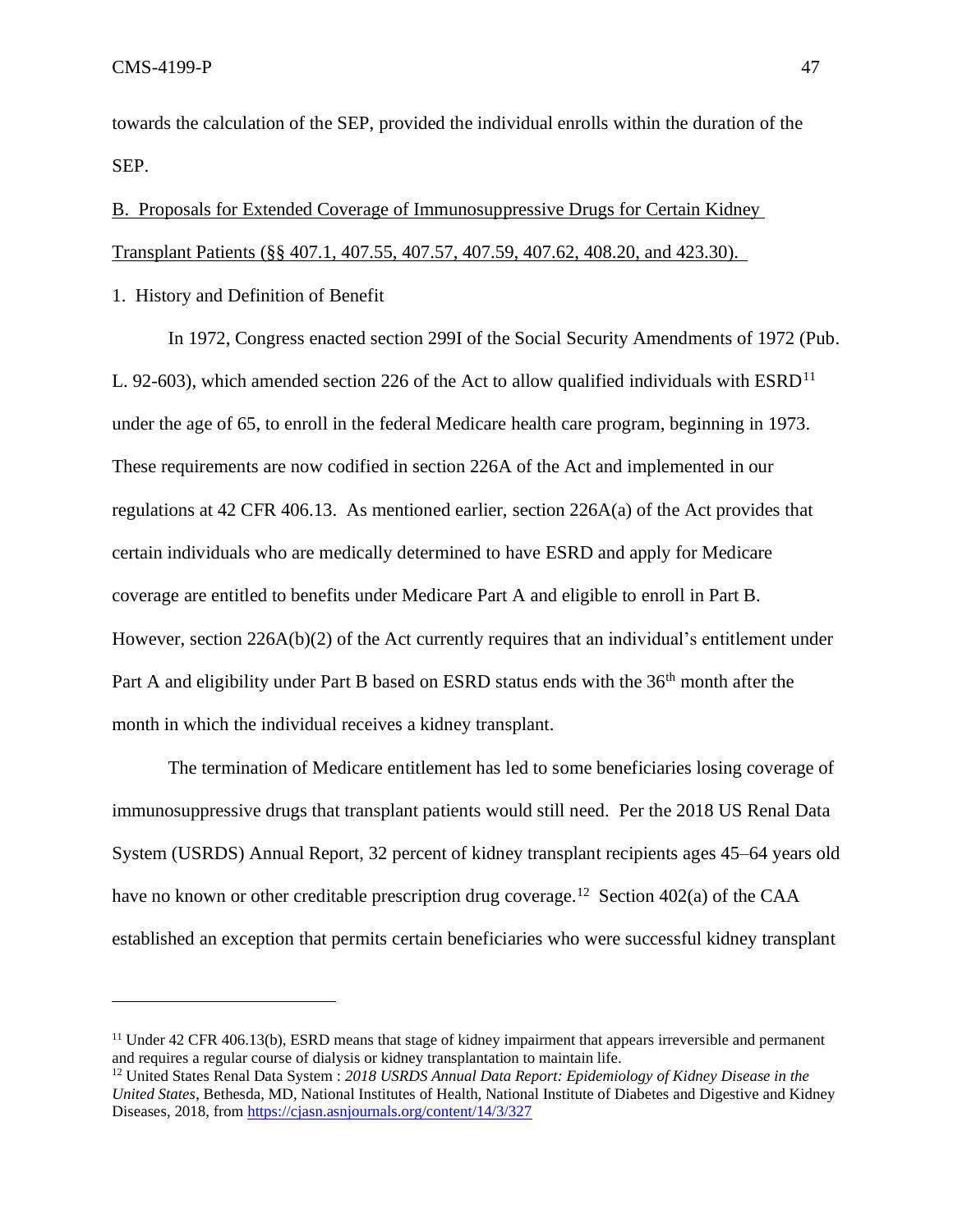towards the calculation of the SEP, provided the individual enrolls within the duration of the SEP.

B. Proposals for Extended Coverage of Immunosuppressive Drugs for Certain Kidney Transplant Patients (§§ 407.1, 407.55, 407.57, 407.59, 407.62, 408.20, and 423.30).

1. History and Definition of Benefit

In 1972, Congress enacted section 299I of the Social Security Amendments of 1972 (Pub. L. 92-603), which amended section 226 of the Act to allow qualified individuals with  $ESRD<sup>11</sup>$ under the age of 65, to enroll in the federal Medicare health care program, beginning in 1973. These requirements are now codified in section 226A of the Act and implemented in our regulations at 42 CFR 406.13. As mentioned earlier, section 226A(a) of the Act provides that certain individuals who are medically determined to have ESRD and apply for Medicare coverage are entitled to benefits under Medicare Part A and eligible to enroll in Part B. However, section 226A(b)(2) of the Act currently requires that an individual's entitlement under Part A and eligibility under Part B based on ESRD status ends with the 36<sup>th</sup> month after the month in which the individual receives a kidney transplant.

The termination of Medicare entitlement has led to some beneficiaries losing coverage of immunosuppressive drugs that transplant patients would still need. Per the 2018 US Renal Data System (USRDS) Annual Report, 32 percent of kidney transplant recipients ages 45–64 years old have no known or other creditable prescription drug coverage.<sup>12</sup> Section 402(a) of the CAA established an exception that permits certain beneficiaries who were successful kidney transplant

<sup>&</sup>lt;sup>11</sup> Under 42 CFR 406.13(b), ESRD means that stage of kidney impairment that appears irreversible and permanent and requires a regular course of dialysis or kidney transplantation to maintain life.

<sup>12</sup> United States Renal Data System : *2018 USRDS Annual Data Report: Epidemiology of Kidney Disease in the United States*, Bethesda, MD, National Institutes of Health, National Institute of Diabetes and Digestive and Kidney Diseases, 2018, from<https://cjasn.asnjournals.org/content/14/3/327>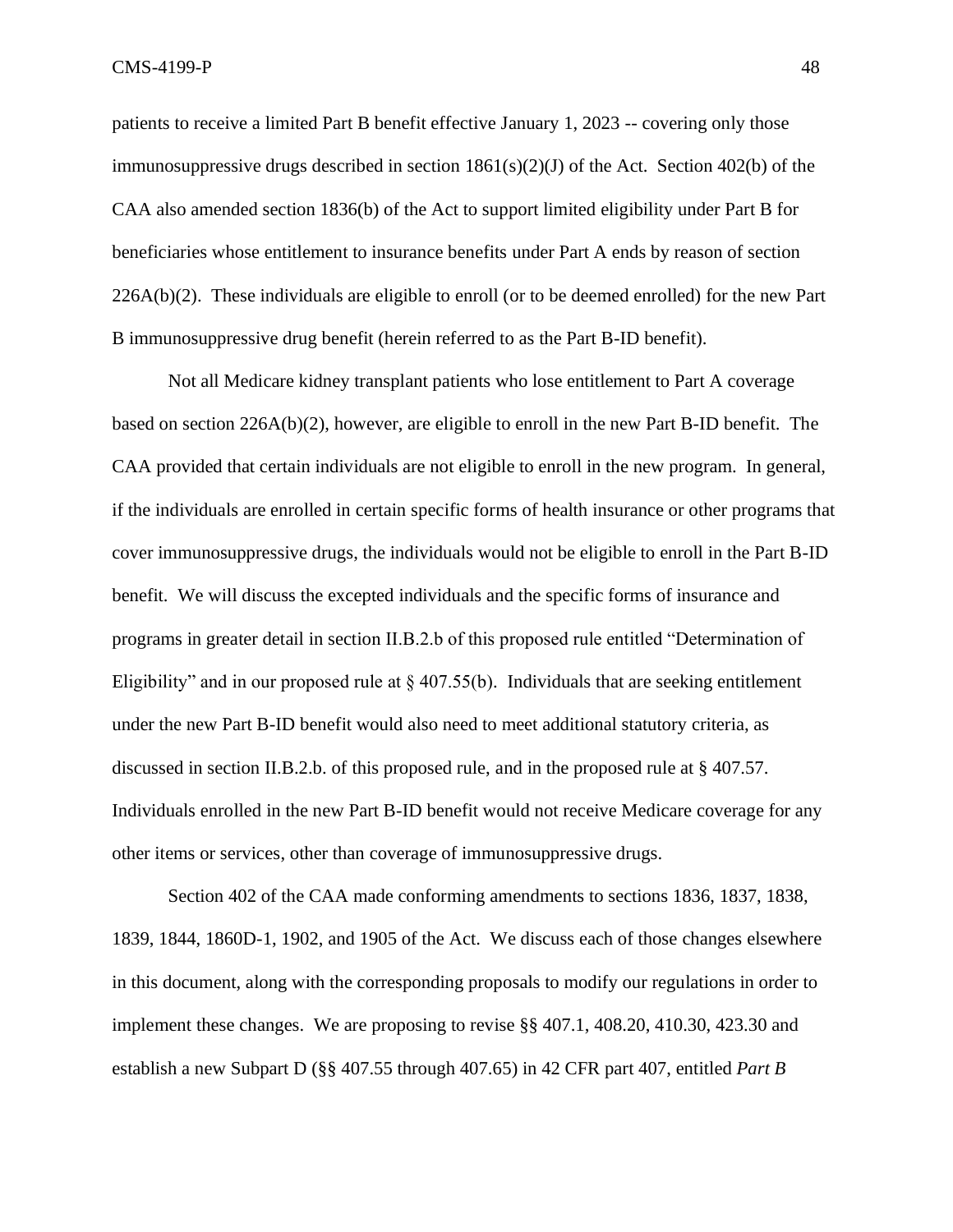patients to receive a limited Part B benefit effective January 1, 2023 -- covering only those immunosuppressive drugs described in section  $1861(s)(2)(J)$  of the Act. Section  $402(b)$  of the CAA also amended section 1836(b) of the Act to support limited eligibility under Part B for beneficiaries whose entitlement to insurance benefits under Part A ends by reason of section 226A(b)(2). These individuals are eligible to enroll (or to be deemed enrolled) for the new Part B immunosuppressive drug benefit (herein referred to as the Part B-ID benefit).

Not all Medicare kidney transplant patients who lose entitlement to Part A coverage based on section 226A(b)(2), however, are eligible to enroll in the new Part B-ID benefit. The CAA provided that certain individuals are not eligible to enroll in the new program. In general, if the individuals are enrolled in certain specific forms of health insurance or other programs that cover immunosuppressive drugs, the individuals would not be eligible to enroll in the Part B-ID benefit. We will discuss the excepted individuals and the specific forms of insurance and programs in greater detail in section II.B.2.b of this proposed rule entitled "Determination of Eligibility" and in our proposed rule at  $\S$  407.55(b). Individuals that are seeking entitlement under the new Part B-ID benefit would also need to meet additional statutory criteria, as discussed in section II.B.2.b. of this proposed rule, and in the proposed rule at § 407.57. Individuals enrolled in the new Part B-ID benefit would not receive Medicare coverage for any other items or services, other than coverage of immunosuppressive drugs.

Section 402 of the CAA made conforming amendments to sections 1836, 1837, 1838, 1839, 1844, 1860D-1, 1902, and 1905 of the Act. We discuss each of those changes elsewhere in this document, along with the corresponding proposals to modify our regulations in order to implement these changes. We are proposing to revise §§ 407.1, 408.20, 410.30, 423.30 and establish a new Subpart D (§§ 407.55 through 407.65) in 42 CFR part 407, entitled *Part B*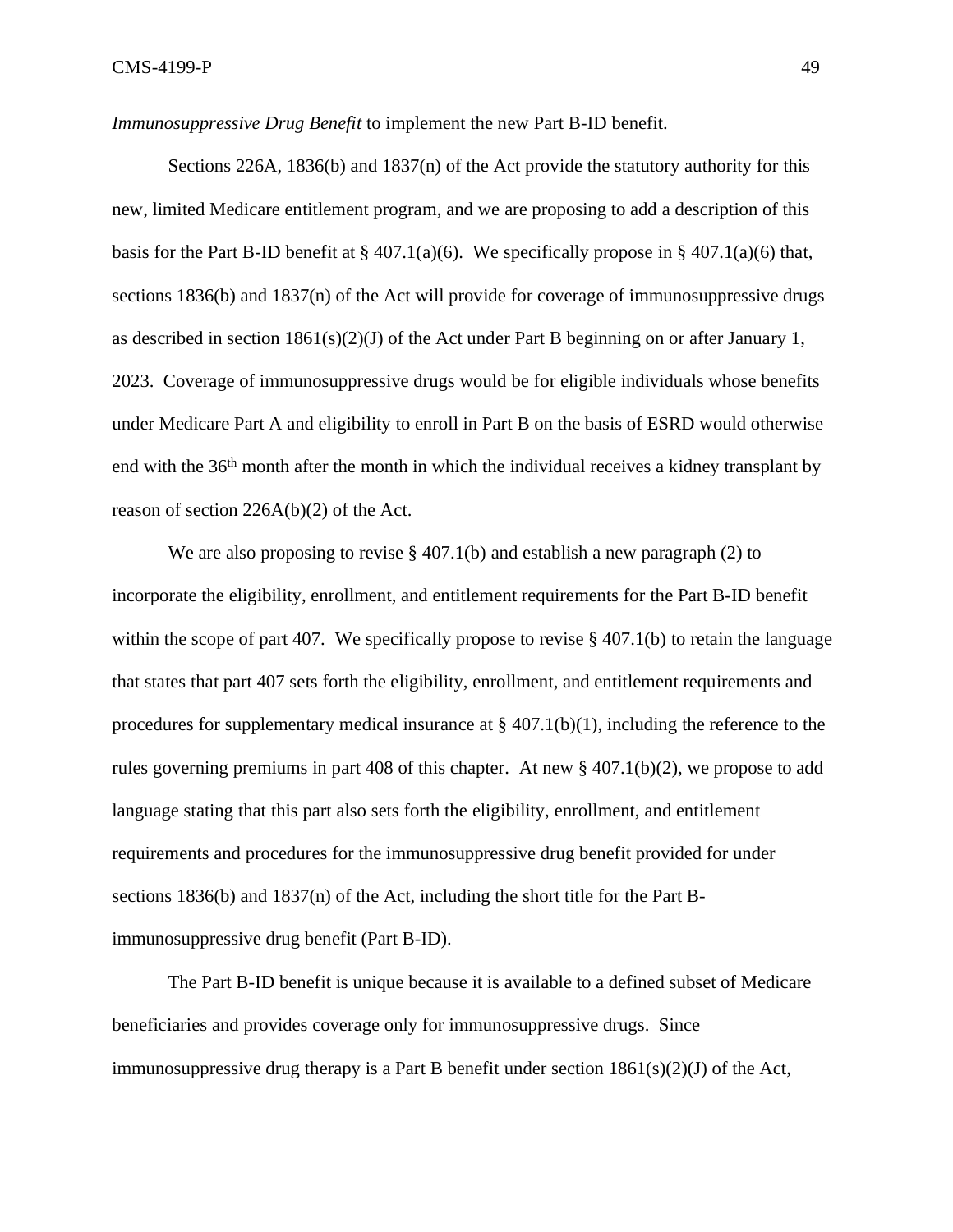*Immunosuppressive Drug Benefit* to implement the new Part B-ID benefit.

Sections 226A, 1836(b) and 1837(n) of the Act provide the statutory authority for this new, limited Medicare entitlement program, and we are proposing to add a description of this basis for the Part B-ID benefit at  $\S 407.1(a)(6)$ . We specifically propose in  $\S 407.1(a)(6)$  that, sections 1836(b) and 1837(n) of the Act will provide for coverage of immunosuppressive drugs as described in section  $1861(s)(2)(J)$  of the Act under Part B beginning on or after January 1, 2023. Coverage of immunosuppressive drugs would be for eligible individuals whose benefits under Medicare Part A and eligibility to enroll in Part B on the basis of ESRD would otherwise end with the 36<sup>th</sup> month after the month in which the individual receives a kidney transplant by reason of section 226A(b)(2) of the Act.

We are also proposing to revise  $\S$  407.1(b) and establish a new paragraph (2) to incorporate the eligibility, enrollment, and entitlement requirements for the Part B-ID benefit within the scope of part 407. We specifically propose to revise  $\S$  407.1(b) to retain the language that states that part 407 sets forth the eligibility, enrollment, and entitlement requirements and procedures for supplementary medical insurance at  $\S$  407.1(b)(1), including the reference to the rules governing premiums in part 408 of this chapter. At new § 407.1(b)(2), we propose to add language stating that this part also sets forth the eligibility, enrollment, and entitlement requirements and procedures for the immunosuppressive drug benefit provided for under sections 1836(b) and 1837(n) of the Act, including the short title for the Part Bimmunosuppressive drug benefit (Part B-ID).

The Part B-ID benefit is unique because it is available to a defined subset of Medicare beneficiaries and provides coverage only for immunosuppressive drugs. Since immunosuppressive drug therapy is a Part B benefit under section  $1861(s)(2)(J)$  of the Act,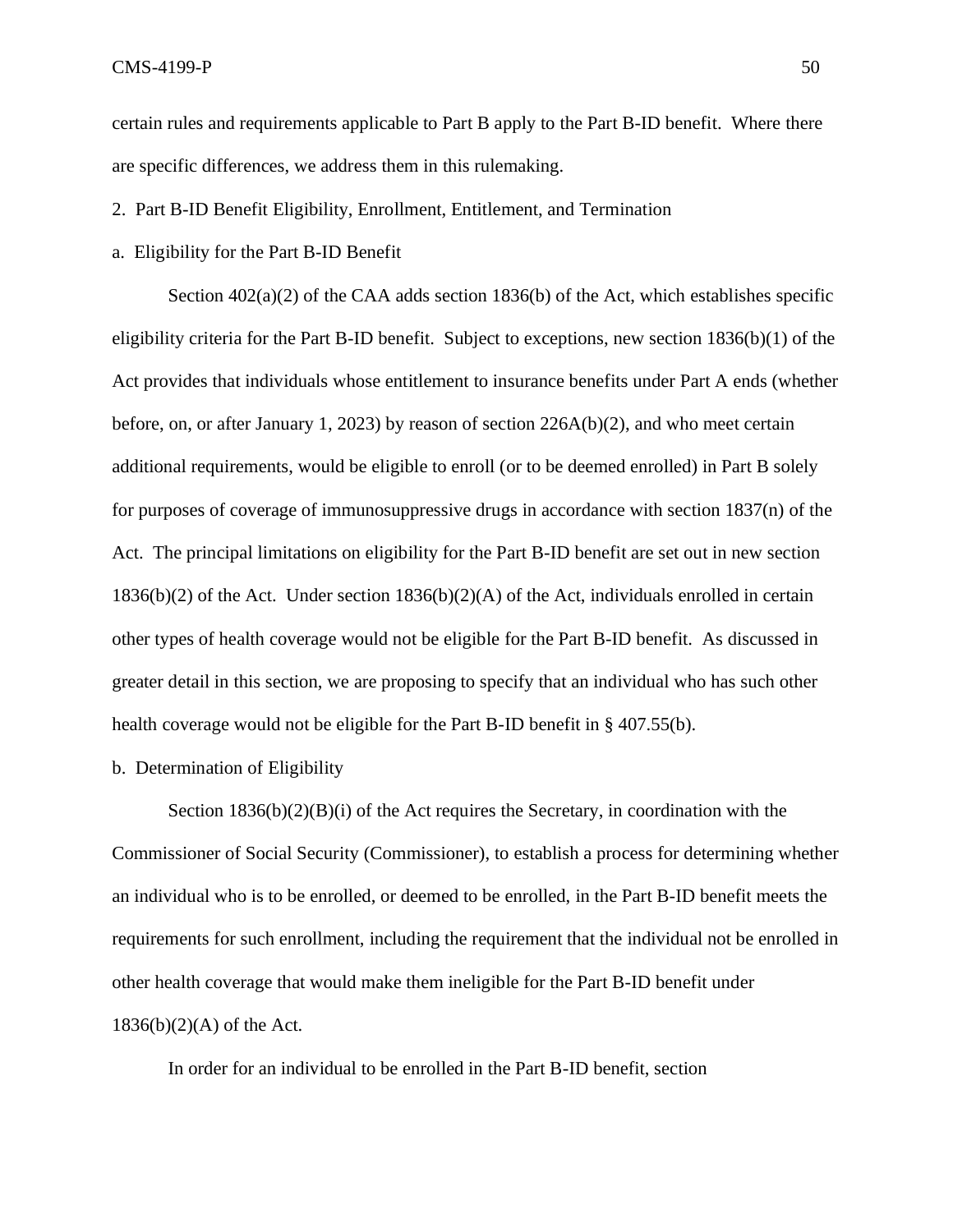certain rules and requirements applicable to Part B apply to the Part B-ID benefit. Where there are specific differences, we address them in this rulemaking.

- 2. Part B-ID Benefit Eligibility, Enrollment, Entitlement, and Termination
- a. Eligibility for the Part B-ID Benefit

Section  $402(a)(2)$  of the CAA adds section 1836(b) of the Act, which establishes specific eligibility criteria for the Part B-ID benefit. Subject to exceptions, new section 1836(b)(1) of the Act provides that individuals whose entitlement to insurance benefits under Part A ends (whether before, on, or after January 1, 2023) by reason of section  $226A(b)(2)$ , and who meet certain additional requirements, would be eligible to enroll (or to be deemed enrolled) in Part B solely for purposes of coverage of immunosuppressive drugs in accordance with section 1837(n) of the Act. The principal limitations on eligibility for the Part B-ID benefit are set out in new section 1836(b)(2) of the Act. Under section 1836(b)(2)(A) of the Act, individuals enrolled in certain other types of health coverage would not be eligible for the Part B-ID benefit. As discussed in greater detail in this section, we are proposing to specify that an individual who has such other health coverage would not be eligible for the Part B-ID benefit in § 407.55(b).

b. Determination of Eligibility

Section  $1836(b)(2)(B)(i)$  of the Act requires the Secretary, in coordination with the Commissioner of Social Security (Commissioner), to establish a process for determining whether an individual who is to be enrolled, or deemed to be enrolled, in the Part B-ID benefit meets the requirements for such enrollment, including the requirement that the individual not be enrolled in other health coverage that would make them ineligible for the Part B-ID benefit under  $1836(b)(2)(A)$  of the Act.

In order for an individual to be enrolled in the Part B-ID benefit, section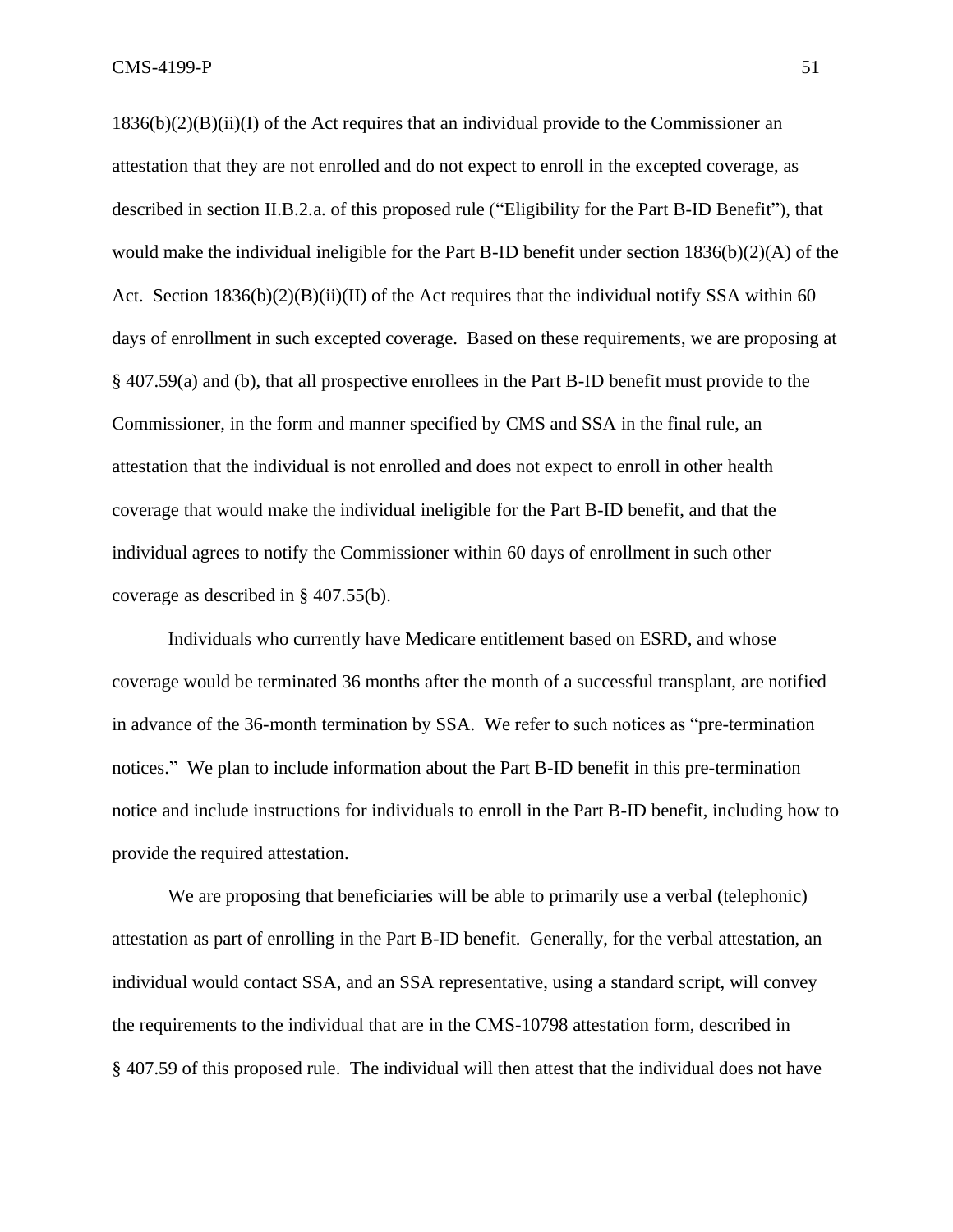$1836(b)(2)(B)(ii)(I)$  of the Act requires that an individual provide to the Commissioner an attestation that they are not enrolled and do not expect to enroll in the excepted coverage, as described in section II.B.2.a. of this proposed rule ("Eligibility for the Part B-ID Benefit"), that would make the individual ineligible for the Part B-ID benefit under section 1836(b)(2)(A) of the Act. Section  $1836(b)(2)(B)(ii)(II)$  of the Act requires that the individual notify SSA within 60 days of enrollment in such excepted coverage. Based on these requirements, we are proposing at § 407.59(a) and (b), that all prospective enrollees in the Part B-ID benefit must provide to the Commissioner, in the form and manner specified by CMS and SSA in the final rule, an attestation that the individual is not enrolled and does not expect to enroll in other health coverage that would make the individual ineligible for the Part B-ID benefit, and that the individual agrees to notify the Commissioner within 60 days of enrollment in such other coverage as described in § 407.55(b).

Individuals who currently have Medicare entitlement based on ESRD, and whose coverage would be terminated 36 months after the month of a successful transplant, are notified in advance of the 36-month termination by SSA. We refer to such notices as "pre-termination notices." We plan to include information about the Part B-ID benefit in this pre-termination notice and include instructions for individuals to enroll in the Part B-ID benefit, including how to provide the required attestation.

We are proposing that beneficiaries will be able to primarily use a verbal (telephonic) attestation as part of enrolling in the Part B-ID benefit. Generally, for the verbal attestation, an individual would contact SSA, and an SSA representative, using a standard script, will convey the requirements to the individual that are in the CMS-10798 attestation form, described in § 407.59 of this proposed rule. The individual will then attest that the individual does not have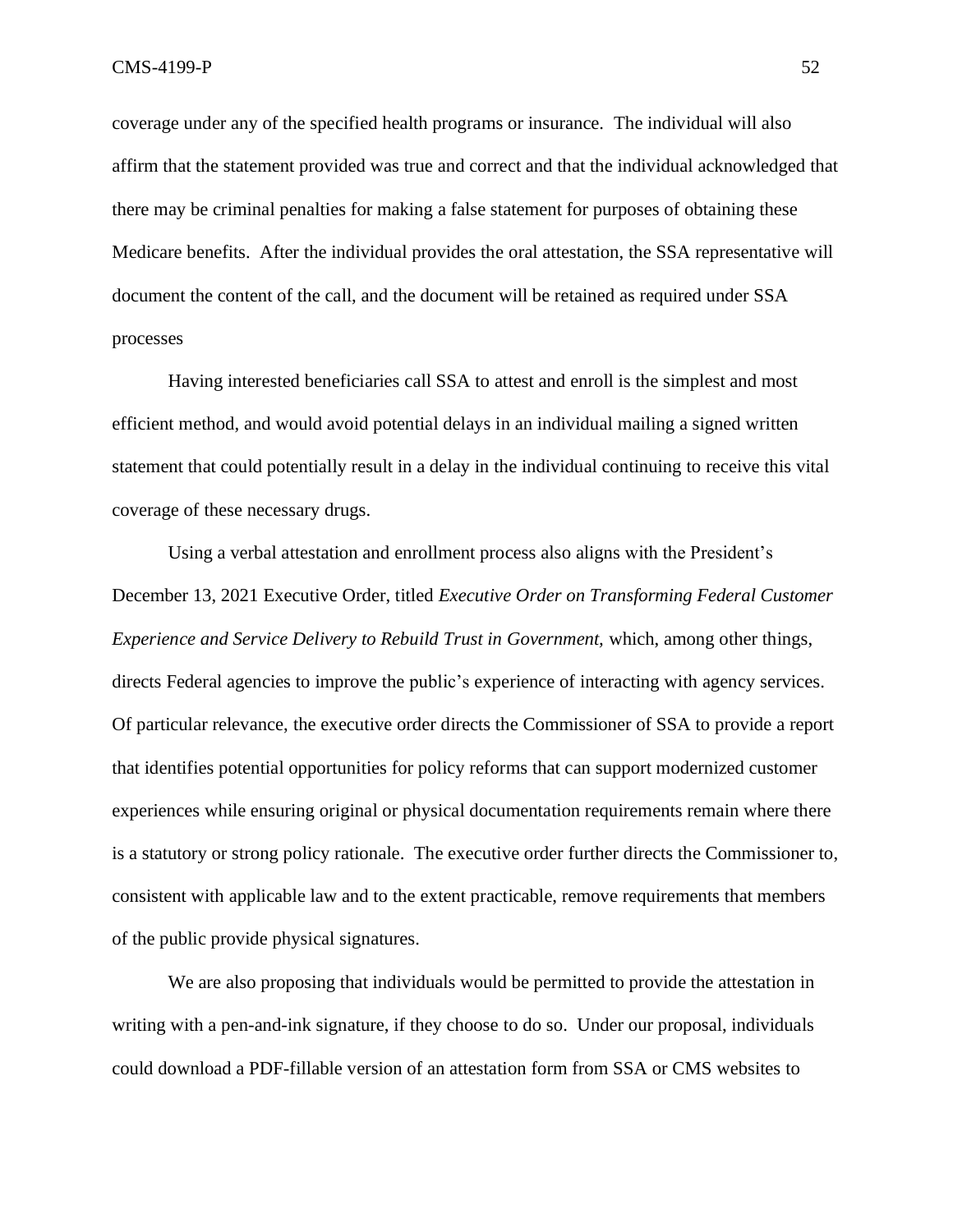coverage under any of the specified health programs or insurance. The individual will also affirm that the statement provided was true and correct and that the individual acknowledged that there may be criminal penalties for making a false statement for purposes of obtaining these Medicare benefits. After the individual provides the oral attestation, the SSA representative will document the content of the call, and the document will be retained as required under SSA processes

Having interested beneficiaries call SSA to attest and enroll is the simplest and most efficient method, and would avoid potential delays in an individual mailing a signed written statement that could potentially result in a delay in the individual continuing to receive this vital coverage of these necessary drugs.

Using a verbal attestation and enrollment process also aligns with the President's December 13, 2021 Executive Order, titled *Executive Order on Transforming Federal Customer Experience and Service Delivery to Rebuild Trust in Government,* which, among other things, directs Federal agencies to improve the public's experience of interacting with agency services. Of particular relevance, the executive order directs the Commissioner of SSA to provide a report that identifies potential opportunities for policy reforms that can support modernized customer experiences while ensuring original or physical documentation requirements remain where there is a statutory or strong policy rationale. The executive order further directs the Commissioner to, consistent with applicable law and to the extent practicable, remove requirements that members of the public provide physical signatures.

We are also proposing that individuals would be permitted to provide the attestation in writing with a pen-and-ink signature, if they choose to do so. Under our proposal, individuals could download a PDF-fillable version of an attestation form from SSA or CMS websites to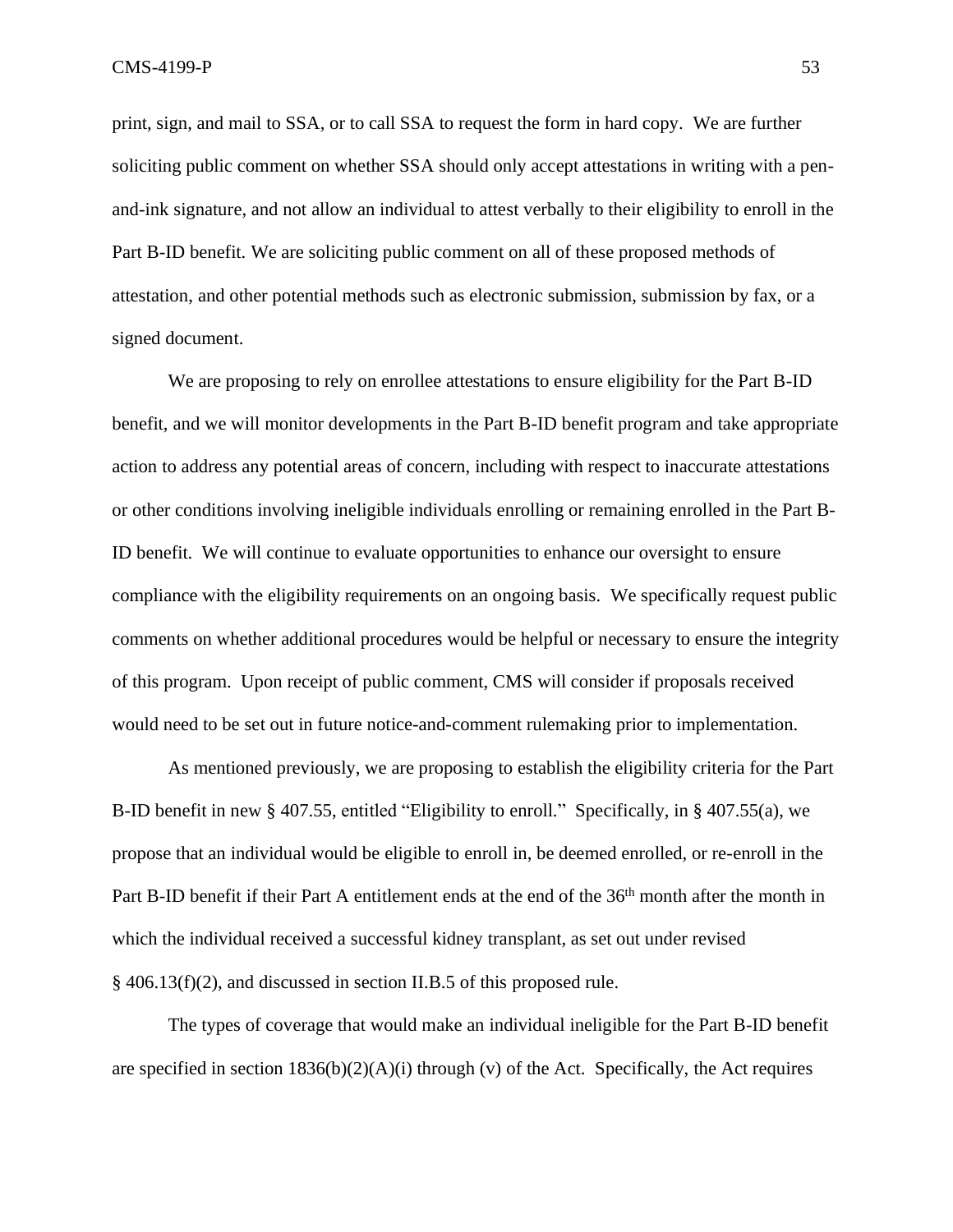print, sign, and mail to SSA, or to call SSA to request the form in hard copy. We are further soliciting public comment on whether SSA should only accept attestations in writing with a penand-ink signature, and not allow an individual to attest verbally to their eligibility to enroll in the Part B-ID benefit. We are soliciting public comment on all of these proposed methods of attestation, and other potential methods such as electronic submission, submission by fax, or a signed document.

We are proposing to rely on enrollee attestations to ensure eligibility for the Part B-ID benefit, and we will monitor developments in the Part B-ID benefit program and take appropriate action to address any potential areas of concern, including with respect to inaccurate attestations or other conditions involving ineligible individuals enrolling or remaining enrolled in the Part B-ID benefit. We will continue to evaluate opportunities to enhance our oversight to ensure compliance with the eligibility requirements on an ongoing basis. We specifically request public comments on whether additional procedures would be helpful or necessary to ensure the integrity of this program. Upon receipt of public comment, CMS will consider if proposals received would need to be set out in future notice-and-comment rulemaking prior to implementation.

As mentioned previously, we are proposing to establish the eligibility criteria for the Part B-ID benefit in new § 407.55, entitled "Eligibility to enroll." Specifically, in § 407.55(a), we propose that an individual would be eligible to enroll in, be deemed enrolled, or re-enroll in the Part B-ID benefit if their Part A entitlement ends at the end of the 36<sup>th</sup> month after the month in which the individual received a successful kidney transplant, as set out under revised § 406.13(f)(2), and discussed in section II.B.5 of this proposed rule.

The types of coverage that would make an individual ineligible for the Part B-ID benefit are specified in section  $1836(b)(2)(A)(i)$  through (v) of the Act. Specifically, the Act requires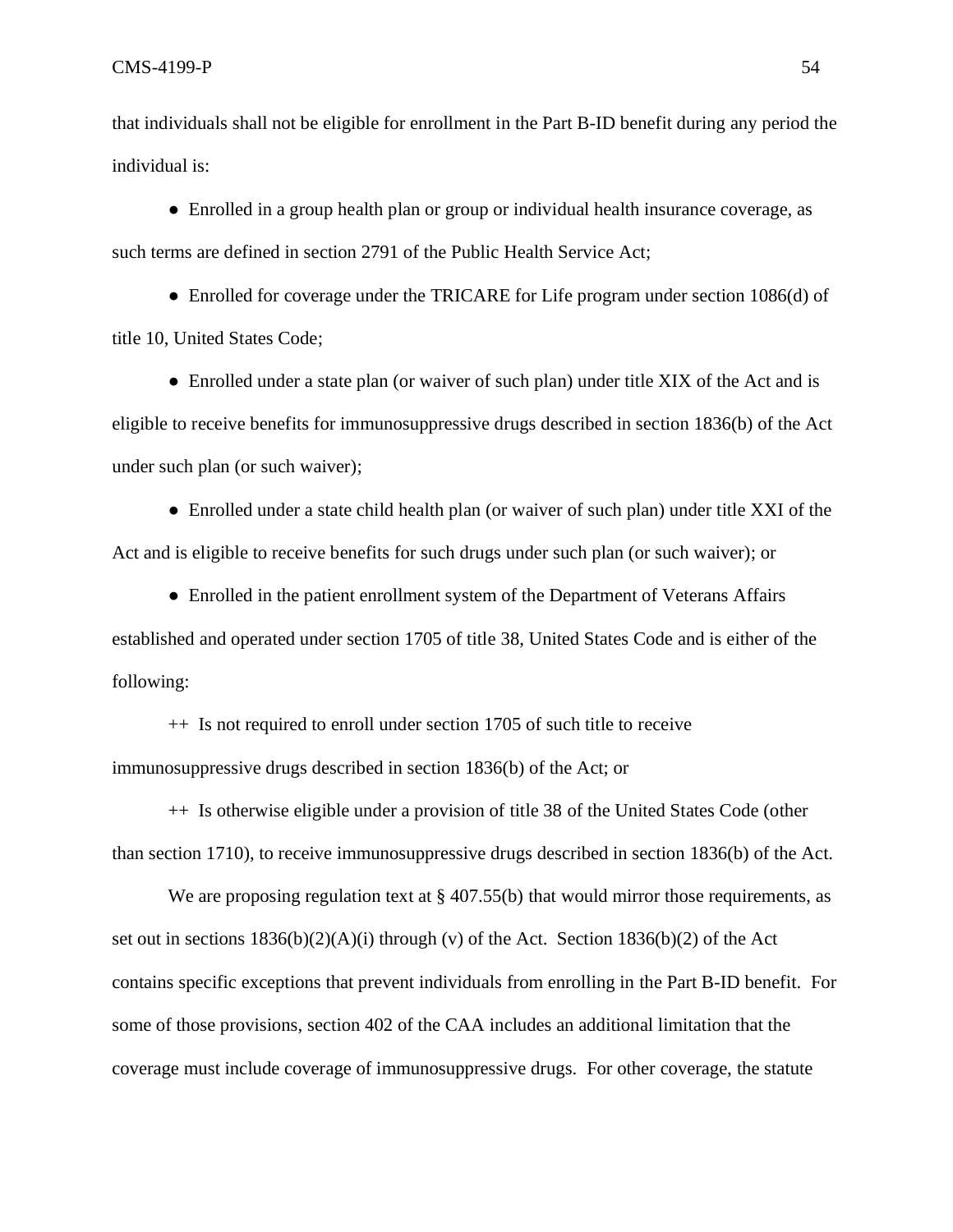that individuals shall not be eligible for enrollment in the Part B-ID benefit during any period the individual is:

• Enrolled in a group health plan or group or individual health insurance coverage, as such terms are defined in section 2791 of the Public Health Service Act;

• Enrolled for coverage under the TRICARE for Life program under section 1086(d) of title 10, United States Code;

• Enrolled under a state plan (or waiver of such plan) under title XIX of the Act and is eligible to receive benefits for immunosuppressive drugs described in section 1836(b) of the Act under such plan (or such waiver);

• Enrolled under a state child health plan (or waiver of such plan) under title XXI of the Act and is eligible to receive benefits for such drugs under such plan (or such waiver); or

● Enrolled in the patient enrollment system of the Department of Veterans Affairs established and operated under section 1705 of title 38, United States Code and is either of the following:

++ Is not required to enroll under section 1705 of such title to receive immunosuppressive drugs described in section 1836(b) of the Act; or

++ Is otherwise eligible under a provision of title 38 of the United States Code (other than section 1710), to receive immunosuppressive drugs described in section 1836(b) of the Act.

We are proposing regulation text at  $\S 407.55(b)$  that would mirror those requirements, as set out in sections  $1836(b)(2)(A)(i)$  through (v) of the Act. Section  $1836(b)(2)$  of the Act contains specific exceptions that prevent individuals from enrolling in the Part B-ID benefit. For some of those provisions, section 402 of the CAA includes an additional limitation that the coverage must include coverage of immunosuppressive drugs. For other coverage, the statute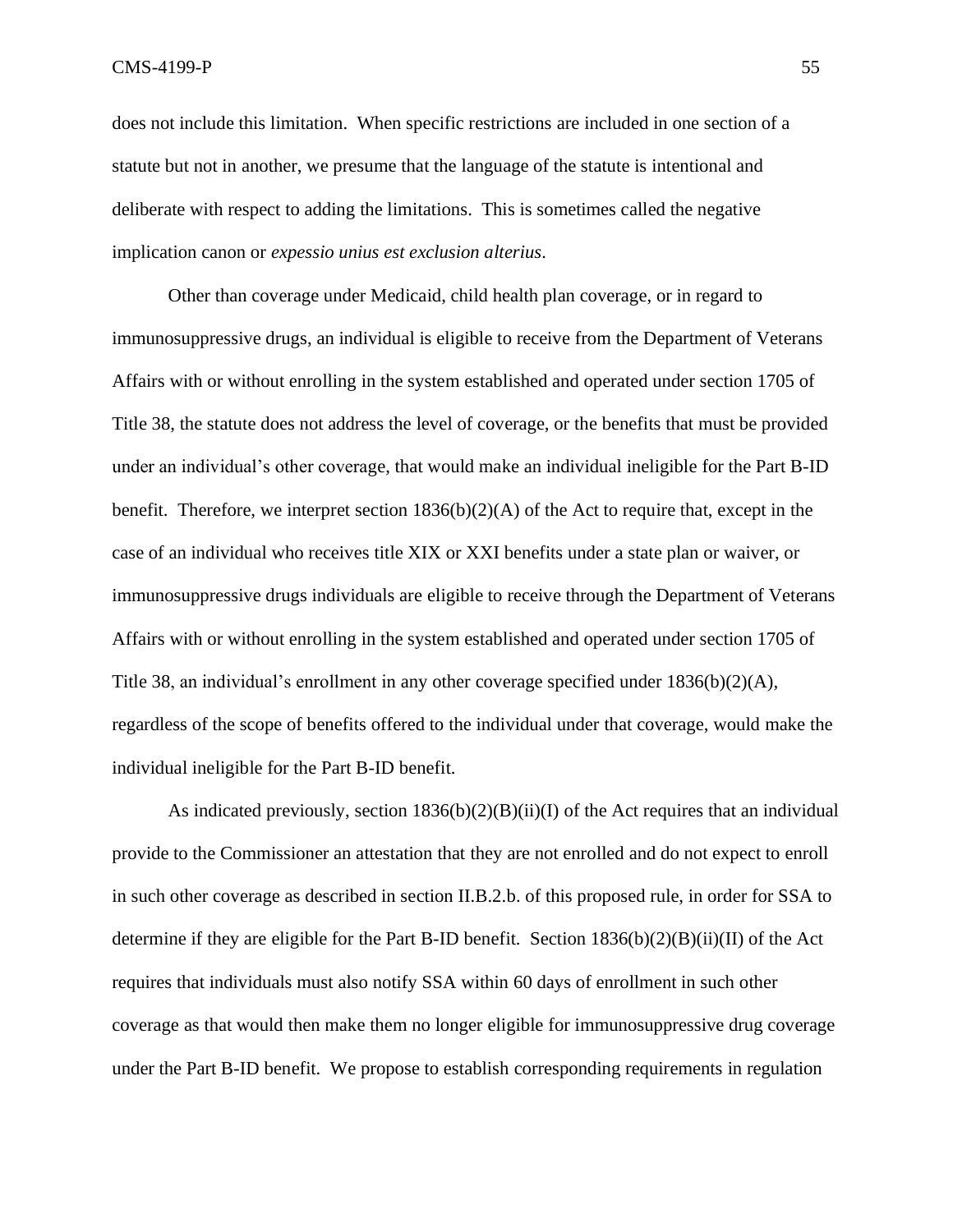$\text{CMS-4199-P}$  55

does not include this limitation. When specific restrictions are included in one section of a statute but not in another, we presume that the language of the statute is intentional and deliberate with respect to adding the limitations. This is sometimes called the negative implication canon or *expessio unius est exclusion alterius.*

Other than coverage under Medicaid, child health plan coverage, or in regard to immunosuppressive drugs, an individual is eligible to receive from the Department of Veterans Affairs with or without enrolling in the system established and operated under section 1705 of Title 38, the statute does not address the level of coverage, or the benefits that must be provided under an individual's other coverage, that would make an individual ineligible for the Part B-ID benefit. Therefore, we interpret section  $1836(b)(2)(A)$  of the Act to require that, except in the case of an individual who receives title XIX or XXI benefits under a state plan or waiver, or immunosuppressive drugs individuals are eligible to receive through the Department of Veterans Affairs with or without enrolling in the system established and operated under section 1705 of Title 38, an individual's enrollment in any other coverage specified under  $1836(b)(2)(A)$ , regardless of the scope of benefits offered to the individual under that coverage, would make the individual ineligible for the Part B-ID benefit.

As indicated previously, section  $1836(b)(2)(B)(ii)(I)$  of the Act requires that an individual provide to the Commissioner an attestation that they are not enrolled and do not expect to enroll in such other coverage as described in section II.B.2.b. of this proposed rule, in order for SSA to determine if they are eligible for the Part B-ID benefit. Section  $1836(b)(2)(B)(ii)(II)$  of the Act requires that individuals must also notify SSA within 60 days of enrollment in such other coverage as that would then make them no longer eligible for immunosuppressive drug coverage under the Part B-ID benefit. We propose to establish corresponding requirements in regulation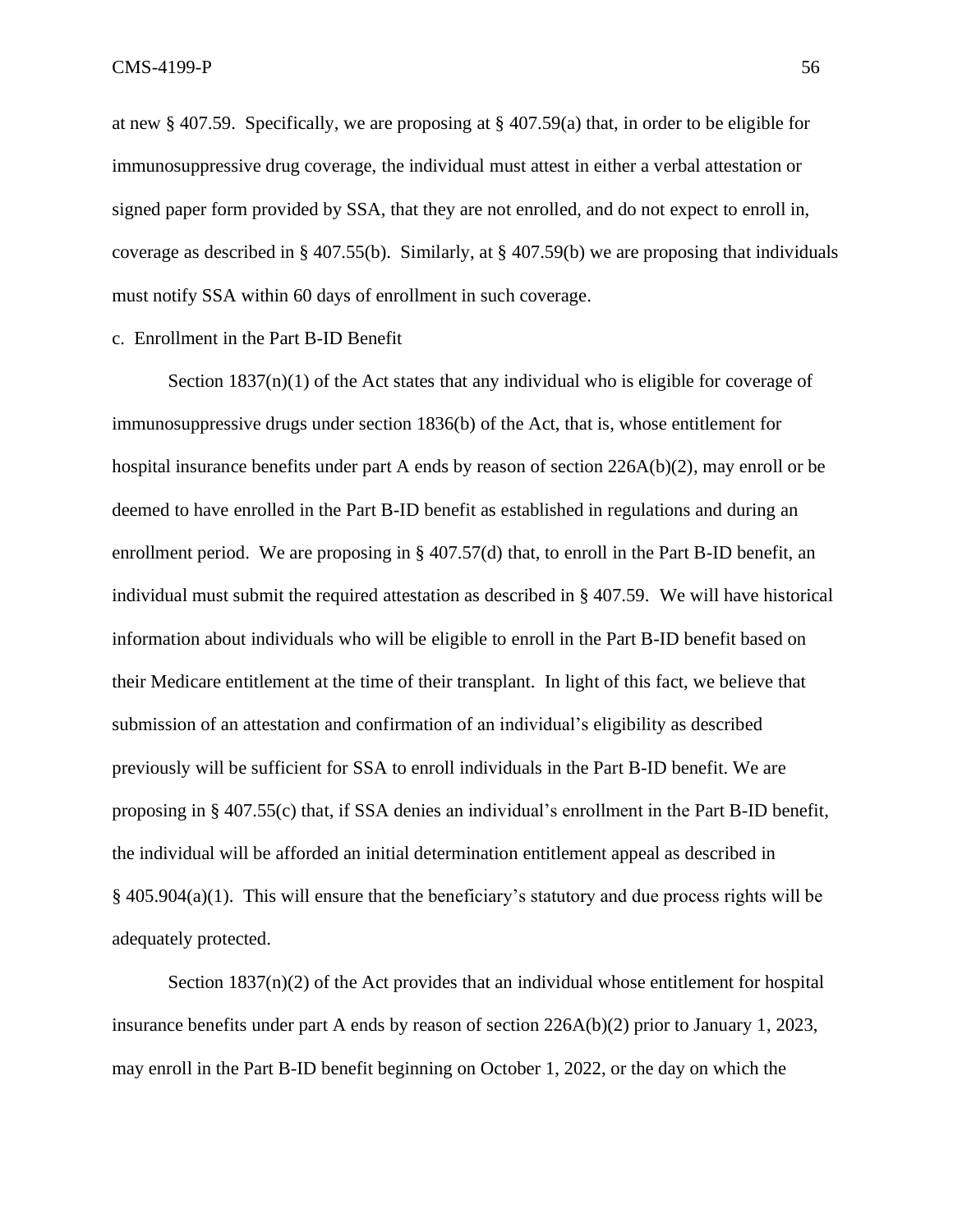at new § 407.59. Specifically, we are proposing at § 407.59(a) that, in order to be eligible for immunosuppressive drug coverage, the individual must attest in either a verbal attestation or signed paper form provided by SSA, that they are not enrolled, and do not expect to enroll in, coverage as described in § 407.55(b). Similarly, at § 407.59(b) we are proposing that individuals must notify SSA within 60 days of enrollment in such coverage.

c. Enrollment in the Part B-ID Benefit

Section  $1837(n)(1)$  of the Act states that any individual who is eligible for coverage of immunosuppressive drugs under section 1836(b) of the Act, that is, whose entitlement for hospital insurance benefits under part A ends by reason of section 226A(b)(2), may enroll or be deemed to have enrolled in the Part B-ID benefit as established in regulations and during an enrollment period. We are proposing in § 407.57(d) that, to enroll in the Part B-ID benefit, an individual must submit the required attestation as described in § 407.59. We will have historical information about individuals who will be eligible to enroll in the Part B-ID benefit based on their Medicare entitlement at the time of their transplant. In light of this fact, we believe that submission of an attestation and confirmation of an individual's eligibility as described previously will be sufficient for SSA to enroll individuals in the Part B-ID benefit. We are proposing in § 407.55(c) that, if SSA denies an individual's enrollment in the Part B-ID benefit, the individual will be afforded an initial determination entitlement appeal as described in  $§$  405.904(a)(1). This will ensure that the beneficiary's statutory and due process rights will be adequately protected.

Section  $1837(n)(2)$  of the Act provides that an individual whose entitlement for hospital insurance benefits under part A ends by reason of section 226A(b)(2) prior to January 1, 2023, may enroll in the Part B-ID benefit beginning on October 1, 2022, or the day on which the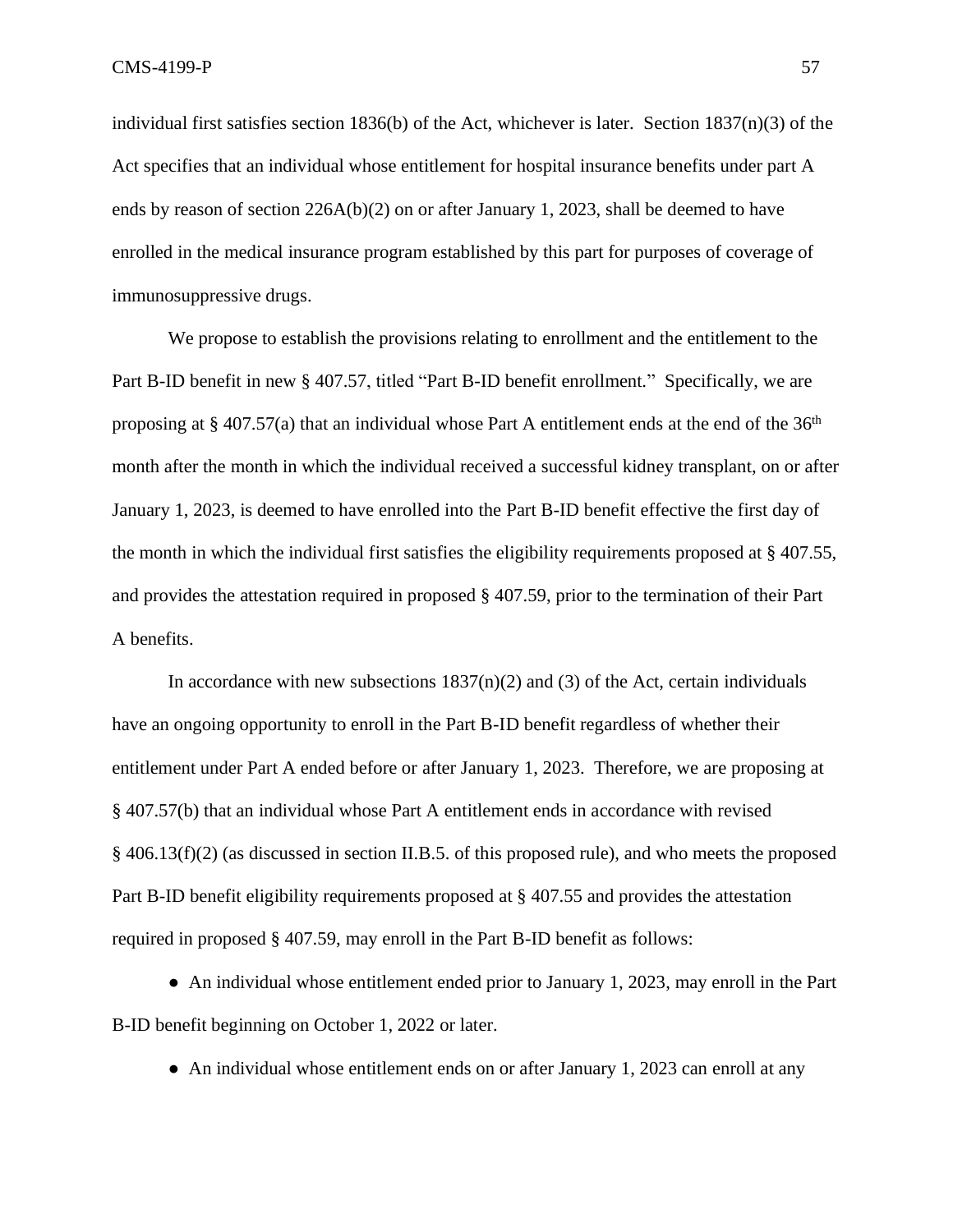individual first satisfies section  $1836(b)$  of the Act, whichever is later. Section  $1837(n)(3)$  of the Act specifies that an individual whose entitlement for hospital insurance benefits under part A ends by reason of section  $226A(b)(2)$  on or after January 1, 2023, shall be deemed to have enrolled in the medical insurance program established by this part for purposes of coverage of immunosuppressive drugs.

We propose to establish the provisions relating to enrollment and the entitlement to the Part B-ID benefit in new § 407.57, titled "Part B-ID benefit enrollment." Specifically, we are proposing at § 407.57(a) that an individual whose Part A entitlement ends at the end of the  $36<sup>th</sup>$ month after the month in which the individual received a successful kidney transplant, on or after January 1, 2023, is deemed to have enrolled into the Part B-ID benefit effective the first day of the month in which the individual first satisfies the eligibility requirements proposed at  $\S 407.55$ , and provides the attestation required in proposed § 407.59, prior to the termination of their Part A benefits.

In accordance with new subsections  $1837(n)(2)$  and (3) of the Act, certain individuals have an ongoing opportunity to enroll in the Part B-ID benefit regardless of whether their entitlement under Part A ended before or after January 1, 2023. Therefore, we are proposing at § 407.57(b) that an individual whose Part A entitlement ends in accordance with revised § 406.13(f)(2) (as discussed in section II.B.5. of this proposed rule), and who meets the proposed Part B-ID benefit eligibility requirements proposed at § 407.55 and provides the attestation required in proposed § 407.59, may enroll in the Part B-ID benefit as follows:

• An individual whose entitlement ended prior to January 1, 2023, may enroll in the Part B-ID benefit beginning on October 1, 2022 or later.

• An individual whose entitlement ends on or after January 1, 2023 can enroll at any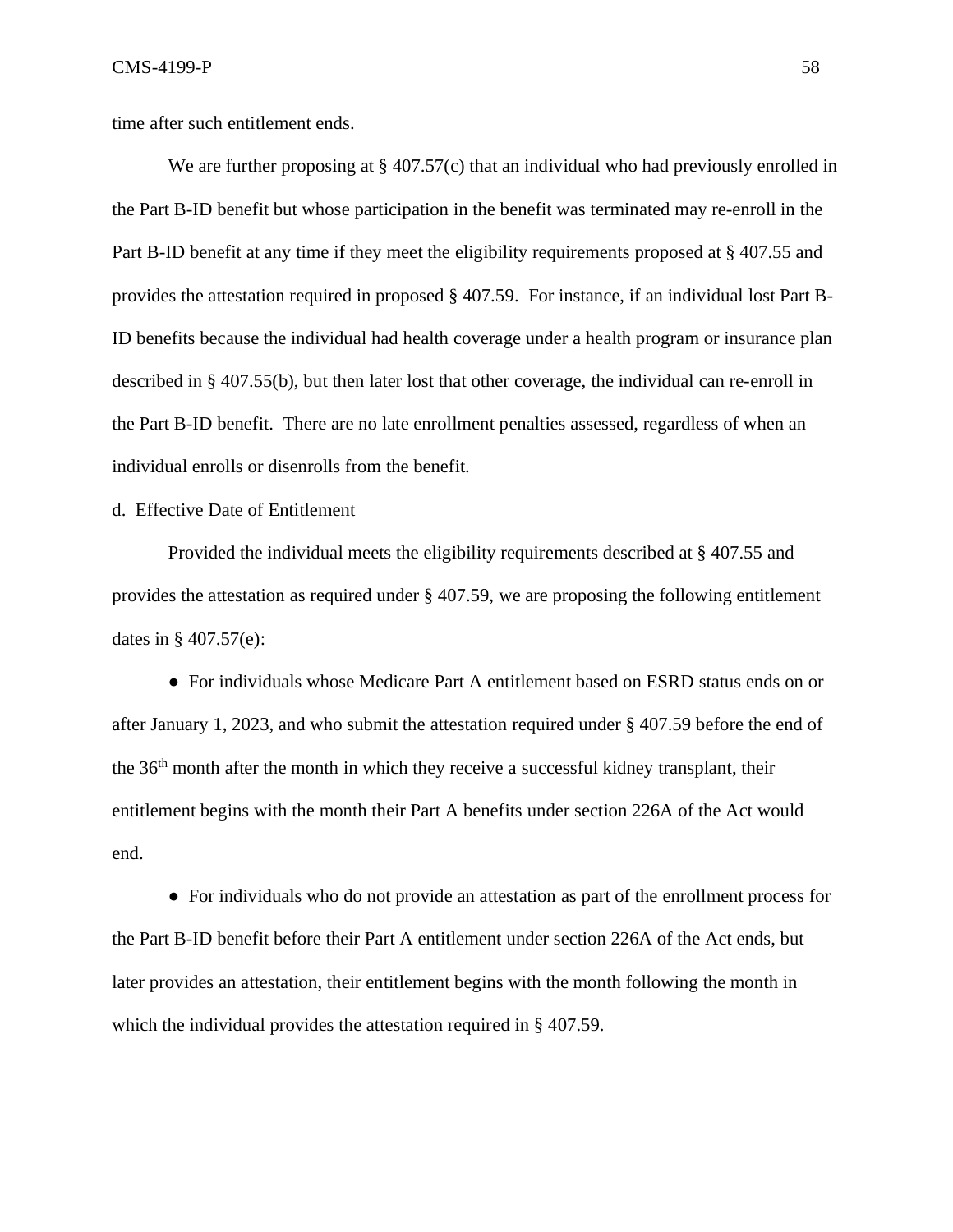time after such entitlement ends.

We are further proposing at § 407.57(c) that an individual who had previously enrolled in the Part B-ID benefit but whose participation in the benefit was terminated may re-enroll in the Part B-ID benefit at any time if they meet the eligibility requirements proposed at § 407.55 and provides the attestation required in proposed § 407.59. For instance, if an individual lost Part B-ID benefits because the individual had health coverage under a health program or insurance plan described in § 407.55(b), but then later lost that other coverage, the individual can re-enroll in the Part B-ID benefit. There are no late enrollment penalties assessed, regardless of when an individual enrolls or disenrolls from the benefit.

d. Effective Date of Entitlement

Provided the individual meets the eligibility requirements described at § 407.55 and provides the attestation as required under § 407.59, we are proposing the following entitlement dates in § 407.57(e):

● For individuals whose Medicare Part A entitlement based on ESRD status ends on or after January 1, 2023, and who submit the attestation required under § 407.59 before the end of the 36th month after the month in which they receive a successful kidney transplant, their entitlement begins with the month their Part A benefits under section 226A of the Act would end.

● For individuals who do not provide an attestation as part of the enrollment process for the Part B-ID benefit before their Part A entitlement under section 226A of the Act ends, but later provides an attestation, their entitlement begins with the month following the month in which the individual provides the attestation required in § 407.59.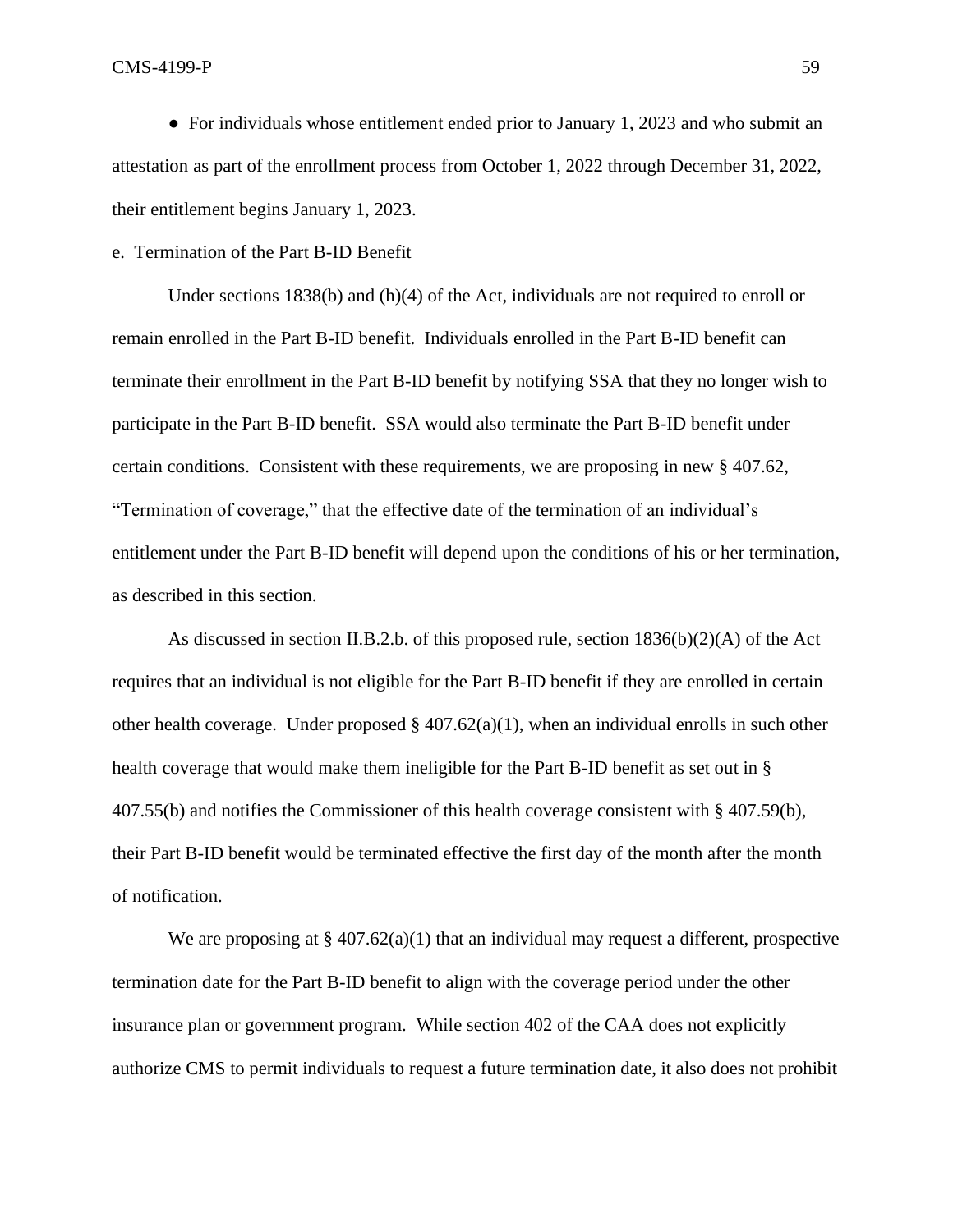CMS-4199-P 59

• For individuals whose entitlement ended prior to January 1, 2023 and who submit an attestation as part of the enrollment process from October 1, 2022 through December 31, 2022, their entitlement begins January 1, 2023.

## e. Termination of the Part B-ID Benefit

Under sections 1838(b) and (h)(4) of the Act, individuals are not required to enroll or remain enrolled in the Part B-ID benefit. Individuals enrolled in the Part B-ID benefit can terminate their enrollment in the Part B-ID benefit by notifying SSA that they no longer wish to participate in the Part B-ID benefit. SSA would also terminate the Part B-ID benefit under certain conditions. Consistent with these requirements, we are proposing in new § 407.62, "Termination of coverage," that the effective date of the termination of an individual's entitlement under the Part B-ID benefit will depend upon the conditions of his or her termination, as described in this section.

As discussed in section II.B.2.b. of this proposed rule, section  $1836(b)(2)(A)$  of the Act requires that an individual is not eligible for the Part B-ID benefit if they are enrolled in certain other health coverage. Under proposed  $\S$  407.62(a)(1), when an individual enrolls in such other health coverage that would make them ineligible for the Part B-ID benefit as set out in § 407.55(b) and notifies the Commissioner of this health coverage consistent with § 407.59(b), their Part B-ID benefit would be terminated effective the first day of the month after the month of notification.

We are proposing at  $\S 407.62(a)(1)$  that an individual may request a different, prospective termination date for the Part B-ID benefit to align with the coverage period under the other insurance plan or government program. While section 402 of the CAA does not explicitly authorize CMS to permit individuals to request a future termination date, it also does not prohibit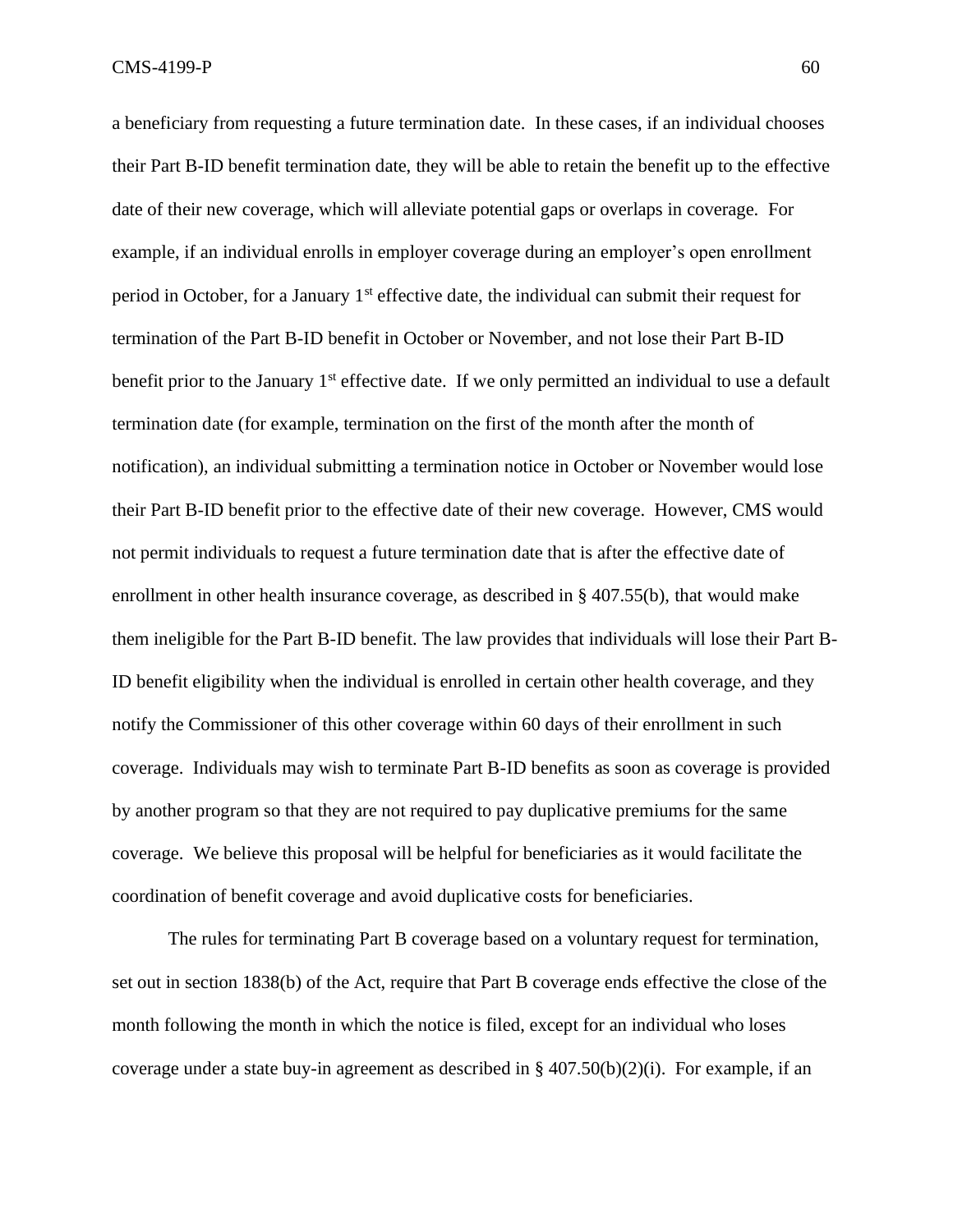a beneficiary from requesting a future termination date. In these cases, if an individual chooses their Part B-ID benefit termination date, they will be able to retain the benefit up to the effective date of their new coverage, which will alleviate potential gaps or overlaps in coverage. For example, if an individual enrolls in employer coverage during an employer's open enrollment period in October, for a January  $1<sup>st</sup>$  effective date, the individual can submit their request for termination of the Part B-ID benefit in October or November, and not lose their Part B-ID benefit prior to the January 1<sup>st</sup> effective date. If we only permitted an individual to use a default termination date (for example, termination on the first of the month after the month of notification), an individual submitting a termination notice in October or November would lose their Part B-ID benefit prior to the effective date of their new coverage. However, CMS would not permit individuals to request a future termination date that is after the effective date of enrollment in other health insurance coverage, as described in § 407.55(b), that would make them ineligible for the Part B-ID benefit. The law provides that individuals will lose their Part B-ID benefit eligibility when the individual is enrolled in certain other health coverage, and they notify the Commissioner of this other coverage within 60 days of their enrollment in such coverage. Individuals may wish to terminate Part B-ID benefits as soon as coverage is provided by another program so that they are not required to pay duplicative premiums for the same coverage. We believe this proposal will be helpful for beneficiaries as it would facilitate the coordination of benefit coverage and avoid duplicative costs for beneficiaries.

The rules for terminating Part B coverage based on a voluntary request for termination, set out in section 1838(b) of the Act, require that Part B coverage ends effective the close of the month following the month in which the notice is filed, except for an individual who loses coverage under a state buy-in agreement as described in  $\S 407.50(b)(2)(i)$ . For example, if an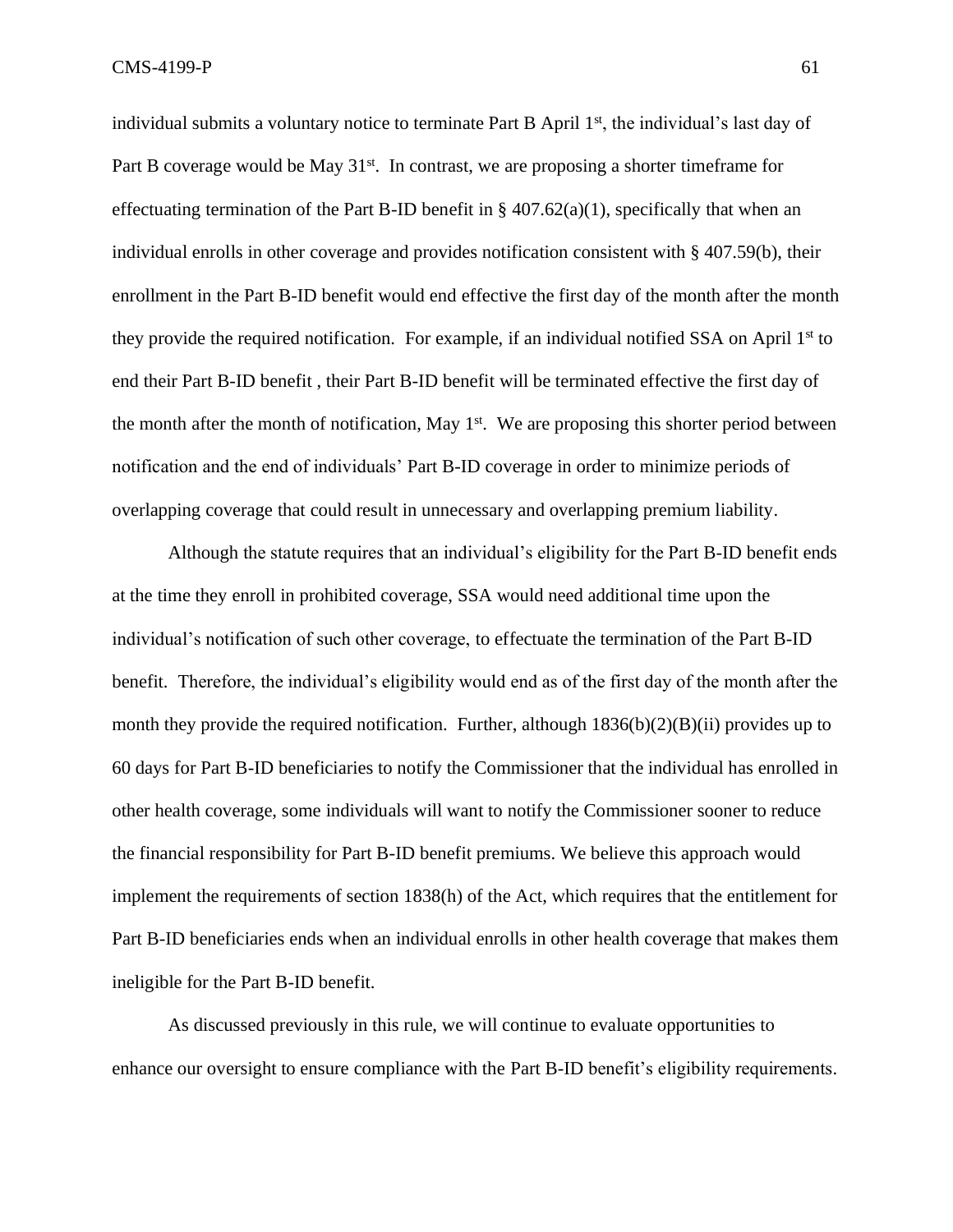individual submits a voluntary notice to terminate Part B April 1<sup>st</sup>, the individual's last day of Part B coverage would be May 31<sup>st</sup>. In contrast, we are proposing a shorter timeframe for effectuating termination of the Part B-ID benefit in  $\S$  407.62(a)(1), specifically that when an individual enrolls in other coverage and provides notification consistent with § 407.59(b), their enrollment in the Part B-ID benefit would end effective the first day of the month after the month they provide the required notification. For example, if an individual notified SSA on April 1st to end their Part B-ID benefit , their Part B-ID benefit will be terminated effective the first day of the month after the month of notification, May  $1<sup>st</sup>$ . We are proposing this shorter period between notification and the end of individuals' Part B-ID coverage in order to minimize periods of overlapping coverage that could result in unnecessary and overlapping premium liability.

Although the statute requires that an individual's eligibility for the Part B-ID benefit ends at the time they enroll in prohibited coverage, SSA would need additional time upon the individual's notification of such other coverage, to effectuate the termination of the Part B-ID benefit. Therefore, the individual's eligibility would end as of the first day of the month after the month they provide the required notification. Further, although 1836(b)(2)(B)(ii) provides up to 60 days for Part B-ID beneficiaries to notify the Commissioner that the individual has enrolled in other health coverage, some individuals will want to notify the Commissioner sooner to reduce the financial responsibility for Part B-ID benefit premiums. We believe this approach would implement the requirements of section 1838(h) of the Act, which requires that the entitlement for Part B-ID beneficiaries ends when an individual enrolls in other health coverage that makes them ineligible for the Part B-ID benefit.

As discussed previously in this rule, we will continue to evaluate opportunities to enhance our oversight to ensure compliance with the Part B-ID benefit's eligibility requirements.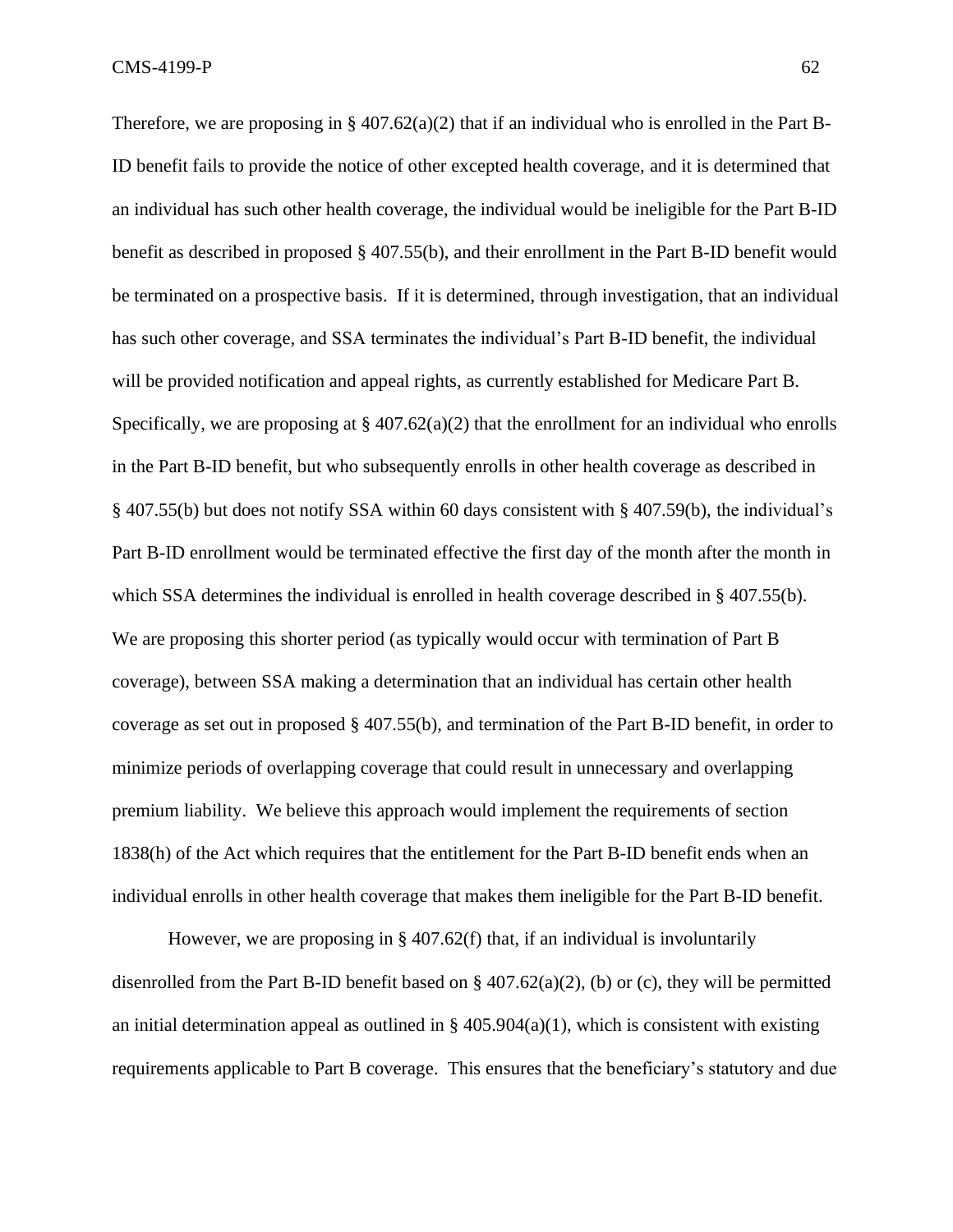Therefore, we are proposing in §  $407.62(a)(2)$  that if an individual who is enrolled in the Part B-ID benefit fails to provide the notice of other excepted health coverage, and it is determined that an individual has such other health coverage, the individual would be ineligible for the Part B-ID benefit as described in proposed § 407.55(b), and their enrollment in the Part B-ID benefit would be terminated on a prospective basis. If it is determined, through investigation, that an individual has such other coverage, and SSA terminates the individual's Part B-ID benefit, the individual will be provided notification and appeal rights, as currently established for Medicare Part B. Specifically, we are proposing at  $\S 407.62(a)(2)$  that the enrollment for an individual who enrolls in the Part B-ID benefit, but who subsequently enrolls in other health coverage as described in § 407.55(b) but does not notify SSA within 60 days consistent with § 407.59(b), the individual's Part B-ID enrollment would be terminated effective the first day of the month after the month in which SSA determines the individual is enrolled in health coverage described in § 407.55(b). We are proposing this shorter period (as typically would occur with termination of Part B coverage), between SSA making a determination that an individual has certain other health coverage as set out in proposed § 407.55(b), and termination of the Part B-ID benefit, in order to minimize periods of overlapping coverage that could result in unnecessary and overlapping premium liability. We believe this approach would implement the requirements of section 1838(h) of the Act which requires that the entitlement for the Part B-ID benefit ends when an individual enrolls in other health coverage that makes them ineligible for the Part B-ID benefit.

However, we are proposing in § 407.62(f) that, if an individual is involuntarily disenrolled from the Part B-ID benefit based on  $\S$  407.62(a)(2), (b) or (c), they will be permitted an initial determination appeal as outlined in  $\S$  405.904(a)(1), which is consistent with existing requirements applicable to Part B coverage. This ensures that the beneficiary's statutory and due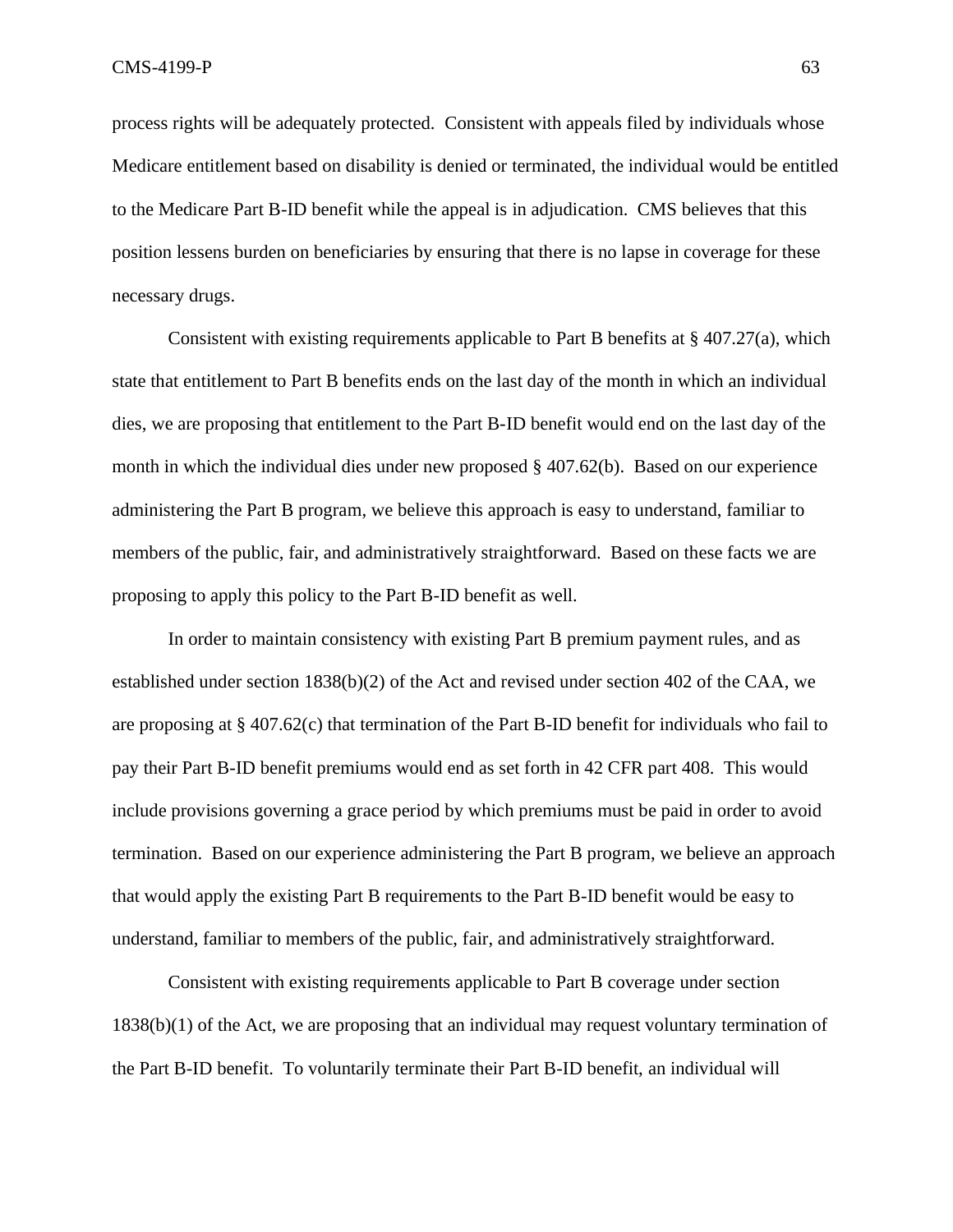process rights will be adequately protected. Consistent with appeals filed by individuals whose Medicare entitlement based on disability is denied or terminated, the individual would be entitled to the Medicare Part B-ID benefit while the appeal is in adjudication. CMS believes that this position lessens burden on beneficiaries by ensuring that there is no lapse in coverage for these necessary drugs.

Consistent with existing requirements applicable to Part B benefits at  $\S 407.27(a)$ , which state that entitlement to Part B benefits ends on the last day of the month in which an individual dies, we are proposing that entitlement to the Part B-ID benefit would end on the last day of the month in which the individual dies under new proposed § 407.62(b). Based on our experience administering the Part B program, we believe this approach is easy to understand, familiar to members of the public, fair, and administratively straightforward. Based on these facts we are proposing to apply this policy to the Part B-ID benefit as well.

In order to maintain consistency with existing Part B premium payment rules, and as established under section 1838(b)(2) of the Act and revised under section 402 of the CAA, we are proposing at § 407.62(c) that termination of the Part B-ID benefit for individuals who fail to pay their Part B-ID benefit premiums would end as set forth in 42 CFR part 408. This would include provisions governing a grace period by which premiums must be paid in order to avoid termination. Based on our experience administering the Part B program, we believe an approach that would apply the existing Part B requirements to the Part B-ID benefit would be easy to understand, familiar to members of the public, fair, and administratively straightforward.

Consistent with existing requirements applicable to Part B coverage under section 1838(b)(1) of the Act, we are proposing that an individual may request voluntary termination of the Part B-ID benefit. To voluntarily terminate their Part B-ID benefit, an individual will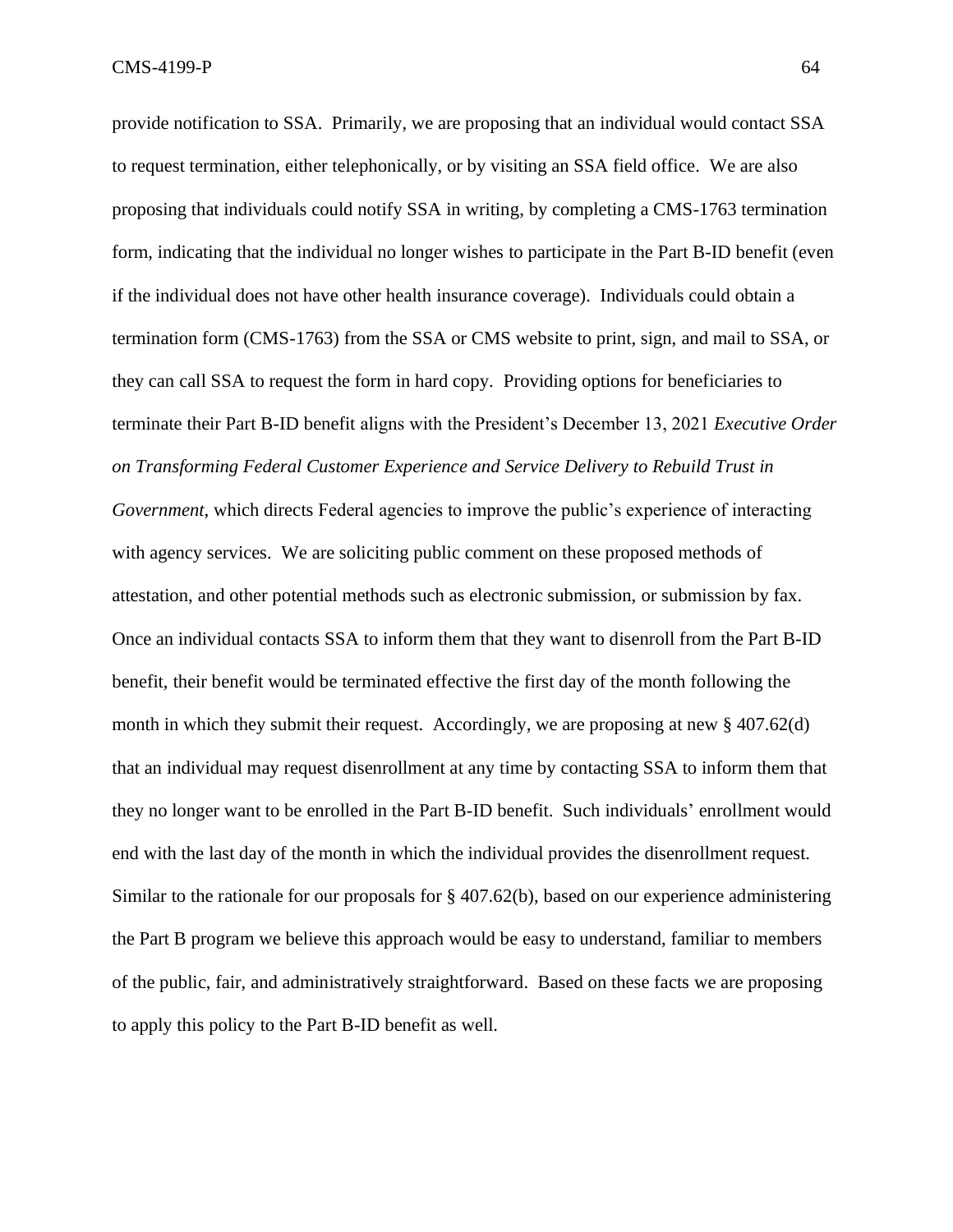provide notification to SSA. Primarily, we are proposing that an individual would contact SSA to request termination, either telephonically, or by visiting an SSA field office. We are also proposing that individuals could notify SSA in writing, by completing a CMS-1763 termination form, indicating that the individual no longer wishes to participate in the Part B-ID benefit (even if the individual does not have other health insurance coverage). Individuals could obtain a termination form (CMS-1763) from the SSA or CMS website to print, sign, and mail to SSA, or they can call SSA to request the form in hard copy. Providing options for beneficiaries to terminate their Part B-ID benefit aligns with the President's December 13, 2021 *Executive Order on Transforming Federal Customer Experience and Service Delivery to Rebuild Trust in Government*, which directs Federal agencies to improve the public's experience of interacting with agency services. We are soliciting public comment on these proposed methods of attestation, and other potential methods such as electronic submission, or submission by fax. Once an individual contacts SSA to inform them that they want to disenroll from the Part B-ID benefit, their benefit would be terminated effective the first day of the month following the month in which they submit their request. Accordingly, we are proposing at new § 407.62(d) that an individual may request disenrollment at any time by contacting SSA to inform them that they no longer want to be enrolled in the Part B-ID benefit. Such individuals' enrollment would end with the last day of the month in which the individual provides the disenrollment request. Similar to the rationale for our proposals for § 407.62(b), based on our experience administering the Part B program we believe this approach would be easy to understand, familiar to members of the public, fair, and administratively straightforward. Based on these facts we are proposing to apply this policy to the Part B-ID benefit as well.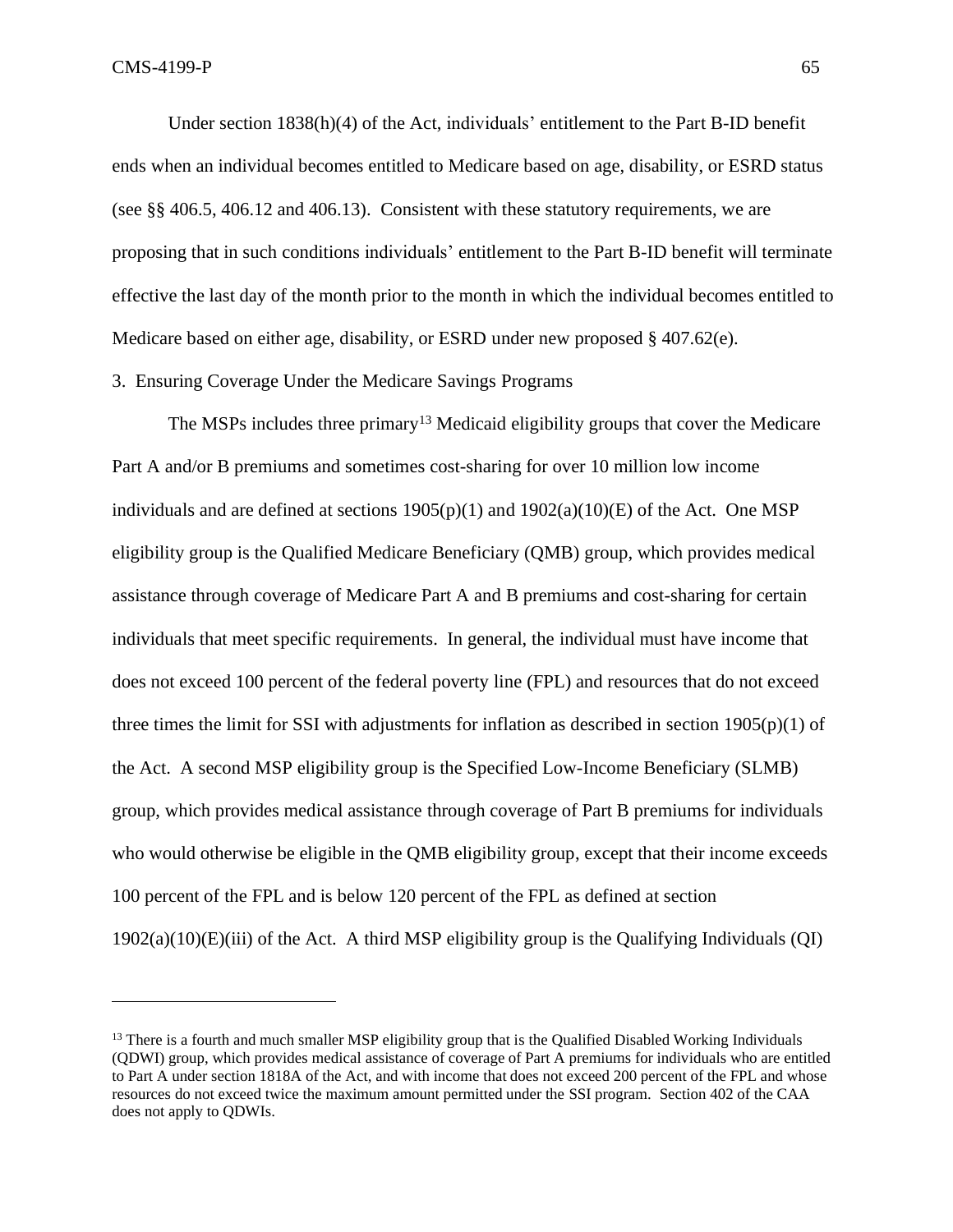Under section 1838(h)(4) of the Act, individuals' entitlement to the Part B-ID benefit ends when an individual becomes entitled to Medicare based on age, disability, or ESRD status (see §§ 406.5, 406.12 and 406.13). Consistent with these statutory requirements, we are proposing that in such conditions individuals' entitlement to the Part B-ID benefit will terminate effective the last day of the month prior to the month in which the individual becomes entitled to Medicare based on either age, disability, or ESRD under new proposed  $\S$  407.62(e).

3. Ensuring Coverage Under the Medicare Savings Programs

The MSPs includes three primary<sup>13</sup> Medicaid eligibility groups that cover the Medicare Part A and/or B premiums and sometimes cost-sharing for over 10 million low income individuals and are defined at sections  $1905(p)(1)$  and  $1902(a)(10)(E)$  of the Act. One MSP eligibility group is the Qualified Medicare Beneficiary (QMB) group, which provides medical assistance through coverage of Medicare Part A and B premiums and cost-sharing for certain individuals that meet specific requirements. In general, the individual must have income that does not exceed 100 percent of the federal poverty line (FPL) and resources that do not exceed three times the limit for SSI with adjustments for inflation as described in section 1905(p)(1) of the Act. A second MSP eligibility group is the Specified Low-Income Beneficiary (SLMB) group, which provides medical assistance through coverage of Part B premiums for individuals who would otherwise be eligible in the QMB eligibility group, except that their income exceeds 100 percent of the FPL and is below 120 percent of the FPL as defined at section  $1902(a)(10)(E)(iii)$  of the Act. A third MSP eligibility group is the Qualifying Individuals (QI)

<sup>&</sup>lt;sup>13</sup> There is a fourth and much smaller MSP eligibility group that is the Qualified Disabled Working Individuals (QDWI) group, which provides medical assistance of coverage of Part A premiums for individuals who are entitled to Part A under section 1818A of the Act, and with income that does not exceed 200 percent of the FPL and whose resources do not exceed twice the maximum amount permitted under the SSI program. Section 402 of the CAA does not apply to QDWIs.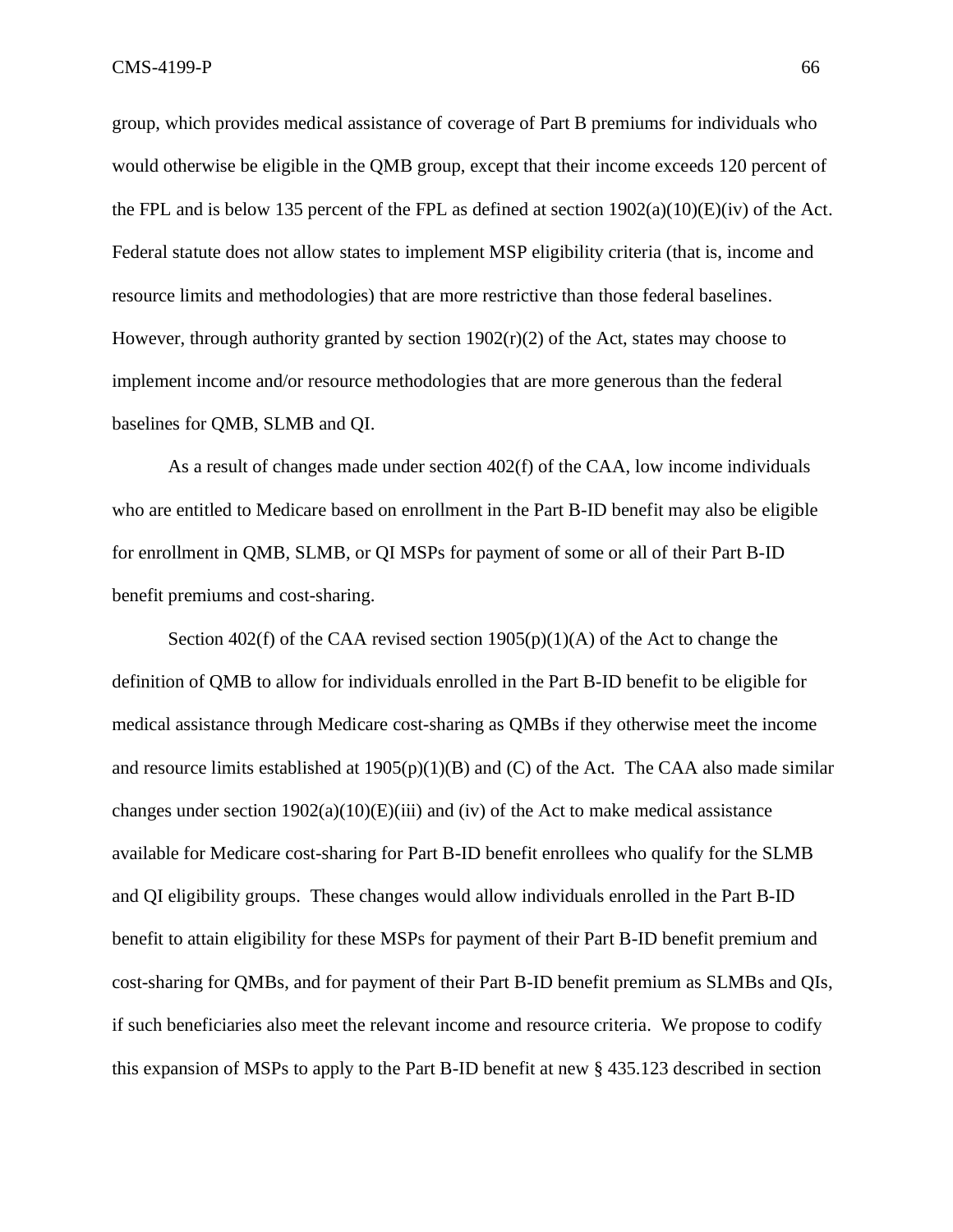group, which provides medical assistance of coverage of Part B premiums for individuals who would otherwise be eligible in the QMB group, except that their income exceeds 120 percent of the FPL and is below 135 percent of the FPL as defined at section  $1902(a)(10)(E)(iv)$  of the Act. Federal statute does not allow states to implement MSP eligibility criteria (that is, income and resource limits and methodologies) that are more restrictive than those federal baselines. However, through authority granted by section  $1902(r)(2)$  of the Act, states may choose to implement income and/or resource methodologies that are more generous than the federal baselines for QMB, SLMB and QI.

As a result of changes made under section 402(f) of the CAA, low income individuals who are entitled to Medicare based on enrollment in the Part B-ID benefit may also be eligible for enrollment in QMB, SLMB, or QI MSPs for payment of some or all of their Part B-ID benefit premiums and cost-sharing.

Section 402(f) of the CAA revised section  $1905(p)(1)(A)$  of the Act to change the definition of QMB to allow for individuals enrolled in the Part B-ID benefit to be eligible for medical assistance through Medicare cost-sharing as QMBs if they otherwise meet the income and resource limits established at  $1905(p)(1)(B)$  and (C) of the Act. The CAA also made similar changes under section  $1902(a)(10)(E(iii))$  and (iv) of the Act to make medical assistance available for Medicare cost-sharing for Part B-ID benefit enrollees who qualify for the SLMB and QI eligibility groups. These changes would allow individuals enrolled in the Part B-ID benefit to attain eligibility for these MSPs for payment of their Part B-ID benefit premium and cost-sharing for QMBs, and for payment of their Part B-ID benefit premium as SLMBs and QIs, if such beneficiaries also meet the relevant income and resource criteria. We propose to codify this expansion of MSPs to apply to the Part B-ID benefit at new § 435.123 described in section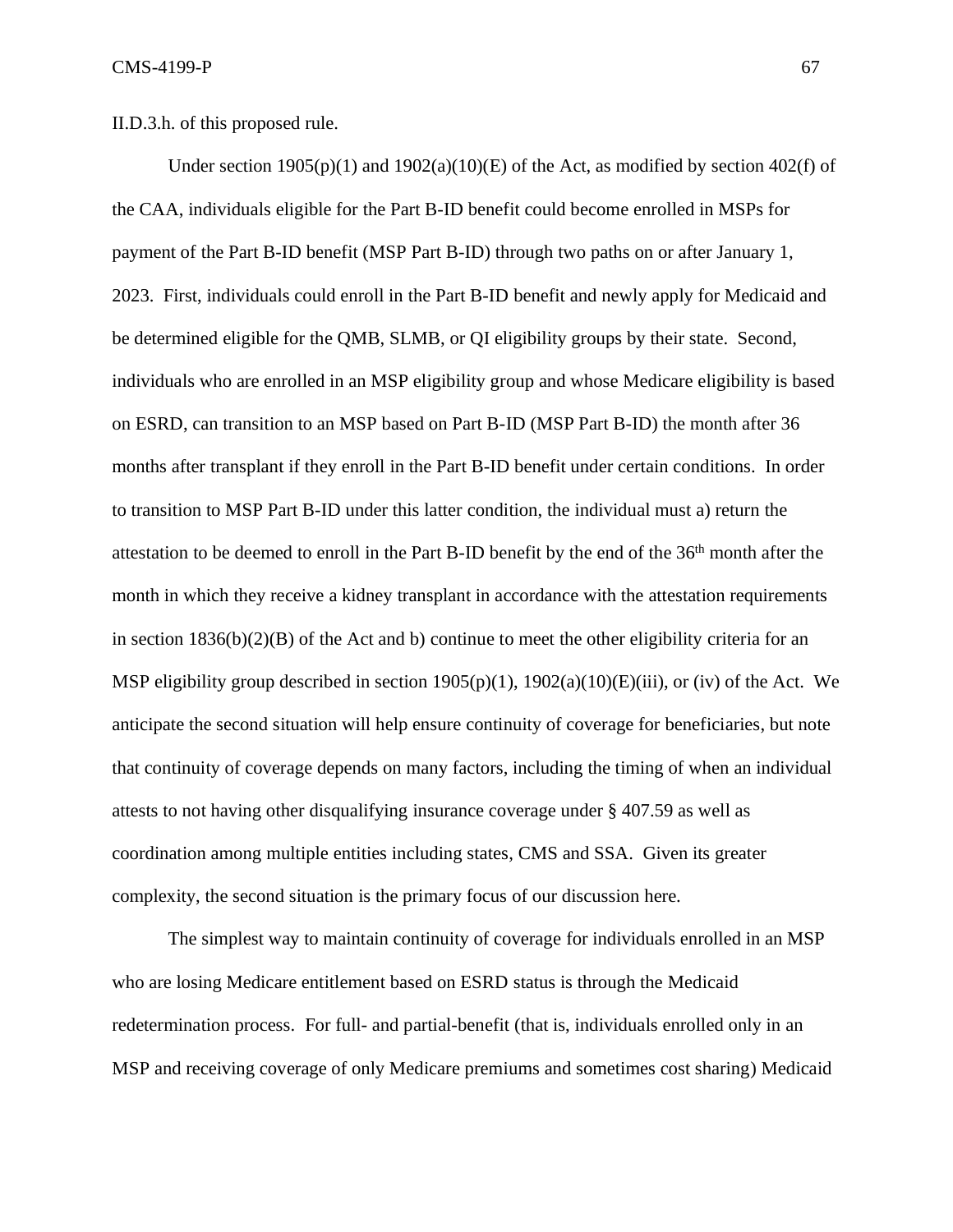II.D.3.h. of this proposed rule.

Under section  $1905(p)(1)$  and  $1902(a)(10)(E)$  of the Act, as modified by section  $402(f)$  of the CAA, individuals eligible for the Part B-ID benefit could become enrolled in MSPs for payment of the Part B-ID benefit (MSP Part B-ID) through two paths on or after January 1, 2023. First, individuals could enroll in the Part B-ID benefit and newly apply for Medicaid and be determined eligible for the QMB, SLMB, or QI eligibility groups by their state. Second, individuals who are enrolled in an MSP eligibility group and whose Medicare eligibility is based on ESRD, can transition to an MSP based on Part B-ID (MSP Part B-ID) the month after 36 months after transplant if they enroll in the Part B-ID benefit under certain conditions. In order to transition to MSP Part B-ID under this latter condition, the individual must a) return the attestation to be deemed to enroll in the Part B-ID benefit by the end of the 36th month after the month in which they receive a kidney transplant in accordance with the attestation requirements in section  $1836(b)(2)(B)$  of the Act and b) continue to meet the other eligibility criteria for an MSP eligibility group described in section  $1905(p)(1)$ ,  $1902(a)(10)(E)(iii)$ , or (iv) of the Act. We anticipate the second situation will help ensure continuity of coverage for beneficiaries, but note that continuity of coverage depends on many factors, including the timing of when an individual attests to not having other disqualifying insurance coverage under § 407.59 as well as coordination among multiple entities including states, CMS and SSA. Given its greater complexity, the second situation is the primary focus of our discussion here.

The simplest way to maintain continuity of coverage for individuals enrolled in an MSP who are losing Medicare entitlement based on ESRD status is through the Medicaid redetermination process. For full- and partial-benefit (that is, individuals enrolled only in an MSP and receiving coverage of only Medicare premiums and sometimes cost sharing) Medicaid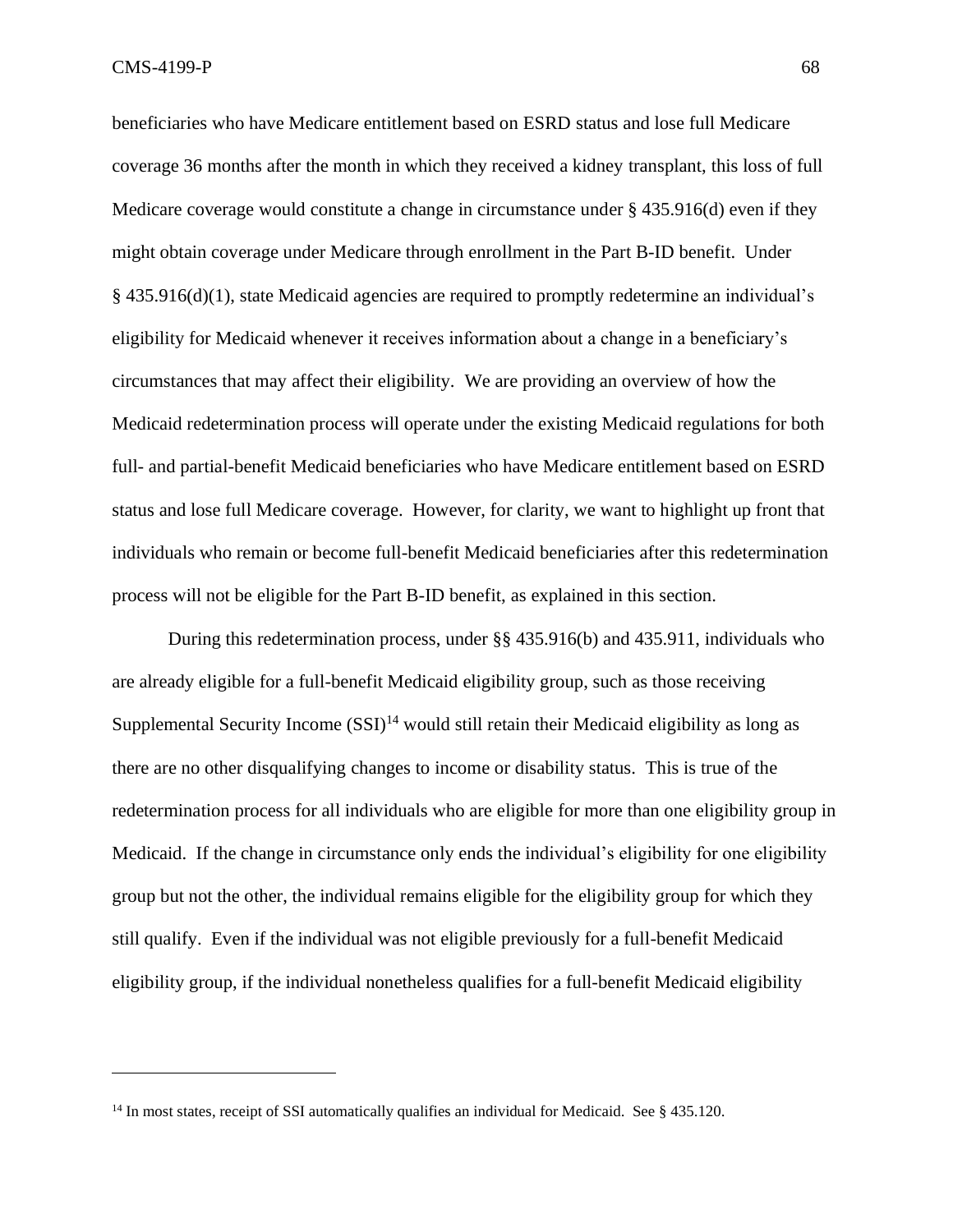$\text{CMS-4199-P}$  68

beneficiaries who have Medicare entitlement based on ESRD status and lose full Medicare coverage 36 months after the month in which they received a kidney transplant, this loss of full Medicare coverage would constitute a change in circumstance under § 435.916(d) even if they might obtain coverage under Medicare through enrollment in the Part B-ID benefit. Under § 435.916(d)(1), state Medicaid agencies are required to promptly redetermine an individual's eligibility for Medicaid whenever it receives information about a change in a beneficiary's circumstances that may affect their eligibility. We are providing an overview of how the Medicaid redetermination process will operate under the existing Medicaid regulations for both full- and partial-benefit Medicaid beneficiaries who have Medicare entitlement based on ESRD status and lose full Medicare coverage. However, for clarity, we want to highlight up front that individuals who remain or become full-benefit Medicaid beneficiaries after this redetermination process will not be eligible for the Part B-ID benefit, as explained in this section.

During this redetermination process, under §§ 435.916(b) and 435.911, individuals who are already eligible for a full-benefit Medicaid eligibility group, such as those receiving Supplemental Security Income  $(SSI)^{14}$  would still retain their Medicaid eligibility as long as there are no other disqualifying changes to income or disability status. This is true of the redetermination process for all individuals who are eligible for more than one eligibility group in Medicaid. If the change in circumstance only ends the individual's eligibility for one eligibility group but not the other, the individual remains eligible for the eligibility group for which they still qualify. Even if the individual was not eligible previously for a full-benefit Medicaid eligibility group, if the individual nonetheless qualifies for a full-benefit Medicaid eligibility

<sup>&</sup>lt;sup>14</sup> In most states, receipt of SSI automatically qualifies an individual for Medicaid. See § 435.120.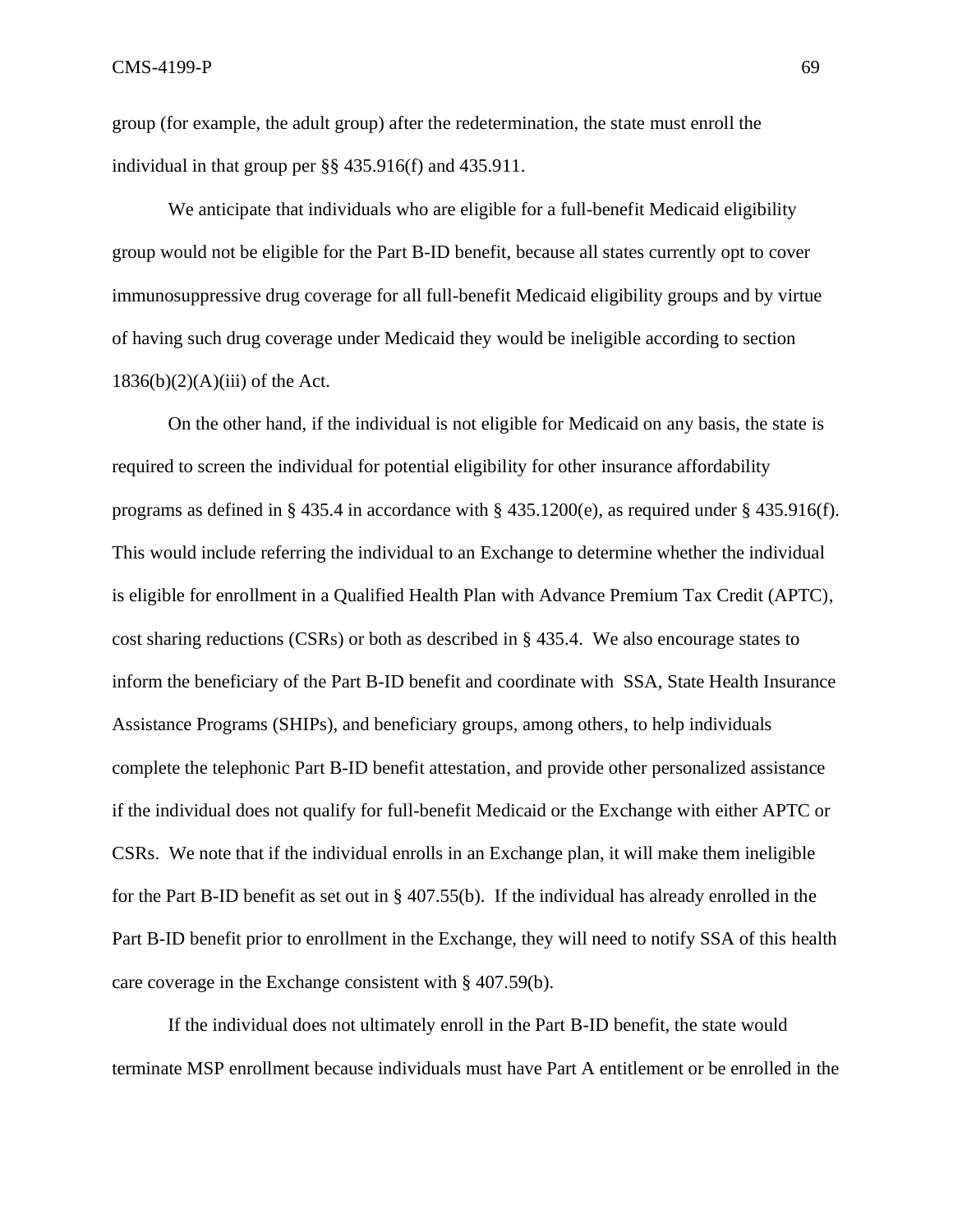group (for example, the adult group) after the redetermination, the state must enroll the individual in that group per §§ 435.916(f) and 435.911.

We anticipate that individuals who are eligible for a full-benefit Medicaid eligibility group would not be eligible for the Part B-ID benefit, because all states currently opt to cover immunosuppressive drug coverage for all full-benefit Medicaid eligibility groups and by virtue of having such drug coverage under Medicaid they would be ineligible according to section  $1836(b)(2)(A)(iii)$  of the Act.

On the other hand, if the individual is not eligible for Medicaid on any basis, the state is required to screen the individual for potential eligibility for other insurance affordability programs as defined in § 435.4 in accordance with § 435.1200(e), as required under § 435.916(f). This would include referring the individual to an Exchange to determine whether the individual is eligible for enrollment in a Qualified Health Plan with Advance Premium Tax Credit (APTC), cost sharing reductions (CSRs) or both as described in § 435.4. We also encourage states to inform the beneficiary of the Part B-ID benefit and coordinate with SSA, State Health Insurance Assistance Programs (SHIPs), and beneficiary groups, among others, to help individuals complete the telephonic Part B-ID benefit attestation, and provide other personalized assistance if the individual does not qualify for full-benefit Medicaid or the Exchange with either APTC or CSRs. We note that if the individual enrolls in an Exchange plan, it will make them ineligible for the Part B-ID benefit as set out in § 407.55(b). If the individual has already enrolled in the Part B-ID benefit prior to enrollment in the Exchange, they will need to notify SSA of this health care coverage in the Exchange consistent with § 407.59(b).

If the individual does not ultimately enroll in the Part B-ID benefit, the state would terminate MSP enrollment because individuals must have Part A entitlement or be enrolled in the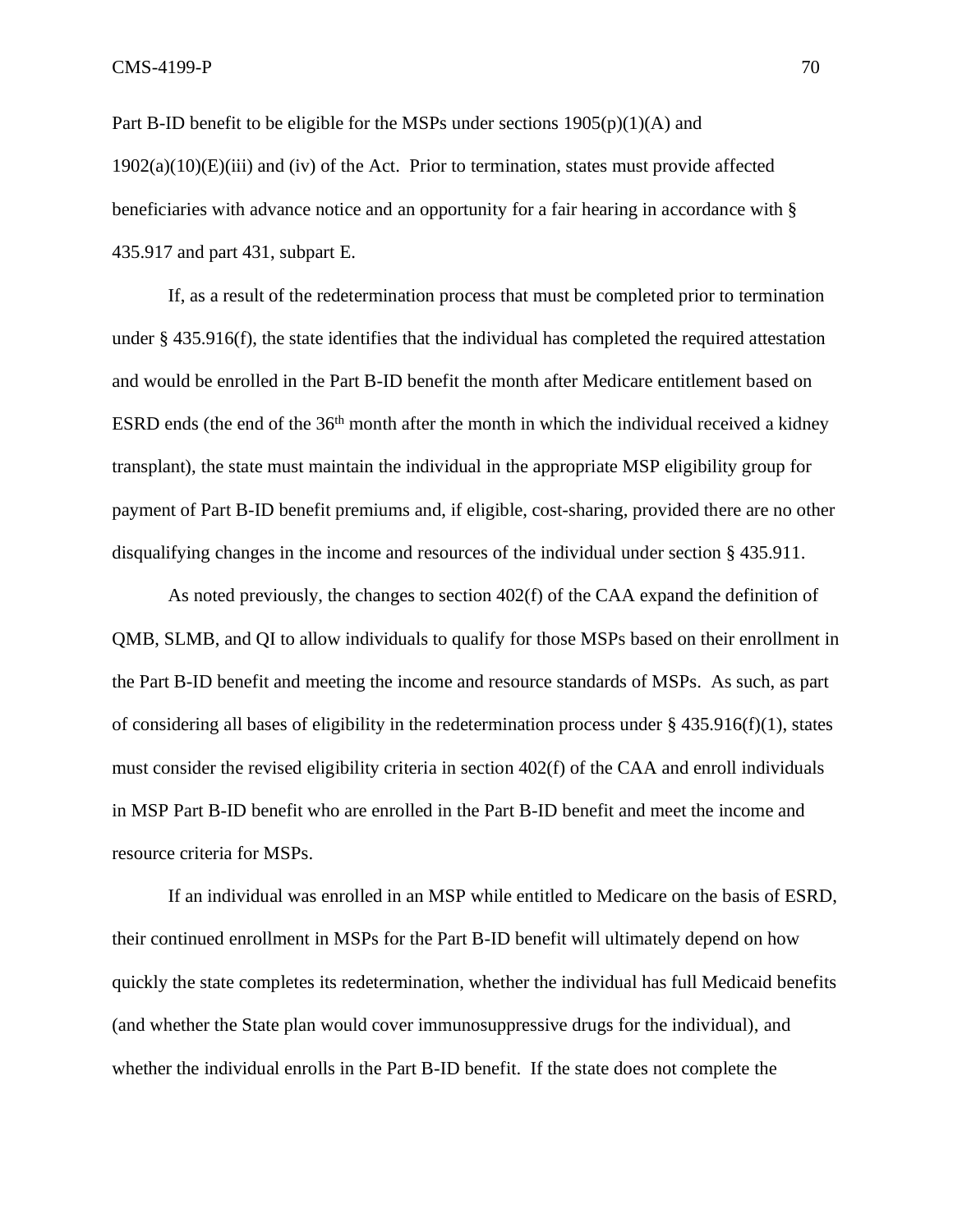Part B-ID benefit to be eligible for the MSPs under sections  $1905(p)(1)(A)$  and  $1902(a)(10)(E)(iii)$  and (iv) of the Act. Prior to termination, states must provide affected beneficiaries with advance notice and an opportunity for a fair hearing in accordance with § 435.917 and part 431, subpart E.

If, as a result of the redetermination process that must be completed prior to termination under § 435.916(f), the state identifies that the individual has completed the required attestation and would be enrolled in the Part B-ID benefit the month after Medicare entitlement based on ESRD ends (the end of the 36<sup>th</sup> month after the month in which the individual received a kidney transplant), the state must maintain the individual in the appropriate MSP eligibility group for payment of Part B-ID benefit premiums and, if eligible, cost-sharing, provided there are no other disqualifying changes in the income and resources of the individual under section § 435.911.

As noted previously, the changes to section 402(f) of the CAA expand the definition of QMB, SLMB, and QI to allow individuals to qualify for those MSPs based on their enrollment in the Part B-ID benefit and meeting the income and resource standards of MSPs. As such, as part of considering all bases of eligibility in the redetermination process under § 435.916(f)(1), states must consider the revised eligibility criteria in section 402(f) of the CAA and enroll individuals in MSP Part B-ID benefit who are enrolled in the Part B-ID benefit and meet the income and resource criteria for MSPs.

If an individual was enrolled in an MSP while entitled to Medicare on the basis of ESRD, their continued enrollment in MSPs for the Part B-ID benefit will ultimately depend on how quickly the state completes its redetermination, whether the individual has full Medicaid benefits (and whether the State plan would cover immunosuppressive drugs for the individual), and whether the individual enrolls in the Part B-ID benefit. If the state does not complete the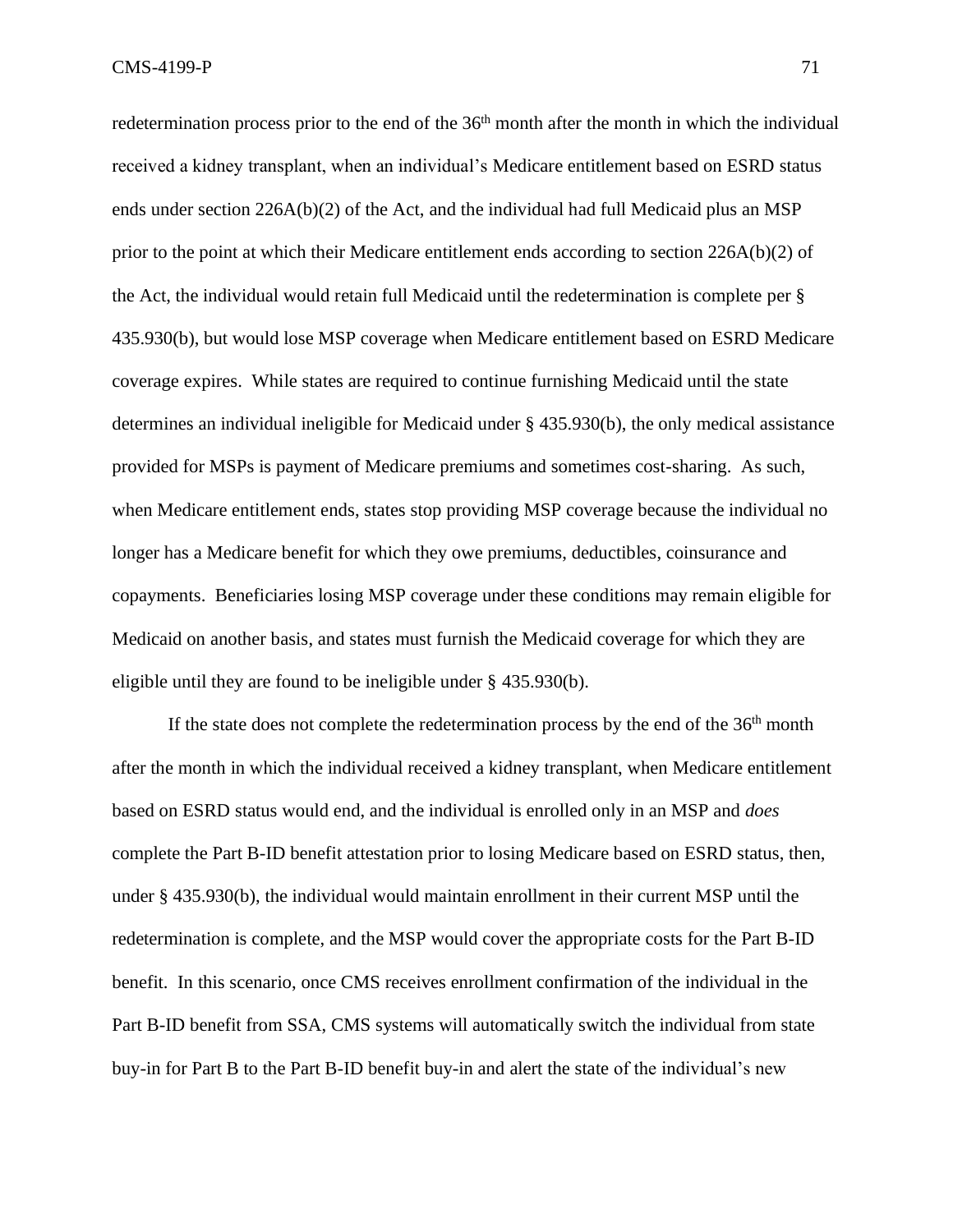redetermination process prior to the end of the  $36<sup>th</sup>$  month after the month in which the individual received a kidney transplant, when an individual's Medicare entitlement based on ESRD status ends under section 226A(b)(2) of the Act, and the individual had full Medicaid plus an MSP prior to the point at which their Medicare entitlement ends according to section 226A(b)(2) of the Act, the individual would retain full Medicaid until the redetermination is complete per § 435.930(b), but would lose MSP coverage when Medicare entitlement based on ESRD Medicare coverage expires. While states are required to continue furnishing Medicaid until the state determines an individual ineligible for Medicaid under § 435.930(b), the only medical assistance provided for MSPs is payment of Medicare premiums and sometimes cost-sharing. As such, when Medicare entitlement ends, states stop providing MSP coverage because the individual no longer has a Medicare benefit for which they owe premiums, deductibles, coinsurance and copayments. Beneficiaries losing MSP coverage under these conditions may remain eligible for Medicaid on another basis, and states must furnish the Medicaid coverage for which they are eligible until they are found to be ineligible under § 435.930(b).

If the state does not complete the redetermination process by the end of the  $36<sup>th</sup>$  month after the month in which the individual received a kidney transplant, when Medicare entitlement based on ESRD status would end, and the individual is enrolled only in an MSP and *does* complete the Part B-ID benefit attestation prior to losing Medicare based on ESRD status, then, under § 435.930(b), the individual would maintain enrollment in their current MSP until the redetermination is complete, and the MSP would cover the appropriate costs for the Part B-ID benefit. In this scenario, once CMS receives enrollment confirmation of the individual in the Part B-ID benefit from SSA, CMS systems will automatically switch the individual from state buy-in for Part B to the Part B-ID benefit buy-in and alert the state of the individual's new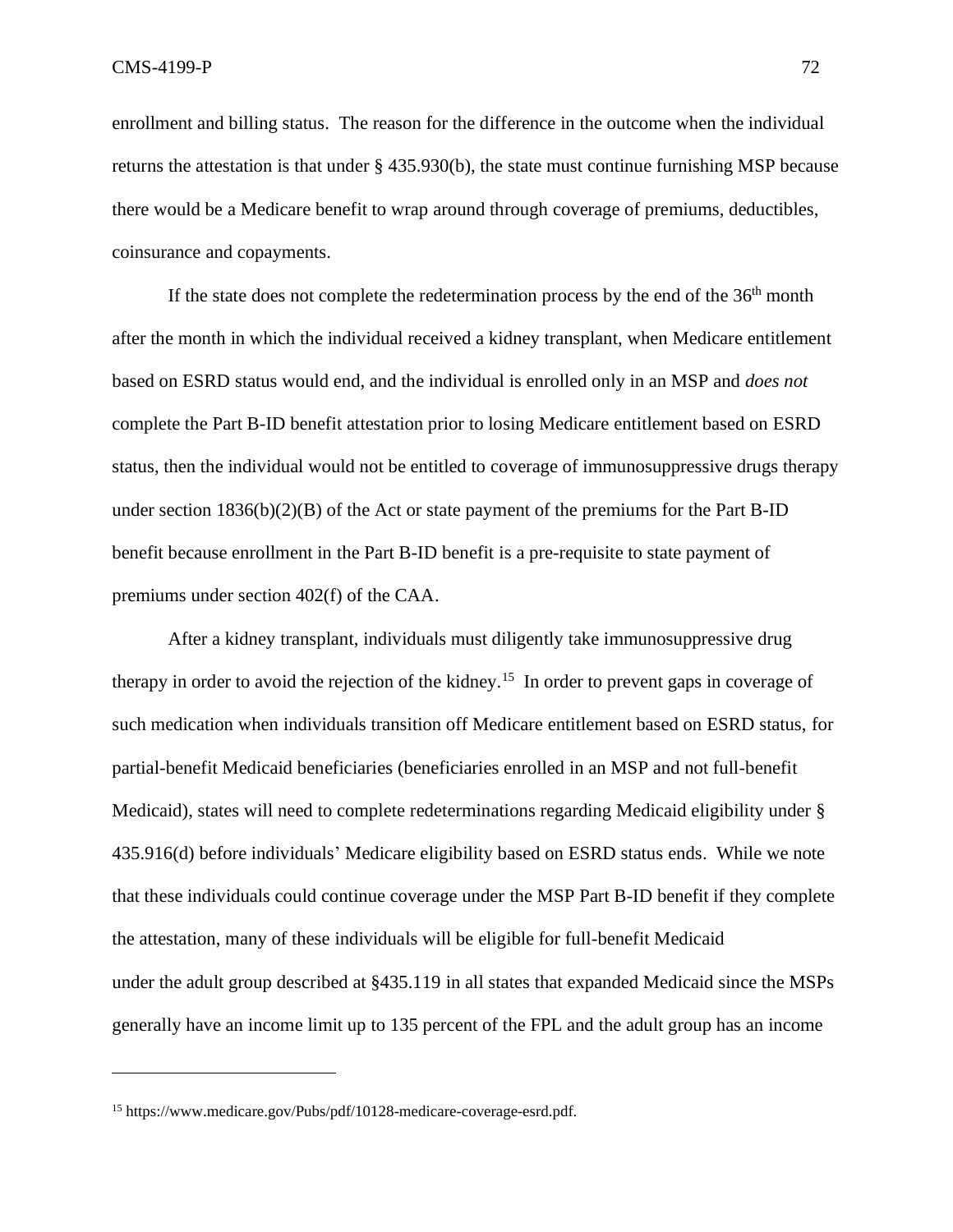enrollment and billing status. The reason for the difference in the outcome when the individual returns the attestation is that under § 435.930(b), the state must continue furnishing MSP because there would be a Medicare benefit to wrap around through coverage of premiums, deductibles, coinsurance and copayments.

If the state does not complete the redetermination process by the end of the  $36<sup>th</sup>$  month after the month in which the individual received a kidney transplant, when Medicare entitlement based on ESRD status would end, and the individual is enrolled only in an MSP and *does not* complete the Part B-ID benefit attestation prior to losing Medicare entitlement based on ESRD status, then the individual would not be entitled to coverage of immunosuppressive drugs therapy under section  $1836(b)(2)(B)$  of the Act or state payment of the premiums for the Part B-ID benefit because enrollment in the Part B-ID benefit is a pre-requisite to state payment of premiums under section 402(f) of the CAA.

After a kidney transplant, individuals must diligently take immunosuppressive drug therapy in order to avoid the rejection of the kidney.<sup>15</sup> In order to prevent gaps in coverage of such medication when individuals transition off Medicare entitlement based on ESRD status, for partial-benefit Medicaid beneficiaries (beneficiaries enrolled in an MSP and not full-benefit Medicaid), states will need to complete redeterminations regarding Medicaid eligibility under § 435.916(d) before individuals' Medicare eligibility based on ESRD status ends. While we note that these individuals could continue coverage under the MSP Part B-ID benefit if they complete the attestation, many of these individuals will be eligible for full-benefit Medicaid under the adult group described at §435.119 in all states that expanded Medicaid since the MSPs generally have an income limit up to 135 percent of the FPL and the adult group has an income

<sup>15</sup> https://www.medicare.gov/Pubs/pdf/10128-medicare-coverage-esrd.pdf.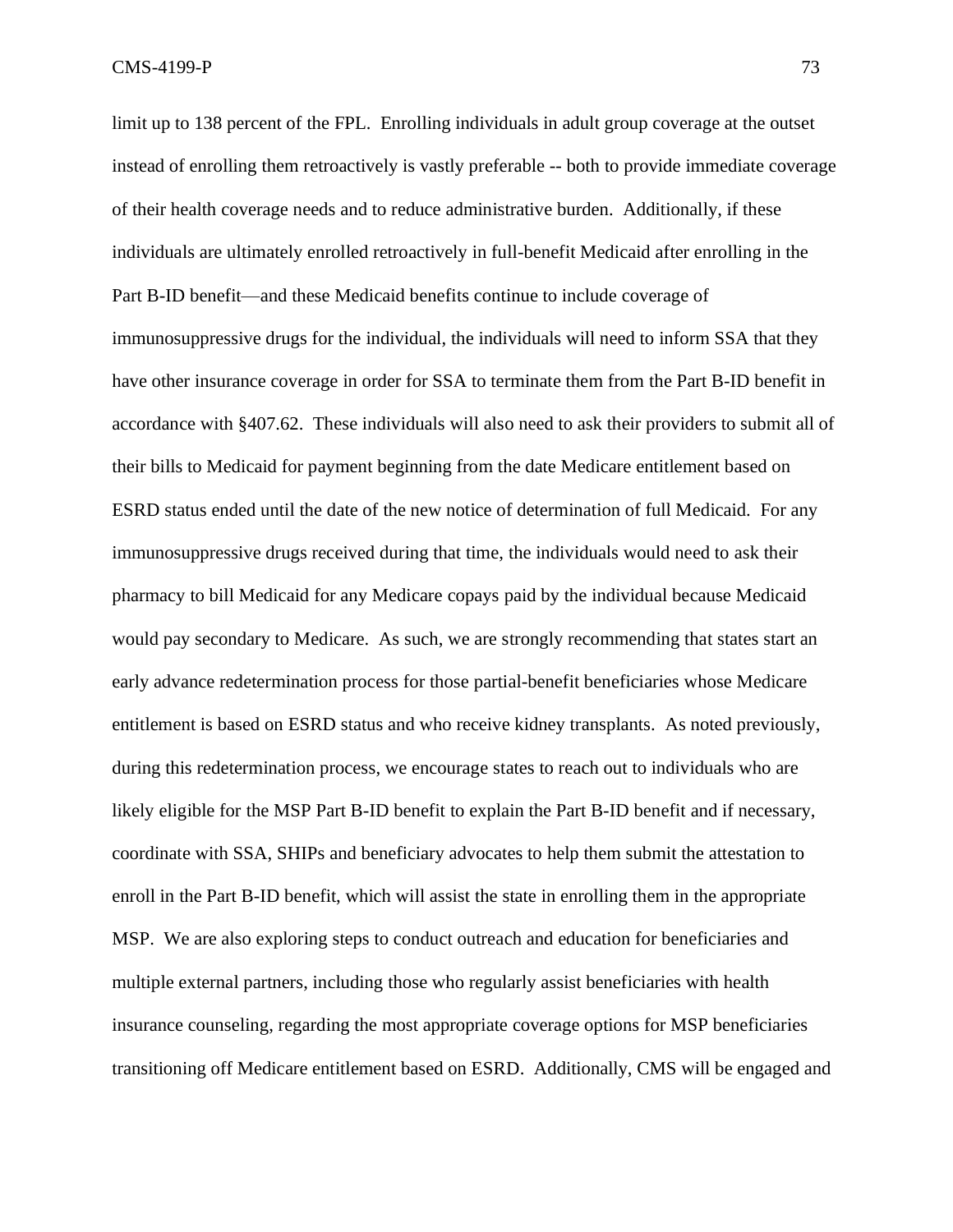limit up to 138 percent of the FPL. Enrolling individuals in adult group coverage at the outset instead of enrolling them retroactively is vastly preferable -- both to provide immediate coverage of their health coverage needs and to reduce administrative burden. Additionally, if these individuals are ultimately enrolled retroactively in full-benefit Medicaid after enrolling in the Part B-ID benefit—and these Medicaid benefits continue to include coverage of immunosuppressive drugs for the individual, the individuals will need to inform SSA that they have other insurance coverage in order for SSA to terminate them from the Part B-ID benefit in accordance with §407.62. These individuals will also need to ask their providers to submit all of their bills to Medicaid for payment beginning from the date Medicare entitlement based on ESRD status ended until the date of the new notice of determination of full Medicaid. For any immunosuppressive drugs received during that time, the individuals would need to ask their pharmacy to bill Medicaid for any Medicare copays paid by the individual because Medicaid would pay secondary to Medicare. As such, we are strongly recommending that states start an early advance redetermination process for those partial-benefit beneficiaries whose Medicare entitlement is based on ESRD status and who receive kidney transplants. As noted previously, during this redetermination process, we encourage states to reach out to individuals who are likely eligible for the MSP Part B-ID benefit to explain the Part B-ID benefit and if necessary, coordinate with SSA, SHIPs and beneficiary advocates to help them submit the attestation to enroll in the Part B-ID benefit, which will assist the state in enrolling them in the appropriate MSP. We are also exploring steps to conduct outreach and education for beneficiaries and multiple external partners, including those who regularly assist beneficiaries with health insurance counseling, regarding the most appropriate coverage options for MSP beneficiaries transitioning off Medicare entitlement based on ESRD. Additionally, CMS will be engaged and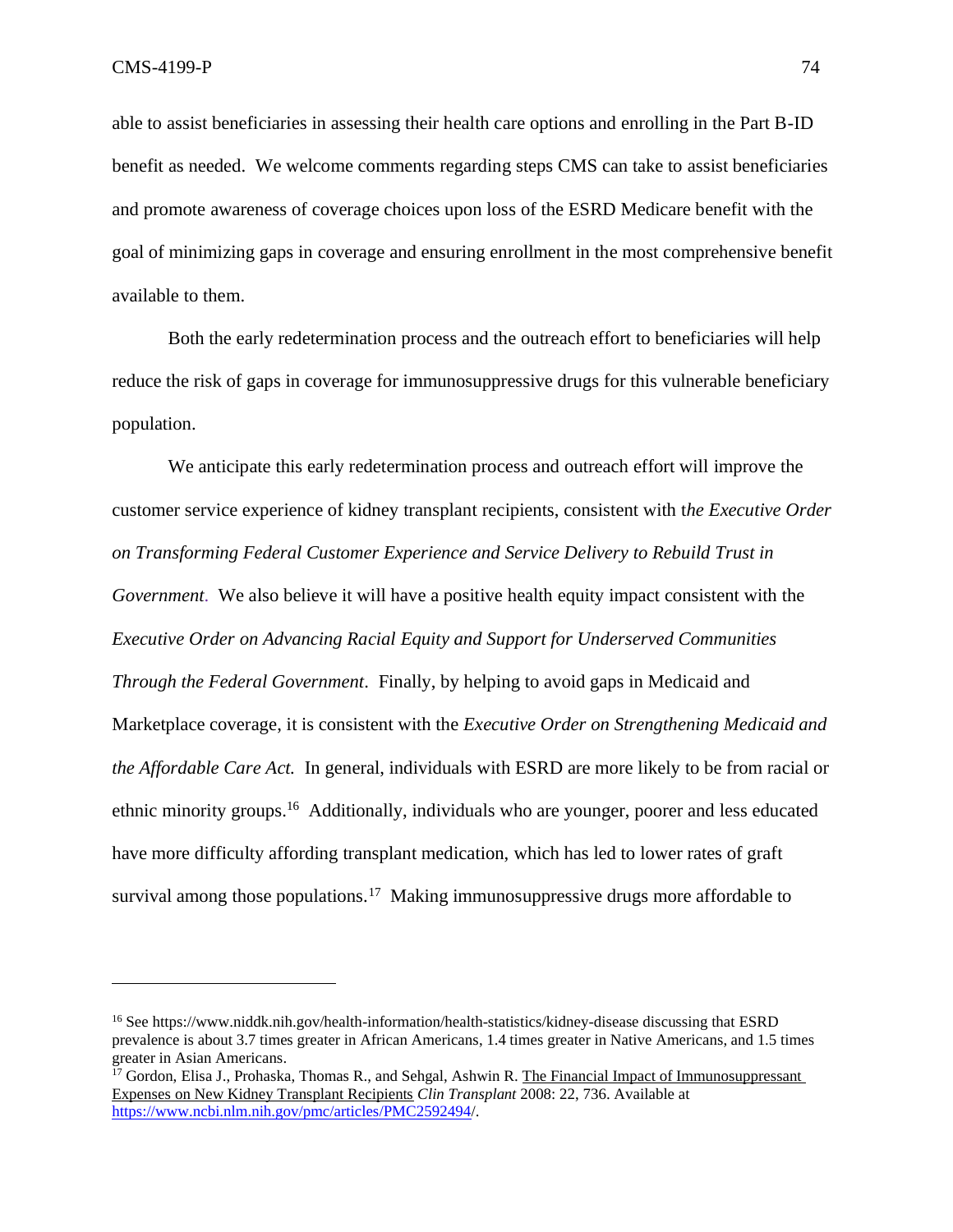able to assist beneficiaries in assessing their health care options and enrolling in the Part B-ID benefit as needed. We welcome comments regarding steps CMS can take to assist beneficiaries and promote awareness of coverage choices upon loss of the ESRD Medicare benefit with the goal of minimizing gaps in coverage and ensuring enrollment in the most comprehensive benefit available to them.

Both the early redetermination process and the outreach effort to beneficiaries will help reduce the risk of gaps in coverage for immunosuppressive drugs for this vulnerable beneficiary population.

We anticipate this early redetermination process and outreach effort will improve the customer service experience of kidney transplant recipients, consistent with t*he Executive Order on Transforming Federal Customer Experience and Service Delivery to Rebuild Trust in Government*. We also believe it will have a positive health equity impact consistent with the *Executive Order on Advancing Racial Equity and Support for Underserved Communities Through the Federal Government*. Finally, by helping to avoid gaps in Medicaid and Marketplace coverage, it is consistent with the *Executive Order on Strengthening Medicaid and the Affordable Care Act.* In general, individuals with ESRD are more likely to be from racial or ethnic minority groups.<sup>16</sup> Additionally, individuals who are younger, poorer and less educated have more difficulty affording transplant medication, which has led to lower rates of graft survival among those populations.<sup>17</sup> Making immunosuppressive drugs more affordable to

<sup>16</sup> See https://www.niddk.nih.gov/health-information/health-statistics/kidney-disease discussing that ESRD prevalence is about 3.7 times greater in African Americans, 1.4 times greater in Native Americans, and 1.5 times greater in Asian Americans.

<sup>&</sup>lt;sup>17</sup> Gordon, Elisa J., Prohaska, Thomas R., and Sehgal, Ashwin R. The Financial Impact of Immunosuppressant Expenses on New Kidney Transplant Recipients *Clin Transplant* 2008: 22, 736. Available at <https://www.ncbi.nlm.nih.gov/pmc/articles/PMC2592494/>.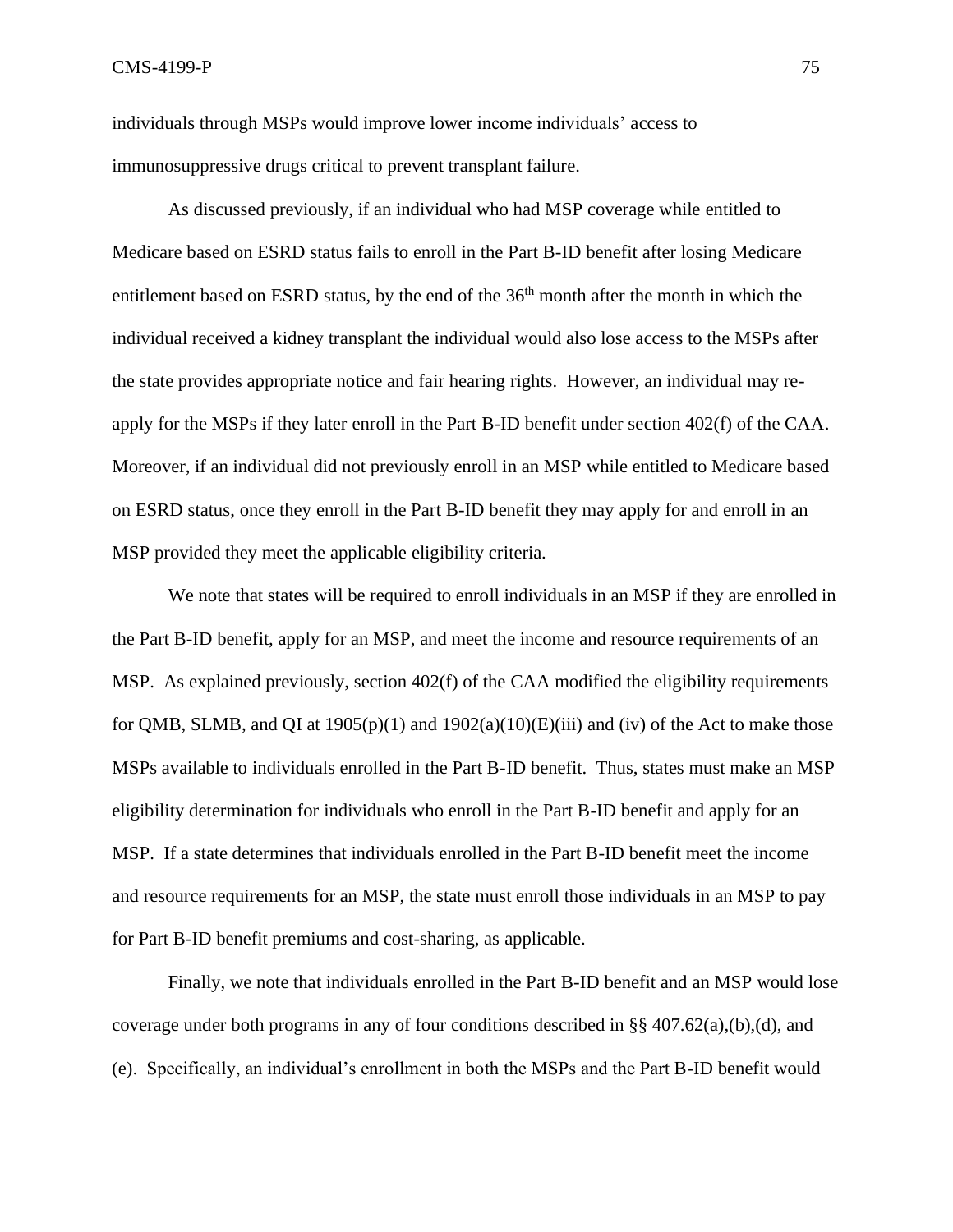individuals through MSPs would improve lower income individuals' access to immunosuppressive drugs critical to prevent transplant failure.

As discussed previously, if an individual who had MSP coverage while entitled to Medicare based on ESRD status fails to enroll in the Part B-ID benefit after losing Medicare entitlement based on ESRD status, by the end of the  $36<sup>th</sup>$  month after the month in which the individual received a kidney transplant the individual would also lose access to the MSPs after the state provides appropriate notice and fair hearing rights. However, an individual may reapply for the MSPs if they later enroll in the Part B-ID benefit under section 402(f) of the CAA. Moreover, if an individual did not previously enroll in an MSP while entitled to Medicare based on ESRD status, once they enroll in the Part B-ID benefit they may apply for and enroll in an MSP provided they meet the applicable eligibility criteria.

We note that states will be required to enroll individuals in an MSP if they are enrolled in the Part B-ID benefit, apply for an MSP, and meet the income and resource requirements of an MSP. As explained previously, section 402(f) of the CAA modified the eligibility requirements for QMB, SLMB, and QI at  $1905(p)(1)$  and  $1902(a)(10)(E(iii))$  and (iv) of the Act to make those MSPs available to individuals enrolled in the Part B-ID benefit. Thus, states must make an MSP eligibility determination for individuals who enroll in the Part B-ID benefit and apply for an MSP. If a state determines that individuals enrolled in the Part B-ID benefit meet the income and resource requirements for an MSP, the state must enroll those individuals in an MSP to pay for Part B-ID benefit premiums and cost-sharing, as applicable.

Finally, we note that individuals enrolled in the Part B-ID benefit and an MSP would lose coverage under both programs in any of four conditions described in §§ 407.62(a),(b),(d), and (e). Specifically, an individual's enrollment in both the MSPs and the Part B-ID benefit would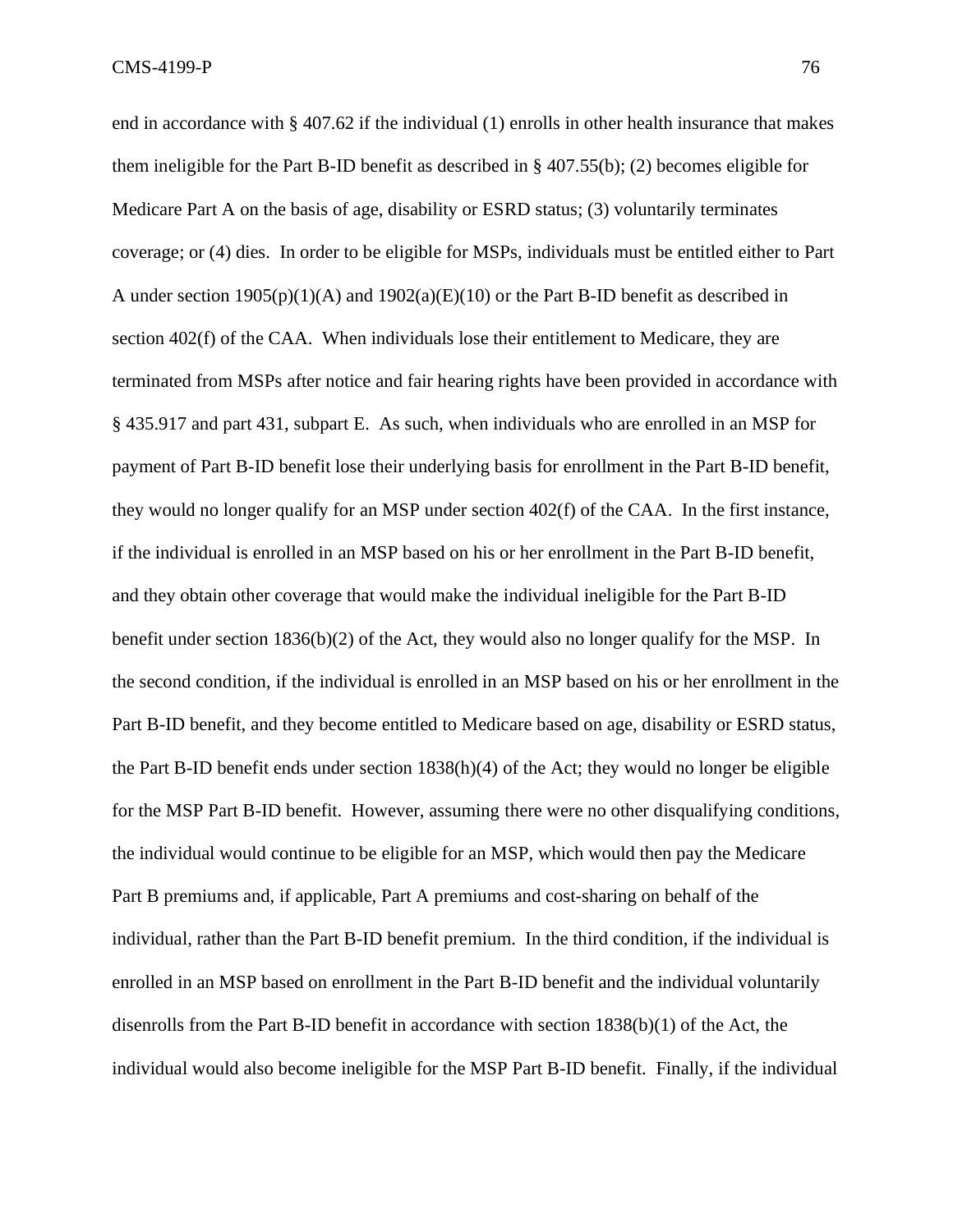end in accordance with § 407.62 if the individual (1) enrolls in other health insurance that makes them ineligible for the Part B-ID benefit as described in § 407.55(b); (2) becomes eligible for Medicare Part A on the basis of age, disability or ESRD status; (3) voluntarily terminates coverage; or (4) dies. In order to be eligible for MSPs, individuals must be entitled either to Part A under section 1905(p)(1)(A) and 1902(a)(E)(10) or the Part B-ID benefit as described in section 402(f) of the CAA. When individuals lose their entitlement to Medicare, they are terminated from MSPs after notice and fair hearing rights have been provided in accordance with § 435.917 and part 431, subpart E. As such, when individuals who are enrolled in an MSP for payment of Part B-ID benefit lose their underlying basis for enrollment in the Part B-ID benefit, they would no longer qualify for an MSP under section 402(f) of the CAA. In the first instance, if the individual is enrolled in an MSP based on his or her enrollment in the Part B-ID benefit, and they obtain other coverage that would make the individual ineligible for the Part B-ID benefit under section 1836(b)(2) of the Act, they would also no longer qualify for the MSP. In the second condition, if the individual is enrolled in an MSP based on his or her enrollment in the Part B-ID benefit, and they become entitled to Medicare based on age, disability or ESRD status, the Part B-ID benefit ends under section 1838(h)(4) of the Act; they would no longer be eligible for the MSP Part B-ID benefit. However, assuming there were no other disqualifying conditions, the individual would continue to be eligible for an MSP, which would then pay the Medicare Part B premiums and, if applicable, Part A premiums and cost-sharing on behalf of the individual, rather than the Part B-ID benefit premium. In the third condition, if the individual is enrolled in an MSP based on enrollment in the Part B-ID benefit and the individual voluntarily disenrolls from the Part B-ID benefit in accordance with section 1838(b)(1) of the Act, the individual would also become ineligible for the MSP Part B-ID benefit. Finally, if the individual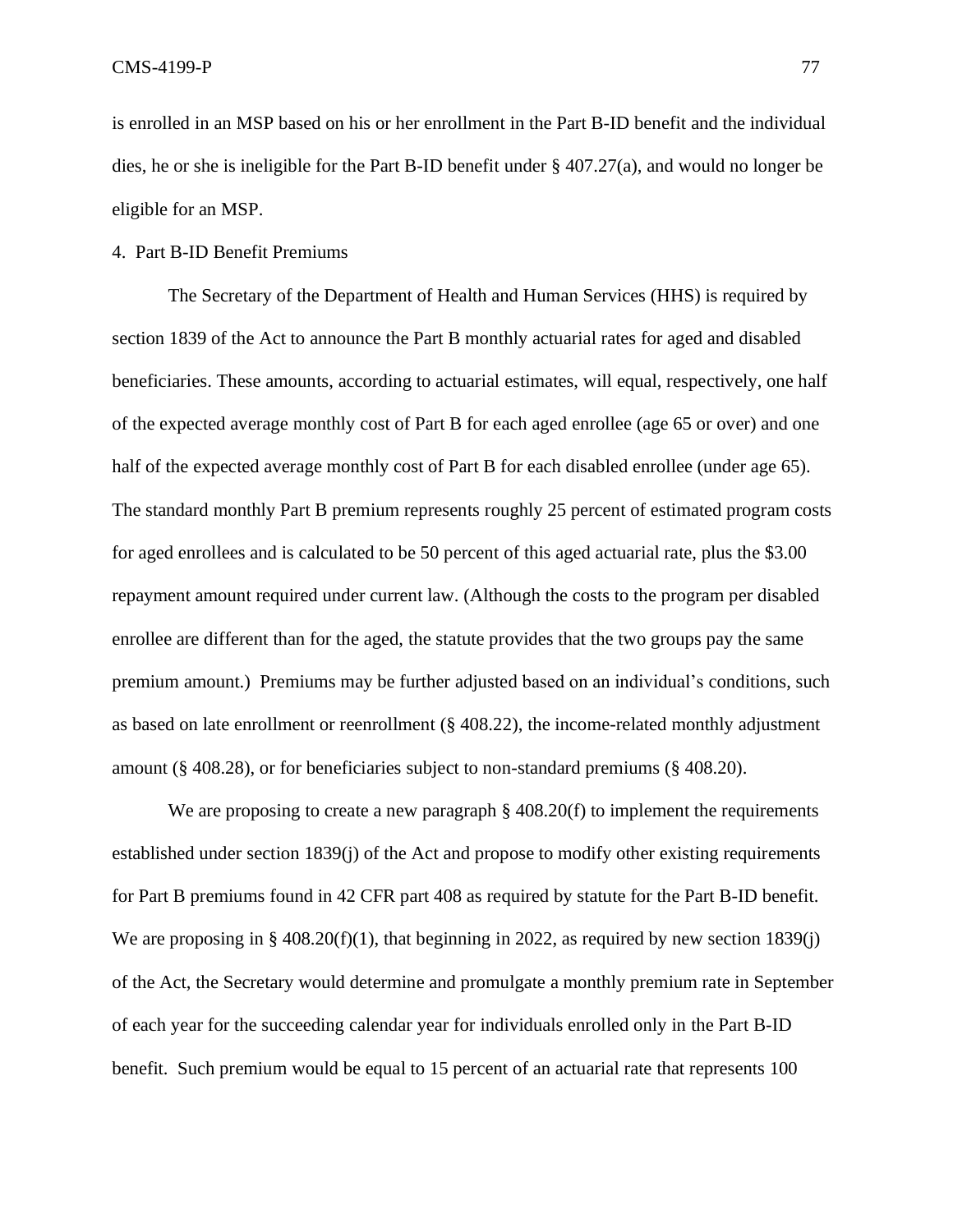is enrolled in an MSP based on his or her enrollment in the Part B-ID benefit and the individual dies, he or she is ineligible for the Part B-ID benefit under § 407.27(a), and would no longer be eligible for an MSP.

### 4. Part B-ID Benefit Premiums

The Secretary of the Department of Health and Human Services (HHS) is required by section 1839 of the Act to announce the Part B monthly actuarial rates for aged and disabled beneficiaries. These amounts, according to actuarial estimates, will equal, respectively, one half of the expected average monthly cost of Part B for each aged enrollee (age 65 or over) and one half of the expected average monthly cost of Part B for each disabled enrollee (under age 65). The standard monthly Part B premium represents roughly 25 percent of estimated program costs for aged enrollees and is calculated to be 50 percent of this aged actuarial rate, plus the \$3.00 repayment amount required under current law. (Although the costs to the program per disabled enrollee are different than for the aged, the statute provides that the two groups pay the same premium amount.) Premiums may be further adjusted based on an individual's conditions, such as based on late enrollment or reenrollment (§ 408.22), the income-related monthly adjustment amount (§ 408.28), or for beneficiaries subject to non-standard premiums (§ 408.20).

We are proposing to create a new paragraph § 408.20(f) to implement the requirements established under section 1839(j) of the Act and propose to modify other existing requirements for Part B premiums found in 42 CFR part 408 as required by statute for the Part B-ID benefit. We are proposing in § 408.20(f)(1), that beginning in 2022, as required by new section 1839(j) of the Act, the Secretary would determine and promulgate a monthly premium rate in September of each year for the succeeding calendar year for individuals enrolled only in the Part B-ID benefit. Such premium would be equal to 15 percent of an actuarial rate that represents 100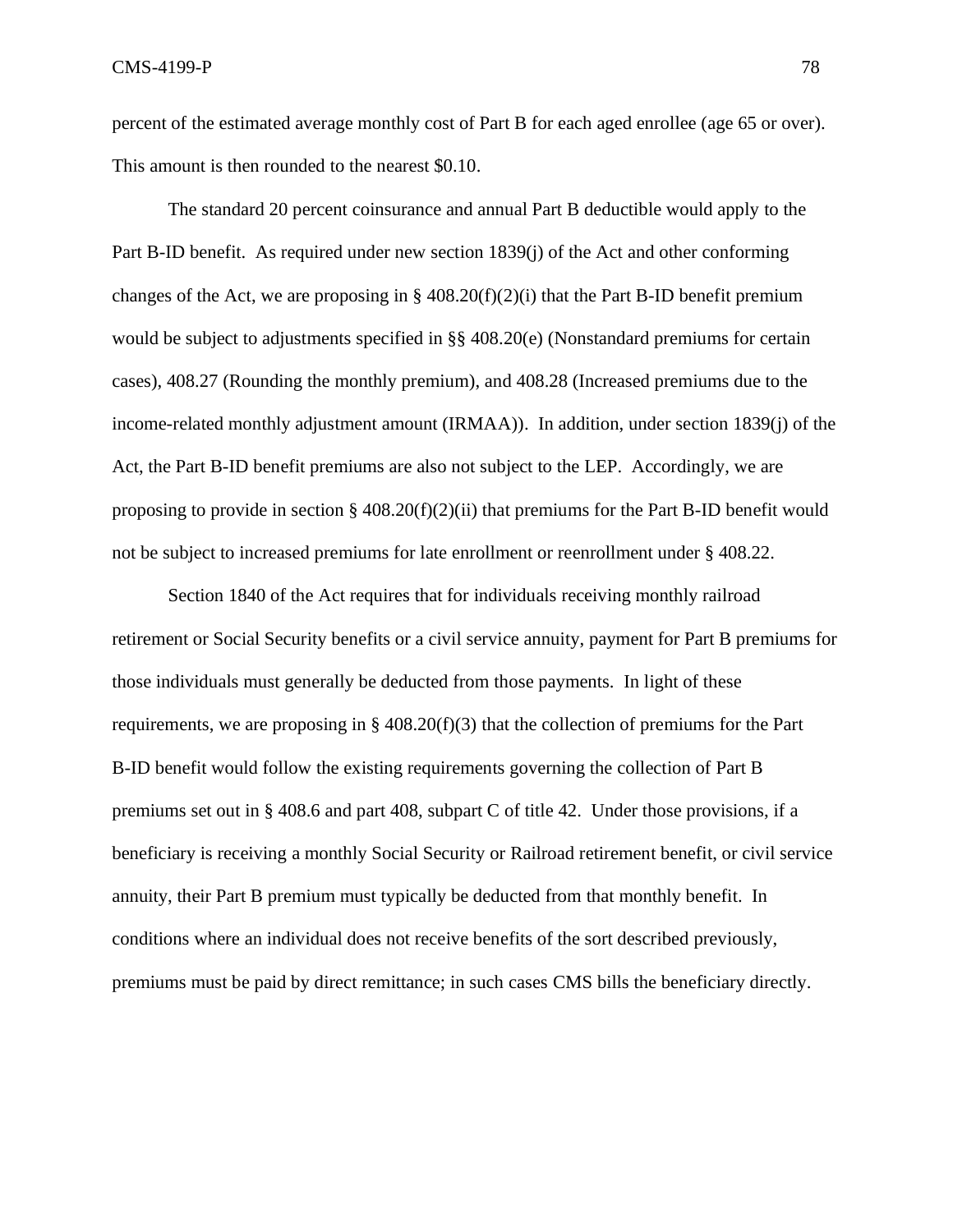percent of the estimated average monthly cost of Part B for each aged enrollee (age 65 or over). This amount is then rounded to the nearest \$0.10.

The standard 20 percent coinsurance and annual Part B deductible would apply to the Part B-ID benefit. As required under new section 1839(j) of the Act and other conforming changes of the Act, we are proposing in  $\S 408.20(f)(2)(i)$  that the Part B-ID benefit premium would be subject to adjustments specified in §§ 408.20(e) (Nonstandard premiums for certain cases), 408.27 (Rounding the monthly premium), and 408.28 (Increased premiums due to the income-related monthly adjustment amount (IRMAA)). In addition, under section 1839(j) of the Act, the Part B-ID benefit premiums are also not subject to the LEP. Accordingly, we are proposing to provide in section  $\S 408.20(f)(2)(ii)$  that premiums for the Part B-ID benefit would not be subject to increased premiums for late enrollment or reenrollment under § 408.22.

Section 1840 of the Act requires that for individuals receiving monthly railroad retirement or Social Security benefits or a civil service annuity, payment for Part B premiums for those individuals must generally be deducted from those payments. In light of these requirements, we are proposing in  $\S$  408.20(f)(3) that the collection of premiums for the Part B-ID benefit would follow the existing requirements governing the collection of Part B premiums set out in § 408.6 and part 408, subpart C of title 42. Under those provisions, if a beneficiary is receiving a monthly Social Security or Railroad retirement benefit, or civil service annuity, their Part B premium must typically be deducted from that monthly benefit. In conditions where an individual does not receive benefits of the sort described previously, premiums must be paid by direct remittance; in such cases CMS bills the beneficiary directly.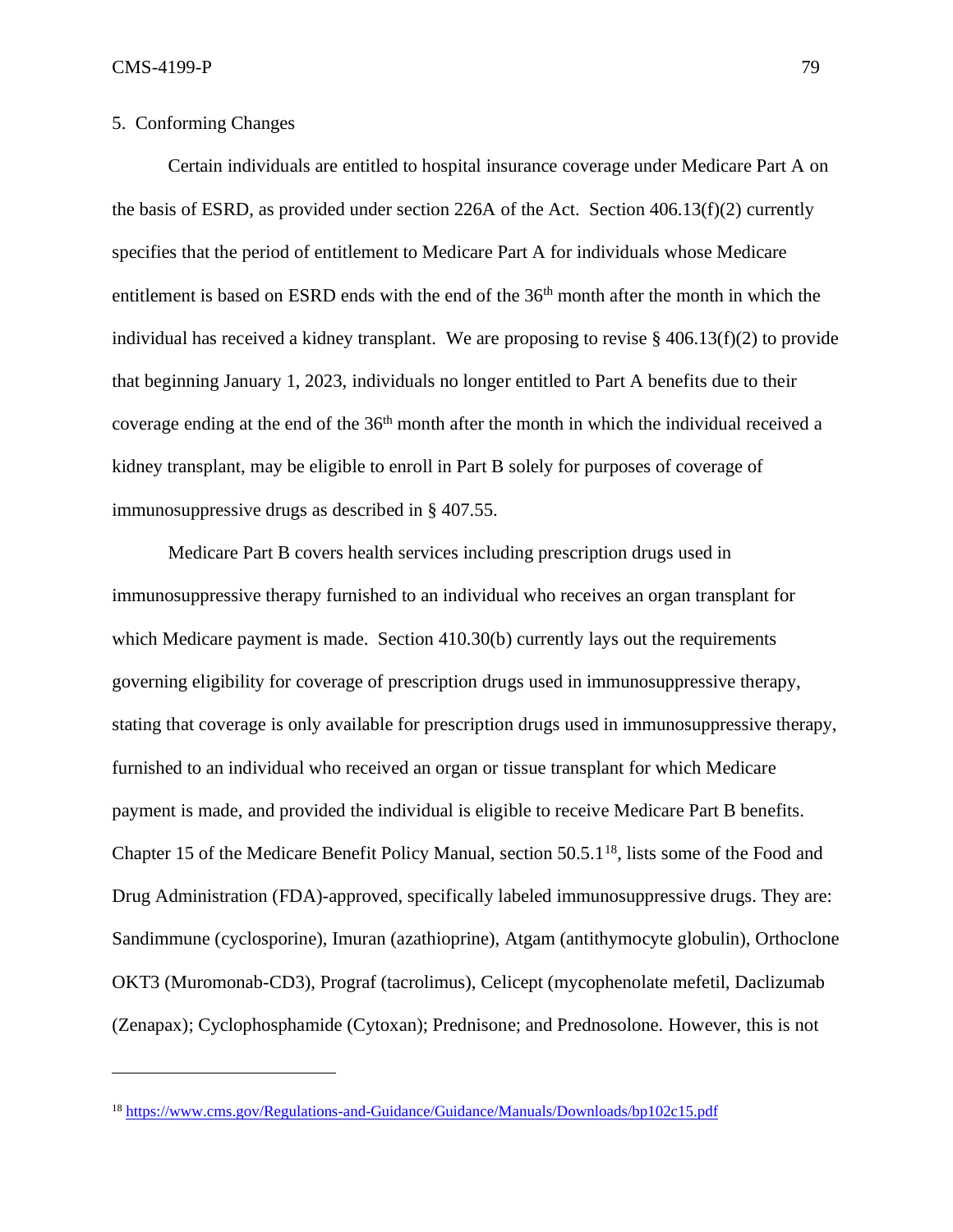## 5. Conforming Changes

Certain individuals are entitled to hospital insurance coverage under Medicare Part A on the basis of ESRD, as provided under section 226A of the Act. Section 406.13(f)(2) currently specifies that the period of entitlement to Medicare Part A for individuals whose Medicare entitlement is based on ESRD ends with the end of the 36<sup>th</sup> month after the month in which the individual has received a kidney transplant. We are proposing to revise  $\S$  406.13(f)(2) to provide that beginning January 1, 2023, individuals no longer entitled to Part A benefits due to their coverage ending at the end of the  $36<sup>th</sup>$  month after the month in which the individual received a kidney transplant, may be eligible to enroll in Part B solely for purposes of coverage of immunosuppressive drugs as described in § 407.55.

Medicare Part B covers health services including prescription drugs used in immunosuppressive therapy furnished to an individual who receives an organ transplant for which Medicare payment is made. Section 410.30(b) currently lays out the requirements governing eligibility for coverage of prescription drugs used in immunosuppressive therapy, stating that coverage is only available for prescription drugs used in immunosuppressive therapy, furnished to an individual who received an organ or tissue transplant for which Medicare payment is made, and provided the individual is eligible to receive Medicare Part B benefits. Chapter 15 of the Medicare Benefit Policy Manual, section 50.5.1<sup>18</sup>, lists some of the Food and Drug Administration (FDA)-approved, specifically labeled immunosuppressive drugs. They are: Sandimmune (cyclosporine), Imuran (azathioprine), Atgam (antithymocyte globulin), Orthoclone OKT3 (Muromonab-CD3), Prograf (tacrolimus), Celicept (mycophenolate mefetil, Daclizumab (Zenapax); Cyclophosphamide (Cytoxan); Prednisone; and Prednosolone. However, this is not

<sup>18</sup> <https://www.cms.gov/Regulations-and-Guidance/Guidance/Manuals/Downloads/bp102c15.pdf>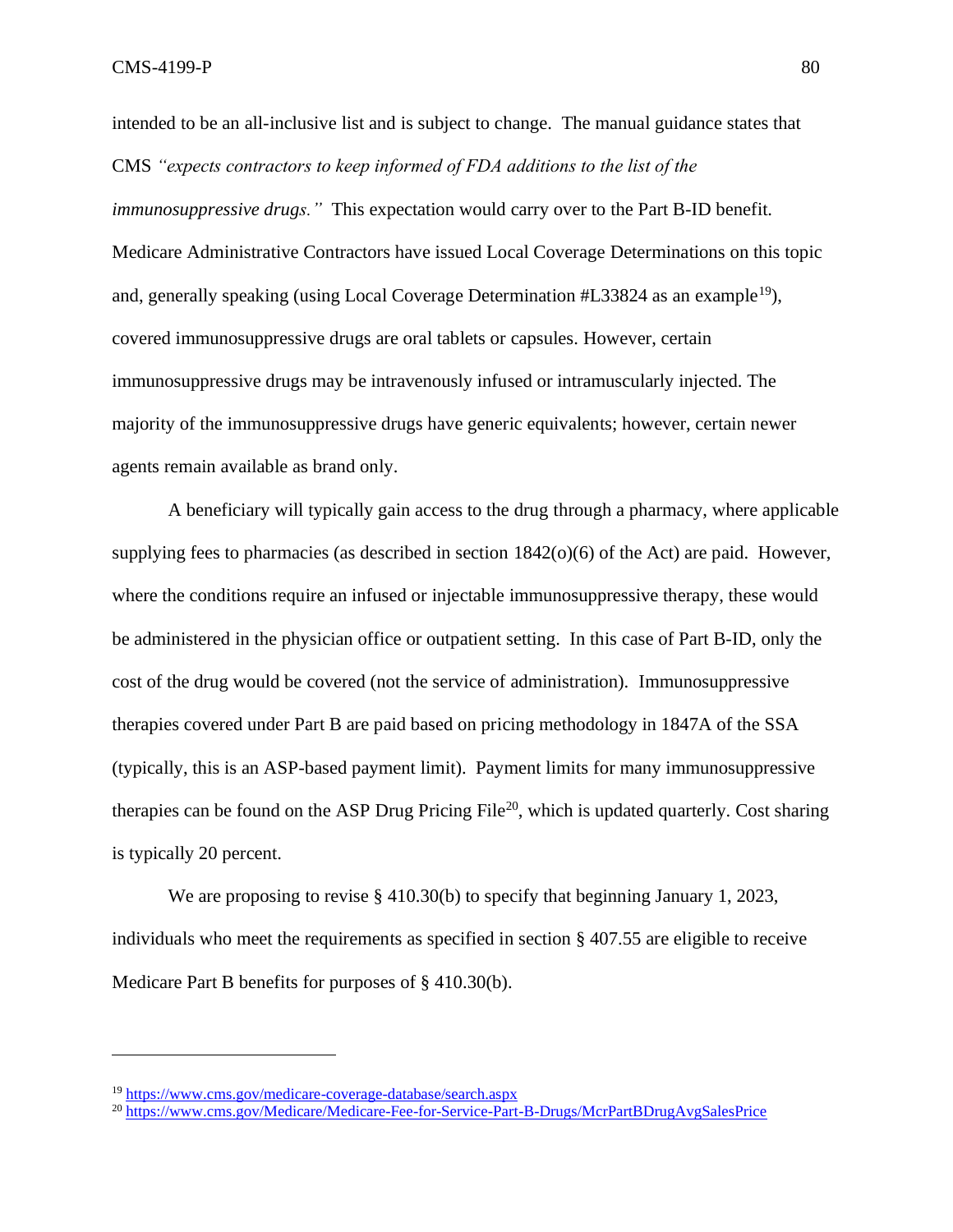intended to be an all-inclusive list and is subject to change. The manual guidance states that CMS *"expects contractors to keep informed of FDA additions to the list of the immunosuppressive drugs."* This expectation would carry over to the Part B-ID benefit. Medicare Administrative Contractors have issued Local Coverage Determinations on this topic and, generally speaking (using Local Coverage Determination #L33824 as an example<sup>19</sup>). covered immunosuppressive drugs are oral tablets or capsules. However, certain immunosuppressive drugs may be intravenously infused or intramuscularly injected. The majority of the immunosuppressive drugs have generic equivalents; however, certain newer agents remain available as brand only.

A beneficiary will typically gain access to the drug through a pharmacy, where applicable supplying fees to pharmacies (as described in section  $1842(0)(6)$  of the Act) are paid. However, where the conditions require an infused or injectable immunosuppressive therapy, these would be administered in the physician office or outpatient setting. In this case of Part B-ID, only the cost of the drug would be covered (not the service of administration). Immunosuppressive therapies covered under Part B are paid based on pricing methodology in 1847A of the SSA (typically, this is an ASP-based payment limit). Payment limits for many immunosuppressive therapies can be found on the ASP Drug Pricing File<sup>20</sup>, which is updated quarterly. Cost sharing is typically 20 percent.

We are proposing to revise § 410.30(b) to specify that beginning January 1, 2023, individuals who meet the requirements as specified in section § 407.55 are eligible to receive Medicare Part B benefits for purposes of § 410.30(b).

<sup>19</sup> <https://www.cms.gov/medicare-coverage-database/search.aspx>

<sup>20</sup> <https://www.cms.gov/Medicare/Medicare-Fee-for-Service-Part-B-Drugs/McrPartBDrugAvgSalesPrice>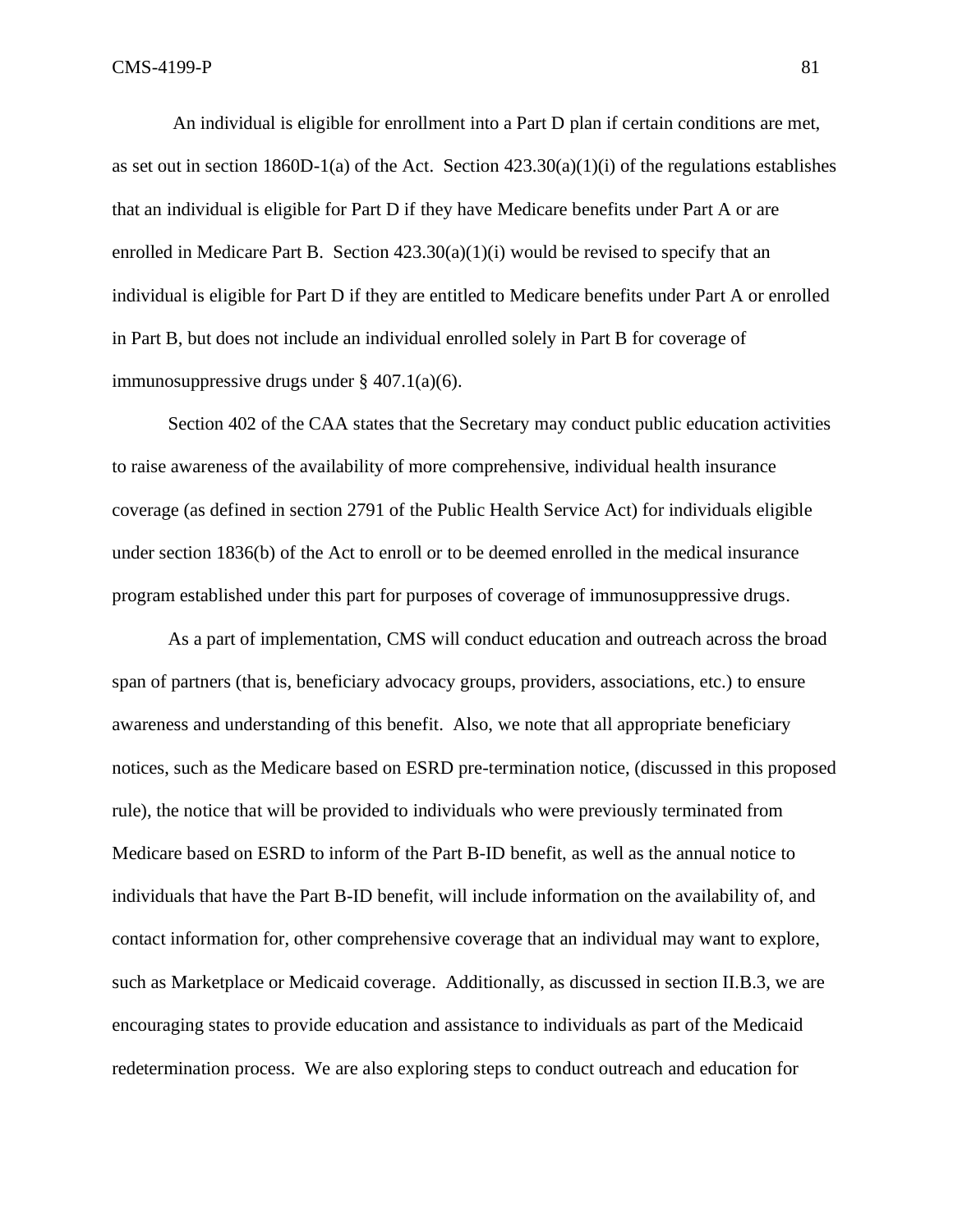An individual is eligible for enrollment into a Part D plan if certain conditions are met, as set out in section 1860D-1(a) of the Act. Section  $423.30(a)(1)(i)$  of the regulations establishes that an individual is eligible for Part D if they have Medicare benefits under Part A or are enrolled in Medicare Part B. Section  $423.30(a)(1)(i)$  would be revised to specify that an individual is eligible for Part D if they are entitled to Medicare benefits under Part A or enrolled in Part B, but does not include an individual enrolled solely in Part B for coverage of immunosuppressive drugs under § 407.1(a)(6).

Section 402 of the CAA states that the Secretary may conduct public education activities to raise awareness of the availability of more comprehensive, individual health insurance coverage (as defined in section 2791 of the Public Health Service Act) for individuals eligible under section 1836(b) of the Act to enroll or to be deemed enrolled in the medical insurance program established under this part for purposes of coverage of immunosuppressive drugs.

As a part of implementation, CMS will conduct education and outreach across the broad span of partners (that is, beneficiary advocacy groups, providers, associations, etc.) to ensure awareness and understanding of this benefit. Also, we note that all appropriate beneficiary notices, such as the Medicare based on ESRD pre-termination notice, (discussed in this proposed rule), the notice that will be provided to individuals who were previously terminated from Medicare based on ESRD to inform of the Part B-ID benefit, as well as the annual notice to individuals that have the Part B-ID benefit, will include information on the availability of, and contact information for, other comprehensive coverage that an individual may want to explore, such as Marketplace or Medicaid coverage. Additionally, as discussed in section II.B.3, we are encouraging states to provide education and assistance to individuals as part of the Medicaid redetermination process. We are also exploring steps to conduct outreach and education for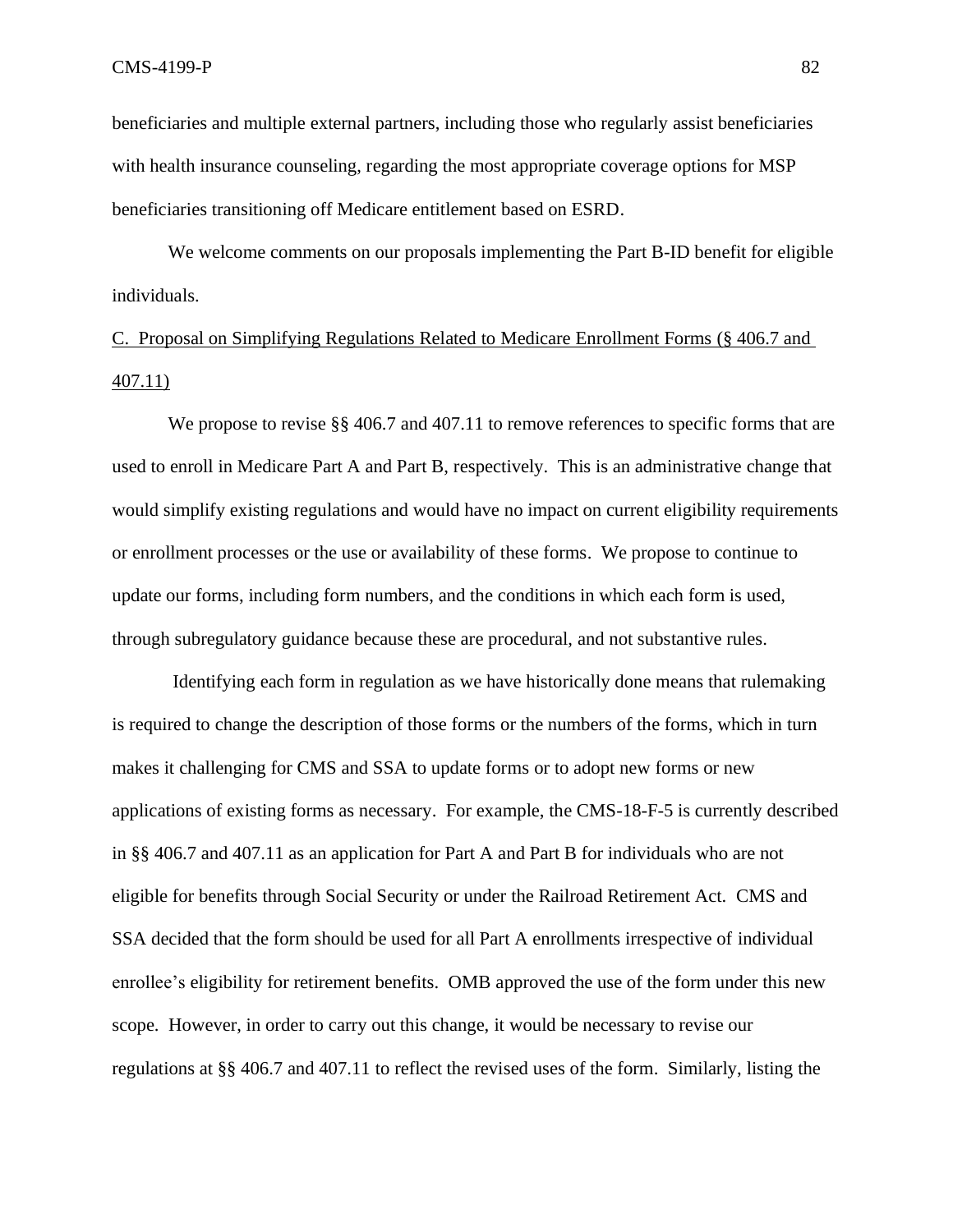beneficiaries and multiple external partners, including those who regularly assist beneficiaries with health insurance counseling, regarding the most appropriate coverage options for MSP beneficiaries transitioning off Medicare entitlement based on ESRD.

We welcome comments on our proposals implementing the Part B-ID benefit for eligible individuals.

# C. Proposal on Simplifying Regulations Related to Medicare Enrollment Forms (§ 406.7 and 407.11)

We propose to revise §§ 406.7 and 407.11 to remove references to specific forms that are used to enroll in Medicare Part A and Part B, respectively. This is an administrative change that would simplify existing regulations and would have no impact on current eligibility requirements or enrollment processes or the use or availability of these forms. We propose to continue to update our forms, including form numbers, and the conditions in which each form is used, through subregulatory guidance because these are procedural, and not substantive rules.

Identifying each form in regulation as we have historically done means that rulemaking is required to change the description of those forms or the numbers of the forms, which in turn makes it challenging for CMS and SSA to update forms or to adopt new forms or new applications of existing forms as necessary. For example, the CMS-18-F-5 is currently described in §§ 406.7 and 407.11 as an application for Part A and Part B for individuals who are not eligible for benefits through Social Security or under the Railroad Retirement Act. CMS and SSA decided that the form should be used for all Part A enrollments irrespective of individual enrollee's eligibility for retirement benefits. OMB approved the use of the form under this new scope. However, in order to carry out this change, it would be necessary to revise our regulations at §§ 406.7 and 407.11 to reflect the revised uses of the form. Similarly, listing the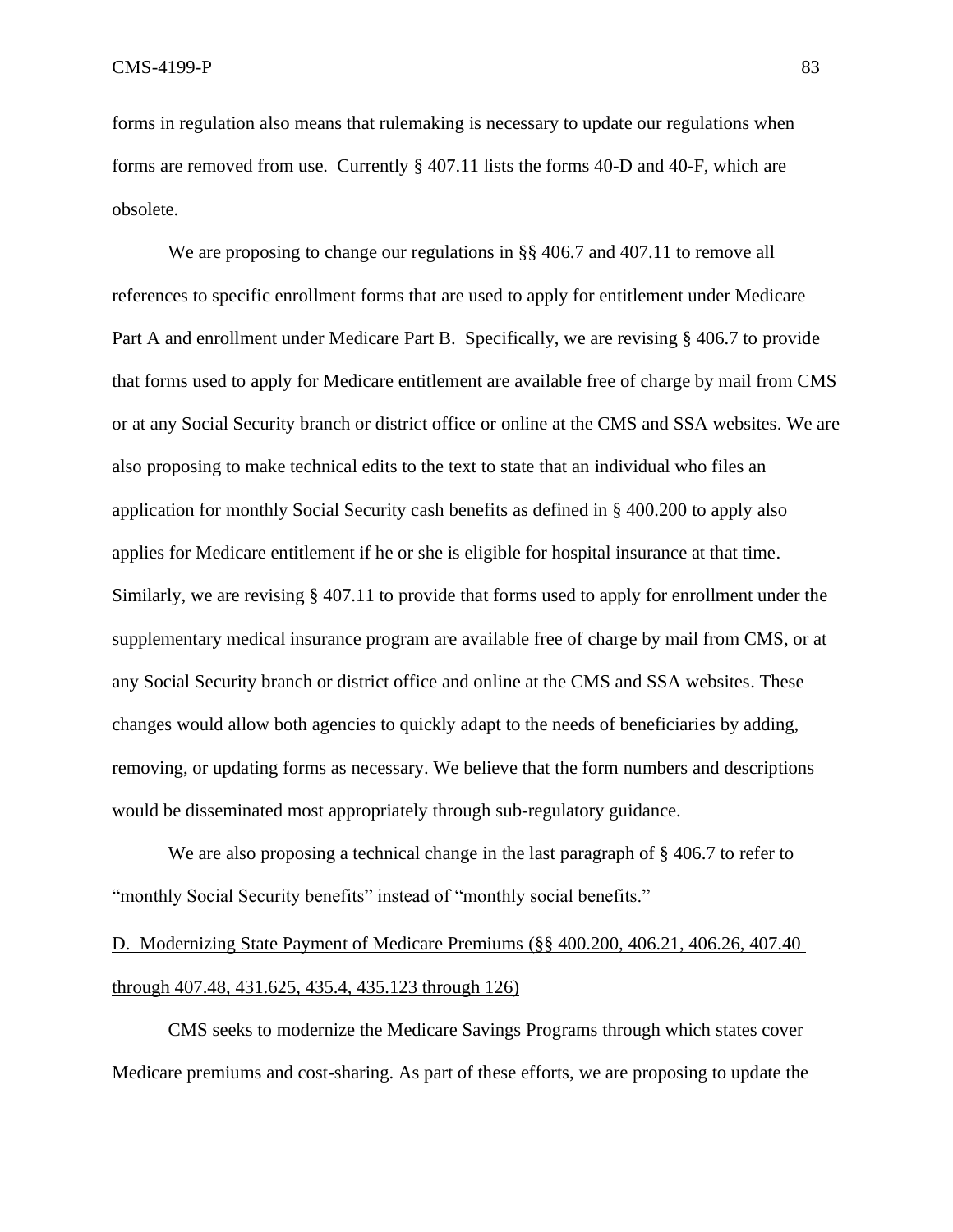forms in regulation also means that rulemaking is necessary to update our regulations when forms are removed from use. Currently § 407.11 lists the forms 40-D and 40-F, which are obsolete.

We are proposing to change our regulations in §§ 406.7 and 407.11 to remove all references to specific enrollment forms that are used to apply for entitlement under Medicare Part A and enrollment under Medicare Part B. Specifically, we are revising § 406.7 to provide that forms used to apply for Medicare entitlement are available free of charge by mail from CMS or at any Social Security branch or district office or online at the CMS and SSA websites. We are also proposing to make technical edits to the text to state that an individual who files an application for monthly Social Security cash benefits as defined in § 400.200 to apply also applies for Medicare entitlement if he or she is eligible for hospital insurance at that time. Similarly, we are revising § 407.11 to provide that forms used to apply for enrollment under the supplementary medical insurance program are available free of charge by mail from CMS, or at any Social Security branch or district office and online at the CMS and SSA websites. These changes would allow both agencies to quickly adapt to the needs of beneficiaries by adding, removing, or updating forms as necessary. We believe that the form numbers and descriptions would be disseminated most appropriately through sub-regulatory guidance.

We are also proposing a technical change in the last paragraph of § 406.7 to refer to "monthly Social Security benefits" instead of "monthly social benefits."

# D. Modernizing State Payment of Medicare Premiums (§§ 400.200, 406.21, 406.26, 407.40 through 407.48, 431.625, 435.4, 435.123 through 126)

CMS seeks to modernize the Medicare Savings Programs through which states cover Medicare premiums and cost-sharing. As part of these efforts, we are proposing to update the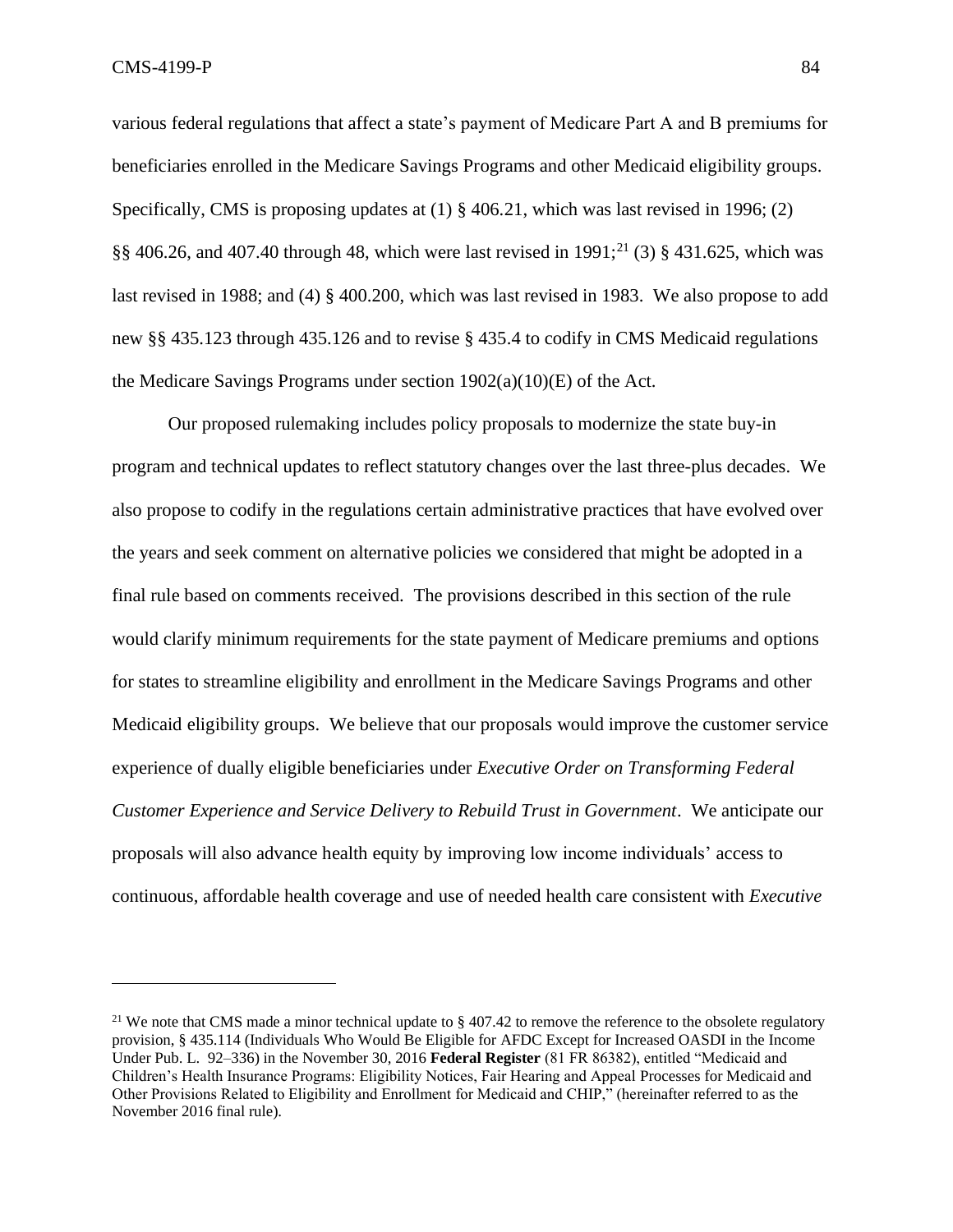various federal regulations that affect a state's payment of Medicare Part A and B premiums for beneficiaries enrolled in the Medicare Savings Programs and other Medicaid eligibility groups. Specifically, CMS is proposing updates at (1) § 406.21, which was last revised in 1996; (2)  $\S$ § 406.26, and 407.40 through 48, which were last revised in 1991;<sup>21</sup> (3) § 431.625, which was last revised in 1988; and (4) § 400.200, which was last revised in 1983. We also propose to add new §§ 435.123 through 435.126 and to revise § 435.4 to codify in CMS Medicaid regulations the Medicare Savings Programs under section  $1902(a)(10)(E)$  of the Act.

Our proposed rulemaking includes policy proposals to modernize the state buy-in program and technical updates to reflect statutory changes over the last three-plus decades. We also propose to codify in the regulations certain administrative practices that have evolved over the years and seek comment on alternative policies we considered that might be adopted in a final rule based on comments received. The provisions described in this section of the rule would clarify minimum requirements for the state payment of Medicare premiums and options for states to streamline eligibility and enrollment in the Medicare Savings Programs and other Medicaid eligibility groups. We believe that our proposals would improve the customer service experience of dually eligible beneficiaries under *Executive Order on Transforming Federal Customer Experience and Service Delivery to Rebuild Trust in Government*. We anticipate our proposals will also advance health equity by improving low income individuals' access to continuous, affordable health coverage and use of needed health care consistent with *Executive* 

<sup>&</sup>lt;sup>21</sup> We note that CMS made a minor technical update to  $\S$  407.42 to remove the reference to the obsolete regulatory provision, § 435.114 (Individuals Who Would Be Eligible for AFDC Except for Increased OASDI in the Income Under Pub. L. 92–336) in the November 30, 2016 **Federal Register** (81 FR 86382), entitled "Medicaid and Children's Health Insurance Programs: Eligibility Notices, Fair Hearing and Appeal Processes for Medicaid and Other Provisions Related to Eligibility and Enrollment for Medicaid and CHIP," (hereinafter referred to as the November 2016 final rule).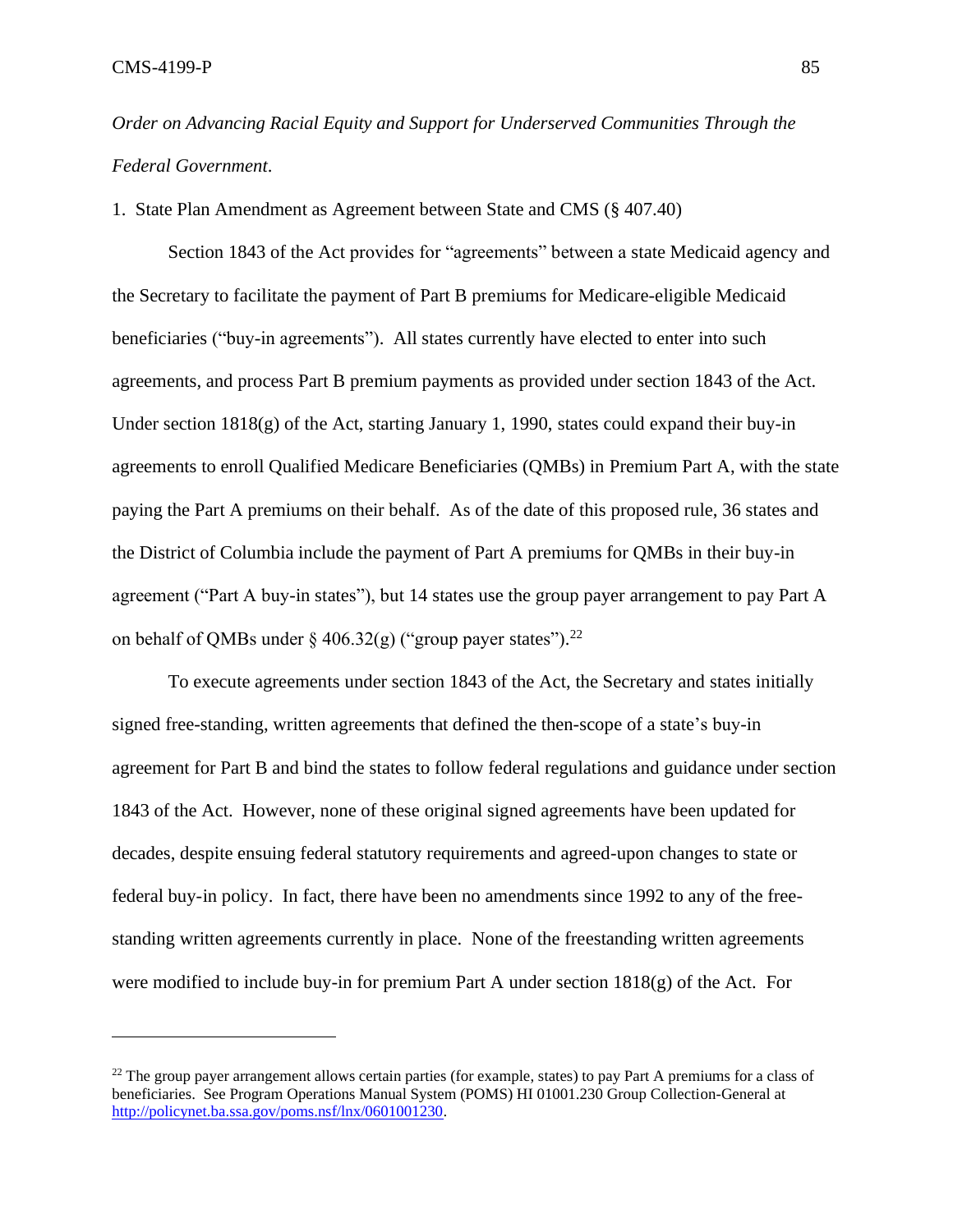*Order on Advancing Racial Equity and Support for Underserved Communities Through the Federal Government*.

1. State Plan Amendment as Agreement between State and CMS (§ 407.40)

Section 1843 of the Act provides for "agreements" between a state Medicaid agency and the Secretary to facilitate the payment of Part B premiums for Medicare-eligible Medicaid beneficiaries ("buy-in agreements"). All states currently have elected to enter into such agreements, and process Part B premium payments as provided under section 1843 of the Act. Under section  $1818(g)$  of the Act, starting January 1, 1990, states could expand their buy-in agreements to enroll Qualified Medicare Beneficiaries (QMBs) in Premium Part A, with the state paying the Part A premiums on their behalf. As of the date of this proposed rule, 36 states and the District of Columbia include the payment of Part A premiums for QMBs in their buy-in agreement ("Part A buy-in states"), but 14 states use the group payer arrangement to pay Part A on behalf of QMBs under  $\S$  406.32(g) ("group payer states").<sup>22</sup>

To execute agreements under section 1843 of the Act, the Secretary and states initially signed free-standing, written agreements that defined the then-scope of a state's buy-in agreement for Part B and bind the states to follow federal regulations and guidance under section 1843 of the Act. However, none of these original signed agreements have been updated for decades, despite ensuing federal statutory requirements and agreed-upon changes to state or federal buy-in policy. In fact, there have been no amendments since 1992 to any of the freestanding written agreements currently in place. None of the freestanding written agreements were modified to include buy-in for premium Part A under section  $1818(g)$  of the Act. For

<sup>&</sup>lt;sup>22</sup> The group payer arrangement allows certain parties (for example, states) to pay Part A premiums for a class of beneficiaries. See Program Operations Manual System (POMS) HI 01001.230 Group Collection-General at [http://policynet.ba.ssa.gov/poms.nsf/lnx/0601001230.](http://policynet.ba.ssa.gov/poms.nsf/lnx/0601001230)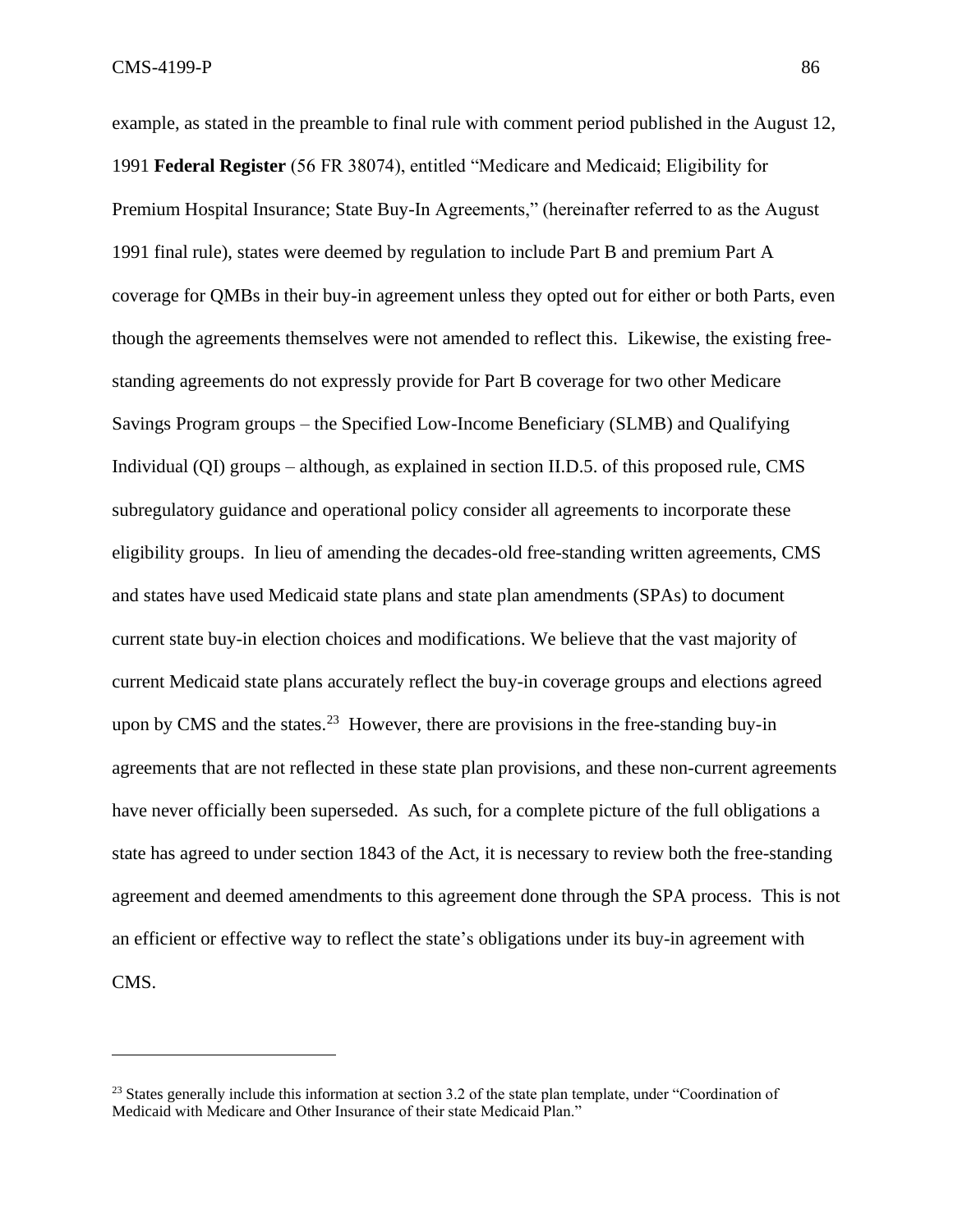example, as stated in the preamble to final rule with comment period published in the August 12, 1991 **Federal Register** (56 FR 38074), entitled "Medicare and Medicaid; Eligibility for Premium Hospital Insurance; State Buy-In Agreements," (hereinafter referred to as the August 1991 final rule), states were deemed by regulation to include Part B and premium Part A coverage for QMBs in their buy-in agreement unless they opted out for either or both Parts, even though the agreements themselves were not amended to reflect this. Likewise, the existing freestanding agreements do not expressly provide for Part B coverage for two other Medicare Savings Program groups – the Specified Low-Income Beneficiary (SLMB) and Qualifying Individual (QI) groups – although, as explained in section II.D.5. of this proposed rule, CMS subregulatory guidance and operational policy consider all agreements to incorporate these eligibility groups. In lieu of amending the decades-old free-standing written agreements, CMS and states have used Medicaid state plans and state plan amendments (SPAs) to document current state buy-in election choices and modifications. We believe that the vast majority of current Medicaid state plans accurately reflect the buy-in coverage groups and elections agreed upon by CMS and the states.<sup>23</sup> However, there are provisions in the free-standing buy-in agreements that are not reflected in these state plan provisions, and these non-current agreements have never officially been superseded. As such, for a complete picture of the full obligations a state has agreed to under section 1843 of the Act, it is necessary to review both the free-standing agreement and deemed amendments to this agreement done through the SPA process. This is not an efficient or effective way to reflect the state's obligations under its buy-in agreement with CMS.

<sup>&</sup>lt;sup>23</sup> States generally include this information at section 3.2 of the state plan template, under "Coordination of Medicaid with Medicare and Other Insurance of their state Medicaid Plan."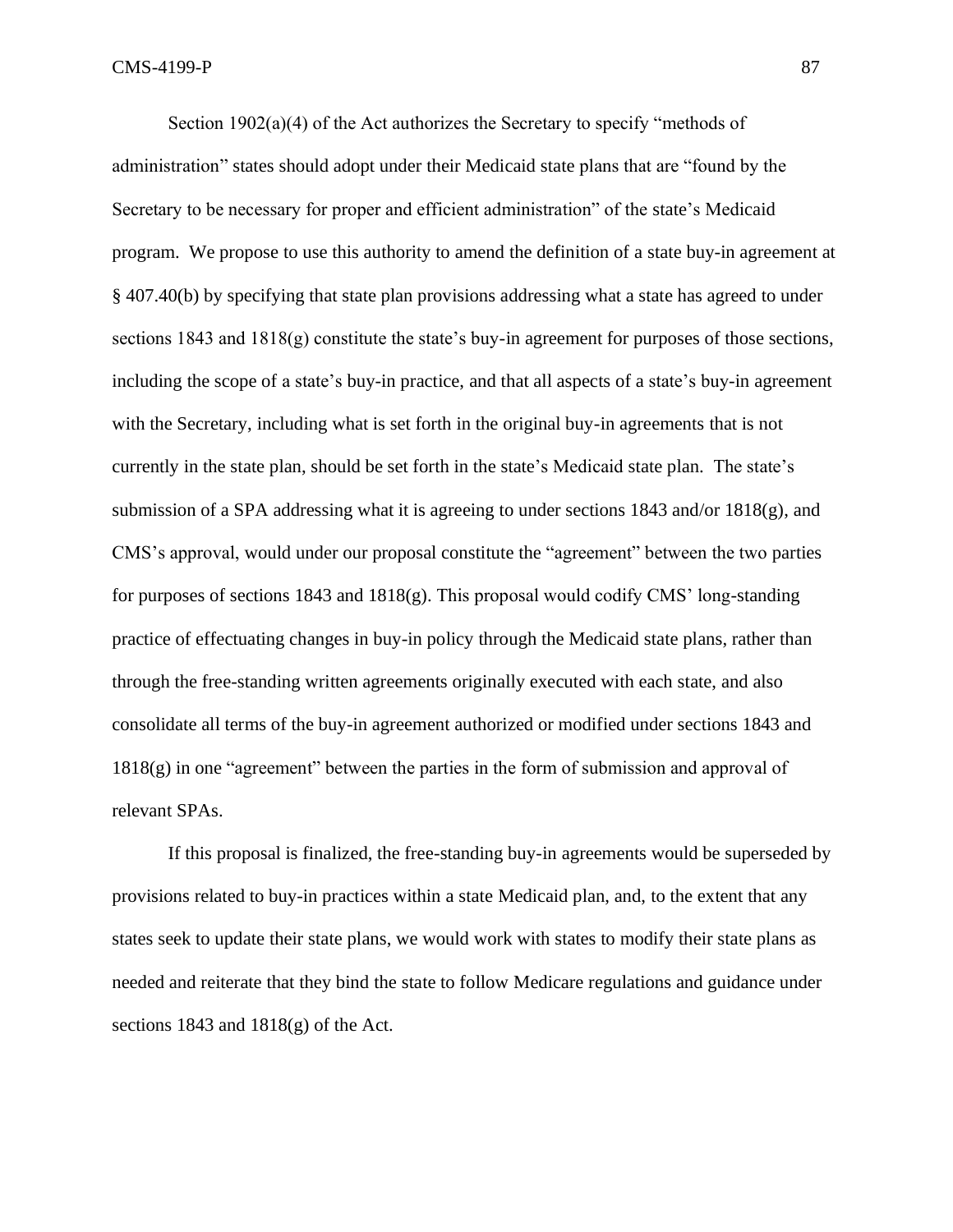Section 1902(a)(4) of the Act authorizes the Secretary to specify "methods of administration" states should adopt under their Medicaid state plans that are "found by the Secretary to be necessary for proper and efficient administration" of the state's Medicaid program. We propose to use this authority to amend the definition of a state buy-in agreement at § 407.40(b) by specifying that state plan provisions addressing what a state has agreed to under sections 1843 and  $1818(g)$  constitute the state's buy-in agreement for purposes of those sections, including the scope of a state's buy-in practice, and that all aspects of a state's buy-in agreement with the Secretary, including what is set forth in the original buy-in agreements that is not currently in the state plan, should be set forth in the state's Medicaid state plan. The state's submission of a SPA addressing what it is agreeing to under sections 1843 and/or 1818(g), and CMS's approval, would under our proposal constitute the "agreement" between the two parties for purposes of sections 1843 and 1818(g). This proposal would codify CMS' long-standing practice of effectuating changes in buy-in policy through the Medicaid state plans, rather than through the free-standing written agreements originally executed with each state, and also consolidate all terms of the buy-in agreement authorized or modified under sections 1843 and 1818(g) in one "agreement" between the parties in the form of submission and approval of relevant SPAs.

If this proposal is finalized, the free-standing buy-in agreements would be superseded by provisions related to buy-in practices within a state Medicaid plan, and, to the extent that any states seek to update their state plans, we would work with states to modify their state plans as needed and reiterate that they bind the state to follow Medicare regulations and guidance under sections  $1843$  and  $1818(g)$  of the Act.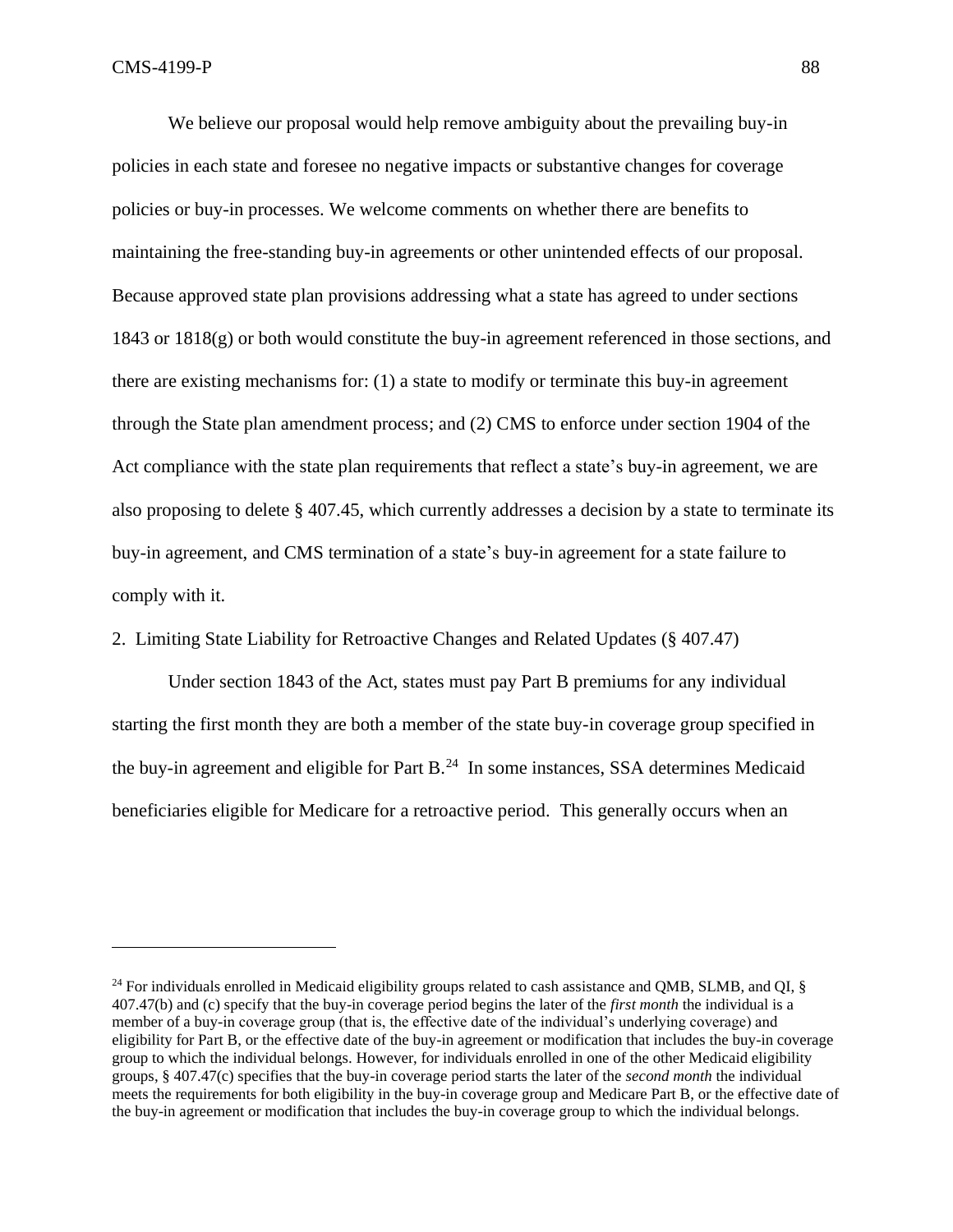We believe our proposal would help remove ambiguity about the prevailing buy-in policies in each state and foresee no negative impacts or substantive changes for coverage policies or buy-in processes. We welcome comments on whether there are benefits to maintaining the free-standing buy-in agreements or other unintended effects of our proposal. Because approved state plan provisions addressing what a state has agreed to under sections  $1843$  or  $1818(g)$  or both would constitute the buy-in agreement referenced in those sections, and there are existing mechanisms for: (1) a state to modify or terminate this buy-in agreement through the State plan amendment process; and (2) CMS to enforce under section 1904 of the Act compliance with the state plan requirements that reflect a state's buy-in agreement, we are also proposing to delete § 407.45, which currently addresses a decision by a state to terminate its buy-in agreement, and CMS termination of a state's buy-in agreement for a state failure to comply with it.

2. Limiting State Liability for Retroactive Changes and Related Updates (§ 407.47)

Under section 1843 of the Act, states must pay Part B premiums for any individual starting the first month they are both a member of the state buy-in coverage group specified in the buy-in agreement and eligible for Part B.<sup>24</sup> In some instances, SSA determines Medicaid beneficiaries eligible for Medicare for a retroactive period. This generally occurs when an

 $^{24}$  For individuals enrolled in Medicaid eligibility groups related to cash assistance and OMB, SLMB, and OI,  $\delta$ 407.47(b) and (c) specify that the buy-in coverage period begins the later of the *first month* the individual is a member of a buy-in coverage group (that is, the effective date of the individual's underlying coverage) and eligibility for Part B, or the effective date of the buy-in agreement or modification that includes the buy-in coverage group to which the individual belongs. However, for individuals enrolled in one of the other Medicaid eligibility groups, § 407.47(c) specifies that the buy-in coverage period starts the later of the *second month* the individual meets the requirements for both eligibility in the buy-in coverage group and Medicare Part B, or the effective date of the buy-in agreement or modification that includes the buy-in coverage group to which the individual belongs.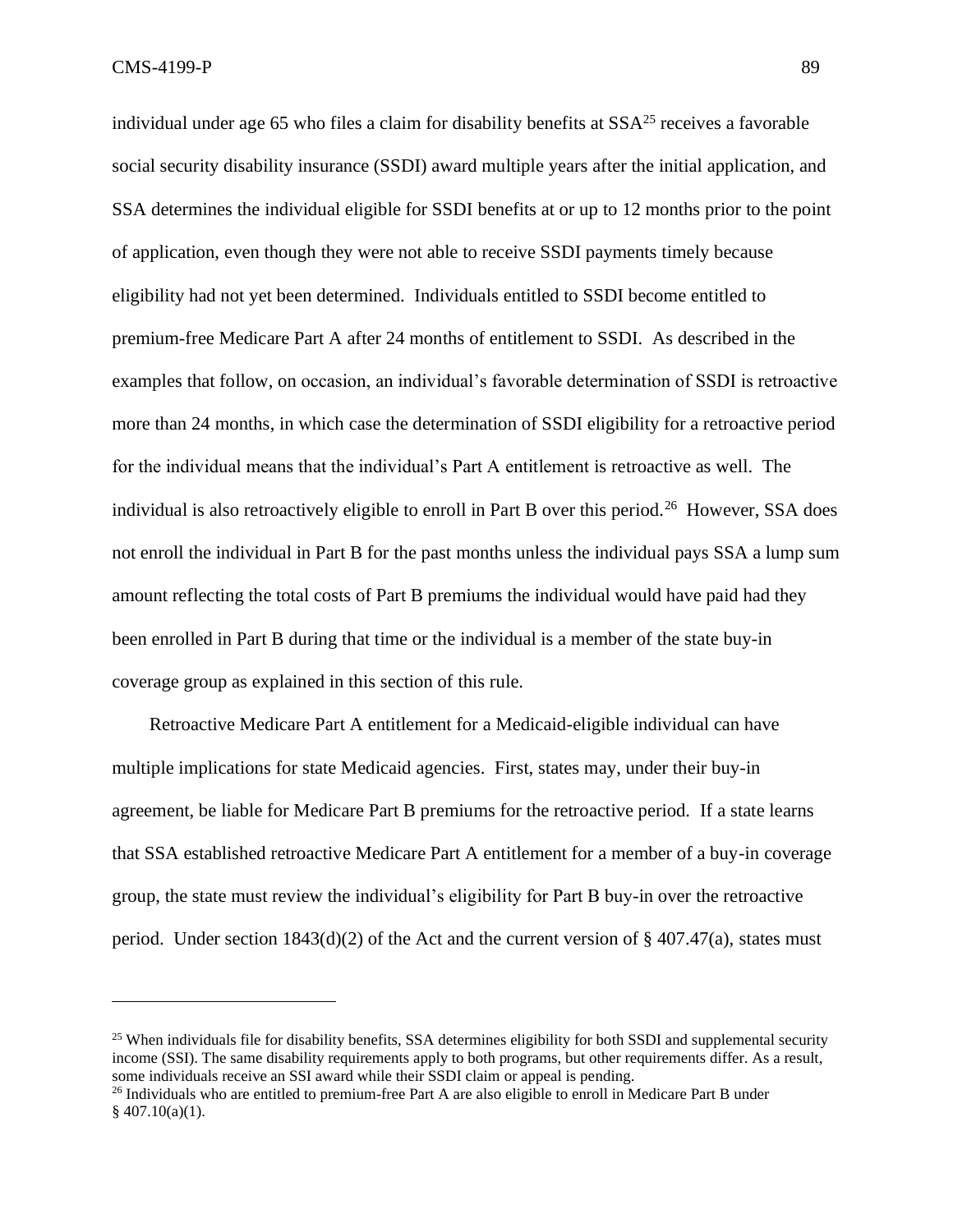individual under age 65 who files a claim for disability benefits at  $SSA<sup>25</sup>$  receives a favorable social security disability insurance (SSDI) award multiple years after the initial application, and SSA determines the individual eligible for SSDI benefits at or up to 12 months prior to the point of application, even though they were not able to receive SSDI payments timely because eligibility had not yet been determined. Individuals entitled to SSDI become entitled to premium-free Medicare Part A after 24 months of entitlement to SSDI. As described in the examples that follow, on occasion, an individual's favorable determination of SSDI is retroactive more than 24 months, in which case the determination of SSDI eligibility for a retroactive period for the individual means that the individual's Part A entitlement is retroactive as well. The individual is also retroactively eligible to enroll in Part B over this period.<sup>26</sup> However, SSA does not enroll the individual in Part B for the past months unless the individual pays SSA a lump sum amount reflecting the total costs of Part B premiums the individual would have paid had they been enrolled in Part B during that time or the individual is a member of the state buy-in coverage group as explained in this section of this rule.

Retroactive Medicare Part A entitlement for a Medicaid-eligible individual can have multiple implications for state Medicaid agencies. First, states may, under their buy-in agreement, be liable for Medicare Part B premiums for the retroactive period. If a state learns that SSA established retroactive Medicare Part A entitlement for a member of a buy-in coverage group, the state must review the individual's eligibility for Part B buy-in over the retroactive period. Under section  $1843(d)(2)$  of the Act and the current version of § 407.47(a), states must

<sup>&</sup>lt;sup>25</sup> When individuals file for disability benefits, SSA determines eligibility for both SSDI and supplemental security income (SSI). The same disability requirements apply to both programs, but other requirements differ. As a result, some individuals receive an SSI award while their SSDI claim or appeal is pending.

<sup>&</sup>lt;sup>26</sup> Individuals who are entitled to premium-free Part A are also eligible to enroll in Medicare Part B under  $§$  407.10(a)(1).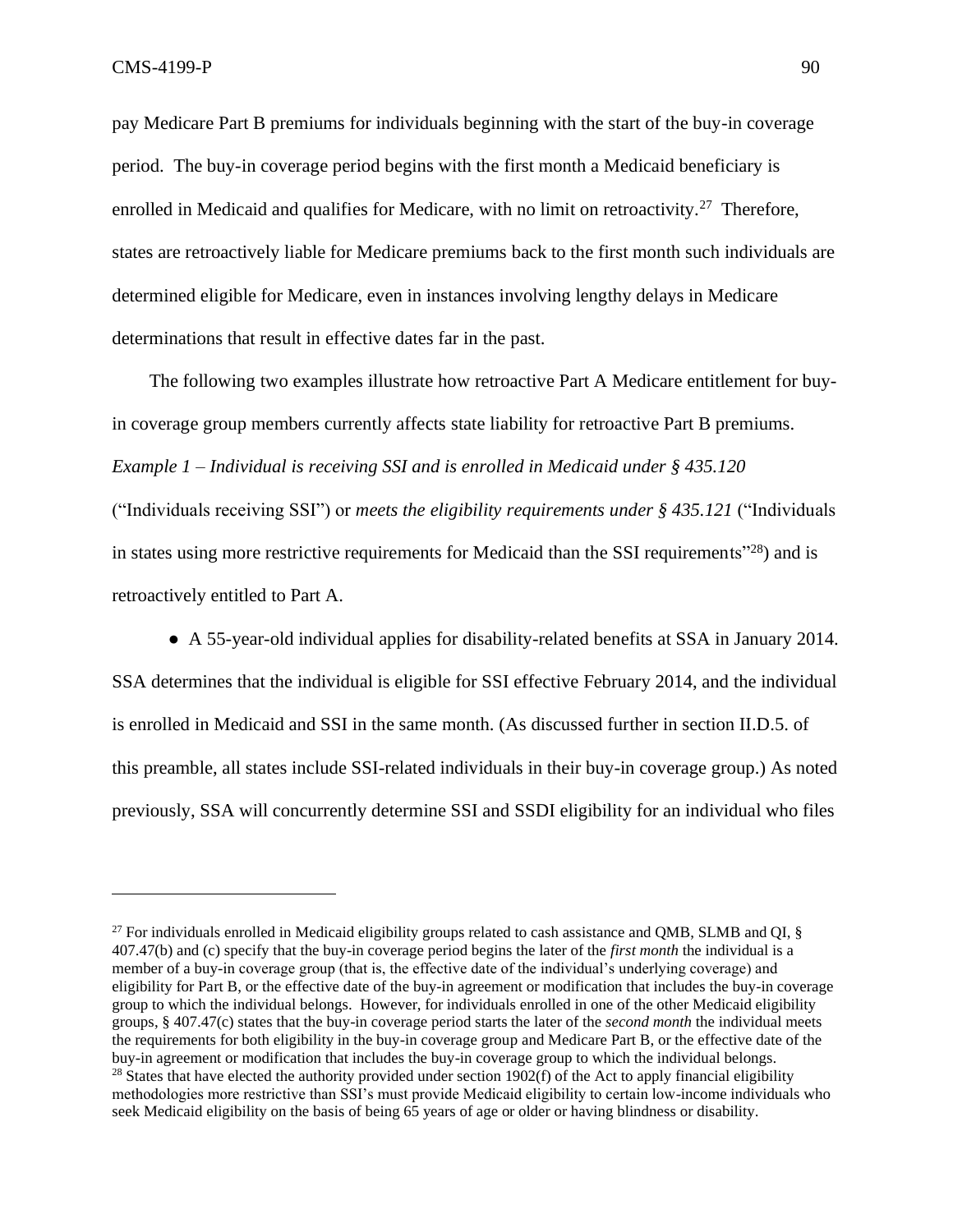pay Medicare Part B premiums for individuals beginning with the start of the buy-in coverage period. The buy-in coverage period begins with the first month a Medicaid beneficiary is enrolled in Medicaid and qualifies for Medicare, with no limit on retroactivity.<sup>27</sup> Therefore, states are retroactively liable for Medicare premiums back to the first month such individuals are determined eligible for Medicare, even in instances involving lengthy delays in Medicare determinations that result in effective dates far in the past.

The following two examples illustrate how retroactive Part A Medicare entitlement for buyin coverage group members currently affects state liability for retroactive Part B premiums. *Example 1* – *Individual is receiving SSI and is enrolled in Medicaid under § 435.120* ("Individuals receiving SSI") or *meets the eligibility requirements under § 435.121* ("Individuals in states using more restrictive requirements for Medicaid than the SSI requirements"<sup>28</sup>) and is retroactively entitled to Part A.

● A 55-year-old individual applies for disability-related benefits at SSA in January 2014. SSA determines that the individual is eligible for SSI effective February 2014, and the individual is enrolled in Medicaid and SSI in the same month. (As discussed further in section II.D.5. of this preamble, all states include SSI-related individuals in their buy-in coverage group.) As noted previously, SSA will concurrently determine SSI and SSDI eligibility for an individual who files

<sup>&</sup>lt;sup>27</sup> For individuals enrolled in Medicaid eligibility groups related to cash assistance and QMB, SLMB and QI,  $\S$ 407.47(b) and (c) specify that the buy-in coverage period begins the later of the *first month* the individual is a member of a buy-in coverage group (that is, the effective date of the individual's underlying coverage) and eligibility for Part B, or the effective date of the buy-in agreement or modification that includes the buy-in coverage group to which the individual belongs. However, for individuals enrolled in one of the other Medicaid eligibility groups, § 407.47(c) states that the buy-in coverage period starts the later of the *second month* the individual meets the requirements for both eligibility in the buy-in coverage group and Medicare Part B, or the effective date of the buy-in agreement or modification that includes the buy-in coverage group to which the individual belongs. <sup>28</sup> States that have elected the authority provided under section 1902(f) of the Act to apply financial eligibility methodologies more restrictive than SSI's must provide Medicaid eligibility to certain low-income individuals who seek Medicaid eligibility on the basis of being 65 years of age or older or having blindness or disability.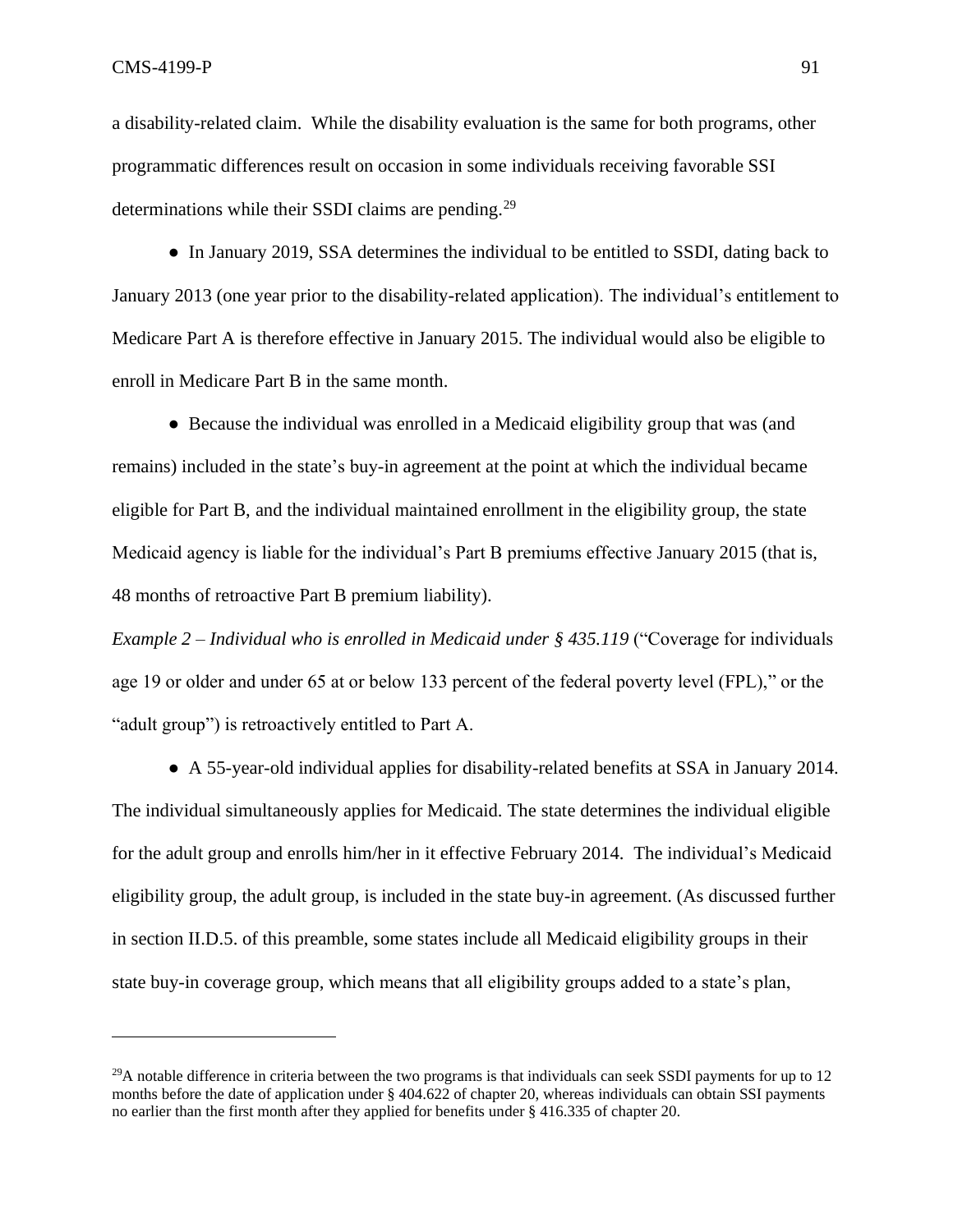a disability-related claim. While the disability evaluation is the same for both programs, other programmatic differences result on occasion in some individuals receiving favorable SSI determinations while their SSDI claims are pending.<sup>29</sup>

• In January 2019, SSA determines the individual to be entitled to SSDI, dating back to January 2013 (one year prior to the disability-related application). The individual's entitlement to Medicare Part A is therefore effective in January 2015. The individual would also be eligible to enroll in Medicare Part B in the same month.

● Because the individual was enrolled in a Medicaid eligibility group that was (and remains) included in the state's buy-in agreement at the point at which the individual became eligible for Part B, and the individual maintained enrollment in the eligibility group, the state Medicaid agency is liable for the individual's Part B premiums effective January 2015 (that is, 48 months of retroactive Part B premium liability).

*Example 2* – *Individual who is enrolled in Medicaid under § 435.119* ("Coverage for individuals age 19 or older and under 65 at or below 133 percent of the federal poverty level (FPL)," or the "adult group") is retroactively entitled to Part A.

● A 55-year-old individual applies for disability-related benefits at SSA in January 2014. The individual simultaneously applies for Medicaid. The state determines the individual eligible for the adult group and enrolls him/her in it effective February 2014. The individual's Medicaid eligibility group, the adult group, is included in the state buy-in agreement. (As discussed further in section II.D.5. of this preamble, some states include all Medicaid eligibility groups in their state buy-in coverage group, which means that all eligibility groups added to a state's plan,

 $^{29}$ A notable difference in criteria between the two programs is that individuals can seek SSDI payments for up to 12 months before the date of application under § 404.622 of chapter 20, whereas individuals can obtain SSI payments no earlier than the first month after they applied for benefits under § 416.335 of chapter 20.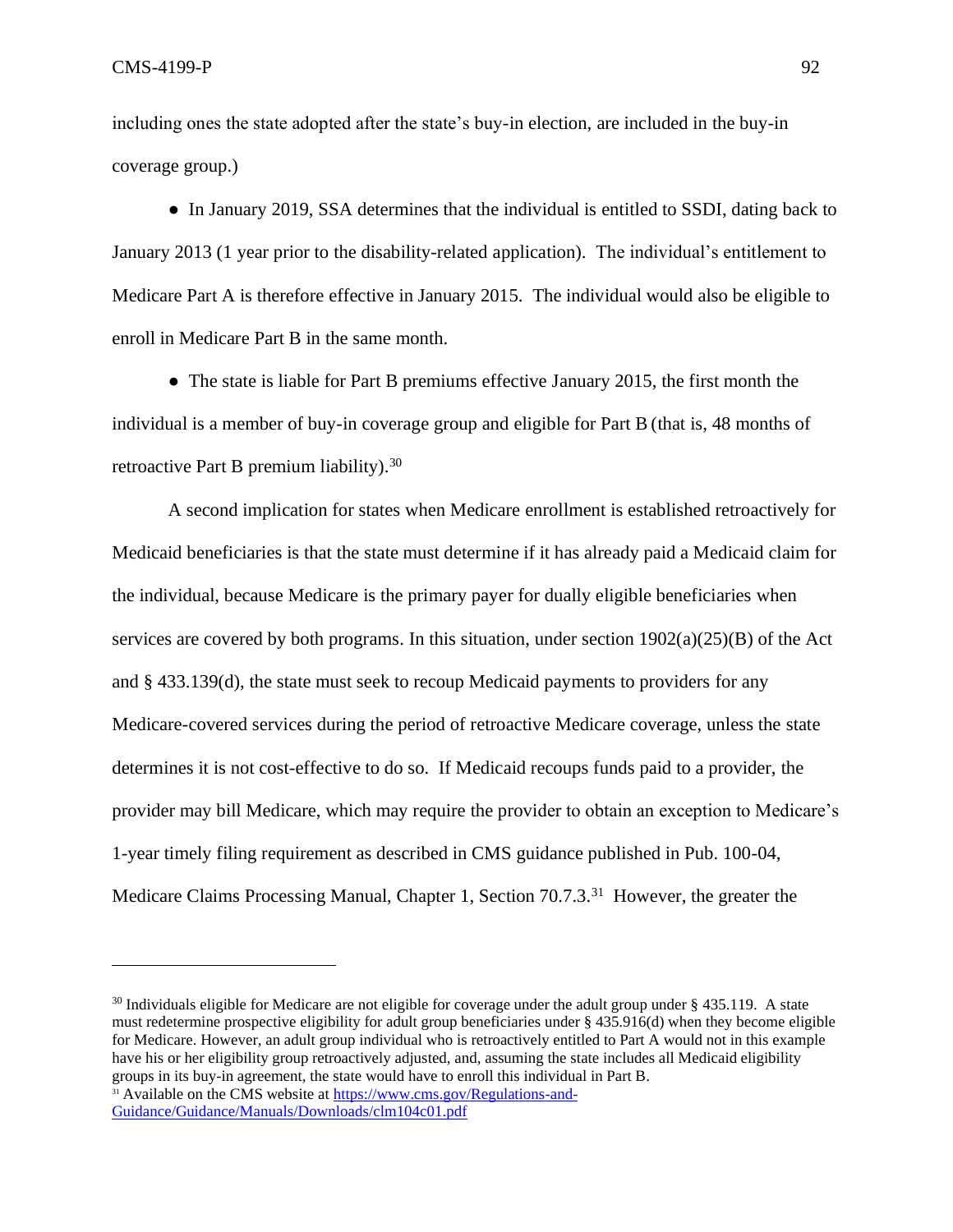including ones the state adopted after the state's buy-in election, are included in the buy-in coverage group.)

• In January 2019, SSA determines that the individual is entitled to SSDI, dating back to January 2013 (1 year prior to the disability-related application). The individual's entitlement to Medicare Part A is therefore effective in January 2015. The individual would also be eligible to enroll in Medicare Part B in the same month.

● The state is liable for Part B premiums effective January 2015, the first month the individual is a member of buy-in coverage group and eligible for Part B (that is, 48 months of retroactive Part B premium liability).<sup>30</sup>

A second implication for states when Medicare enrollment is established retroactively for Medicaid beneficiaries is that the state must determine if it has already paid a Medicaid claim for the individual, because Medicare is the primary payer for dually eligible beneficiaries when services are covered by both programs. In this situation, under section  $1902(a)(25)(B)$  of the Act and § 433.139(d), the state must seek to recoup Medicaid payments to providers for any Medicare-covered services during the period of retroactive Medicare coverage, unless the state determines it is not cost-effective to do so. If Medicaid recoups funds paid to a provider, the provider may bill Medicare, which may require the provider to obtain an exception to Medicare's 1-year timely filing requirement as described in CMS guidance published in Pub. 100-04, Medicare Claims Processing Manual, Chapter 1, Section 70.7.3.<sup>31</sup> However, the greater the

 $30$  Individuals eligible for Medicare are not eligible for coverage under the adult group under § 435.119. A state must redetermine prospective eligibility for adult group beneficiaries under § 435.916(d) when they become eligible for Medicare. However, an adult group individual who is retroactively entitled to Part A would not in this example have his or her eligibility group retroactively adjusted, and, assuming the state includes all Medicaid eligibility groups in its buy-in agreement, the state would have to enroll this individual in Part B. <sup>31</sup> Available on the CMS website at [https://www.cms.gov/Regulations-and-](https://www.cms.gov/Regulations-and-Guidance/Guidance/Manuals/Downloads/clm104c01.pdf)[Guidance/Guidance/Manuals/Downloads/clm104c01.pdf](https://www.cms.gov/Regulations-and-Guidance/Guidance/Manuals/Downloads/clm104c01.pdf)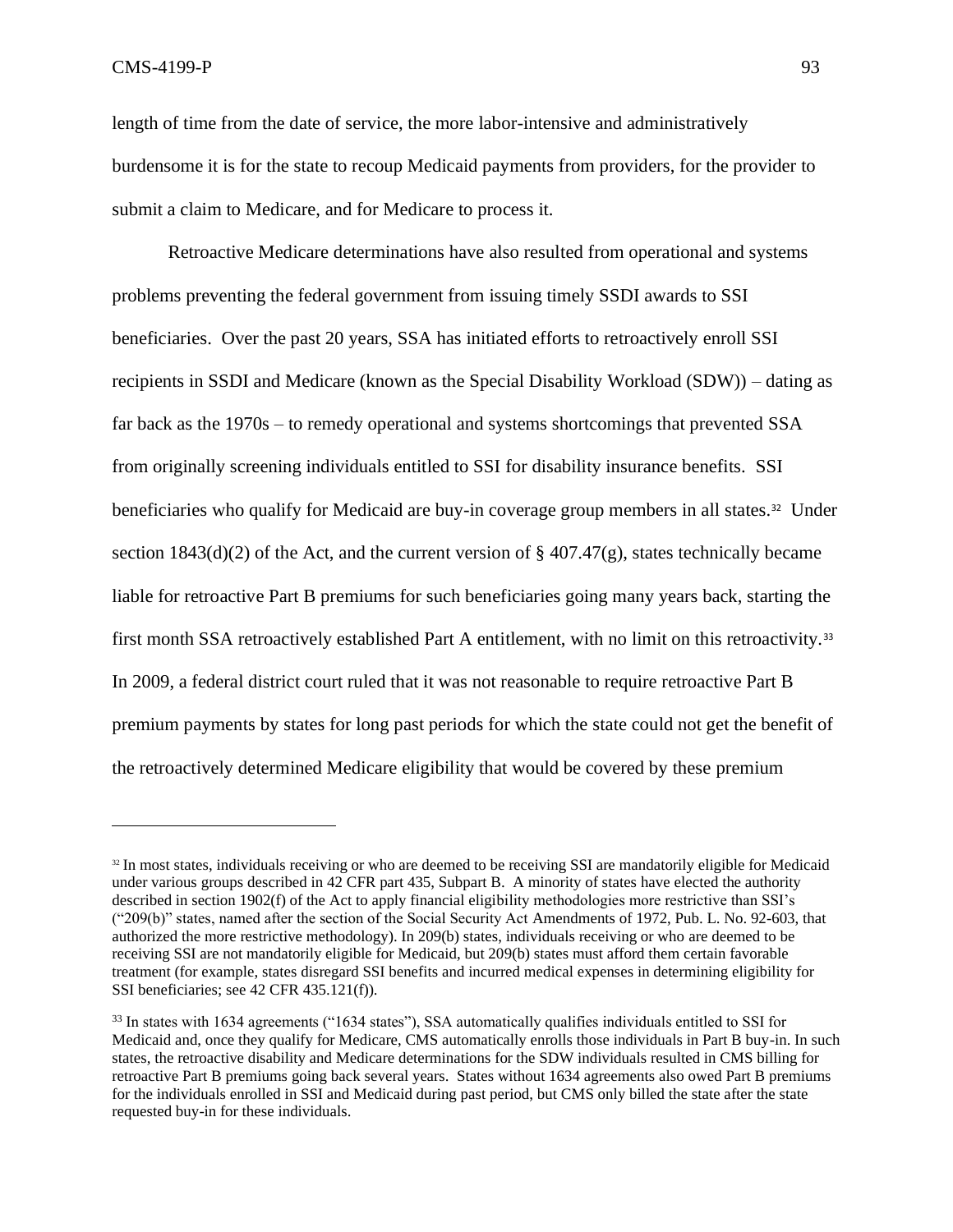length of time from the date of service, the more labor-intensive and administratively burdensome it is for the state to recoup Medicaid payments from providers, for the provider to submit a claim to Medicare, and for Medicare to process it.

Retroactive Medicare determinations have also resulted from operational and systems problems preventing the federal government from issuing timely SSDI awards to SSI beneficiaries. Over the past 20 years, SSA has initiated efforts to retroactively enroll SSI recipients in SSDI and Medicare (known as the Special Disability Workload (SDW)) – dating as far back as the 1970s – to remedy operational and systems shortcomings that prevented SSA from originally screening individuals entitled to SSI for disability insurance benefits. SSI beneficiaries who qualify for Medicaid are buy-in coverage group members in all states.<sup>32</sup> Under section 1843(d)(2) of the Act, and the current version of  $\S$  407.47(g), states technically became liable for retroactive Part B premiums for such beneficiaries going many years back, starting the first month SSA retroactively established Part A entitlement, with no limit on this retroactivity.<sup>33</sup> In 2009, a federal district court ruled that it was not reasonable to require retroactive Part B premium payments by states for long past periods for which the state could not get the benefit of the retroactively determined Medicare eligibility that would be covered by these premium

<sup>&</sup>lt;sup>32</sup> In most states, individuals receiving or who are deemed to be receiving SSI are mandatorily eligible for Medicaid under various groups described in 42 CFR part 435, Subpart B. A minority of states have elected the authority described in section 1902(f) of the Act to apply financial eligibility methodologies more restrictive than SSI's ("209(b)" states, named after the section of the Social Security Act Amendments of 1972, Pub. L. No. 92-603, that authorized the more restrictive methodology). In 209(b) states, individuals receiving or who are deemed to be receiving SSI are not mandatorily eligible for Medicaid, but 209(b) states must afford them certain favorable treatment (for example, states disregard SSI benefits and incurred medical expenses in determining eligibility for SSI beneficiaries; see 42 CFR 435.121(f)).

<sup>&</sup>lt;sup>33</sup> In states with 1634 agreements ("1634 states"), SSA automatically qualifies individuals entitled to SSI for Medicaid and, once they qualify for Medicare, CMS automatically enrolls those individuals in Part B buy-in. In such states, the retroactive disability and Medicare determinations for the SDW individuals resulted in CMS billing for retroactive Part B premiums going back several years. States without 1634 agreements also owed Part B premiums for the individuals enrolled in SSI and Medicaid during past period, but CMS only billed the state after the state requested buy-in for these individuals.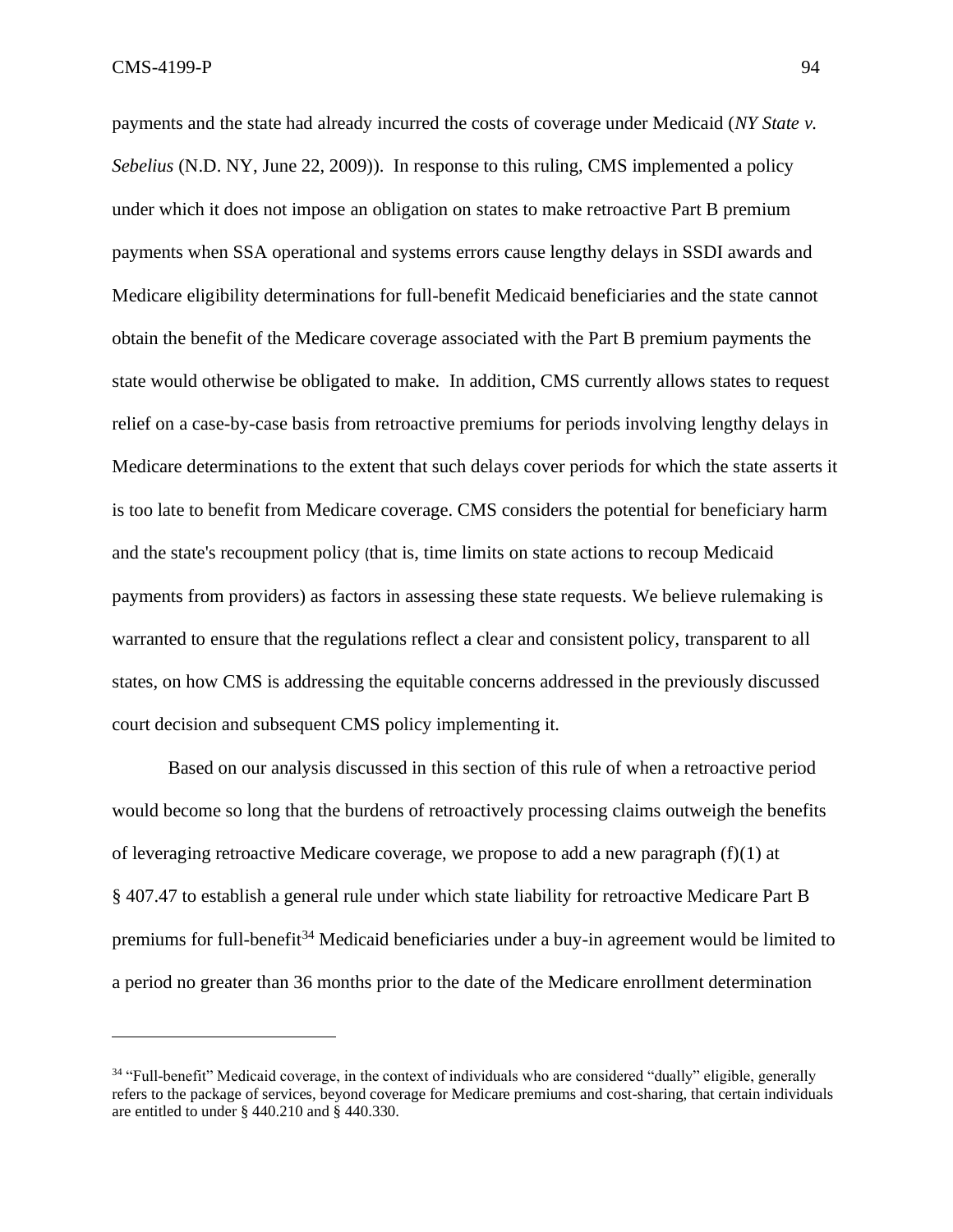payments and the state had already incurred the costs of coverage under Medicaid (*[NY State v.](https://www.govinfo.gov/content/pkg/USCOURTS-nynd-1_07-cv-01003/pdf/USCOURTS-nynd-1_07-cv-01003-0.pdf)  [Sebelius](https://www.govinfo.gov/content/pkg/USCOURTS-nynd-1_07-cv-01003/pdf/USCOURTS-nynd-1_07-cv-01003-0.pdf)* (N.D. NY, June 22, 2009)). In response to this ruling, CMS implemented a policy under which it does not impose an obligation on states to make retroactive Part B premium payments when SSA operational and systems errors cause lengthy delays in SSDI awards and Medicare eligibility determinations for full-benefit Medicaid beneficiaries and the state cannot obtain the benefit of the Medicare coverage associated with the Part B premium payments the state would otherwise be obligated to make. In addition, CMS currently allows states to request relief on a case-by-case basis from retroactive premiums for periods involving lengthy delays in Medicare determinations to the extent that such delays cover periods for which the state asserts it is too late to benefit from Medicare coverage. CMS considers the potential for beneficiary harm and the state's recoupment policy (that is, time limits on state actions to recoup Medicaid payments from providers) as factors in assessing these state requests. We believe rulemaking is warranted to ensure that the regulations reflect a clear and consistent policy, transparent to all states, on how CMS is addressing the equitable concerns addressed in the previously discussed court decision and subsequent CMS policy implementing it.

Based on our analysis discussed in this section of this rule of when a retroactive period would become so long that the burdens of retroactively processing claims outweigh the benefits of leveraging retroactive Medicare coverage, we propose to add a new paragraph (f)(1) at § 407.47 to establish a general rule under which state liability for retroactive Medicare Part B premiums for full-benefit<sup>34</sup> Medicaid beneficiaries under a buy-in agreement would be limited to a period no greater than 36 months prior to the date of the Medicare enrollment determination

<sup>34</sup> "Full-benefit" Medicaid coverage, in the context of individuals who are considered "dually" eligible, generally refers to the package of services, beyond coverage for Medicare premiums and cost-sharing, that certain individuals are entitled to under § 440.210 and § 440.330.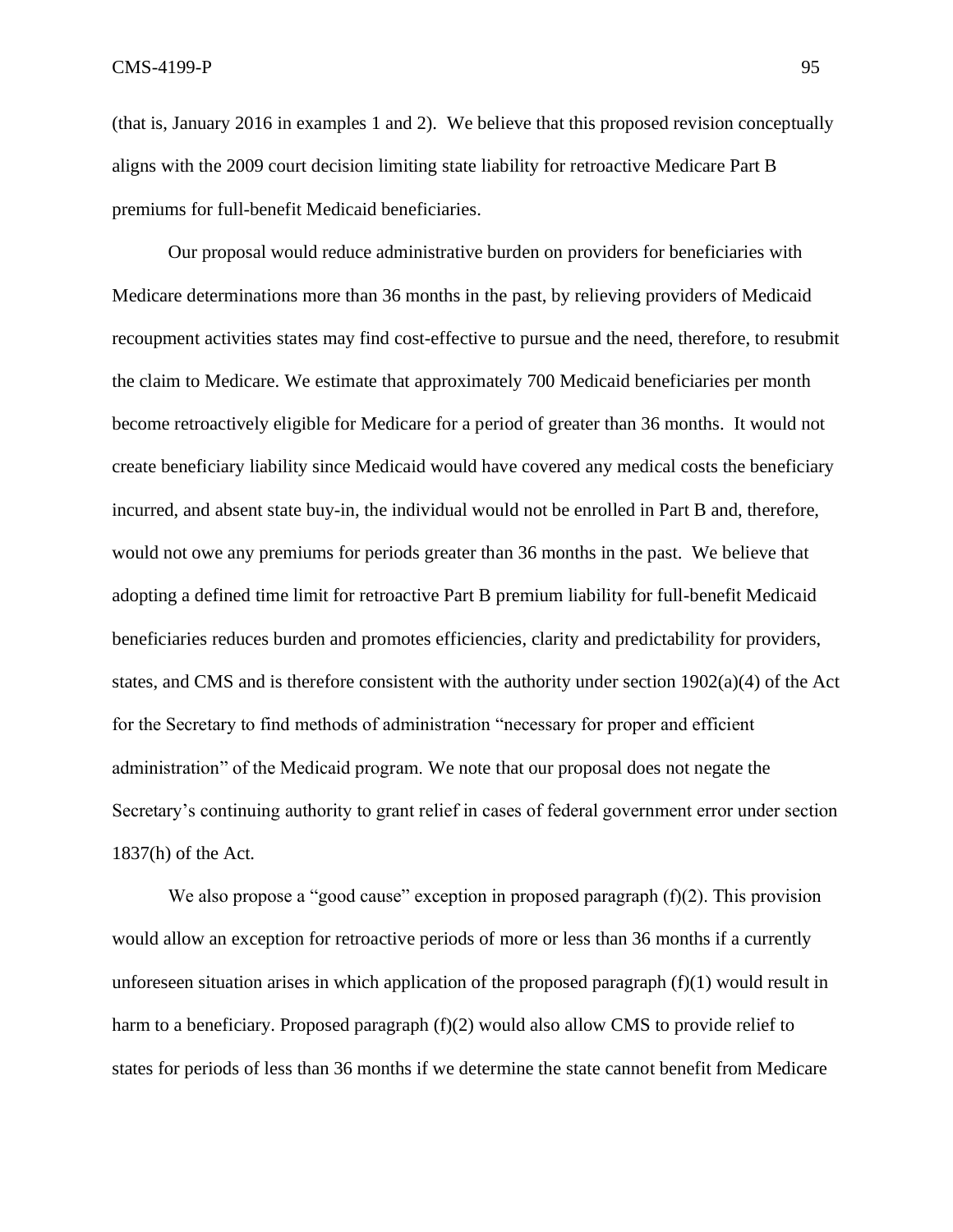(that is, January 2016 in examples 1 and 2). We believe that this proposed revision conceptually aligns with the 2009 court decision limiting state liability for retroactive Medicare Part B premiums for full-benefit Medicaid beneficiaries.

Our proposal would reduce administrative burden on providers for beneficiaries with Medicare determinations more than 36 months in the past, by relieving providers of Medicaid recoupment activities states may find cost-effective to pursue and the need, therefore, to resubmit the claim to Medicare. We estimate that approximately 700 Medicaid beneficiaries per month become retroactively eligible for Medicare for a period of greater than 36 months. It would not create beneficiary liability since Medicaid would have covered any medical costs the beneficiary incurred, and absent state buy-in, the individual would not be enrolled in Part B and, therefore, would not owe any premiums for periods greater than 36 months in the past. We believe that adopting a defined time limit for retroactive Part B premium liability for full-benefit Medicaid beneficiaries reduces burden and promotes efficiencies, clarity and predictability for providers, states, and CMS and is therefore consistent with the authority under section 1902(a)(4) of the Act for the Secretary to find methods of administration "necessary for proper and efficient administration" of the Medicaid program. We note that our proposal does not negate the Secretary's continuing authority to grant relief in cases of federal government error under section 1837(h) of the Act.

We also propose a "good cause" exception in proposed paragraph (f)(2). This provision would allow an exception for retroactive periods of more or less than 36 months if a currently unforeseen situation arises in which application of the proposed paragraph  $(f)(1)$  would result in harm to a beneficiary. Proposed paragraph (f)(2) would also allow CMS to provide relief to states for periods of less than 36 months if we determine the state cannot benefit from Medicare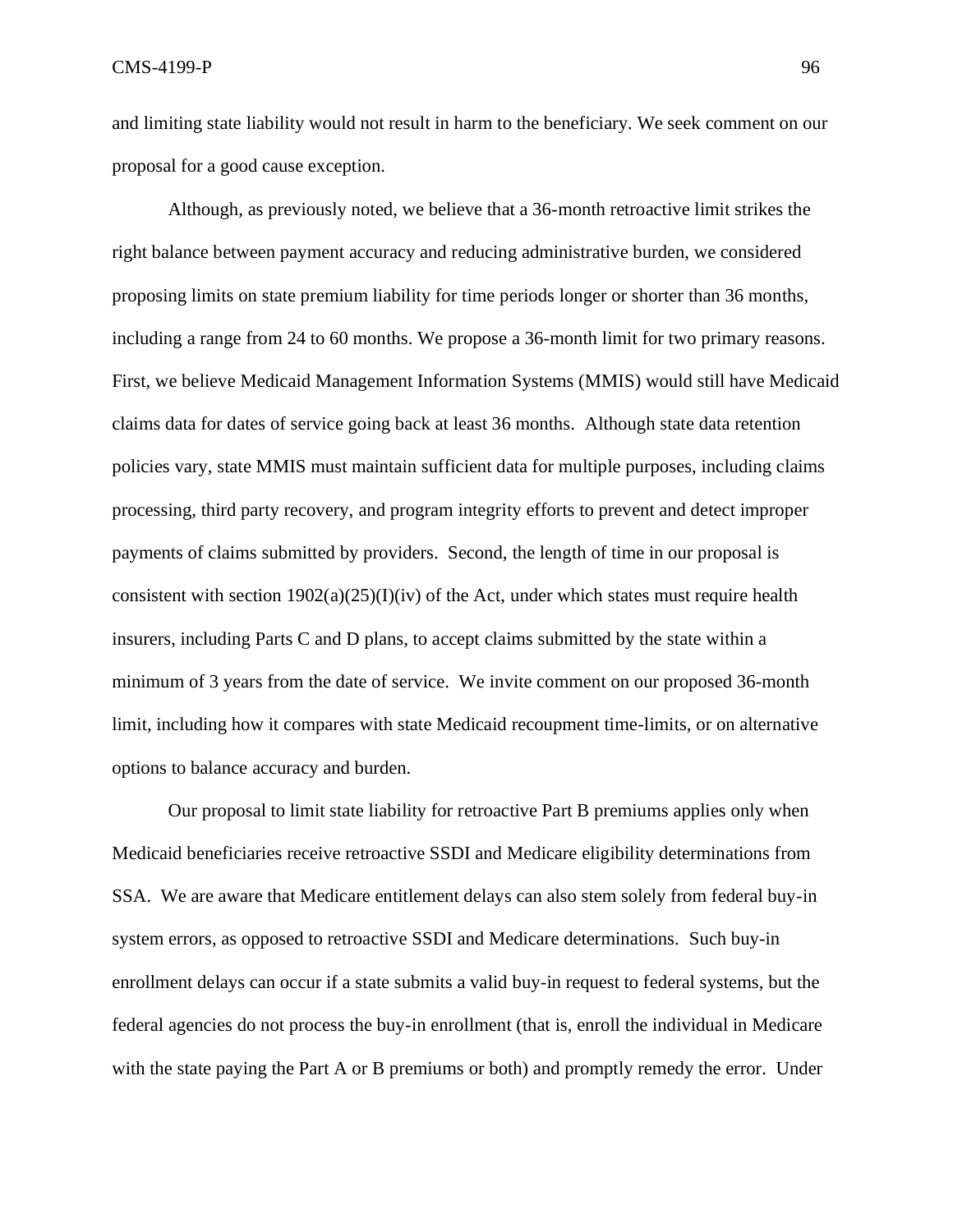and limiting state liability would not result in harm to the beneficiary. We seek comment on our proposal for a good cause exception.

Although, as previously noted, we believe that a 36-month retroactive limit strikes the right balance between payment accuracy and reducing administrative burden, we considered proposing limits on state premium liability for time periods longer or shorter than 36 months, including a range from 24 to 60 months. We propose a 36-month limit for two primary reasons. First, we believe Medicaid Management Information Systems (MMIS) would still have Medicaid claims data for dates of service going back at least 36 months. Although state data retention policies vary, state MMIS must maintain sufficient data for multiple purposes, including claims processing, third party recovery, and program integrity efforts to prevent and detect improper payments of claims submitted by providers. Second, the length of time in our proposal is consistent with section  $1902(a)(25)(I)(iv)$  of the Act, under which states must require health insurers, including Parts C and D plans, to accept claims submitted by the state within a minimum of 3 years from the date of service. We invite comment on our proposed 36-month limit, including how it compares with state Medicaid recoupment time-limits, or on alternative options to balance accuracy and burden.

Our proposal to limit state liability for retroactive Part B premiums applies only when Medicaid beneficiaries receive retroactive SSDI and Medicare eligibility determinations from SSA. We are aware that Medicare entitlement delays can also stem solely from federal buy-in system errors, as opposed to retroactive SSDI and Medicare determinations. Such buy-in enrollment delays can occur if a state submits a valid buy-in request to federal systems, but the federal agencies do not process the buy-in enrollment (that is, enroll the individual in Medicare with the state paying the Part A or B premiums or both) and promptly remedy the error. Under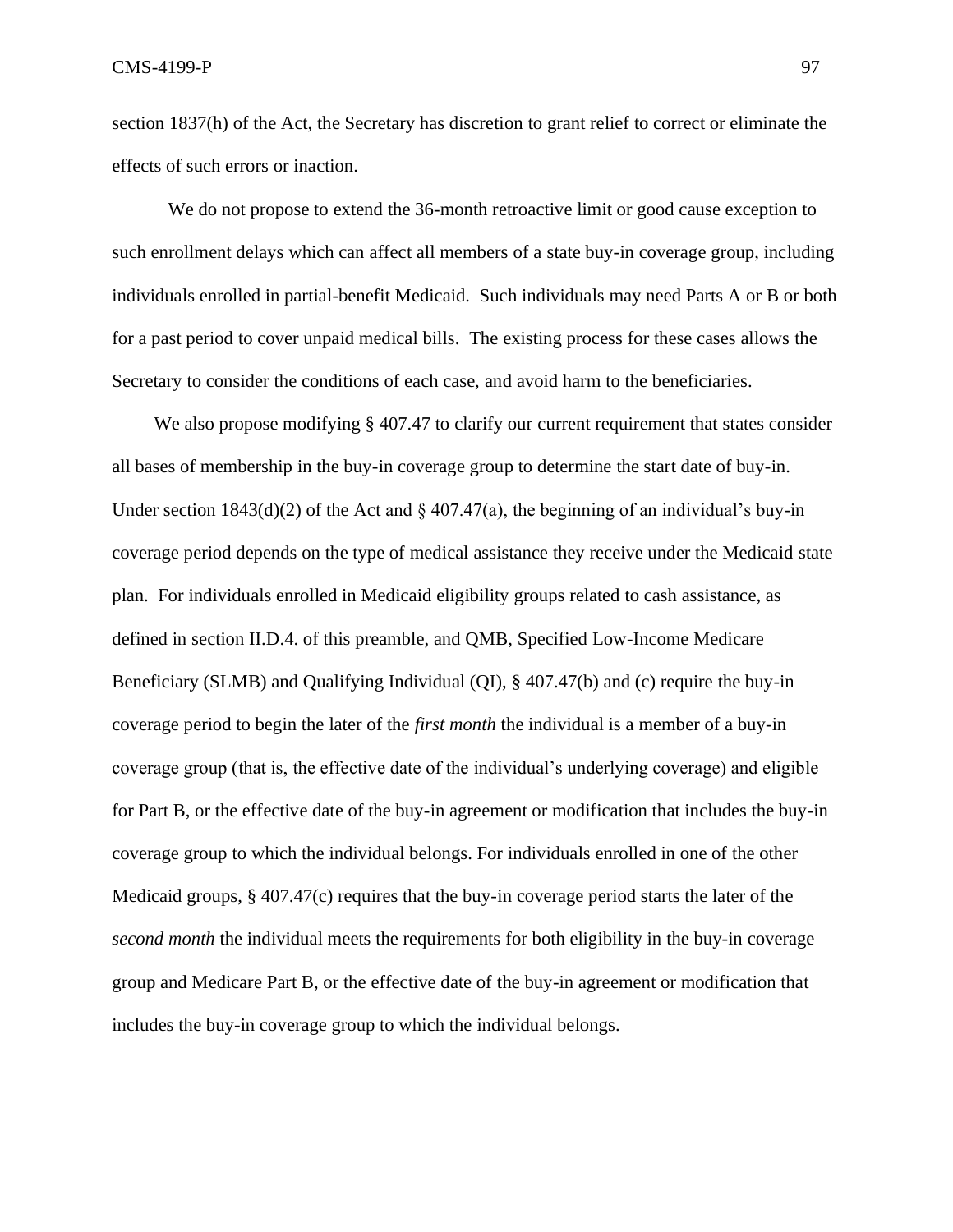section 1837(h) of the Act, the Secretary has discretion to grant relief to correct or eliminate the effects of such errors or inaction.

We do not propose to extend the 36-month retroactive limit or good cause exception to such enrollment delays which can affect all members of a state buy-in coverage group, including individuals enrolled in partial-benefit Medicaid. Such individuals may need Parts A or B or both for a past period to cover unpaid medical bills. The existing process for these cases allows the Secretary to consider the conditions of each case, and avoid harm to the beneficiaries.

We also propose modifying § 407.47 to clarify our current requirement that states consider all bases of membership in the buy-in coverage group to determine the start date of buy-in. Under section  $1843(d)(2)$  of the Act and § 407.47(a), the beginning of an individual's buy-in coverage period depends on the type of medical assistance they receive under the Medicaid state plan. For individuals enrolled in Medicaid eligibility groups related to cash assistance, as defined in section II.D.4. of this preamble, and QMB, Specified Low-Income Medicare Beneficiary (SLMB) and Qualifying Individual (QI), § 407.47(b) and (c) require the buy-in coverage period to begin the later of the *first month* the individual is a member of a buy-in coverage group (that is, the effective date of the individual's underlying coverage) and eligible for Part B, or the effective date of the buy-in agreement or modification that includes the buy-in coverage group to which the individual belongs. For individuals enrolled in one of the other Medicaid groups, § 407.47(c) requires that the buy-in coverage period starts the later of the *second month* the individual meets the requirements for both eligibility in the buy-in coverage group and Medicare Part B, or the effective date of the buy-in agreement or modification that includes the buy-in coverage group to which the individual belongs.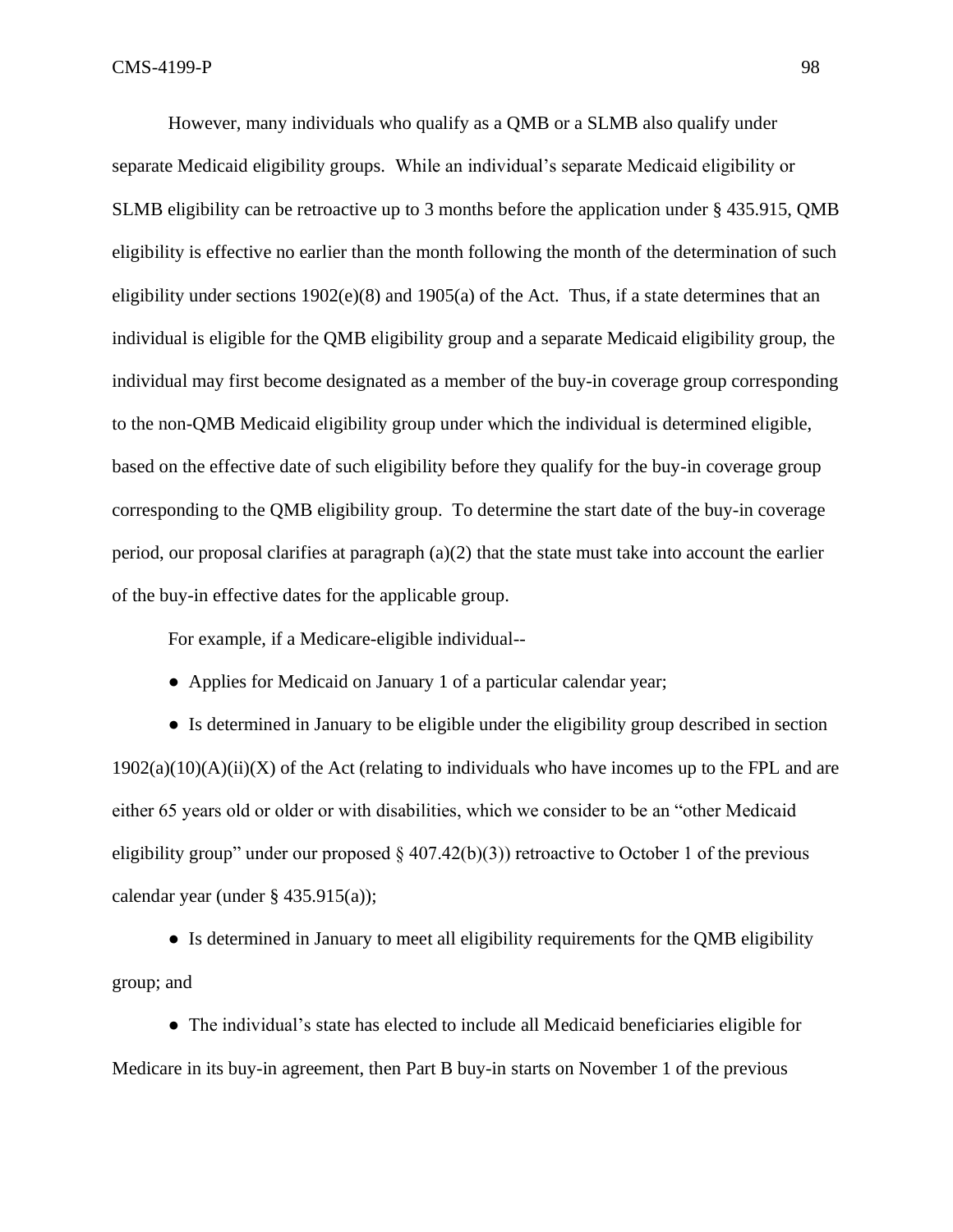However, many individuals who qualify as a QMB or a SLMB also qualify under separate Medicaid eligibility groups. While an individual's separate Medicaid eligibility or SLMB eligibility can be retroactive up to 3 months before the application under § 435.915, QMB eligibility is effective no earlier than the month following the month of the determination of such eligibility under sections 1902(e)(8) and 1905(a) of the Act. Thus, if a state determines that an individual is eligible for the QMB eligibility group and a separate Medicaid eligibility group, the individual may first become designated as a member of the buy-in coverage group corresponding to the non-QMB Medicaid eligibility group under which the individual is determined eligible, based on the effective date of such eligibility before they qualify for the buy-in coverage group corresponding to the QMB eligibility group. To determine the start date of the buy-in coverage period, our proposal clarifies at paragraph  $(a)(2)$  that the state must take into account the earlier of the buy-in effective dates for the applicable group.

For example, if a Medicare-eligible individual--

● Applies for Medicaid on January 1 of a particular calendar year;

● Is determined in January to be eligible under the eligibility group described in section  $1902(a)(10)(A)(ii)(X)$  of the Act (relating to individuals who have incomes up to the FPL and are either 65 years old or older or with disabilities, which we consider to be an "other Medicaid eligibility group" under our proposed  $\S$  407.42(b)(3)) retroactive to October 1 of the previous calendar year (under  $\S$  435.915(a));

• Is determined in January to meet all eligibility requirements for the QMB eligibility group; and

● The individual's state has elected to include all Medicaid beneficiaries eligible for Medicare in its buy-in agreement, then Part B buy-in starts on November 1 of the previous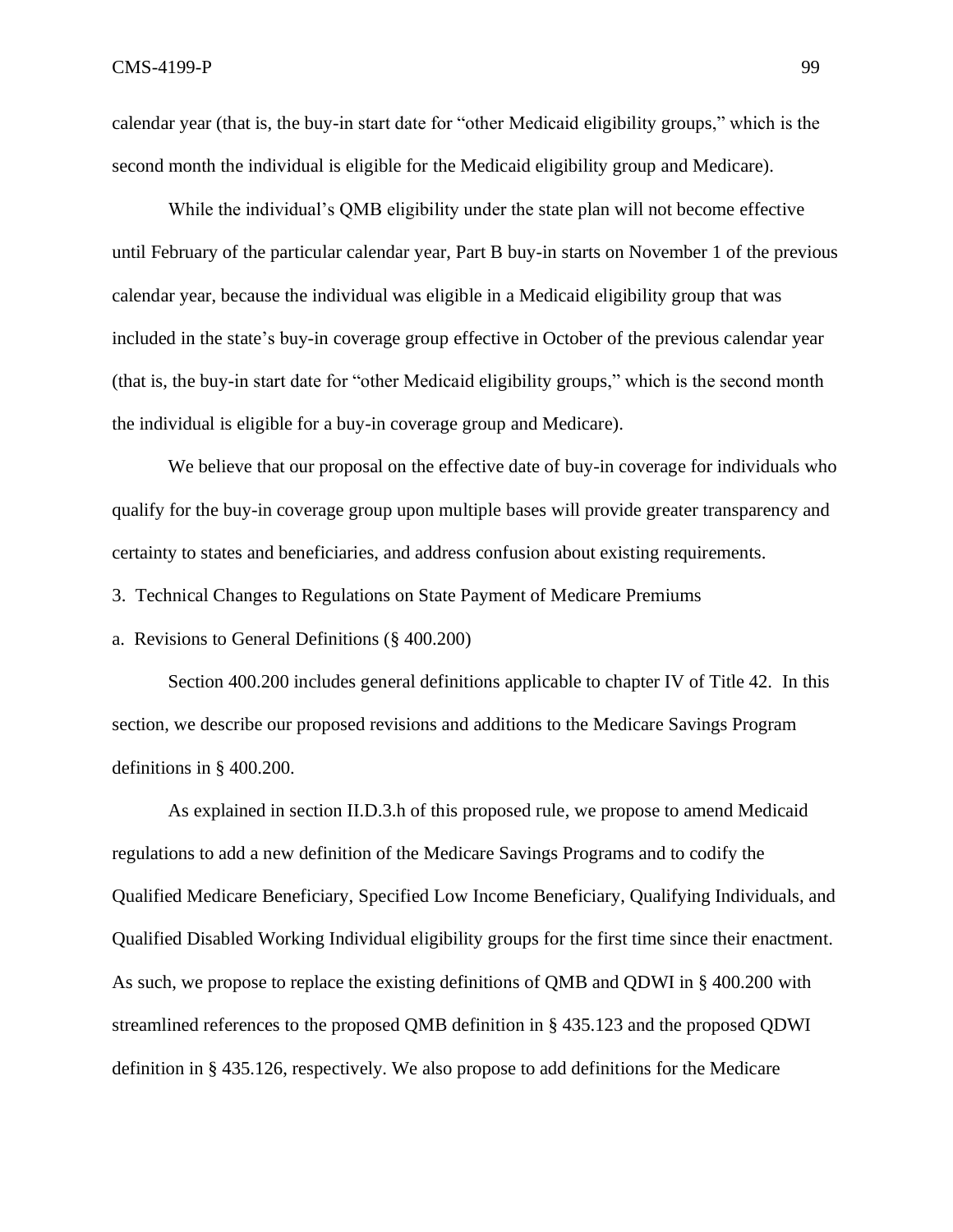calendar year (that is, the buy-in start date for "other Medicaid eligibility groups," which is the second month the individual is eligible for the Medicaid eligibility group and Medicare).

While the individual's QMB eligibility under the state plan will not become effective until February of the particular calendar year, Part B buy-in starts on November 1 of the previous calendar year, because the individual was eligible in a Medicaid eligibility group that was included in the state's buy-in coverage group effective in October of the previous calendar year (that is, the buy-in start date for "other Medicaid eligibility groups," which is the second month the individual is eligible for a buy-in coverage group and Medicare).

We believe that our proposal on the effective date of buy-in coverage for individuals who qualify for the buy-in coverage group upon multiple bases will provide greater transparency and certainty to states and beneficiaries, and address confusion about existing requirements.

3. Technical Changes to Regulations on State Payment of Medicare Premiums

a. Revisions to General Definitions (§ 400.200)

Section 400.200 includes general definitions applicable to chapter IV of Title 42. In this section, we describe our proposed revisions and additions to the Medicare Savings Program definitions in § 400.200.

As explained in section II.D.3.h of this proposed rule, we propose to amend Medicaid regulations to add a new definition of the Medicare Savings Programs and to codify the Qualified Medicare Beneficiary, Specified Low Income Beneficiary, Qualifying Individuals, and Qualified Disabled Working Individual eligibility groups for the first time since their enactment. As such, we propose to replace the existing definitions of QMB and QDWI in § 400.200 with streamlined references to the proposed QMB definition in § 435.123 and the proposed QDWI definition in § 435.126, respectively. We also propose to add definitions for the Medicare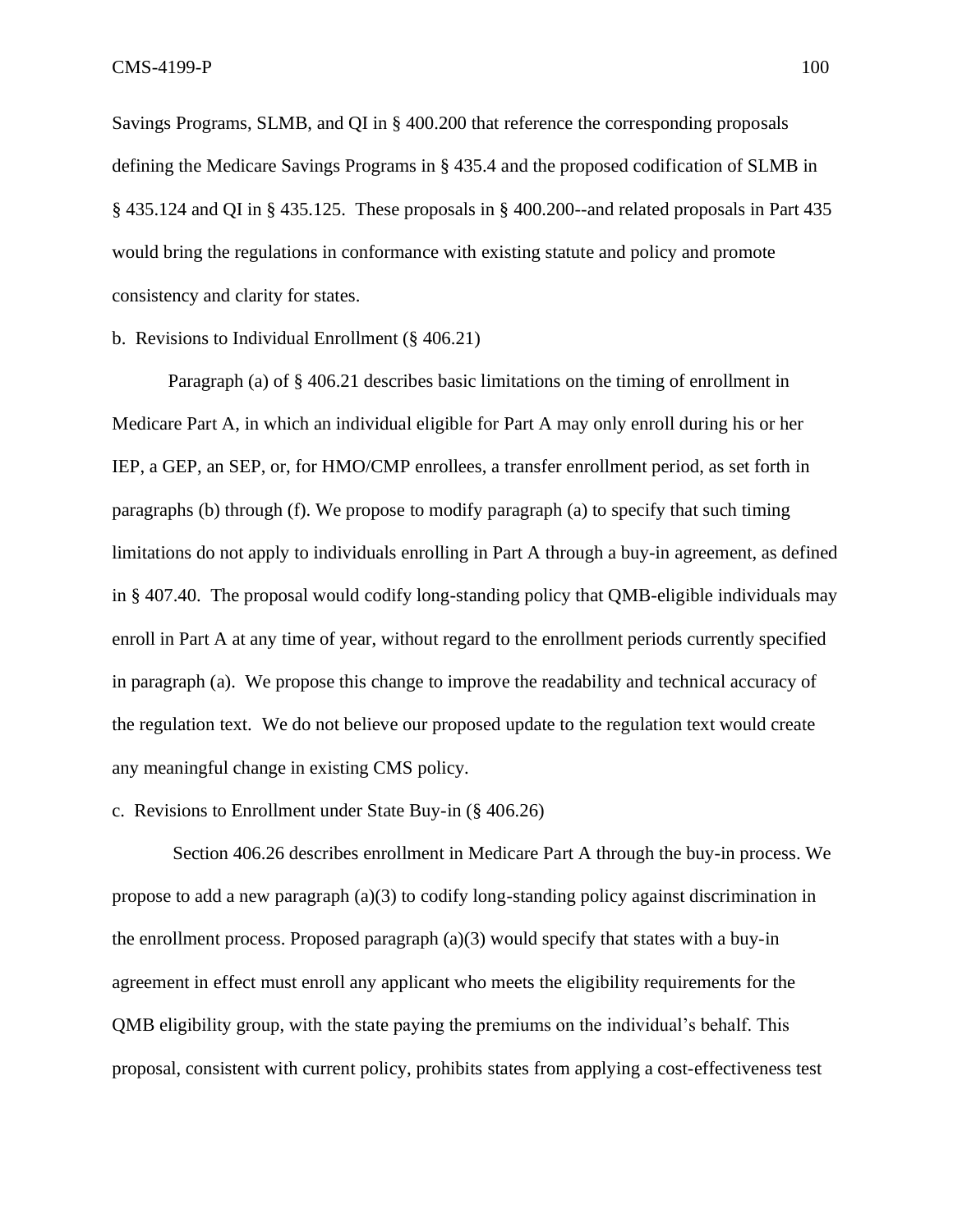Savings Programs, SLMB, and QI in § 400.200 that reference the corresponding proposals defining the Medicare Savings Programs in § 435.4 and the proposed codification of SLMB in § 435.124 and QI in § 435.125. These proposals in § 400.200--and related proposals in Part 435 would bring the regulations in conformance with existing statute and policy and promote consistency and clarity for states.

#### b. Revisions to Individual Enrollment (§ 406.21)

Paragraph (a) of § 406.21 describes basic limitations on the timing of enrollment in Medicare Part A, in which an individual eligible for Part A may only enroll during his or her IEP, a GEP, an SEP, or, for HMO/CMP enrollees, a transfer enrollment period, as set forth in paragraphs (b) through (f). We propose to modify paragraph (a) to specify that such timing limitations do not apply to individuals enrolling in Part A through a buy-in agreement, as defined in § 407.40. The proposal would codify long-standing policy that QMB-eligible individuals may enroll in Part A at any time of year, without regard to the enrollment periods currently specified in paragraph (a). We propose this change to improve the readability and technical accuracy of the regulation text. We do not believe our proposed update to the regulation text would create any meaningful change in existing CMS policy.

### c. Revisions to Enrollment under State Buy-in (§ 406.26)

Section 406.26 describes enrollment in Medicare Part A through the buy-in process. We propose to add a new paragraph (a)(3) to codify long-standing policy against discrimination in the enrollment process. Proposed paragraph  $(a)(3)$  would specify that states with a buy-in agreement in effect must enroll any applicant who meets the eligibility requirements for the QMB eligibility group, with the state paying the premiums on the individual's behalf. This proposal, consistent with current policy, prohibits states from applying a cost-effectiveness test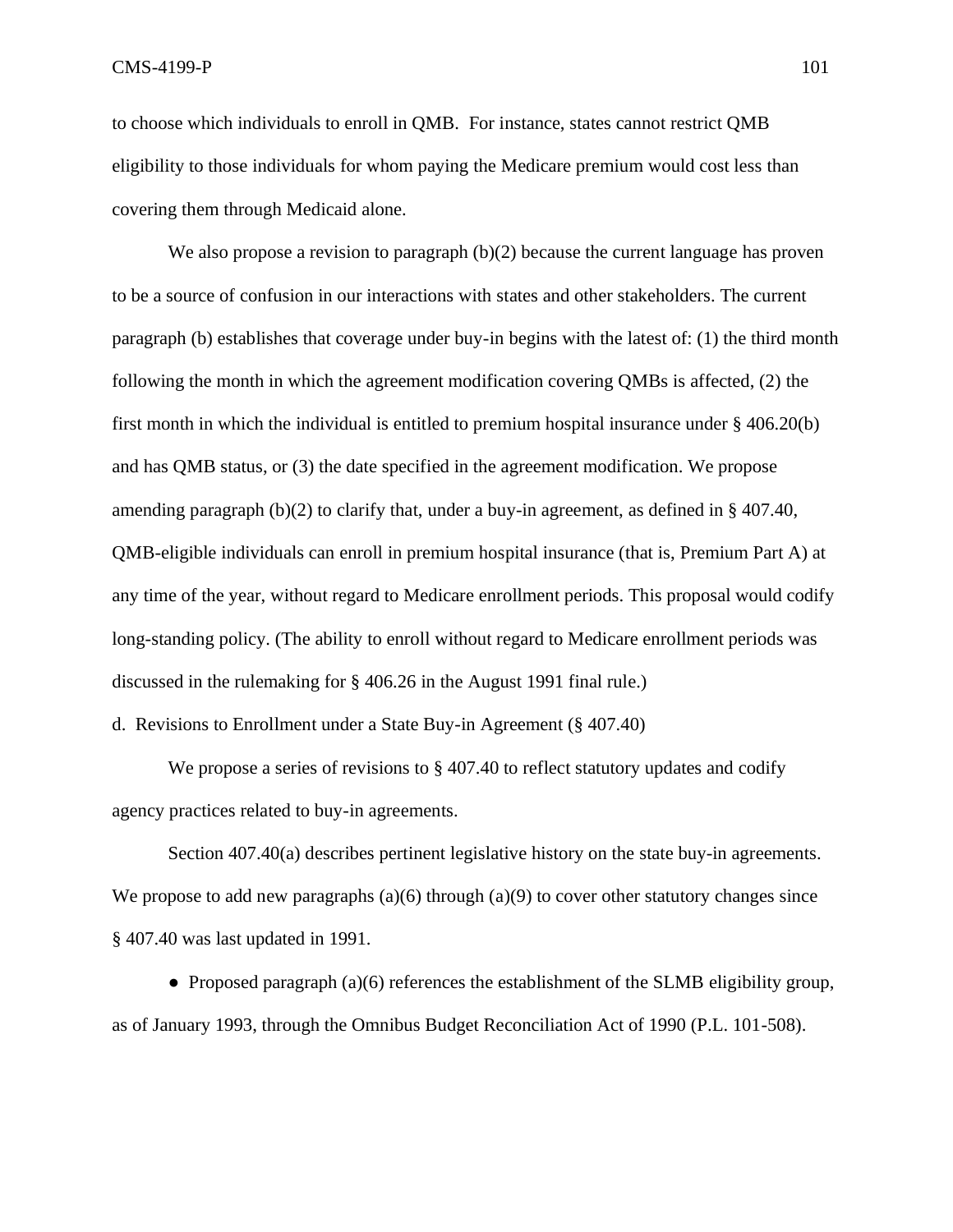$\rm CMS-4199-P$  101

to choose which individuals to enroll in QMB. For instance, states cannot restrict QMB eligibility to those individuals for whom paying the Medicare premium would cost less than covering them through Medicaid alone.

We also propose a revision to paragraph (b)(2) because the current language has proven to be a source of confusion in our interactions with states and other stakeholders. The current paragraph (b) establishes that coverage under buy-in begins with the latest of: (1) the third month following the month in which the agreement modification covering QMBs is affected, (2) the first month in which the individual is entitled to premium hospital insurance under § 406.20(b) and has QMB status, or (3) the date specified in the agreement modification. We propose amending paragraph  $(b)(2)$  to clarify that, under a buy-in agreement, as defined in § 407.40, QMB-eligible individuals can enroll in premium hospital insurance (that is, Premium Part A) at any time of the year, without regard to Medicare enrollment periods. This proposal would codify long-standing policy. (The ability to enroll without regard to Medicare enrollment periods was discussed in the rulemaking for § 406.26 in the August 1991 final rule.)

d. Revisions to Enrollment under a State Buy-in Agreement (§ 407.40)

We propose a series of revisions to  $\S$  407.40 to reflect statutory updates and codify agency practices related to buy-in agreements.

Section 407.40(a) describes pertinent legislative history on the state buy-in agreements. We propose to add new paragraphs  $(a)(6)$  through  $(a)(9)$  to cover other statutory changes since § 407.40 was last updated in 1991.

• Proposed paragraph (a)(6) references the establishment of the SLMB eligibility group, as of January 1993, through the Omnibus Budget Reconciliation Act of 1990 (P.L. 101-508).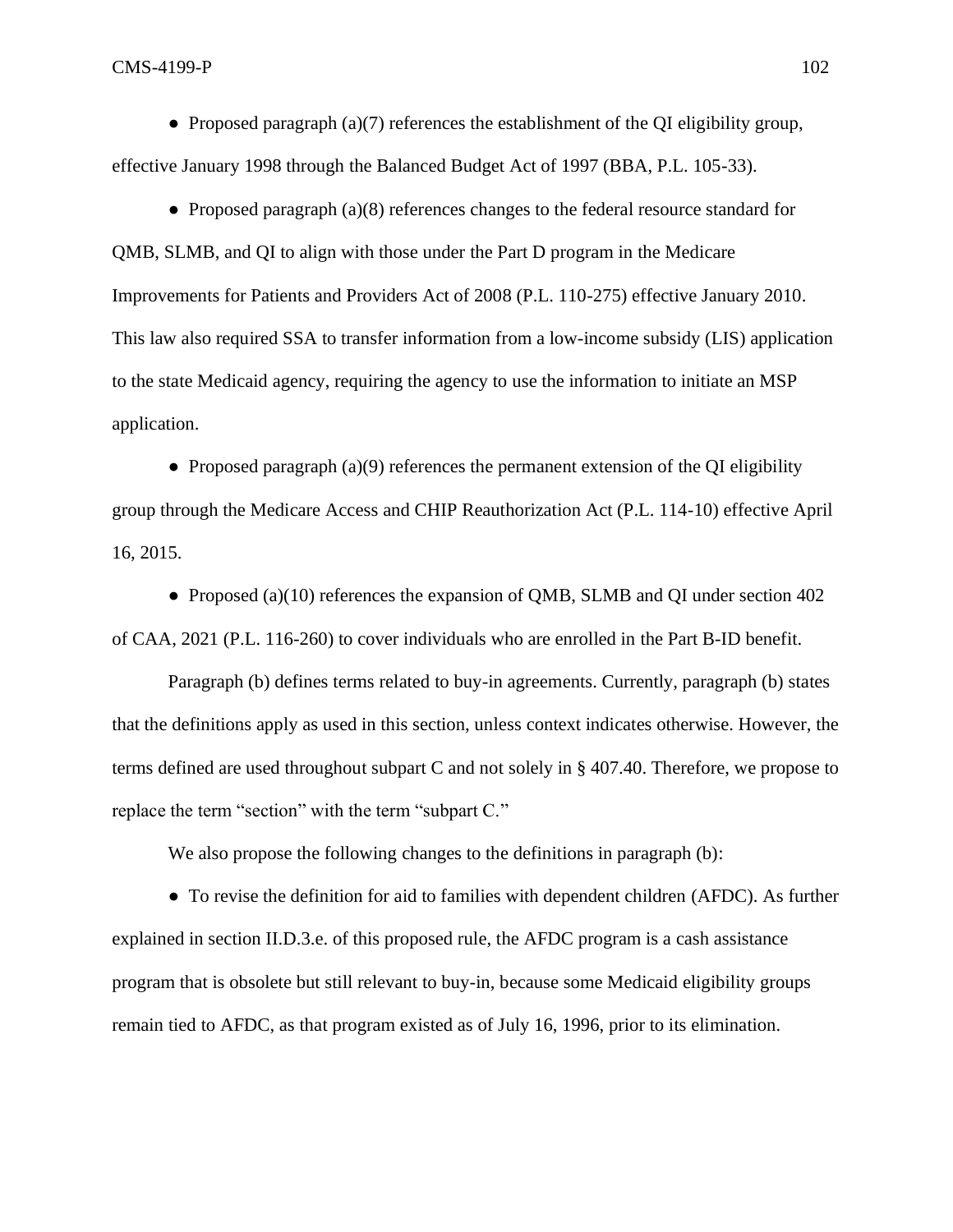$\text{CMS-4199-P}$  102

• Proposed paragraph (a)(7) references the establishment of the QI eligibility group, effective January 1998 through the Balanced Budget Act of 1997 (BBA, P.L. 105-33).

● Proposed paragraph (a)(8) references changes to the federal resource standard for QMB, SLMB, and QI to align with those under the Part D program in the Medicare Improvements for Patients and Providers Act of 2008 (P.L. 110-275) effective January 2010. This law also required SSA to transfer information from a low-income subsidy (LIS) application to the state Medicaid agency, requiring the agency to use the information to initiate an MSP application.

• Proposed paragraph (a)(9) references the permanent extension of the OI eligibility group through the Medicare Access and CHIP Reauthorization Act (P.L. 114-10) effective April 16, 2015.

• Proposed (a)(10) references the expansion of QMB, SLMB and QI under section 402 of CAA, 2021 (P.L. 116-260) to cover individuals who are enrolled in the Part B-ID benefit.

Paragraph (b) defines terms related to buy-in agreements. Currently, paragraph (b) states that the definitions apply as used in this section, unless context indicates otherwise. However, the terms defined are used throughout subpart C and not solely in § 407.40. Therefore, we propose to replace the term "section" with the term "subpart C."

We also propose the following changes to the definitions in paragraph (b):

• To revise the definition for aid to families with dependent children (AFDC). As further explained in section II.D.3.e. of this proposed rule, the AFDC program is a cash assistance program that is obsolete but still relevant to buy-in, because some Medicaid eligibility groups remain tied to AFDC, as that program existed as of July 16, 1996, prior to its elimination.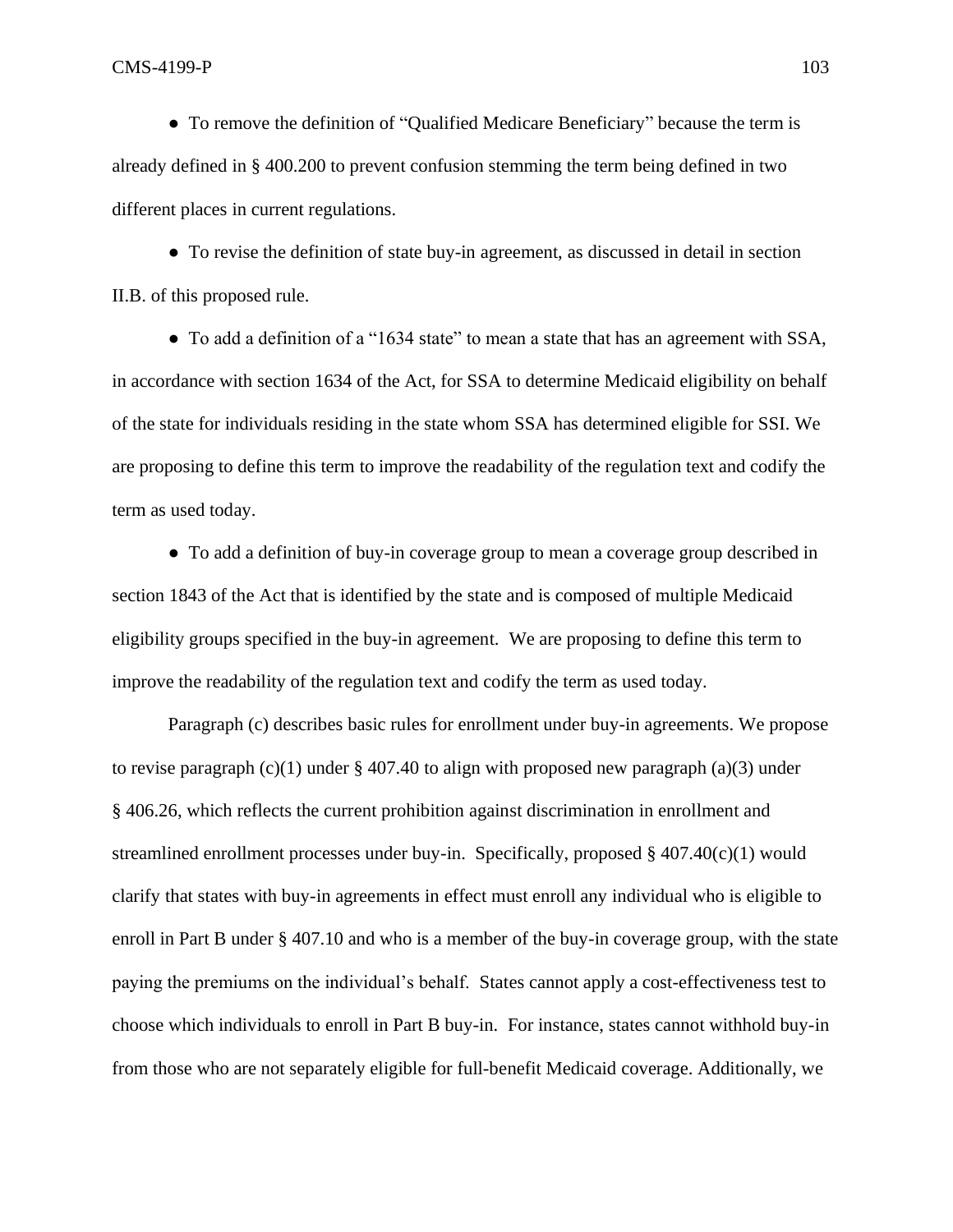● To remove the definition of "Qualified Medicare Beneficiary" because the term is already defined in § 400.200 to prevent confusion stemming the term being defined in two different places in current regulations.

● To revise the definition of state buy-in agreement, as discussed in detail in section II.B. of this proposed rule.

• To add a definition of a "1634 state" to mean a state that has an agreement with SSA, in accordance with section 1634 of the Act, for SSA to determine Medicaid eligibility on behalf of the state for individuals residing in the state whom SSA has determined eligible for SSI. We are proposing to define this term to improve the readability of the regulation text and codify the term as used today.

● To add a definition of buy-in coverage group to mean a coverage group described in section 1843 of the Act that is identified by the state and is composed of multiple Medicaid eligibility groups specified in the buy-in agreement. We are proposing to define this term to improve the readability of the regulation text and codify the term as used today.

Paragraph (c) describes basic rules for enrollment under buy-in agreements. We propose to revise paragraph  $(c)(1)$  under § 407.40 to align with proposed new paragraph (a)(3) under § 406.26, which reflects the current prohibition against discrimination in enrollment and streamlined enrollment processes under buy-in. Specifically, proposed  $\S$  407.40(c)(1) would clarify that states with buy-in agreements in effect must enroll any individual who is eligible to enroll in Part B under § 407.10 and who is a member of the buy-in coverage group, with the state paying the premiums on the individual's behalf. States cannot apply a cost-effectiveness test to choose which individuals to enroll in Part B buy-in. For instance, states cannot withhold buy-in from those who are not separately eligible for full-benefit Medicaid coverage. Additionally, we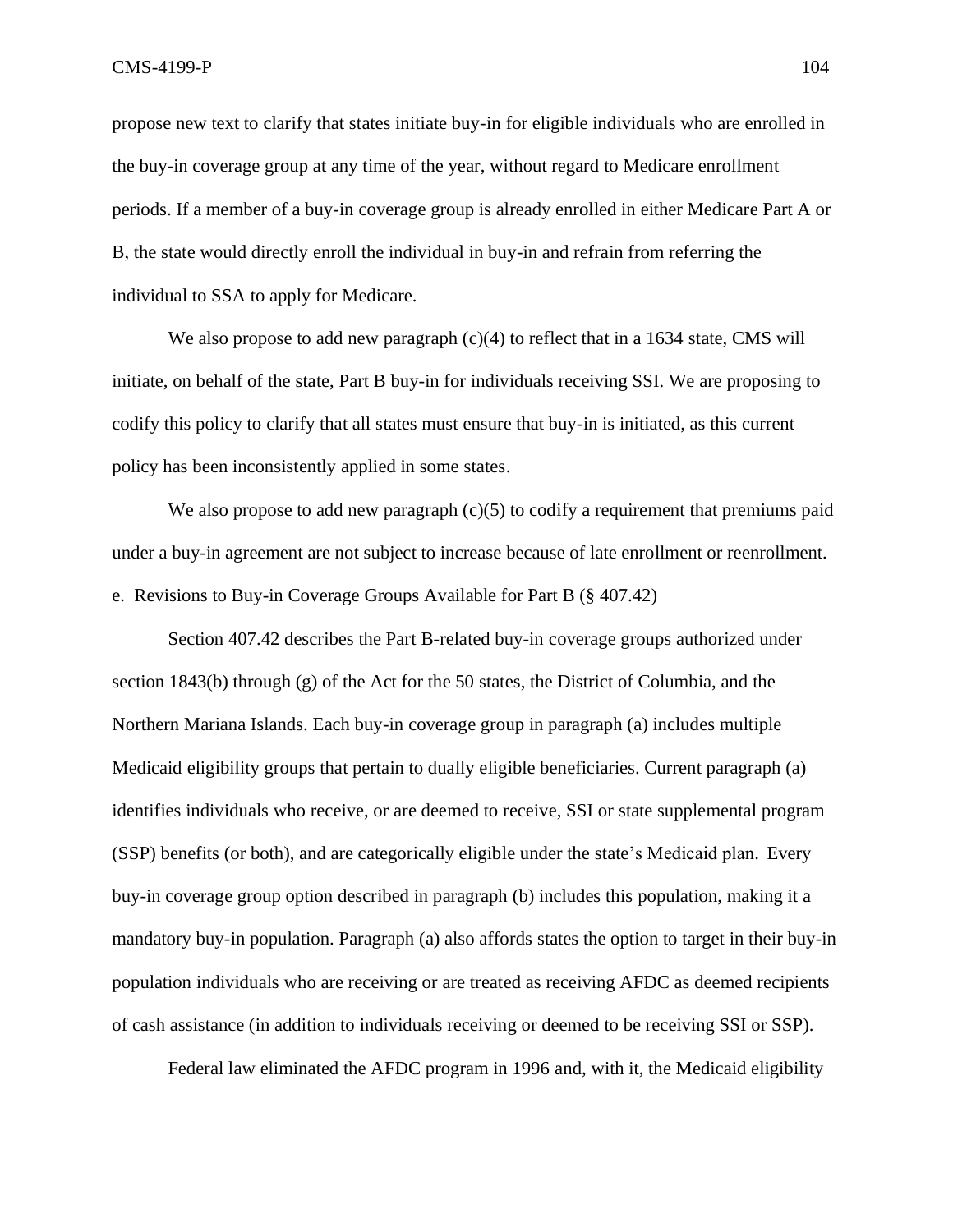propose new text to clarify that states initiate buy-in for eligible individuals who are enrolled in the buy-in coverage group at any time of the year, without regard to Medicare enrollment periods. If a member of a buy-in coverage group is already enrolled in either Medicare Part A or B, the state would directly enroll the individual in buy-in and refrain from referring the individual to SSA to apply for Medicare.

We also propose to add new paragraph (c)(4) to reflect that in a 1634 state, CMS will initiate, on behalf of the state, Part B buy-in for individuals receiving SSI. We are proposing to codify this policy to clarify that all states must ensure that buy-in is initiated, as this current policy has been inconsistently applied in some states.

We also propose to add new paragraph  $(c)(5)$  to codify a requirement that premiums paid under a buy-in agreement are not subject to increase because of late enrollment or reenrollment. e. Revisions to Buy-in Coverage Groups Available for Part B (§ 407.42)

Section 407.42 describes the Part B-related buy-in coverage groups authorized under section 1843(b) through (g) of the Act for the 50 states, the District of Columbia, and the Northern Mariana Islands. Each buy-in coverage group in paragraph (a) includes multiple Medicaid eligibility groups that pertain to dually eligible beneficiaries. Current paragraph (a) identifies individuals who receive, or are deemed to receive, SSI or state supplemental program (SSP) benefits (or both), and are categorically eligible under the state's Medicaid plan. Every buy-in coverage group option described in paragraph (b) includes this population, making it a mandatory buy-in population. Paragraph (a) also affords states the option to target in their buy-in population individuals who are receiving or are treated as receiving AFDC as deemed recipients of cash assistance (in addition to individuals receiving or deemed to be receiving SSI or SSP).

Federal law eliminated the AFDC program in 1996 and, with it, the Medicaid eligibility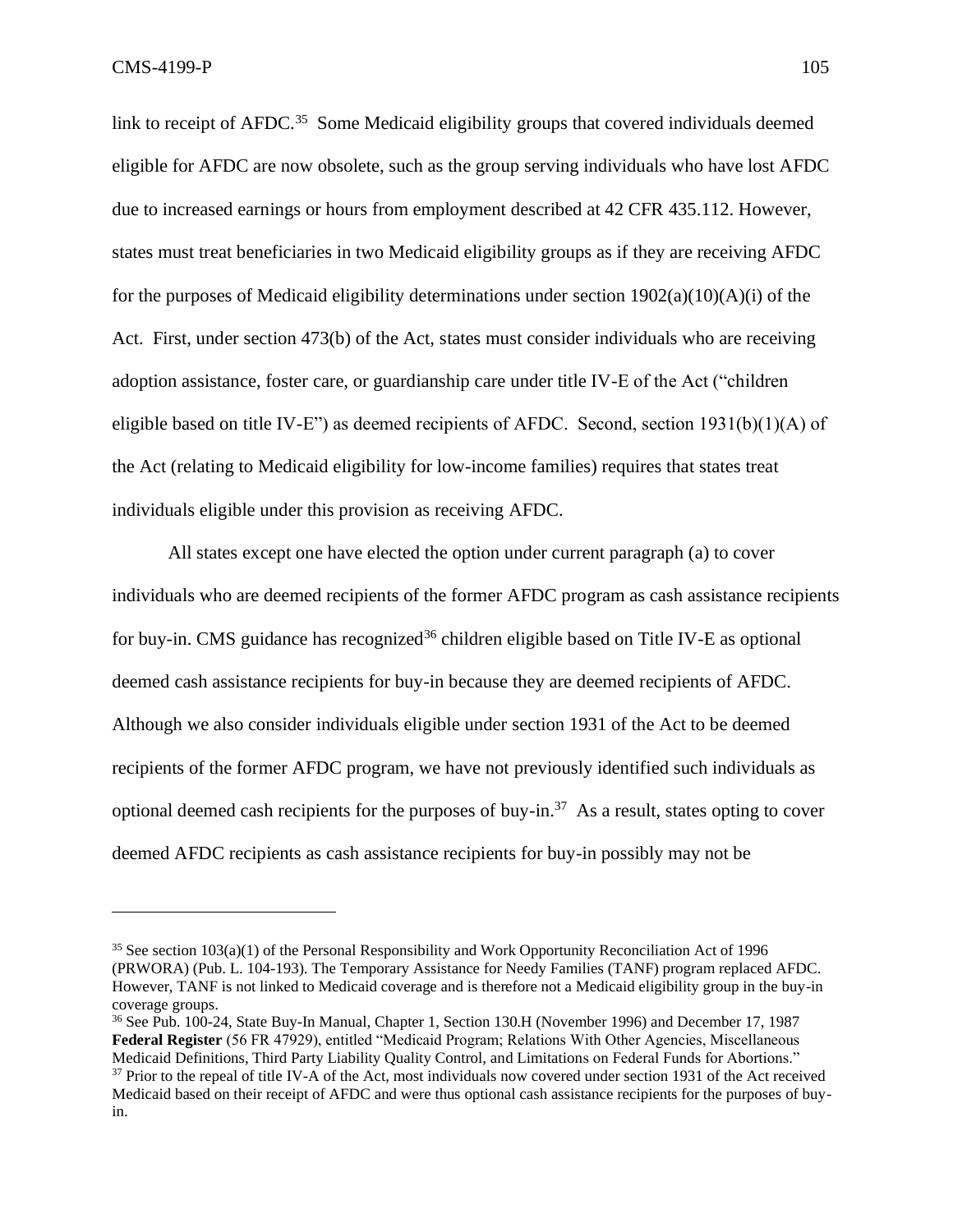link to receipt of AFDC.<sup>35</sup> Some Medicaid eligibility groups that covered individuals deemed eligible for AFDC are now obsolete, such as the group serving individuals who have lost AFDC due to increased earnings or hours from employment described at 42 CFR 435.112. However, states must treat beneficiaries in two Medicaid eligibility groups as if they are receiving AFDC for the purposes of Medicaid eligibility determinations under section  $1902(a)(10)(A)(i)$  of the Act. First, under section 473(b) of the Act, states must consider individuals who are receiving adoption assistance, foster care, or guardianship care under title IV-E of the Act ("children eligible based on title IV-E") as deemed recipients of AFDC. Second, section  $1931(b)(1)(A)$  of the Act (relating to Medicaid eligibility for low-income families) requires that states treat individuals eligible under this provision as receiving AFDC.

All states except one have elected the option under current paragraph (a) to cover individuals who are deemed recipients of the former AFDC program as cash assistance recipients for buy-in. CMS guidance has recognized<sup>36</sup> children eligible based on Title IV-E as optional deemed cash assistance recipients for buy-in because they are deemed recipients of AFDC. Although we also consider individuals eligible under section 1931 of the Act to be deemed recipients of the former AFDC program, we have not previously identified such individuals as optional deemed cash recipients for the purposes of buy-in.<sup>37</sup> As a result, states opting to cover deemed AFDC recipients as cash assistance recipients for buy-in possibly may not be

 $35$  See section 103(a)(1) of the Personal Responsibility and Work Opportunity Reconciliation Act of 1996 (PRWORA) (Pub. L. 104-193). The Temporary Assistance for Needy Families (TANF) program replaced AFDC. However, TANF is not linked to Medicaid coverage and is therefore not a Medicaid eligibility group in the buy-in coverage groups.

<sup>36</sup> See Pub. 100-24, State Buy-In Manual, Chapter 1, Section 130.H (November 1996) and December 17, 1987 **Federal Register** (56 FR 47929), entitled "Medicaid Program; Relations With Other Agencies, Miscellaneous Medicaid Definitions, Third Party Liability Quality Control, and Limitations on Federal Funds for Abortions."

<sup>&</sup>lt;sup>37</sup> Prior to the repeal of title IV-A of the Act, most individuals now covered under section 1931 of the Act received Medicaid based on their receipt of AFDC and were thus optional cash assistance recipients for the purposes of buyin.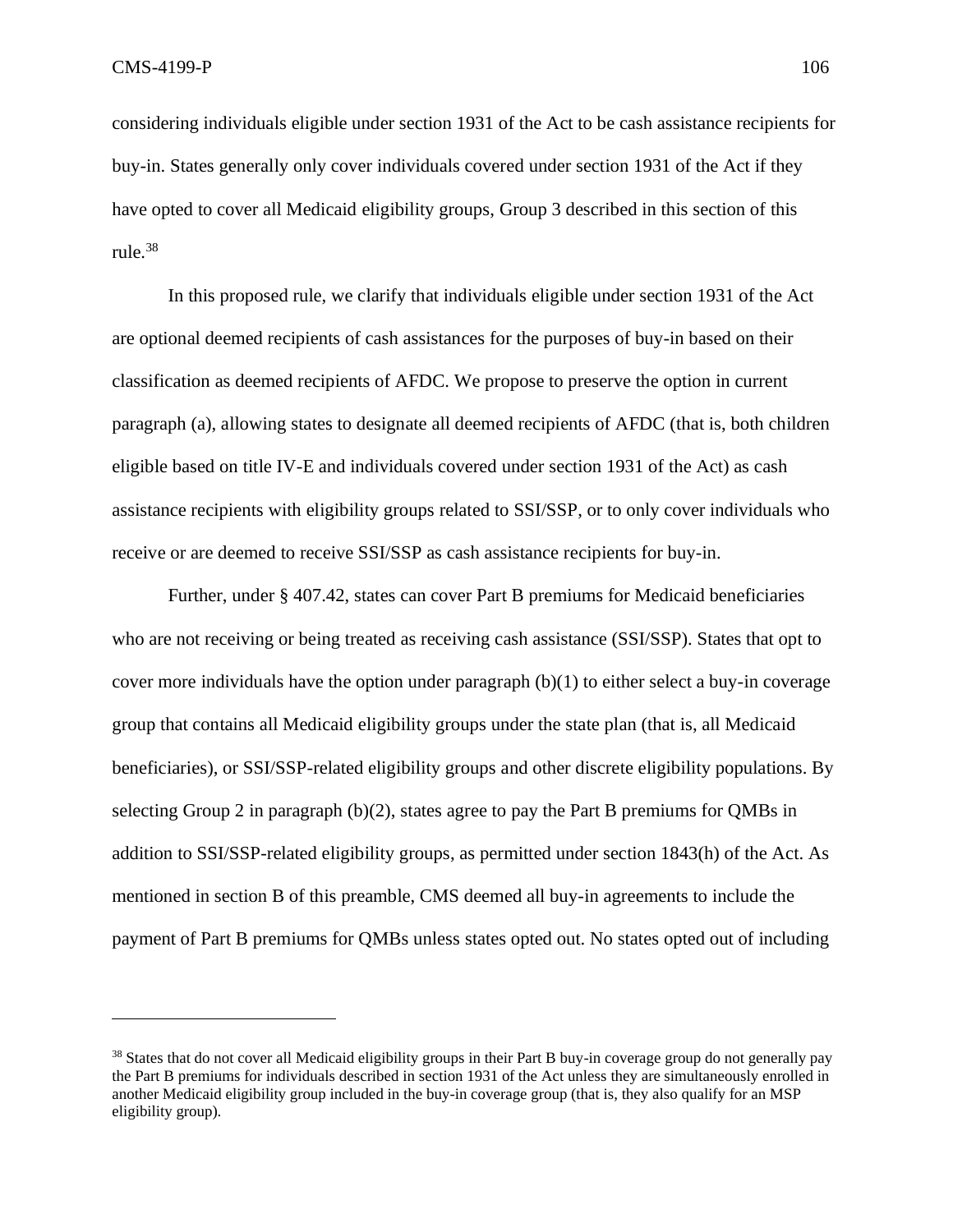considering individuals eligible under section 1931 of the Act to be cash assistance recipients for buy-in. States generally only cover individuals covered under section 1931 of the Act if they have opted to cover all Medicaid eligibility groups, Group 3 described in this section of this rule.<sup>38</sup>

In this proposed rule, we clarify that individuals eligible under section 1931 of the Act are optional deemed recipients of cash assistances for the purposes of buy-in based on their classification as deemed recipients of AFDC. We propose to preserve the option in current paragraph (a), allowing states to designate all deemed recipients of AFDC (that is, both children eligible based on title IV-E and individuals covered under section 1931 of the Act) as cash assistance recipients with eligibility groups related to SSI/SSP, or to only cover individuals who receive or are deemed to receive SSI/SSP as cash assistance recipients for buy-in.

Further, under § 407.42, states can cover Part B premiums for Medicaid beneficiaries who are not receiving or being treated as receiving cash assistance (SSI/SSP). States that opt to cover more individuals have the option under paragraph  $(b)(1)$  to either select a buy-in coverage group that contains all Medicaid eligibility groups under the state plan (that is, all Medicaid beneficiaries), or SSI/SSP-related eligibility groups and other discrete eligibility populations. By selecting Group 2 in paragraph (b)(2), states agree to pay the Part B premiums for QMBs in addition to SSI/SSP-related eligibility groups, as permitted under section 1843(h) of the Act. As mentioned in section B of this preamble, CMS deemed all buy-in agreements to include the payment of Part B premiums for QMBs unless states opted out. No states opted out of including

<sup>&</sup>lt;sup>38</sup> States that do not cover all Medicaid eligibility groups in their Part B buy-in coverage group do not generally pay the Part B premiums for individuals described in section 1931 of the Act unless they are simultaneously enrolled in another Medicaid eligibility group included in the buy-in coverage group (that is, they also qualify for an MSP eligibility group).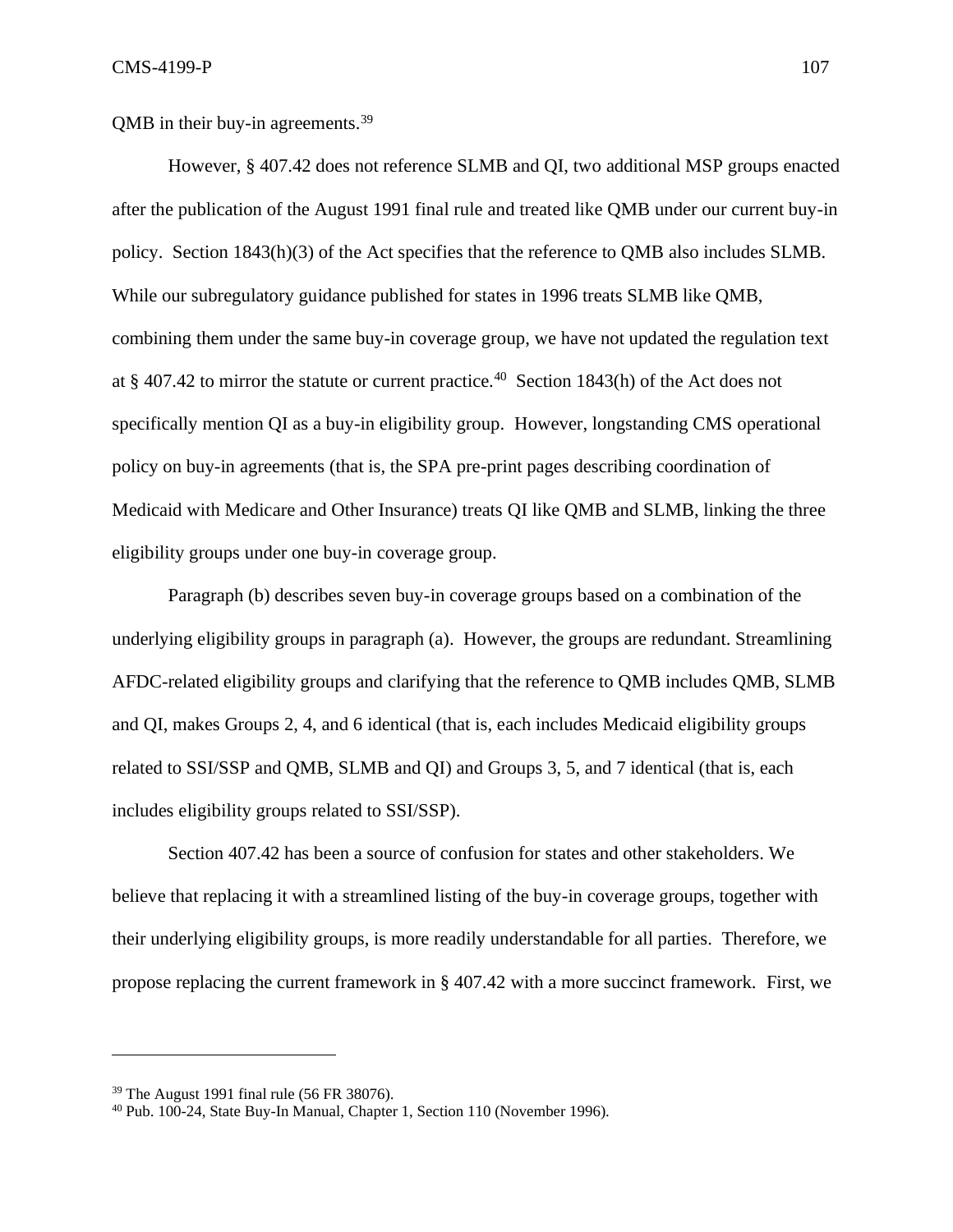QMB in their buy-in agreements.<sup>39</sup>

However, § 407.42 does not reference SLMB and QI, two additional MSP groups enacted after the publication of the August 1991 final rule and treated like QMB under our current buy-in policy. Section 1843(h)(3) of the Act specifies that the reference to QMB also includes SLMB. While our subregulatory guidance published for states in 1996 treats SLMB like QMB, combining them under the same buy-in coverage group, we have not updated the regulation text at § 407.42 to mirror the statute or current practice.<sup>40</sup> Section 1843(h) of the Act does not specifically mention QI as a buy-in eligibility group. However, longstanding CMS operational policy on buy-in agreements (that is, the SPA pre-print pages describing coordination of Medicaid with Medicare and Other Insurance) treats QI like QMB and SLMB, linking the three eligibility groups under one buy-in coverage group.

Paragraph (b) describes seven buy-in coverage groups based on a combination of the underlying eligibility groups in paragraph (a). However, the groups are redundant. Streamlining AFDC-related eligibility groups and clarifying that the reference to QMB includes QMB, SLMB and QI, makes Groups 2, 4, and 6 identical (that is, each includes Medicaid eligibility groups related to SSI/SSP and QMB, SLMB and QI) and Groups 3, 5, and 7 identical (that is, each includes eligibility groups related to SSI/SSP).

Section 407.42 has been a source of confusion for states and other stakeholders. We believe that replacing it with a streamlined listing of the buy-in coverage groups, together with their underlying eligibility groups, is more readily understandable for all parties. Therefore, we propose replacing the current framework in § 407.42 with a more succinct framework. First, we

<sup>39</sup> The August 1991 final rule (56 FR 38076).

<sup>40</sup> Pub. 100-24, State Buy-In Manual, Chapter 1, Section 110 (November 1996).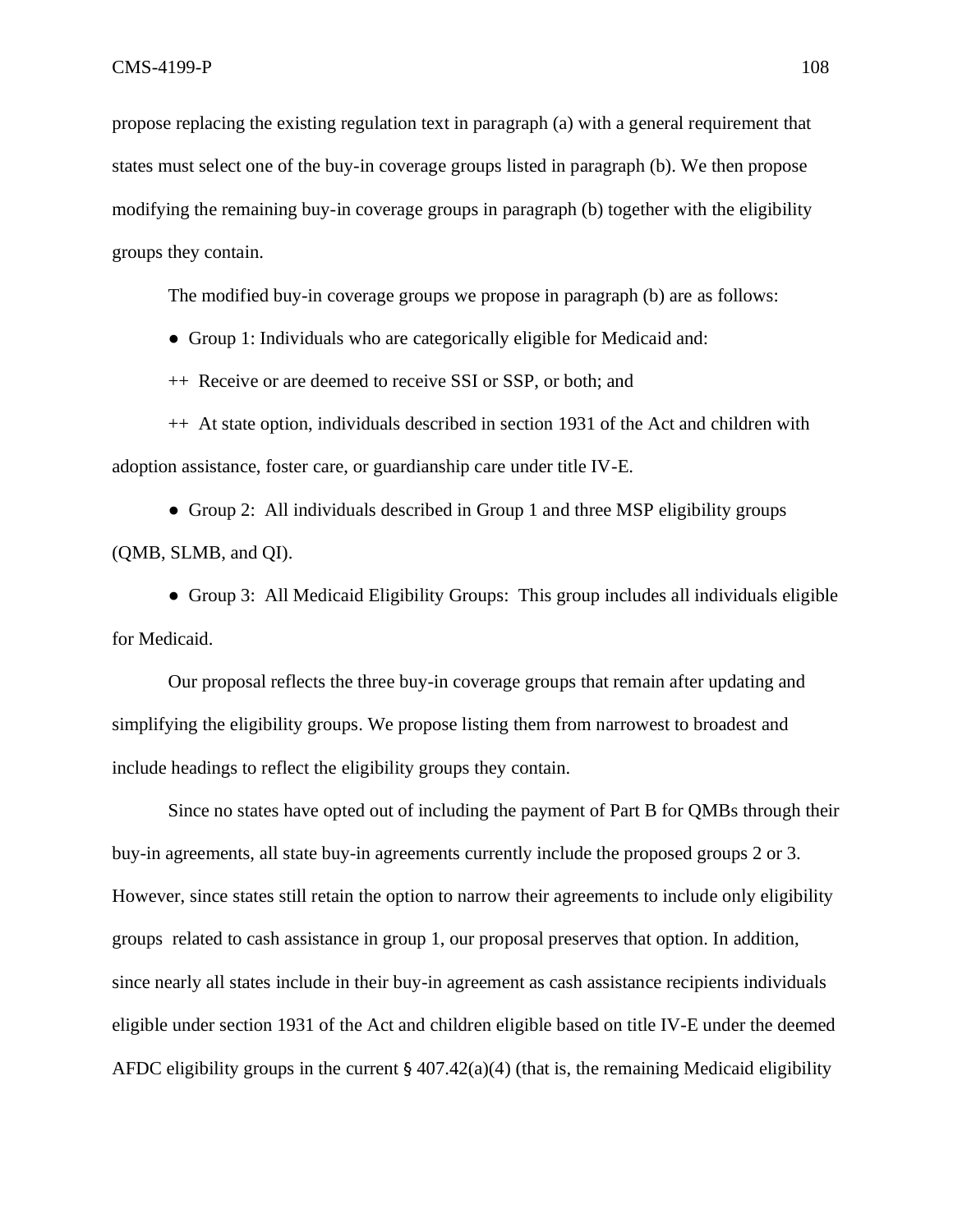propose replacing the existing regulation text in paragraph (a) with a general requirement that states must select one of the buy-in coverage groups listed in paragraph (b). We then propose modifying the remaining buy-in coverage groups in paragraph (b) together with the eligibility groups they contain.

The modified buy-in coverage groups we propose in paragraph (b) are as follows:

● Group 1: Individuals who are categorically eligible for Medicaid and:

++ Receive or are deemed to receive SSI or SSP, or both; and

++ At state option, individuals described in section 1931 of the Act and children with adoption assistance, foster care, or guardianship care under title IV-E.

• Group 2: All individuals described in Group 1 and three MSP eligibility groups (QMB, SLMB, and QI).

• Group 3: All Medicaid Eligibility Groups: This group includes all individuals eligible for Medicaid.

Our proposal reflects the three buy-in coverage groups that remain after updating and simplifying the eligibility groups. We propose listing them from narrowest to broadest and include headings to reflect the eligibility groups they contain.

Since no states have opted out of including the payment of Part B for QMBs through their buy-in agreements, all state buy-in agreements currently include the proposed groups 2 or 3. However, since states still retain the option to narrow their agreements to include only eligibility groups related to cash assistance in group 1, our proposal preserves that option. In addition, since nearly all states include in their buy-in agreement as cash assistance recipients individuals eligible under section 1931 of the Act and children eligible based on title IV-E under the deemed AFDC eligibility groups in the current  $\S 407.42(a)(4)$  (that is, the remaining Medicaid eligibility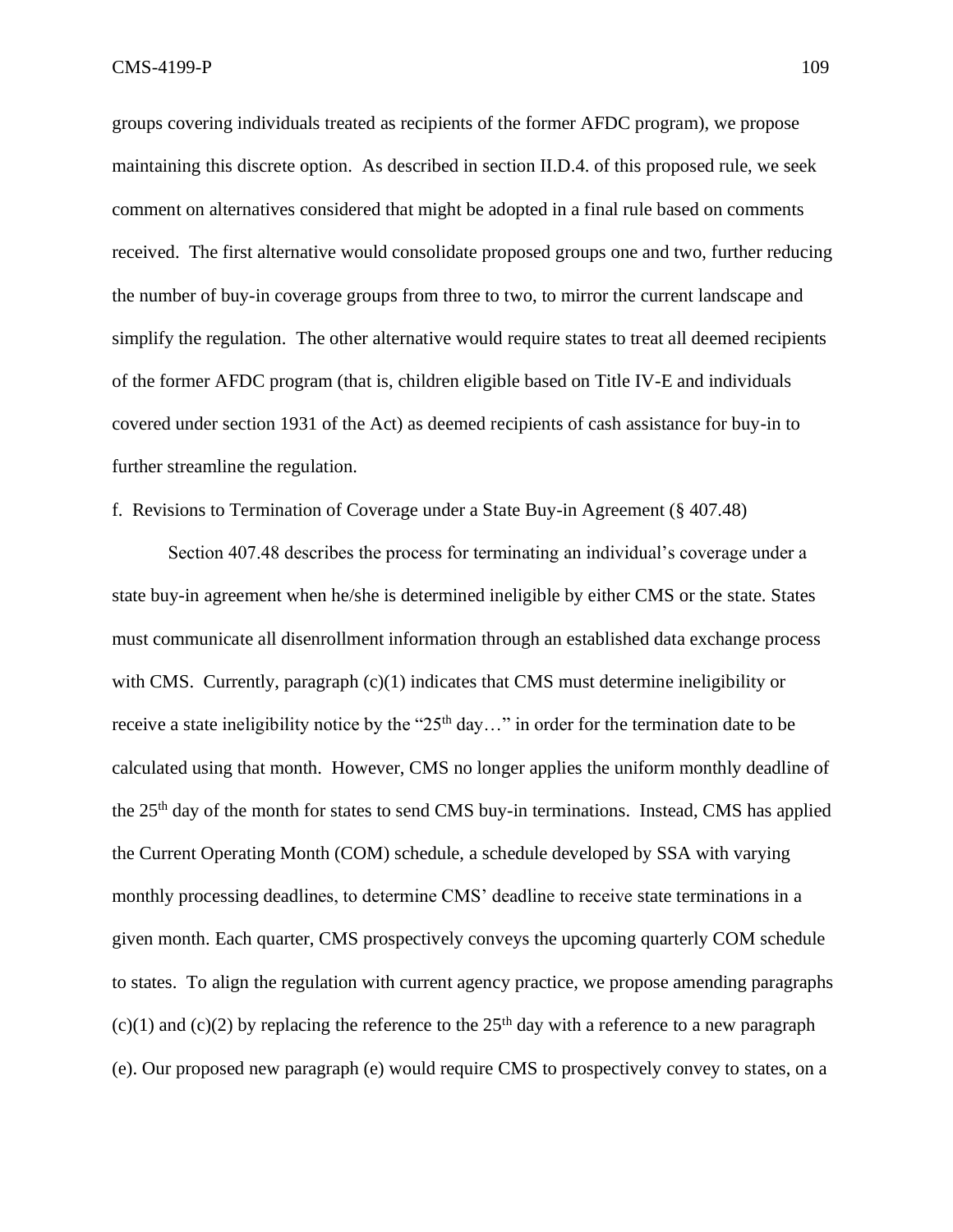groups covering individuals treated as recipients of the former AFDC program), we propose maintaining this discrete option. As described in section II.D.4. of this proposed rule, we seek comment on alternatives considered that might be adopted in a final rule based on comments received. The first alternative would consolidate proposed groups one and two, further reducing the number of buy-in coverage groups from three to two, to mirror the current landscape and simplify the regulation. The other alternative would require states to treat all deemed recipients of the former AFDC program (that is, children eligible based on Title IV-E and individuals covered under section 1931 of the Act) as deemed recipients of cash assistance for buy-in to further streamline the regulation.

f. Revisions to Termination of Coverage under a State Buy-in Agreement (§ 407.48)

Section 407.48 describes the process for terminating an individual's coverage under a state buy-in agreement when he/she is determined ineligible by either CMS or the state. States must communicate all disenrollment information through an established data exchange process with CMS. Currently, paragraph (c)(1) indicates that CMS must determine ineligibility or receive a state ineligibility notice by the " $25<sup>th</sup>$  day..." in order for the termination date to be calculated using that month. However, CMS no longer applies the uniform monthly deadline of the 25th day of the month for states to send CMS buy-in terminations. Instead, CMS has applied the Current Operating Month (COM) schedule, a schedule developed by SSA with varying monthly processing deadlines, to determine CMS' deadline to receive state terminations in a given month. Each quarter, CMS prospectively conveys the upcoming quarterly COM schedule to states. To align the regulation with current agency practice, we propose amending paragraphs (c)(1) and (c)(2) by replacing the reference to the  $25<sup>th</sup>$  day with a reference to a new paragraph (e). Our proposed new paragraph (e) would require CMS to prospectively convey to states, on a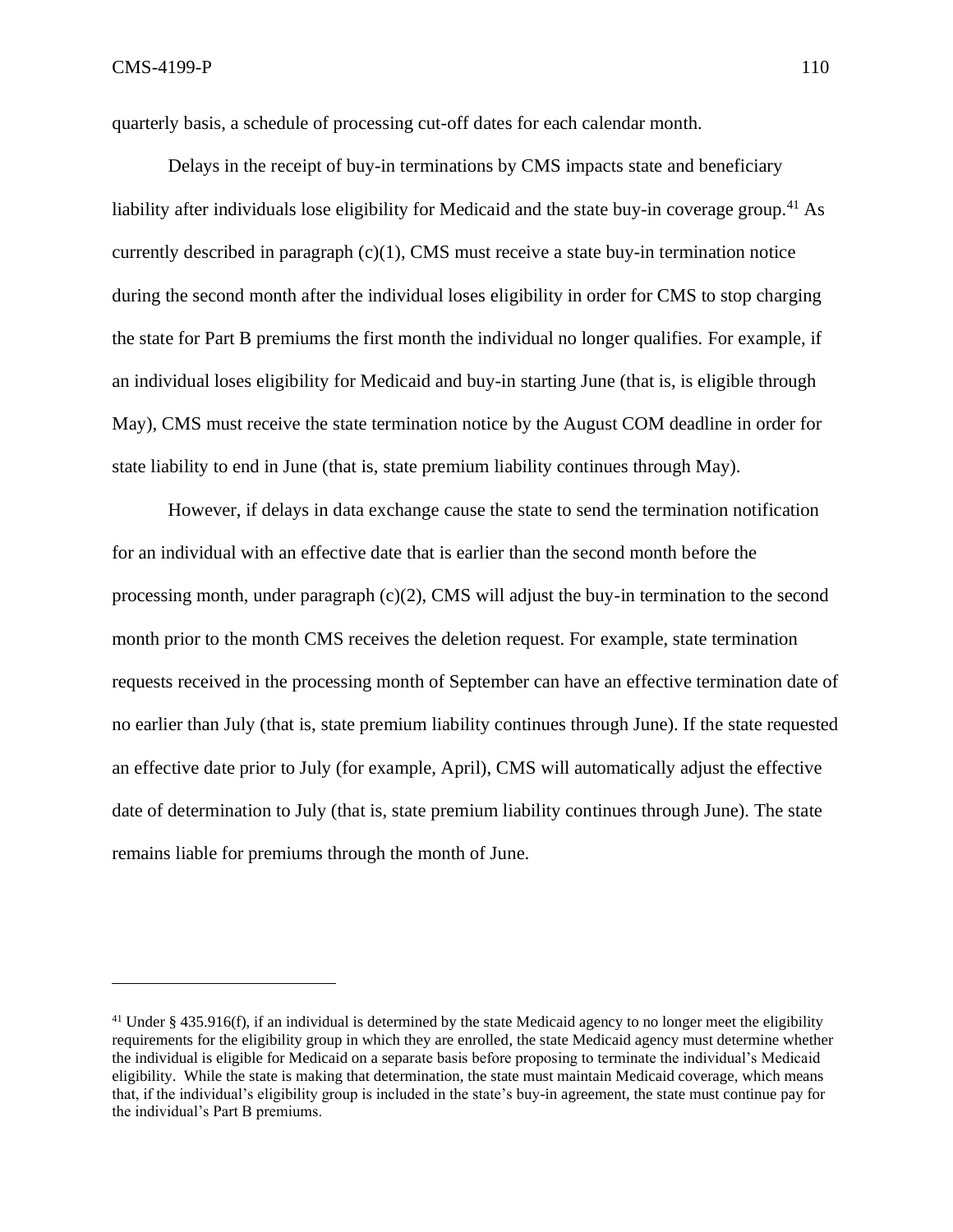quarterly basis, a schedule of processing cut-off dates for each calendar month.

Delays in the receipt of buy-in terminations by CMS impacts state and beneficiary liability after individuals lose eligibility for Medicaid and the state buy-in coverage group.<sup>41</sup> As currently described in paragraph (c)(1), CMS must receive a state buy-in termination notice during the second month after the individual loses eligibility in order for CMS to stop charging the state for Part B premiums the first month the individual no longer qualifies. For example, if an individual loses eligibility for Medicaid and buy-in starting June (that is, is eligible through May), CMS must receive the state termination notice by the August COM deadline in order for state liability to end in June (that is, state premium liability continues through May).

However, if delays in data exchange cause the state to send the termination notification for an individual with an effective date that is earlier than the second month before the processing month, under paragraph  $(c)(2)$ , CMS will adjust the buy-in termination to the second month prior to the month CMS receives the deletion request. For example, state termination requests received in the processing month of September can have an effective termination date of no earlier than July (that is, state premium liability continues through June). If the state requested an effective date prior to July (for example, April), CMS will automatically adjust the effective date of determination to July (that is, state premium liability continues through June). The state remains liable for premiums through the month of June.

 $41$  Under § 435.916(f), if an individual is determined by the state Medicaid agency to no longer meet the eligibility requirements for the eligibility group in which they are enrolled, the state Medicaid agency must determine whether the individual is eligible for Medicaid on a separate basis before proposing to terminate the individual's Medicaid eligibility. While the state is making that determination, the state must maintain Medicaid coverage, which means that, if the individual's eligibility group is included in the state's buy-in agreement, the state must continue pay for the individual's Part B premiums.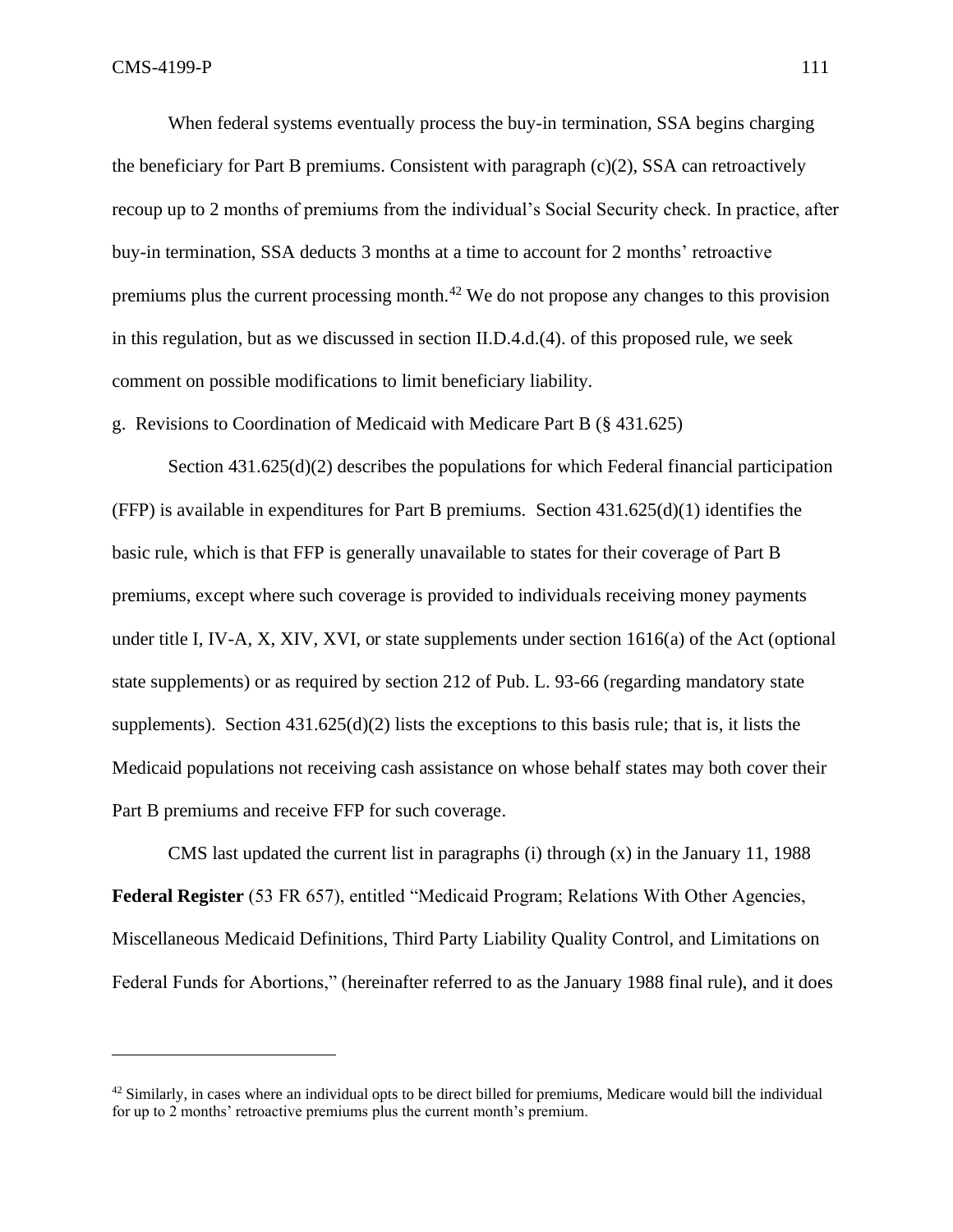When federal systems eventually process the buy-in termination, SSA begins charging the beneficiary for Part B premiums. Consistent with paragraph (c)(2), SSA can retroactively recoup up to 2 months of premiums from the individual's Social Security check. In practice, after buy-in termination, SSA deducts 3 months at a time to account for 2 months' retroactive premiums plus the current processing month.<sup>42</sup> We do not propose any changes to this provision in this regulation, but as we discussed in section II.D.4.d.(4). of this proposed rule, we seek comment on possible modifications to limit beneficiary liability.

g. Revisions to Coordination of Medicaid with Medicare Part B (§ 431.625)

Section 431.625(d)(2) describes the populations for which Federal financial participation (FFP) is available in expenditures for Part B premiums. Section 431.625(d)(1) identifies the basic rule, which is that FFP is generally unavailable to states for their coverage of Part B premiums, except where such coverage is provided to individuals receiving money payments under title I, IV-A, X, XIV, XVI, or state supplements under section  $1616(a)$  of the Act (optional state supplements) or as required by section 212 of Pub. L. 93-66 (regarding mandatory state supplements). Section  $431.625(d)(2)$  lists the exceptions to this basis rule; that is, it lists the Medicaid populations not receiving cash assistance on whose behalf states may both cover their Part B premiums and receive FFP for such coverage.

CMS last updated the current list in paragraphs (i) through  $(x)$  in the January 11, 1988 **Federal Register** (53 FR 657), entitled "Medicaid Program; Relations With Other Agencies, Miscellaneous Medicaid Definitions, Third Party Liability Quality Control, and Limitations on Federal Funds for Abortions," (hereinafter referred to as the January 1988 final rule), and it does

 $42$  Similarly, in cases where an individual opts to be direct billed for premiums, Medicare would bill the individual for up to 2 months' retroactive premiums plus the current month's premium.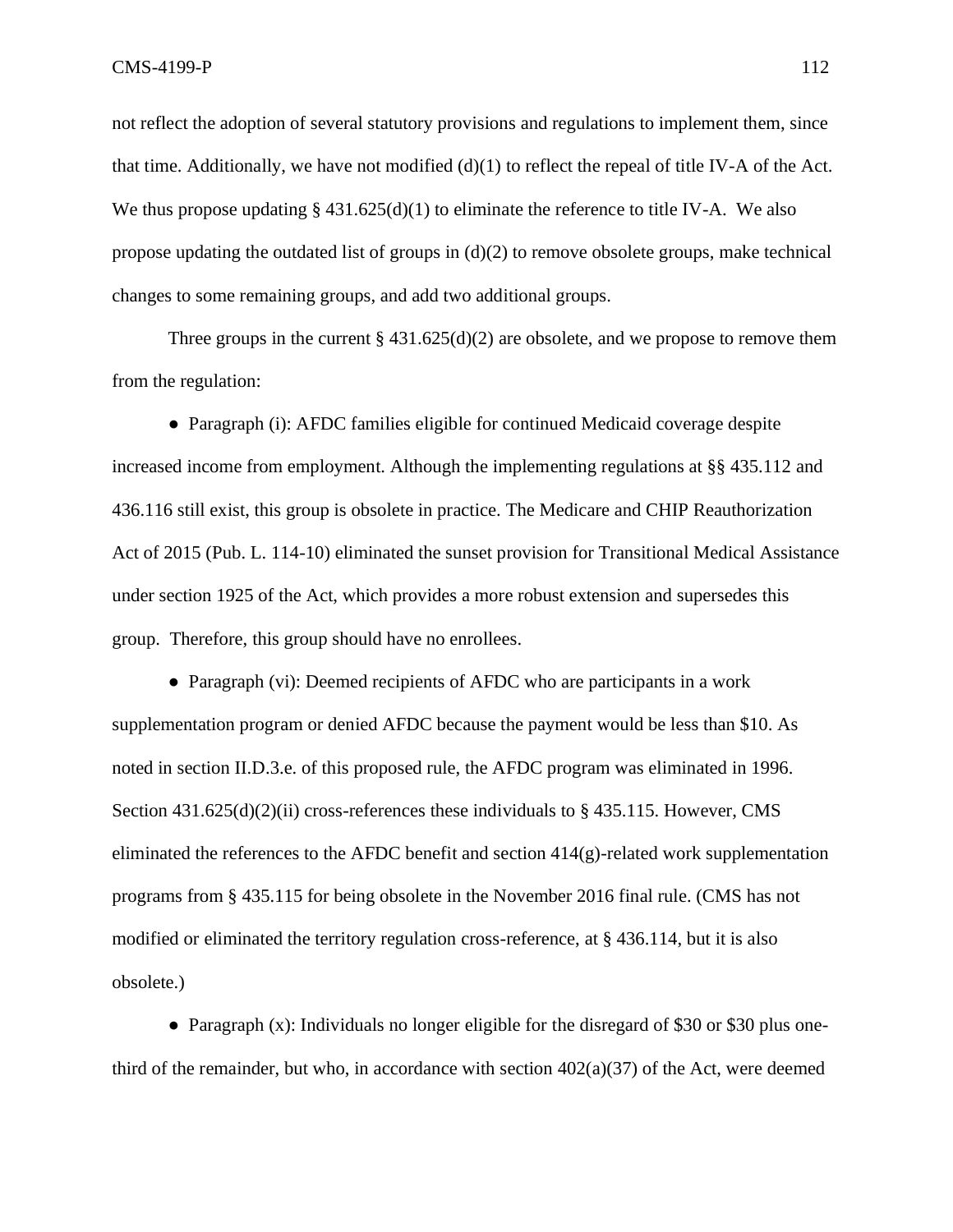not reflect the adoption of several statutory provisions and regulations to implement them, since that time. Additionally, we have not modified (d)(1) to reflect the repeal of title IV-A of the Act. We thus propose updating  $\S 431.625(d)(1)$  to eliminate the reference to title IV-A. We also propose updating the outdated list of groups in (d)(2) to remove obsolete groups, make technical changes to some remaining groups, and add two additional groups.

Three groups in the current  $\S 431.625(d)(2)$  are obsolete, and we propose to remove them from the regulation:

● Paragraph (i): AFDC families eligible for continued Medicaid coverage despite increased income from employment. Although the implementing regulations at §§ 435.112 and 436.116 still exist, this group is obsolete in practice. The Medicare and CHIP Reauthorization Act of 2015 (Pub. L. 114-10) eliminated the sunset provision for Transitional Medical Assistance under section 1925 of the Act, which provides a more robust extension and supersedes this group. Therefore, this group should have no enrollees.

• Paragraph (vi): Deemed recipients of AFDC who are participants in a work supplementation program or denied AFDC because the payment would be less than \$10. As noted in section II.D.3.e. of this proposed rule, the AFDC program was eliminated in 1996. Section  $431.625(d)(2)(ii)$  cross-references these individuals to § 435.115. However, CMS eliminated the references to the AFDC benefit and section  $414(g)$ -related work supplementation programs from § 435.115 for being obsolete in the November 2016 final rule. (CMS has not modified or eliminated the territory regulation cross-reference, at § 436.114, but it is also obsolete.)

● Paragraph (x): Individuals no longer eligible for the disregard of \$30 or \$30 plus onethird of the remainder, but who, in accordance with section  $402(a)(37)$  of the Act, were deemed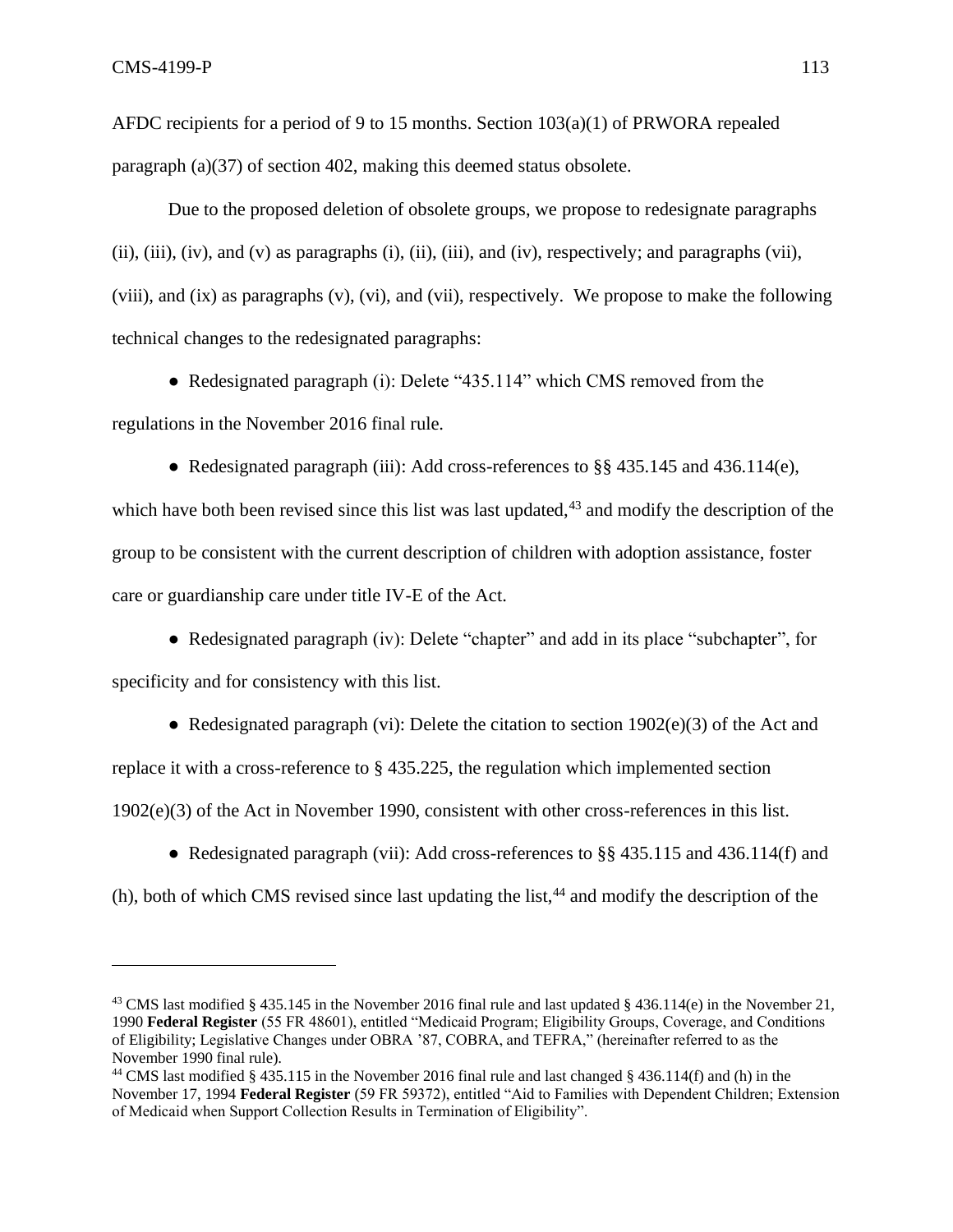AFDC recipients for a period of 9 to 15 months. Section 103(a)(1) of PRWORA repealed paragraph (a)(37) of section 402, making this deemed status obsolete.

Due to the proposed deletion of obsolete groups, we propose to redesignate paragraphs (ii), (iii), (iv), and (v) as paragraphs (i), (ii), (iii), and (iv), respectively; and paragraphs (vii), (viii), and (ix) as paragraphs (v), (vi), and (vii), respectively. We propose to make the following technical changes to the redesignated paragraphs:

● Redesignated paragraph (i): Delete "435.114" which CMS removed from the regulations in the November 2016 final rule.

• Redesignated paragraph (iii): Add cross-references to §§ 435.145 and 436.114(e), which have both been revised since this list was last updated, $43$  and modify the description of the group to be consistent with the current description of children with adoption assistance, foster care or guardianship care under title IV-E of the Act.

• Redesignated paragraph (iv): Delete "chapter" and add in its place "subchapter", for specificity and for consistency with this list.

• Redesignated paragraph (vi): Delete the citation to section  $1902(e)(3)$  of the Act and replace it with a cross-reference to § 435.225, the regulation which implemented section 1902(e)(3) of the Act in November 1990, consistent with other cross-references in this list.

• Redesignated paragraph (vii): Add cross-references to  $\S$ § 435.115 and 436.114(f) and

 $(h)$ , both of which CMS revised since last updating the list,<sup>44</sup> and modify the description of the

<sup>&</sup>lt;sup>43</sup> CMS last modified § 435.145 in the November 2016 final rule and last updated § 436.114(e) in the November 21, 1990 **Federal Register** (55 FR 48601), entitled "Medicaid Program; Eligibility Groups, Coverage, and Conditions of Eligibility; Legislative Changes under OBRA '87, COBRA, and TEFRA," (hereinafter referred to as the November 1990 final rule).

<sup>44</sup> CMS last modified § 435.115 in the November 2016 final rule and last changed § 436.114(f) and (h) in the November 17, 1994 **Federal Register** (59 FR 59372), entitled "Aid to Families with Dependent Children; Extension of Medicaid when Support Collection Results in Termination of Eligibility".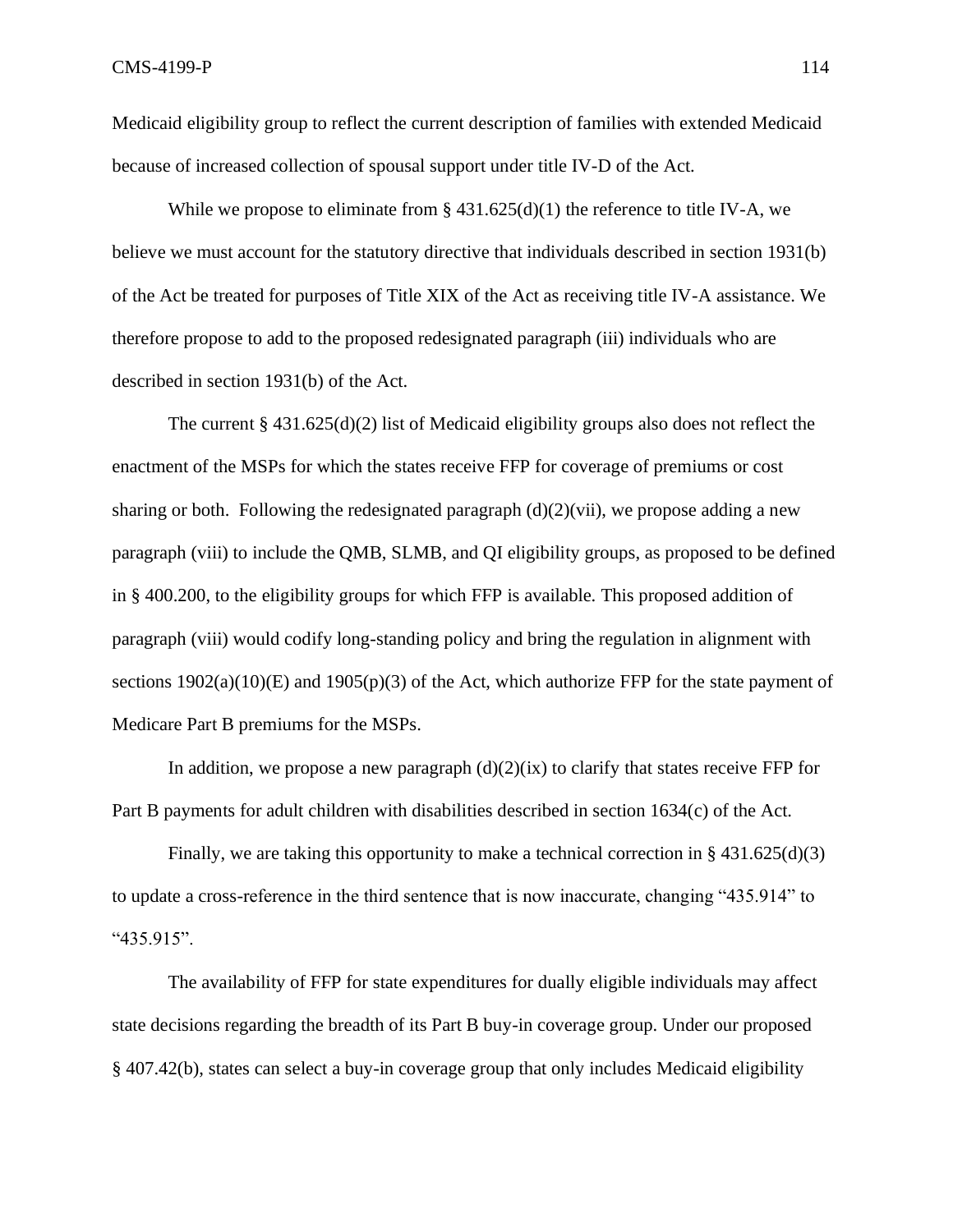Medicaid eligibility group to reflect the current description of families with extended Medicaid because of increased collection of spousal support under title IV-D of the Act.

While we propose to eliminate from  $\S 431.625(d)(1)$  the reference to title IV-A, we believe we must account for the statutory directive that individuals described in section 1931(b) of the Act be treated for purposes of Title XIX of the Act as receiving title IV-A assistance. We therefore propose to add to the proposed redesignated paragraph (iii) individuals who are described in section 1931(b) of the Act.

The current  $\S 431.625(d)(2)$  list of Medicaid eligibility groups also does not reflect the enactment of the MSPs for which the states receive FFP for coverage of premiums or cost sharing or both. Following the redesignated paragraph  $(d)(2)(vi)$ , we propose adding a new paragraph (viii) to include the QMB, SLMB, and QI eligibility groups, as proposed to be defined in § 400.200, to the eligibility groups for which FFP is available. This proposed addition of paragraph (viii) would codify long-standing policy and bring the regulation in alignment with sections  $1902(a)(10)(E)$  and  $1905(p)(3)$  of the Act, which authorize FFP for the state payment of Medicare Part B premiums for the MSPs.

In addition, we propose a new paragraph  $(d)(2)(ix)$  to clarify that states receive FFP for Part B payments for adult children with disabilities described in section 1634(c) of the Act.

Finally, we are taking this opportunity to make a technical correction in § 431.625(d)(3) to update a cross-reference in the third sentence that is now inaccurate, changing "435.914" to "435.915".

The availability of FFP for state expenditures for dually eligible individuals may affect state decisions regarding the breadth of its Part B buy-in coverage group. Under our proposed § 407.42(b), states can select a buy-in coverage group that only includes Medicaid eligibility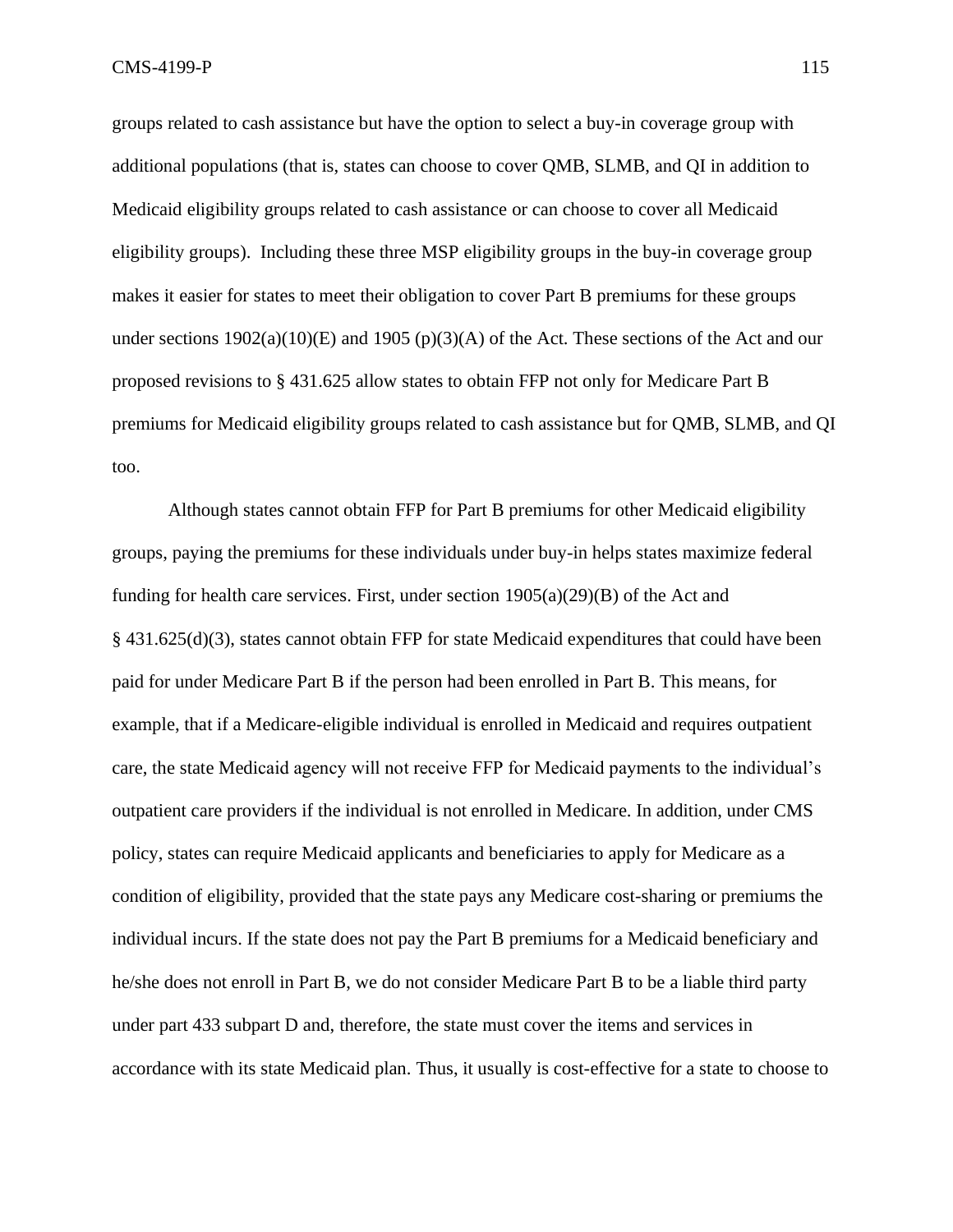groups related to cash assistance but have the option to select a buy-in coverage group with additional populations (that is, states can choose to cover QMB, SLMB, and QI in addition to Medicaid eligibility groups related to cash assistance or can choose to cover all Medicaid eligibility groups). Including these three MSP eligibility groups in the buy-in coverage group makes it easier for states to meet their obligation to cover Part B premiums for these groups under sections 1902(a)(10)(E) and 1905 (p)(3)(A) of the Act. These sections of the Act and our proposed revisions to § 431.625 allow states to obtain FFP not only for Medicare Part B premiums for Medicaid eligibility groups related to cash assistance but for QMB, SLMB, and QI too.

Although states cannot obtain FFP for Part B premiums for other Medicaid eligibility groups, paying the premiums for these individuals under buy-in helps states maximize federal funding for health care services. First, under section  $1905(a)(29)(B)$  of the Act and § 431.625(d)(3), states cannot obtain FFP for state Medicaid expenditures that could have been paid for under Medicare Part B if the person had been enrolled in Part B. This means, for example, that if a Medicare-eligible individual is enrolled in Medicaid and requires outpatient care, the state Medicaid agency will not receive FFP for Medicaid payments to the individual's outpatient care providers if the individual is not enrolled in Medicare. In addition, under CMS policy, states can require Medicaid applicants and beneficiaries to apply for Medicare as a condition of eligibility, provided that the state pays any Medicare cost-sharing or premiums the individual incurs. If the state does not pay the Part B premiums for a Medicaid beneficiary and he/she does not enroll in Part B, we do not consider Medicare Part B to be a liable third party under part 433 subpart D and, therefore, the state must cover the items and services in accordance with its state Medicaid plan. Thus, it usually is cost-effective for a state to choose to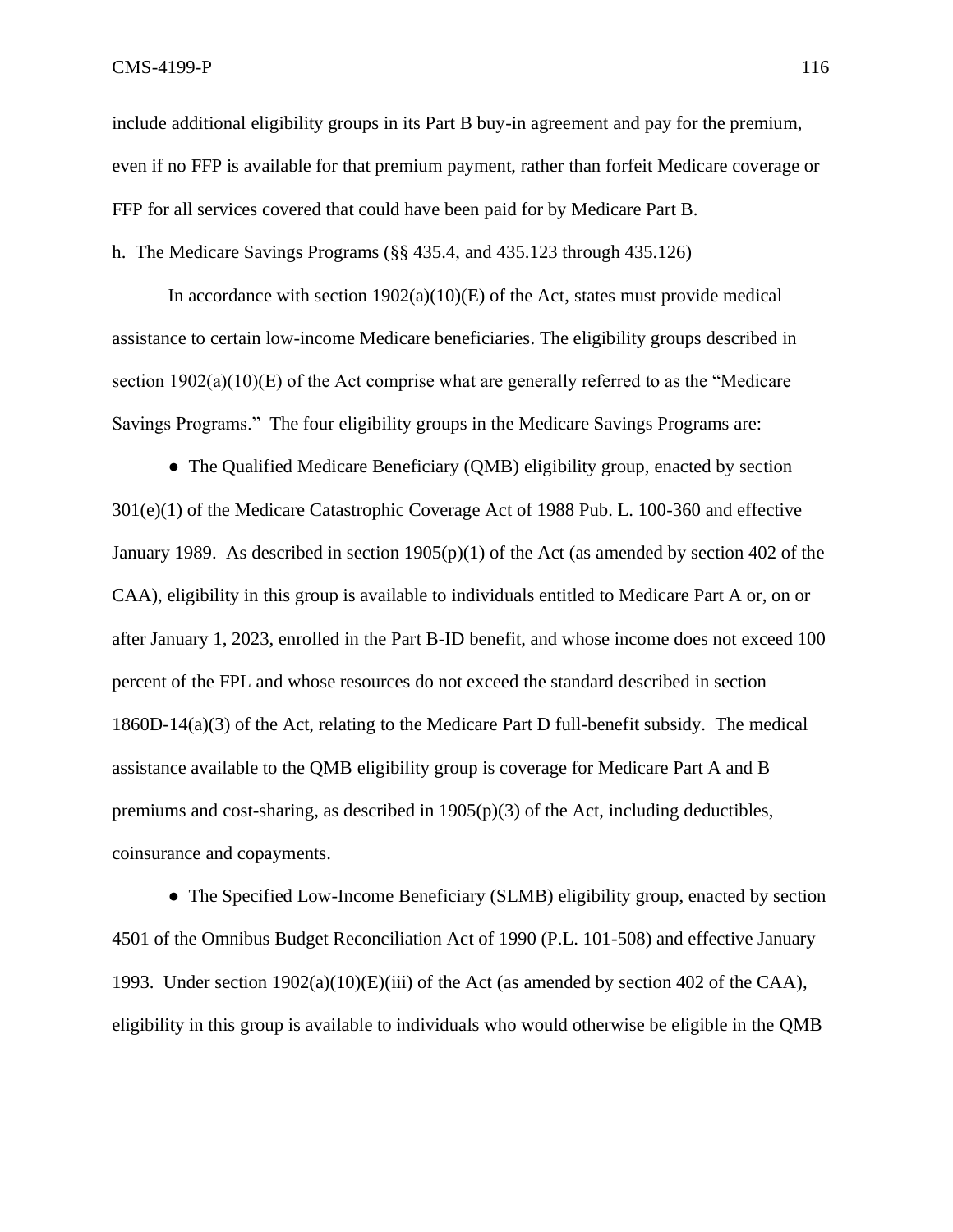include additional eligibility groups in its Part B buy-in agreement and pay for the premium, even if no FFP is available for that premium payment, rather than forfeit Medicare coverage or FFP for all services covered that could have been paid for by Medicare Part B. h. The Medicare Savings Programs (§§ 435.4, and 435.123 through 435.126)

In accordance with section  $1902(a)(10)(E)$  of the Act, states must provide medical assistance to certain low-income Medicare beneficiaries. The eligibility groups described in section  $1902(a)(10)(E)$  of the Act comprise what are generally referred to as the "Medicare" Savings Programs." The four eligibility groups in the Medicare Savings Programs are:

• The Qualified Medicare Beneficiary (QMB) eligibility group, enacted by section 301(e)(1) of the Medicare Catastrophic Coverage Act of 1988 Pub. L. 100-360 and effective January 1989. As described in section 1905(p)(1) of the Act (as amended by section 402 of the CAA), eligibility in this group is available to individuals entitled to Medicare Part A or, on or after January 1, 2023, enrolled in the Part B-ID benefit, and whose income does not exceed 100 percent of the FPL and whose resources do not exceed the standard described in section 1860D-14(a)(3) of the Act, relating to the Medicare Part D full-benefit subsidy. The medical assistance available to the QMB eligibility group is coverage for Medicare Part A and B premiums and cost-sharing, as described in  $1905(p)(3)$  of the Act, including deductibles, coinsurance and copayments.

• The Specified Low-Income Beneficiary (SLMB) eligibility group, enacted by section 4501 of the Omnibus Budget Reconciliation Act of 1990 (P.L. 101-508) and effective January 1993. Under section  $1902(a)(10)(E)(iii)$  of the Act (as amended by section 402 of the CAA), eligibility in this group is available to individuals who would otherwise be eligible in the QMB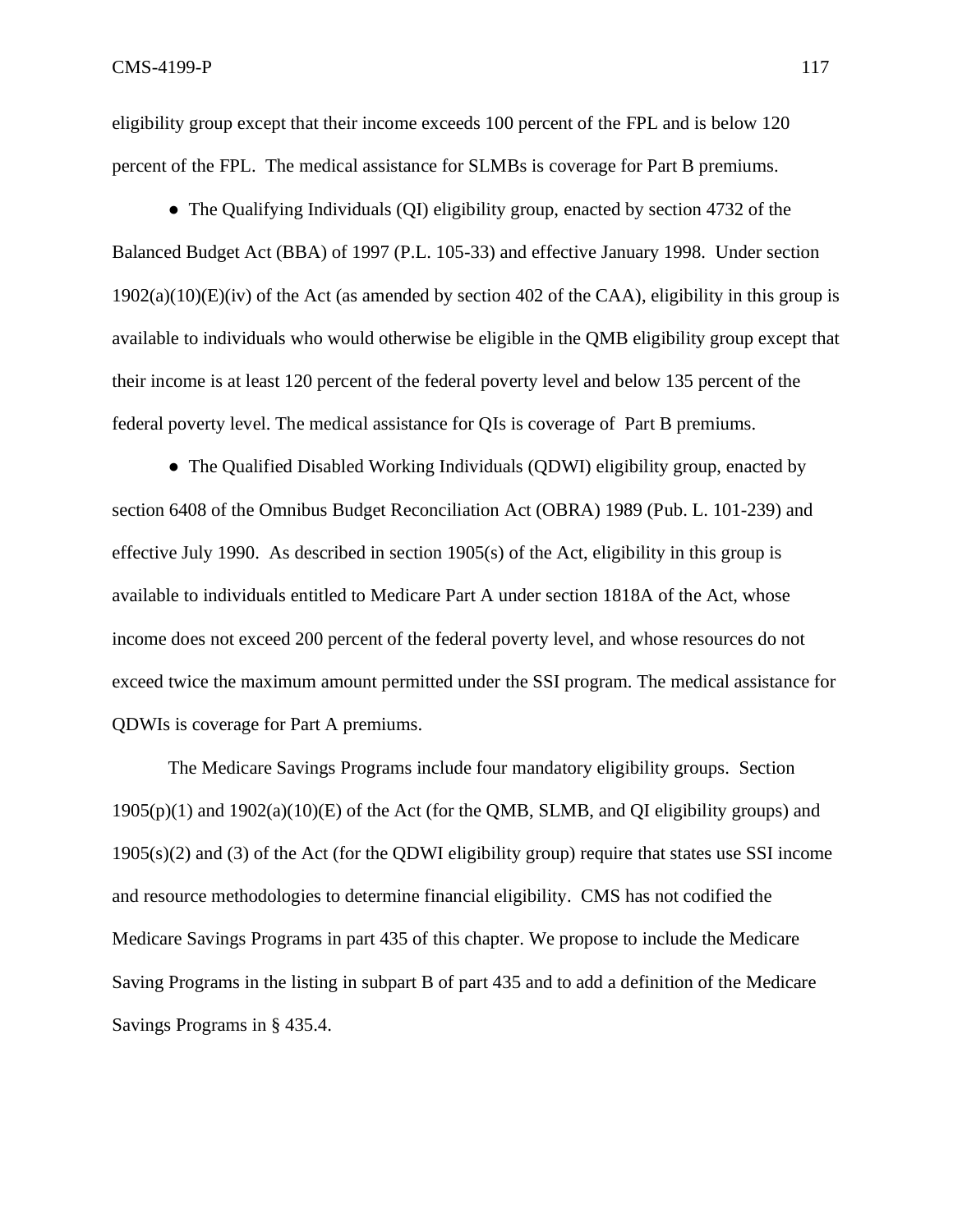eligibility group except that their income exceeds 100 percent of the FPL and is below 120 percent of the FPL. The medical assistance for SLMBs is coverage for Part B premiums.

• The Qualifying Individuals (QI) eligibility group, enacted by section 4732 of the Balanced Budget Act (BBA) of 1997 (P.L. 105-33) and effective January 1998. Under section  $1902(a)(10)(E)(iv)$  of the Act (as amended by section 402 of the CAA), eligibility in this group is available to individuals who would otherwise be eligible in the QMB eligibility group except that their income is at least 120 percent of the federal poverty level and below 135 percent of the federal poverty level. The medical assistance for QIs is coverage of Part B premiums.

• The Qualified Disabled Working Individuals (QDWI) eligibility group, enacted by section 6408 of the Omnibus Budget Reconciliation Act (OBRA) 1989 (Pub. L. 101-239) and effective July 1990. As described in section 1905(s) of the Act, eligibility in this group is available to individuals entitled to Medicare Part A under section 1818A of the Act, whose income does not exceed 200 percent of the federal poverty level, and whose resources do not exceed twice the maximum amount permitted under the SSI program. The medical assistance for QDWIs is coverage for Part A premiums.

The Medicare Savings Programs include four mandatory eligibility groups. Section  $1905(p)(1)$  and  $1902(a)(10)(E)$  of the Act (for the OMB, SLMB, and OI eligibility groups) and 1905(s)(2) and (3) of the Act (for the QDWI eligibility group) require that states use SSI income and resource methodologies to determine financial eligibility. CMS has not codified the Medicare Savings Programs in part 435 of this chapter. We propose to include the Medicare Saving Programs in the listing in subpart B of part 435 and to add a definition of the Medicare Savings Programs in § 435.4.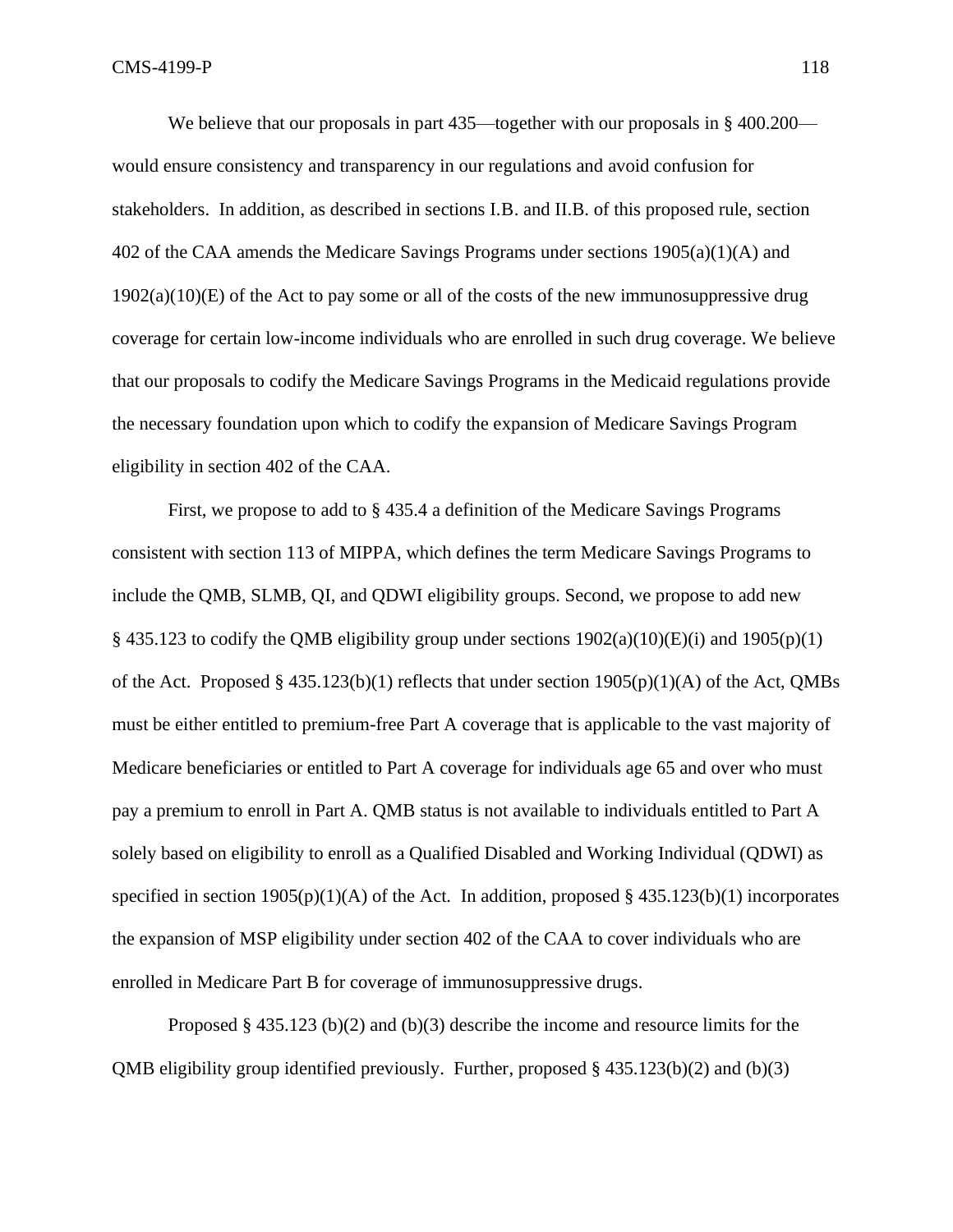We believe that our proposals in part 435—together with our proposals in §400.200 would ensure consistency and transparency in our regulations and avoid confusion for stakeholders. In addition, as described in sections I.B. and II.B. of this proposed rule, section 402 of the CAA amends the Medicare Savings Programs under sections 1905(a)(1)(A) and  $1902(a)(10)(E)$  of the Act to pay some or all of the costs of the new immunosuppressive drug coverage for certain low-income individuals who are enrolled in such drug coverage. We believe that our proposals to codify the Medicare Savings Programs in the Medicaid regulations provide the necessary foundation upon which to codify the expansion of Medicare Savings Program eligibility in section 402 of the CAA.

First, we propose to add to § 435.4 a definition of the Medicare Savings Programs consistent with section 113 of MIPPA, which defines the term Medicare Savings Programs to include the QMB, SLMB, QI, and QDWI eligibility groups. Second, we propose to add new § 435.123 to codify the OMB eligibility group under sections  $1902(a)(10)(E)(i)$  and  $1905(p)(1)$ of the Act. Proposed § 435.123(b)(1) reflects that under section  $1905(p)(1)(A)$  of the Act, QMBs must be either entitled to premium-free Part A coverage that is applicable to the vast majority of Medicare beneficiaries or entitled to Part A coverage for individuals age 65 and over who must pay a premium to enroll in Part A. QMB status is not available to individuals entitled to Part A solely based on eligibility to enroll as a Qualified Disabled and Working Individual (QDWI) as specified in section  $1905(p)(1)(A)$  of the Act. In addition, proposed § 435.123(b)(1) incorporates the expansion of MSP eligibility under section 402 of the CAA to cover individuals who are enrolled in Medicare Part B for coverage of immunosuppressive drugs.

Proposed § 435.123 (b)(2) and (b)(3) describe the income and resource limits for the OMB eligibility group identified previously. Further, proposed  $\S$  435.123(b)(2) and (b)(3)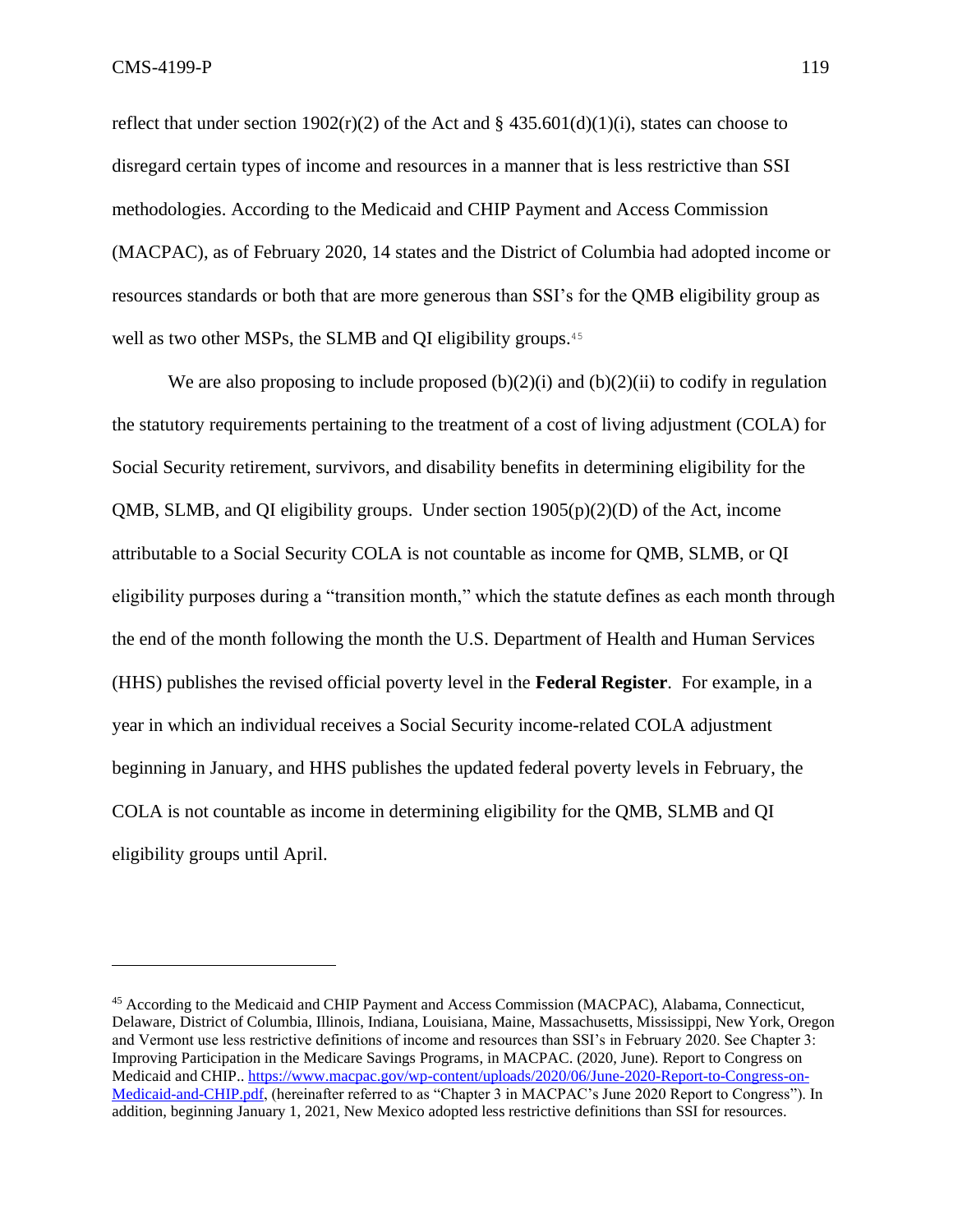reflect that under section  $1902(r)(2)$  of the Act and § 435.601(d)(1)(i), states can choose to disregard certain types of income and resources in a manner that is less restrictive than SSI methodologies. According to the Medicaid and CHIP Payment and Access Commission (MACPAC), as of February 2020, 14 states and the District of Columbia had adopted income or resources standards or both that are more generous than SSI's for the QMB eligibility group as well as two other MSPs, the SLMB and QI eligibility groups. 45

We are also proposing to include proposed  $(b)(2)(i)$  and  $(b)(2)(ii)$  to codify in regulation the statutory requirements pertaining to the treatment of a cost of living adjustment (COLA) for Social Security retirement, survivors, and disability benefits in determining eligibility for the QMB, SLMB, and QI eligibility groups. Under section  $1905(p)(2)(D)$  of the Act, income attributable to a Social Security COLA is not countable as income for QMB, SLMB, or QI eligibility purposes during a "transition month," which the statute defines as each month through the end of the month following the month the U.S. Department of Health and Human Services (HHS) publishes the revised official poverty level in the **Federal Register**. For example, in a year in which an individual receives a Social Security income-related COLA adjustment beginning in January, and HHS publishes the updated federal poverty levels in February, the COLA is not countable as income in determining eligibility for the QMB, SLMB and QI eligibility groups until April.

<sup>45</sup> According to the Medicaid and CHIP Payment and Access Commission (MACPAC), Alabama, Connecticut, Delaware, District of Columbia, Illinois, Indiana, Louisiana, Maine, Massachusetts, Mississippi, New York, Oregon and Vermont use less restrictive definitions of income and resources than SSI's in February 2020. See Chapter 3: Improving Participation in the Medicare Savings Programs, in MACPAC. (2020, June). Report to Congress on Medicaid and CHIP.[. https://www.macpac.gov/wp-content/uploads/2020/06/June-2020-Report-to-Congress-on-](https://www.macpac.gov/wp-content/uploads/2020/06/June-2020-Report-to-Congress-on-Medicaid-and-CHIP.pdf)[Medicaid-and-CHIP.pdf,](https://www.macpac.gov/wp-content/uploads/2020/06/June-2020-Report-to-Congress-on-Medicaid-and-CHIP.pdf) (hereinafter referred to as "Chapter 3 in MACPAC's June 2020 Report to Congress"). In addition, beginning January 1, 2021, New Mexico adopted less restrictive definitions than SSI for resources.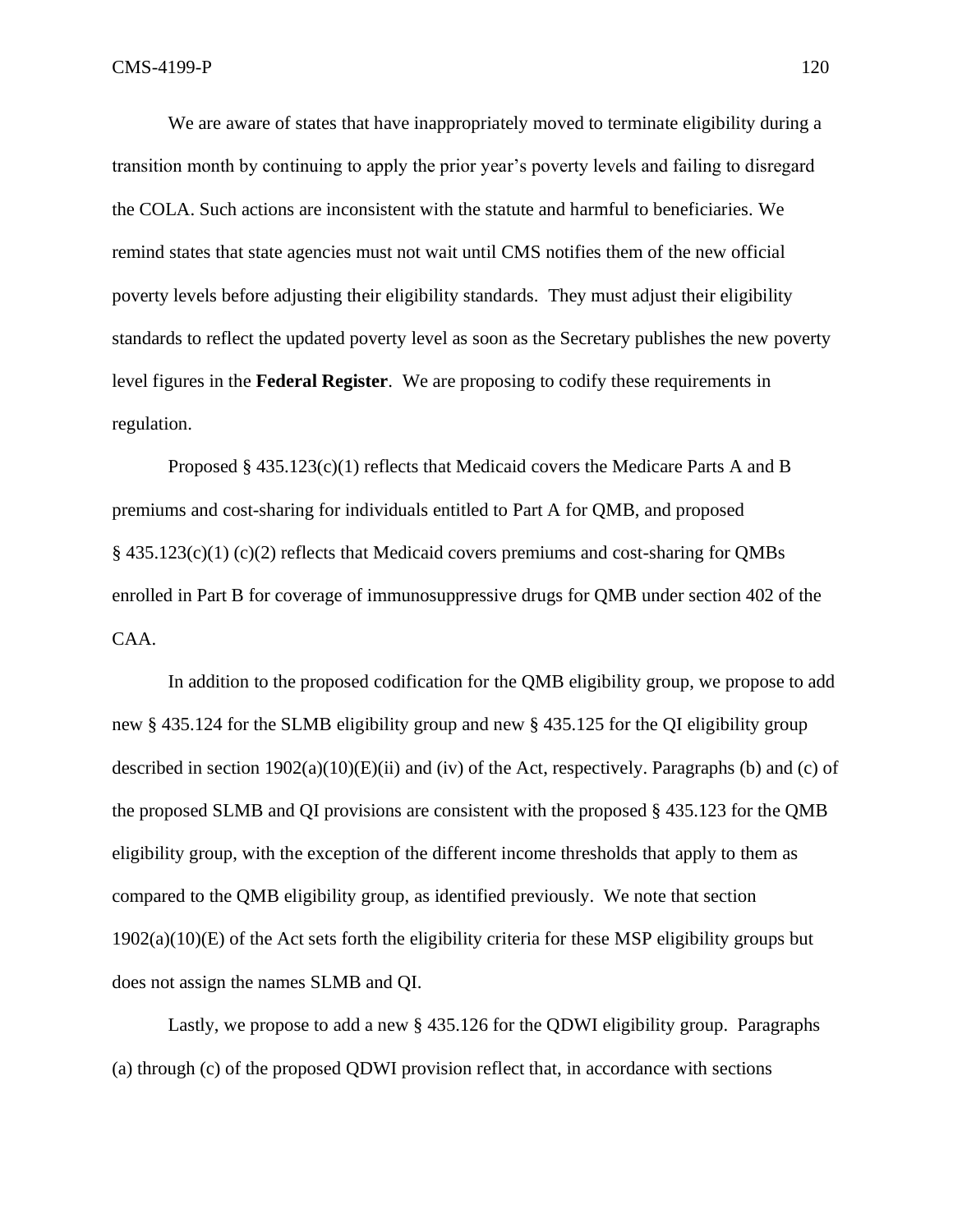We are aware of states that have inappropriately moved to terminate eligibility during a transition month by continuing to apply the prior year's poverty levels and failing to disregard the COLA. Such actions are inconsistent with the statute and harmful to beneficiaries. We remind states that state agencies must not wait until CMS notifies them of the new official poverty levels before adjusting their eligibility standards. They must adjust their eligibility standards to reflect the updated poverty level as soon as the Secretary publishes the new poverty level figures in the **Federal Register**. We are proposing to codify these requirements in regulation.

Proposed § 435.123(c)(1) reflects that Medicaid covers the Medicare Parts A and B premiums and cost-sharing for individuals entitled to Part A for QMB, and proposed § 435.123(c)(1) (c)(2) reflects that Medicaid covers premiums and cost-sharing for QMBs enrolled in Part B for coverage of immunosuppressive drugs for QMB under section 402 of the CAA.

In addition to the proposed codification for the QMB eligibility group, we propose to add new § 435.124 for the SLMB eligibility group and new § 435.125 for the QI eligibility group described in section  $1902(a)(10)(E)(ii)$  and (iv) of the Act, respectively. Paragraphs (b) and (c) of the proposed SLMB and QI provisions are consistent with the proposed § 435.123 for the QMB eligibility group, with the exception of the different income thresholds that apply to them as compared to the QMB eligibility group, as identified previously. We note that section 1902(a)(10)(E) of the Act sets forth the eligibility criteria for these MSP eligibility groups but does not assign the names SLMB and QI.

Lastly, we propose to add a new § 435.126 for the QDWI eligibility group. Paragraphs (a) through (c) of the proposed QDWI provision reflect that, in accordance with sections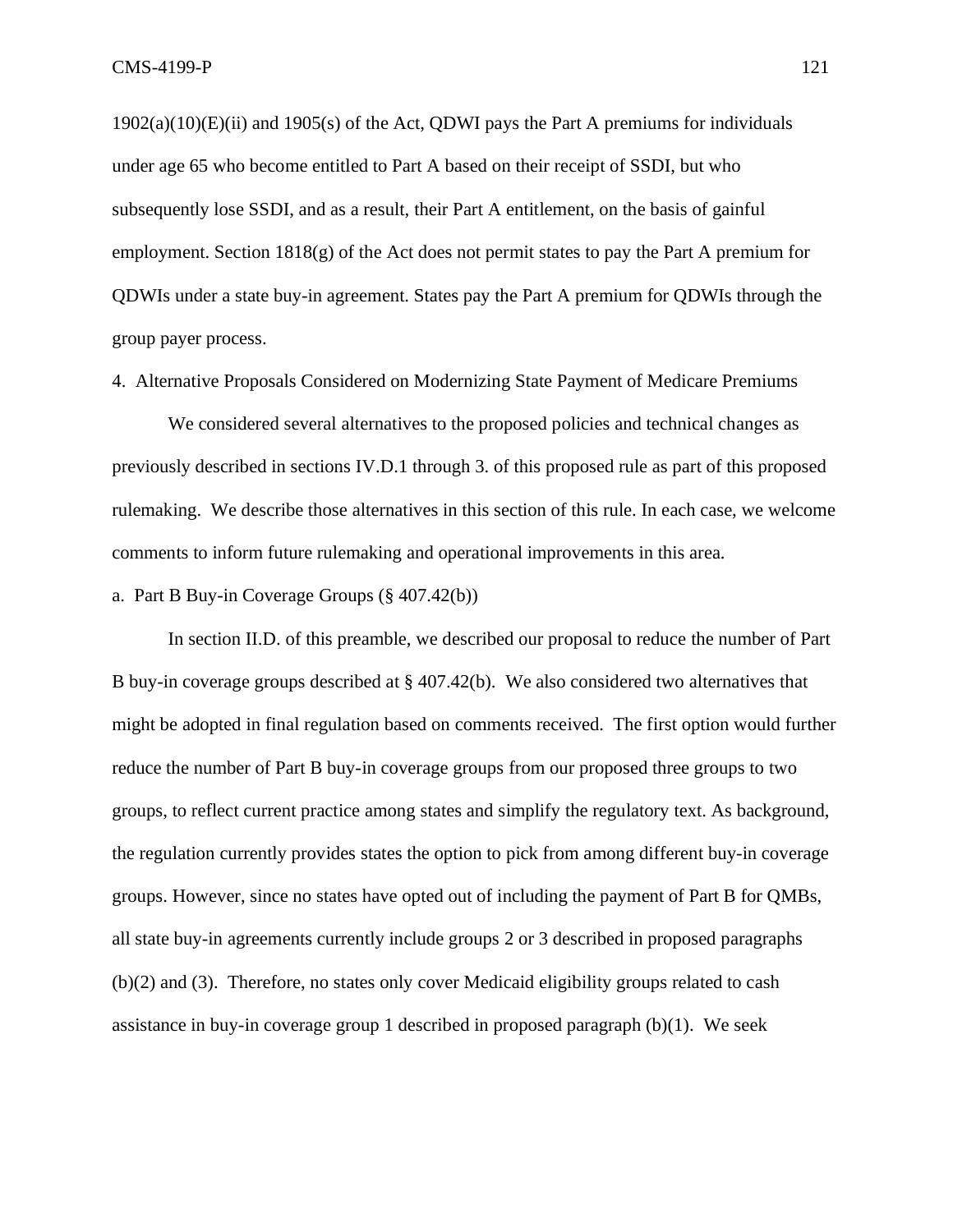1902(a)(10)(E)(ii) and 1905(s) of the Act, QDWI pays the Part A premiums for individuals under age 65 who become entitled to Part A based on their receipt of SSDI, but who subsequently lose SSDI, and as a result, their Part A entitlement, on the basis of gainful employment. Section 1818(g) of the Act does not permit states to pay the Part A premium for QDWIs under a state buy-in agreement. States pay the Part A premium for QDWIs through the group payer process.

4. Alternative Proposals Considered on Modernizing State Payment of Medicare Premiums

We considered several alternatives to the proposed policies and technical changes as previously described in sections IV.D.1 through 3. of this proposed rule as part of this proposed rulemaking. We describe those alternatives in this section of this rule. In each case, we welcome comments to inform future rulemaking and operational improvements in this area.

a. Part B Buy-in Coverage Groups (§ 407.42(b))

In section II.D. of this preamble, we described our proposal to reduce the number of Part B buy-in coverage groups described at § 407.42(b). We also considered two alternatives that might be adopted in final regulation based on comments received. The first option would further reduce the number of Part B buy-in coverage groups from our proposed three groups to two groups, to reflect current practice among states and simplify the regulatory text. As background, the regulation currently provides states the option to pick from among different buy-in coverage groups. However, since no states have opted out of including the payment of Part B for QMBs, all state buy-in agreements currently include groups 2 or 3 described in proposed paragraphs (b)(2) and (3). Therefore, no states only cover Medicaid eligibility groups related to cash assistance in buy-in coverage group 1 described in proposed paragraph (b)(1). We seek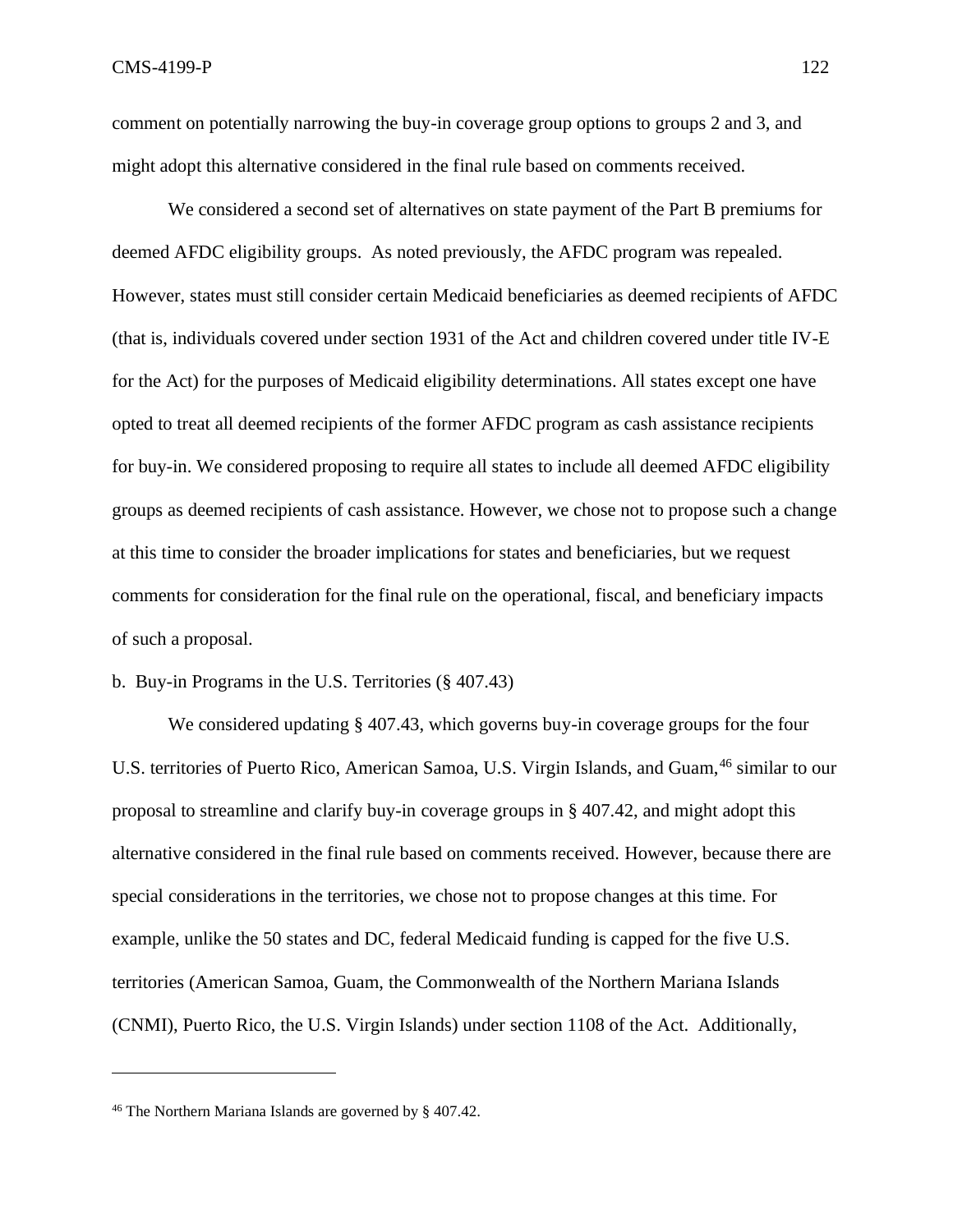comment on potentially narrowing the buy-in coverage group options to groups 2 and 3, and might adopt this alternative considered in the final rule based on comments received.

We considered a second set of alternatives on state payment of the Part B premiums for deemed AFDC eligibility groups. As noted previously, the AFDC program was repealed. However, states must still consider certain Medicaid beneficiaries as deemed recipients of AFDC (that is, individuals covered under section 1931 of the Act and children covered under title IV-E for the Act) for the purposes of Medicaid eligibility determinations. All states except one have opted to treat all deemed recipients of the former AFDC program as cash assistance recipients for buy-in. We considered proposing to require all states to include all deemed AFDC eligibility groups as deemed recipients of cash assistance. However, we chose not to propose such a change at this time to consider the broader implications for states and beneficiaries, but we request comments for consideration for the final rule on the operational, fiscal, and beneficiary impacts of such a proposal.

## b. Buy-in Programs in the U.S. Territories (§ 407.43)

We considered updating § 407.43, which governs buy-in coverage groups for the four U.S. territories of Puerto Rico, American Samoa, U.S. Virgin Islands, and Guam, <sup>46</sup> similar to our proposal to streamline and clarify buy-in coverage groups in § 407.42, and might adopt this alternative considered in the final rule based on comments received. However, because there are special considerations in the territories, we chose not to propose changes at this time. For example, unlike the 50 states and DC, federal Medicaid funding is capped for the five U.S. territories (American Samoa, Guam, the Commonwealth of the Northern Mariana Islands (CNMI), Puerto Rico, the U.S. Virgin Islands) under section 1108 of the Act. Additionally,

<sup>46</sup> The Northern Mariana Islands are governed by § 407.42.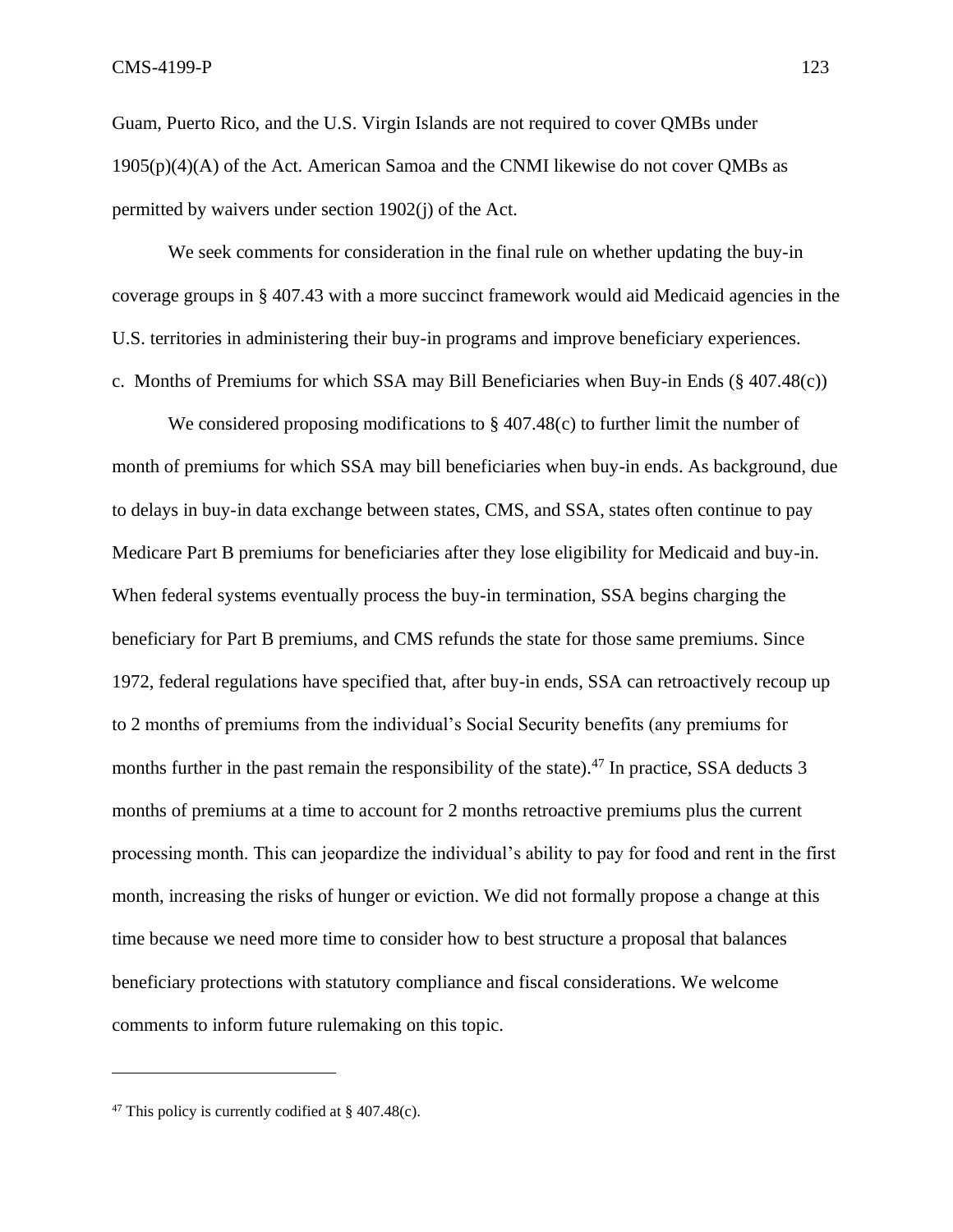Guam, Puerto Rico, and the U.S. Virgin Islands are not required to cover QMBs under  $1905(p)(4)(A)$  of the Act. American Samoa and the CNMI likewise do not cover QMBs as permitted by waivers under section 1902(j) of the Act.

We seek comments for consideration in the final rule on whether updating the buy-in coverage groups in § 407.43 with a more succinct framework would aid Medicaid agencies in the U.S. territories in administering their buy-in programs and improve beneficiary experiences. c. Months of Premiums for which SSA may Bill Beneficiaries when Buy-in Ends (§ 407.48(c))

We considered proposing modifications to  $\S 407.48(c)$  to further limit the number of month of premiums for which SSA may bill beneficiaries when buy-in ends. As background, due to delays in buy-in data exchange between states, CMS, and SSA, states often continue to pay Medicare Part B premiums for beneficiaries after they lose eligibility for Medicaid and buy-in. When federal systems eventually process the buy-in termination, SSA begins charging the beneficiary for Part B premiums, and CMS refunds the state for those same premiums. Since 1972, federal regulations have specified that, after buy-in ends, SSA can retroactively recoup up to 2 months of premiums from the individual's Social Security benefits (any premiums for months further in the past remain the responsibility of the state).<sup>47</sup> In practice, SSA deducts 3 months of premiums at a time to account for 2 months retroactive premiums plus the current processing month. This can jeopardize the individual's ability to pay for food and rent in the first month, increasing the risks of hunger or eviction. We did not formally propose a change at this time because we need more time to consider how to best structure a proposal that balances beneficiary protections with statutory compliance and fiscal considerations. We welcome comments to inform future rulemaking on this topic.

<sup>&</sup>lt;sup>47</sup> This policy is currently codified at  $\S$  407.48(c).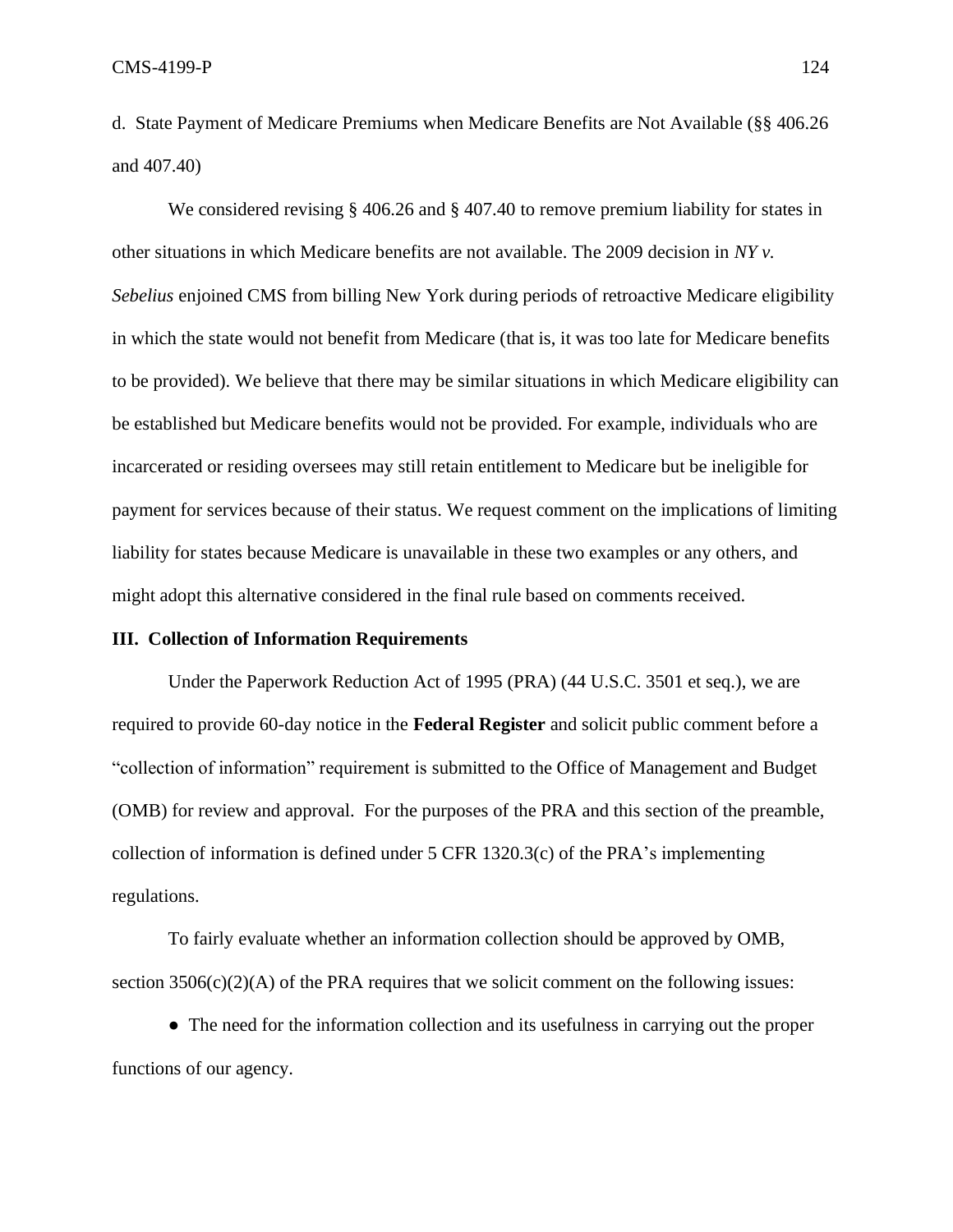d. State Payment of Medicare Premiums when Medicare Benefits are Not Available (§§ 406.26 and 407.40)

We considered revising § 406.26 and § 407.40 to remove premium liability for states in other situations in which Medicare benefits are not available. The 2009 decision in *NY v. Sebelius* enjoined CMS from billing New York during periods of retroactive Medicare eligibility in which the state would not benefit from Medicare (that is, it was too late for Medicare benefits to be provided). We believe that there may be similar situations in which Medicare eligibility can be established but Medicare benefits would not be provided. For example, individuals who are incarcerated or residing oversees may still retain entitlement to Medicare but be ineligible for payment for services because of their status. We request comment on the implications of limiting liability for states because Medicare is unavailable in these two examples or any others, and might adopt this alternative considered in the final rule based on comments received.

### **III. Collection of Information Requirements**

Under the Paperwork Reduction Act of 1995 (PRA) (44 U.S.C. 3501 et seq.), we are required to provide 60-day notice in the **Federal Register** and solicit public comment before a "collection of information" requirement is submitted to the Office of Management and Budget (OMB) for review and approval. For the purposes of the PRA and this section of the preamble, collection of information is defined under 5 CFR 1320.3(c) of the PRA's implementing regulations.

To fairly evaluate whether an information collection should be approved by OMB, section  $3506(c)(2)(A)$  of the PRA requires that we solicit comment on the following issues:

• The need for the information collection and its usefulness in carrying out the proper functions of our agency.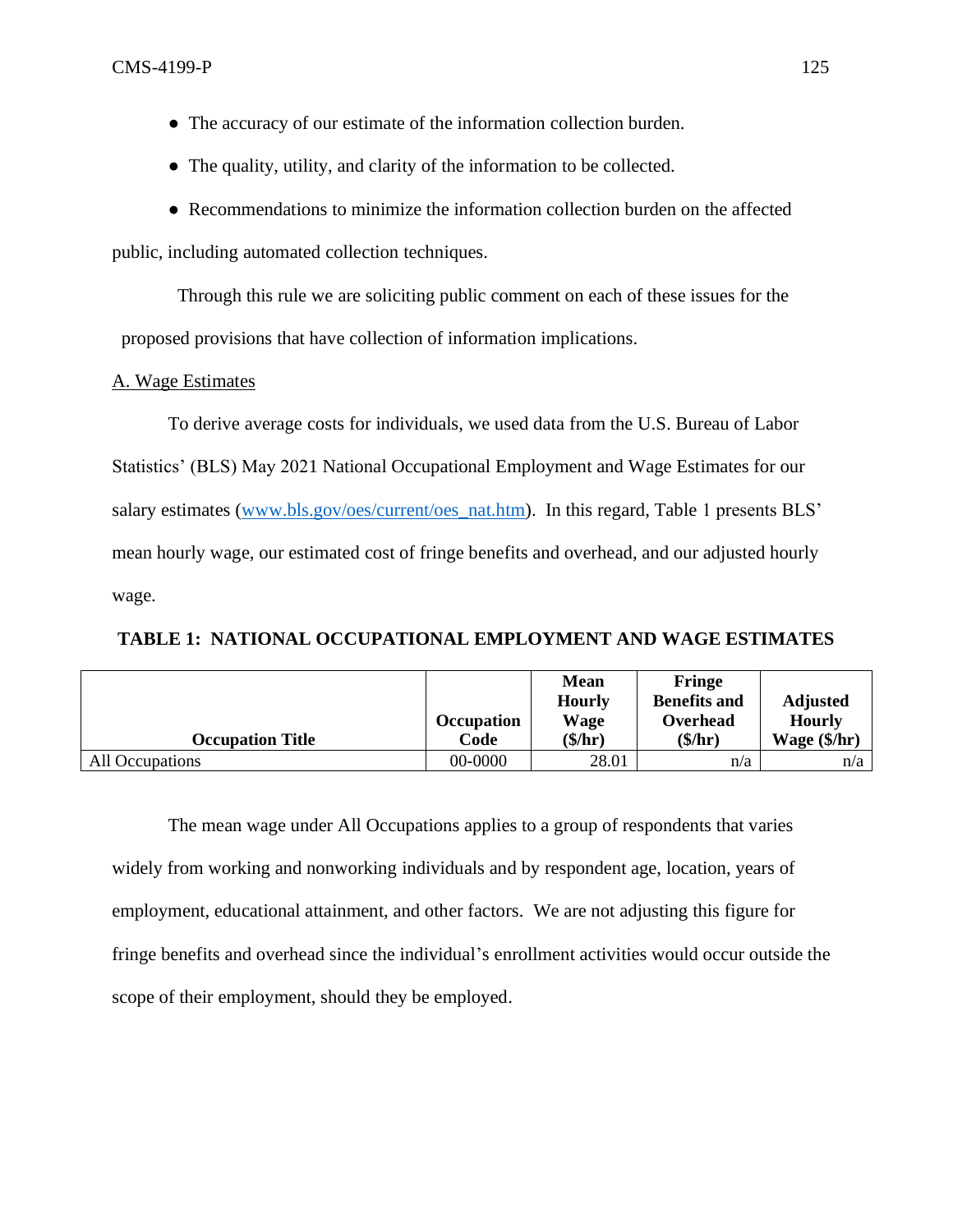- The accuracy of our estimate of the information collection burden.
- The quality, utility, and clarity of the information to be collected.
- Recommendations to minimize the information collection burden on the affected

public, including automated collection techniques.

Through this rule we are soliciting public comment on each of these issues for the proposed provisions that have collection of information implications.

# A. Wage Estimates

To derive average costs for individuals, we used data from the U.S. Bureau of Labor Statistics' (BLS) May 2021 National Occupational Employment and Wage Estimates for our salary estimates [\(www.bls.gov/oes/current/oes\\_nat.htm\)](http://www.bls.gov/oes/current/oes_nat.htm). In this regard, Table 1 presents BLS' mean hourly wage, our estimated cost of fringe benefits and overhead, and our adjusted hourly wage.

**TABLE 1: NATIONAL OCCUPATIONAL EMPLOYMENT AND WAGE ESTIMATES**

|                         |                   | <b>Mean</b>   | <b>Fringe</b>       |                         |
|-------------------------|-------------------|---------------|---------------------|-------------------------|
|                         |                   | <b>Hourly</b> | <b>Benefits and</b> | <b>Adjusted</b>         |
|                         | <b>Occupation</b> | Wage          | Overhead            | <b>Hourly</b>           |
| <b>Occupation Title</b> | Code              | $($/\hbar r)$ | (\$/hr)             | Wage $(\frac{1}{2}$ hr) |
| All Occupations         | 00-0000           | 28.01         | n/a                 | n/a                     |

The mean wage under All Occupations applies to a group of respondents that varies widely from working and nonworking individuals and by respondent age, location, years of employment, educational attainment, and other factors. We are not adjusting this figure for fringe benefits and overhead since the individual's enrollment activities would occur outside the scope of their employment, should they be employed.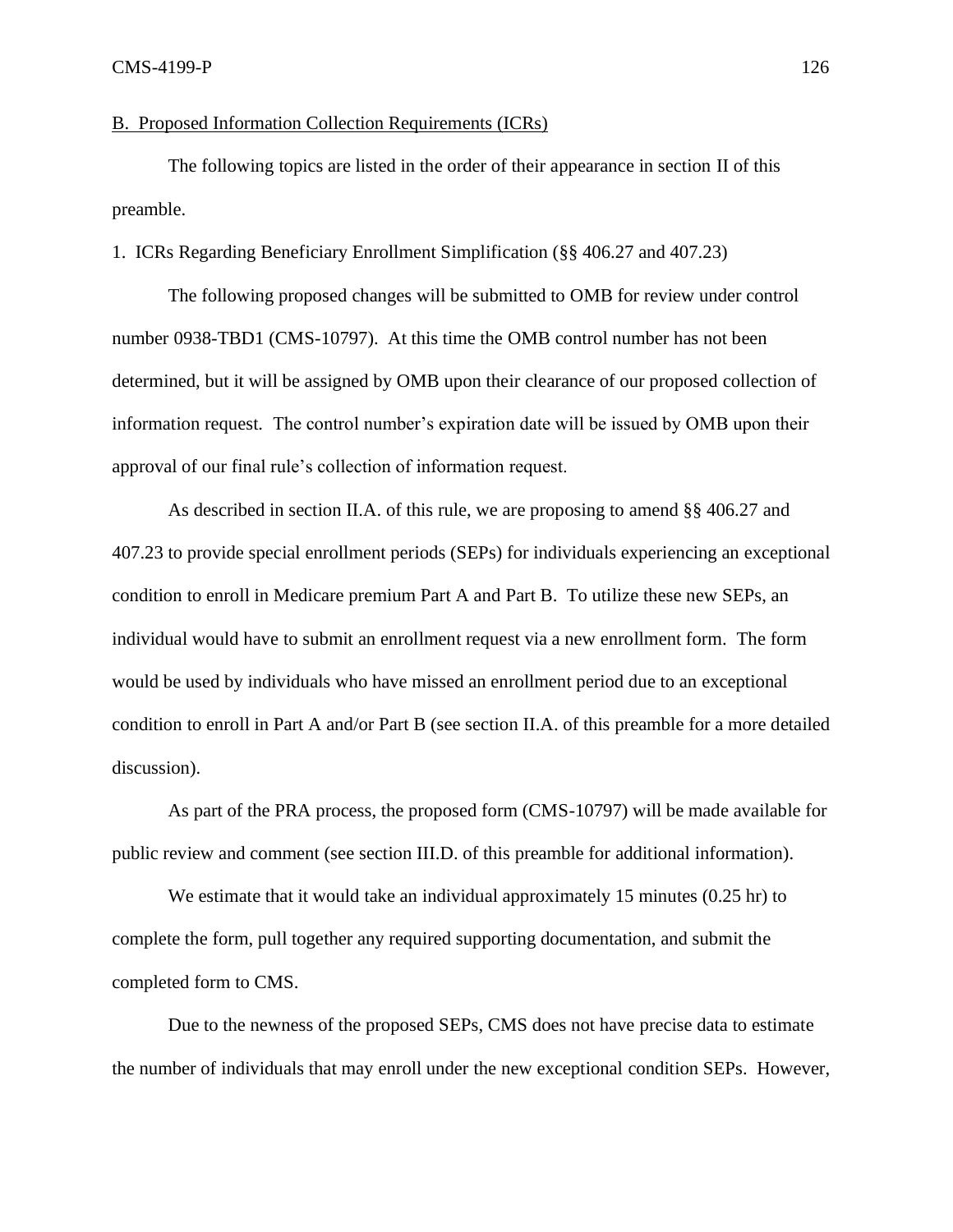## B. Proposed Information Collection Requirements (ICRs)

The following topics are listed in the order of their appearance in section II of this preamble.

## 1. ICRs Regarding Beneficiary Enrollment Simplification (§§ 406.27 and 407.23)

The following proposed changes will be submitted to OMB for review under control number 0938-TBD1 (CMS-10797). At this time the OMB control number has not been determined, but it will be assigned by OMB upon their clearance of our proposed collection of information request. The control number's expiration date will be issued by OMB upon their approval of our final rule's collection of information request.

As described in section II.A. of this rule, we are proposing to amend §§ 406.27 and 407.23 to provide special enrollment periods (SEPs) for individuals experiencing an exceptional condition to enroll in Medicare premium Part A and Part B. To utilize these new SEPs, an individual would have to submit an enrollment request via a new enrollment form. The form would be used by individuals who have missed an enrollment period due to an exceptional condition to enroll in Part A and/or Part B (see section II.A. of this preamble for a more detailed discussion).

As part of the PRA process, the proposed form (CMS-10797) will be made available for public review and comment (see section III.D. of this preamble for additional information).

We estimate that it would take an individual approximately 15 minutes (0.25 hr) to complete the form, pull together any required supporting documentation, and submit the completed form to CMS.

Due to the newness of the proposed SEPs, CMS does not have precise data to estimate the number of individuals that may enroll under the new exceptional condition SEPs. However,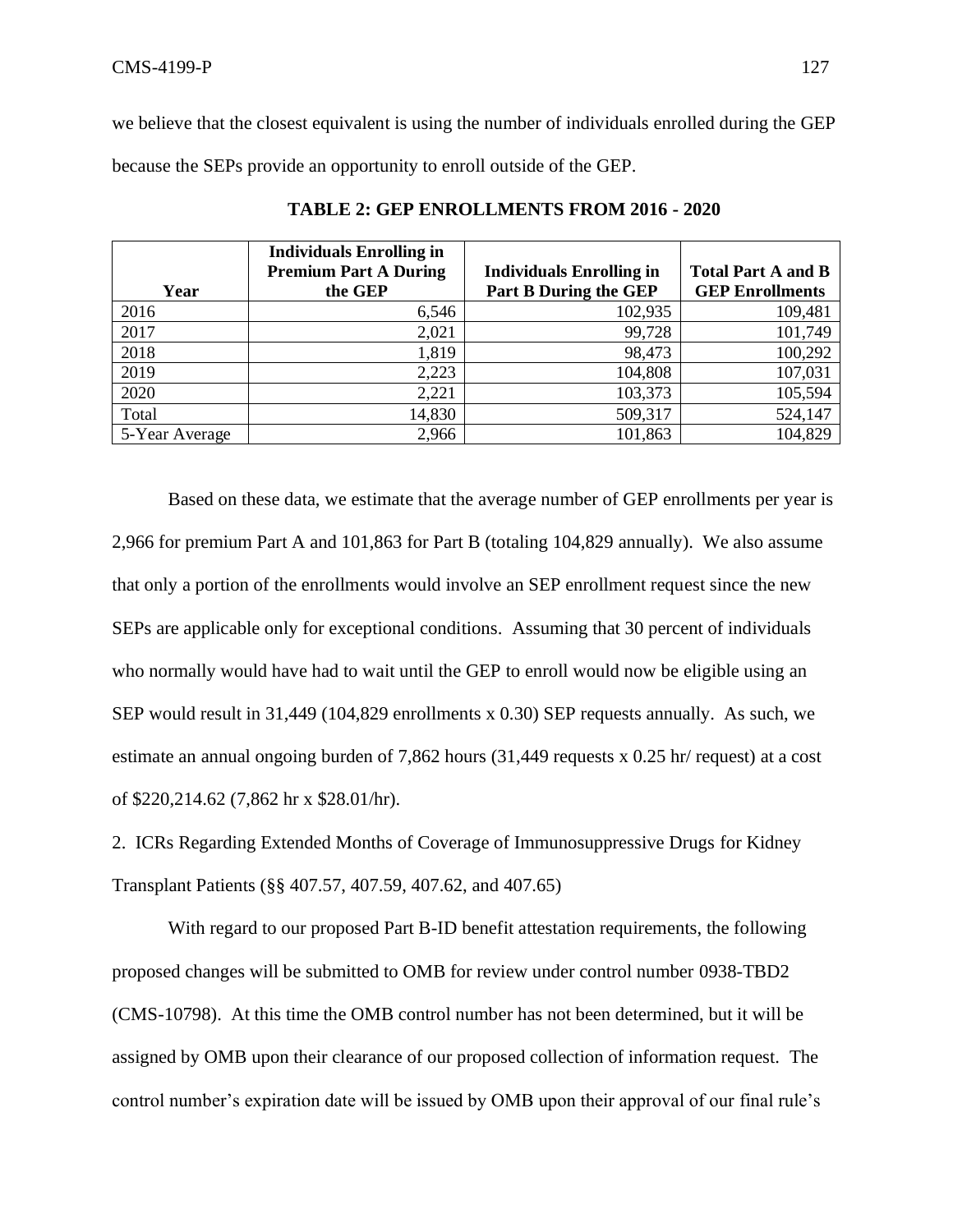we believe that the closest equivalent is using the number of individuals enrolled during the GEP because the SEPs provide an opportunity to enroll outside of the GEP.

|                | <b>Individuals Enrolling in</b> |                                 |                           |
|----------------|---------------------------------|---------------------------------|---------------------------|
|                | <b>Premium Part A During</b>    | <b>Individuals Enrolling in</b> | <b>Total Part A and B</b> |
| Year           | the GEP                         | Part B During the GEP           | <b>GEP Enrollments</b>    |
| 2016           | 6,546                           | 102,935                         | 109,481                   |
| 2017           | 2,021                           | 99,728                          | 101,749                   |
| 2018           | 1,819                           | 98,473                          | 100,292                   |
| 2019           | 2,223                           | 104,808                         | 107,031                   |
| 2020           | 2,221                           | 103,373                         | 105,594                   |
| Total          | 14,830                          | 509,317                         | 524,147                   |
| 5-Year Average | 2,966                           | 101,863                         | 104,829                   |

**TABLE 2: GEP ENROLLMENTS FROM 2016 - 2020**

Based on these data, we estimate that the average number of GEP enrollments per year is 2,966 for premium Part A and 101,863 for Part B (totaling 104,829 annually). We also assume that only a portion of the enrollments would involve an SEP enrollment request since the new SEPs are applicable only for exceptional conditions. Assuming that 30 percent of individuals who normally would have had to wait until the GEP to enroll would now be eligible using an SEP would result in 31,449 (104,829 enrollments x 0.30) SEP requests annually. As such, we estimate an annual ongoing burden of 7,862 hours (31,449 requests x 0.25 hr/ request) at a cost of \$220,214.62 (7,862 hr x \$28.01/hr).

2. ICRs Regarding Extended Months of Coverage of Immunosuppressive Drugs for Kidney Transplant Patients (§§ 407.57, 407.59, 407.62, and 407.65)

With regard to our proposed Part B-ID benefit attestation requirements, the following proposed changes will be submitted to OMB for review under control number 0938-TBD2 (CMS-10798). At this time the OMB control number has not been determined, but it will be assigned by OMB upon their clearance of our proposed collection of information request. The control number's expiration date will be issued by OMB upon their approval of our final rule's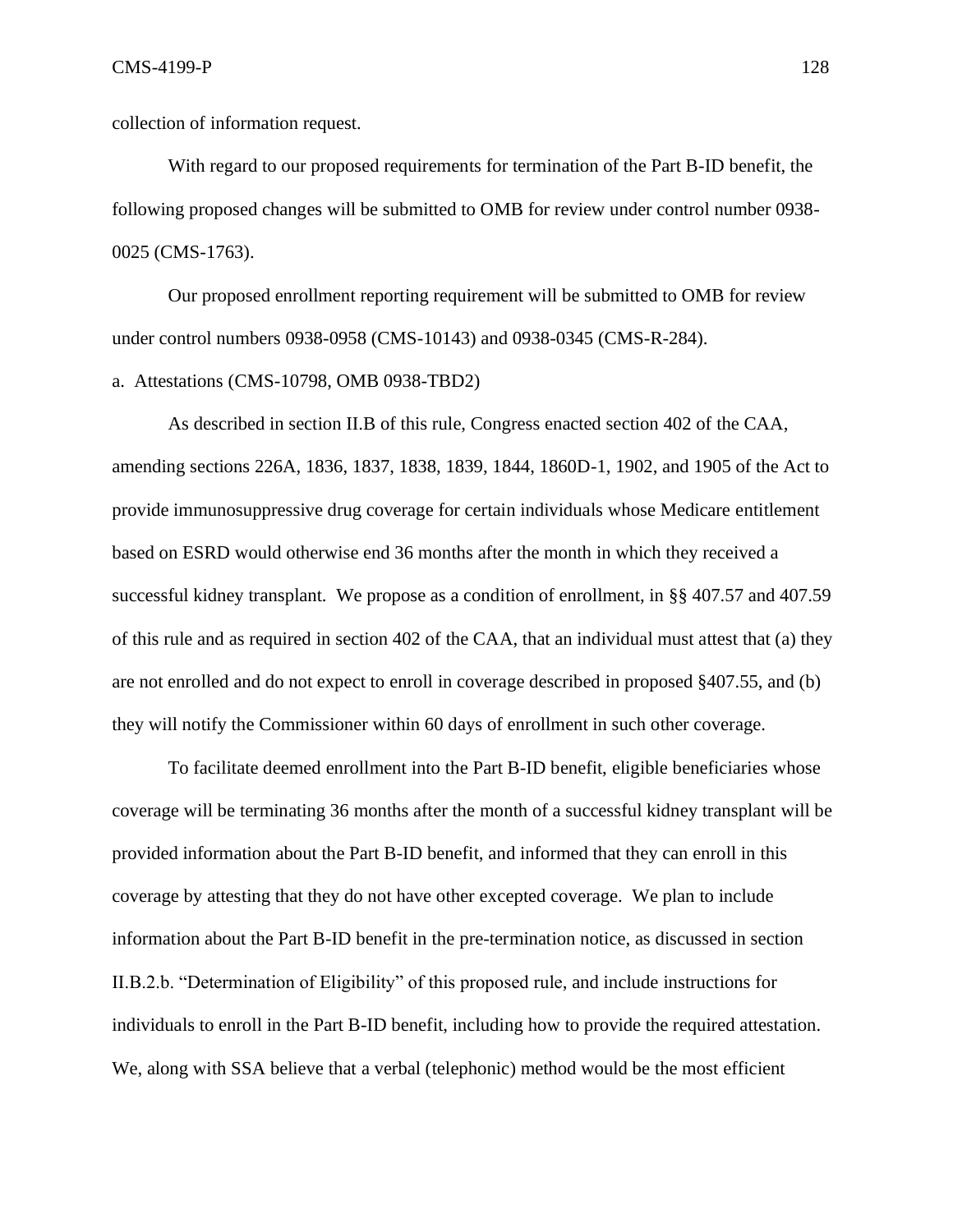collection of information request.

With regard to our proposed requirements for termination of the Part B-ID benefit, the following proposed changes will be submitted to OMB for review under control number 0938- 0025 (CMS-1763).

Our proposed enrollment reporting requirement will be submitted to OMB for review under control numbers 0938-0958 (CMS-10143) and 0938-0345 (CMS-R-284).

## a. Attestations (CMS-10798, OMB 0938-TBD2)

As described in section II.B of this rule, Congress enacted section 402 of the CAA, amending sections 226A, 1836, 1837, 1838, 1839, 1844, 1860D-1, 1902, and 1905 of the Act to provide immunosuppressive drug coverage for certain individuals whose Medicare entitlement based on ESRD would otherwise end 36 months after the month in which they received a successful kidney transplant. We propose as a condition of enrollment, in §§ 407.57 and 407.59 of this rule and as required in section 402 of the CAA, that an individual must attest that (a) they are not enrolled and do not expect to enroll in coverage described in proposed §407.55, and (b) they will notify the Commissioner within 60 days of enrollment in such other coverage.

To facilitate deemed enrollment into the Part B-ID benefit, eligible beneficiaries whose coverage will be terminating 36 months after the month of a successful kidney transplant will be provided information about the Part B-ID benefit, and informed that they can enroll in this coverage by attesting that they do not have other excepted coverage. We plan to include information about the Part B-ID benefit in the pre-termination notice, as discussed in section II.B.2.b. "Determination of Eligibility" of this proposed rule, and include instructions for individuals to enroll in the Part B-ID benefit, including how to provide the required attestation. We, along with SSA believe that a verbal (telephonic) method would be the most efficient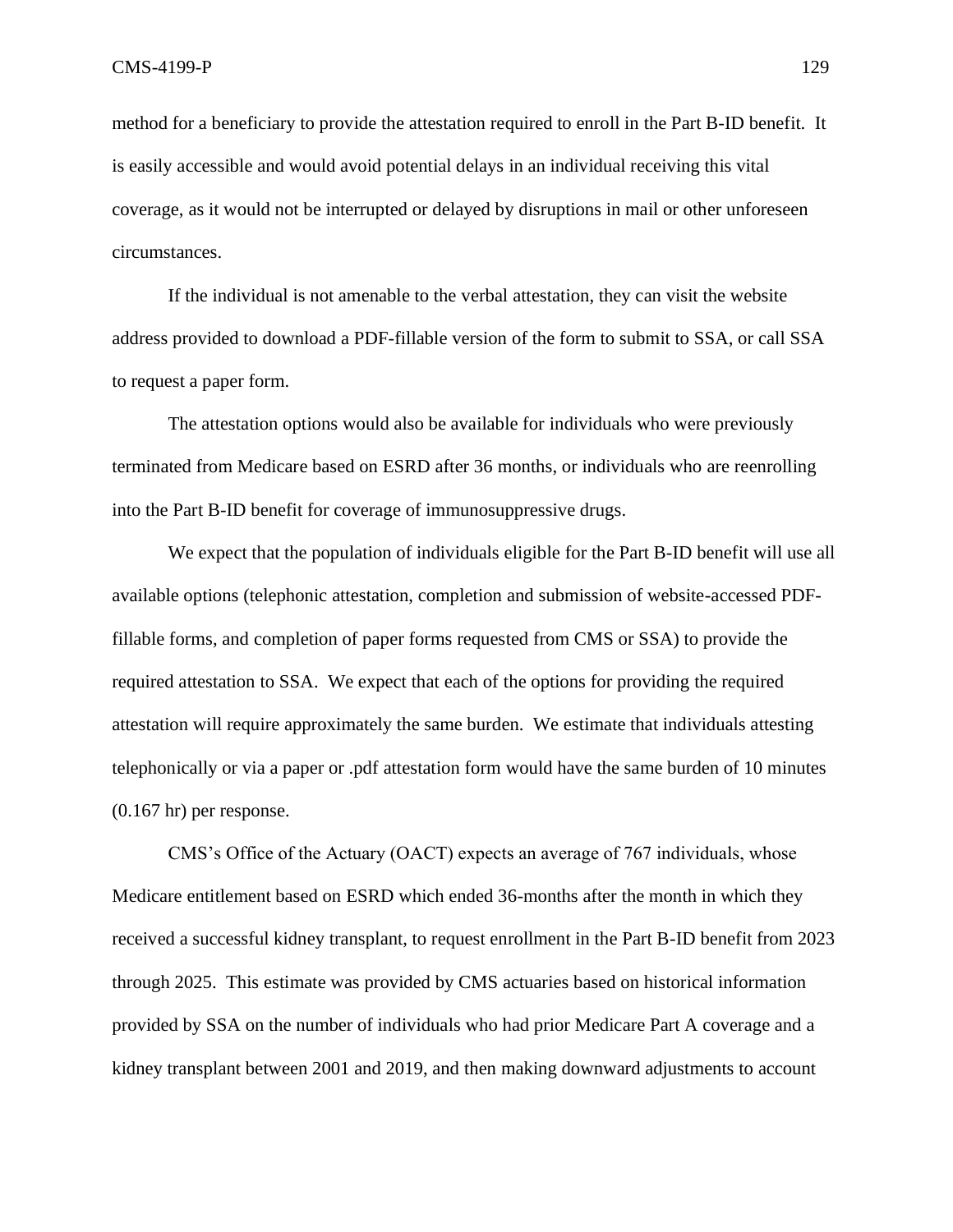method for a beneficiary to provide the attestation required to enroll in the Part B-ID benefit. It is easily accessible and would avoid potential delays in an individual receiving this vital coverage, as it would not be interrupted or delayed by disruptions in mail or other unforeseen circumstances.

If the individual is not amenable to the verbal attestation, they can visit the website address provided to download a PDF-fillable version of the form to submit to SSA, or call SSA to request a paper form.

The attestation options would also be available for individuals who were previously terminated from Medicare based on ESRD after 36 months, or individuals who are reenrolling into the Part B-ID benefit for coverage of immunosuppressive drugs.

We expect that the population of individuals eligible for the Part B-ID benefit will use all available options (telephonic attestation, completion and submission of website-accessed PDFfillable forms, and completion of paper forms requested from CMS or SSA) to provide the required attestation to SSA. We expect that each of the options for providing the required attestation will require approximately the same burden. We estimate that individuals attesting telephonically or via a paper or .pdf attestation form would have the same burden of 10 minutes (0.167 hr) per response.

CMS's Office of the Actuary (OACT) expects an average of 767 individuals, whose Medicare entitlement based on ESRD which ended 36-months after the month in which they received a successful kidney transplant, to request enrollment in the Part B-ID benefit from 2023 through 2025. This estimate was provided by CMS actuaries based on historical information provided by SSA on the number of individuals who had prior Medicare Part A coverage and a kidney transplant between 2001 and 2019, and then making downward adjustments to account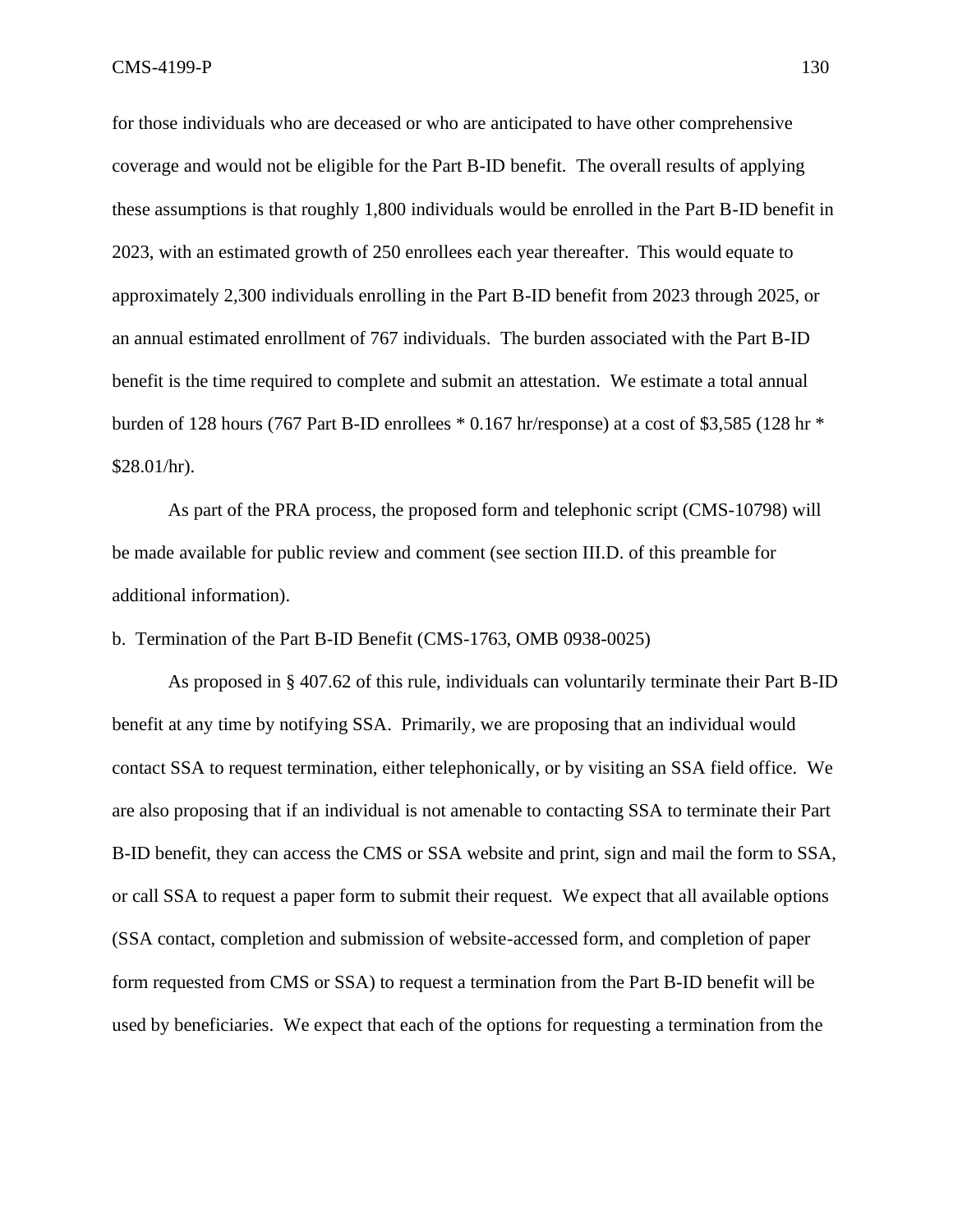for those individuals who are deceased or who are anticipated to have other comprehensive coverage and would not be eligible for the Part B-ID benefit. The overall results of applying these assumptions is that roughly 1,800 individuals would be enrolled in the Part B-ID benefit in 2023, with an estimated growth of 250 enrollees each year thereafter.This would equate to approximately 2,300 individuals enrolling in the Part B-ID benefit from 2023 through 2025, or an annual estimated enrollment of 767 individuals. The burden associated with the Part B-ID benefit is the time required to complete and submit an attestation. We estimate a total annual burden of 128 hours (767 Part B-ID enrollees  $*$  0.167 hr/response) at a cost of \$3,585 (128 hr  $*$  $$28.01/hr$ ).

As part of the PRA process, the proposed form and telephonic script (CMS-10798) will be made available for public review and comment (see section III.D. of this preamble for additional information).

b. Termination of the Part B-ID Benefit (CMS-1763, OMB 0938-0025)

As proposed in § 407.62 of this rule, individuals can voluntarily terminate their Part B-ID benefit at any time by notifying SSA. Primarily, we are proposing that an individual would contact SSA to request termination, either telephonically, or by visiting an SSA field office. We are also proposing that if an individual is not amenable to contacting SSA to terminate their Part B-ID benefit, they can access the CMS or SSA website and print, sign and mail the form to SSA, or call SSA to request a paper form to submit their request. We expect that all available options (SSA contact, completion and submission of website-accessed form, and completion of paper form requested from CMS or SSA) to request a termination from the Part B-ID benefit will be used by beneficiaries. We expect that each of the options for requesting a termination from the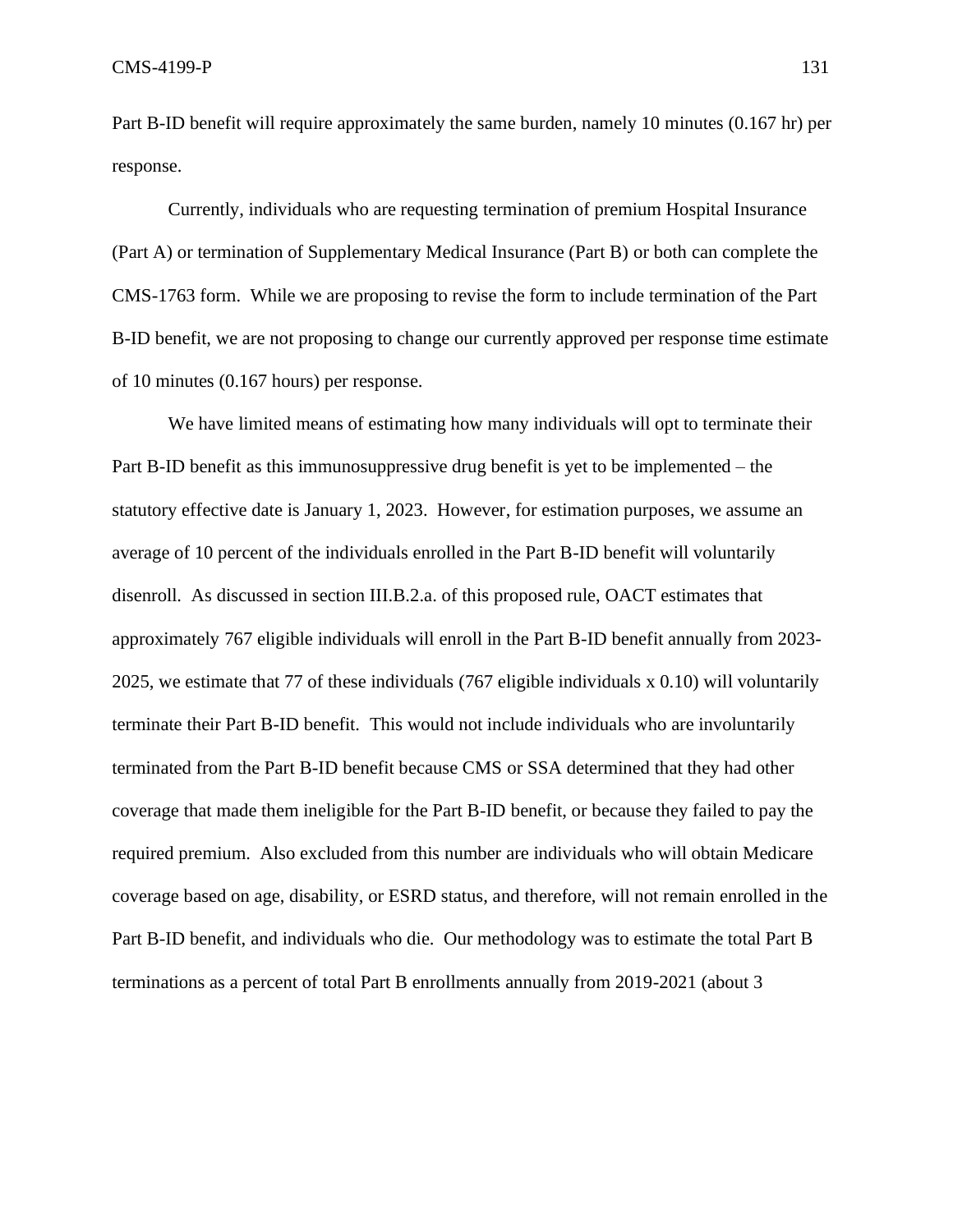Part B-ID benefit will require approximately the same burden, namely 10 minutes (0.167 hr) per response.

Currently, individuals who are requesting termination of premium Hospital Insurance (Part A) or termination of Supplementary Medical Insurance (Part B) or both can complete the CMS-1763 form. While we are proposing to revise the form to include termination of the Part B-ID benefit, we are not proposing to change our currently approved per response time estimate of 10 minutes (0.167 hours) per response.

We have limited means of estimating how many individuals will opt to terminate their Part B-ID benefit as this immunosuppressive drug benefit is yet to be implemented – the statutory effective date is January 1, 2023. However, for estimation purposes, we assume an average of 10 percent of the individuals enrolled in the Part B-ID benefit will voluntarily disenroll. As discussed in section III.B.2.a. of this proposed rule, OACT estimates that approximately 767 eligible individuals will enroll in the Part B-ID benefit annually from 2023- 2025, we estimate that 77 of these individuals (767 eligible individuals x 0.10) will voluntarily terminate their Part B-ID benefit. This would not include individuals who are involuntarily terminated from the Part B-ID benefit because CMS or SSA determined that they had other coverage that made them ineligible for the Part B-ID benefit, or because they failed to pay the required premium. Also excluded from this number are individuals who will obtain Medicare coverage based on age, disability, or ESRD status, and therefore, will not remain enrolled in the Part B-ID benefit, and individuals who die. Our methodology was to estimate the total Part B terminations as a percent of total Part B enrollments annually from 2019-2021 (about 3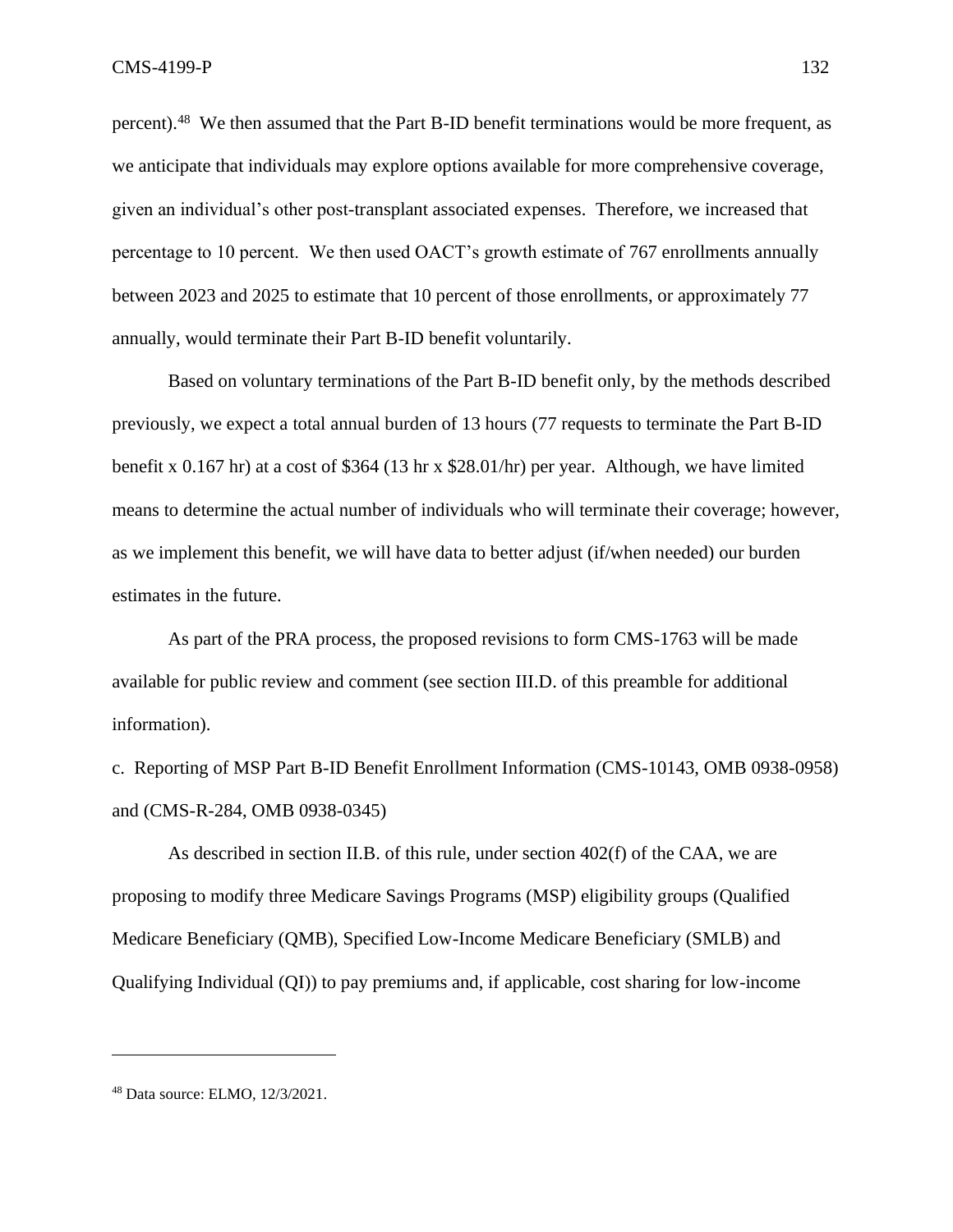percent).<sup>48</sup> We then assumed that the Part B-ID benefit terminations would be more frequent, as we anticipate that individuals may explore options available for more comprehensive coverage, given an individual's other post-transplant associated expenses. Therefore, we increased that percentage to 10 percent. We then used OACT's growth estimate of 767 enrollments annually between 2023 and 2025 to estimate that 10 percent of those enrollments, or approximately 77 annually, would terminate their Part B-ID benefit voluntarily.

Based on voluntary terminations of the Part B-ID benefit only, by the methods described previously, we expect a total annual burden of 13 hours (77 requests to terminate the Part B-ID benefit x 0.167 hr) at a cost of \$364 (13 hr x \$28.01/hr) per year. Although, we have limited means to determine the actual number of individuals who will terminate their coverage; however, as we implement this benefit, we will have data to better adjust (if/when needed) our burden estimates in the future.

As part of the PRA process, the proposed revisions to form CMS-1763 will be made available for public review and comment (see section III.D. of this preamble for additional information).

c. Reporting of MSP Part B-ID Benefit Enrollment Information (CMS-10143, OMB 0938-0958) and (CMS-R-284, OMB 0938-0345)

As described in section II.B. of this rule, under section  $402(f)$  of the CAA, we are proposing to modify three Medicare Savings Programs (MSP) eligibility groups (Qualified Medicare Beneficiary (QMB), Specified Low-Income Medicare Beneficiary (SMLB) and Qualifying Individual (QI)) to pay premiums and, if applicable, cost sharing for low-income

<sup>48</sup> Data source: ELMO, 12/3/2021.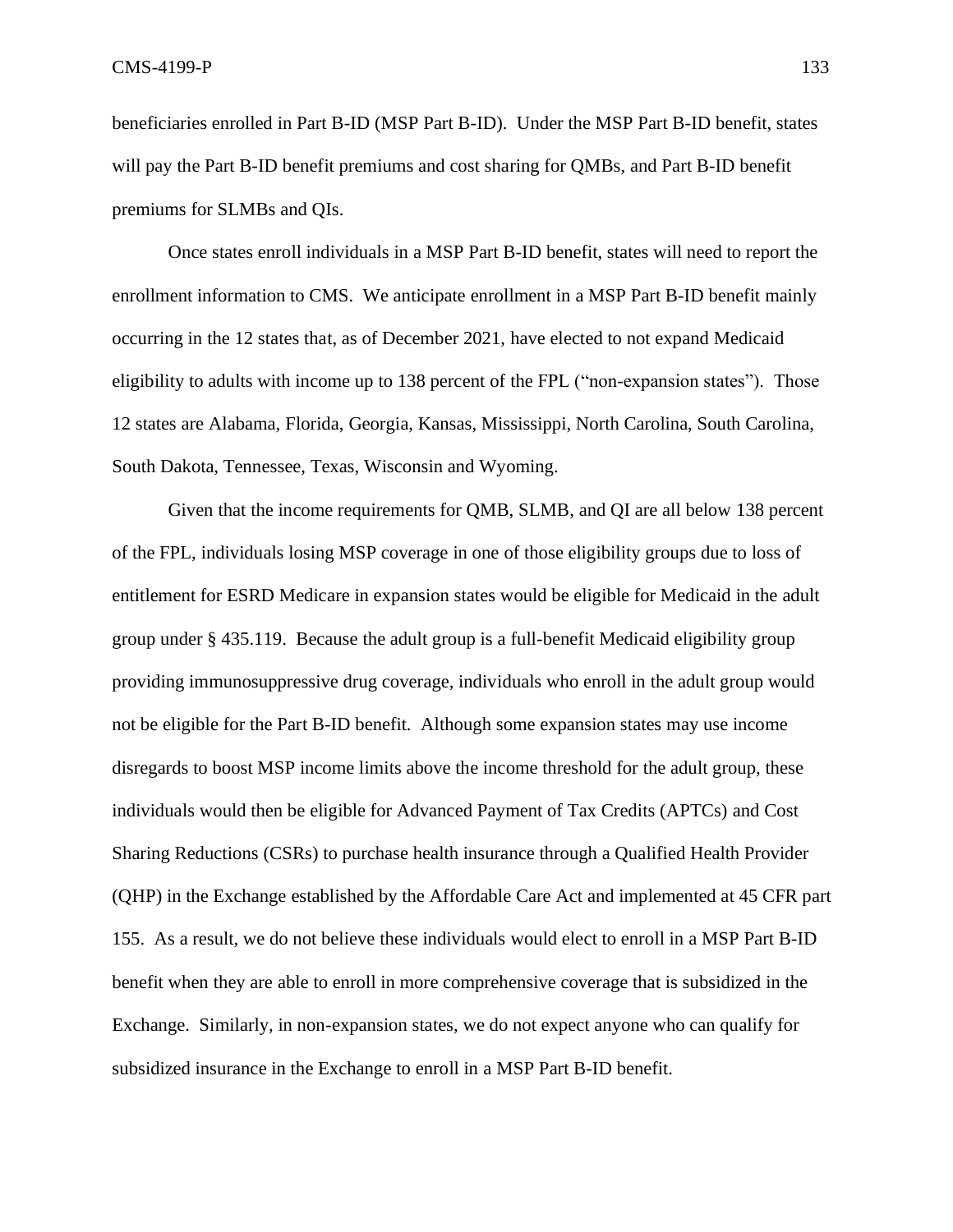beneficiaries enrolled in Part B-ID (MSP Part B-ID). Under the MSP Part B-ID benefit, states will pay the Part B-ID benefit premiums and cost sharing for QMBs, and Part B-ID benefit premiums for SLMBs and QIs.

Once states enroll individuals in a MSP Part B-ID benefit, states will need to report the enrollment information to CMS. We anticipate enrollment in a MSP Part B-ID benefit mainly occurring in the 12 states that, as of December 2021, have elected to not expand Medicaid eligibility to adults with income up to 138 percent of the FPL ("non-expansion states"). Those 12 states are Alabama, Florida, Georgia, Kansas, Mississippi, North Carolina, South Carolina, South Dakota, Tennessee, Texas, Wisconsin and Wyoming.

Given that the income requirements for QMB, SLMB, and QI are all below 138 percent of the FPL, individuals losing MSP coverage in one of those eligibility groups due to loss of entitlement for ESRD Medicare in expansion states would be eligible for Medicaid in the adult group under § 435.119. Because the adult group is a full-benefit Medicaid eligibility group providing immunosuppressive drug coverage, individuals who enroll in the adult group would not be eligible for the Part B-ID benefit. Although some expansion states may use income disregards to boost MSP income limits above the income threshold for the adult group, these individuals would then be eligible for Advanced Payment of Tax Credits (APTCs) and Cost Sharing Reductions (CSRs) to purchase health insurance through a Qualified Health Provider (QHP) in the Exchange established by the Affordable Care Act and implemented at 45 CFR part 155. As a result, we do not believe these individuals would elect to enroll in a MSP Part B-ID benefit when they are able to enroll in more comprehensive coverage that is subsidized in the Exchange. Similarly, in non-expansion states, we do not expect anyone who can qualify for subsidized insurance in the Exchange to enroll in a MSP Part B-ID benefit.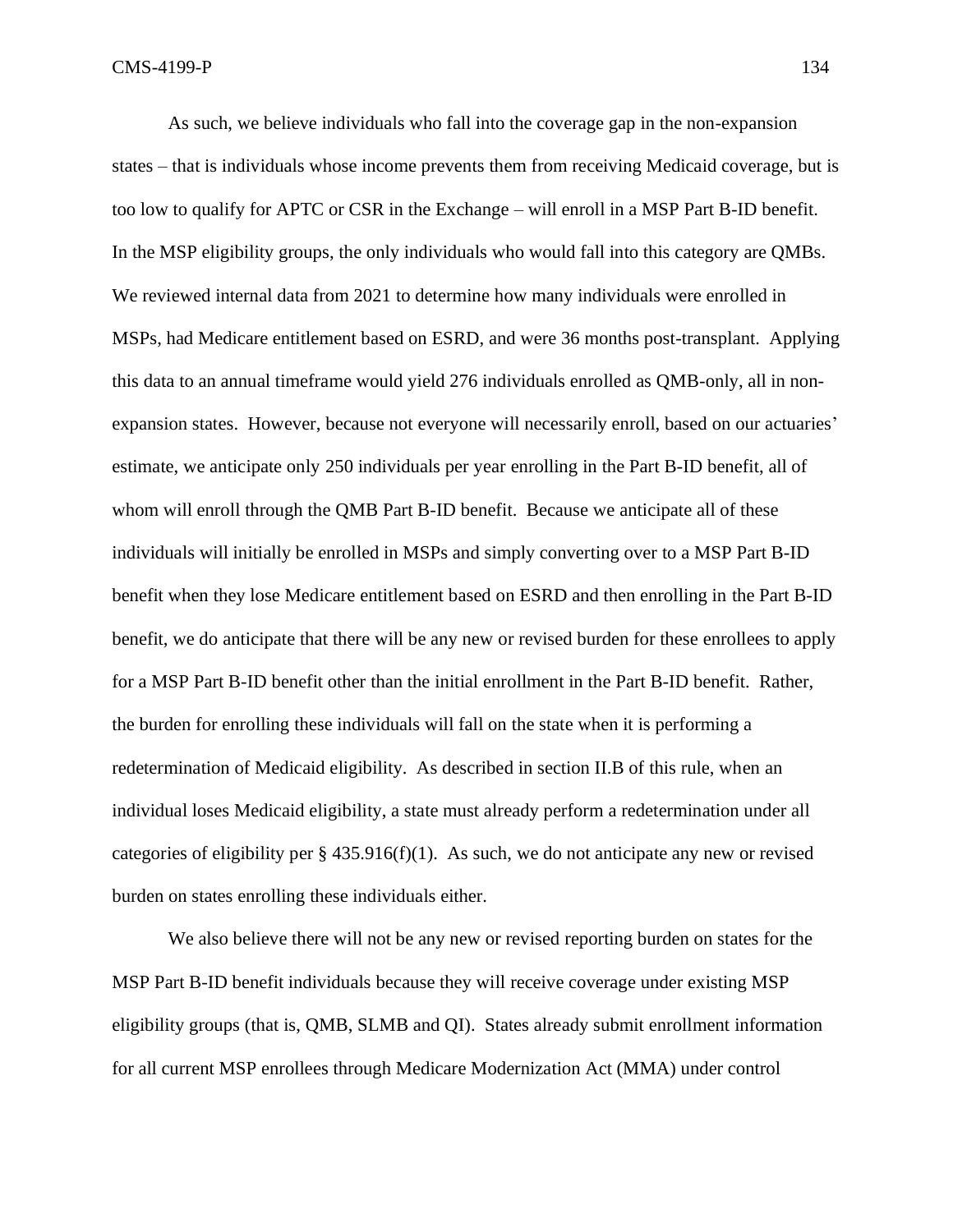As such, we believe individuals who fall into the coverage gap in the non-expansion states – that is individuals whose income prevents them from receiving Medicaid coverage, but is too low to qualify for APTC or CSR in the Exchange – will enroll in a MSP Part B-ID benefit. In the MSP eligibility groups, the only individuals who would fall into this category are QMBs. We reviewed internal data from 2021 to determine how many individuals were enrolled in MSPs, had Medicare entitlement based on ESRD, and were 36 months post-transplant. Applying this data to an annual timeframe would yield 276 individuals enrolled as QMB-only, all in nonexpansion states. However, because not everyone will necessarily enroll, based on our actuaries' estimate, we anticipate only 250 individuals per year enrolling in the Part B-ID benefit, all of whom will enroll through the QMB Part B-ID benefit. Because we anticipate all of these individuals will initially be enrolled in MSPs and simply converting over to a MSP Part B-ID benefit when they lose Medicare entitlement based on ESRD and then enrolling in the Part B-ID benefit, we do anticipate that there will be any new or revised burden for these enrollees to apply for a MSP Part B-ID benefit other than the initial enrollment in the Part B-ID benefit. Rather, the burden for enrolling these individuals will fall on the state when it is performing a redetermination of Medicaid eligibility. As described in section II.B of this rule, when an individual loses Medicaid eligibility, a state must already perform a redetermination under all categories of eligibility per  $\S$  435.916(f)(1). As such, we do not anticipate any new or revised burden on states enrolling these individuals either.

We also believe there will not be any new or revised reporting burden on states for the MSP Part B-ID benefit individuals because they will receive coverage under existing MSP eligibility groups (that is, QMB, SLMB and QI). States already submit enrollment information for all current MSP enrollees through Medicare Modernization Act (MMA) under control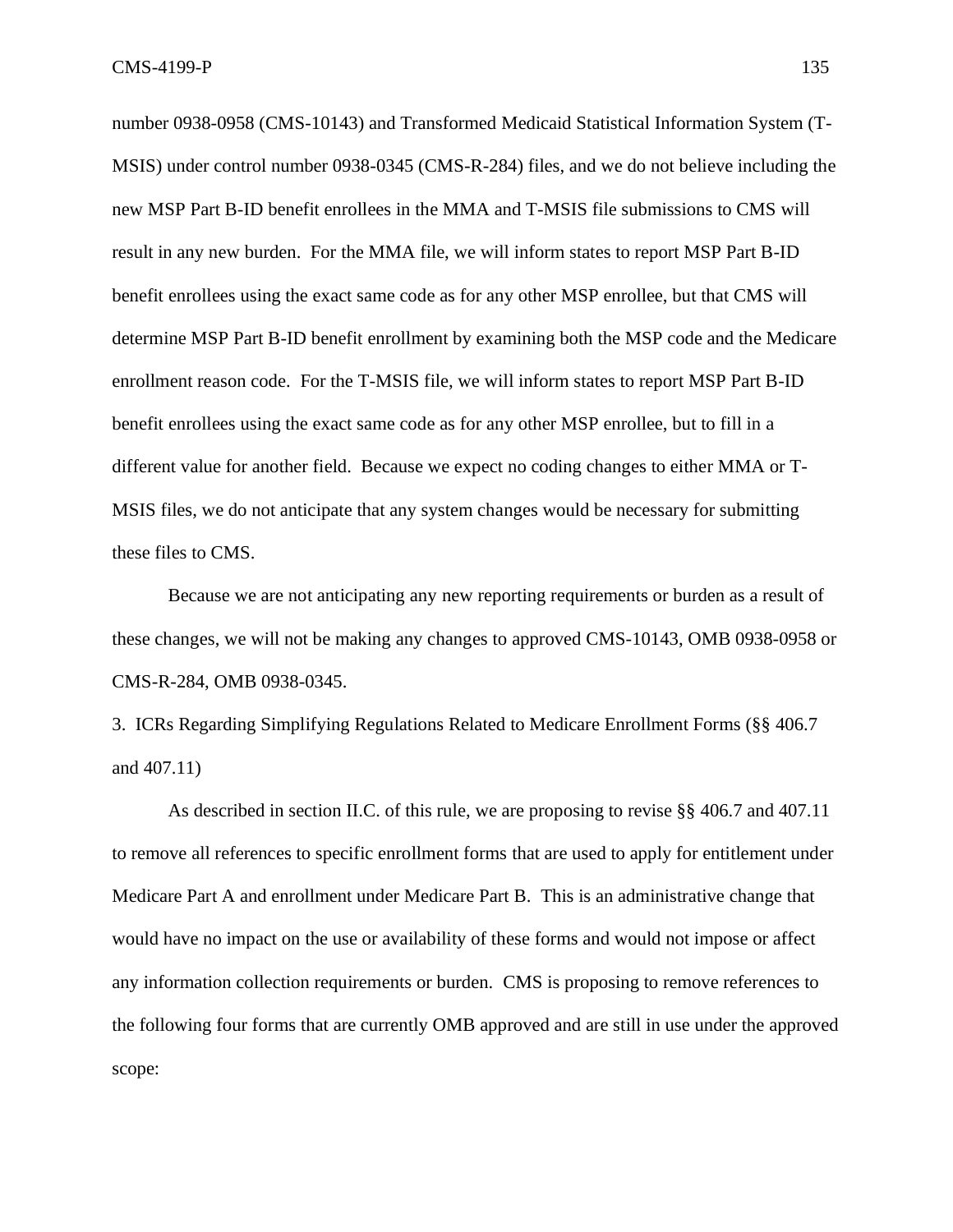number 0938-0958 (CMS-10143) and Transformed Medicaid Statistical Information System (T-MSIS) under control number 0938-0345 (CMS-R-284) files, and we do not believe including the new MSP Part B-ID benefit enrollees in the MMA and T-MSIS file submissions to CMS will result in any new burden. For the MMA file, we will inform states to report MSP Part B-ID benefit enrollees using the exact same code as for any other MSP enrollee, but that CMS will determine MSP Part B-ID benefit enrollment by examining both the MSP code and the Medicare enrollment reason code. For the T-MSIS file, we will inform states to report MSP Part B-ID benefit enrollees using the exact same code as for any other MSP enrollee, but to fill in a different value for another field. Because we expect no coding changes to either MMA or T-MSIS files, we do not anticipate that any system changes would be necessary for submitting these files to CMS.

Because we are not anticipating any new reporting requirements or burden as a result of these changes, we will not be making any changes to approved CMS-10143, OMB 0938-0958 or CMS-R-284, OMB 0938-0345.

3. ICRs Regarding Simplifying Regulations Related to Medicare Enrollment Forms (§§ 406.7 and 407.11)

As described in section II.C. of this rule, we are proposing to revise §§ 406.7 and 407.11 to remove all references to specific enrollment forms that are used to apply for entitlement under Medicare Part A and enrollment under Medicare Part B. This is an administrative change that would have no impact on the use or availability of these forms and would not impose or affect any information collection requirements or burden. CMS is proposing to remove references to the following four forms that are currently OMB approved and are still in use under the approved scope: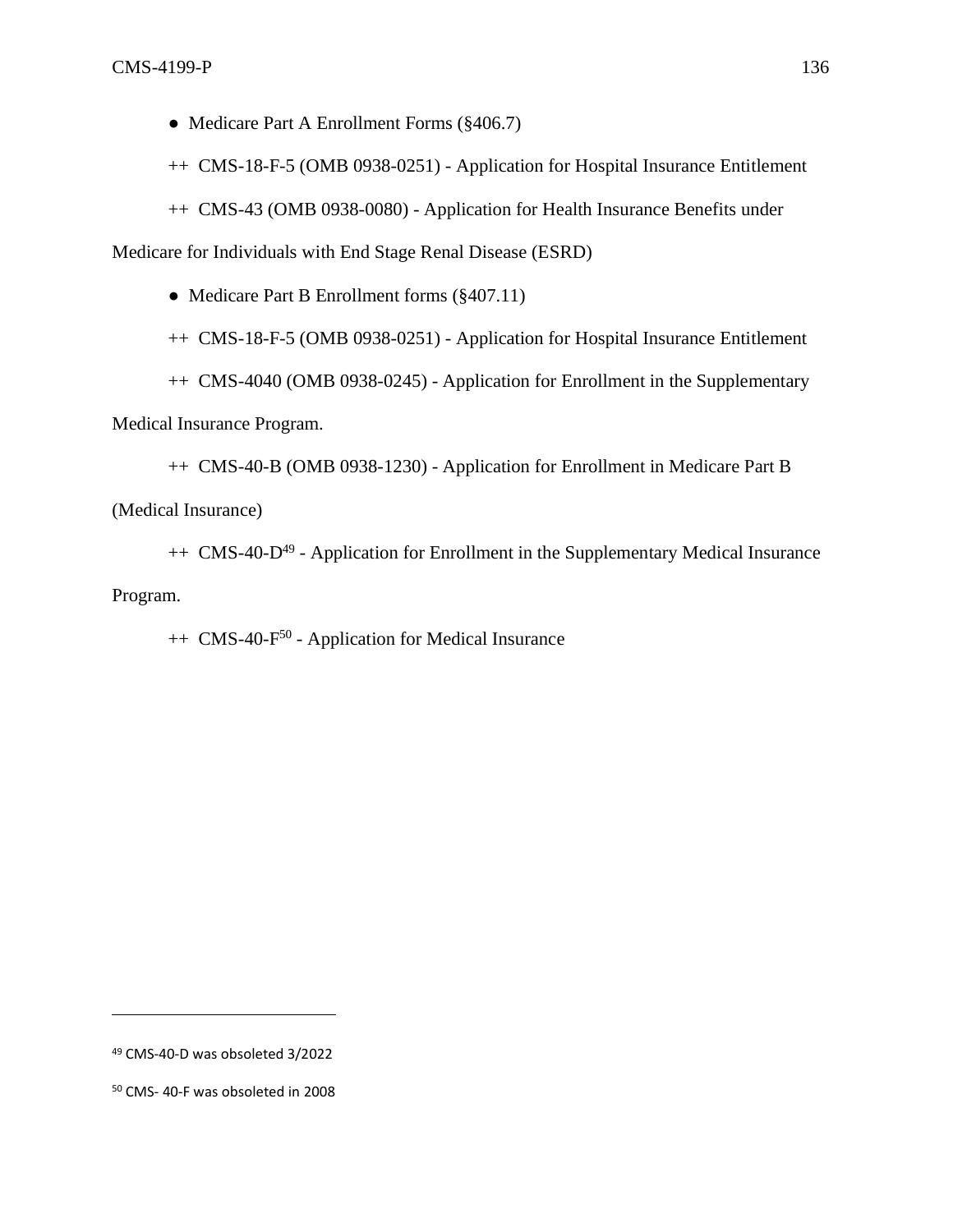• Medicare Part A Enrollment Forms (§406.7)

++ CMS-18-F-5 (OMB 0938-0251) - Application for Hospital Insurance Entitlement

++ CMS-43 (OMB 0938-0080) - Application for Health Insurance Benefits under

Medicare for Individuals with End Stage Renal Disease (ESRD)

• Medicare Part B Enrollment forms (§407.11)

++ CMS-18-F-5 (OMB 0938-0251) - Application for Hospital Insurance Entitlement

++ CMS-4040 (OMB 0938-0245) - Application for Enrollment in the Supplementary

Medical Insurance Program.

++ CMS-40-B (OMB 0938-1230) - Application for Enrollment in Medicare Part B

(Medical Insurance)

++ CMS-40-D<sup>49</sup> - Application for Enrollment in the Supplementary Medical Insurance Program.

++ CMS-40-F<sup>50</sup> - Application for Medical Insurance

<sup>49</sup> CMS-40-D was obsoleted 3/2022

<sup>50</sup> CMS- 40-F was obsoleted in 2008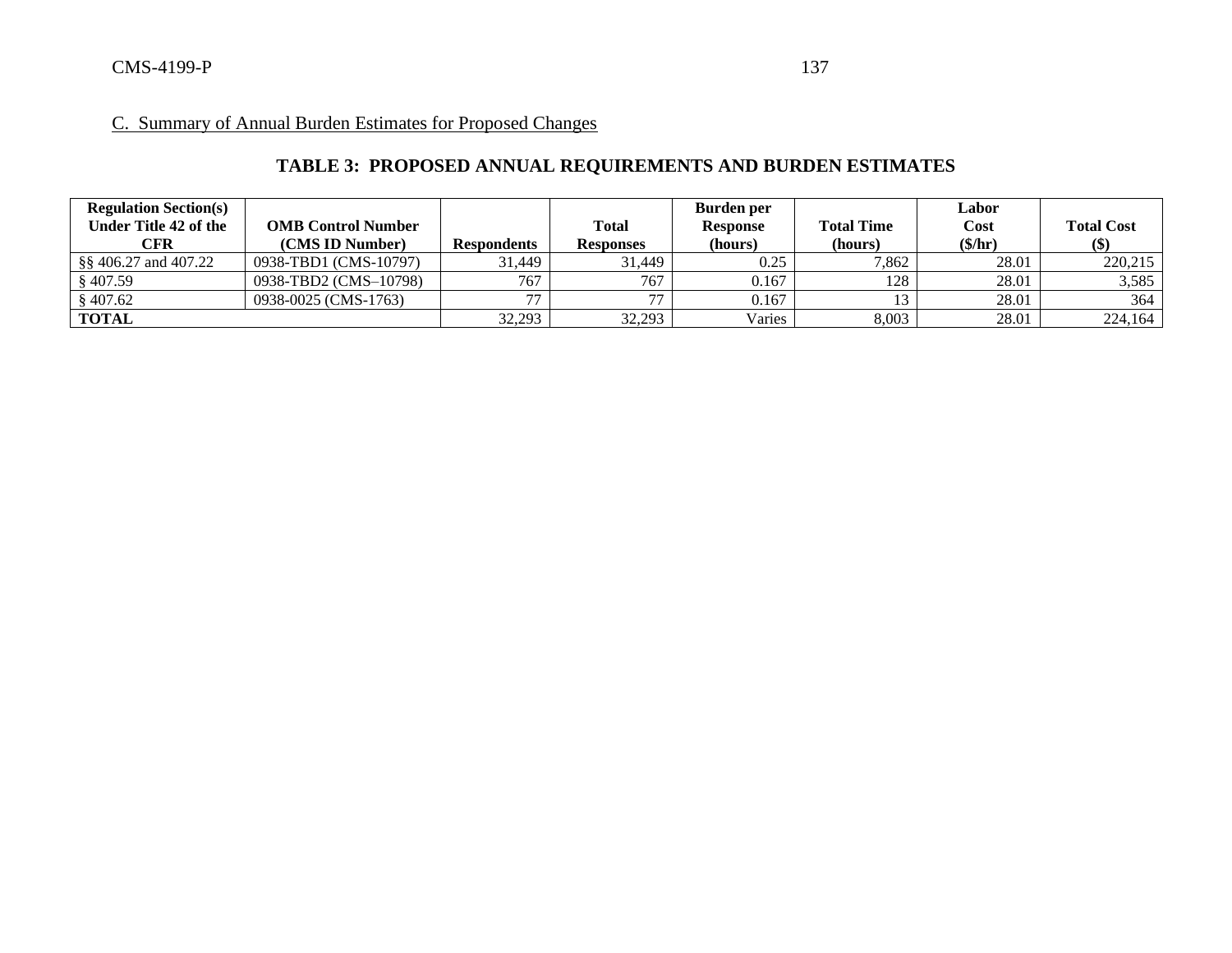# **TABLE 3: PROPOSED ANNUAL REQUIREMENTS AND BURDEN ESTIMATES**

| <b>Regulation Section(s)</b> |                           |                    |                  | Burden per      |                   | Labor   |                            |
|------------------------------|---------------------------|--------------------|------------------|-----------------|-------------------|---------|----------------------------|
| Under Title 42 of the        | <b>OMB Control Number</b> |                    | <b>Total</b>     | <b>Response</b> | <b>Total Time</b> | Cost    | <b>Total Cost</b>          |
| CFR                          | (CMS ID Number)           | <b>Respondents</b> | <b>Responses</b> | (hours)         | (hours)           | (\$/hr) | $\left( \mathbb{S}\right)$ |
| §§ 406.27 and 407.22         | 0938-TBD1 (CMS-10797)     | 31.449             | 31,449           | 0.25            | 7,862             | 28.01   | 220,215                    |
| $§$ 407.59                   | 0938-TBD2 (CMS-10798)     | 767                | 767              | 0.167           | 128               | 28.01   | 3,585                      |
| \$407.62                     | 0938-0025 (CMS-1763)      | --                 | 77               | 0.167           |                   | 28.01   | 364                        |
| <b>TOTAL</b>                 |                           | 32,293             | 32,293           | Varies          | 8,003             | 28.01   | 224,164                    |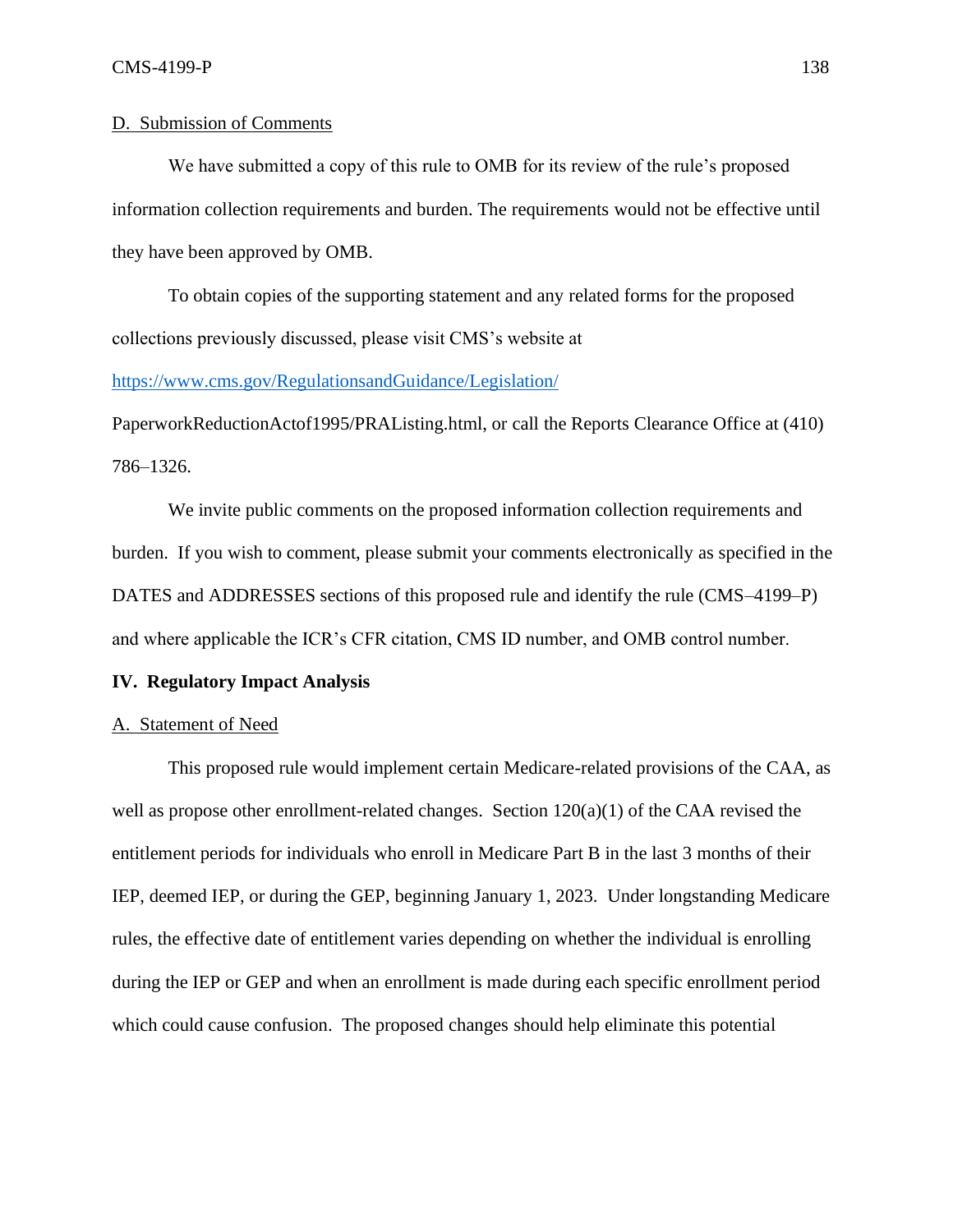## D. Submission of Comments

We have submitted a copy of this rule to OMB for its review of the rule's proposed information collection requirements and burden. The requirements would not be effective until they have been approved by OMB.

To obtain copies of the supporting statement and any related forms for the proposed collections previously discussed, please visit CMS's website at

<https://www.cms.gov/RegulationsandGuidance/Legislation/>

PaperworkReductionActof1995/PRAListing.html, or call the Reports Clearance Office at (410) 786–1326.

We invite public comments on the proposed information collection requirements and burden. If you wish to comment, please submit your comments electronically as specified in the DATES and ADDRESSES sections of this proposed rule and identify the rule (CMS–4199–P) and where applicable the ICR's CFR citation, CMS ID number, and OMB control number.

### **IV. Regulatory Impact Analysis**

### A. Statement of Need

This proposed rule would implement certain Medicare-related provisions of the CAA, as well as propose other enrollment-related changes. Section 120(a)(1) of the CAA revised the entitlement periods for individuals who enroll in Medicare Part B in the last 3 months of their IEP, deemed IEP, or during the GEP, beginning January 1, 2023. Under longstanding Medicare rules, the effective date of entitlement varies depending on whether the individual is enrolling during the IEP or GEP and when an enrollment is made during each specific enrollment period which could cause confusion. The proposed changes should help eliminate this potential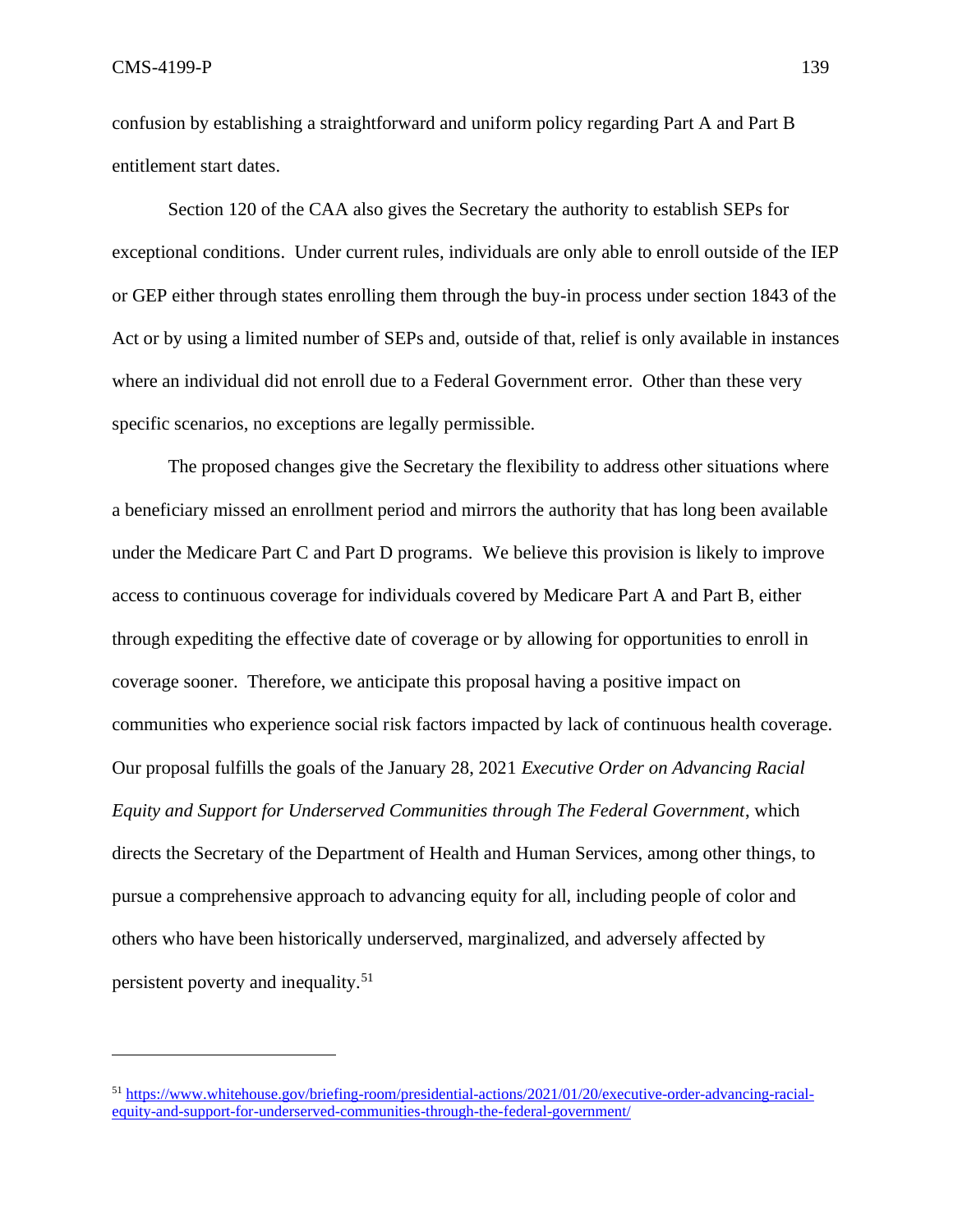confusion by establishing a straightforward and uniform policy regarding Part A and Part B entitlement start dates.

Section 120 of the CAA also gives the Secretary the authority to establish SEPs for exceptional conditions. Under current rules, individuals are only able to enroll outside of the IEP or GEP either through states enrolling them through the buy-in process under section 1843 of the Act or by using a limited number of SEPs and, outside of that, relief is only available in instances where an individual did not enroll due to a Federal Government error. Other than these very specific scenarios, no exceptions are legally permissible.

The proposed changes give the Secretary the flexibility to address other situations where a beneficiary missed an enrollment period and mirrors the authority that has long been available under the Medicare Part C and Part D programs. We believe this provision is likely to improve access to continuous coverage for individuals covered by Medicare Part A and Part B, either through expediting the effective date of coverage or by allowing for opportunities to enroll in coverage sooner. Therefore, we anticipate this proposal having a positive impact on communities who experience social risk factors impacted by lack of continuous health coverage. Our proposal fulfills the goals of the January 28, 2021 *Executive Order on Advancing Racial Equity and Support for Underserved Communities through The Federal Government*, which directs the Secretary of the Department of Health and Human Services, among other things, to pursue a comprehensive approach to advancing equity for all, including people of color and others who have been historically underserved, marginalized, and adversely affected by persistent poverty and inequality.<sup>51</sup>

<sup>51</sup> [https://www.whitehouse.gov/briefing-room/presidential-actions/2021/01/20/executive-order-advancing-racial](https://www.whitehouse.gov/briefing-room/presidential-actions/2021/01/20/executive-order-advancing-racial-equity-and-support-for-underserved-communities-through-the-federal-government/)[equity-and-support-for-underserved-communities-through-the-federal-government/](https://www.whitehouse.gov/briefing-room/presidential-actions/2021/01/20/executive-order-advancing-racial-equity-and-support-for-underserved-communities-through-the-federal-government/)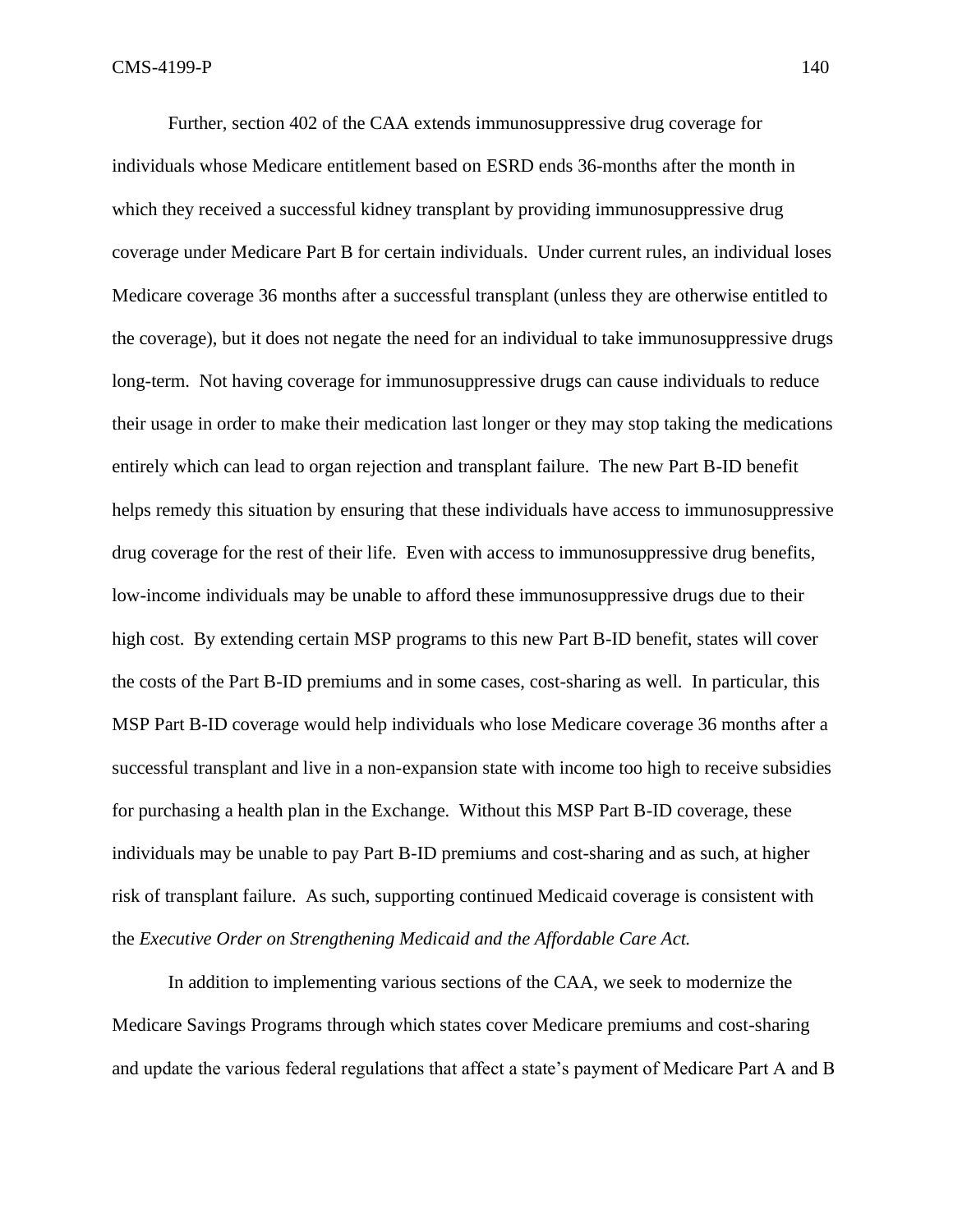Further, section 402 of the CAA extends immunosuppressive drug coverage for individuals whose Medicare entitlement based on ESRD ends 36-months after the month in which they received a successful kidney transplant by providing immunosuppressive drug coverage under Medicare Part B for certain individuals. Under current rules, an individual loses Medicare coverage 36 months after a successful transplant (unless they are otherwise entitled to the coverage), but it does not negate the need for an individual to take immunosuppressive drugs long-term. Not having coverage for immunosuppressive drugs can cause individuals to reduce their usage in order to make their medication last longer or they may stop taking the medications entirely which can lead to organ rejection and transplant failure. The new Part B-ID benefit helps remedy this situation by ensuring that these individuals have access to immunosuppressive drug coverage for the rest of their life. Even with access to immunosuppressive drug benefits, low-income individuals may be unable to afford these immunosuppressive drugs due to their high cost. By extending certain MSP programs to this new Part B-ID benefit, states will cover the costs of the Part B-ID premiums and in some cases, cost-sharing as well. In particular, this MSP Part B-ID coverage would help individuals who lose Medicare coverage 36 months after a successful transplant and live in a non-expansion state with income too high to receive subsidies for purchasing a health plan in the Exchange. Without this MSP Part B-ID coverage, these individuals may be unable to pay Part B-ID premiums and cost-sharing and as such, at higher risk of transplant failure. As such, supporting continued Medicaid coverage is consistent with the *Executive Order on Strengthening Medicaid and the Affordable Care Act.*

In addition to implementing various sections of the CAA, we seek to modernize the Medicare Savings Programs through which states cover Medicare premiums and cost-sharing and update the various federal regulations that affect a state's payment of Medicare Part A and B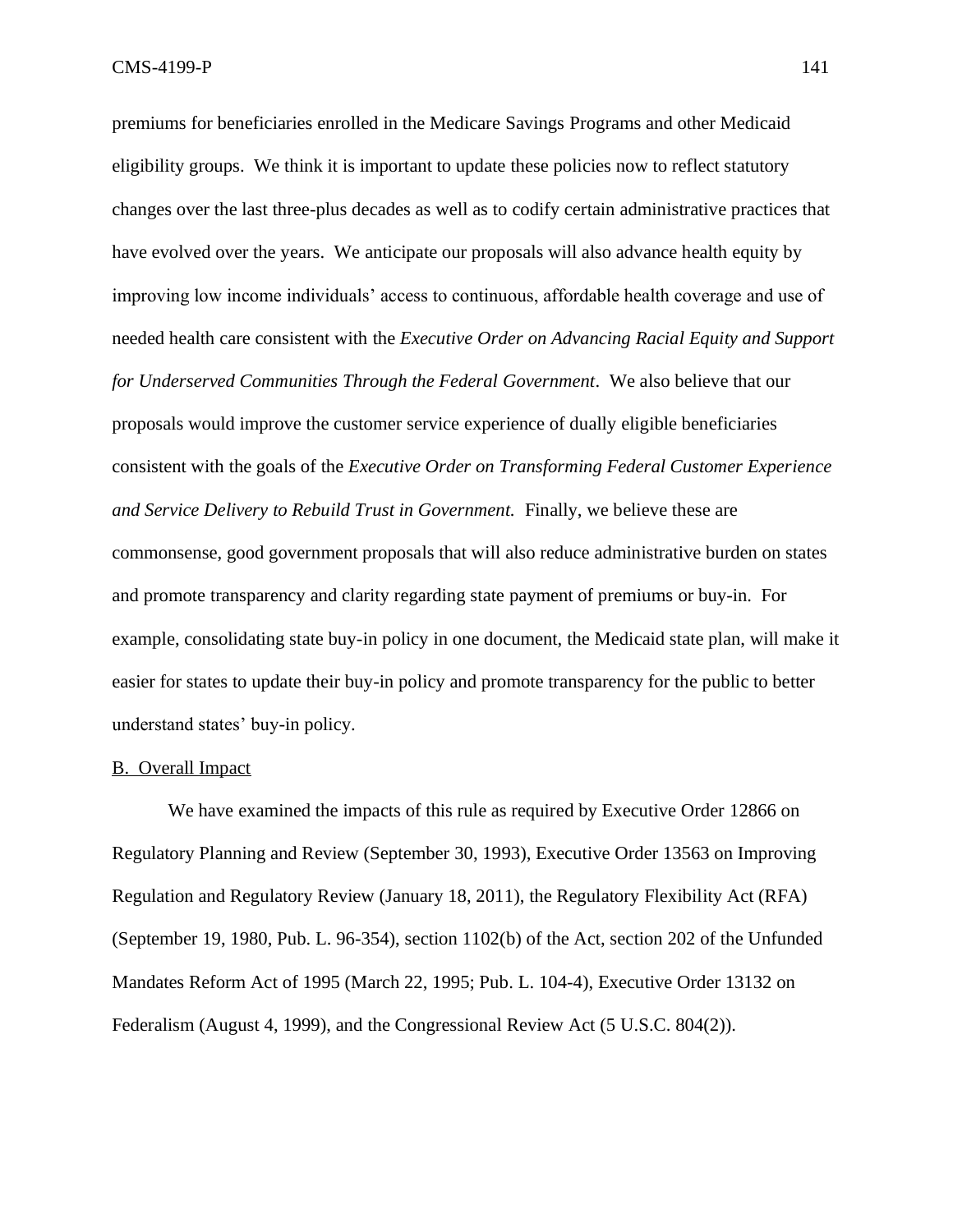premiums for beneficiaries enrolled in the Medicare Savings Programs and other Medicaid eligibility groups. We think it is important to update these policies now to reflect statutory changes over the last three-plus decades as well as to codify certain administrative practices that have evolved over the years. We anticipate our proposals will also advance health equity by improving low income individuals' access to continuous, affordable health coverage and use of needed health care consistent with the *Executive Order on Advancing Racial Equity and Support for Underserved Communities Through the Federal Government*. We also believe that our proposals would improve the customer service experience of dually eligible beneficiaries consistent with the goals of the *Executive Order on Transforming Federal Customer Experience and Service Delivery to Rebuild Trust in Government.* Finally, we believe these are commonsense, good government proposals that will also reduce administrative burden on states and promote transparency and clarity regarding state payment of premiums or buy-in. For example, consolidating state buy-in policy in one document, the Medicaid state plan, will make it easier for states to update their buy-in policy and promote transparency for the public to better understand states' buy-in policy.

#### B. Overall Impact

We have examined the impacts of this rule as required by Executive Order 12866 on Regulatory Planning and Review (September 30, 1993), Executive Order 13563 on Improving Regulation and Regulatory Review (January 18, 2011), the Regulatory Flexibility Act (RFA) (September 19, 1980, Pub. L. 96-354), section 1102(b) of the Act, section 202 of the Unfunded Mandates Reform Act of 1995 (March 22, 1995; Pub. L. 104-4), Executive Order 13132 on Federalism (August 4, 1999), and the Congressional Review Act (5 U.S.C. 804(2)).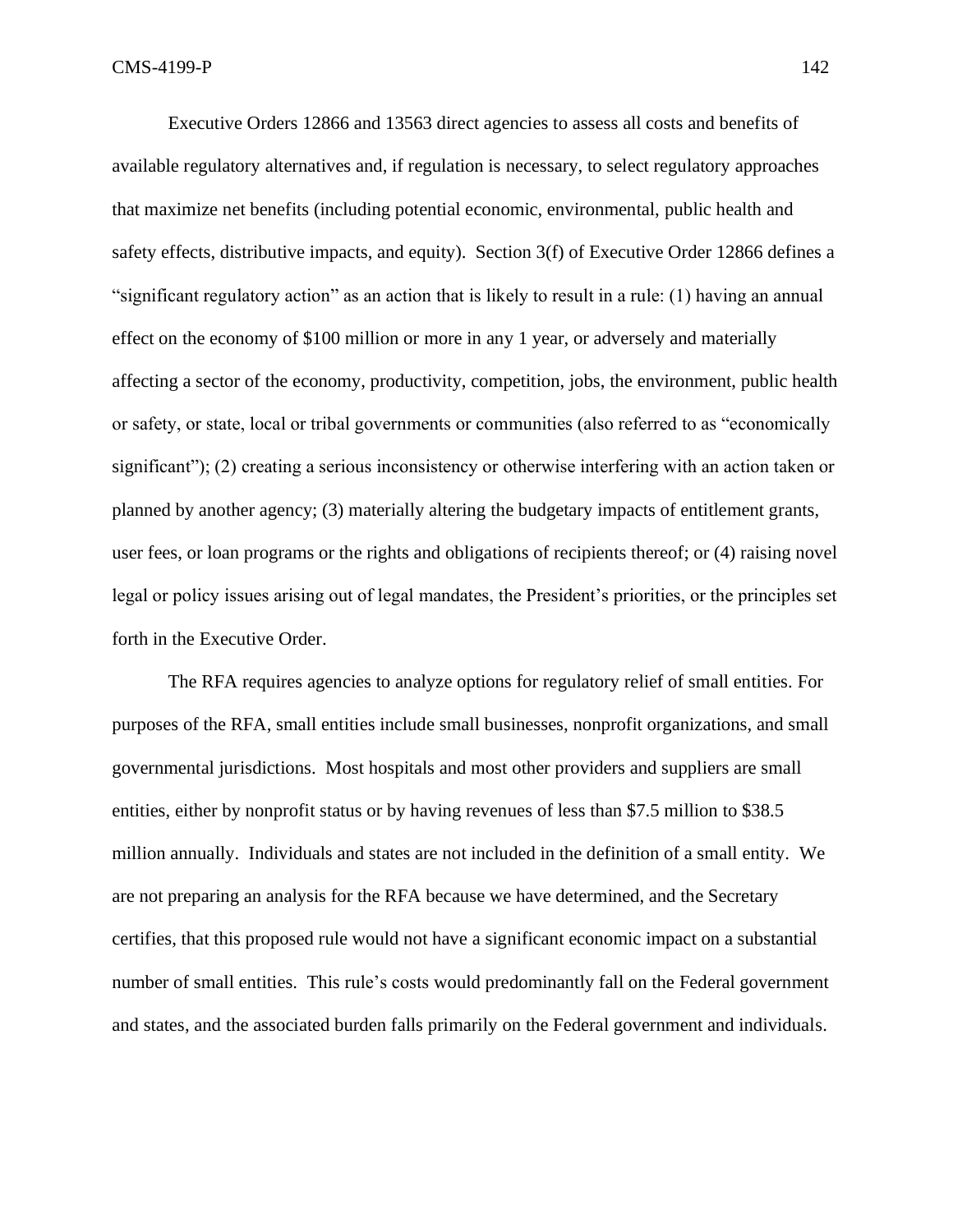Executive Orders 12866 and 13563 direct agencies to assess all costs and benefits of available regulatory alternatives and, if regulation is necessary, to select regulatory approaches that maximize net benefits (including potential economic, environmental, public health and safety effects, distributive impacts, and equity). Section 3(f) of Executive Order 12866 defines a "significant regulatory action" as an action that is likely to result in a rule: (1) having an annual effect on the economy of \$100 million or more in any 1 year, or adversely and materially affecting a sector of the economy, productivity, competition, jobs, the environment, public health or safety, or state, local or tribal governments or communities (also referred to as "economically significant"); (2) creating a serious inconsistency or otherwise interfering with an action taken or planned by another agency; (3) materially altering the budgetary impacts of entitlement grants, user fees, or loan programs or the rights and obligations of recipients thereof; or (4) raising novel legal or policy issues arising out of legal mandates, the President's priorities, or the principles set forth in the Executive Order.

The RFA requires agencies to analyze options for regulatory relief of small entities. For purposes of the RFA, small entities include small businesses, nonprofit organizations, and small governmental jurisdictions. Most hospitals and most other providers and suppliers are small entities, either by nonprofit status or by having revenues of less than \$7.5 million to \$38.5 million annually. Individuals and states are not included in the definition of a small entity. We are not preparing an analysis for the RFA because we have determined, and the Secretary certifies, that this proposed rule would not have a significant economic impact on a substantial number of small entities. This rule's costs would predominantly fall on the Federal government and states, and the associated burden falls primarily on the Federal government and individuals.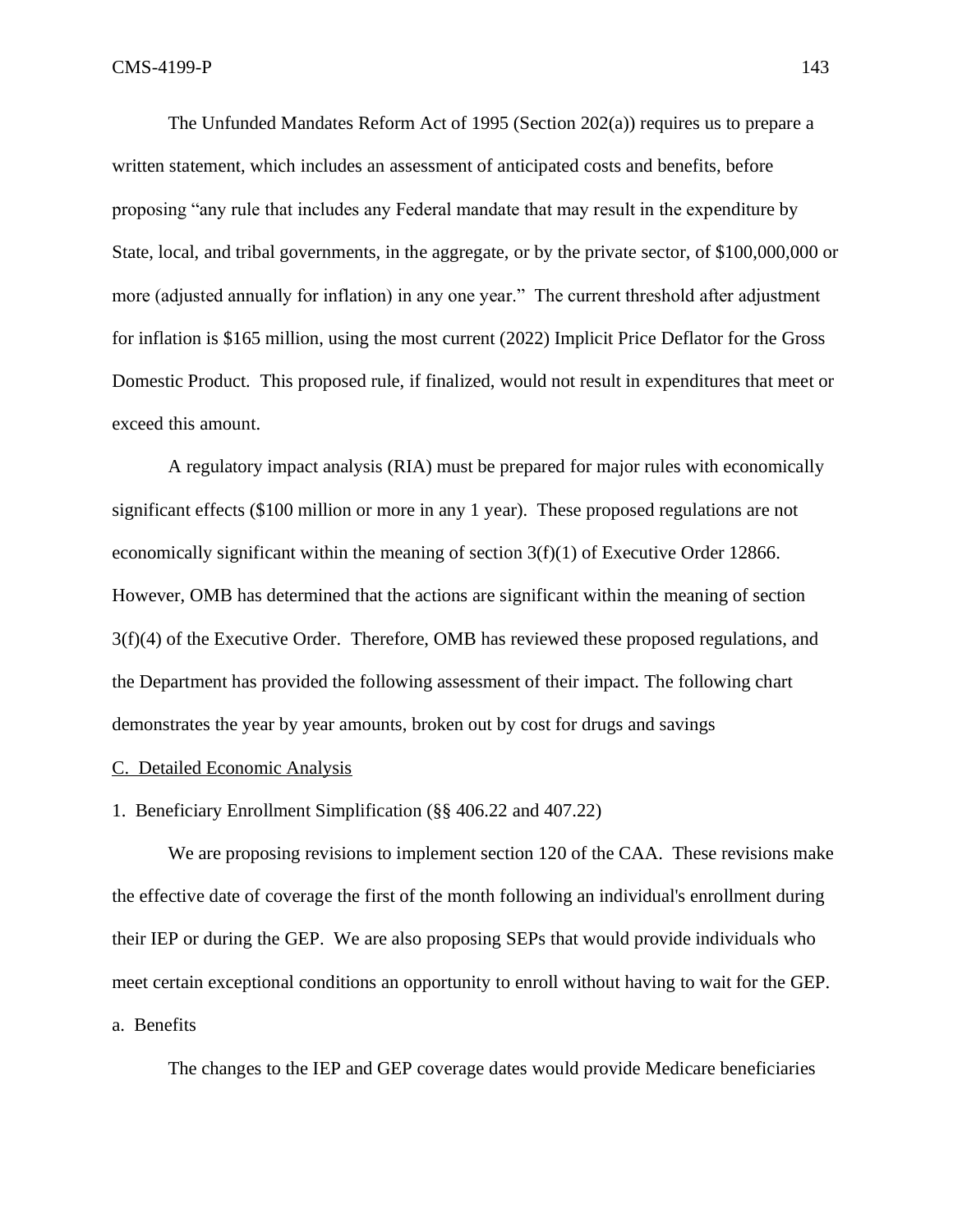The Unfunded Mandates Reform Act of 1995 (Section 202(a)) requires us to prepare a written statement, which includes an assessment of anticipated costs and benefits, before proposing "any rule that includes any Federal mandate that may result in the expenditure by State, local, and tribal governments, in the aggregate, or by the private sector, of \$100,000,000 or more (adjusted annually for inflation) in any one year." The current threshold after adjustment for inflation is \$165 million, using the most current (2022) Implicit Price Deflator for the Gross Domestic Product. This proposed rule, if finalized, would not result in expenditures that meet or exceed this amount.

A regulatory impact analysis (RIA) must be prepared for major rules with economically significant effects (\$100 million or more in any 1 year). These proposed regulations are not economically significant within the meaning of section  $3(f)(1)$  of Executive Order 12866. However, OMB has determined that the actions are significant within the meaning of section 3(f)(4) of the Executive Order. Therefore, OMB has reviewed these proposed regulations, and the Department has provided the following assessment of their impact. The following chart demonstrates the year by year amounts, broken out by cost for drugs and savings

### C. Detailed Economic Analysis

1. Beneficiary Enrollment Simplification (§§ 406.22 and 407.22)

We are proposing revisions to implement section 120 of the CAA. These revisions make the effective date of coverage the first of the month following an individual's enrollment during their IEP or during the GEP. We are also proposing SEPs that would provide individuals who meet certain exceptional conditions an opportunity to enroll without having to wait for the GEP. a. Benefits

The changes to the IEP and GEP coverage dates would provide Medicare beneficiaries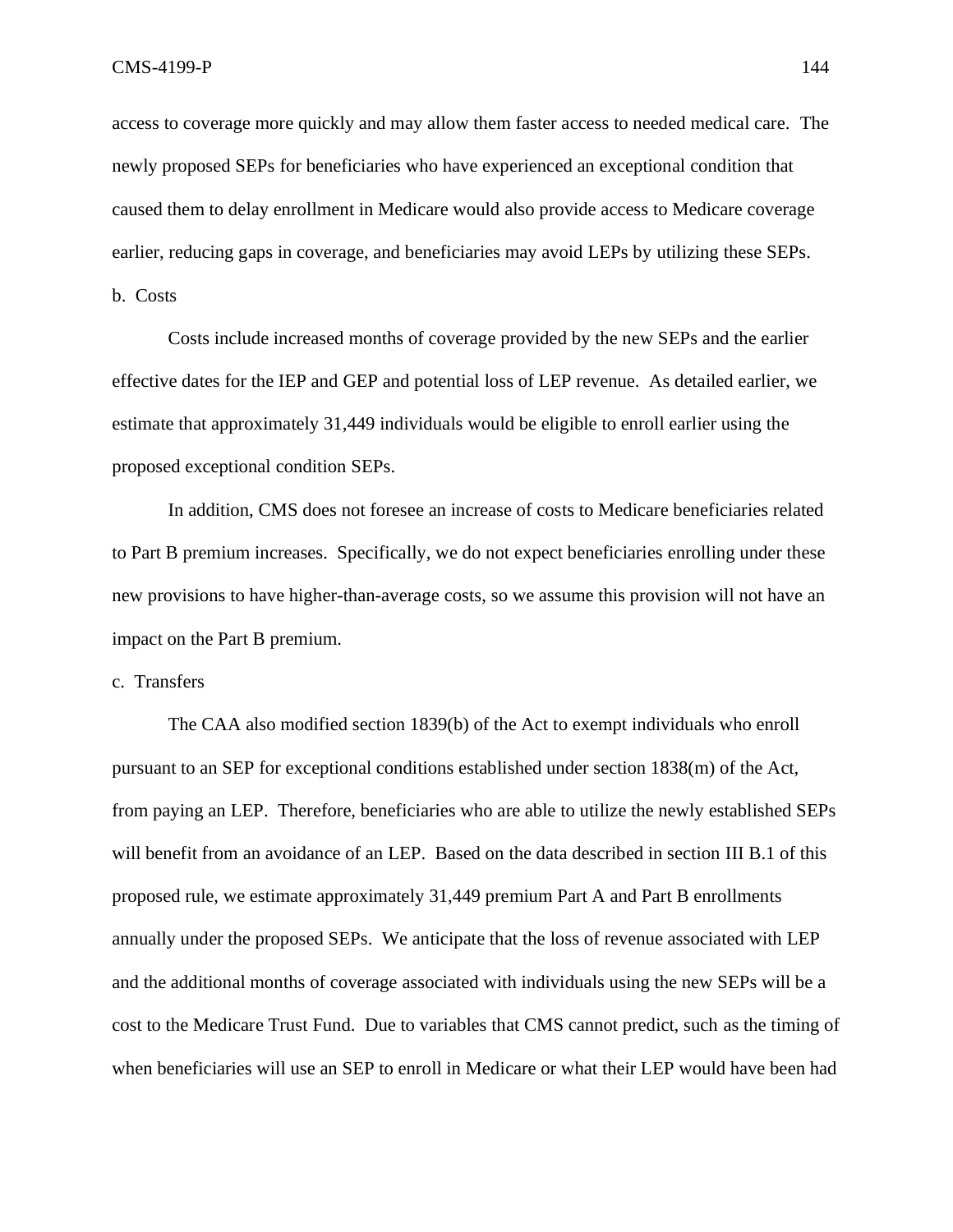access to coverage more quickly and may allow them faster access to needed medical care. The newly proposed SEPs for beneficiaries who have experienced an exceptional condition that caused them to delay enrollment in Medicare would also provide access to Medicare coverage earlier, reducing gaps in coverage, and beneficiaries may avoid LEPs by utilizing these SEPs. b. Costs

Costs include increased months of coverage provided by the new SEPs and the earlier effective dates for the IEP and GEP and potential loss of LEP revenue. As detailed earlier, we estimate that approximately 31,449 individuals would be eligible to enroll earlier using the proposed exceptional condition SEPs.

In addition, CMS does not foresee an increase of costs to Medicare beneficiaries related to Part B premium increases. Specifically, we do not expect beneficiaries enrolling under these new provisions to have higher-than-average costs, so we assume this provision will not have an impact on the Part B premium.

c. Transfers

The CAA also modified section 1839(b) of the Act to exempt individuals who enroll pursuant to an SEP for exceptional conditions established under section 1838(m) of the Act, from paying an LEP. Therefore, beneficiaries who are able to utilize the newly established SEPs will benefit from an avoidance of an LEP. Based on the data described in section III B.1 of this proposed rule, we estimate approximately 31,449 premium Part A and Part B enrollments annually under the proposed SEPs. We anticipate that the loss of revenue associated with LEP and the additional months of coverage associated with individuals using the new SEPs will be a cost to the Medicare Trust Fund. Due to variables that CMS cannot predict, such as the timing of when beneficiaries will use an SEP to enroll in Medicare or what their LEP would have been had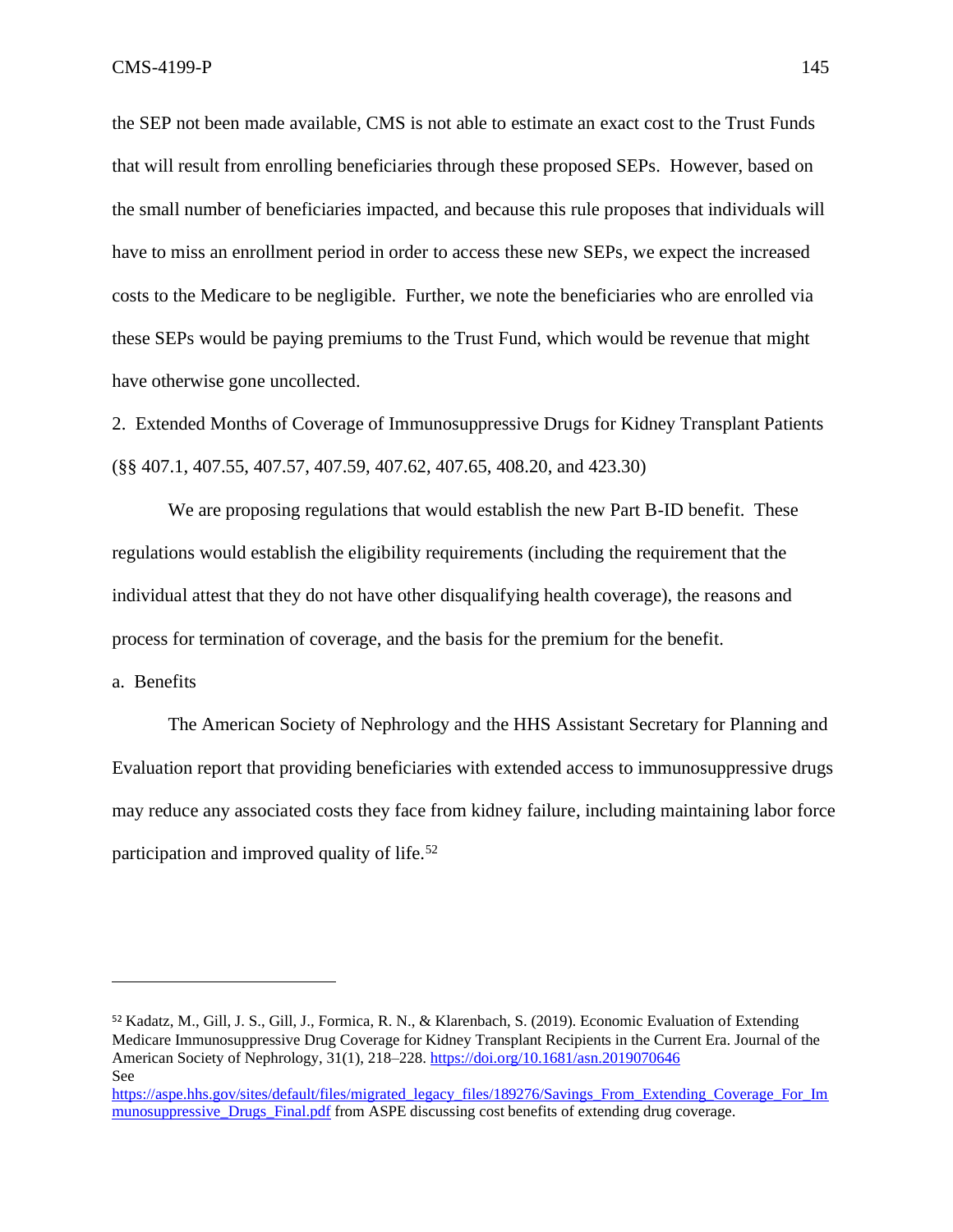the SEP not been made available, CMS is not able to estimate an exact cost to the Trust Funds that will result from enrolling beneficiaries through these proposed SEPs. However, based on the small number of beneficiaries impacted, and because this rule proposes that individuals will have to miss an enrollment period in order to access these new SEPs, we expect the increased costs to the Medicare to be negligible. Further, we note the beneficiaries who are enrolled via these SEPs would be paying premiums to the Trust Fund, which would be revenue that might have otherwise gone uncollected.

2. Extended Months of Coverage of Immunosuppressive Drugs for Kidney Transplant Patients (§§ 407.1, 407.55, 407.57, 407.59, 407.62, 407.65, 408.20, and 423.30)

We are proposing regulations that would establish the new Part B-ID benefit. These regulations would establish the eligibility requirements (including the requirement that the individual attest that they do not have other disqualifying health coverage), the reasons and process for termination of coverage, and the basis for the premium for the benefit.

a. Benefits

The American Society of Nephrology and the HHS Assistant Secretary for Planning and Evaluation report that providing beneficiaries with extended access to immunosuppressive drugs may reduce any associated costs they face from kidney failure, including maintaining labor force participation and improved quality of life. $52$ 

<sup>52</sup> Kadatz, M., Gill, J. S., Gill, J., Formica, R. N., & Klarenbach, S. (2019). Economic Evaluation of Extending Medicare Immunosuppressive Drug Coverage for Kidney Transplant Recipients in the Current Era. Journal of the American Society of Nephrology, 31(1), 218–228[. https://doi.org/10.1681/asn.2019070646](https://doi.org/10.1681/asn.2019070646) See

[https://aspe.hhs.gov/sites/default/files/migrated\\_legacy\\_files/189276/Savings\\_From\\_Extending\\_Coverage\\_For\\_Im](https://aspe.hhs.gov/sites/default/files/migrated_legacy_files/189276/Savings_From_Extending_Coverage_For_Immunosuppressive_Drugs_Final.pdf) munosuppressive Drugs Final.pdf from ASPE discussing cost benefits of extending drug coverage.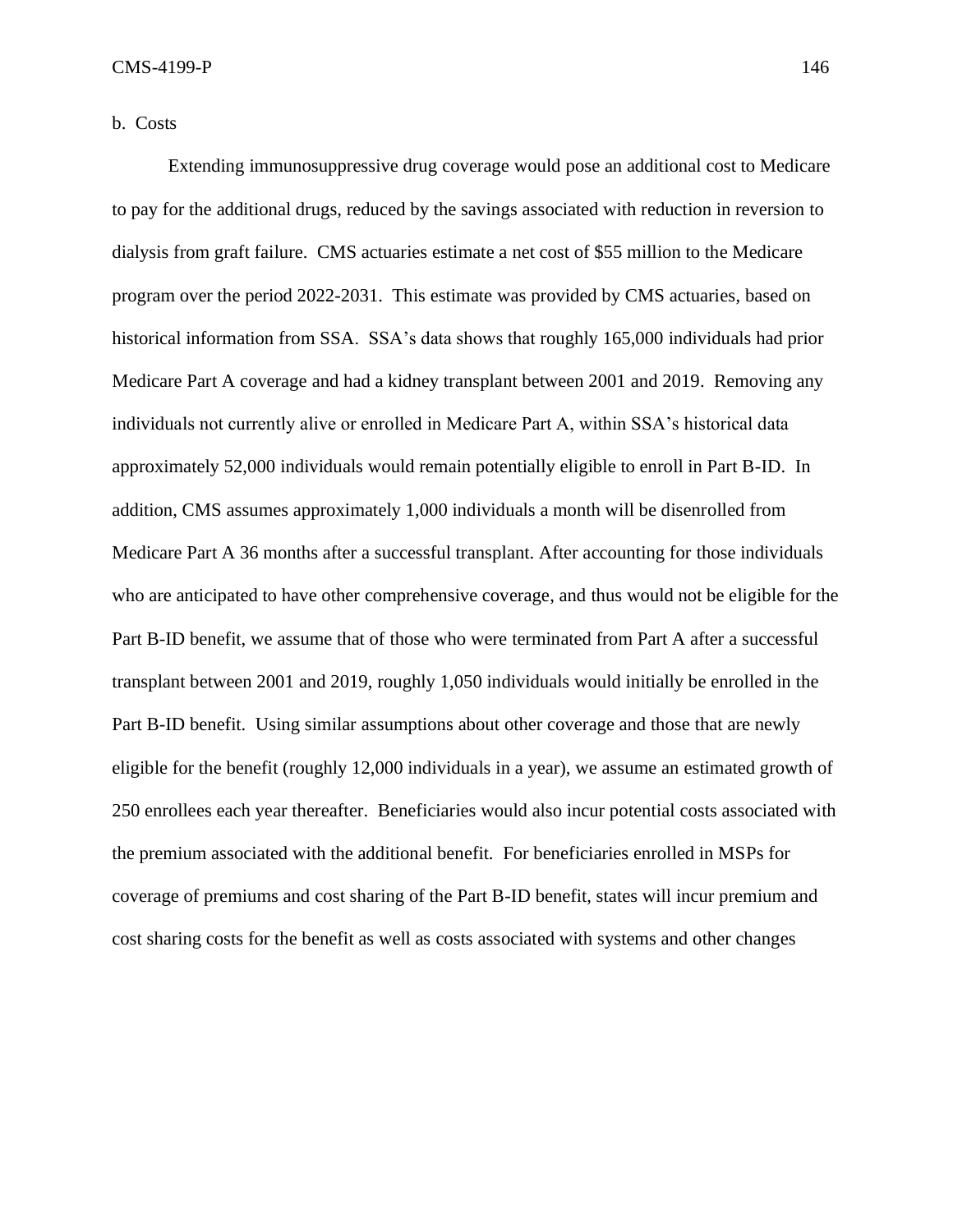b. Costs

Extending immunosuppressive drug coverage would pose an additional cost to Medicare to pay for the additional drugs, reduced by the savings associated with reduction in reversion to dialysis from graft failure. CMS actuaries estimate a net cost of \$55 million to the Medicare program over the period 2022-2031. This estimate was provided by CMS actuaries, based on historical information from SSA. SSA's data shows that roughly 165,000 individuals had prior Medicare Part A coverage and had a kidney transplant between 2001 and 2019. Removing any individuals not currently alive or enrolled in Medicare Part A, within SSA's historical data approximately 52,000 individuals would remain potentially eligible to enroll in Part B-ID. In addition, CMS assumes approximately 1,000 individuals a month will be disenrolled from Medicare Part A 36 months after a successful transplant. After accounting for those individuals who are anticipated to have other comprehensive coverage, and thus would not be eligible for the Part B-ID benefit, we assume that of those who were terminated from Part A after a successful transplant between 2001 and 2019, roughly 1,050 individuals would initially be enrolled in the Part B-ID benefit. Using similar assumptions about other coverage and those that are newly eligible for the benefit (roughly 12,000 individuals in a year), we assume an estimated growth of 250 enrollees each year thereafter. Beneficiaries would also incur potential costs associated with the premium associated with the additional benefit. For beneficiaries enrolled in MSPs for coverage of premiums and cost sharing of the Part B-ID benefit, states will incur premium and cost sharing costs for the benefit as well as costs associated with systems and other changes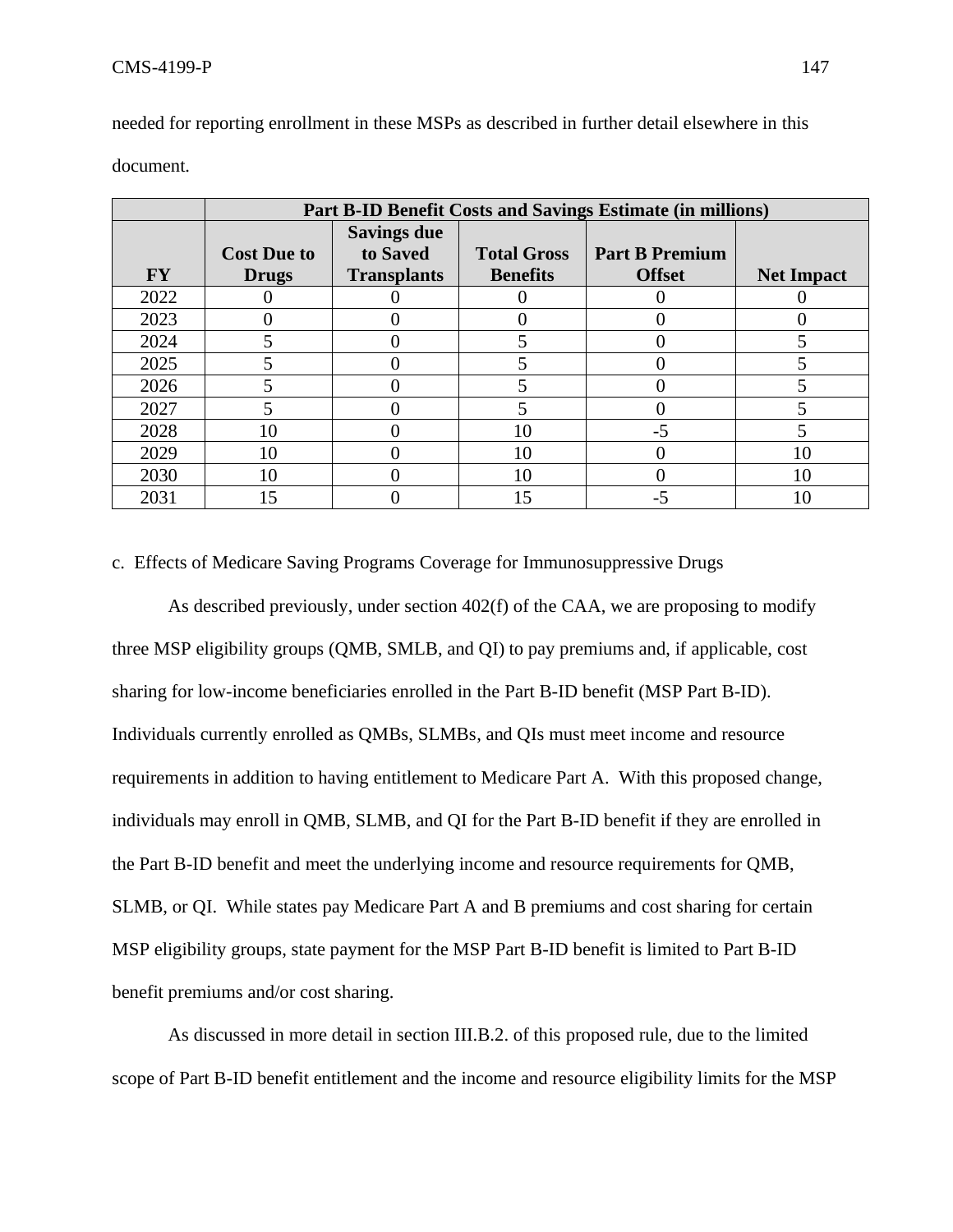|           | Part B-ID Benefit Costs and Savings Estimate (in millions) |                                |                    |                       |                   |
|-----------|------------------------------------------------------------|--------------------------------|--------------------|-----------------------|-------------------|
|           | <b>Cost Due to</b>                                         | <b>Savings due</b><br>to Saved | <b>Total Gross</b> | <b>Part B Premium</b> |                   |
| <b>FY</b> | <b>Drugs</b>                                               | <b>Transplants</b>             | <b>Benefits</b>    | <b>Offset</b>         | <b>Net Impact</b> |
| 2022      |                                                            |                                |                    |                       |                   |
| 2023      |                                                            |                                |                    |                       |                   |
| 2024      |                                                            |                                |                    |                       |                   |
| 2025      |                                                            |                                |                    |                       |                   |
| 2026      |                                                            |                                |                    |                       |                   |
| 2027      |                                                            |                                |                    |                       |                   |
| 2028      | 10                                                         |                                | 10                 | -5                    |                   |
| 2029      | 10                                                         |                                | 10                 |                       | 10                |
| 2030      | 10                                                         |                                | 10                 |                       | 10                |
| 2031      | 15                                                         |                                | 15                 | -5                    | 10                |

needed for reporting enrollment in these MSPs as described in further detail elsewhere in this document.

c. Effects of Medicare Saving Programs Coverage for Immunosuppressive Drugs

As described previously, under section 402(f) of the CAA, we are proposing to modify three MSP eligibility groups (QMB, SMLB, and QI) to pay premiums and, if applicable, cost sharing for low-income beneficiaries enrolled in the Part B-ID benefit (MSP Part B-ID). Individuals currently enrolled as QMBs, SLMBs, and QIs must meet income and resource requirements in addition to having entitlement to Medicare Part A. With this proposed change, individuals may enroll in QMB, SLMB, and QI for the Part B-ID benefit if they are enrolled in the Part B-ID benefit and meet the underlying income and resource requirements for QMB, SLMB, or QI. While states pay Medicare Part A and B premiums and cost sharing for certain MSP eligibility groups, state payment for the MSP Part B-ID benefit is limited to Part B-ID benefit premiums and/or cost sharing.

As discussed in more detail in section III.B.2. of this proposed rule, due to the limited scope of Part B-ID benefit entitlement and the income and resource eligibility limits for the MSP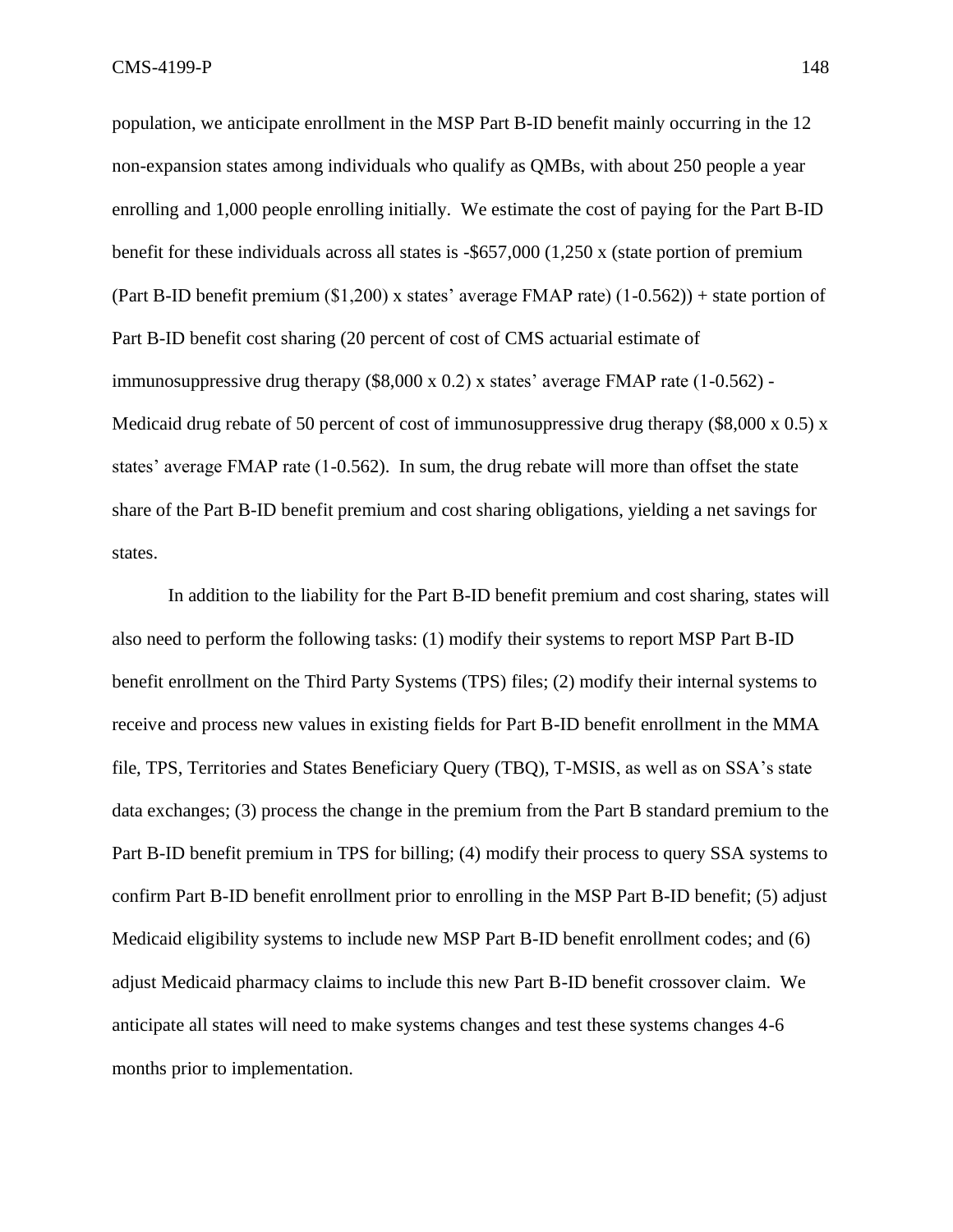population, we anticipate enrollment in the MSP Part B-ID benefit mainly occurring in the 12 non-expansion states among individuals who qualify as QMBs, with about 250 people a year enrolling and 1,000 people enrolling initially. We estimate the cost of paying for the Part B-ID benefit for these individuals across all states is -\$657,000 (1,250 x (state portion of premium (Part B-ID benefit premium (\$1,200) x states' average FMAP rate) (1-0.562)) + state portion of Part B-ID benefit cost sharing (20 percent of cost of CMS actuarial estimate of immunosuppressive drug therapy (\$8,000 x 0.2) x states' average FMAP rate (1-0.562) - Medicaid drug rebate of 50 percent of cost of immunosuppressive drug therapy (\$8,000 x 0.5) x states' average FMAP rate (1-0.562). In sum, the drug rebate will more than offset the state share of the Part B-ID benefit premium and cost sharing obligations, yielding a net savings for states.

In addition to the liability for the Part B-ID benefit premium and cost sharing, states will also need to perform the following tasks: (1) modify their systems to report MSP Part B-ID benefit enrollment on the Third Party Systems (TPS) files; (2) modify their internal systems to receive and process new values in existing fields for Part B-ID benefit enrollment in the MMA file, TPS, Territories and States Beneficiary Query (TBQ), T-MSIS, as well as on SSA's state data exchanges; (3) process the change in the premium from the Part B standard premium to the Part B-ID benefit premium in TPS for billing; (4) modify their process to query SSA systems to confirm Part B-ID benefit enrollment prior to enrolling in the MSP Part B-ID benefit; (5) adjust Medicaid eligibility systems to include new MSP Part B-ID benefit enrollment codes; and (6) adjust Medicaid pharmacy claims to include this new Part B-ID benefit crossover claim. We anticipate all states will need to make systems changes and test these systems changes 4-6 months prior to implementation.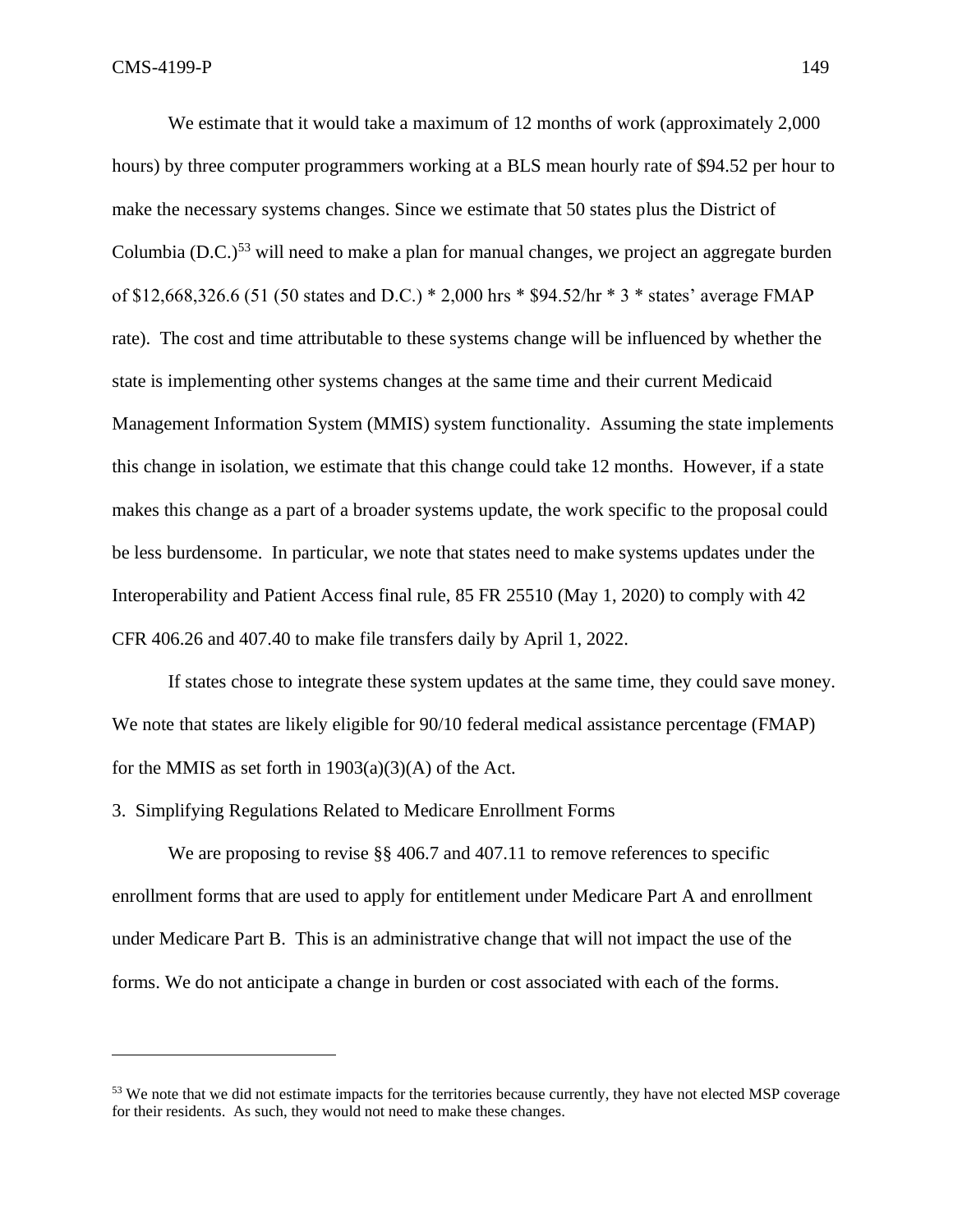We estimate that it would take a maximum of 12 months of work (approximately 2,000) hours) by three computer programmers working at a BLS mean hourly rate of \$94.52 per hour to make the necessary systems changes. Since we estimate that 50 states plus the District of Columbia (D.C.)<sup>53</sup> will need to make a plan for manual changes, we project an aggregate burden of \$12,668,326.6 (51 (50 states and D.C.) \* 2,000 hrs \* \$94.52/hr \* 3 \* states' average FMAP rate). The cost and time attributable to these systems change will be influenced by whether the state is implementing other systems changes at the same time and their current Medicaid Management Information System (MMIS) system functionality. Assuming the state implements this change in isolation, we estimate that this change could take 12 months. However, if a state makes this change as a part of a broader systems update, the work specific to the proposal could be less burdensome. In particular, we note that states need to make systems updates under the Interoperability and Patient Access final rule, 85 FR 25510 (May 1, 2020) to comply with 42 CFR 406.26 and 407.40 to make file transfers daily by April 1, 2022.

If states chose to integrate these system updates at the same time, they could save money. We note that states are likely eligible for  $90/10$  federal medical assistance percentage (FMAP) for the MMIS as set forth in  $1903(a)(3)(A)$  of the Act.

3. Simplifying Regulations Related to Medicare Enrollment Forms

We are proposing to revise §§ 406.7 and 407.11 to remove references to specific enrollment forms that are used to apply for entitlement under Medicare Part A and enrollment under Medicare Part B. This is an administrative change that will not impact the use of the forms. We do not anticipate a change in burden or cost associated with each of the forms.

<sup>&</sup>lt;sup>53</sup> We note that we did not estimate impacts for the territories because currently, they have not elected MSP coverage for their residents. As such, they would not need to make these changes.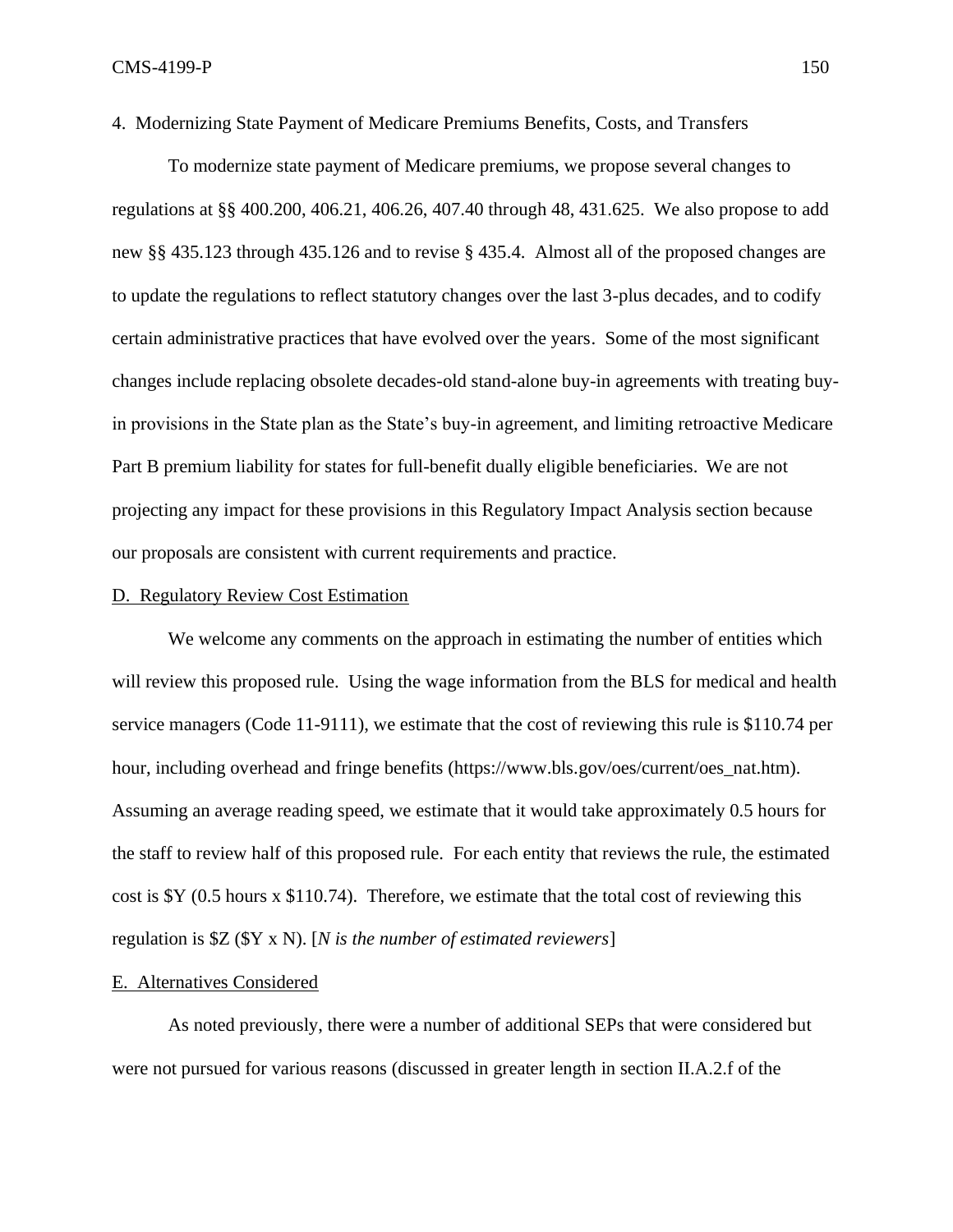To modernize state payment of Medicare premiums, we propose several changes to regulations at §§ 400.200, 406.21, 406.26, 407.40 through 48, 431.625. We also propose to add new §§ 435.123 through 435.126 and to revise § 435.4. Almost all of the proposed changes are to update the regulations to reflect statutory changes over the last 3-plus decades, and to codify certain administrative practices that have evolved over the years. Some of the most significant changes include replacing obsolete decades-old stand-alone buy-in agreements with treating buyin provisions in the State plan as the State's buy-in agreement, and limiting retroactive Medicare Part B premium liability for states for full-benefit dually eligible beneficiaries. We are not projecting any impact for these provisions in this Regulatory Impact Analysis section because our proposals are consistent with current requirements and practice.

## D. Regulatory Review Cost Estimation

We welcome any comments on the approach in estimating the number of entities which will review this proposed rule. Using the wage information from the BLS for medical and health service managers (Code 11-9111), we estimate that the cost of reviewing this rule is \$110.74 per hour, including overhead and fringe benefits (https://www.bls.gov/oes/current/oes\_nat.htm). Assuming an average reading speed, we estimate that it would take approximately 0.5 hours for the staff to review half of this proposed rule. For each entity that reviews the rule, the estimated cost is  $Y(0.5)$  hours x \$110.74). Therefore, we estimate that the total cost of reviewing this regulation is \$Z (\$Y x N). [*N is the number of estimated reviewers*]

#### E. Alternatives Considered

As noted previously, there were a number of additional SEPs that were considered but were not pursued for various reasons (discussed in greater length in section II.A.2.f of the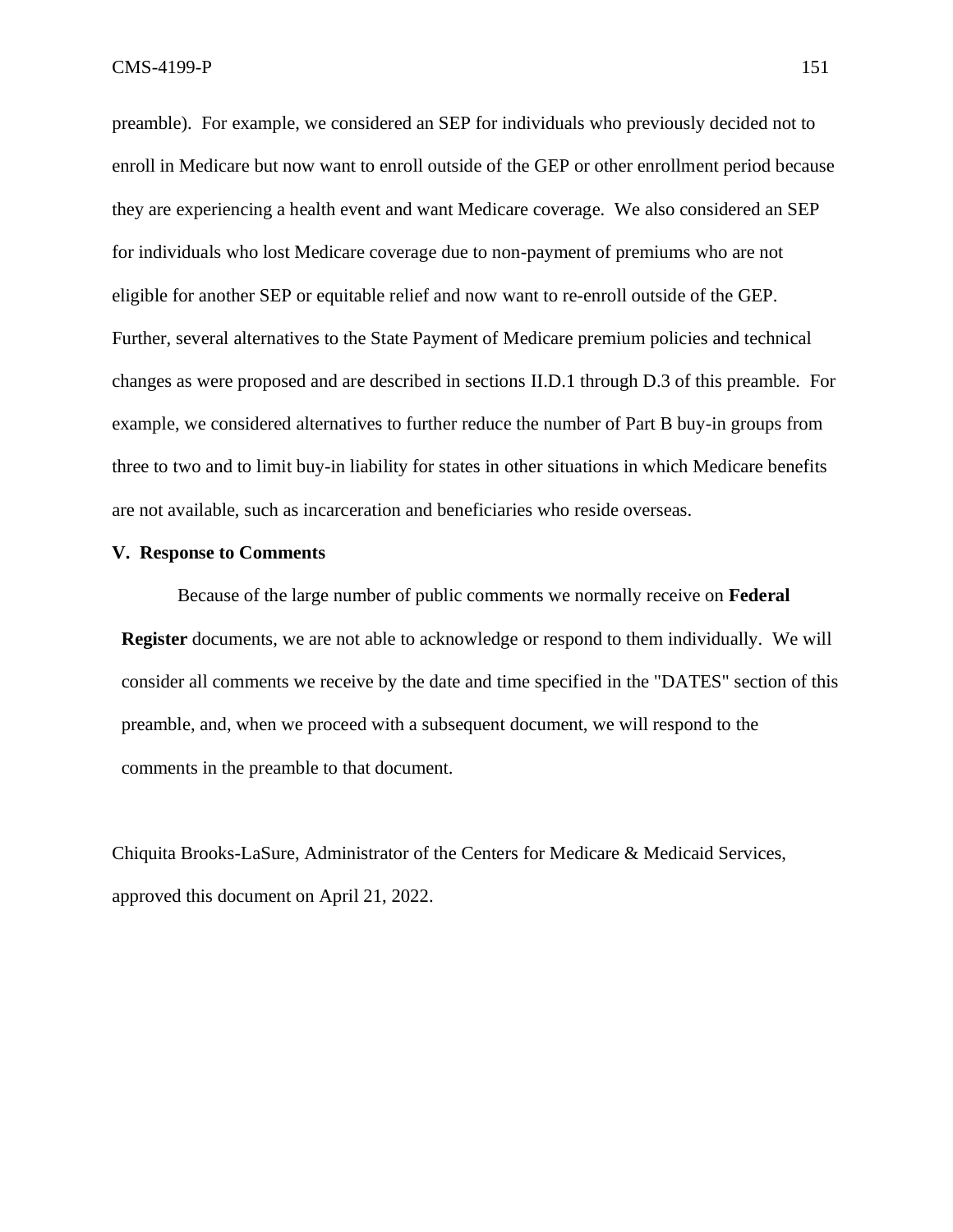preamble). For example, we considered an SEP for individuals who previously decided not to enroll in Medicare but now want to enroll outside of the GEP or other enrollment period because they are experiencing a health event and want Medicare coverage. We also considered an SEP for individuals who lost Medicare coverage due to non-payment of premiums who are not eligible for another SEP or equitable relief and now want to re-enroll outside of the GEP. Further, several alternatives to the State Payment of Medicare premium policies and technical changes as were proposed and are described in sections II.D.1 through D.3 of this preamble. For example, we considered alternatives to further reduce the number of Part B buy-in groups from three to two and to limit buy-in liability for states in other situations in which Medicare benefits are not available, such as incarceration and beneficiaries who reside overseas.

#### **V. Response to Comments**

Because of the large number of public comments we normally receive on **Federal Register** documents, we are not able to acknowledge or respond to them individually. We will consider all comments we receive by the date and time specified in the "DATES" section of this preamble, and, when we proceed with a subsequent document, we will respond to the comments in the preamble to that document.

Chiquita Brooks-LaSure, Administrator of the Centers for Medicare & Medicaid Services, approved this document on April 21, 2022.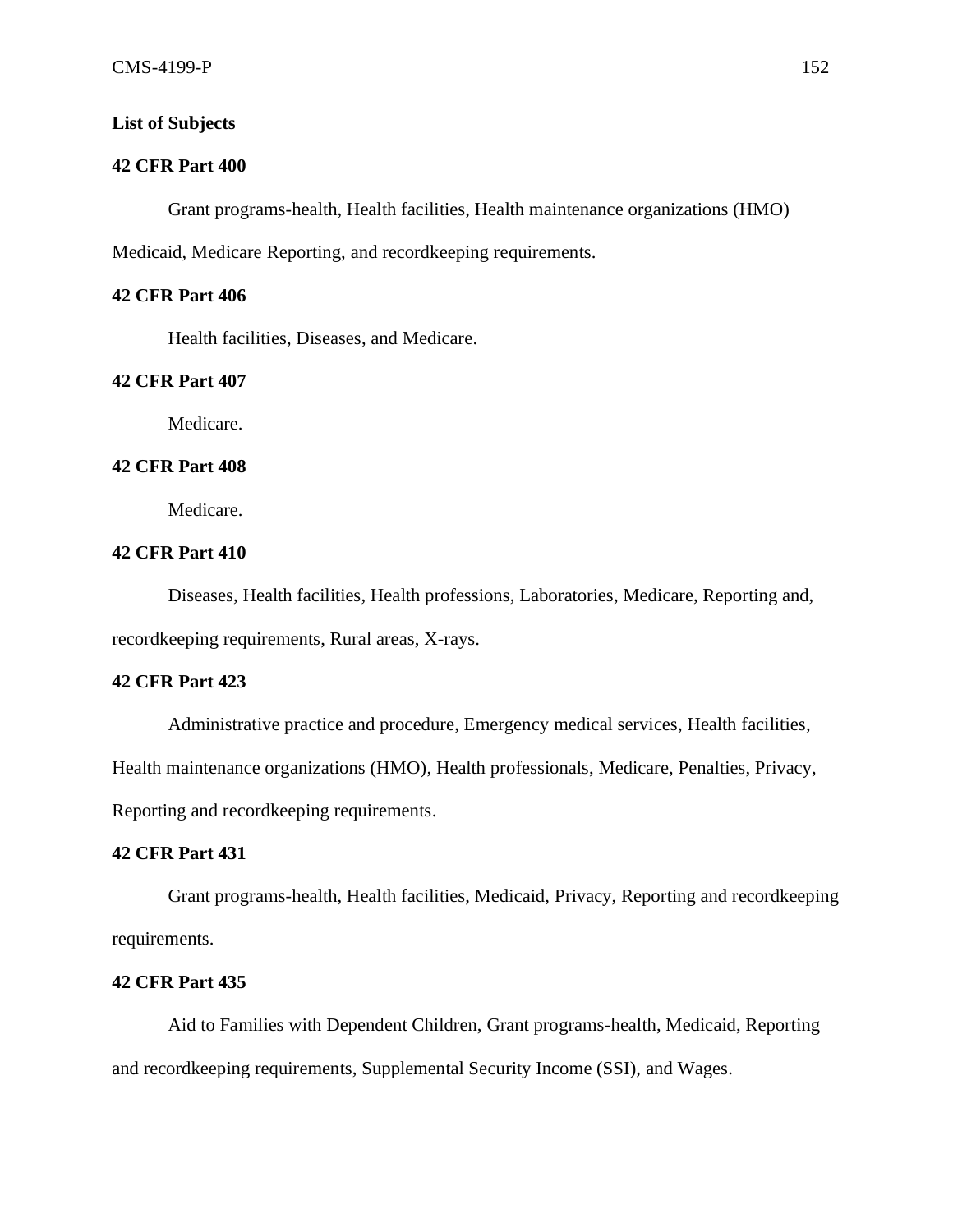# **List of Subjects**

# **42 CFR Part 400**

Grant programs-health, Health facilities, Health maintenance organizations (HMO) Medicaid, Medicare Reporting, and recordkeeping requirements.

# **42 CFR Part 406**

Health facilities, Diseases, and Medicare.

# **42 CFR Part 407**

Medicare.

# **42 CFR Part 408**

Medicare.

## **42 CFR Part 410**

Diseases, Health facilities, Health professions, Laboratories, Medicare, Reporting and, recordkeeping requirements, Rural areas, X-rays.

## **42 CFR Part 423**

Administrative practice and procedure, Emergency medical services, Health facilities,

Health maintenance organizations (HMO), Health professionals, Medicare, Penalties, Privacy,

Reporting and recordkeeping requirements.

## **42 CFR Part 431**

Grant programs-health, Health facilities, Medicaid, Privacy, Reporting and recordkeeping requirements.

#### **42 CFR Part 435**

Aid to Families with Dependent Children, Grant programs-health, Medicaid, Reporting and recordkeeping requirements, Supplemental Security Income (SSI), and Wages.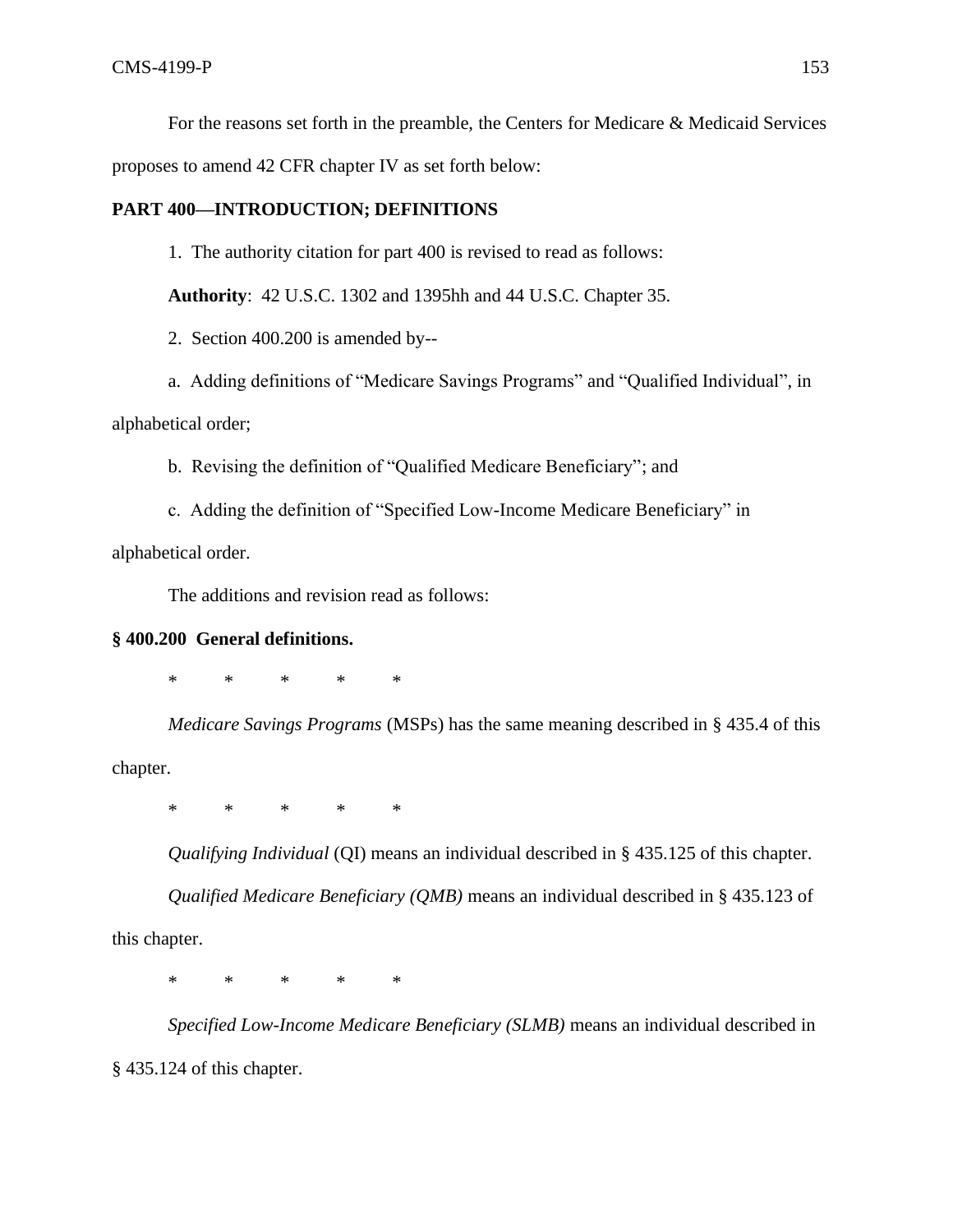For the reasons set forth in the preamble, the Centers for Medicare & Medicaid Services

proposes to amend 42 CFR chapter IV as set forth below:

# **PART 400—INTRODUCTION; DEFINITIONS**

1. The authority citation for part 400 is revised to read as follows:

**Authority**: 42 U.S.C. 1302 and 1395hh and 44 U.S.C. Chapter 35.

2. Section 400.200 is amended by--

a. Adding definitions of "Medicare Savings Programs" and "Qualified Individual", in alphabetical order;

b. Revising the definition of "Qualified Medicare Beneficiary"; and

c. Adding the definition of "Specified Low-Income Medicare Beneficiary" in

alphabetical order.

The additions and revision read as follows:

# **§ 400.200 General definitions.**

\* \* \* \* \*

*Medicare Savings Programs* (MSPs) has the same meaning described in § 435.4 of this chapter.

\* \* \* \* \*

*Qualifying Individual* (QI) means an individual described in § 435.125 of this chapter.

*Qualified Medicare Beneficiary (QMB)* means an individual described in § 435.123 of this chapter.

\* \* \* \* \*

*Specified Low-Income Medicare Beneficiary (SLMB)* means an individual described in § 435.124 of this chapter.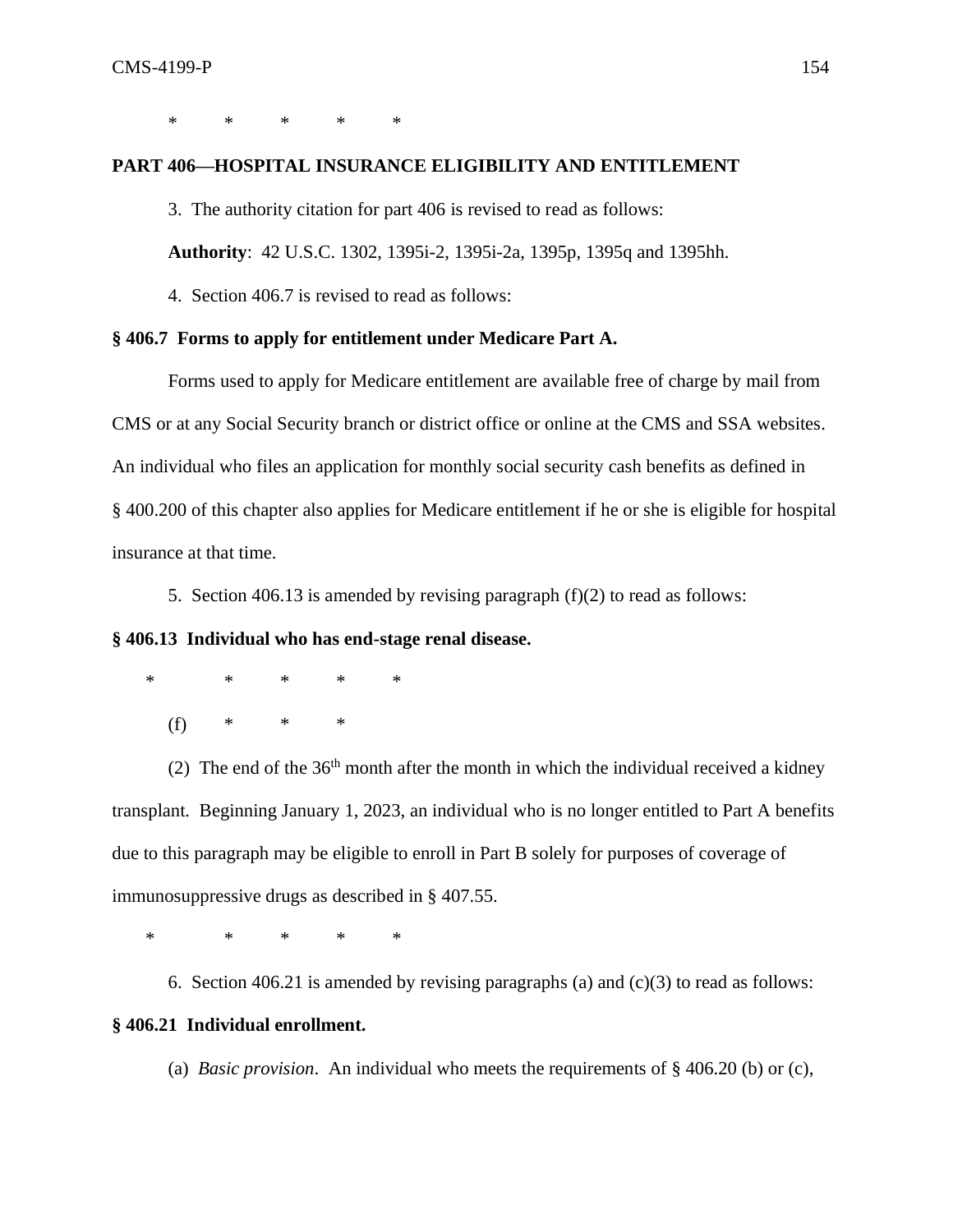\* \* \* \* \*

# **PART 406—HOSPITAL INSURANCE ELIGIBILITY AND ENTITLEMENT**

3. The authority citation for part 406 is revised to read as follows:

**Authority**: 42 U.S.C. 1302, 1395i-2, 1395i-2a, 1395p, 1395q and 1395hh.

4. Section 406.7 is revised to read as follows:

### **§ 406.7 Forms to apply for entitlement under Medicare Part A.**

Forms used to apply for Medicare entitlement are available free of charge by mail from CMS or at any Social Security branch or district office or online at the CMS and SSA websites. An individual who files an application for monthly social security cash benefits as defined in § 400.200 of this chapter also applies for Medicare entitlement if he or she is eligible for hospital insurance at that time.

5. Section 406.13 is amended by revising paragraph (f)(2) to read as follows:

# **§ 406.13 Individual who has end-stage renal disease.**

\* \* \* \* \*

(f) \* \* \*

(2) The end of the  $36<sup>th</sup>$  month after the month in which the individual received a kidney transplant. Beginning January 1, 2023, an individual who is no longer entitled to Part A benefits due to this paragraph may be eligible to enroll in Part B solely for purposes of coverage of immunosuppressive drugs as described in § 407.55.

\* \* \* \* \*

6. Section 406.21 is amended by revising paragraphs (a) and  $(c)(3)$  to read as follows:

### **§ 406.21 Individual enrollment.**

(a) *Basic provision*. An individual who meets the requirements of § 406.20 (b) or (c),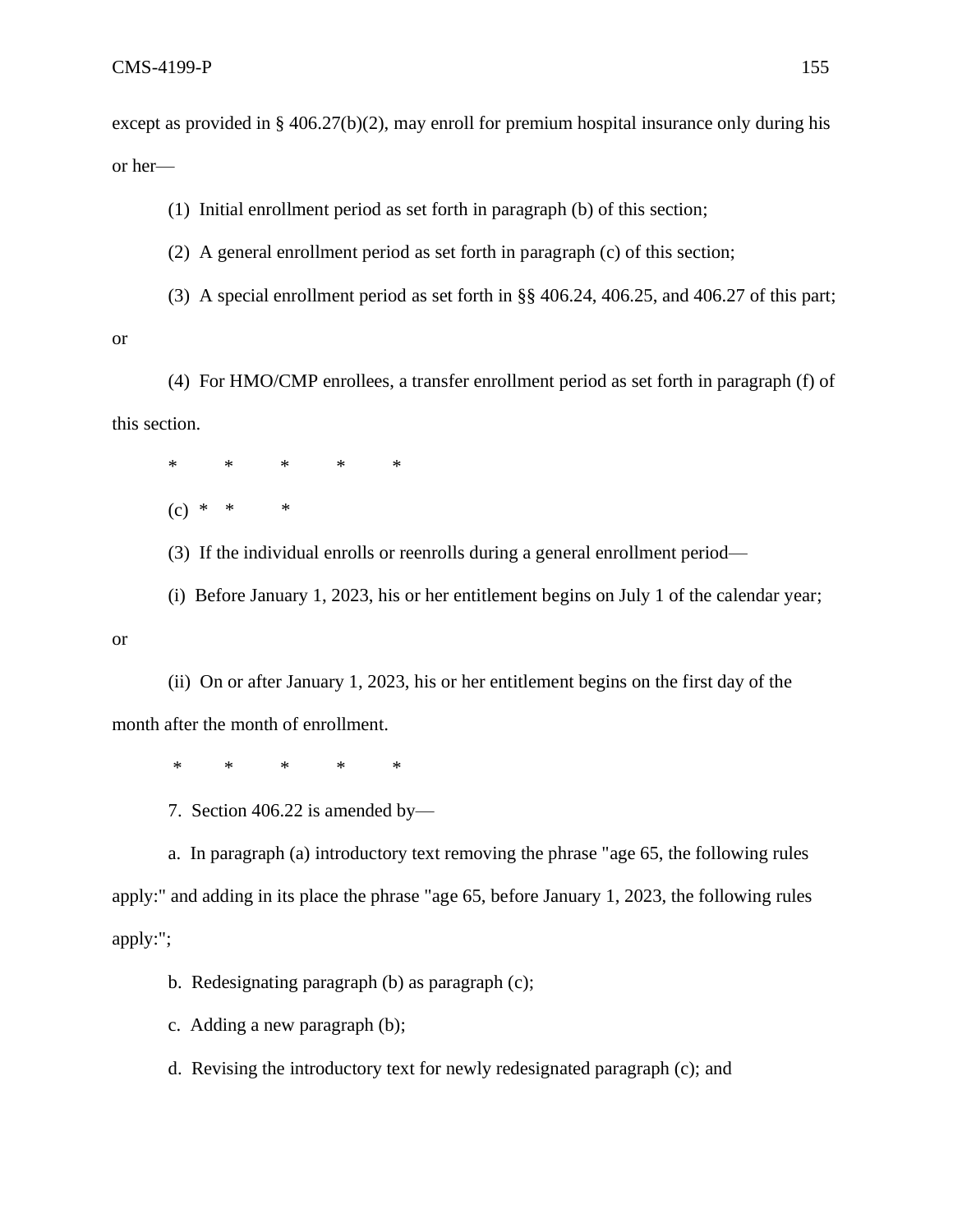except as provided in § 406.27(b)(2), may enroll for premium hospital insurance only during his or her—

(1)Initial enrollment period as set forth in paragraph (b) of this section;

(2) A general enrollment period as set forth in paragraph (c) of this section;

(3) A special enrollment period as set forth in §§ 406.24, 406.25, and 406.27 of this part;

(4) For HMO/CMP enrollees, a transfer enrollment period as set forth in paragraph (f) of this section.

\* \* \* \* \*

(c) *\* \* \**

(3) If the individual enrolls or reenrolls during a general enrollment period—

(i) Before January 1, 2023, his or her entitlement begins on July 1 of the calendar year;

or

or

(ii) On or after January 1, 2023, his or her entitlement begins on the first day of the month after the month of enrollment.

\* \* \* \* \*

7. Section 406.22 is amended by—

a. In paragraph (a) introductory text removing the phrase "age 65, the following rules apply:" and adding in its place the phrase "age 65, before January 1, 2023, the following rules apply:";

b. Redesignating paragraph (b) as paragraph (c);

c. Adding a new paragraph (b);

d. Revising the introductory text for newly redesignated paragraph (c); and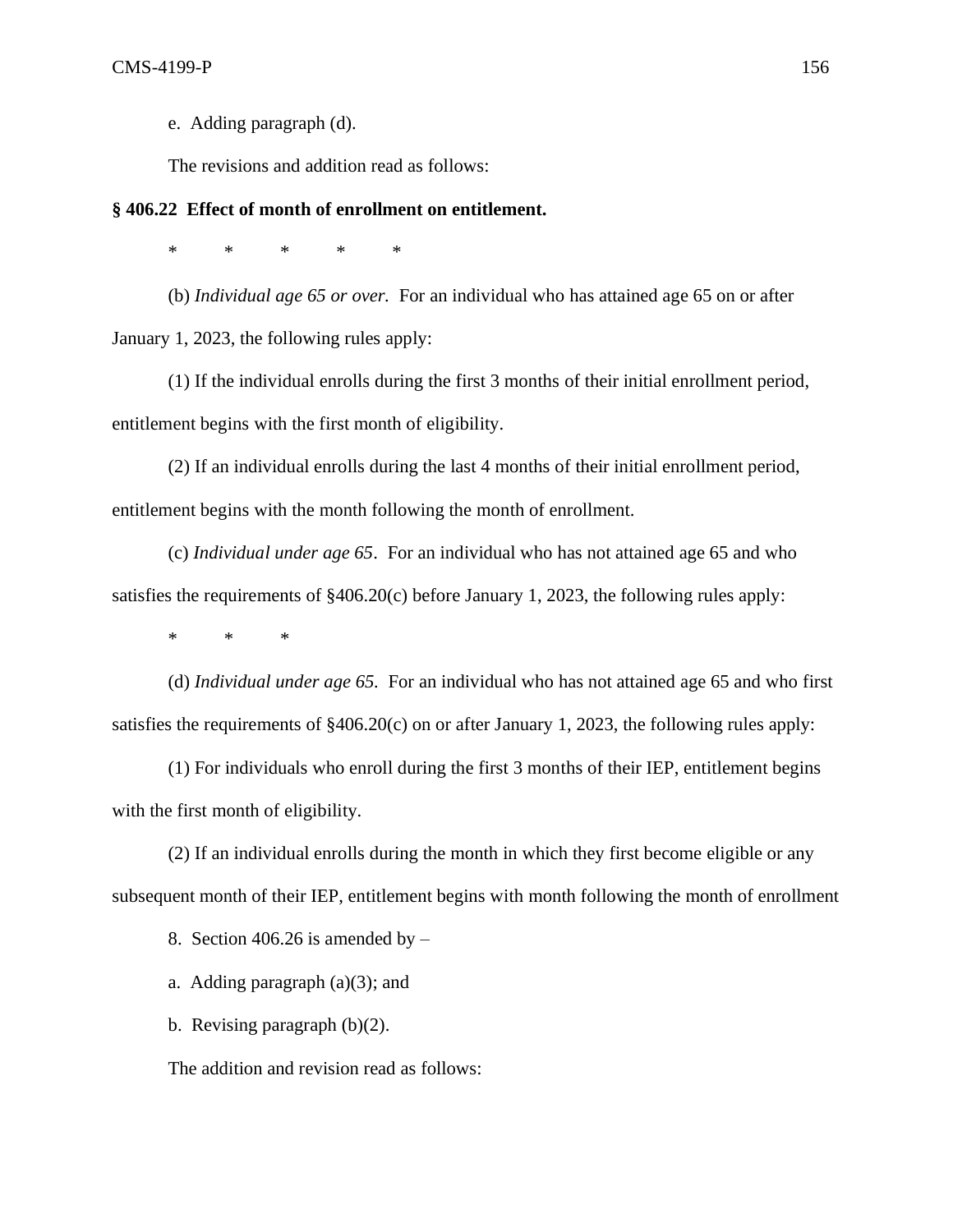e. Adding paragraph (d).

The revisions and addition read as follows:

## **§ 406.22 Effect of month of enrollment on entitlement.**

\* \* \* \* \*

(b) *Individual age 65 or over.* For an individual who has attained age 65 on or after January 1, 2023, the following rules apply:

(1) If the individual enrolls during the first 3 months of their initial enrollment period, entitlement begins with the first month of eligibility.

(2) If an individual enrolls during the last 4 months of their initial enrollment period, entitlement begins with the month following the month of enrollment.

(c) *Individual under age 65*. For an individual who has not attained age 65 and who satisfies the requirements of  $\S 406.20(c)$  before January 1, 2023, the following rules apply:

\* \* \*

(d) *Individual under age 65.* For an individual who has not attained age 65 and who first satisfies the requirements of §406.20(c) on or after January 1, 2023, the following rules apply:

(1) For individuals who enroll during the first 3 months of their IEP, entitlement begins with the first month of eligibility.

(2) If an individual enrolls during the month in which they first become eligible or any subsequent month of their IEP, entitlement begins with month following the month of enrollment

8. Section 406.26 is amended by  $-$ 

a. Adding paragraph  $(a)(3)$ ; and

b. Revising paragraph (b)(2).

The addition and revision read as follows: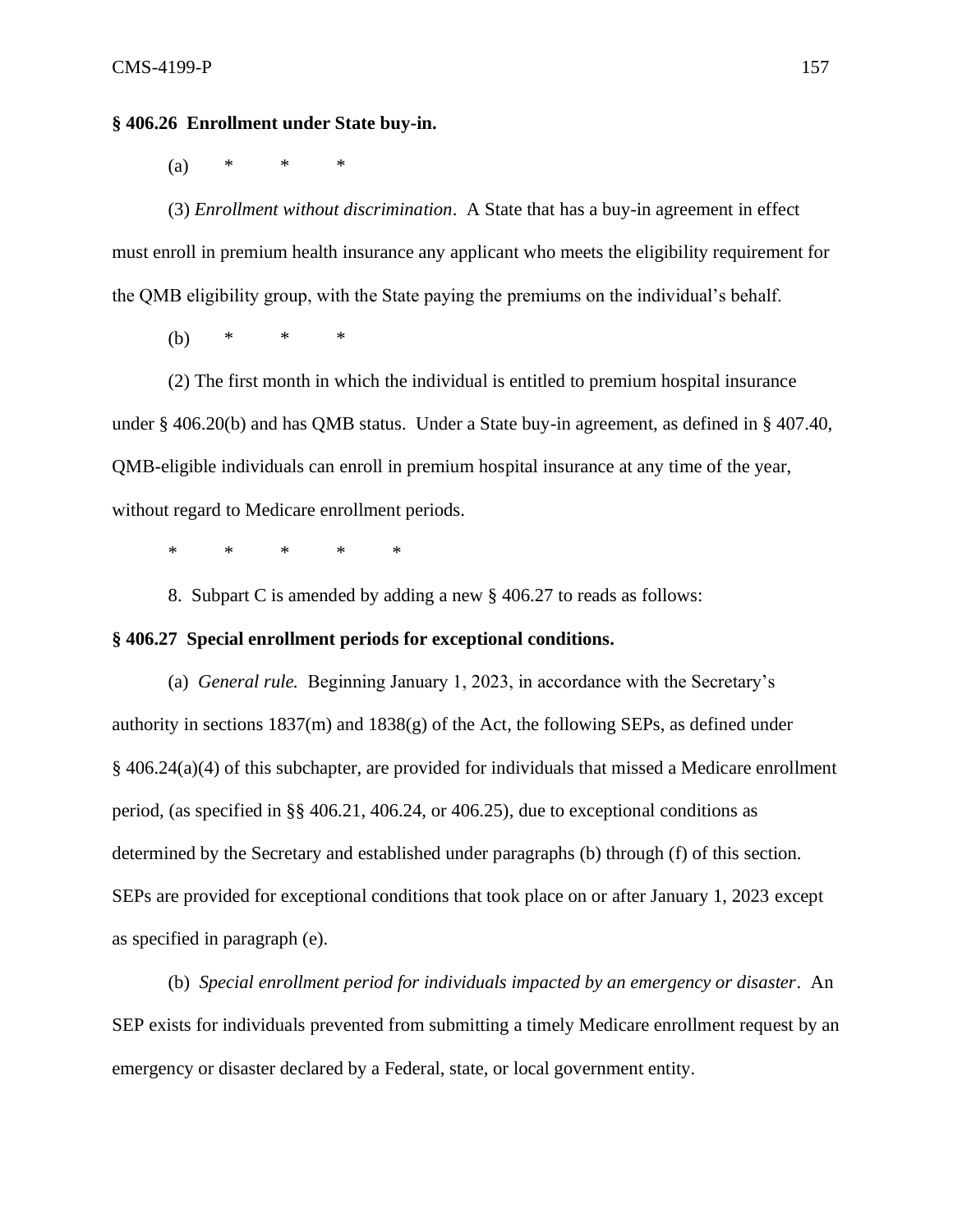# **§ 406.26 Enrollment under State buy-in.**

(a) \* \* \*

(3) *Enrollment without discrimination*. A State that has a buy-in agreement in effect must enroll in premium health insurance any applicant who meets the eligibility requirement for the QMB eligibility group, with the State paying the premiums on the individual's behalf.

(b) \* \* \*

(2) The first month in which the individual is entitled to premium hospital insurance under § 406.20(b) and has QMB status. Under a State buy-in agreement, as defined in § 407.40, QMB-eligible individuals can enroll in premium hospital insurance at any time of the year, without regard to Medicare enrollment periods.

\* \* \* \* \*

8. Subpart C is amended by adding a new § 406.27 to reads as follows:

#### **§ 406.27 Special enrollment periods for exceptional conditions.**

(a) *General rule.* Beginning January 1, 2023, in accordance with the Secretary's authority in sections 1837(m) and 1838(g) of the Act, the following SEPs, as defined under § 406.24(a)(4) of this subchapter, are provided for individuals that missed a Medicare enrollment period, (as specified in §§ 406.21, 406.24, or 406.25), due to exceptional conditions as determined by the Secretary and established under paragraphs (b) through (f) of this section. SEPs are provided for exceptional conditions that took place on or after January 1, 2023 except as specified in paragraph (e).

(b) *Special enrollment period for individuals impacted by an emergency or disaster*. An SEP exists for individuals prevented from submitting a timely Medicare enrollment request by an emergency or disaster declared by a Federal, state, or local government entity.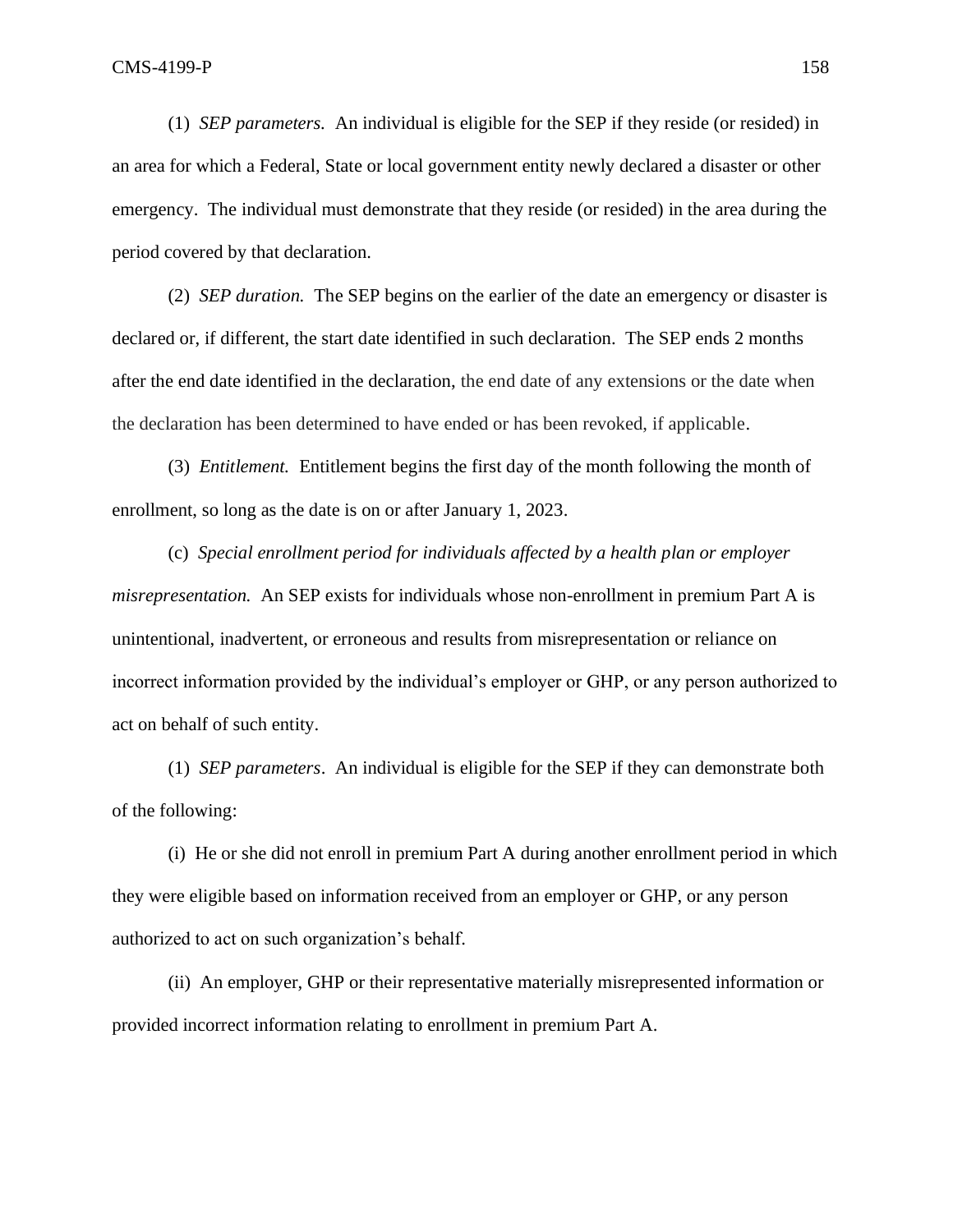(1) *SEP parameters.* An individual is eligible for the SEP if they reside (or resided) in an area for which a Federal, State or local government entity newly declared a disaster or other emergency. The individual must demonstrate that they reside (or resided) in the area during the period covered by that declaration.

(2) *SEP duration.* The SEP begins on the earlier of the date an emergency or disaster is declared or, if different, the start date identified in such declaration. The SEP ends 2 months after the end date identified in the declaration, the end date of any extensions or the date when the declaration has been determined to have ended or has been revoked, if applicable.

(3) *Entitlement.* Entitlement begins the first day of the month following the month of enrollment, so long as the date is on or after January 1, 2023.

(c) *Special enrollment period for individuals affected by a health plan or employer misrepresentation.* An SEP exists for individuals whose non-enrollment in premium Part A is unintentional, inadvertent, or erroneous and results from misrepresentation or reliance on incorrect information provided by the individual's employer or GHP, or any person authorized to act on behalf of such entity.

(1) *SEP parameters*. An individual is eligible for the SEP if they can demonstrate both of the following:

(i) He or she did not enroll in premium Part A during another enrollment period in which they were eligible based on information received from an employer or GHP, or any person authorized to act on such organization's behalf.

(ii) An employer, GHP or their representative materially misrepresented information or provided incorrect information relating to enrollment in premium Part A.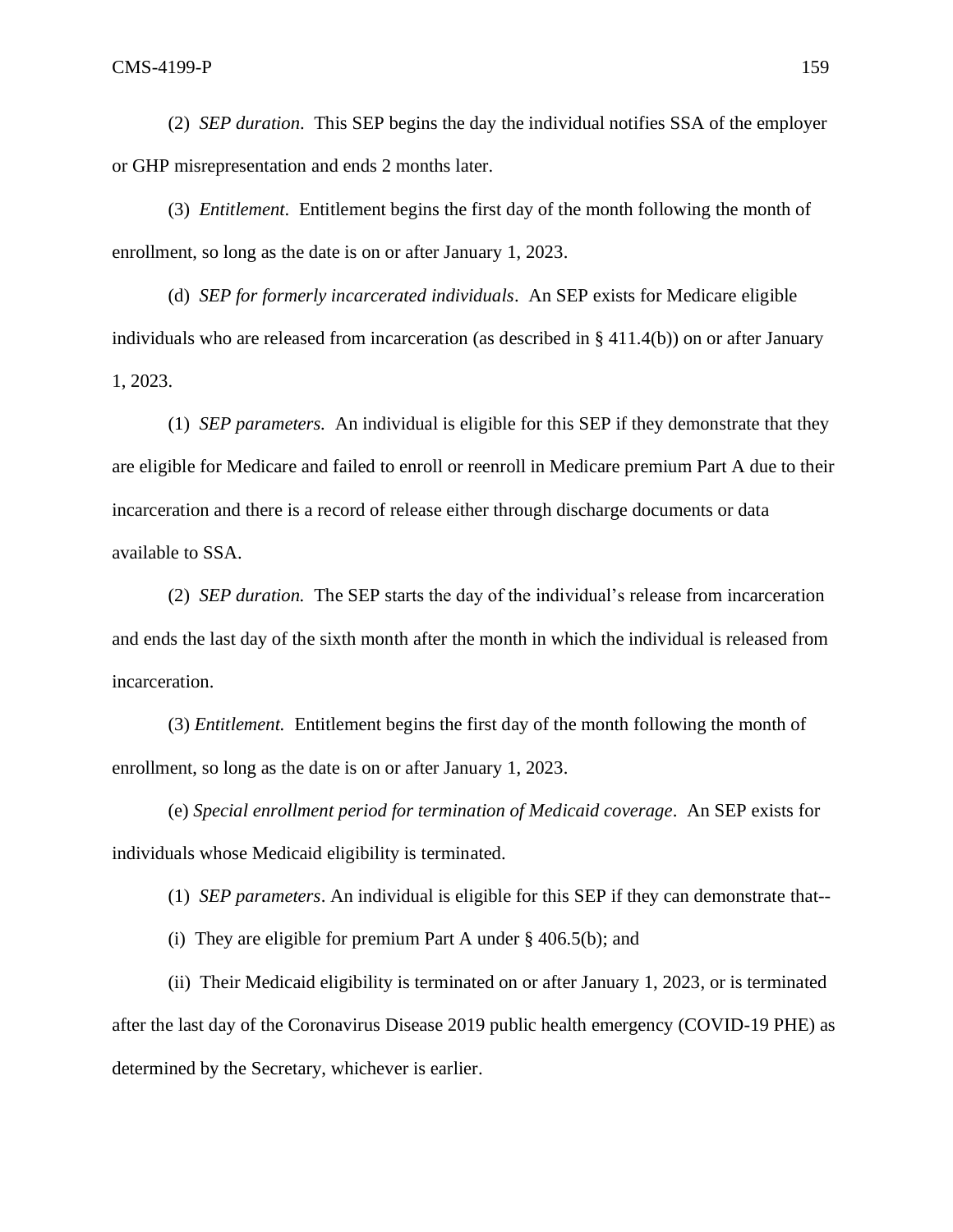(2) *SEP duration*. This SEP begins the day the individual notifies SSA of the employer or GHP misrepresentation and ends 2 months later.

(3) *Entitlement*. Entitlement begins the first day of the month following the month of enrollment, so long as the date is on or after January 1, 2023.

(d) *SEP for formerly incarcerated individuals*. An SEP exists for Medicare eligible individuals who are released from incarceration (as described in § 411.4(b)) on or after January 1, 2023.

(1) *SEP parameters.* An individual is eligible for this SEP if they demonstrate that they are eligible for Medicare and failed to enroll or reenroll in Medicare premium Part A due to their incarceration and there is a record of release either through discharge documents or data available to SSA.

(2) *SEP duration.* The SEP starts the day of the individual's release from incarceration and ends the last day of the sixth month after the month in which the individual is released from incarceration.

(3) *Entitlement.* Entitlement begins the first day of the month following the month of enrollment, so long as the date is on or after January 1, 2023.

(e) *Special enrollment period for termination of Medicaid coverage*. An SEP exists for individuals whose Medicaid eligibility is terminated.

(1) *SEP parameters*. An individual is eligible for this SEP if they can demonstrate that--

(i) They are eligible for premium Part A under § 406.5(b); and

(ii) Their Medicaid eligibility is terminated on or after January 1, 2023, or is terminated after the last day of the Coronavirus Disease 2019 public health emergency (COVID-19 PHE) as determined by the Secretary, whichever is earlier.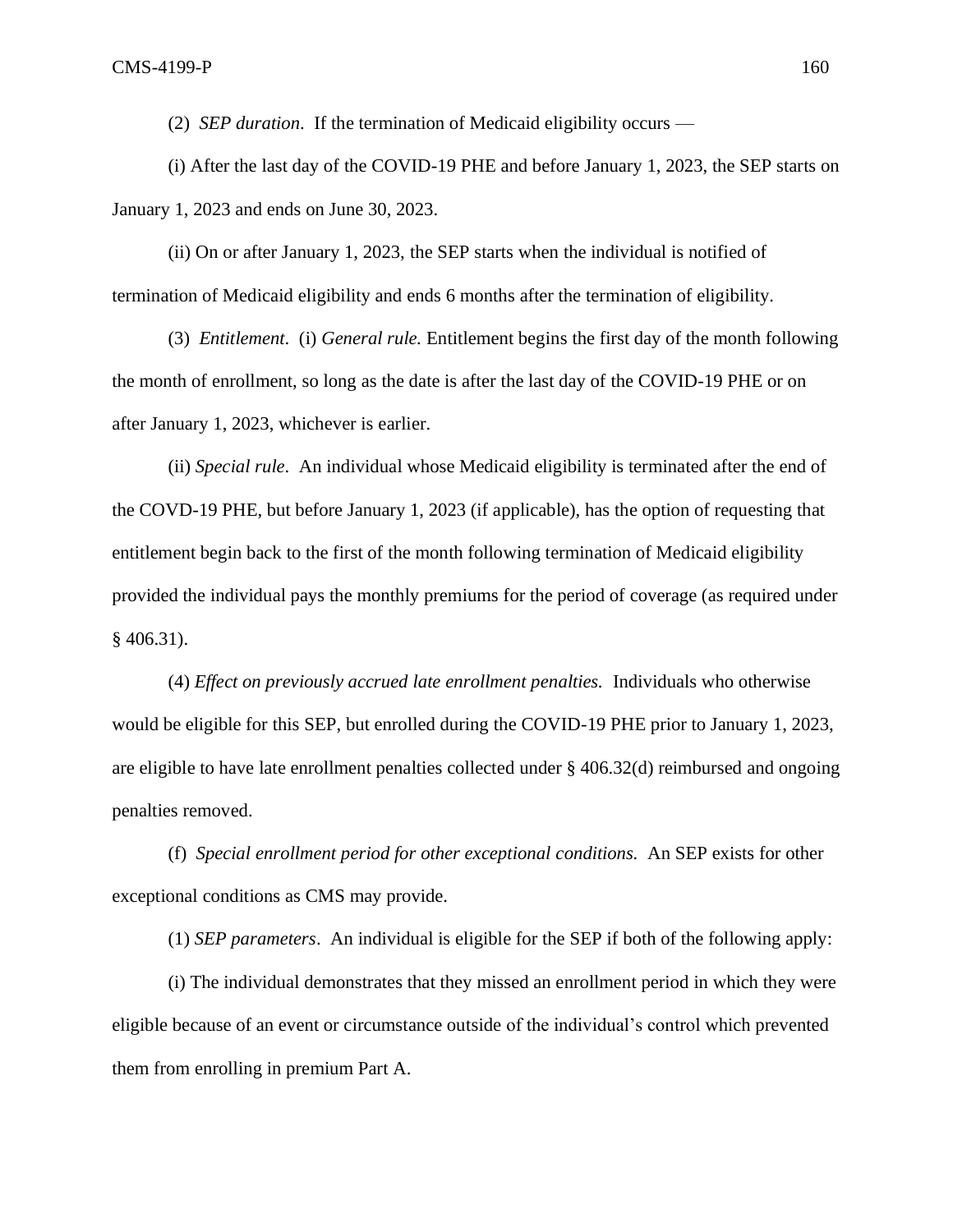(2) *SEP duration*. If the termination of Medicaid eligibility occurs —

(i) After the last day of the COVID-19 PHE and before January 1, 2023, the SEP starts on January 1, 2023 and ends on June 30, 2023.

(ii) On or after January 1, 2023, the SEP starts when the individual is notified of termination of Medicaid eligibility and ends 6 months after the termination of eligibility.

(3) *Entitlement*. (i) *General rule.* Entitlement begins the first day of the month following the month of enrollment, so long as the date is after the last day of the COVID-19 PHE or on after January 1, 2023, whichever is earlier.

(ii) *Special rule*. An individual whose Medicaid eligibility is terminated after the end of the COVD-19 PHE, but before January 1, 2023 (if applicable), has the option of requesting that entitlement begin back to the first of the month following termination of Medicaid eligibility provided the individual pays the monthly premiums for the period of coverage (as required under  $§$  406.31).

(4) *Effect on previously accrued late enrollment penalties.* Individuals who otherwise would be eligible for this SEP, but enrolled during the COVID-19 PHE prior to January 1, 2023, are eligible to have late enrollment penalties collected under § 406.32(d) reimbursed and ongoing penalties removed.

(f) *Special enrollment period for other exceptional conditions.* An SEP exists for other exceptional conditions as CMS may provide.

(1) *SEP parameters*. An individual is eligible for the SEP if both of the following apply:

(i) The individual demonstrates that they missed an enrollment period in which they were eligible because of an event or circumstance outside of the individual's control which prevented them from enrolling in premium Part A.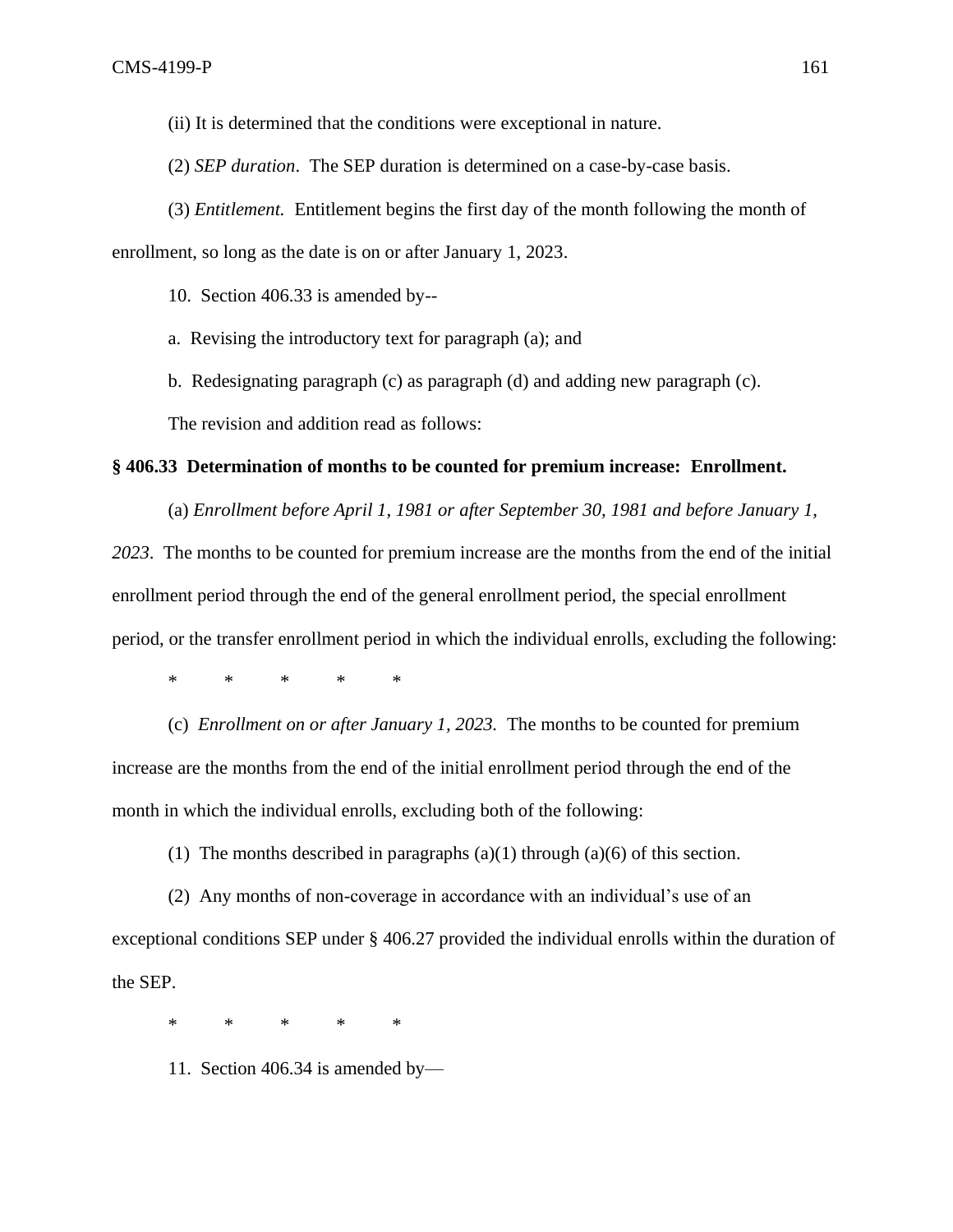(ii) It is determined that the conditions were exceptional in nature.

(2) *SEP duration*. The SEP duration is determined on a case-by-case basis.

(3) *Entitlement.* Entitlement begins the first day of the month following the month of enrollment, so long as the date is on or after January 1, 2023.

10. Section 406.33 is amended by--

a. Revising the introductory text for paragraph (a); and

b. Redesignating paragraph (c) as paragraph (d) and adding new paragraph (c).

The revision and addition read as follows:

### **§ 406.33 Determination of months to be counted for premium increase: Enrollment.**

(a) *Enrollment before April 1, 1981 or after September 30, 1981 and before January 1, 2023*. The months to be counted for premium increase are the months from the end of the initial

enrollment period through the end of the general enrollment period, the special enrollment

period, or the transfer enrollment period in which the individual enrolls, excluding the following:

\* \* \* \* \*

(c) *Enrollment on or after January 1, 2023.* The months to be counted for premium increase are the months from the end of the initial enrollment period through the end of the month in which the individual enrolls, excluding both of the following:

(1) The months described in paragraphs  $(a)(1)$  through  $(a)(6)$  of this section.

(2) Any months of non-coverage in accordance with an individual's use of an exceptional conditions SEP under § 406.27 provided the individual enrolls within the duration of the SEP.

\* \* \* \* \*

11. Section 406.34 is amended by—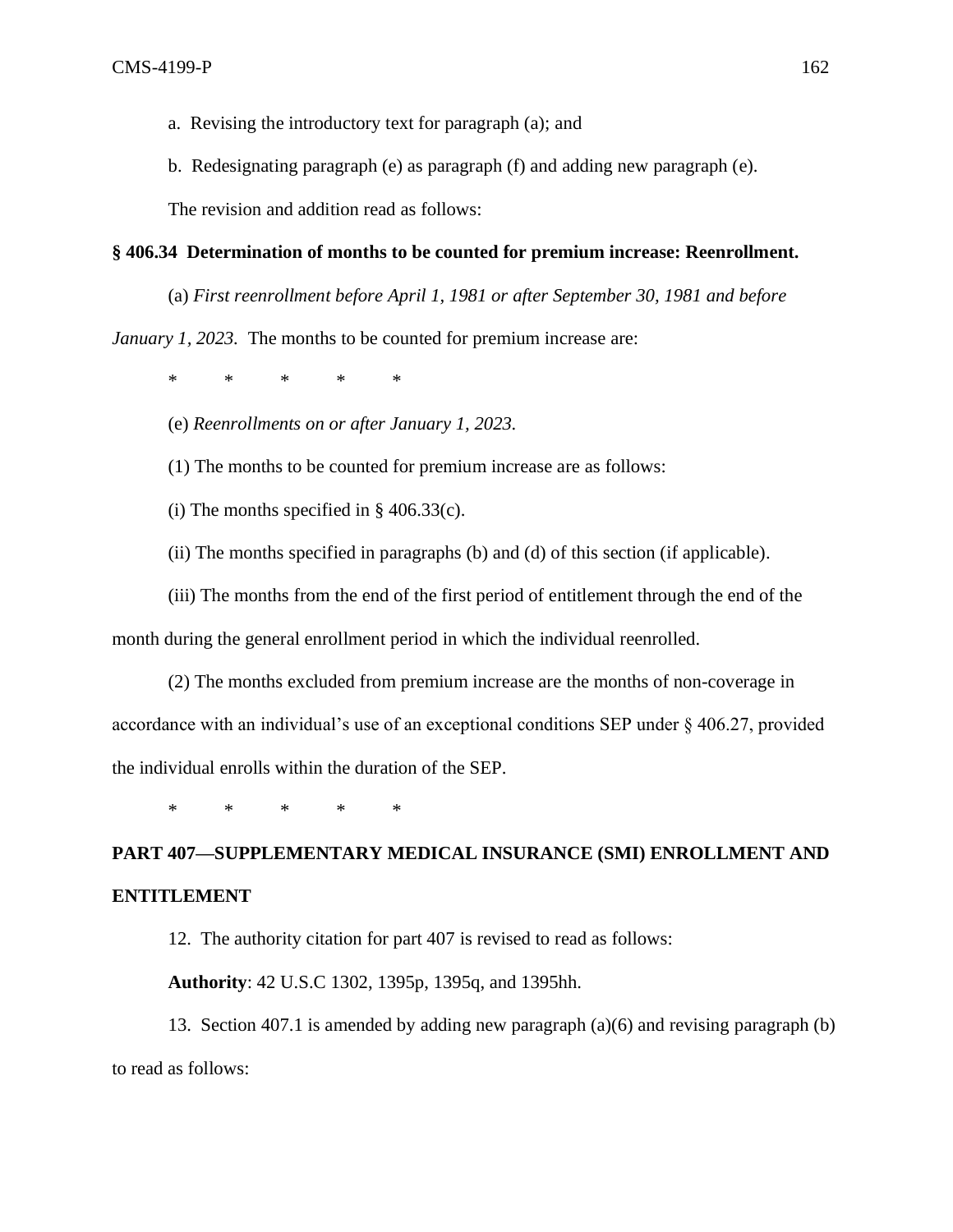- a. Revising the introductory text for paragraph (a); and
- b. Redesignating paragraph (e) as paragraph (f) and adding new paragraph (e).

The revision and addition read as follows:

# **§ 406.34 Determination of months to be counted for premium increase: Reenrollment.**

(a) *First reenrollment before April 1, 1981 or after September 30, 1981 and before*

*January 1, 2023.* The months to be counted for premium increase are:

\* \* \* \* \*

(e) *Reenrollments on or after January 1, 2023.* 

(1) The months to be counted for premium increase are as follows:

(i) The months specified in  $\S$  406.33(c).

- (ii) The months specified in paragraphs (b) and (d) of this section (if applicable).
- (iii) The months from the end of the first period of entitlement through the end of the

month during the general enrollment period in which the individual reenrolled.

(2) The months excluded from premium increase are the months of non-coverage in accordance with an individual's use of an exceptional conditions SEP under § 406.27, provided the individual enrolls within the duration of the SEP.

\* \* \* \* \*

# **PART 407—SUPPLEMENTARY MEDICAL INSURANCE (SMI) ENROLLMENT AND ENTITLEMENT**

12. The authority citation for part 407 is revised to read as follows:

**Authority**: 42 U.S.C 1302, 1395p, 1395q, and 1395hh.

13. Section 407.1 is amended by adding new paragraph (a)(6) and revising paragraph (b) to read as follows: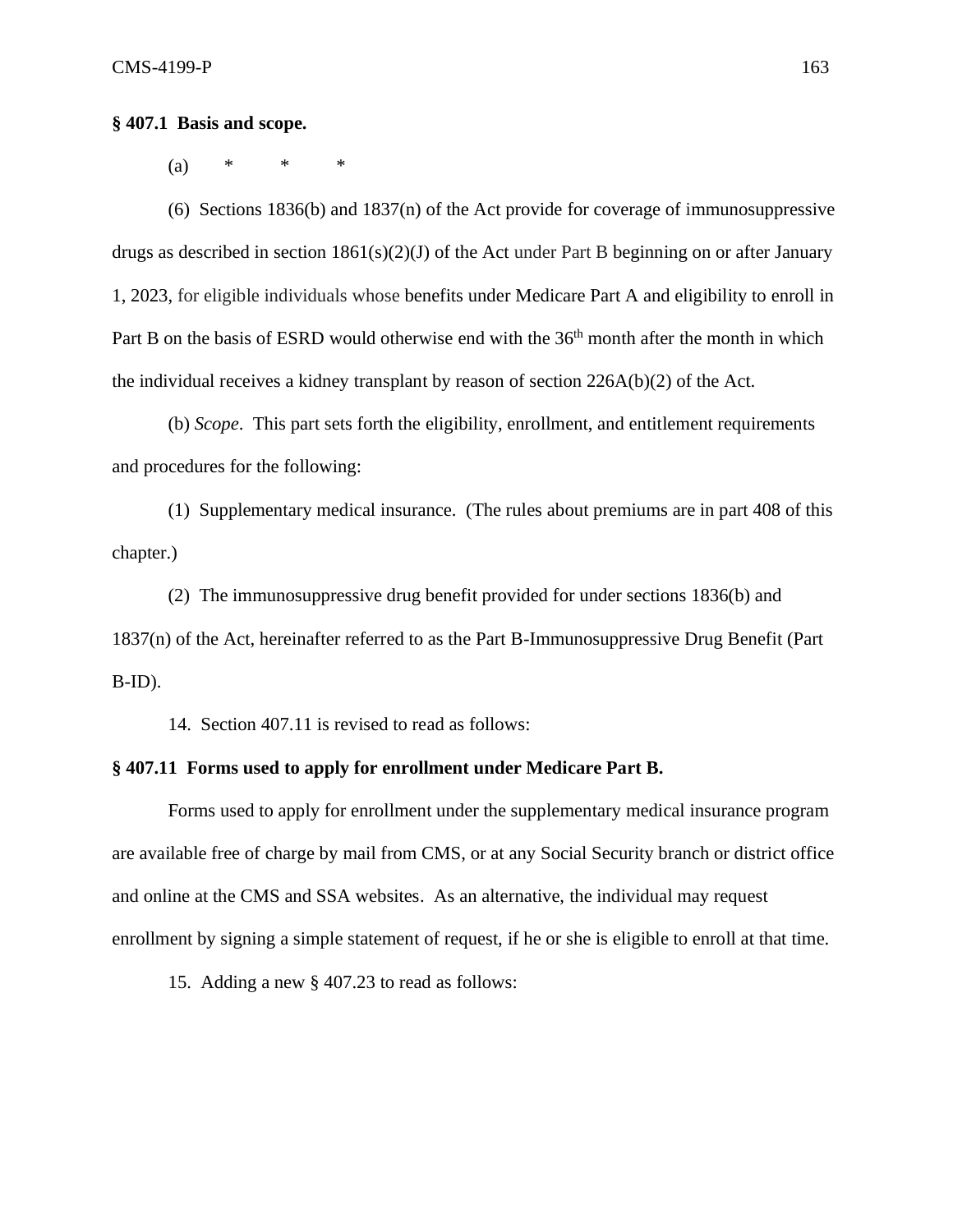(a) \* \* \*

(6) Sections 1836(b) and 1837(n) of the Act provide for coverage of immunosuppressive drugs as described in section 1861(s)(2)(J) of the Act under Part B beginning on or after January 1, 2023, for eligible individuals whose benefits under Medicare Part A and eligibility to enroll in Part B on the basis of ESRD would otherwise end with the 36<sup>th</sup> month after the month in which the individual receives a kidney transplant by reason of section 226A(b)(2) of the Act.

(b) *Scope*. This part sets forth the eligibility, enrollment, and entitlement requirements and procedures for the following:

(1) Supplementary medical insurance. (The rules about premiums are in part 408 of this chapter.)

(2) The immunosuppressive drug benefit provided for under sections 1836(b) and 1837(n) of the Act, hereinafter referred to as the Part B-Immunosuppressive Drug Benefit (Part B-ID).

14. Section 407.11 is revised to read as follows:

## **§ 407.11 Forms used to apply for enrollment under Medicare Part B.**

Forms used to apply for enrollment under the supplementary medical insurance program are available free of charge by mail from CMS, or at any Social Security branch or district office and online at the CMS and SSA websites. As an alternative, the individual may request enrollment by signing a simple statement of request, if he or she is eligible to enroll at that time.

15. Adding a new § 407.23 to read as follows: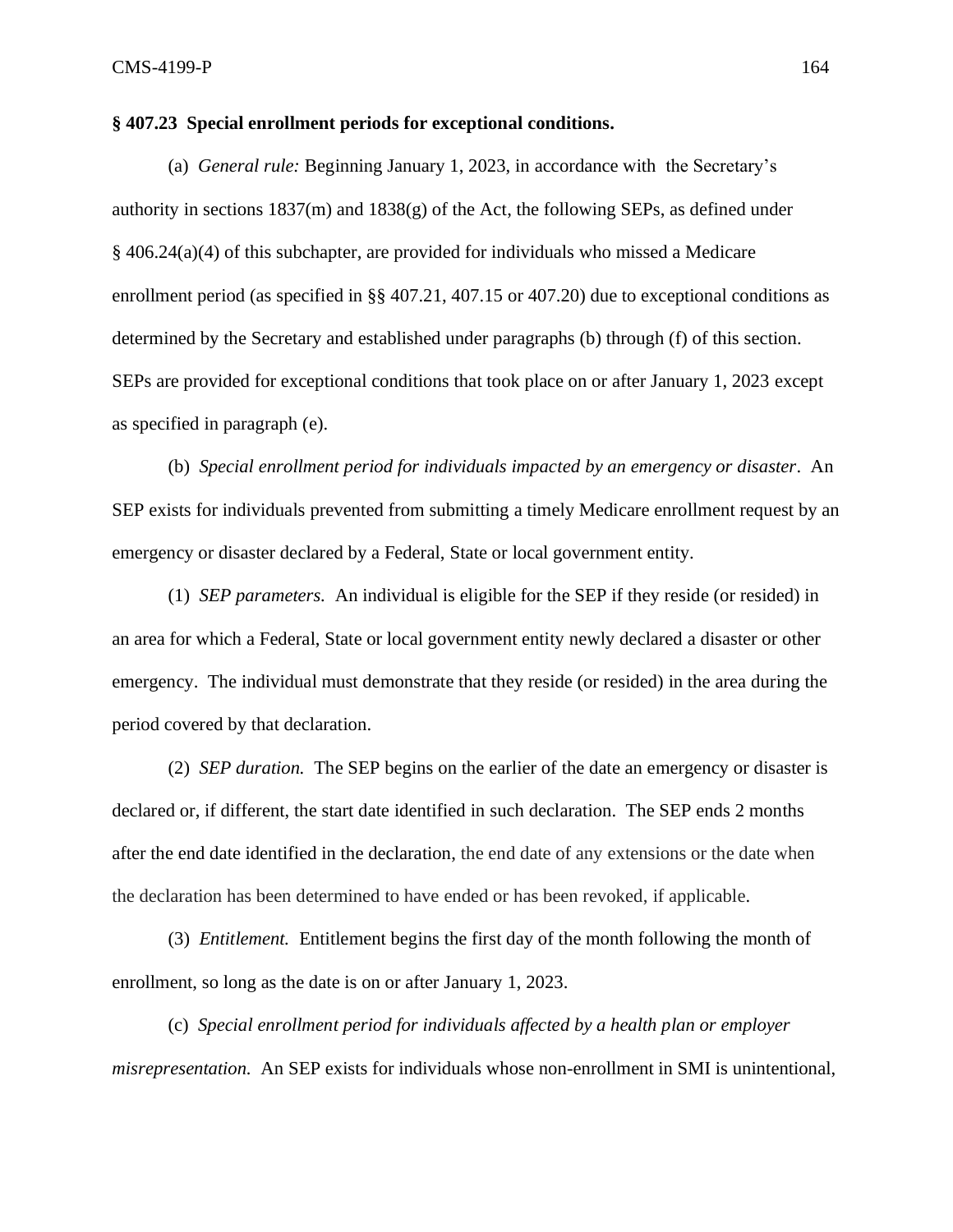# **§ 407.23 Special enrollment periods for exceptional conditions.**

(a) *General rule:* Beginning January 1, 2023, in accordance with the Secretary's authority in sections  $1837(m)$  and  $1838(g)$  of the Act, the following SEPs, as defined under § 406.24(a)(4) of this subchapter, are provided for individuals who missed a Medicare enrollment period (as specified in §§ 407.21, 407.15 or 407.20) due to exceptional conditions as determined by the Secretary and established under paragraphs (b) through (f) of this section. SEPs are provided for exceptional conditions that took place on or after January 1, 2023 except as specified in paragraph (e).

(b) *Special enrollment period for individuals impacted by an emergency or disaster*. An SEP exists for individuals prevented from submitting a timely Medicare enrollment request by an emergency or disaster declared by a Federal, State or local government entity.

(1) *SEP parameters.* An individual is eligible for the SEP if they reside (or resided) in an area for which a Federal, State or local government entity newly declared a disaster or other emergency. The individual must demonstrate that they reside (or resided) in the area during the period covered by that declaration.

(2) *SEP duration.* The SEP begins on the earlier of the date an emergency or disaster is declared or, if different, the start date identified in such declaration. The SEP ends 2 months after the end date identified in the declaration, the end date of any extensions or the date when the declaration has been determined to have ended or has been revoked, if applicable.

(3) *Entitlement.* Entitlement begins the first day of the month following the month of enrollment, so long as the date is on or after January 1, 2023.

(c) *Special enrollment period for individuals affected by a health plan or employer misrepresentation.* An SEP exists for individuals whose non-enrollment in SMI is unintentional,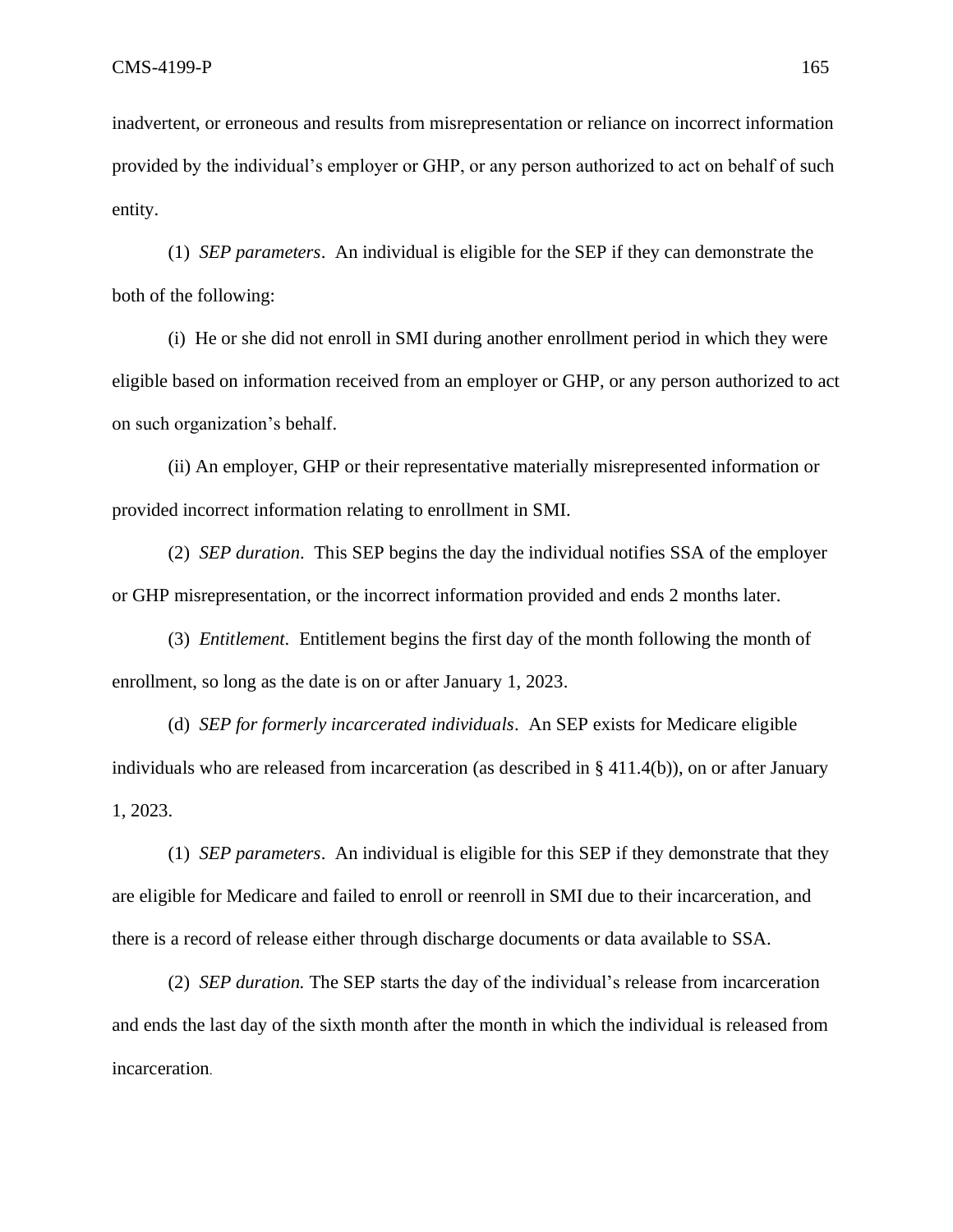inadvertent, or erroneous and results from misrepresentation or reliance on incorrect information provided by the individual's employer or GHP, or any person authorized to act on behalf of such entity.

(1) *SEP parameters*. An individual is eligible for the SEP if they can demonstrate the both of the following:

(i) He or she did not enroll in SMI during another enrollment period in which they were eligible based on information received from an employer or GHP, or any person authorized to act on such organization's behalf.

(ii) An employer, GHP or their representative materially misrepresented information or provided incorrect information relating to enrollment in SMI.

(2) *SEP duration*. This SEP begins the day the individual notifies SSA of the employer or GHP misrepresentation, or the incorrect information provided and ends 2 months later.

(3) *Entitlement*. Entitlement begins the first day of the month following the month of enrollment, so long as the date is on or after January 1, 2023.

(d) *SEP for formerly incarcerated individuals*. An SEP exists for Medicare eligible individuals who are released from incarceration (as described in § 411.4(b)), on or after January 1, 2023.

(1) *SEP parameters*. An individual is eligible for this SEP if they demonstrate that they are eligible for Medicare and failed to enroll or reenroll in SMI due to their incarceration, and there is a record of release either through discharge documents or data available to SSA.

(2) *SEP duration.* The SEP starts the day of the individual's release from incarceration and ends the last day of the sixth month after the month in which the individual is released from incarceration.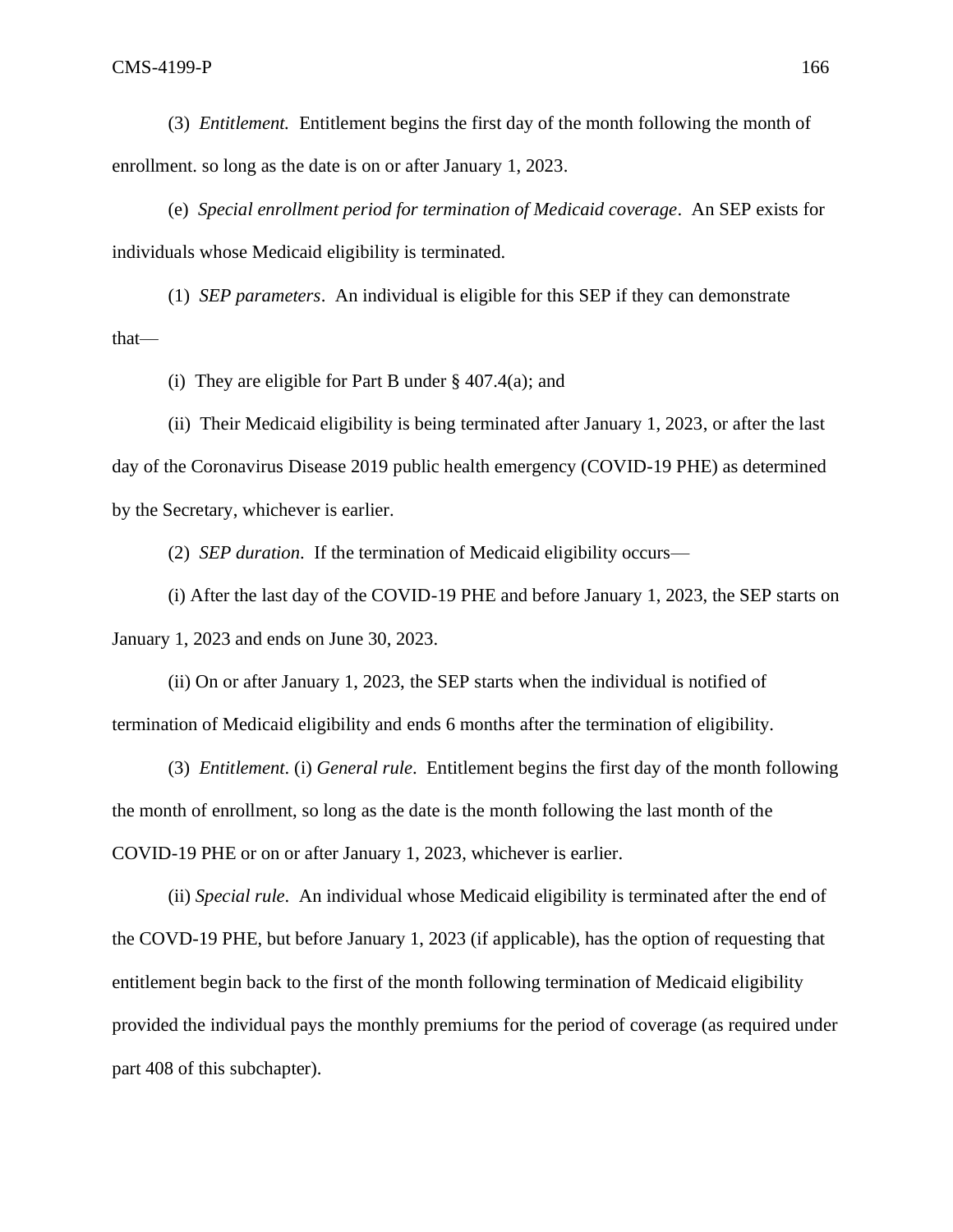(3) *Entitlement.* Entitlement begins the first day of the month following the month of enrollment. so long as the date is on or after January 1, 2023.

(e) *Special enrollment period for termination of Medicaid coverage*. An SEP exists for individuals whose Medicaid eligibility is terminated.

(1) *SEP parameters*. An individual is eligible for this SEP if they can demonstrate that—

(i) They are eligible for Part B under § 407.4(a); and

(ii) Their Medicaid eligibility is being terminated after January 1, 2023, or after the last day of the Coronavirus Disease 2019 public health emergency (COVID-19 PHE) as determined by the Secretary, whichever is earlier.

(2) *SEP duration*. If the termination of Medicaid eligibility occurs—

(i) After the last day of the COVID-19 PHE and before January 1, 2023, the SEP starts on January 1, 2023 and ends on June 30, 2023.

(ii) On or after January 1, 2023, the SEP starts when the individual is notified of termination of Medicaid eligibility and ends 6 months after the termination of eligibility.

(3) *Entitlement*. (i) *General rule*. Entitlement begins the first day of the month following the month of enrollment, so long as the date is the month following the last month of the COVID-19 PHE or on or after January 1, 2023, whichever is earlier.

(ii) *Special rule*. An individual whose Medicaid eligibility is terminated after the end of the COVD-19 PHE, but before January 1, 2023 (if applicable), has the option of requesting that entitlement begin back to the first of the month following termination of Medicaid eligibility provided the individual pays the monthly premiums for the period of coverage (as required under part 408 of this subchapter).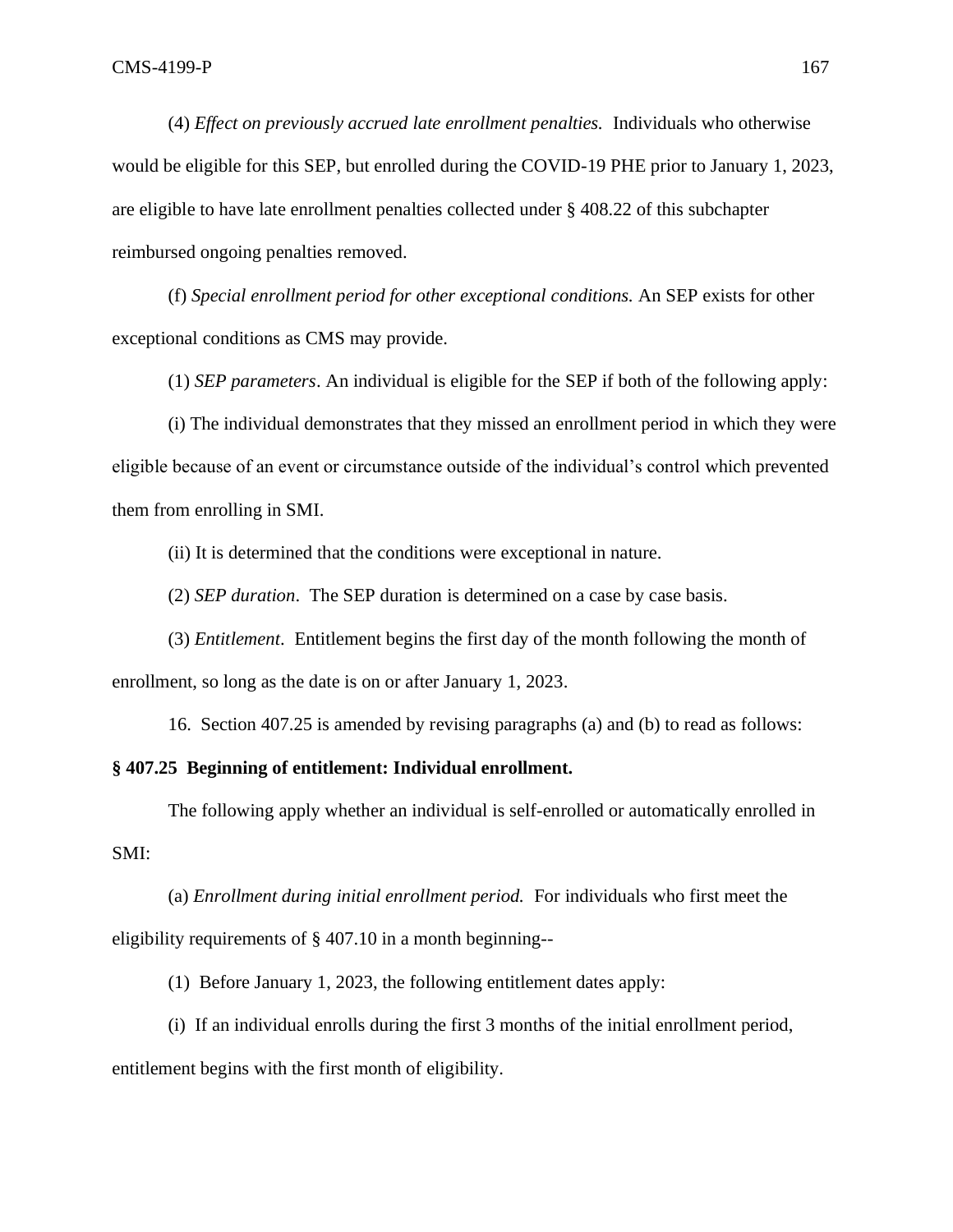(4) *Effect on previously accrued late enrollment penalties.* Individuals who otherwise would be eligible for this SEP, but enrolled during the COVID-19 PHE prior to January 1, 2023, are eligible to have late enrollment penalties collected under § 408.22 of this subchapter reimbursed ongoing penalties removed.

(f) *Special enrollment period for other exceptional conditions.* An SEP exists for other exceptional conditions as CMS may provide.

(1) *SEP parameters*. An individual is eligible for the SEP if both of the following apply:

(i) The individual demonstrates that they missed an enrollment period in which they were eligible because of an event or circumstance outside of the individual's control which prevented them from enrolling in SMI.

(ii) It is determined that the conditions were exceptional in nature.

(2) *SEP duration*. The SEP duration is determined on a case by case basis.

(3) *Entitlement*. Entitlement begins the first day of the month following the month of enrollment, so long as the date is on or after January 1, 2023.

16. Section 407.25 is amended by revising paragraphs (a) and (b) to read as follows:

## **§ 407.25 Beginning of entitlement: Individual enrollment.**

The following apply whether an individual is self-enrolled or automatically enrolled in SMI:

(a) *Enrollment during initial enrollment period.* For individuals who first meet the eligibility requirements of § 407.10 in a month beginning--

(1) Before January 1, 2023, the following entitlement dates apply:

(i) If an individual enrolls during the first 3 months of the initial enrollment period, entitlement begins with the first month of eligibility.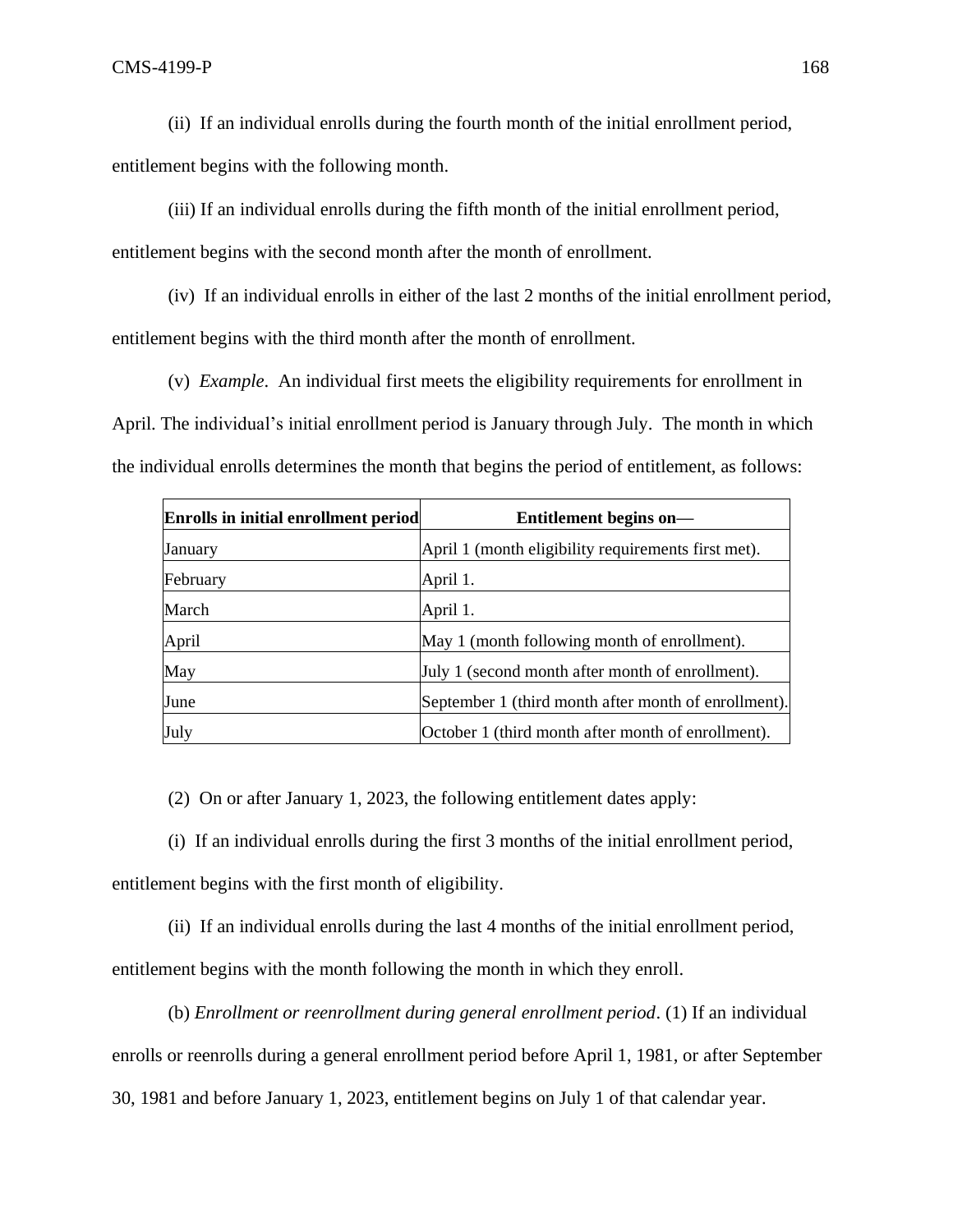(ii) If an individual enrolls during the fourth month of the initial enrollment period,

entitlement begins with the following month.

(iii) If an individual enrolls during the fifth month of the initial enrollment period,

entitlement begins with the second month after the month of enrollment.

(iv) If an individual enrolls in either of the last 2 months of the initial enrollment period, entitlement begins with the third month after the month of enrollment.

(v) *Example*. An individual first meets the eligibility requirements for enrollment in April. The individual's initial enrollment period is January through July. The month in which the individual enrolls determines the month that begins the period of entitlement, as follows:

| Enrolls in initial enrollment period | Entitlement begins on-                               |
|--------------------------------------|------------------------------------------------------|
| January                              | April 1 (month eligibility requirements first met).  |
| February                             | April 1.                                             |
| March                                | April 1.                                             |
| April                                | May 1 (month following month of enrollment).         |
| May                                  | July 1 (second month after month of enrollment).     |
| June                                 | September 1 (third month after month of enrollment). |
| July                                 | October 1 (third month after month of enrollment).   |

(2) On or after January 1, 2023, the following entitlement dates apply:

(i) If an individual enrolls during the first 3 months of the initial enrollment period, entitlement begins with the first month of eligibility.

(ii) If an individual enrolls during the last 4 months of the initial enrollment period, entitlement begins with the month following the month in which they enroll.

(b) *Enrollment or reenrollment during general enrollment period*. (1) If an individual enrolls or reenrolls during a general enrollment period before April 1, 1981, or after September 30, 1981 and before January 1, 2023, entitlement begins on July 1 of that calendar year.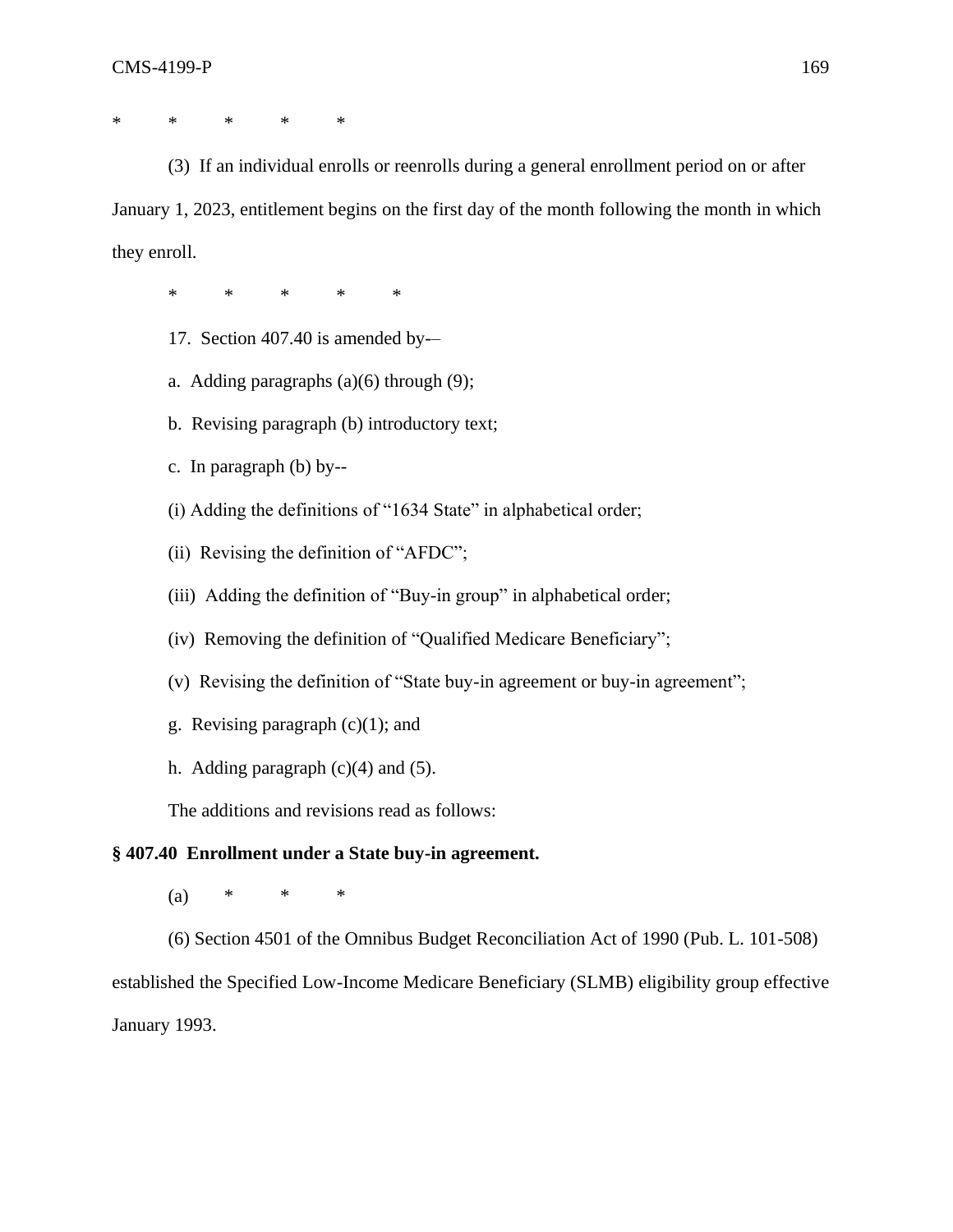\* \* \* \* \*

(3) If an individual enrolls or reenrolls during a general enrollment period on or after January 1, 2023, entitlement begins on the first day of the month following the month in which they enroll.

\* \* \* \* \*

- 17. Section 407.40 is amended by-–
- a. Adding paragraphs  $(a)(6)$  through  $(9)$ ;
- b. Revising paragraph (b) introductory text;
- c. In paragraph (b) by--
- (i) Adding the definitions of "1634 State" in alphabetical order;
- (ii) Revising the definition of "AFDC";
- (iii) Adding the definition of "Buy-in group" in alphabetical order;
- (iv) Removing the definition of "Qualified Medicare Beneficiary";
- (v) Revising the definition of "State buy-in agreement or buy-in agreement";
- g. Revising paragraph  $(c)(1)$ ; and
- h. Adding paragraph  $(c)(4)$  and  $(5)$ .

The additions and revisions read as follows:

# **§ 407.40 Enrollment under a State buy-in agreement.**

(a) \* \* \*

(6) Section 4501 of the Omnibus Budget Reconciliation Act of 1990 (Pub. L. 101-508) established the Specified Low-Income Medicare Beneficiary (SLMB) eligibility group effective January 1993.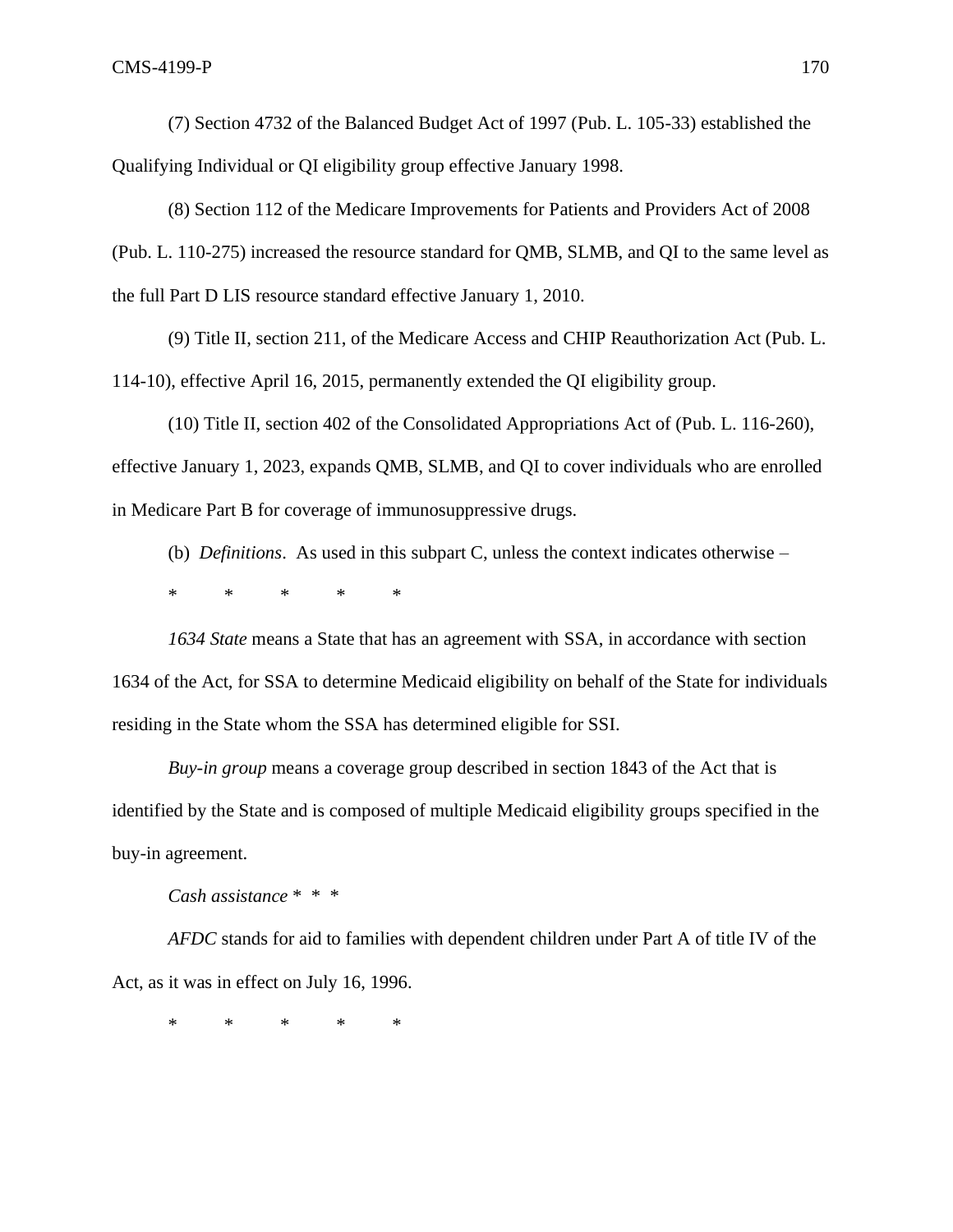(7) Section 4732 of the Balanced Budget Act of 1997 (Pub. L. 105-33) established the Qualifying Individual or QI eligibility group effective January 1998.

(8) Section 112 of the Medicare Improvements for Patients and Providers Act of 2008 (Pub. L. 110-275) increased the resource standard for QMB, SLMB, and QI to the same level as the full Part D LIS resource standard effective January 1, 2010.

(9) Title II, section 211, of the Medicare Access and CHIP Reauthorization Act (Pub. L. 114-10), effective April 16, 2015, permanently extended the QI eligibility group.

(10) Title II, section 402 of the Consolidated Appropriations Act of (Pub. L. 116-260), effective January 1, 2023, expands QMB, SLMB, and QI to cover individuals who are enrolled in Medicare Part B for coverage of immunosuppressive drugs.

(b) *Definitions*. As used in this subpart C, unless the context indicates otherwise –

\* \* \* \* \*

*1634 State* means a State that has an agreement with SSA, in accordance with section 1634 of the Act, for SSA to determine Medicaid eligibility on behalf of the State for individuals residing in the State whom the SSA has determined eligible for SSI.

*Buy-in group* means a coverage group described in section 1843 of the Act that is identified by the State and is composed of multiple Medicaid eligibility groups specified in the buy-in agreement.

*Cash assistance* \* \* \*

*AFDC* stands for aid to families with dependent children under Part A of title IV of the Act, as it was in effect on July 16, 1996.

\* \* \* \* \*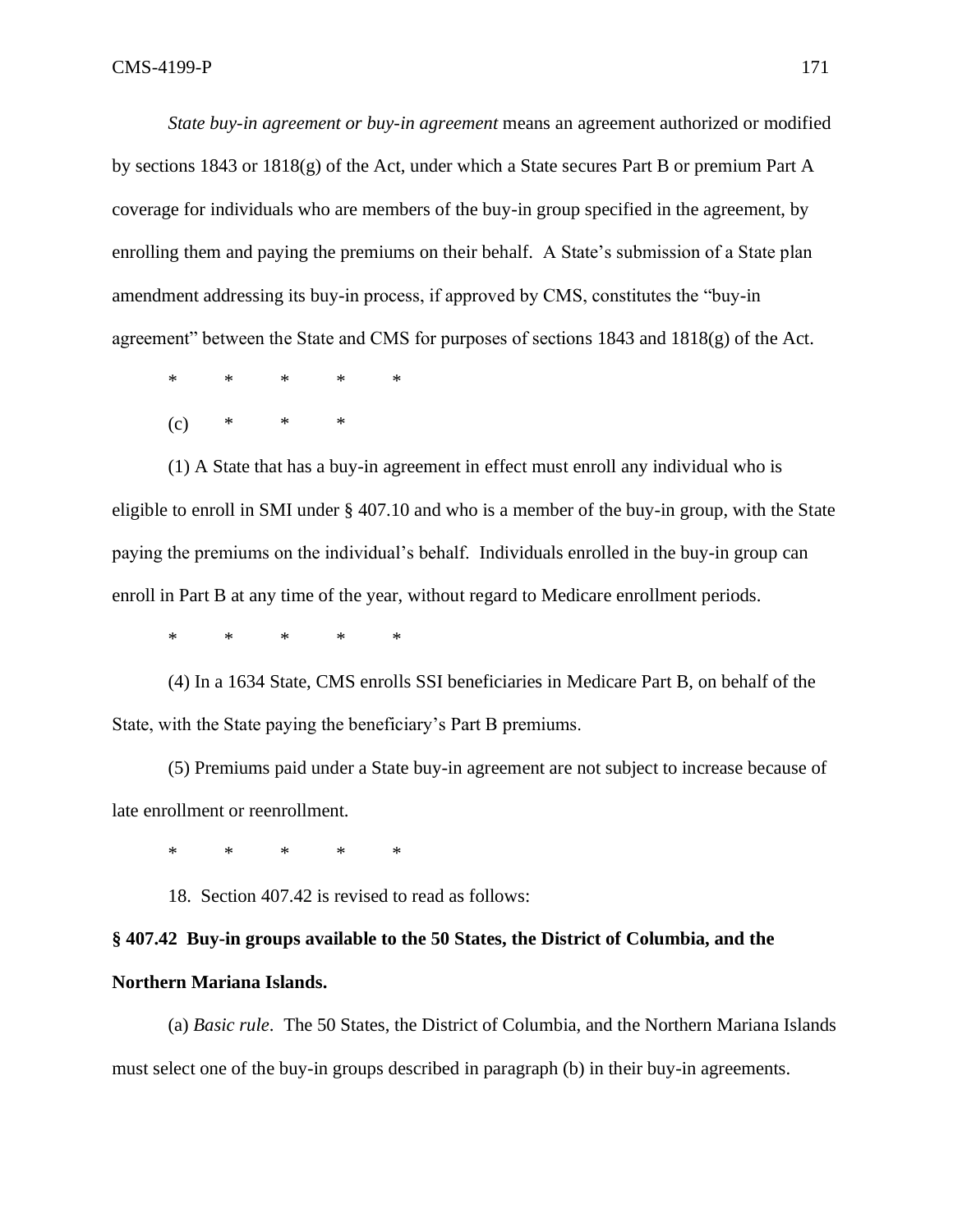*State buy-in agreement or buy-in agreement* means an agreement authorized or modified by sections 1843 or 1818(g) of the Act, under which a State secures Part B or premium Part A coverage for individuals who are members of the buy-in group specified in the agreement, by enrolling them and paying the premiums on their behalf. A State's submission of a State plan amendment addressing its buy-in process, if approved by CMS, constitutes the "buy-in agreement" between the State and CMS for purposes of sections 1843 and 1818(g) of the Act.

\* \* \* \* \*

 $(c)$  \* \* \*

(1) A State that has a buy-in agreement in effect must enroll any individual who is eligible to enroll in SMI under § 407.10 and who is a member of the buy-in group, with the State paying the premiums on the individual's behalf. Individuals enrolled in the buy-in group can enroll in Part B at any time of the year, without regard to Medicare enrollment periods.

\* \* \* \* \*

(4) In a 1634 State, CMS enrolls SSI beneficiaries in Medicare Part B, on behalf of the State, with the State paying the beneficiary's Part B premiums.

(5) Premiums paid under a State buy-in agreement are not subject to increase because of late enrollment or reenrollment.

\* \* \* \* \*

18. Section 407.42 is revised to read as follows:

# **§ 407.42 Buy-in groups available to the 50 States, the District of Columbia, and the**

# **Northern Mariana Islands.**

(a) *Basic rule*. The 50 States, the District of Columbia, and the Northern Mariana Islands must select one of the buy-in groups described in paragraph (b) in their buy-in agreements.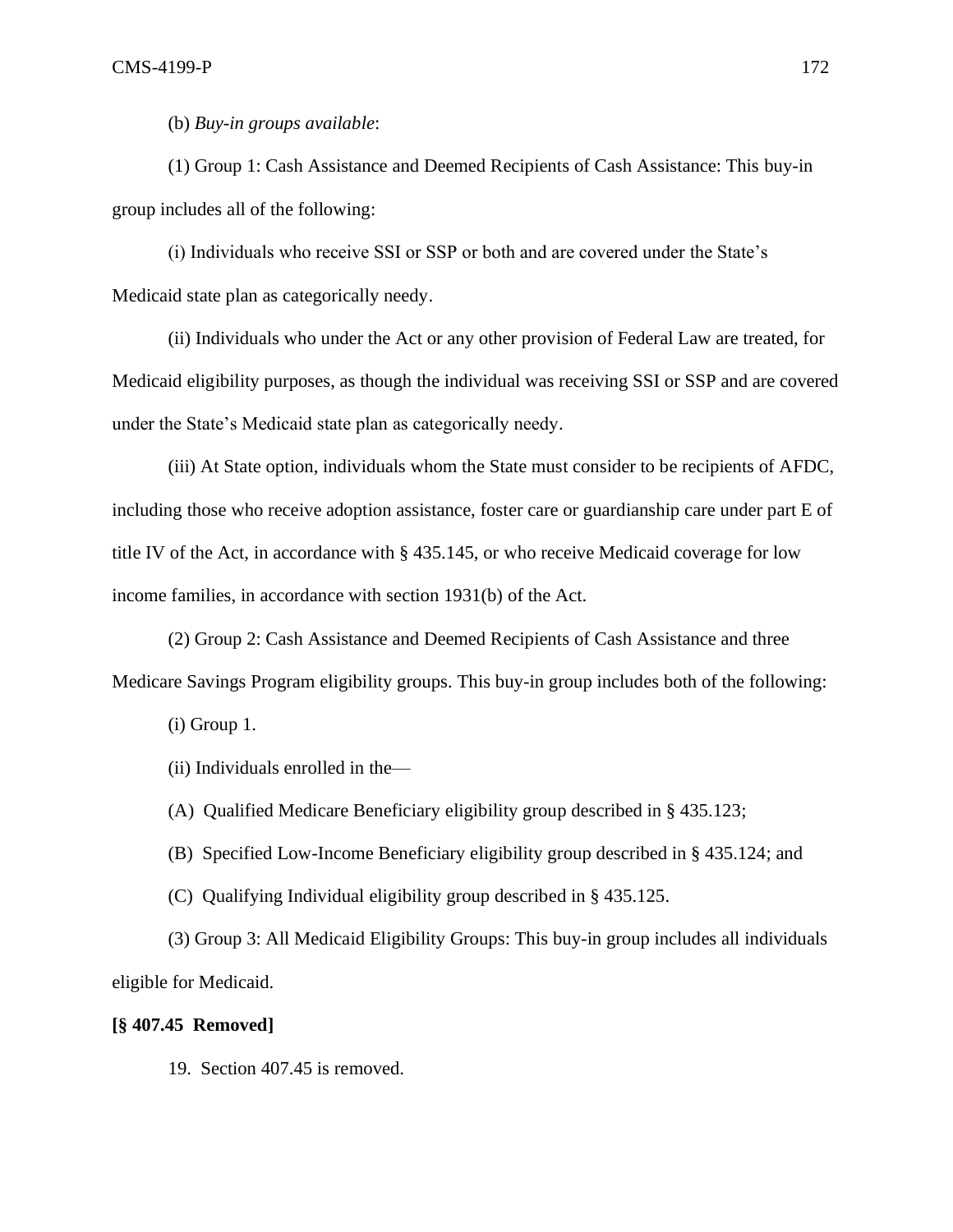(b) *Buy-in groups available*:

(1) Group 1: Cash Assistance and Deemed Recipients of Cash Assistance: This buy-in group includes all of the following:

(i) Individuals who receive SSI or SSP or both and are covered under the State's Medicaid state plan as categorically needy.

(ii) Individuals who under the Act or any other provision of Federal Law are treated, for Medicaid eligibility purposes, as though the individual was receiving SSI or SSP and are covered under the State's Medicaid state plan as categorically needy.

(iii) At State option, individuals whom the State must consider to be recipients of AFDC, including those who receive adoption assistance, foster care or guardianship care under part E of title IV of the Act, in accordance with § 435.145, or who receive Medicaid coverage for low income families, in accordance with section 1931(b) of the Act.

(2) Group 2: Cash Assistance and Deemed Recipients of Cash Assistance and three Medicare Savings Program eligibility groups. This buy-in group includes both of the following:

(i) Group 1.

(ii) Individuals enrolled in the—

(A) Qualified Medicare Beneficiary eligibility group described in § 435.123;

(B) Specified Low-Income Beneficiary eligibility group described in § 435.124; and

(C) Qualifying Individual eligibility group described in § 435.125.

(3) Group 3: All Medicaid Eligibility Groups: This buy-in group includes all individuals eligible for Medicaid.

# **[§ 407.45 Removed]**

19. Section 407.45 is removed.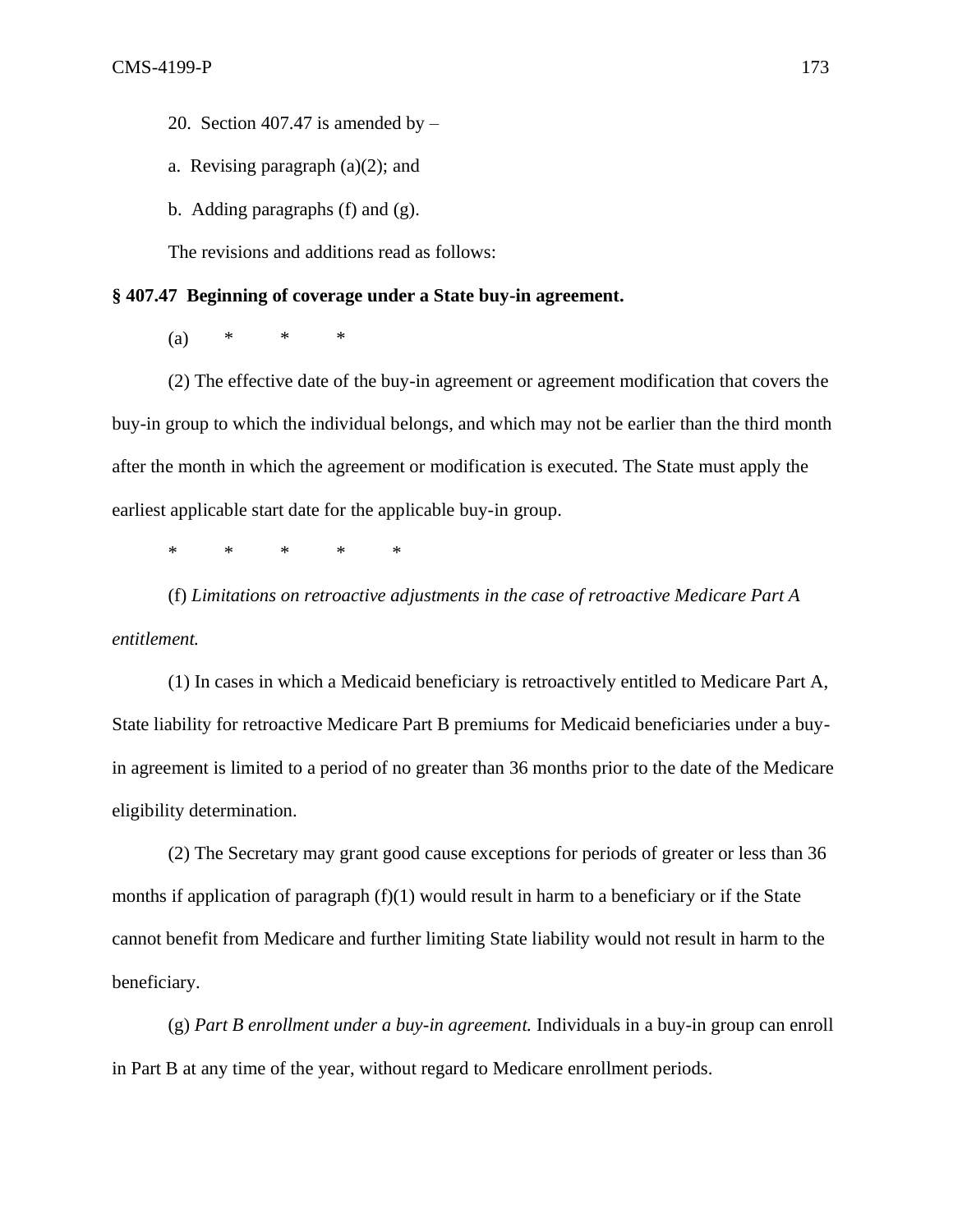20. Section 407.47 is amended by  $-$ 

- a. Revising paragraph  $(a)(2)$ ; and
- b. Adding paragraphs (f) and (g).

The revisions and additions read as follows:

### **§ 407.47 Beginning of coverage under a State buy-in agreement.**

 $(a) * * * * * *$ 

(2) The effective date of the buy-in agreement or agreement modification that covers the buy-in group to which the individual belongs, and which may not be earlier than the third month after the month in which the agreement or modification is executed. The State must apply the earliest applicable start date for the applicable buy-in group.

\* \* \* \* \*

(f) *Limitations on retroactive adjustments in the case of retroactive Medicare Part A entitlement.*

(1) In cases in which a Medicaid beneficiary is retroactively entitled to Medicare Part A, State liability for retroactive Medicare Part B premiums for Medicaid beneficiaries under a buyin agreement is limited to a period of no greater than 36 months prior to the date of the Medicare eligibility determination.

(2) The Secretary may grant good cause exceptions for periods of greater or less than 36 months if application of paragraph  $(f)(1)$  would result in harm to a beneficiary or if the State cannot benefit from Medicare and further limiting State liability would not result in harm to the beneficiary.

(g) *Part B enrollment under a buy-in agreement.* Individuals in a buy-in group can enroll in Part B at any time of the year, without regard to Medicare enrollment periods.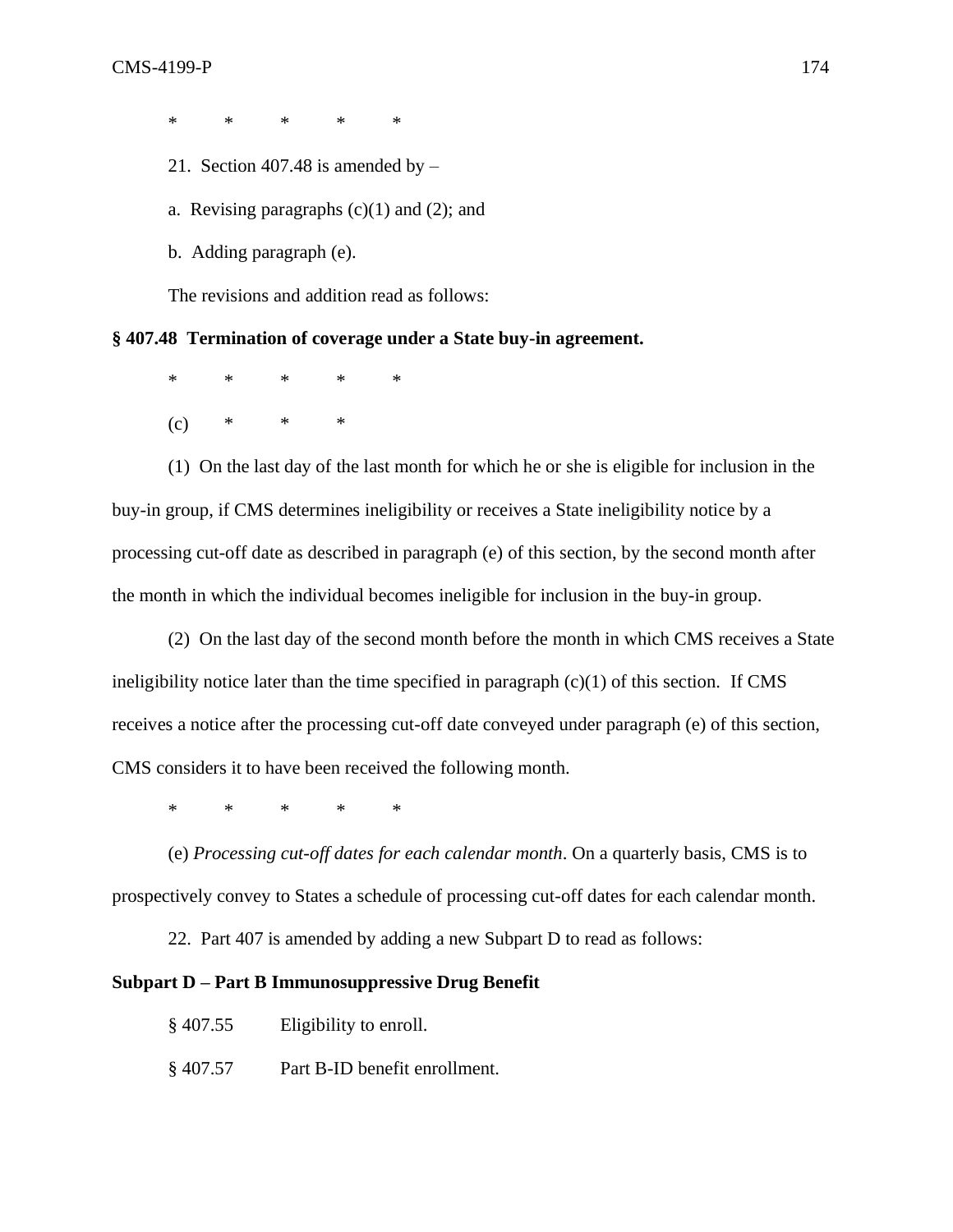\* \* \* \* \*

- 21. Section 407.48 is amended by  $-$
- a. Revising paragraphs  $(c)(1)$  and  $(2)$ ; and
- b. Adding paragraph (e).

The revisions and addition read as follows:

# **§ 407.48 Termination of coverage under a State buy-in agreement.**

\* \* \* \* \*

 $(c)$  \* \* \*

(1) On the last day of the last month for which he or she is eligible for inclusion in the buy-in group, if CMS determines ineligibility or receives a State ineligibility notice by a processing cut-off date as described in paragraph (e) of this section, by the second month after the month in which the individual becomes ineligible for inclusion in the buy-in group.

(2) On the last day of the second month before the month in which CMS receives a State ineligibility notice later than the time specified in paragraph  $(c)(1)$  of this section. If CMS receives a notice after the processing cut-off date conveyed under paragraph (e) of this section, CMS considers it to have been received the following month.

\* \* \* \* \*

(e) *Processing cut-off dates for each calendar month*. On a quarterly basis, CMS is to prospectively convey to States a schedule of processing cut-off dates for each calendar month.

22. Part 407 is amended by adding a new Subpart D to read as follows:

## **Subpart D – Part B Immunosuppressive Drug Benefit**

- § 407.55 Eligibility to enroll.
- § 407.57 Part B-ID benefit enrollment.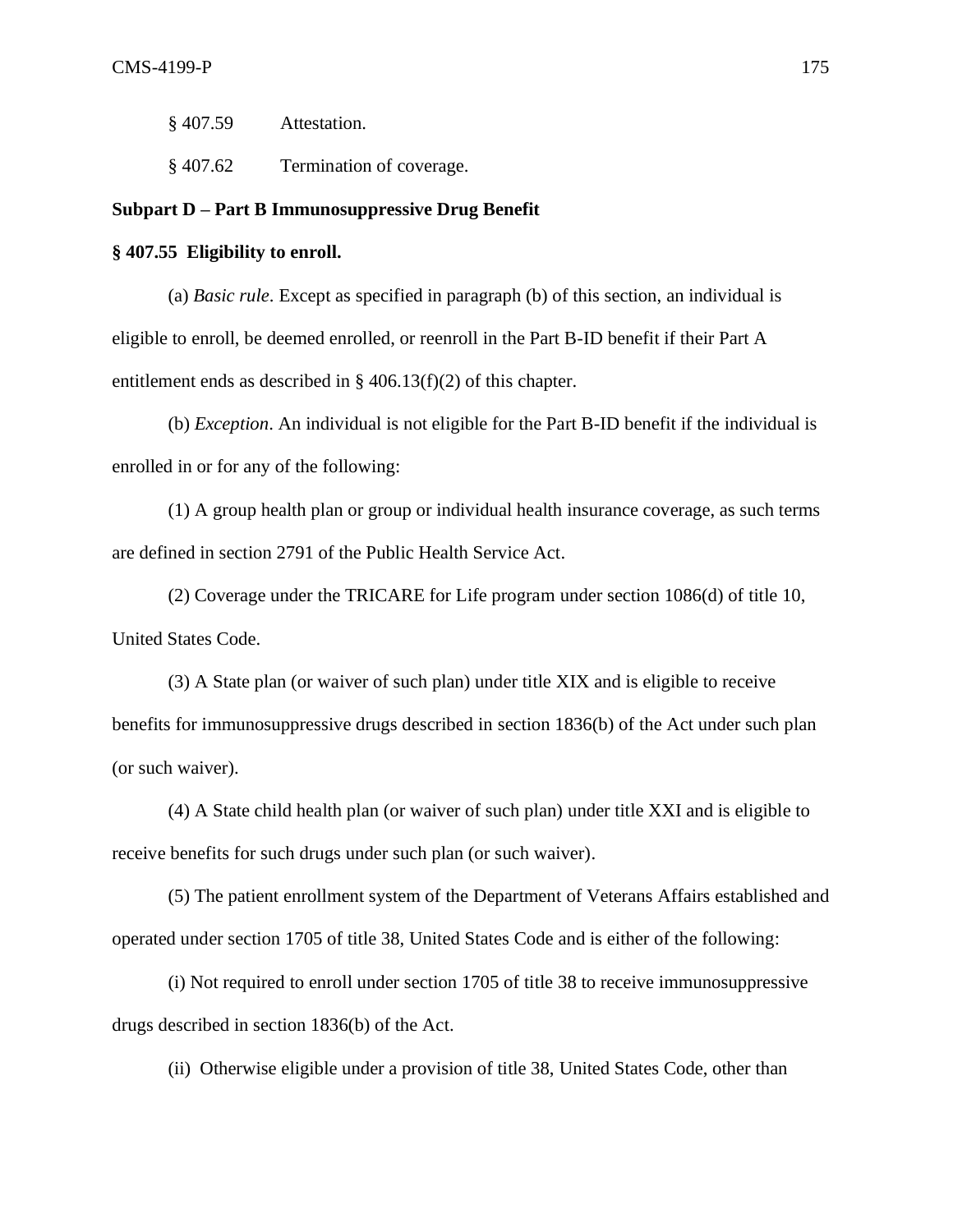§ 407.59 Attestation.

§ 407.62 Termination of coverage.

## **Subpart D – Part B Immunosuppressive Drug Benefit**

**§ 407.55 Eligibility to enroll.**

(a) *Basic rule*. Except as specified in paragraph (b) of this section, an individual is eligible to enroll, be deemed enrolled, or reenroll in the Part B-ID benefit if their Part A entitlement ends as described in § 406.13(f)(2) of this chapter.

(b) *Exception*. An individual is not eligible for the Part B-ID benefit if the individual is enrolled in or for any of the following:

(1) A group health plan or group or individual health insurance coverage, as such terms are defined in section 2791 of the Public Health Service Act.

(2) Coverage under the TRICARE for Life program under section 1086(d) of title 10, United States Code.

(3) A State plan (or waiver of such plan) under title XIX and is eligible to receive benefits for immunosuppressive drugs described in section 1836(b) of the Act under such plan (or such waiver).

(4) A State child health plan (or waiver of such plan) under title XXI and is eligible to receive benefits for such drugs under such plan (or such waiver).

(5) The patient enrollment system of the Department of Veterans Affairs established and operated under section 1705 of title 38, United States Code and is either of the following:

(i) Not required to enroll under section 1705 of title 38 to receive immunosuppressive drugs described in section 1836(b) of the Act.

(ii) Otherwise eligible under a provision of title 38, United States Code, other than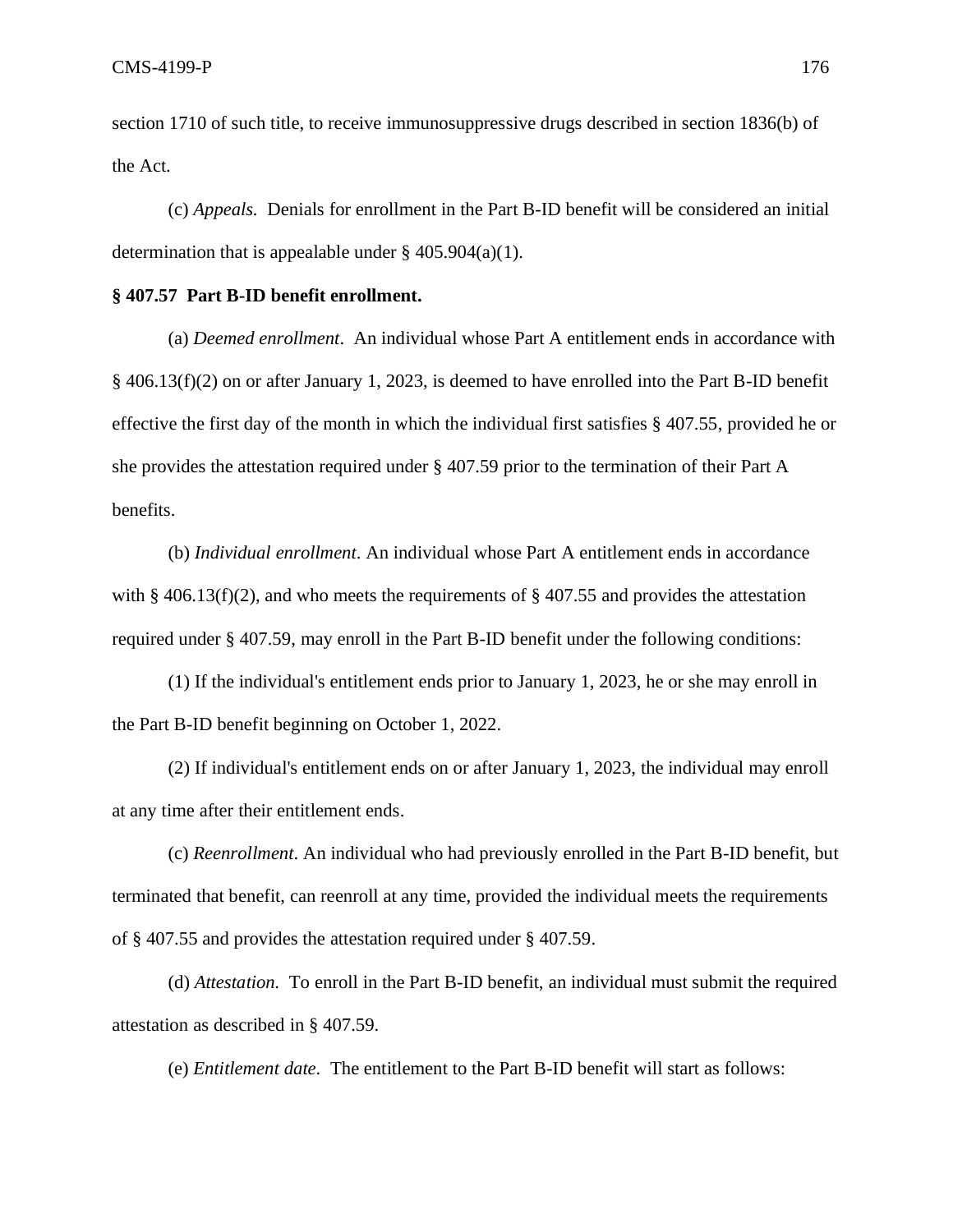section 1710 of such title, to receive immunosuppressive drugs described in section 1836(b) of the Act.

(c) *Appeals.* Denials for enrollment in the Part B-ID benefit will be considered an initial determination that is appealable under  $\S$  405.904(a)(1).

## **§ 407.57 Part B-ID benefit enrollment.**

(a) *Deemed enrollment*. An individual whose Part A entitlement ends in accordance with § 406.13(f)(2) on or after January 1, 2023, is deemed to have enrolled into the Part B-ID benefit effective the first day of the month in which the individual first satisfies § 407.55, provided he or she provides the attestation required under § 407.59 prior to the termination of their Part A benefits.

(b) *Individual enrollment*. An individual whose Part A entitlement ends in accordance with § 406.13(f)(2), and who meets the requirements of § 407.55 and provides the attestation required under § 407.59, may enroll in the Part B-ID benefit under the following conditions:

(1) If the individual's entitlement ends prior to January 1, 2023, he or she may enroll in the Part B-ID benefit beginning on October 1, 2022.

(2) If individual's entitlement ends on or after January 1, 2023, the individual may enroll at any time after their entitlement ends.

(c) *Reenrollment*. An individual who had previously enrolled in the Part B-ID benefit, but terminated that benefit, can reenroll at any time, provided the individual meets the requirements of § 407.55 and provides the attestation required under § 407.59.

(d) *Attestation.* To enroll in the Part B-ID benefit, an individual must submit the required attestation as described in § 407.59.

(e) *Entitlement date*. The entitlement to the Part B-ID benefit will start as follows: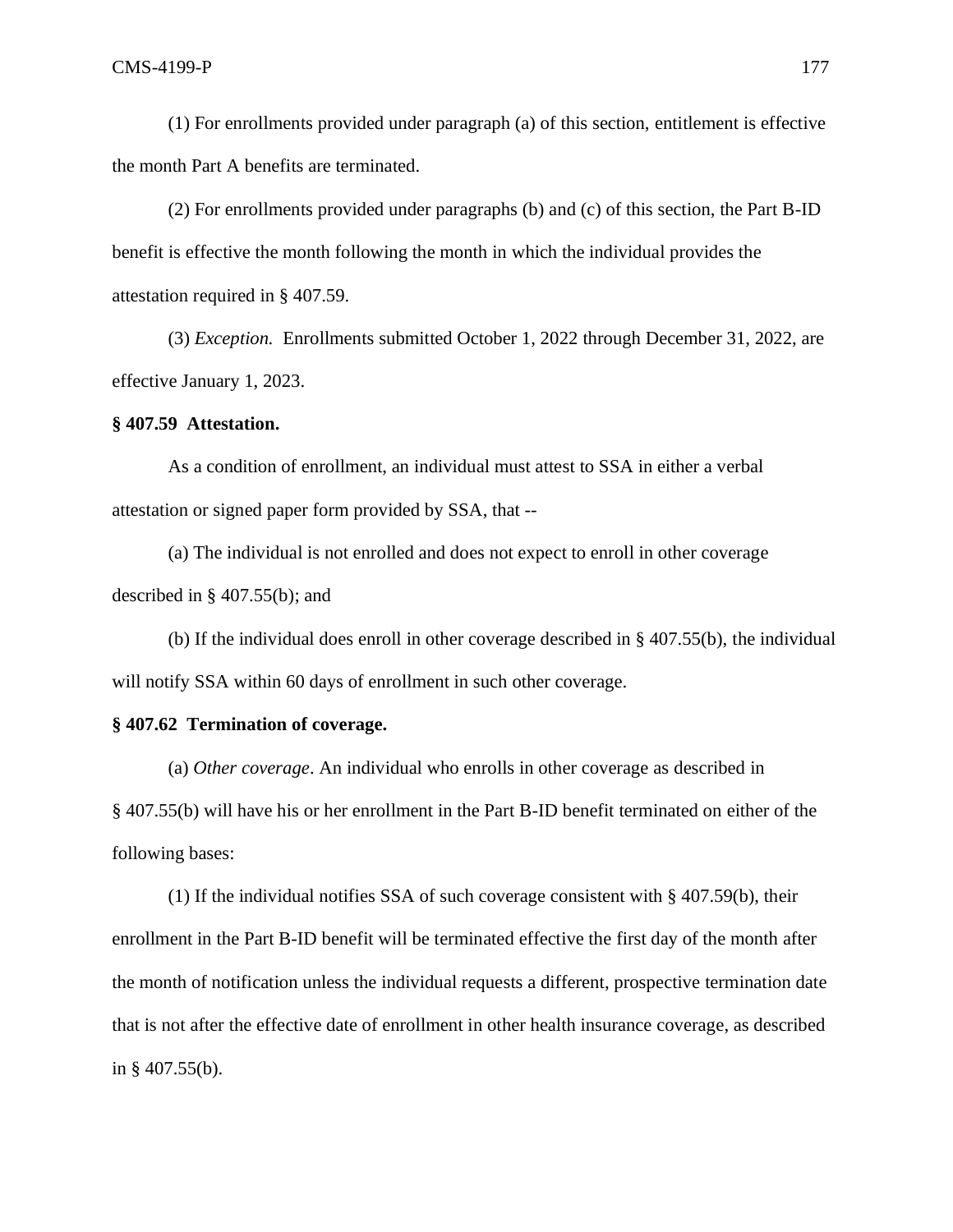(1) For enrollments provided under paragraph (a) of this section, entitlement is effective the month Part A benefits are terminated.

(2) For enrollments provided under paragraphs (b) and (c) of this section, the Part B-ID benefit is effective the month following the month in which the individual provides the attestation required in § 407.59.

(3) *Exception.* Enrollments submitted October 1, 2022 through December 31, 2022, are effective January 1, 2023.

### **§ 407.59 Attestation.**

As a condition of enrollment, an individual must attest to SSA in either a verbal attestation or signed paper form provided by SSA, that --

(a) The individual is not enrolled and does not expect to enroll in other coverage described in § 407.55(b); and

(b) If the individual does enroll in other coverage described in § 407.55(b), the individual will notify SSA within 60 days of enrollment in such other coverage.

## **§ 407.62 Termination of coverage.**

(a) *Other coverage*. An individual who enrolls in other coverage as described in § 407.55(b) will have his or her enrollment in the Part B-ID benefit terminated on either of the following bases:

(1) If the individual notifies SSA of such coverage consistent with § 407.59(b), their enrollment in the Part B-ID benefit will be terminated effective the first day of the month after the month of notification unless the individual requests a different, prospective termination date that is not after the effective date of enrollment in other health insurance coverage, as described in § 407.55(b).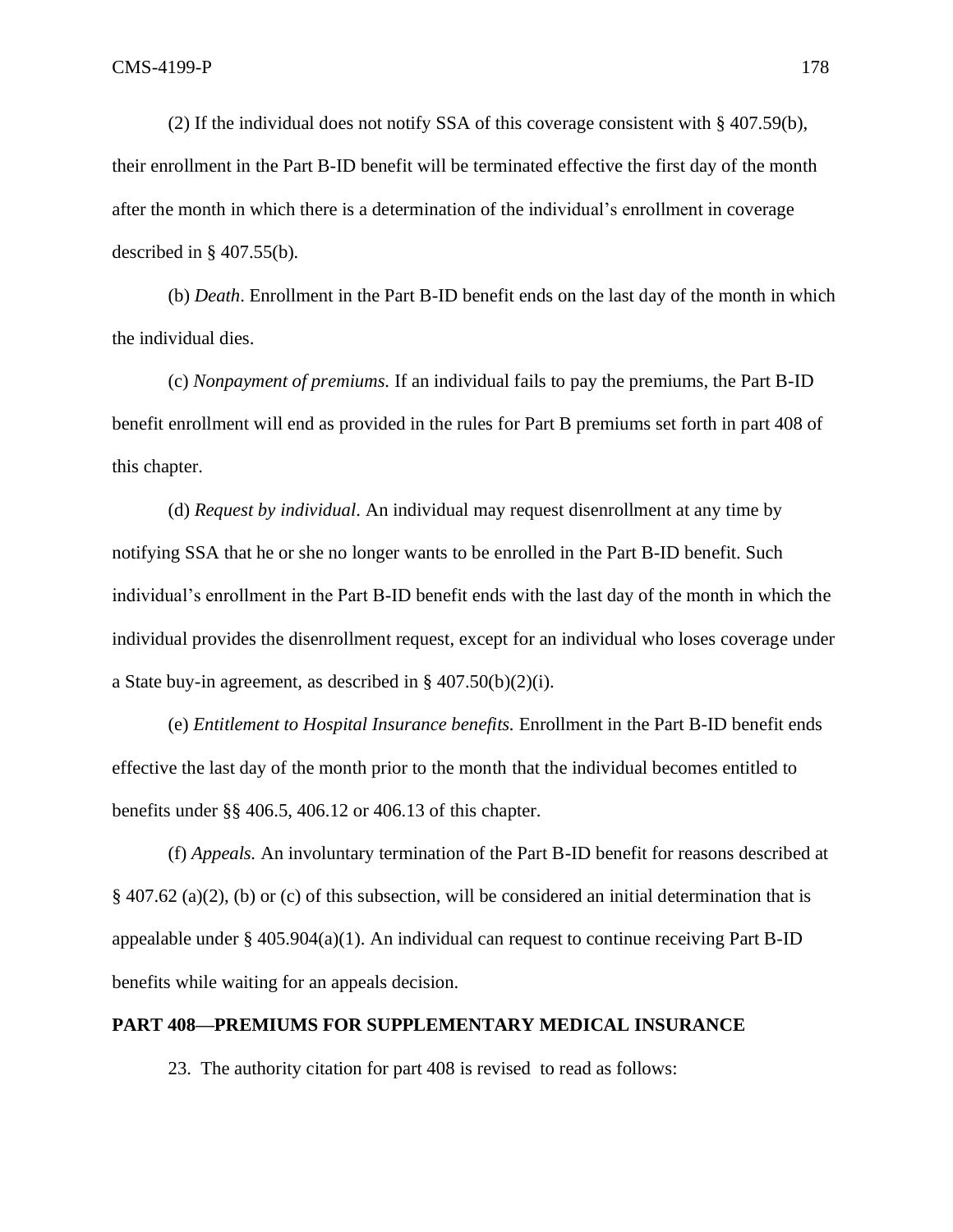(2) If the individual does not notify SSA of this coverage consistent with § 407.59(b), their enrollment in the Part B-ID benefit will be terminated effective the first day of the month after the month in which there is a determination of the individual's enrollment in coverage described in § 407.55(b)*.*

(b) *Death*. Enrollment in the Part B-ID benefit ends on the last day of the month in which the individual dies.

(c) *Nonpayment of premiums.* If an individual fails to pay the premiums, the Part B-ID benefit enrollment will end as provided in the rules for Part B premiums set forth in part 408 of this chapter.

(d) *Request by individual*. An individual may request disenrollment at any time by notifying SSA that he or she no longer wants to be enrolled in the Part B-ID benefit. Such individual's enrollment in the Part B-ID benefit ends with the last day of the month in which the individual provides the disenrollment request, except for an individual who loses coverage under a State buy-in agreement, as described in § 407.50(b)(2)(i).

(e) *Entitlement to Hospital Insurance benefits.* Enrollment in the Part B-ID benefit ends effective the last day of the month prior to the month that the individual becomes entitled to benefits under §§ 406.5, 406.12 or 406.13 of this chapter.

(f) *Appeals.* An involuntary termination of the Part B-ID benefit for reasons described at § 407.62 (a)(2), (b) or (c) of this subsection, will be considered an initial determination that is appealable under §  $405.904(a)(1)$ . An individual can request to continue receiving Part B-ID benefits while waiting for an appeals decision.

### **PART 408—PREMIUMS FOR SUPPLEMENTARY MEDICAL INSURANCE**

23. The authority citation for part 408 is revised to read as follows: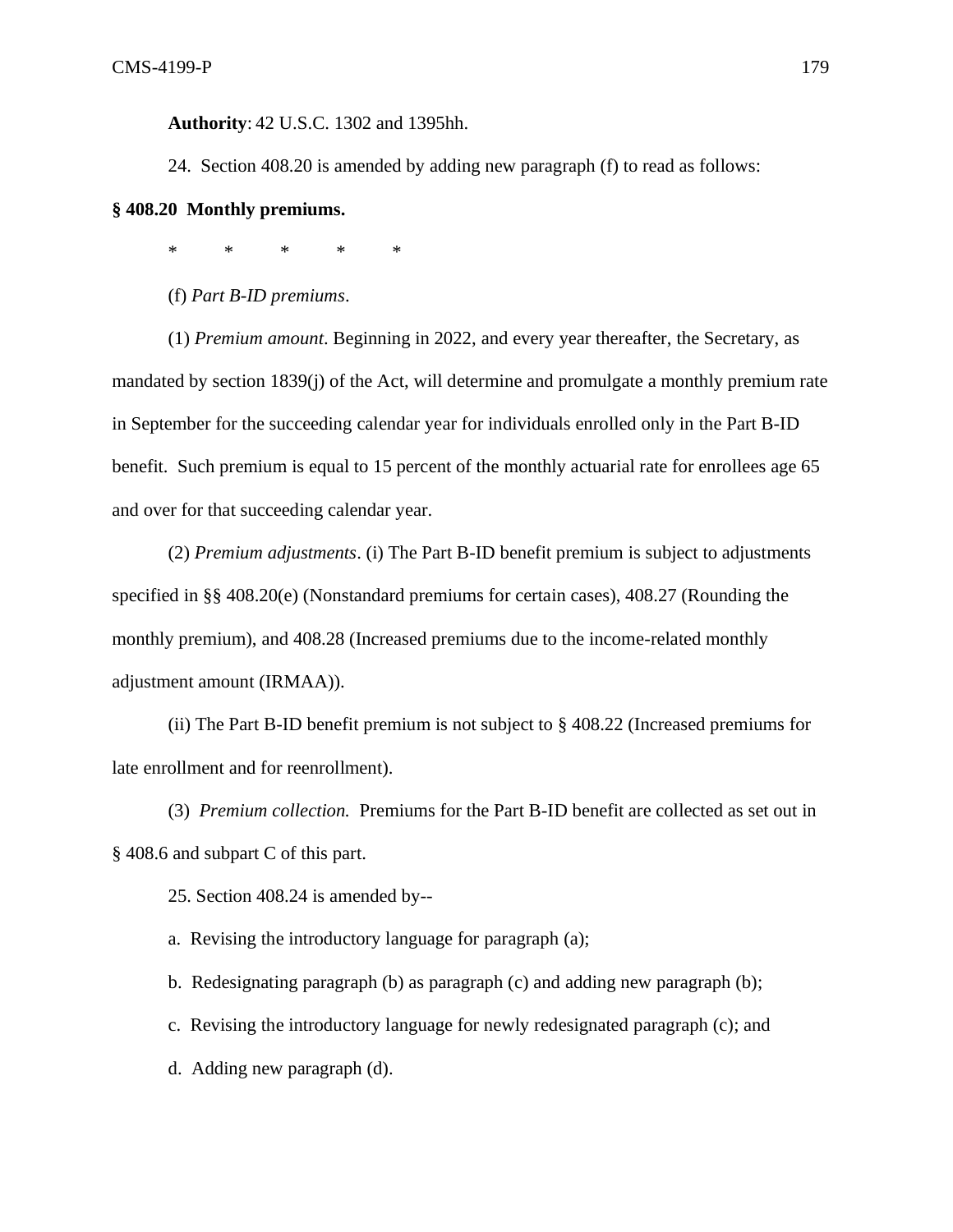**Authority**: 42 U.S.C. 1302 and 1395hh.

24. Section 408.20 is amended by adding new paragraph (f) to read as follows:

## **§ 408.20 Monthly premiums.**

\* \* \* \* \*

(f) *Part B-ID premiums*.

(1) *Premium amount*. Beginning in 2022, and every year thereafter, the Secretary, as mandated by section 1839(j) of the Act, will determine and promulgate a monthly premium rate in September for the succeeding calendar year for individuals enrolled only in the Part B-ID benefit. Such premium is equal to 15 percent of the monthly actuarial rate for enrollees age 65 and over for that succeeding calendar year.

(2) *Premium adjustments*. (i) The Part B-ID benefit premium is subject to adjustments specified in §§ 408.20(e) (Nonstandard premiums for certain cases), 408.27 (Rounding the monthly premium), and 408.28 (Increased premiums due to the income-related monthly adjustment amount (IRMAA)).

(ii) The Part B-ID benefit premium is not subject to § 408.22 (Increased premiums for late enrollment and for reenrollment).

(3) *Premium collection.* Premiums for the Part B-ID benefit are collected as set out in § 408.6 and subpart C of this part.

25. Section 408.24 is amended by--

a. Revising the introductory language for paragraph (a);

b. Redesignating paragraph (b) as paragraph (c) and adding new paragraph (b);

c. Revising the introductory language for newly redesignated paragraph (c); and

d. Adding new paragraph (d).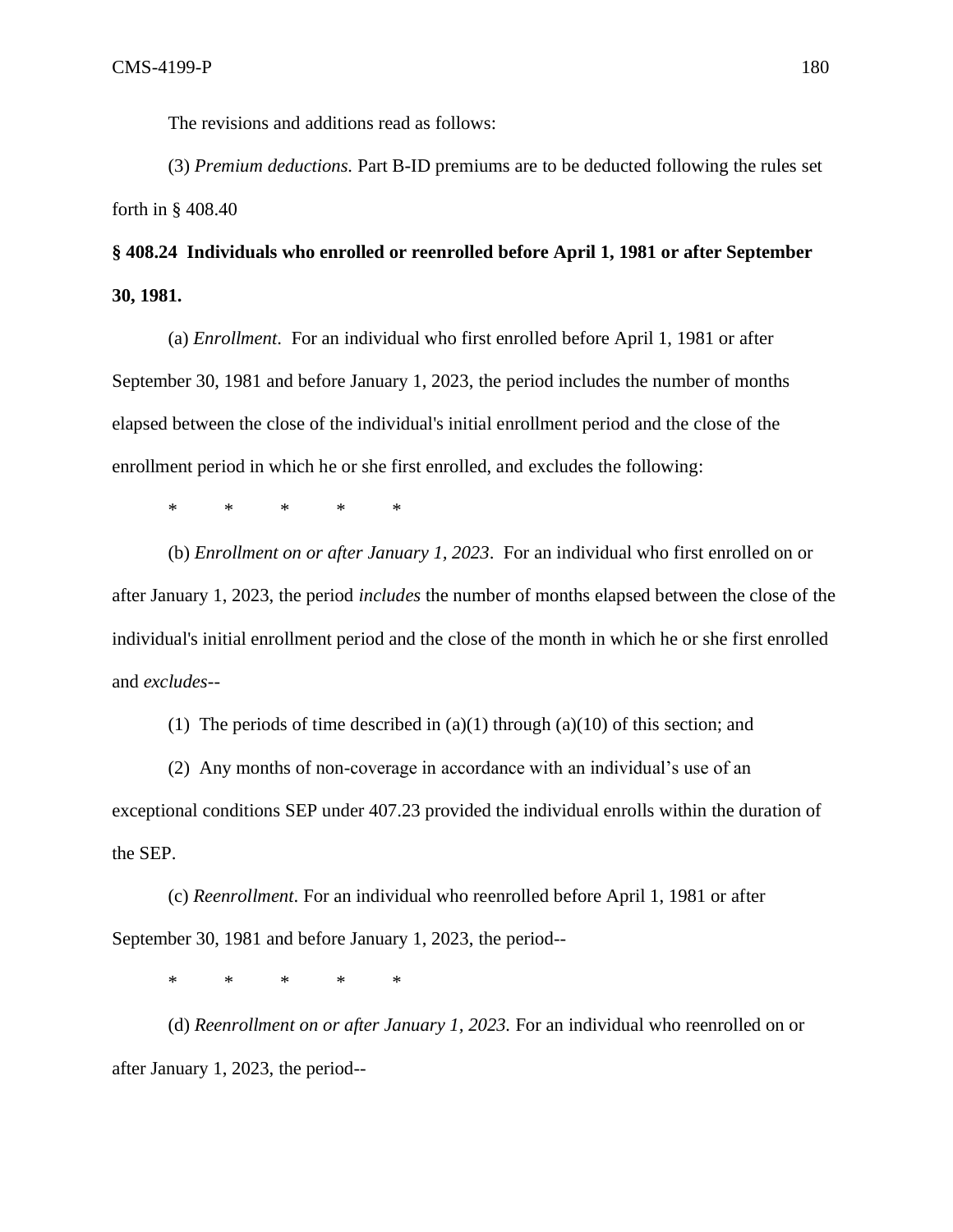The revisions and additions read as follows:

(3) *Premium deductions.* Part B-ID premiums are to be deducted following the rules set forth in § 408.40

# **§ 408.24 Individuals who enrolled or reenrolled before April 1, 1981 or after September 30, 1981.**

(a) *Enrollment*. For an individual who first enrolled before April 1, 1981 or after September 30, 1981 and before January 1, 2023, the period includes the number of months elapsed between the close of the individual's initial enrollment period and the close of the enrollment period in which he or she first enrolled, and excludes the following:

\* \* \* \* \*

(b) *Enrollment on or after January 1, 2023*. For an individual who first enrolled on or after January 1, 2023, the period *includes* the number of months elapsed between the close of the individual's initial enrollment period and the close of the month in which he or she first enrolled and *excludes*--

(1) The periods of time described in  $(a)(1)$  through  $(a)(10)$  of this section; and

(2) Any months of non-coverage in accordance with an individual's use of an exceptional conditions SEP under 407.23 provided the individual enrolls within the duration of the SEP.

(c) *Reenrollment*. For an individual who reenrolled before April 1, 1981 or after September 30, 1981 and before January 1, 2023, the period--

\* \* \* \* \*

(d) *Reenrollment on or after January 1, 2023.* For an individual who reenrolled on or after January 1, 2023, the period--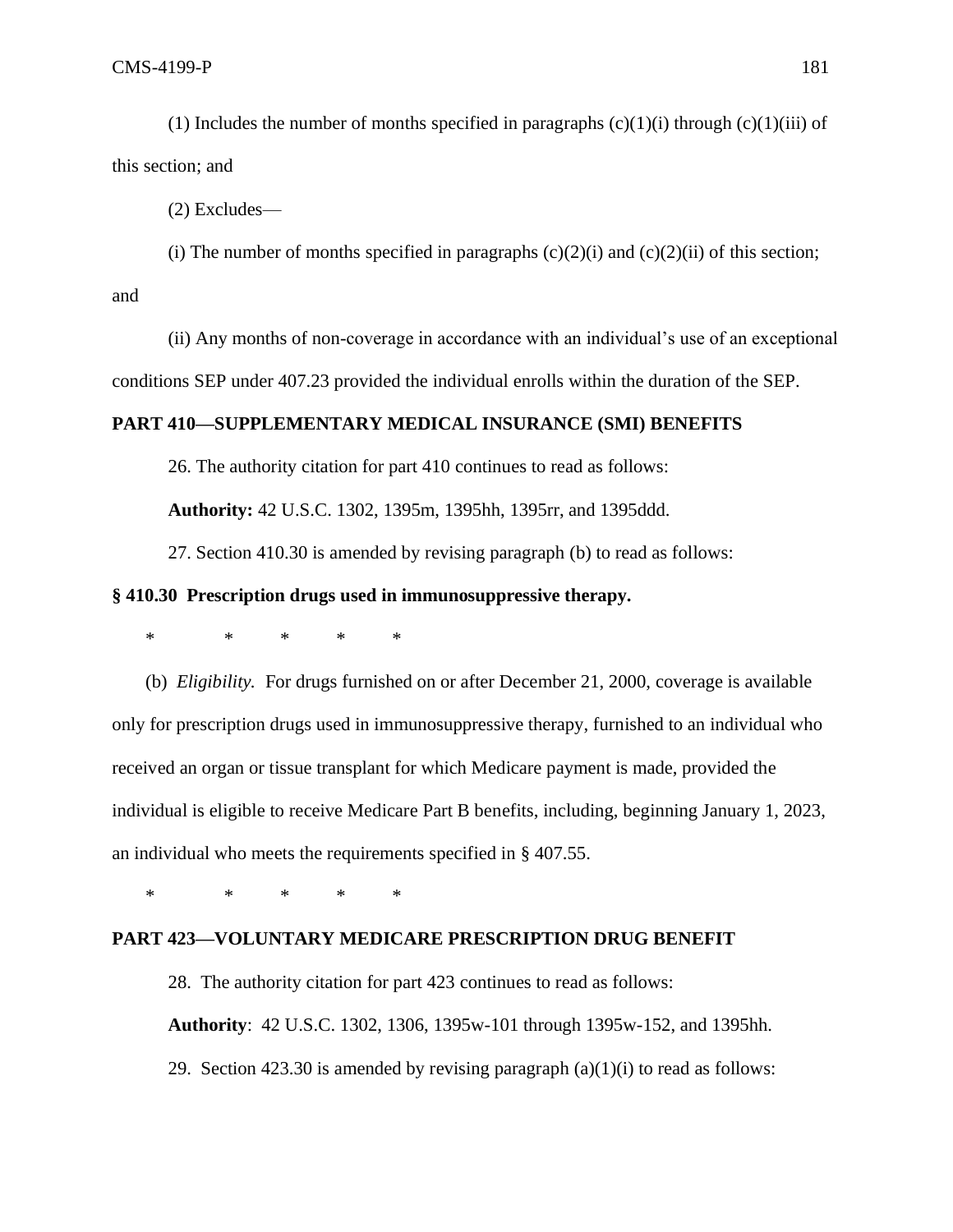(1) Includes the number of months specified in paragraphs  $(c)(1)(i)$  through  $(c)(1)(iii)$  of this section; and

(2) Excludes—

(i) The number of months specified in paragraphs  $(c)(2)(i)$  and  $(c)(2)(ii)$  of this section; and

(ii) Any months of non-coverage in accordance with an individual's use of an exceptional conditions SEP under 407.23 provided the individual enrolls within the duration of the SEP.

# **PART 410—SUPPLEMENTARY MEDICAL INSURANCE (SMI) BENEFITS**

26. The authority citation for part 410 continues to read as follows:

**Authority:** 42 U.S.C. 1302, 1395m, 1395hh, 1395rr, and 1395ddd.

27. Section 410.30 is amended by revising paragraph (b) to read as follows:

### **§ 410.30 Prescription drugs used in immunosuppressive therapy.**

\* \* \* \* \*

(b) *Eligibility.* For drugs furnished on or after December 21, 2000, coverage is available only for prescription drugs used in immunosuppressive therapy, furnished to an individual who received an organ or tissue transplant for which Medicare payment is made, provided the individual is eligible to receive Medicare Part B benefits, including, beginning January 1, 2023, an individual who meets the requirements specified in § 407.55.

\* \* \* \* \*

#### **PART 423—VOLUNTARY MEDICARE PRESCRIPTION DRUG BENEFIT**

28. The authority citation for part 423 continues to read as follows: **Authority**: 42 U.S.C. 1302, 1306, 1395w-101 through 1395w-152, and 1395hh. 29. Section 423.30 is amended by revising paragraph  $(a)(1)(i)$  to read as follows: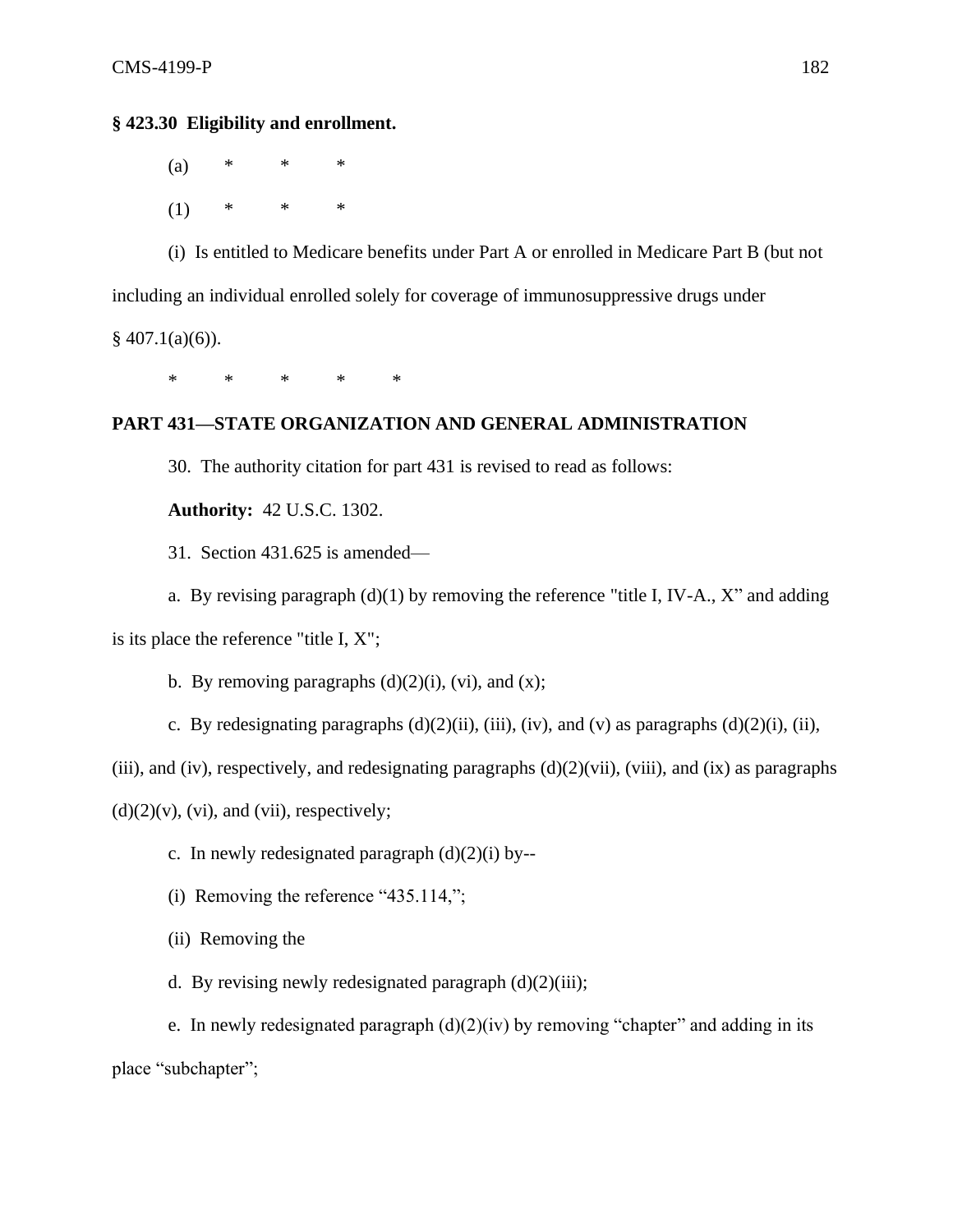# **§ 423.30 Eligibility and enrollment.**

(a) \* \* \*  $(1)$  \* \* \*

(i) Is entitled to Medicare benefits under Part A or enrolled in Medicare Part B (but not including an individual enrolled solely for coverage of immunosuppressive drugs under  $§$  407.1(a)(6)).

\* \* \* \* \*

# **PART 431—STATE ORGANIZATION AND GENERAL ADMINISTRATION**

30. The authority citation for part 431 is revised to read as follows:

**Authority:** 42 U.S.C. 1302.

31. Section 431.625 is amended—

a. By revising paragraph  $(d)(1)$  by removing the reference "title I, IV-A., X" and adding is its place the reference "title I, X";

b. By removing paragraphs  $(d)(2)(i)$ ,  $(vi)$ , and  $(x)$ ;

c. By redesignating paragraphs  $(d)(2)(ii)$ ,  $(iii)$ ,  $(iv)$ , and  $(v)$  as paragraphs  $(d)(2)(i)$ ,  $(ii)$ ,

(iii), and (iv), respectively, and redesignating paragraphs  $(d)(2)(vi)$ , (viii), and (ix) as paragraphs

 $(d)(2)(v)$ ,  $(vi)$ , and  $(vii)$ , respectively;

- c. In newly redesignated paragraph  $(d)(2)(i)$  by--
- (i) Removing the reference "435.114,";
- (ii) Removing the
- d. By revising newly redesignated paragraph  $(d)(2)(iii)$ ;

e. In newly redesignated paragraph  $(d)(2)(iv)$  by removing "chapter" and adding in its place "subchapter";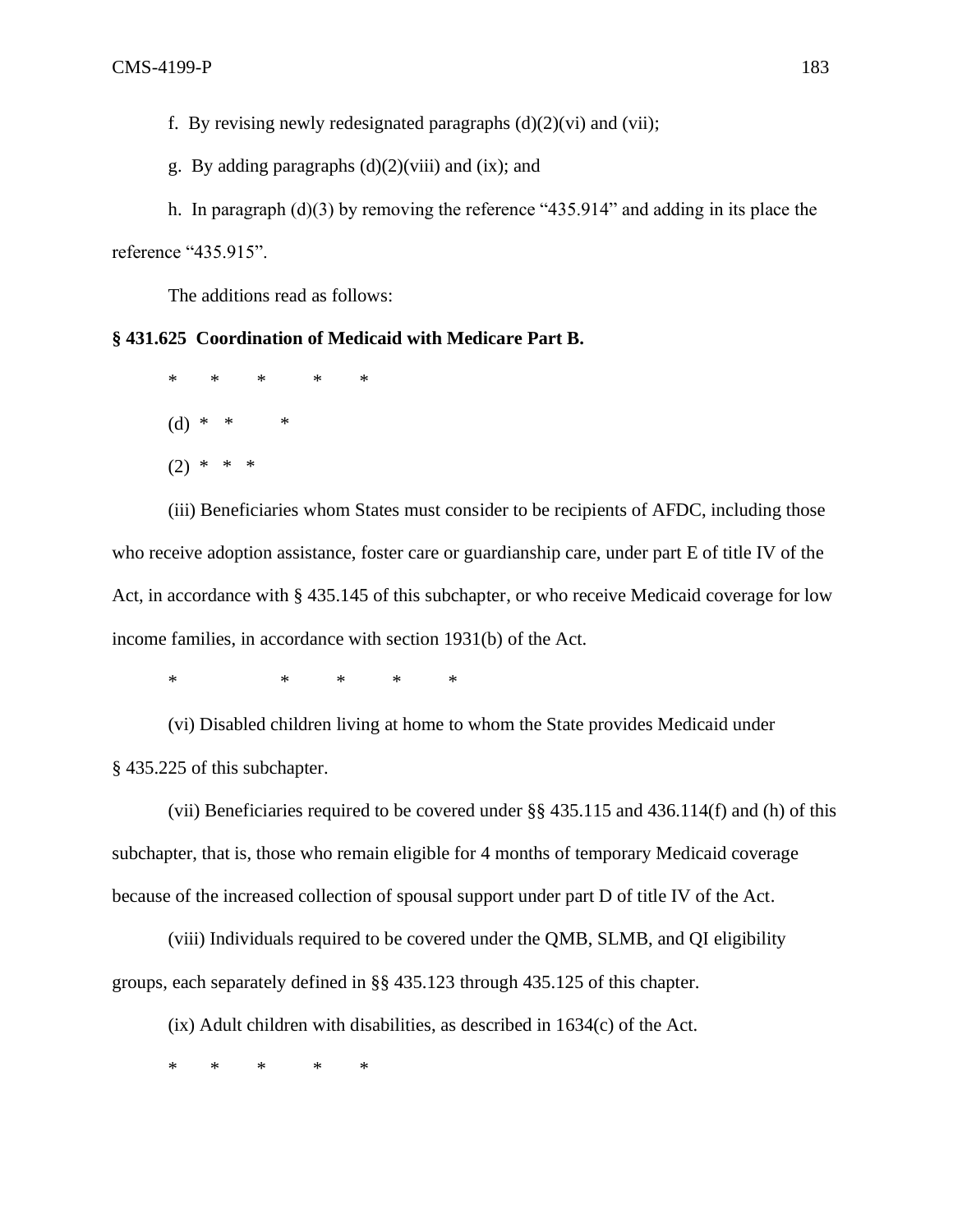f. By revising newly redesignated paragraphs  $(d)(2)(vi)$  and  $(vii)$ ;

g. By adding paragraphs  $(d)(2)(viii)$  and  $(ix)$ ; and

h. In paragraph (d)(3) by removing the reference "435.914" and adding in its place the reference "435.915".

The additions read as follows:

# **§ 431.625 Coordination of Medicaid with Medicare Part B.**

\* \* \* \* \* (d) \* \* \*  $(2)$  \*

(iii) Beneficiaries whom States must consider to be recipients of AFDC, including those who receive adoption assistance, foster care or guardianship care, under part E of title IV of the Act, in accordance with § 435.145 of this subchapter, or who receive Medicaid coverage for low income families, in accordance with section 1931(b) of the Act.

\* \* \* \* \*

(vi) Disabled children living at home to whom the State provides Medicaid under § 435.225 of this subchapter.

(vii) Beneficiaries required to be covered under §§ 435.115 and 436.114(f) and (h) of this subchapter, that is, those who remain eligible for 4 months of temporary Medicaid coverage because of the increased collection of spousal support under part D of title IV of the Act.

(viii) Individuals required to be covered under the QMB, SLMB, and QI eligibility groups, each separately defined in §§ 435.123 through 435.125 of this chapter.

(ix) Adult children with disabilities, as described in 1634(c) of the Act.

\* \* \* \* \*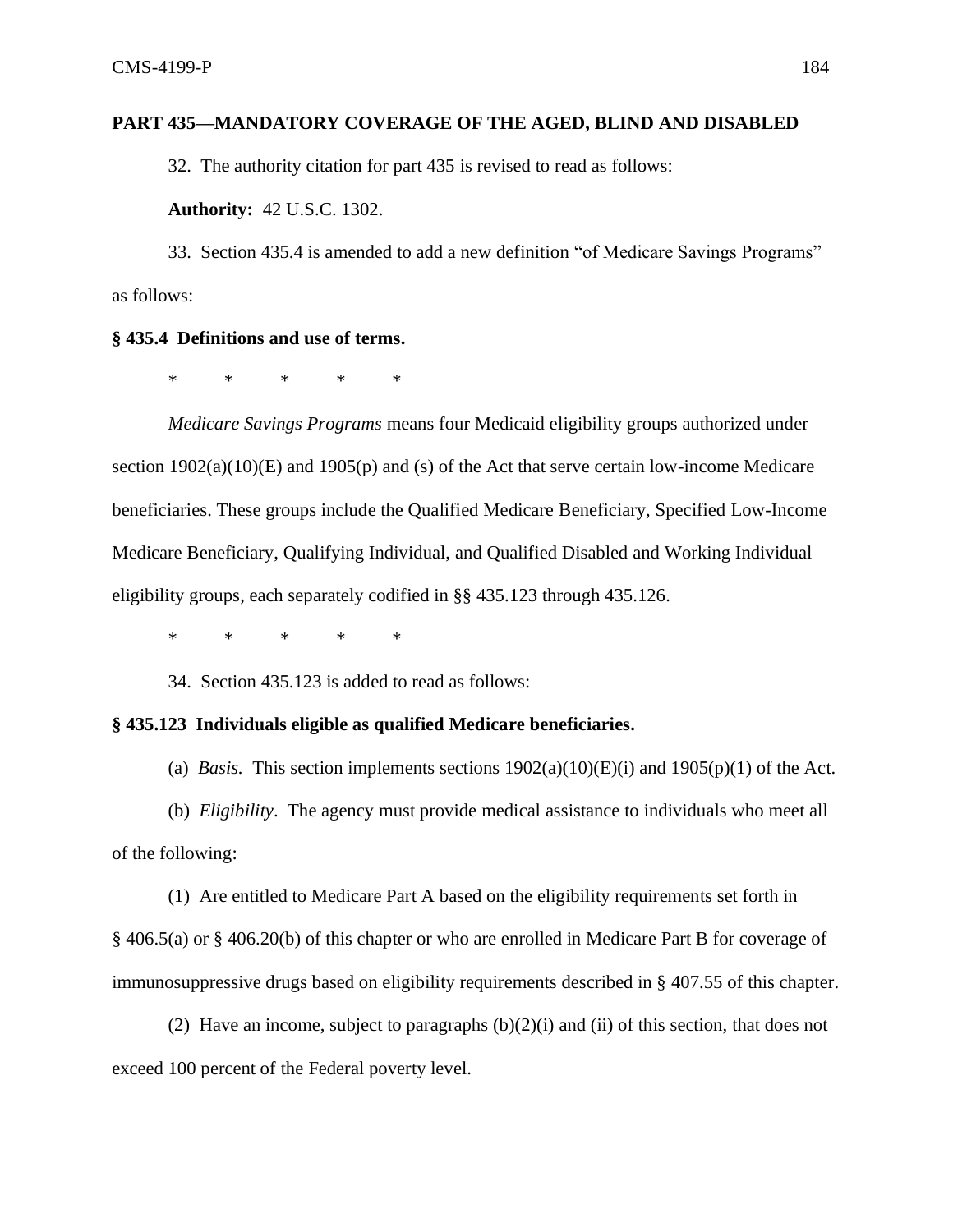## **PART 435—MANDATORY COVERAGE OF THE AGED, BLIND AND DISABLED**

32. The authority citation for part 435 is revised to read as follows:

**Authority:** 42 U.S.C. 1302.

33. Section 435.4 is amended to add a new definition "of Medicare Savings Programs" as follows:

### **§ 435.4 Definitions and use of terms.**

\* \* \* \* \*

*Medicare Savings Programs* means four Medicaid eligibility groups authorized under section 1902(a)(10)(E) and 1905(p) and (s) of the Act that serve certain low-income Medicare beneficiaries. These groups include the Qualified Medicare Beneficiary, Specified Low-Income Medicare Beneficiary, Qualifying Individual, and Qualified Disabled and Working Individual eligibility groups, each separately codified in §§ 435.123 through 435.126.

\* \* \* \* \*

34. Section 435.123 is added to read as follows:

### **§ 435.123 Individuals eligible as qualified Medicare beneficiaries.**

(a) *Basis.* This section implements sections  $1902(a)(10)(E)(i)$  and  $1905(p)(1)$  of the Act.

(b) *Eligibility*. The agency must provide medical assistance to individuals who meet all of the following:

(1) Are entitled to Medicare Part A based on the eligibility requirements set forth in § 406.5(a) or § 406.20(b) of this chapter or who are enrolled in Medicare Part B for coverage of immunosuppressive drugs based on eligibility requirements described in § 407.55 of this chapter.

(2) Have an income, subject to paragraphs  $(b)(2)(i)$  and (ii) of this section, that does not exceed 100 percent of the Federal poverty level.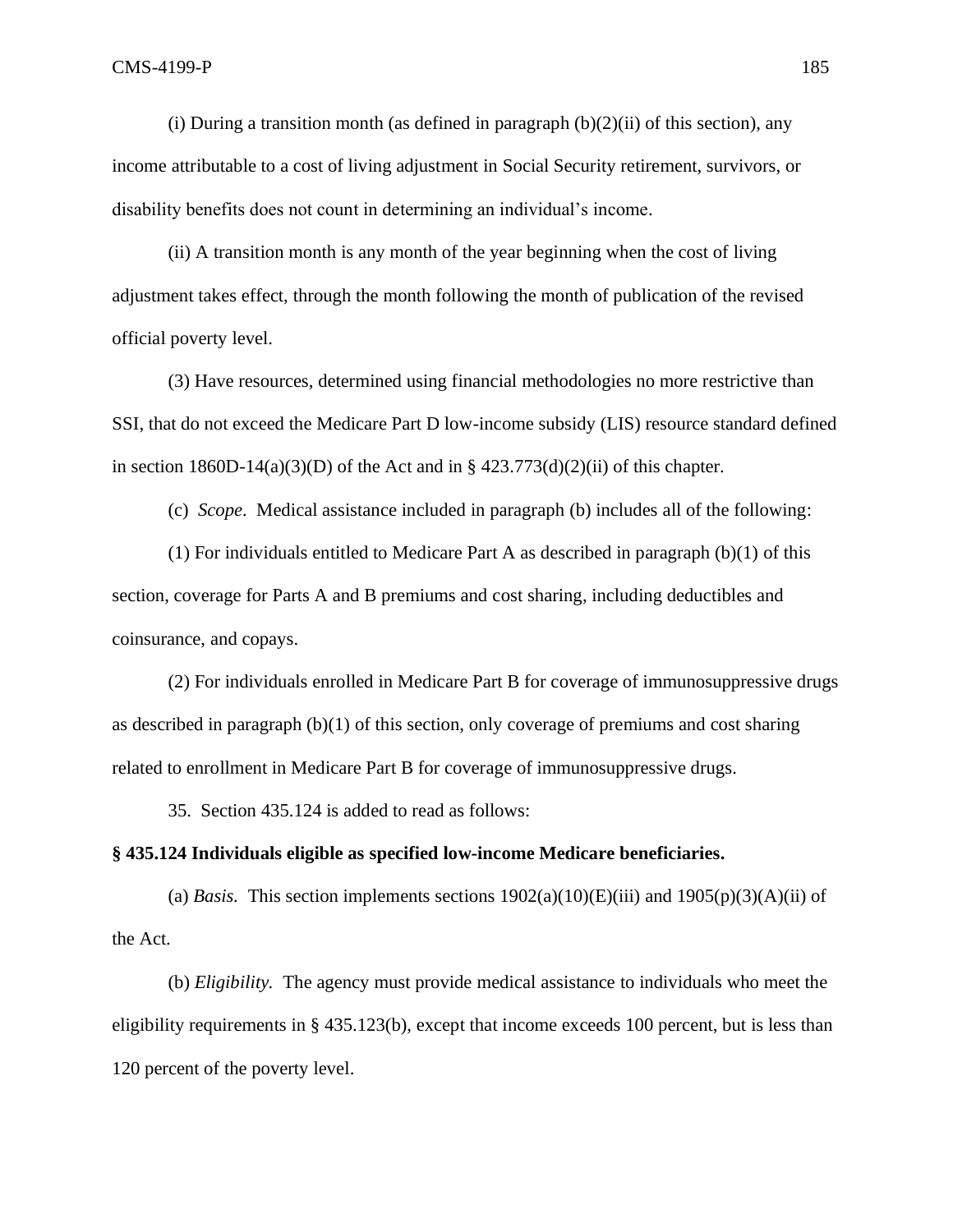(i) During a transition month (as defined in paragraph  $(b)(2)(ii)$  of this section), any income attributable to a cost of living adjustment in Social Security retirement, survivors, or disability benefits does not count in determining an individual's income.

(ii) A transition month is any month of the year beginning when the cost of living adjustment takes effect, through the month following the month of publication of the revised official poverty level.

(3) Have resources, determined using financial methodologies no more restrictive than SSI, that do not exceed the Medicare Part D low-income subsidy (LIS) resource standard defined in section  $1860D-14(a)(3)(D)$  of the Act and in §  $423.773(d)(2)(ii)$  of this chapter.

(c) *Scope*. Medical assistance included in paragraph (b) includes all of the following:

(1) For individuals entitled to Medicare Part A as described in paragraph  $(b)(1)$  of this section, coverage for Parts A and B premiums and cost sharing, including deductibles and coinsurance, and copays.

(2) For individuals enrolled in Medicare Part B for coverage of immunosuppressive drugs as described in paragraph (b)(1) of this section, only coverage of premiums and cost sharing related to enrollment in Medicare Part B for coverage of immunosuppressive drugs.

35. Section 435.124 is added to read as follows:

### **§ 435.124 Individuals eligible as specified low-income Medicare beneficiaries.**

(a) *Basis*. This section implements sections  $1902(a)(10)(E)(iii)$  and  $1905(p)(3)(A)(ii)$  of the Act.

(b) *Eligibility.* The agency must provide medical assistance to individuals who meet the eligibility requirements in § 435.123(b), except that income exceeds 100 percent, but is less than 120 percent of the poverty level.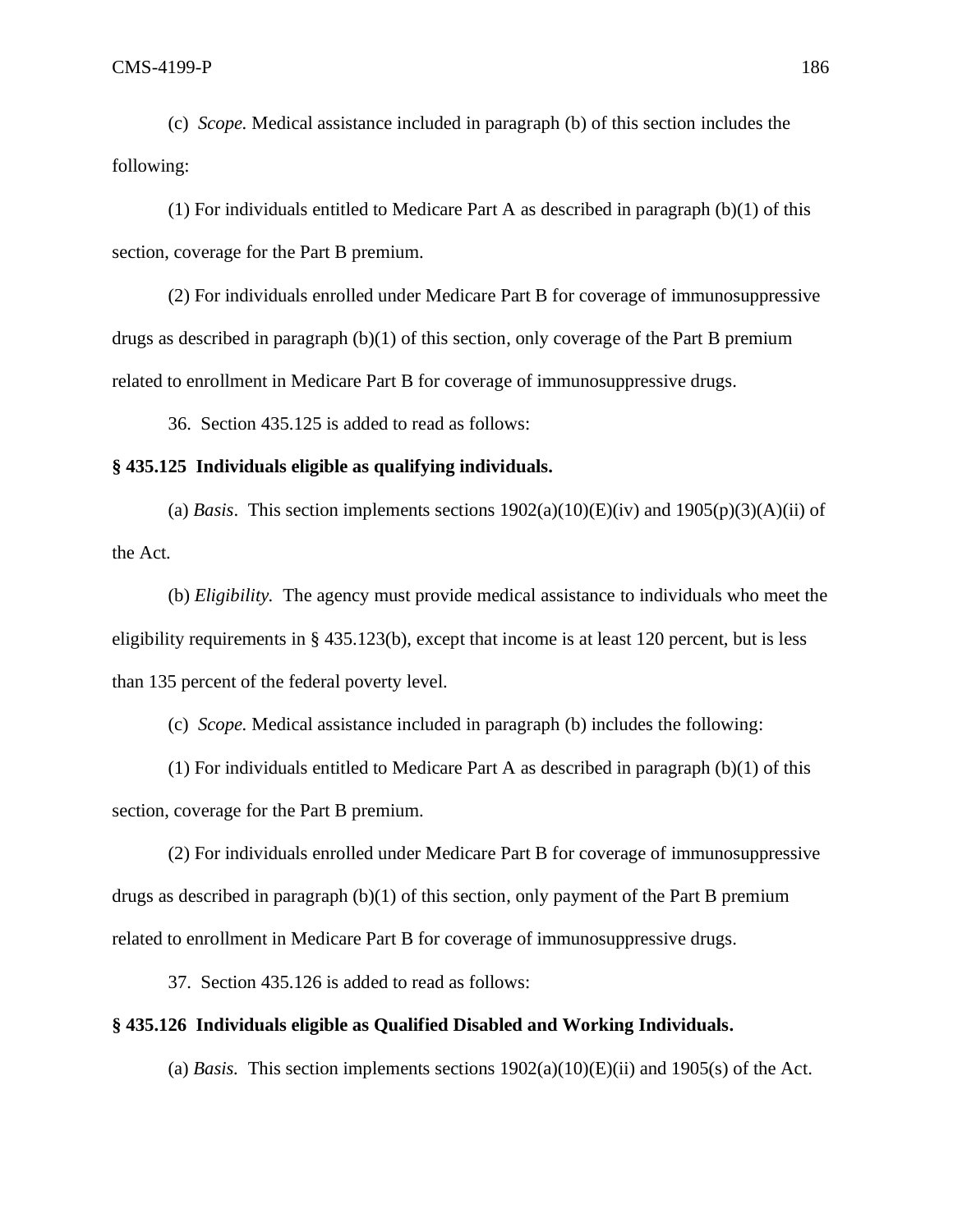(c) *Scope.* Medical assistance included in paragraph (b) of this section includes the following:

(1) For individuals entitled to Medicare Part A as described in paragraph (b)(1) of this section, coverage for the Part B premium.

(2) For individuals enrolled under Medicare Part B for coverage of immunosuppressive drugs as described in paragraph (b)(1) of this section, only coverage of the Part B premium related to enrollment in Medicare Part B for coverage of immunosuppressive drugs.

36. Section 435.125 is added to read as follows:

#### **§ 435.125 Individuals eligible as qualifying individuals.**

(a) *Basis*. This section implements sections  $1902(a)(10)(E)(iv)$  and  $1905(p)(3)(A)(ii)$  of the Act.

(b) *Eligibility.* The agency must provide medical assistance to individuals who meet the eligibility requirements in § 435.123(b), except that income is at least 120 percent, but is less than 135 percent of the federal poverty level.

(c) *Scope.* Medical assistance included in paragraph (b) includes the following:

(1) For individuals entitled to Medicare Part A as described in paragraph  $(b)(1)$  of this section, coverage for the Part B premium.

(2) For individuals enrolled under Medicare Part B for coverage of immunosuppressive drugs as described in paragraph (b)(1) of this section, only payment of the Part B premium related to enrollment in Medicare Part B for coverage of immunosuppressive drugs.

37. Section 435.126 is added to read as follows:

## **§ 435.126 Individuals eligible as Qualified Disabled and Working Individuals.**

(a) *Basis.* This section implements sections  $1902(a)(10)(E)(ii)$  and  $1905(s)$  of the Act.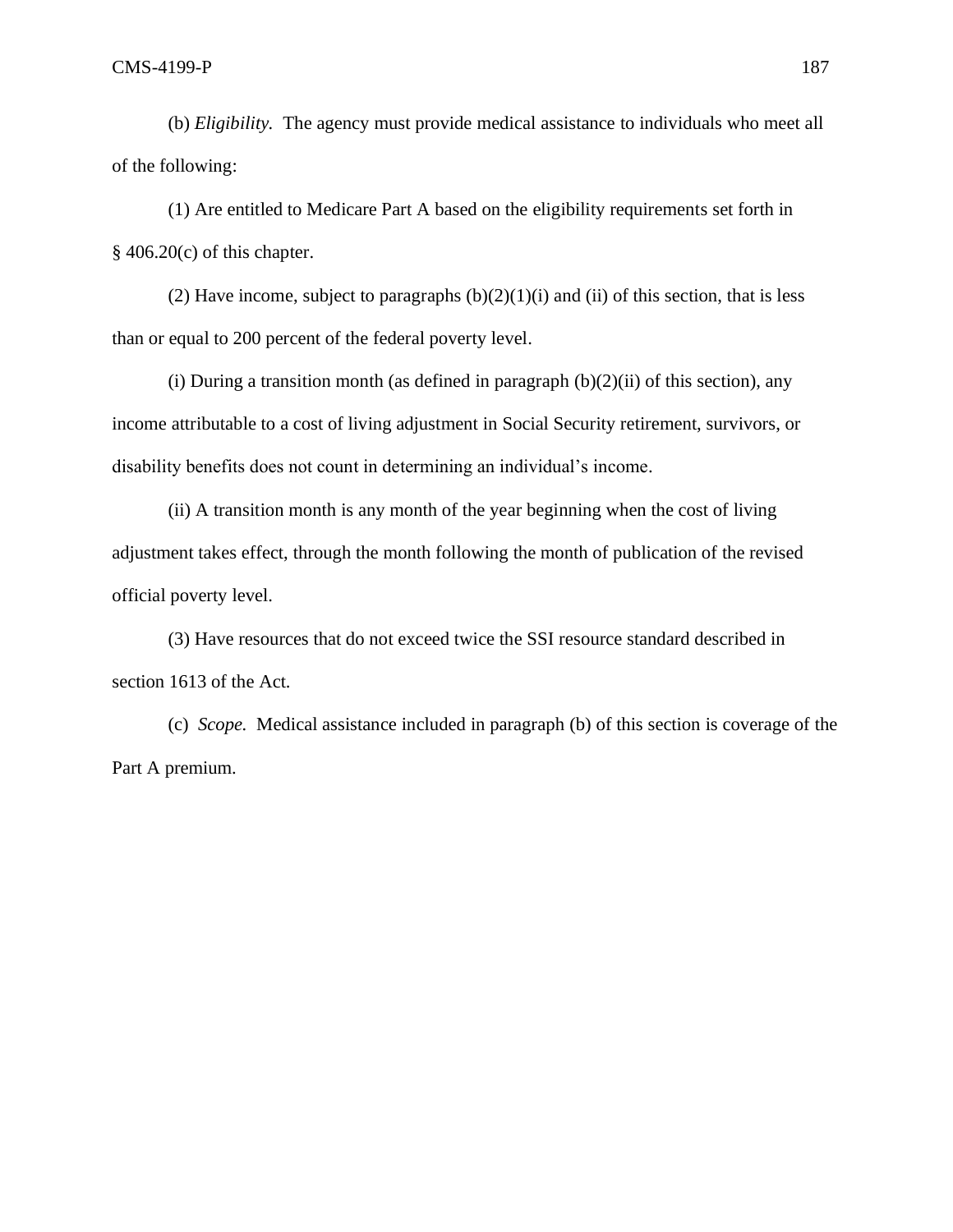(b) *Eligibility.* The agency must provide medical assistance to individuals who meet all of the following:

(1) Are entitled to Medicare Part A based on the eligibility requirements set forth in  $§$  406.20(c) of this chapter.

(2) Have income, subject to paragraphs  $(b)(2)(1)(i)$  and (ii) of this section, that is less than or equal to 200 percent of the federal poverty level.

(i) During a transition month (as defined in paragraph  $(b)(2)(ii)$  of this section), any income attributable to a cost of living adjustment in Social Security retirement, survivors, or disability benefits does not count in determining an individual's income.

(ii) A transition month is any month of the year beginning when the cost of living adjustment takes effect, through the month following the month of publication of the revised official poverty level.

(3) Have resources that do not exceed twice the SSI resource standard described in section 1613 of the Act.

(c) *Scope.* Medical assistance included in paragraph (b) of this section is coverage of the Part A premium.